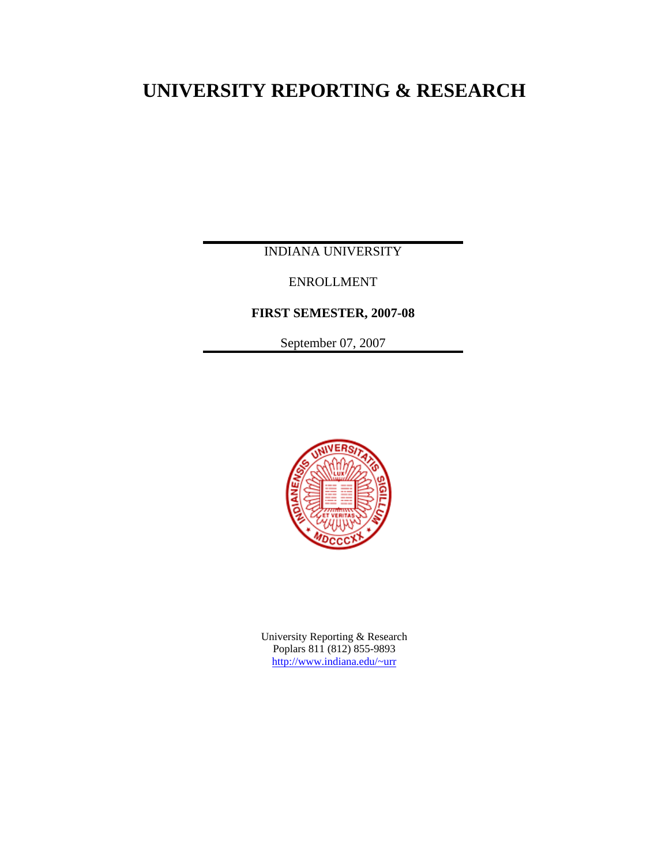# **UNIVERSITY REPORTING & RESEARCH**

INDIANA UNIVERSITY

ENROLLMENT

**FIRST SEMESTER, 2007-08** 

September 07, 2007



University Reporting & Research Poplars 811 (812) 855-9893 http://www.indiana.edu/~urr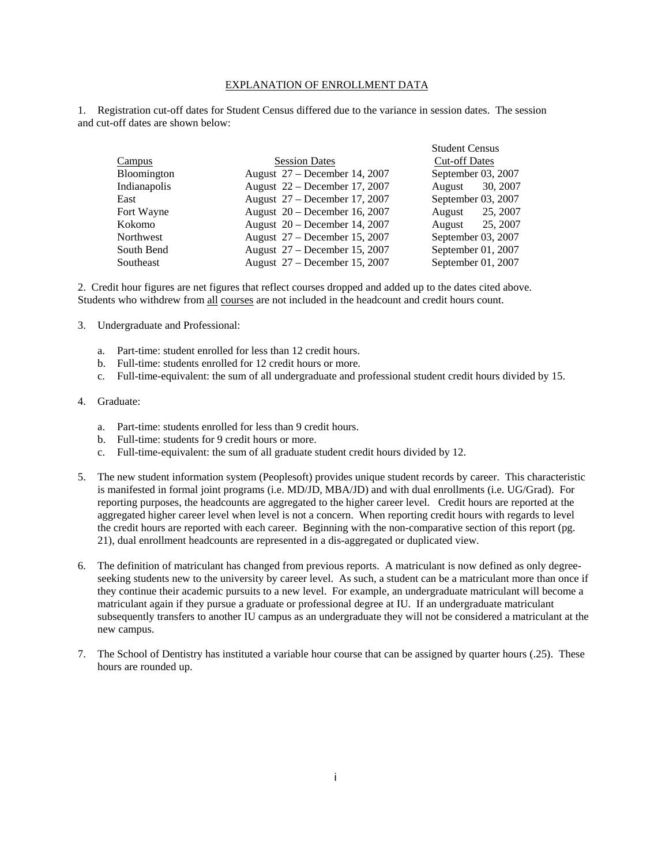#### EXPLANATION OF ENROLLMENT DATA

1. Registration cut-off dates for Student Census differed due to the variance in session dates. The session and cut-off dates are shown below:

|                    |                                 | <b>Student Census</b> |
|--------------------|---------------------------------|-----------------------|
| Campus             | <b>Session Dates</b>            | <b>Cut-off Dates</b>  |
| <b>Bloomington</b> | August 27 – December 14, 2007   | September 03, 2007    |
| Indianapolis       | August 22 – December 17, 2007   | 30, 2007<br>August    |
| East               | August 27 – December 17, 2007   | September 03, 2007    |
| Fort Wayne         | August $20$ – December 16, 2007 | 25, 2007<br>August    |
| Kokomo             | August 20 - December 14, 2007   | 25, 2007<br>August    |
| Northwest          | August 27 – December 15, 2007   | September 03, 2007    |
| South Bend         | August 27 – December 15, 2007   | September 01, 2007    |
| Southeast          | August 27 – December 15, 2007   | September 01, 2007    |

2. Credit hour figures are net figures that reflect courses dropped and added up to the dates cited above. Students who withdrew from all courses are not included in the headcount and credit hours count.

- 3. Undergraduate and Professional:
	- a. Part-time: student enrolled for less than 12 credit hours.
	- b. Full-time: students enrolled for 12 credit hours or more.
	- c. Full-time-equivalent: the sum of all undergraduate and professional student credit hours divided by 15.

#### 4. Graduate:

- a. Part-time: students enrolled for less than 9 credit hours.
- b. Full-time: students for 9 credit hours or more.
- c. Full-time-equivalent: the sum of all graduate student credit hours divided by 12.
- 5. The new student information system (Peoplesoft) provides unique student records by career. This characteristic is manifested in formal joint programs (i.e. MD/JD, MBA/JD) and with dual enrollments (i.e. UG/Grad). For reporting purposes, the headcounts are aggregated to the higher career level. Credit hours are reported at the aggregated higher career level when level is not a concern. When reporting credit hours with regards to level the credit hours are reported with each career. Beginning with the non-comparative section of this report (pg. 21), dual enrollment headcounts are represented in a dis-aggregated or duplicated view.
- 6. The definition of matriculant has changed from previous reports. A matriculant is now defined as only degreeseeking students new to the university by career level. As such, a student can be a matriculant more than once if they continue their academic pursuits to a new level. For example, an undergraduate matriculant will become a matriculant again if they pursue a graduate or professional degree at IU. If an undergraduate matriculant subsequently transfers to another IU campus as an undergraduate they will not be considered a matriculant at the new campus.
- 7. The School of Dentistry has instituted a variable hour course that can be assigned by quarter hours (.25). These hours are rounded up.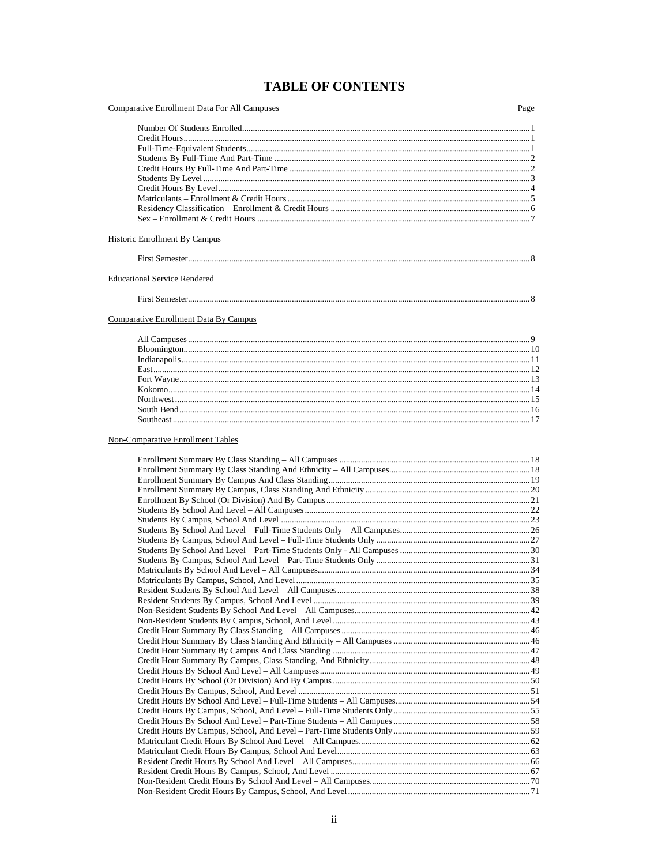## **TABLE OF CONTENTS**

| <b>Comparative Enrollment Data For All Campuses</b><br>Page |  |
|-------------------------------------------------------------|--|
|                                                             |  |
|                                                             |  |
|                                                             |  |
|                                                             |  |
|                                                             |  |
|                                                             |  |
|                                                             |  |
|                                                             |  |
|                                                             |  |
|                                                             |  |
|                                                             |  |
| Historic Enrollment By Campus                               |  |
|                                                             |  |
|                                                             |  |
| <b>Educational Service Rendered</b>                         |  |
|                                                             |  |
| Comparative Enrollment Data By Campus                       |  |
|                                                             |  |
|                                                             |  |
|                                                             |  |
|                                                             |  |
|                                                             |  |
|                                                             |  |
|                                                             |  |
|                                                             |  |
|                                                             |  |

#### **Non-Comparative Enrollment Tables**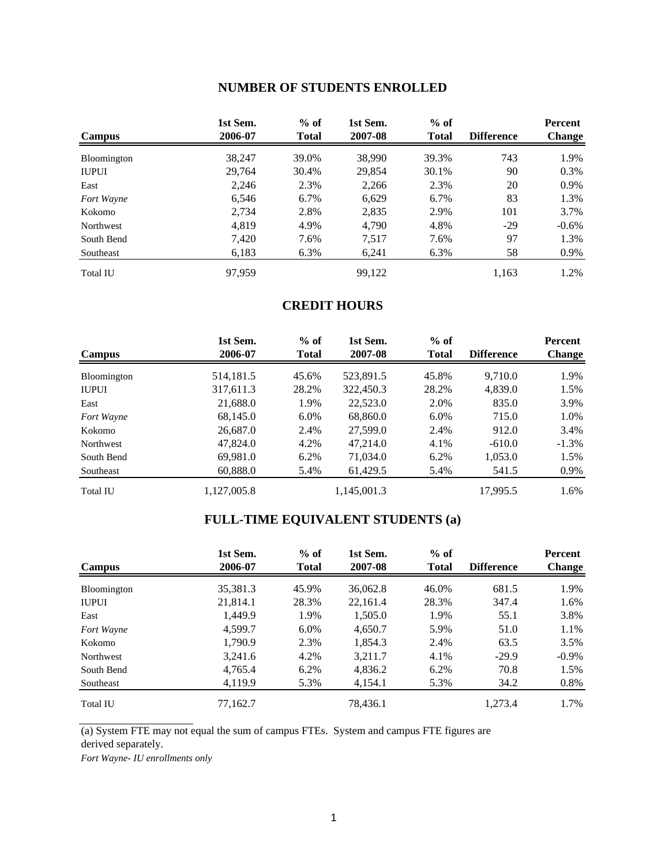### **NUMBER OF STUDENTS ENROLLED**

|                 | 1st Sem. | $%$ of       | 1st Sem. | $%$ of       |                   | <b>Percent</b> |
|-----------------|----------|--------------|----------|--------------|-------------------|----------------|
| Campus          | 2006-07  | <b>Total</b> | 2007-08  | <b>Total</b> | <b>Difference</b> | <b>Change</b>  |
| Bloomington     | 38,247   | 39.0%        | 38,990   | 39.3%        | 743               | 1.9%           |
| <b>IUPUI</b>    | 29,764   | 30.4%        | 29,854   | 30.1%        | 90                | 0.3%           |
| East            | 2,246    | 2.3%         | 2,266    | 2.3%         | 20                | 0.9%           |
| Fort Wayne      | 6,546    | 6.7%         | 6,629    | 6.7%         | 83                | 1.3%           |
| Kokomo          | 2,734    | 2.8%         | 2,835    | 2.9%         | 101               | 3.7%           |
| Northwest       | 4.819    | 4.9%         | 4,790    | 4.8%         | $-29$             | $-0.6%$        |
| South Bend      | 7,420    | 7.6%         | 7,517    | 7.6%         | 97                | 1.3%           |
| Southeast       | 6,183    | 6.3%         | 6,241    | 6.3%         | 58                | 0.9%           |
| <b>Total IU</b> | 97.959   |              | 99,122   |              | 1,163             | 1.2%           |

### **CREDIT HOURS**

| <b>Campus</b>   | 1st Sem.<br>2006-07 | $%$ of<br><b>Total</b> | 1st Sem.<br>2007-08 | $%$ of<br><b>Total</b> | <b>Difference</b> | <b>Percent</b><br><b>Change</b> |
|-----------------|---------------------|------------------------|---------------------|------------------------|-------------------|---------------------------------|
| Bloomington     | 514,181.5           | 45.6%                  | 523,891.5           | 45.8%                  | 9,710.0           | 1.9%                            |
| <b>IUPUI</b>    | 317,611.3           | 28.2%                  | 322,450.3           | 28.2%                  | 4,839.0           | 1.5%                            |
| East            | 21,688.0            | 1.9%                   | 22,523.0            | 2.0%                   | 835.0             | 3.9%                            |
| Fort Wayne      | 68,145.0            | $6.0\%$                | 68,860.0            | $6.0\%$                | 715.0             | 1.0%                            |
| Kokomo          | 26,687.0            | 2.4%                   | 27,599.0            | 2.4%                   | 912.0             | 3.4%                            |
| Northwest       | 47,824.0            | 4.2%                   | 47,214.0            | 4.1%                   | $-610.0$          | $-1.3\%$                        |
| South Bend      | 69,981.0            | 6.2%                   | 71,034.0            | 6.2%                   | 1,053.0           | 1.5%                            |
| Southeast       | 60,888.0            | 5.4%                   | 61,429.5            | 5.4%                   | 541.5             | 0.9%                            |
| <b>Total IU</b> | 1,127,005.8         |                        | 1,145,001.3         |                        | 17,995.5          | 1.6%                            |

## **FULL-TIME EQUIVALENT STUDENTS (a)**

| <b>Campus</b>   | 1st Sem.<br>2006-07 | $%$ of<br><b>Total</b> | 1st Sem.<br>2007-08 | $%$ of<br><b>Total</b> | <b>Difference</b> | <b>Percent</b><br><b>Change</b> |
|-----------------|---------------------|------------------------|---------------------|------------------------|-------------------|---------------------------------|
| Bloomington     | 35,381.3            | 45.9%                  | 36,062.8            | 46.0%                  | 681.5             | 1.9%                            |
| <b>IUPUI</b>    | 21,814.1            | 28.3%                  | 22,161.4            | 28.3%                  | 347.4             | 1.6%                            |
| East            | 1.449.9             | 1.9%                   | 1,505.0             | 1.9%                   | 55.1              | 3.8%                            |
| Fort Wayne      | 4.599.7             | $6.0\%$                | 4,650.7             | 5.9%                   | 51.0              | 1.1%                            |
| Kokomo          | 1.790.9             | 2.3%                   | 1,854.3             | 2.4%                   | 63.5              | 3.5%                            |
| Northwest       | 3,241.6             | 4.2%                   | 3.211.7             | 4.1%                   | $-29.9$           | $-0.9\%$                        |
| South Bend      | 4,765.4             | 6.2%                   | 4,836.2             | 6.2%                   | 70.8              | 1.5%                            |
| Southeast       | 4,119.9             | 5.3%                   | 4,154.1             | 5.3%                   | 34.2              | 0.8%                            |
| <b>Total IU</b> | 77,162.7            |                        | 78,436.1            |                        | 1,273.4           | 1.7%                            |

(a) System FTE may not equal the sum of campus FTEs. System and campus FTE figures are derived separately.

*Fort Wayne- IU enrollments only*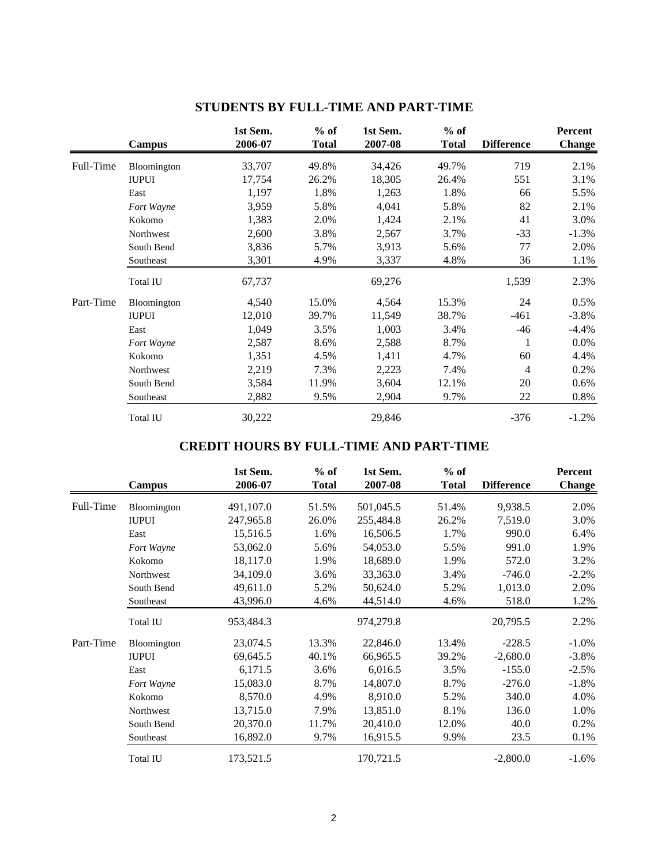|           | Campus       | 1st Sem.<br>2006-07 | $%$ of<br><b>Total</b> | 1st Sem.<br>2007-08 | $%$ of<br><b>Total</b> | <b>Difference</b> | Percent<br><b>Change</b> |
|-----------|--------------|---------------------|------------------------|---------------------|------------------------|-------------------|--------------------------|
| Full-Time | Bloomington  | 33,707              | 49.8%                  | 34,426              | 49.7%                  | 719               | 2.1%                     |
|           | <b>IUPUI</b> | 17,754              | 26.2%                  | 18,305              | 26.4%                  | 551               | 3.1%                     |
|           | East         | 1,197               | 1.8%                   | 1,263               | 1.8%                   | 66                | 5.5%                     |
|           | Fort Wayne   | 3,959               | 5.8%                   | 4,041               | 5.8%                   | 82                | 2.1%                     |
|           | Kokomo       | 1,383               | 2.0%                   | 1,424               | 2.1%                   | 41                | 3.0%                     |
|           | Northwest    | 2,600               | 3.8%                   | 2,567               | 3.7%                   | $-33$             | $-1.3%$                  |
|           | South Bend   | 3,836               | 5.7%                   | 3,913               | 5.6%                   | 77                | 2.0%                     |
|           | Southeast    | 3,301               | 4.9%                   | 3,337               | 4.8%                   | 36                | 1.1%                     |
|           | Total IU     | 67,737              |                        | 69,276              |                        | 1,539             | 2.3%                     |
| Part-Time | Bloomington  | 4,540               | 15.0%                  | 4,564               | 15.3%                  | 24                | 0.5%                     |
|           | <b>IUPUI</b> | 12,010              | 39.7%                  | 11,549              | 38.7%                  | $-461$            | $-3.8\%$                 |
|           | East         | 1,049               | 3.5%                   | 1,003               | 3.4%                   | $-46$             | $-4.4%$                  |
|           | Fort Wayne   | 2,587               | 8.6%                   | 2,588               | 8.7%                   | 1                 | $0.0\%$                  |
|           | Kokomo       | 1,351               | 4.5%                   | 1,411               | 4.7%                   | 60                | 4.4%                     |
|           | Northwest    | 2,219               | 7.3%                   | 2,223               | 7.4%                   | $\overline{4}$    | 0.2%                     |
|           | South Bend   | 3,584               | 11.9%                  | 3,604               | 12.1%                  | 20                | 0.6%                     |
|           | Southeast    | 2,882               | 9.5%                   | 2,904               | 9.7%                   | 22                | 0.8%                     |
|           | Total IU     | 30,222              |                        | 29,846              |                        | $-376$            | $-1.2%$                  |

## **STUDENTS BY FULL-TIME AND PART-TIME**

### **CREDIT HOURS BY FULL-TIME AND PART-TIME**

|           | <b>Campus</b> | 1st Sem.<br>2006-07 | $%$ of<br><b>Total</b> | 1st Sem.<br>2007-08 | $%$ of<br><b>Total</b> | <b>Difference</b> | Percent<br><b>Change</b> |
|-----------|---------------|---------------------|------------------------|---------------------|------------------------|-------------------|--------------------------|
| Full-Time | Bloomington   | 491,107.0           | 51.5%                  | 501,045.5           | 51.4%                  | 9,938.5           | 2.0%                     |
|           | <b>IUPUI</b>  | 247,965.8           | 26.0%                  | 255,484.8           | 26.2%                  | 7,519.0           | 3.0%                     |
|           | East          | 15,516.5            | 1.6%                   | 16,506.5            | 1.7%                   | 990.0             | 6.4%                     |
|           | Fort Wayne    | 53,062.0            | 5.6%                   | 54,053.0            | 5.5%                   | 991.0             | 1.9%                     |
|           | Kokomo        | 18,117.0            | 1.9%                   | 18,689.0            | 1.9%                   | 572.0             | 3.2%                     |
|           | Northwest     | 34,109.0            | 3.6%                   | 33,363.0            | 3.4%                   | $-746.0$          | $-2.2%$                  |
|           | South Bend    | 49,611.0            | 5.2%                   | 50,624.0            | 5.2%                   | 1,013.0           | 2.0%                     |
|           | Southeast     | 43,996.0            | 4.6%                   | 44,514.0            | 4.6%                   | 518.0             | 1.2%                     |
|           | Total IU      | 953,484.3           |                        | 974,279.8           |                        | 20,795.5          | 2.2%                     |
| Part-Time | Bloomington   | 23,074.5            | 13.3%                  | 22,846.0            | 13.4%                  | $-228.5$          | $-1.0\%$                 |
|           | <b>IUPUI</b>  | 69,645.5            | 40.1%                  | 66,965.5            | 39.2%                  | $-2,680.0$        | $-3.8\%$                 |
|           | East          | 6,171.5             | 3.6%                   | 6,016.5             | 3.5%                   | $-155.0$          | $-2.5%$                  |
|           | Fort Wayne    | 15,083.0            | 8.7%                   | 14,807.0            | 8.7%                   | $-276.0$          | $-1.8\%$                 |
|           | Kokomo        | 8,570.0             | 4.9%                   | 8,910.0             | 5.2%                   | 340.0             | 4.0%                     |
|           | Northwest     | 13,715.0            | 7.9%                   | 13,851.0            | 8.1%                   | 136.0             | 1.0%                     |
|           | South Bend    | 20,370.0            | 11.7%                  | 20,410.0            | 12.0%                  | 40.0              | 0.2%                     |
|           | Southeast     | 16,892.0            | 9.7%                   | 16,915.5            | 9.9%                   | 23.5              | 0.1%                     |
|           | Total IU      | 173,521.5           |                        | 170,721.5           |                        | $-2,800.0$        | $-1.6%$                  |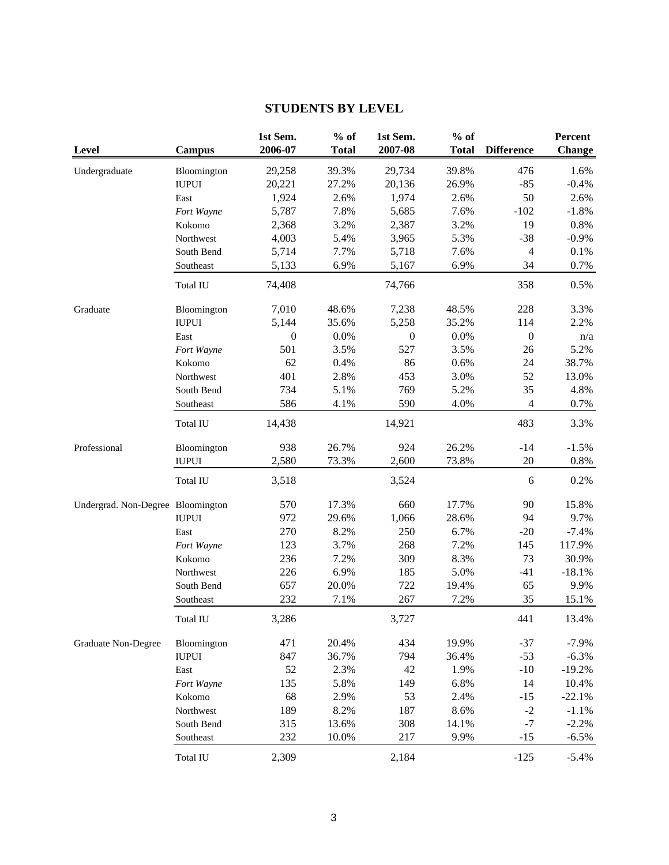### **STUDENTS BY LEVEL**

| Level                             | Campus       | 1st Sem.<br>2006-07 | $%$ of<br><b>Total</b> | 1st Sem.<br>2007-08 | $%$ of<br><b>Total</b> | <b>Difference</b> | Percent<br>Change |
|-----------------------------------|--------------|---------------------|------------------------|---------------------|------------------------|-------------------|-------------------|
| Undergraduate                     | Bloomington  | 29,258              | 39.3%                  | 29,734              | 39.8%                  | 476               | 1.6%              |
|                                   | <b>IUPUI</b> | 20,221              | 27.2%                  | 20,136              | 26.9%                  | $-85$             | $-0.4%$           |
|                                   | East         | 1,924               | 2.6%                   | 1,974               | 2.6%                   | 50                | 2.6%              |
|                                   | Fort Wayne   | 5,787               | 7.8%                   | 5,685               | 7.6%                   | $-102$            | $-1.8%$           |
|                                   | Kokomo       | 2,368               | 3.2%                   | 2,387               | 3.2%                   | 19                | 0.8%              |
|                                   | Northwest    | 4,003               | 5.4%                   | 3,965               | 5.3%                   | $-38$             | $-0.9%$           |
|                                   | South Bend   | 5,714               | 7.7%                   | 5,718               | 7.6%                   | $\overline{4}$    | 0.1%              |
|                                   | Southeast    | 5,133               | 6.9%                   | 5,167               | 6.9%                   | 34                | 0.7%              |
|                                   | Total IU     | 74,408              |                        | 74,766              |                        | 358               | 0.5%              |
| Graduate                          | Bloomington  | 7,010               | 48.6%                  | 7,238               | 48.5%                  | 228               | 3.3%              |
|                                   | <b>IUPUI</b> | 5,144               | 35.6%                  | 5,258               | 35.2%                  | 114               | 2.2%              |
|                                   | East         | $\boldsymbol{0}$    | 0.0%                   | $\boldsymbol{0}$    | 0.0%                   | $\boldsymbol{0}$  | n/a               |
|                                   | Fort Wayne   | 501                 | 3.5%                   | 527                 | 3.5%                   | 26                | 5.2%              |
|                                   | Kokomo       | 62                  | 0.4%                   | 86                  | 0.6%                   | 24                | 38.7%             |
|                                   | Northwest    | 401                 | 2.8%                   | 453                 | 3.0%                   | 52                | 13.0%             |
|                                   | South Bend   | 734                 | 5.1%                   | 769                 | 5.2%                   | 35                | 4.8%              |
|                                   | Southeast    | 586                 | 4.1%                   | 590                 | 4.0%                   | $\overline{4}$    | 0.7%              |
|                                   | Total IU     | 14,438              |                        | 14,921              |                        | 483               | 3.3%              |
| Professional                      | Bloomington  | 938                 | 26.7%                  | 924                 | 26.2%                  | $-14$             | $-1.5%$           |
|                                   | <b>IUPUI</b> | 2,580               | 73.3%                  | 2,600               | 73.8%                  | 20                | $0.8\%$           |
|                                   | Total IU     | 3,518               |                        | 3,524               |                        | $\sqrt{6}$        | 0.2%              |
| Undergrad. Non-Degree Bloomington |              | 570                 | 17.3%                  | 660                 | 17.7%                  | 90                | 15.8%             |
|                                   | <b>IUPUI</b> | 972                 | 29.6%                  | 1,066               | 28.6%                  | 94                | 9.7%              |
|                                   | East         | 270                 | 8.2%                   | 250                 | 6.7%                   | $-20$             | $-7.4%$           |
|                                   | Fort Wayne   | 123                 | 3.7%                   | 268                 | 7.2%                   | 145               | 117.9%            |
|                                   | Kokomo       | 236                 | 7.2%                   | 309                 | 8.3%                   | 73                | 30.9%             |
|                                   | Northwest    | 226                 | 6.9%                   | 185                 | 5.0%                   | $-41$             | $-18.1%$          |
|                                   | South Bend   | 657                 | 20.0%                  | 722                 | 19.4%                  | 65                | 9.9%              |
|                                   | Southeast    | 232                 | 7.1%                   | 267                 | 7.2%                   | 35                | 15.1%             |
|                                   | Total IU     | 3,286               |                        | 3,727               |                        | 441               | 13.4%             |
| <b>Graduate Non-Degree</b>        | Bloomington  | 471                 | 20.4%                  | 434                 | 19.9%                  | $-37$             | $-7.9%$           |
|                                   | <b>IUPUI</b> | 847                 | 36.7%                  | 794                 | 36.4%                  | $-53$             | $-6.3%$           |
|                                   | East         | 52                  | 2.3%                   | 42                  | 1.9%                   | $-10$             | $-19.2%$          |
|                                   | Fort Wayne   | 135                 | 5.8%                   | 149                 | 6.8%                   | 14                | 10.4%             |
|                                   | Kokomo       | 68                  | 2.9%                   | 53                  | 2.4%                   | $-15$             | $-22.1%$          |
|                                   | Northwest    | 189                 | 8.2%                   | 187                 | 8.6%                   | $-2$              | $-1.1%$           |
|                                   | South Bend   | 315                 | 13.6%                  | 308                 | 14.1%                  | $-7$              | $-2.2%$           |
|                                   | Southeast    | 232                 | 10.0%                  | 217                 | 9.9%                   | $-15$             | $-6.5\%$          |
|                                   | Total IU     | 2,309               |                        | 2,184               |                        | $-125$            | $-5.4%$           |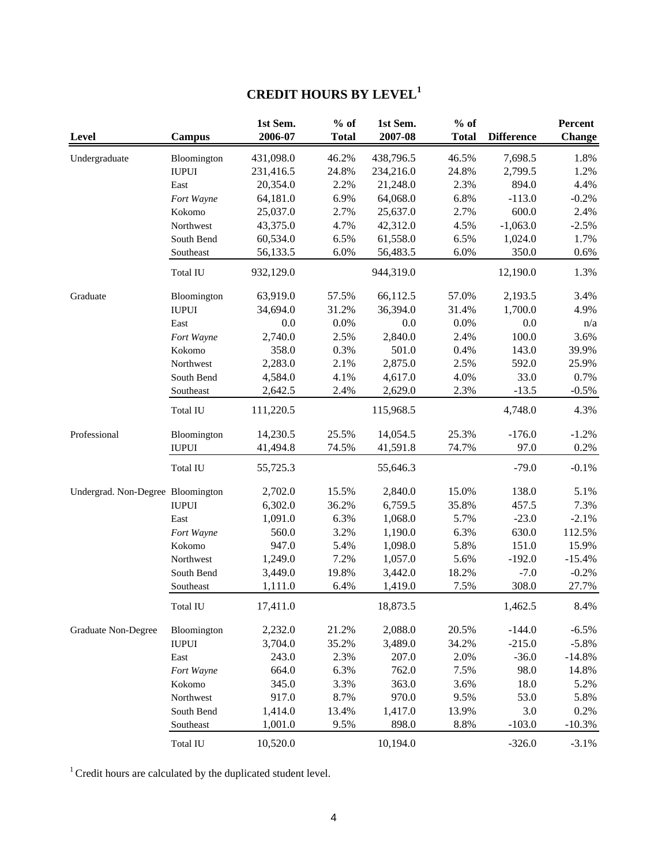# **CREDIT HOURS BY LEVEL<sup>1</sup>**

| Level                             | <b>Campus</b> | 1st Sem.<br>2006-07 | $%$ of<br><b>Total</b> | 1st Sem.<br>2007-08 | $%$ of<br><b>Total</b> | <b>Difference</b> | Percent<br><b>Change</b> |
|-----------------------------------|---------------|---------------------|------------------------|---------------------|------------------------|-------------------|--------------------------|
| Undergraduate                     | Bloomington   | 431,098.0           | 46.2%                  | 438,796.5           | 46.5%                  | 7,698.5           | 1.8%                     |
|                                   | <b>IUPUI</b>  | 231,416.5           | 24.8%                  | 234,216.0           | 24.8%                  | 2,799.5           | 1.2%                     |
|                                   | East          | 20,354.0            | 2.2%                   | 21,248.0            | 2.3%                   | 894.0             | 4.4%                     |
|                                   | Fort Wayne    | 64,181.0            | 6.9%                   | 64,068.0            | 6.8%                   | $-113.0$          | $-0.2%$                  |
|                                   | Kokomo        | 25,037.0            | 2.7%                   | 25,637.0            | 2.7%                   | 600.0             | 2.4%                     |
|                                   | Northwest     | 43,375.0            | 4.7%                   | 42,312.0            | 4.5%                   | $-1,063.0$        | $-2.5%$                  |
|                                   | South Bend    | 60,534.0            | 6.5%                   | 61,558.0            | 6.5%                   | 1,024.0           | 1.7%                     |
|                                   | Southeast     | 56,133.5            | 6.0%                   | 56,483.5            | 6.0%                   | 350.0             | 0.6%                     |
|                                   | Total IU      | 932,129.0           |                        | 944,319.0           |                        | 12,190.0          | 1.3%                     |
| Graduate                          | Bloomington   | 63,919.0            | 57.5%                  | 66,112.5            | 57.0%                  | 2,193.5           | 3.4%                     |
|                                   | <b>IUPUI</b>  | 34,694.0            | 31.2%                  | 36,394.0            | 31.4%                  | 1,700.0           | 4.9%                     |
|                                   | East          | 0.0                 | 0.0%                   | 0.0                 | 0.0%                   | 0.0               | n/a                      |
|                                   | Fort Wayne    | 2,740.0             | 2.5%                   | 2,840.0             | 2.4%                   | 100.0             | 3.6%                     |
|                                   | Kokomo        | 358.0               | 0.3%                   | 501.0               | 0.4%                   | 143.0             | 39.9%                    |
|                                   | Northwest     | 2,283.0             | 2.1%                   | 2,875.0             | 2.5%                   | 592.0             | 25.9%                    |
|                                   | South Bend    | 4,584.0             | 4.1%                   | 4,617.0             | 4.0%                   | 33.0              | 0.7%                     |
|                                   | Southeast     | 2,642.5             | 2.4%                   | 2,629.0             | 2.3%                   | $-13.5$           | $-0.5%$                  |
|                                   | Total IU      | 111,220.5           |                        | 115,968.5           |                        | 4,748.0           | 4.3%                     |
| Professional                      | Bloomington   | 14,230.5            | 25.5%                  | 14,054.5            | 25.3%                  | $-176.0$          | $-1.2%$                  |
|                                   | <b>IUPUI</b>  | 41,494.8            | 74.5%                  | 41,591.8            | 74.7%                  | 97.0              | 0.2%                     |
|                                   | Total IU      | 55,725.3            |                        | 55,646.3            |                        | $-79.0$           | $-0.1%$                  |
| Undergrad. Non-Degree Bloomington |               | 2,702.0             | 15.5%                  | 2,840.0             | 15.0%                  | 138.0             | 5.1%                     |
|                                   | <b>IUPUI</b>  | 6,302.0             | 36.2%                  | 6,759.5             | 35.8%                  | 457.5             | 7.3%                     |
|                                   | East          | 1,091.0             | 6.3%                   | 1,068.0             | 5.7%                   | $-23.0$           | $-2.1%$                  |
|                                   | Fort Wayne    | 560.0               | 3.2%                   | 1,190.0             | 6.3%                   | 630.0             | 112.5%                   |
|                                   | Kokomo        | 947.0               | 5.4%                   | 1,098.0             | 5.8%                   | 151.0             | 15.9%                    |
|                                   | Northwest     | 1,249.0             | 7.2%                   | 1,057.0             | 5.6%                   | $-192.0$          | $-15.4%$                 |
|                                   | South Bend    | 3,449.0             | 19.8%                  | 3,442.0             | 18.2%                  | $-7.0$            | $-0.2%$                  |
|                                   | Southeast     | 1,111.0             | 6.4%                   | 1,419.0             | 7.5%                   | 308.0             | 27.7%                    |
|                                   | Total IU      | 17,411.0            |                        | 18,873.5            |                        | 1,462.5           | 8.4%                     |
| <b>Graduate Non-Degree</b>        | Bloomington   | 2,232.0             | 21.2%                  | 2,088.0             | 20.5%                  | $-144.0$          | $-6.5%$                  |
|                                   | <b>IUPUI</b>  | 3,704.0             | 35.2%                  | 3,489.0             | 34.2%                  | $-215.0$          | $-5.8%$                  |
|                                   | East          | 243.0               | 2.3%                   | 207.0               | 2.0%                   | $-36.0$           | $-14.8%$                 |
|                                   | Fort Wayne    | 664.0               | 6.3%                   | 762.0               | 7.5%                   | 98.0              | 14.8%                    |
|                                   | Kokomo        | 345.0               | 3.3%                   | 363.0               | 3.6%                   | 18.0              | 5.2%                     |
|                                   | Northwest     | 917.0               | 8.7%                   | 970.0               | 9.5%                   | 53.0              | 5.8%                     |
|                                   | South Bend    | 1,414.0             | 13.4%                  | 1,417.0             | 13.9%                  | 3.0               | 0.2%                     |
|                                   | Southeast     | 1,001.0             | 9.5%                   | 898.0               | 8.8%                   | $-103.0$          | $-10.3%$                 |
|                                   | Total IU      | 10,520.0            |                        | 10,194.0            |                        | $-326.0$          | $-3.1%$                  |

 ${}^{1}$  Credit hours are calculated by the duplicated student level.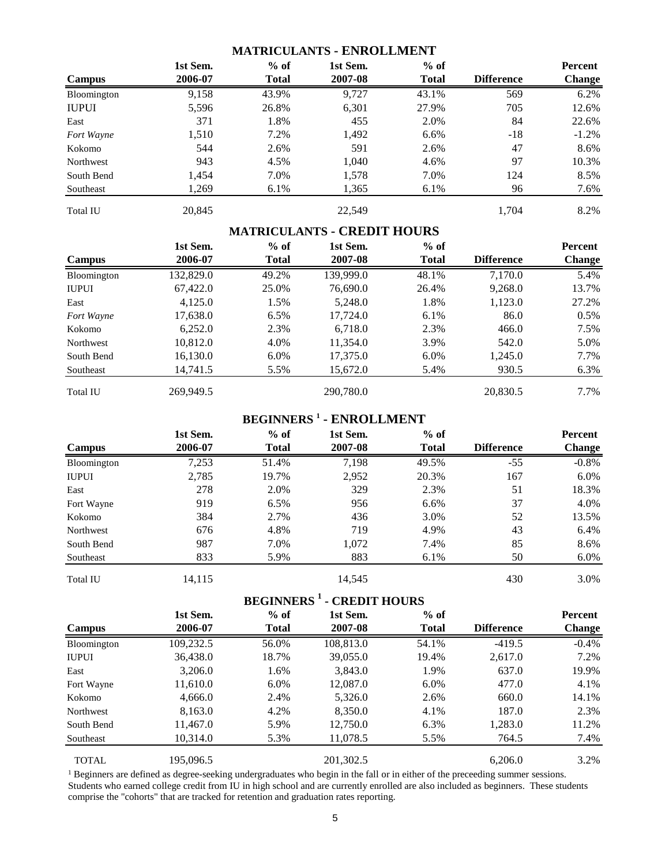#### **MATRICULANTS - ENROLLMENT**

|                 | 1st Sem. | $%$ of       | 1st Sem. | $%$ of       |                   | Percent       |
|-----------------|----------|--------------|----------|--------------|-------------------|---------------|
| Campus          | 2006-07  | <b>Total</b> | 2007-08  | <b>Total</b> | <b>Difference</b> | <b>Change</b> |
| Bloomington     | 9,158    | 43.9%        | 9,727    | 43.1%        | 569               | 6.2%          |
| <b>IUPUI</b>    | 5,596    | 26.8%        | 6,301    | 27.9%        | 705               | 12.6%         |
| East            | 371      | 1.8%         | 455      | 2.0%         | 84                | 22.6%         |
| Fort Wayne      | 1,510    | 7.2%         | 1,492    | 6.6%         | $-18$             | $-1.2\%$      |
| Kokomo          | 544      | 2.6%         | 591      | 2.6%         | 47                | 8.6%          |
| Northwest       | 943      | 4.5%         | 1,040    | 4.6%         | 97                | 10.3%         |
| South Bend      | 1,454    | 7.0%         | 1,578    | 7.0%         | 124               | 8.5%          |
| Southeast       | 1,269    | 6.1%         | 1,365    | 6.1%         | 96                | 7.6%          |
| <b>Total IU</b> | 20,845   |              | 22.549   |              | 1.704             | 8.2%          |

### **MATRICULANTS - CREDIT HOURS**

|                 | 1st Sem.  | $%$ of       | 1st Sem.  | $%$ of       |                   | Percent       |
|-----------------|-----------|--------------|-----------|--------------|-------------------|---------------|
| <b>Campus</b>   | 2006-07   | <b>Total</b> | 2007-08   | <b>Total</b> | <b>Difference</b> | <b>Change</b> |
| Bloomington     | 132,829.0 | 49.2%        | 139,999.0 | 48.1%        | 7,170.0           | 5.4%          |
| <b>IUPUI</b>    | 67,422.0  | 25.0%        | 76,690.0  | 26.4%        | 9,268.0           | 13.7%         |
| East            | 4,125.0   | 1.5%         | 5,248.0   | 1.8%         | 1,123.0           | 27.2%         |
| Fort Wayne      | 17,638.0  | $6.5\%$      | 17,724.0  | 6.1%         | 86.0              | $0.5\%$       |
| Kokomo          | 6,252.0   | 2.3%         | 6,718.0   | 2.3%         | 466.0             | 7.5%          |
| Northwest       | 10,812.0  | 4.0%         | 11,354.0  | 3.9%         | 542.0             | 5.0%          |
| South Bend      | 16,130.0  | $6.0\%$      | 17,375.0  | $6.0\%$      | 1,245.0           | 7.7%          |
| Southeast       | 14,741.5  | 5.5%         | 15,672.0  | 5.4%         | 930.5             | 6.3%          |
| <b>Total IU</b> | 269,949.5 |              | 290,780.0 |              | 20,830.5          | 7.7%          |

### **BEGINNERS <sup>1</sup> - ENROLLMENT**

|                 | 1st Sem. | $%$ of       | 1st Sem. | $%$ of       |                   | Percent       |
|-----------------|----------|--------------|----------|--------------|-------------------|---------------|
| <b>Campus</b>   | 2006-07  | <b>Total</b> | 2007-08  | <b>Total</b> | <b>Difference</b> | <b>Change</b> |
| Bloomington     | 7,253    | 51.4%        | 7,198    | 49.5%        | $-55$             | $-0.8\%$      |
| <b>IUPUI</b>    | 2,785    | 19.7%        | 2,952    | 20.3%        | 167               | $6.0\%$       |
| East            | 278      | 2.0%         | 329      | 2.3%         | 51                | 18.3%         |
| Fort Wayne      | 919      | $6.5\%$      | 956      | 6.6%         | 37                | 4.0%          |
| Kokomo          | 384      | 2.7%         | 436      | 3.0%         | 52                | 13.5%         |
| Northwest       | 676      | 4.8%         | 719      | 4.9%         | 43                | 6.4%          |
| South Bend      | 987      | 7.0%         | 1,072    | 7.4%         | 85                | 8.6%          |
| Southeast       | 833      | 5.9%         | 883      | 6.1%         | 50                | $6.0\%$       |
| <b>Total IU</b> | 14,115   |              | 14,545   |              | 430               | 3.0%          |

### **BEGINNERS <sup>1</sup> - CREDIT HOURS**

|                  | 1st Sem.  | $%$ of  | 1st Sem.  | $%$ of       |                   | Percent       |
|------------------|-----------|---------|-----------|--------------|-------------------|---------------|
| <b>Campus</b>    | 2006-07   | Total   | 2007-08   | <b>Total</b> | <b>Difference</b> | <b>Change</b> |
| Bloomington      | 109,232.5 | 56.0%   | 108,813.0 | 54.1%        | $-419.5$          | $-0.4\%$      |
| <b>IUPUI</b>     | 36,438.0  | 18.7%   | 39,055.0  | 19.4%        | 2,617.0           | 7.2%          |
| East             | 3,206.0   | 1.6%    | 3,843.0   | 1.9%         | 637.0             | 19.9%         |
| Fort Wayne       | 11,610.0  | $6.0\%$ | 12,087.0  | 6.0%         | 477.0             | 4.1%          |
| Kokomo           | 4,666.0   | 2.4%    | 5,326.0   | 2.6%         | 660.0             | 14.1%         |
| <b>Northwest</b> | 8,163.0   | 4.2%    | 8,350.0   | 4.1%         | 187.0             | 2.3%          |
| South Bend       | 11,467.0  | 5.9%    | 12.750.0  | 6.3%         | 1,283.0           | 11.2%         |
| Southeast        | 10,314.0  | 5.3%    | 11,078.5  | 5.5%         | 764.5             | 7.4%          |
| <b>TOTAL</b>     | 195,096.5 |         | 201,302.5 |              | 6,206.0           | 3.2%          |

<sup>1</sup> Beginners are defined as degree-seeking undergraduates who begin in the fall or in either of the preceeding summer sessions. Students who earned college credit from IU in high school and are currently enrolled are also included as beginners. These students comprise the "cohorts" that are tracked for retention and graduation rates reporting.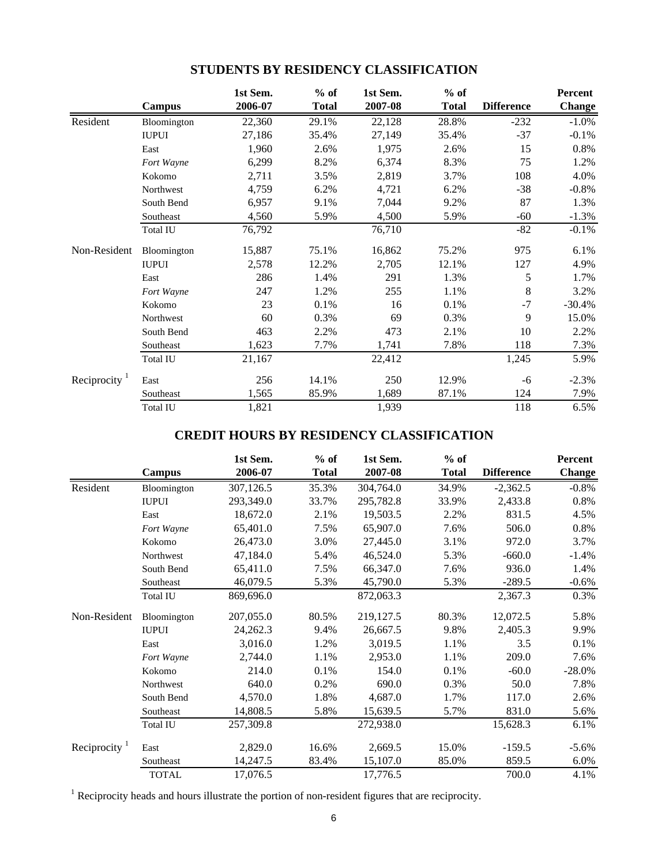|                          |               | 1st Sem. | $%$ of       | 1st Sem. | $%$ of       |                   | Percent       |
|--------------------------|---------------|----------|--------------|----------|--------------|-------------------|---------------|
|                          | <b>Campus</b> | 2006-07  | <b>Total</b> | 2007-08  | <b>Total</b> | <b>Difference</b> | <b>Change</b> |
| Resident                 | Bloomington   | 22,360   | 29.1%        | 22,128   | 28.8%        | $-232$            | $-1.0%$       |
|                          | <b>IUPUI</b>  | 27,186   | 35.4%        | 27,149   | 35.4%        | $-37$             | $-0.1%$       |
|                          | East          | 1,960    | 2.6%         | 1,975    | 2.6%         | 15                | 0.8%          |
|                          | Fort Wayne    | 6,299    | 8.2%         | 6,374    | 8.3%         | 75                | 1.2%          |
|                          | Kokomo        | 2,711    | 3.5%         | 2,819    | 3.7%         | 108               | 4.0%          |
|                          | Northwest     | 4,759    | 6.2%         | 4,721    | 6.2%         | $-38$             | $-0.8%$       |
|                          | South Bend    | 6,957    | 9.1%         | 7,044    | 9.2%         | 87                | 1.3%          |
|                          | Southeast     | 4,560    | 5.9%         | 4,500    | 5.9%         | $-60$             | $-1.3%$       |
|                          | Total IU      | 76,792   |              | 76,710   |              | $-82$             | $-0.1%$       |
| Non-Resident             | Bloomington   | 15,887   | 75.1%        | 16,862   | 75.2%        | 975               | 6.1%          |
|                          | <b>IUPUI</b>  | 2,578    | 12.2%        | 2,705    | 12.1%        | 127               | 4.9%          |
|                          | East          | 286      | 1.4%         | 291      | 1.3%         | 5                 | 1.7%          |
|                          | Fort Wayne    | 247      | 1.2%         | 255      | 1.1%         | 8                 | 3.2%          |
|                          | Kokomo        | 23       | 0.1%         | 16       | 0.1%         | $-7$              | $-30.4%$      |
|                          | Northwest     | 60       | 0.3%         | 69       | 0.3%         | 9                 | 15.0%         |
|                          | South Bend    | 463      | 2.2%         | 473      | 2.1%         | 10                | 2.2%          |
|                          | Southeast     | 1,623    | 7.7%         | 1,741    | 7.8%         | 118               | 7.3%          |
|                          | Total IU      | 21,167   |              | 22,412   |              | 1,245             | 5.9%          |
| Reciprocity <sup>1</sup> | East          | 256      | 14.1%        | 250      | 12.9%        | $-6$              | $-2.3%$       |
|                          | Southeast     | 1,565    | 85.9%        | 1,689    | 87.1%        | 124               | 7.9%          |
|                          | Total IU      | 1,821    |              | 1,939    |              | 118               | 6.5%          |

## **STUDENTS BY RESIDENCY CLASSIFICATION**

## **CREDIT HOURS BY RESIDENCY CLASSIFICATION**

|                           |               | 1st Sem.  | $%$ of       | 1st Sem.  | $%$ of       |                   | Percent       |
|---------------------------|---------------|-----------|--------------|-----------|--------------|-------------------|---------------|
|                           | <b>Campus</b> | 2006-07   | <b>Total</b> | 2007-08   | <b>Total</b> | <b>Difference</b> | <b>Change</b> |
| Resident                  | Bloomington   | 307,126.5 | 35.3%        | 304,764.0 | 34.9%        | $-2,362.5$        | $-0.8%$       |
|                           | <b>IUPUI</b>  | 293,349.0 | 33.7%        | 295,782.8 | 33.9%        | 2,433.8           | 0.8%          |
|                           | East          | 18,672.0  | 2.1%         | 19,503.5  | 2.2%         | 831.5             | 4.5%          |
|                           | Fort Wayne    | 65,401.0  | 7.5%         | 65,907.0  | 7.6%         | 506.0             | 0.8%          |
|                           | Kokomo        | 26,473.0  | 3.0%         | 27,445.0  | 3.1%         | 972.0             | 3.7%          |
|                           | Northwest     | 47,184.0  | 5.4%         | 46,524.0  | 5.3%         | $-660.0$          | $-1.4%$       |
|                           | South Bend    | 65,411.0  | 7.5%         | 66,347.0  | 7.6%         | 936.0             | 1.4%          |
|                           | Southeast     | 46,079.5  | 5.3%         | 45,790.0  | 5.3%         | $-289.5$          | $-0.6%$       |
|                           | Total IU      | 869,696.0 |              | 872,063.3 |              | 2,367.3           | 0.3%          |
| Non-Resident              | Bloomington   | 207,055.0 | 80.5%        | 219,127.5 | 80.3%        | 12,072.5          | 5.8%          |
|                           | <b>IUPUI</b>  | 24,262.3  | 9.4%         | 26,667.5  | 9.8%         | 2,405.3           | 9.9%          |
|                           | East          | 3,016.0   | 1.2%         | 3,019.5   | 1.1%         | 3.5               | 0.1%          |
|                           | Fort Wayne    | 2,744.0   | 1.1%         | 2,953.0   | 1.1%         | 209.0             | 7.6%          |
|                           | Kokomo        | 214.0     | 0.1%         | 154.0     | 0.1%         | $-60.0$           | $-28.0\%$     |
|                           | Northwest     | 640.0     | 0.2%         | 690.0     | 0.3%         | 50.0              | 7.8%          |
|                           | South Bend    | 4,570.0   | 1.8%         | 4,687.0   | 1.7%         | 117.0             | 2.6%          |
|                           | Southeast     | 14,808.5  | 5.8%         | 15,639.5  | 5.7%         | 831.0             | 5.6%          |
|                           | Total IU      | 257,309.8 |              | 272,938.0 |              | 15,628.3          | 6.1%          |
| Reciprocity $\frac{1}{1}$ | East          | 2,829.0   | 16.6%        | 2,669.5   | 15.0%        | $-159.5$          | $-5.6\%$      |
|                           | Southeast     | 14,247.5  | 83.4%        | 15,107.0  | 85.0%        | 859.5             | 6.0%          |
|                           | <b>TOTAL</b>  | 17,076.5  |              | 17,776.5  |              | 700.0             | 4.1%          |

<sup>1</sup> Reciprocity heads and hours illustrate the portion of non-resident figures that are reciprocity.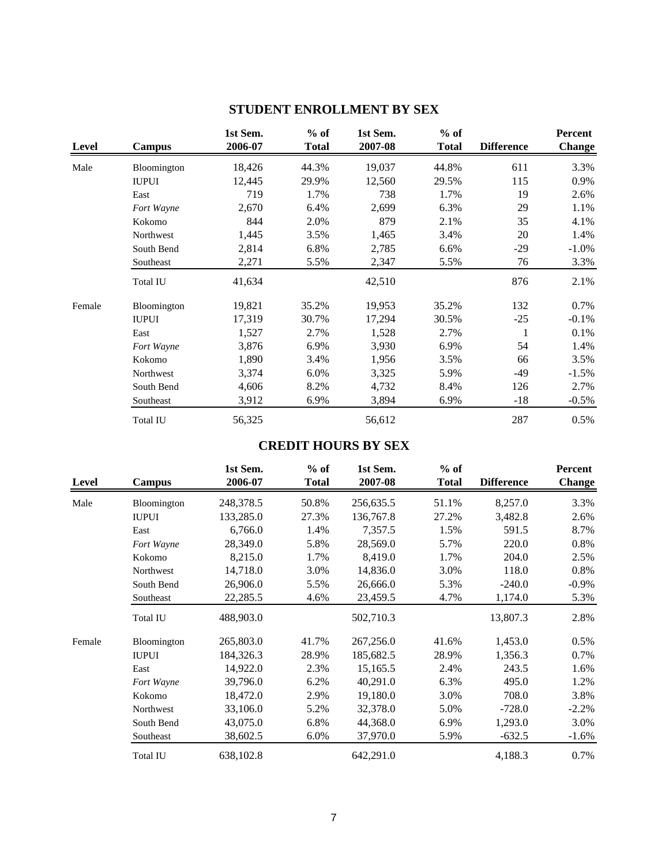| Level  | Campus          | 1st Sem.<br>2006-07 | $%$ of<br><b>Total</b> | 1st Sem.<br>2007-08 | $%$ of<br><b>Total</b> | <b>Difference</b> | Percent<br><b>Change</b> |
|--------|-----------------|---------------------|------------------------|---------------------|------------------------|-------------------|--------------------------|
| Male   | Bloomington     | 18,426              | 44.3%                  | 19,037              | 44.8%                  | 611               | 3.3%                     |
|        | <b>IUPUI</b>    | 12,445              | 29.9%                  | 12,560              | 29.5%                  | 115               | 0.9%                     |
|        | East            | 719                 | 1.7%                   | 738                 | 1.7%                   | 19                | 2.6%                     |
|        | Fort Wayne      | 2,670               | 6.4%                   | 2,699               | 6.3%                   | 29                | 1.1%                     |
|        | Kokomo          | 844                 | 2.0%                   | 879                 | 2.1%                   | 35                | 4.1%                     |
|        | Northwest       | 1,445               | 3.5%                   | 1,465               | 3.4%                   | 20                | 1.4%                     |
|        | South Bend      | 2,814               | 6.8%                   | 2,785               | 6.6%                   | $-29$             | $-1.0\%$                 |
|        | Southeast       | 2,271               | 5.5%                   | 2,347               | 5.5%                   | 76                | 3.3%                     |
|        | <b>Total IU</b> | 41,634              |                        | 42,510              |                        | 876               | 2.1%                     |
| Female | Bloomington     | 19,821              | 35.2%                  | 19,953              | 35.2%                  | 132               | 0.7%                     |
|        | <b>IUPUI</b>    | 17,319              | 30.7%                  | 17,294              | 30.5%                  | $-25$             | $-0.1%$                  |
|        | East            | 1,527               | 2.7%                   | 1,528               | 2.7%                   | 1                 | 0.1%                     |
|        | Fort Wayne      | 3,876               | 6.9%                   | 3,930               | 6.9%                   | 54                | 1.4%                     |
|        | Kokomo          | 1,890               | 3.4%                   | 1,956               | 3.5%                   | 66                | 3.5%                     |
|        | Northwest       | 3,374               | 6.0%                   | 3,325               | 5.9%                   | $-49$             | $-1.5%$                  |
|        | South Bend      | 4,606               | 8.2%                   | 4,732               | 8.4%                   | 126               | 2.7%                     |
|        | Southeast       | 3,912               | 6.9%                   | 3,894               | 6.9%                   | $-18$             | $-0.5\%$                 |
|        | <b>Total IU</b> | 56,325              |                        | 56,612              |                        | 287               | 0.5%                     |

## **STUDENT ENROLLMENT BY SEX**

## **CREDIT HOURS BY SEX**

| Level  | Campus          | 1st Sem.<br>2006-07 | $%$ of<br><b>Total</b> | 1st Sem.<br>2007-08 | $%$ of<br><b>Total</b> | <b>Difference</b> | Percent<br><b>Change</b> |
|--------|-----------------|---------------------|------------------------|---------------------|------------------------|-------------------|--------------------------|
| Male   | Bloomington     | 248,378.5           | 50.8%                  | 256,635.5           | 51.1%                  | 8,257.0           | 3.3%                     |
|        | <b>IUPUI</b>    | 133,285.0           | 27.3%                  | 136,767.8           | 27.2%                  | 3,482.8           | 2.6%                     |
|        | East            | 6,766.0             | 1.4%                   | 7,357.5             | 1.5%                   | 591.5             | 8.7%                     |
|        | Fort Wayne      | 28,349.0            | 5.8%                   | 28,569.0            | 5.7%                   | 220.0             | 0.8%                     |
|        | Kokomo          | 8,215.0             | 1.7%                   | 8,419.0             | 1.7%                   | 204.0             | 2.5%                     |
|        | Northwest       | 14,718.0            | 3.0%                   | 14,836.0            | 3.0%                   | 118.0             | 0.8%                     |
|        | South Bend      | 26,906.0            | 5.5%                   | 26,666.0            | 5.3%                   | $-240.0$          | $-0.9\%$                 |
|        | Southeast       | 22,285.5            | 4.6%                   | 23,459.5            | 4.7%                   | 1,174.0           | 5.3%                     |
|        | <b>Total IU</b> | 488,903.0           |                        | 502,710.3           |                        | 13,807.3          | 2.8%                     |
| Female | Bloomington     | 265,803.0           | 41.7%                  | 267,256.0           | 41.6%                  | 1,453.0           | 0.5%                     |
|        | <b>IUPUI</b>    | 184,326.3           | 28.9%                  | 185,682.5           | 28.9%                  | 1,356.3           | 0.7%                     |
|        | East            | 14,922.0            | 2.3%                   | 15,165.5            | 2.4%                   | 243.5             | 1.6%                     |
|        | Fort Wayne      | 39,796.0            | 6.2%                   | 40,291.0            | 6.3%                   | 495.0             | 1.2%                     |
|        | Kokomo          | 18,472.0            | 2.9%                   | 19,180.0            | 3.0%                   | 708.0             | 3.8%                     |
|        | Northwest       | 33,106.0            | 5.2%                   | 32,378.0            | 5.0%                   | $-728.0$          | $-2.2%$                  |
|        | South Bend      | 43,075.0            | 6.8%                   | 44,368.0            | 6.9%                   | 1,293.0           | 3.0%                     |
|        | Southeast       | 38,602.5            | 6.0%                   | 37,970.0            | 5.9%                   | $-632.5$          | $-1.6\%$                 |
|        | <b>Total IU</b> | 638,102.8           |                        | 642,291.0           |                        | 4,188.3           | 0.7%                     |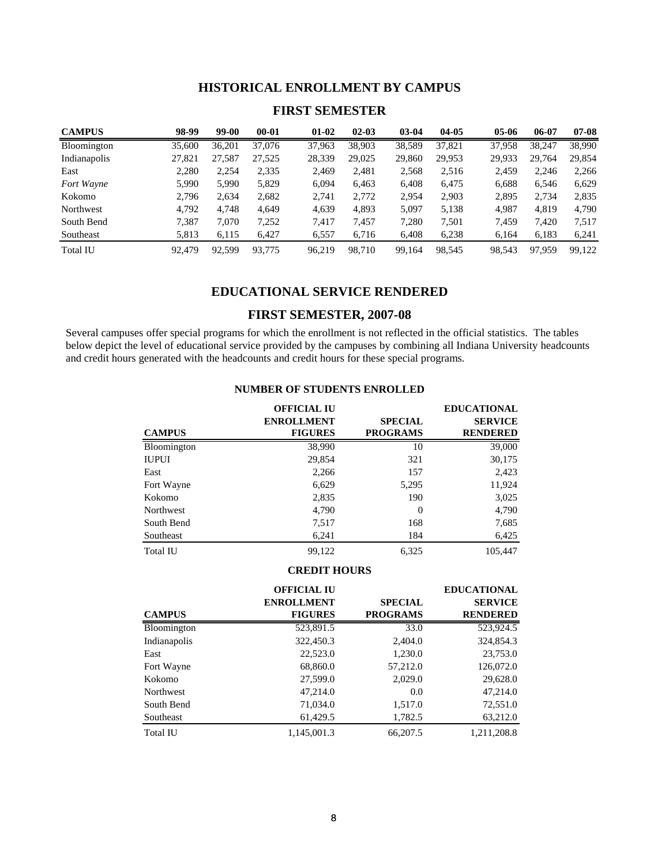### **HISTORICAL ENROLLMENT BY CAMPUS**

### **CAMPUS 98-99 99-00 00-01 01-02 02-03 03-04 04-05 05-06 06-07 07-08** Bloomington 35,600 36,201 37,076 37,963 38,903 38,589 37,821 37,958 38,247 38,990 Indianapolis 27,821 27,587 27,525 28,339 29,025 29,860 29,953 29,933 29,764 29,854 East 2,280 2,254 2,335 2,469 2,481 2,568 2,516 2,459 2,246 2,266 *Fort Wayne* 5,990 5,990 5,829 6,094 6,463 6,408 6,475 6,688 6,546 6,629 Kokomo 2,796 2,634 2,682 2,741 2,772 2,954 2,903 2,895 2,734 2,835 Northwest 4,792 4,748 4,649 4,639 4,893 5,097 5,138 4,987 4,819 4,790 South Bend 7,387 7,070 7,252 7,417 7,457 7,280 7,501 7,459 7,420 7,517 Southeast 5,813 6,115 6,427 6,557 6,716 6,408 6,238 6,164 6,183 6,241 Total IU 92,479 92,599 93,775 96,219 98,710 99,164 98,545 98,543 97,959 99,122

#### **FIRST SEMESTER**

#### **EDUCATIONAL SERVICE RENDERED**

#### **FIRST SEMESTER, 2007-08**

Several campuses offer special programs for which the enrollment is not reflected in the official statistics. The tables below depict the level of educational service provided by the campuses by combining all Indiana University headcounts and credit hours generated with the headcounts and credit hours for these special programs.

|                    | <b>OFFICIAL IU</b> |                 | <b>EDUCATIONAL</b> |
|--------------------|--------------------|-----------------|--------------------|
|                    | <b>ENROLLMENT</b>  | <b>SPECIAL</b>  | <b>SERVICE</b>     |
| <b>CAMPUS</b>      | <b>FIGURES</b>     | <b>PROGRAMS</b> | <b>RENDERED</b>    |
| <b>Bloomington</b> | 38,990             | 10              | 39,000             |
| <b>IUPUI</b>       | 29,854             | 321             | 30,175             |
| East               | 2,266              | 157             | 2,423              |
| Fort Wayne         | 6,629              | 5,295           | 11,924             |
| Kokomo             | 2,835              | 190             | 3,025              |
| <b>Northwest</b>   | 4,790              | $\Omega$        | 4,790              |
| South Bend         | 7,517              | 168             | 7,685              |
| Southeast          | 6,241              | 184             | 6,425              |
| Total IU           | 99.122             | 6.325           | 105,447            |

### **CREDIT HOURS**

|                  | <b>OFFICIAL IU</b> |                 | <b>EDUCATIONAL</b> |
|------------------|--------------------|-----------------|--------------------|
|                  | <b>ENROLLMENT</b>  | <b>SPECIAL</b>  | <b>SERVICE</b>     |
| <b>CAMPUS</b>    | <b>FIGURES</b>     | <b>PROGRAMS</b> | <b>RENDERED</b>    |
| Bloomington      | 523,891.5          | 33.0            | 523,924.5          |
| Indianapolis     | 322,450.3          | 2,404.0         | 324,854.3          |
| East             | 22,523.0           | 1,230.0         | 23,753.0           |
| Fort Wayne       | 68,860.0           | 57,212.0        | 126,072.0          |
| Kokomo           | 27,599.0           | 2,029.0         | 29,628.0           |
| <b>Northwest</b> | 47,214.0           | 0.0             | 47,214.0           |
| South Bend       | 71,034.0           | 1,517.0         | 72,551.0           |
| Southeast        | 61,429.5           | 1,782.5         | 63,212.0           |
| <b>Total IU</b>  | 1,145,001.3        | 66,207.5        | 1,211,208.8        |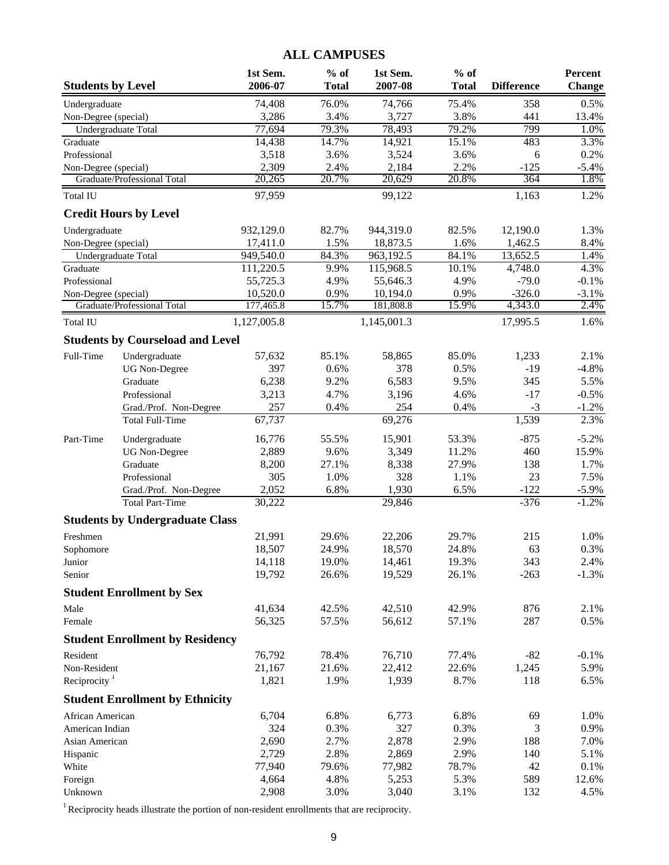### **ALL CAMPUSES**

| <b>Students by Level</b> |                                         | 1st Sem.<br>2006-07  | $%$ of<br><b>Total</b> | 1st Sem.<br>2007-08  | $%$ of<br><b>Total</b> | <b>Difference</b>   | <b>Percent</b><br><b>Change</b> |
|--------------------------|-----------------------------------------|----------------------|------------------------|----------------------|------------------------|---------------------|---------------------------------|
| Undergraduate            |                                         | 74,408               | 76.0%                  | 74,766               | 75.4%                  | 358                 | 0.5%                            |
| Non-Degree (special)     |                                         | 3,286                | 3.4%                   | 3,727                | 3.8%                   | 441                 | 13.4%                           |
| Undergraduate Total      |                                         | 77,694               | 79.3%                  | 78,493               | 79.2%                  | 799                 | 1.0%                            |
| Graduate                 |                                         | 14,438               | 14.7%                  | 14,921               | 15.1%                  | 483                 | 3.3%                            |
| Professional             |                                         | 3,518                | 3.6%                   | 3,524                | 3.6%                   | 6                   | 0.2%                            |
| Non-Degree (special)     |                                         | 2,309                | 2.4%                   | 2,184                | 2.2%                   | $-125$              | $-5.4%$                         |
|                          | Graduate/Professional Total             | 20,265               | 20.7%                  | 20,629               | 20.8%                  | 364                 | 1.8%                            |
| Total IU                 |                                         | 97,959               |                        | 99,122               |                        | 1,163               | 1.2%                            |
|                          | <b>Credit Hours by Level</b>            |                      |                        |                      |                        |                     |                                 |
| Undergraduate            |                                         | 932,129.0            | 82.7%                  | 944,319.0            | 82.5%                  | 12,190.0            | 1.3%                            |
| Non-Degree (special)     |                                         | 17,411.0             | 1.5%                   | 18,873.5             | 1.6%                   | 1,462.5             | 8.4%                            |
| Undergraduate Total      |                                         | 949,540.0            | 84.3%                  | 963,192.5            | 84.1%                  | 13,652.5            | 1.4%                            |
| Graduate                 |                                         | 111,220.5            | 9.9%                   | 115,968.5            | 10.1%                  | 4,748.0             | 4.3%                            |
| Professional             |                                         | 55,725.3<br>10,520.0 | 4.9%<br>0.9%           | 55,646.3<br>10,194.0 | 4.9%<br>0.9%           | $-79.0$<br>$-326.0$ | $-0.1%$<br>$-3.1%$              |
| Non-Degree (special)     | <b>Graduate/Professional Total</b>      | 177,465.8            | 15.7%                  | 181,808.8            | 15.9%                  | 4,343.0             | 2.4%                            |
| <b>Total IU</b>          |                                         | 1,127,005.8          |                        | 1,145,001.3          |                        | 17,995.5            | 1.6%                            |
|                          | <b>Students by Courseload and Level</b> |                      |                        |                      |                        |                     |                                 |
| Full-Time                | Undergraduate                           | 57,632               | 85.1%                  | 58,865               | 85.0%                  | 1,233               | 2.1%                            |
|                          | <b>UG</b> Non-Degree                    | 397                  | 0.6%                   | 378                  | 0.5%                   | $-19$               | $-4.8%$                         |
|                          | Graduate                                | 6,238                | 9.2%                   | 6,583                | 9.5%                   | 345                 | 5.5%                            |
|                          | Professional                            | 3,213                | 4.7%                   | 3,196                | 4.6%                   | $-17$               | $-0.5%$                         |
|                          | Grad./Prof. Non-Degree                  | 257                  | 0.4%                   | 254                  | 0.4%                   | $-3$                | $-1.2%$                         |
|                          | <b>Total Full-Time</b>                  | 67,737               |                        | 69,276               |                        | 1,539               | 2.3%                            |
| Part-Time                | Undergraduate                           | 16,776               | 55.5%                  | 15,901               | 53.3%                  | $-875$              | $-5.2%$                         |
|                          | <b>UG</b> Non-Degree                    | 2,889                | 9.6%                   | 3,349                | 11.2%                  | 460                 | 15.9%                           |
|                          | Graduate                                | 8,200                | 27.1%                  | 8,338                | 27.9%                  | 138                 | 1.7%                            |
|                          | Professional                            | 305                  | 1.0%                   | 328                  | 1.1%                   | 23                  | 7.5%                            |
|                          | Grad./Prof. Non-Degree                  | 2,052                | 6.8%                   | 1,930                | 6.5%                   | $-122$              | $-5.9%$                         |
|                          | <b>Total Part-Time</b>                  | 30,222               |                        | 29,846               |                        | $-376$              | $-1.2%$                         |
|                          | <b>Students by Undergraduate Class</b>  |                      |                        |                      |                        |                     |                                 |
| Freshmen                 |                                         | 21,991               | 29.6%                  | 22,206               | 29.7%                  | 215                 | 1.0%                            |
| Sophomore                |                                         | 18,507               | 24.9%                  | 18,570               | 24.8%                  | 63                  | 0.3%                            |
| Junior                   |                                         | 14,118               | 19.0%                  | 14,461               | 19.3%                  | 343                 | 2.4%                            |
| Senior                   |                                         | 19,792               | 26.6%                  | 19,529               | 26.1%                  | $-263$              | $-1.3%$                         |
|                          | <b>Student Enrollment by Sex</b>        |                      |                        |                      |                        |                     |                                 |
| Male                     |                                         | 41,634               | 42.5%                  | 42,510               | 42.9%                  | 876                 | 2.1%                            |
| Female                   |                                         | 56,325               | 57.5%                  | 56,612               | 57.1%                  | 287                 | 0.5%                            |
|                          | <b>Student Enrollment by Residency</b>  |                      |                        |                      |                        |                     |                                 |
| Resident                 |                                         | 76,792               | 78.4%                  | 76,710               | 77.4%                  | $-82$               | $-0.1%$                         |
| Non-Resident             |                                         | 21,167               | 21.6%                  | 22,412               | 22.6%                  | 1,245               | 5.9%                            |
| Reciprocity $1$          |                                         | 1,821                | 1.9%                   | 1,939                | 8.7%                   | 118                 | 6.5%                            |
|                          | <b>Student Enrollment by Ethnicity</b>  |                      |                        |                      |                        |                     |                                 |
| African American         |                                         | 6,704                | 6.8%                   | 6,773                | 6.8%                   | 69                  | 1.0%                            |
| American Indian          |                                         | 324                  | 0.3%                   | 327                  | 0.3%                   | 3                   | 0.9%                            |
| Asian American           |                                         | 2,690                | 2.7%                   | 2,878                | 2.9%                   | 188                 | 7.0%                            |
| Hispanic                 |                                         | 2,729                | 2.8%                   | 2,869                | 2.9%                   | 140                 | 5.1%                            |
| White                    |                                         | 77,940               | 79.6%                  | 77,982               | 78.7%                  | 42                  | 0.1%                            |
| Foreign                  |                                         | 4,664                | 4.8%                   | 5,253                | 5.3%                   | 589                 | 12.6%                           |
| Unknown                  |                                         | 2,908                | 3.0%                   | 3,040                | 3.1%                   | 132                 | 4.5%                            |

<sup>1</sup> Reciprocity heads illustrate the portion of non-resident enrollments that are reciprocity.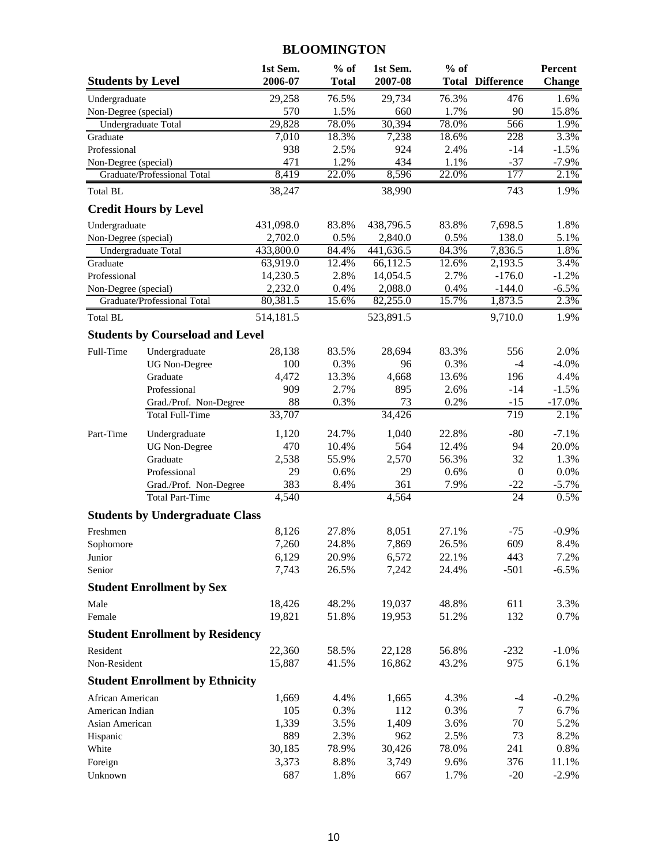### **BLOOMINGTON**

| <b>Students by Level</b> |                                         | 1st Sem.<br>2006-07 | $%$ of<br><b>Total</b> | 1st Sem.<br>2007-08 | $%$ of | <b>Total Difference</b> | <b>Percent</b><br><b>Change</b> |
|--------------------------|-----------------------------------------|---------------------|------------------------|---------------------|--------|-------------------------|---------------------------------|
| Undergraduate            |                                         | 29,258              | 76.5%                  | 29,734              | 76.3%  | 476                     | 1.6%                            |
| Non-Degree (special)     |                                         | 570                 | 1.5%                   | 660                 | 1.7%   | 90                      | 15.8%                           |
|                          | Undergraduate Total                     | 29,828              | 78.0%                  | 30,394              | 78.0%  | 566                     | 1.9%                            |
| Graduate                 |                                         | 7,010               | 18.3%                  | 7,238               | 18.6%  | 228                     | 3.3%                            |
| Professional             |                                         | 938                 | 2.5%                   | 924                 | 2.4%   | $-14$                   | $-1.5%$                         |
| Non-Degree (special)     |                                         | 471                 | 1.2%                   | 434                 | 1.1%   | $-37$                   | $-7.9%$                         |
|                          | Graduate/Professional Total             | 8,419               | 22.0%                  | 8,596               | 22.0%  | 177                     | 2.1%                            |
| <b>Total BL</b>          |                                         | 38,247              |                        | 38,990              |        | 743                     | 1.9%                            |
|                          | <b>Credit Hours by Level</b>            |                     |                        |                     |        |                         |                                 |
| Undergraduate            |                                         | 431,098.0           | 83.8%                  | 438,796.5           | 83.8%  | 7,698.5                 | 1.8%                            |
| Non-Degree (special)     |                                         | 2,702.0             | 0.5%                   | 2,840.0             | 0.5%   | 138.0                   | 5.1%                            |
|                          | Undergraduate Total                     | 433,800.0           | 84.4%                  | 441,636.5           | 84.3%  | 7,836.5                 | 1.8%                            |
| Graduate                 |                                         | 63,919.0            | 12.4%                  | 66,112.5            | 12.6%  | 2,193.5                 | 3.4%                            |
| Professional             |                                         | 14,230.5            | 2.8%                   | 14,054.5            | 2.7%   | $-176.0$                | $-1.2%$                         |
| Non-Degree (special)     |                                         | 2,232.0             | 0.4%                   | 2,088.0             | 0.4%   | $-144.0$                | $-6.5%$                         |
|                          | Graduate/Professional Total             | 80,381.5            | 15.6%                  | 82,255.0            | 15.7%  | 1,873.5                 | 2.3%                            |
| <b>Total BL</b>          |                                         | 514,181.5           |                        | 523,891.5           |        | 9,710.0                 | 1.9%                            |
|                          | <b>Students by Courseload and Level</b> |                     |                        |                     |        |                         |                                 |
| Full-Time                | Undergraduate                           | 28,138              | 83.5%                  | 28,694              | 83.3%  | 556                     | 2.0%                            |
|                          | <b>UG</b> Non-Degree                    | 100                 | 0.3%                   | 96                  | 0.3%   | $-4$                    | $-4.0%$                         |
|                          | Graduate                                | 4,472               | 13.3%                  | 4,668               | 13.6%  | 196                     | 4.4%                            |
|                          | Professional                            | 909                 | 2.7%                   | 895                 | 2.6%   | $-14$                   | $-1.5%$                         |
|                          | Grad./Prof. Non-Degree                  | 88                  | 0.3%                   | 73                  | 0.2%   | $-15$                   | $-17.0%$                        |
|                          | <b>Total Full-Time</b>                  | 33,707              |                        | 34,426              |        | 719                     | 2.1%                            |
| Part-Time                | Undergraduate                           | 1,120               | 24.7%                  | 1,040               | 22.8%  | $-80$                   | $-7.1%$                         |
|                          | <b>UG</b> Non-Degree                    | 470                 | 10.4%                  | 564                 | 12.4%  | 94                      | 20.0%                           |
|                          | Graduate                                | 2,538               | 55.9%                  | 2,570               | 56.3%  | 32                      | 1.3%                            |
|                          | Professional                            | 29                  | 0.6%                   | 29                  | 0.6%   | $\boldsymbol{0}$        | 0.0%                            |
|                          | Grad./Prof. Non-Degree                  | 383                 | 8.4%                   | 361                 | 7.9%   | $-22$                   | $-5.7%$                         |
|                          | <b>Total Part-Time</b>                  | 4,540               |                        | 4,564               |        | 24                      | 0.5%                            |
|                          | <b>Students by Undergraduate Class</b>  |                     |                        |                     |        |                         |                                 |
| Freshmen                 |                                         | 8,126               | 27.8%                  | 8,051               | 27.1%  | $-75$                   | $-0.9%$                         |
| Sophomore                |                                         | 7,260               | 24.8%                  | 7,869               | 26.5%  | 609                     | 8.4%                            |
| Junior                   |                                         | 6,129               | 20.9%                  | 6,572               | 22.1%  | 443                     | 7.2%                            |
| Senior                   |                                         | 7,743               | 26.5%                  | 7,242               | 24.4%  | $-501$                  | $-6.5%$                         |
|                          | <b>Student Enrollment by Sex</b>        |                     |                        |                     |        |                         |                                 |
| Male                     |                                         | 18,426              | 48.2%                  | 19,037              | 48.8%  | 611                     | 3.3%                            |
| Female                   |                                         | 19,821              | 51.8%                  | 19,953              | 51.2%  | 132                     | 0.7%                            |
|                          | <b>Student Enrollment by Residency</b>  |                     |                        |                     |        |                         |                                 |
| Resident                 |                                         | 22,360              | 58.5%                  | 22,128              | 56.8%  | $-232$                  | $-1.0%$                         |
| Non-Resident             |                                         | 15,887              | 41.5%                  | 16,862              | 43.2%  | 975                     | 6.1%                            |
|                          | <b>Student Enrollment by Ethnicity</b>  |                     |                        |                     |        |                         |                                 |
| African American         |                                         | 1,669               | 4.4%                   | 1,665               | 4.3%   | $-4$                    | $-0.2%$                         |
| American Indian          |                                         | 105                 | 0.3%                   | 112                 | 0.3%   | 7                       | 6.7%                            |
| Asian American           |                                         | 1,339               | 3.5%                   | 1,409               | 3.6%   | 70                      | 5.2%                            |
| Hispanic                 |                                         | 889                 | 2.3%                   | 962                 | 2.5%   | 73                      | 8.2%                            |
| White                    |                                         | 30,185              | 78.9%                  | 30,426              | 78.0%  | 241                     | 0.8%                            |
| Foreign                  |                                         | 3,373               | 8.8%                   | 3,749               | 9.6%   | 376                     | 11.1%                           |
| Unknown                  |                                         | 687                 | 1.8%                   | 667                 | 1.7%   | $-20$                   | $-2.9%$                         |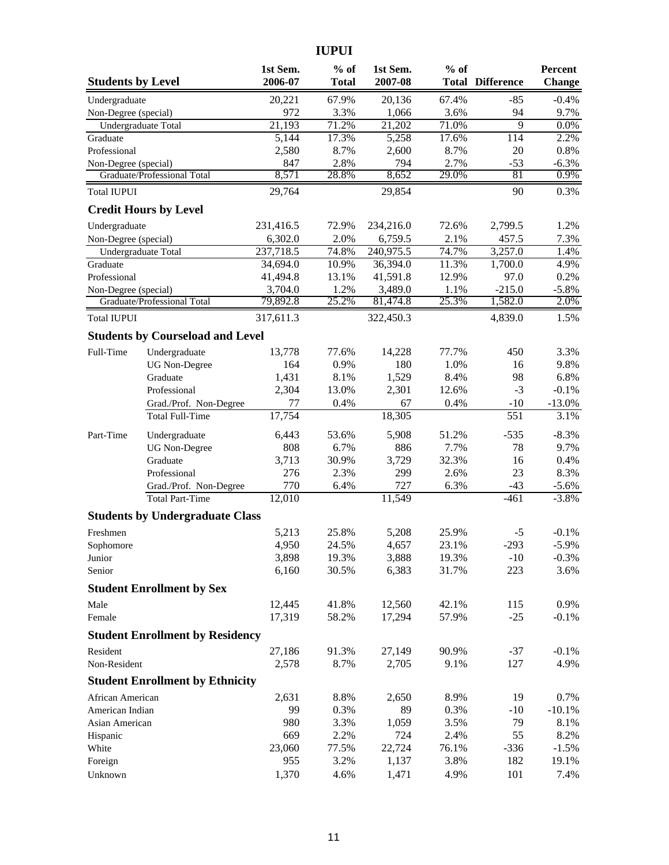**IUPUI**

| <b>Students by Level</b> |                                         | 1st Sem.<br>2006-07 | $%$ of<br><b>Total</b> | 1st Sem.<br>2007-08 | $%$ of        | <b>Total Difference</b> | Percent<br><b>Change</b> |
|--------------------------|-----------------------------------------|---------------------|------------------------|---------------------|---------------|-------------------------|--------------------------|
| Undergraduate            |                                         | 20,221              | 67.9%                  | 20,136              | 67.4%         | $-85$                   | $-0.4%$                  |
| Non-Degree (special)     |                                         | 972                 | 3.3%                   | 1,066               | 3.6%          | 94                      | 9.7%                     |
|                          | Undergraduate Total                     | 21,193              | 71.2%                  | 21,202              | 71.0%         | $\overline{9}$          | 0.0%                     |
| Graduate                 |                                         | 5,144               | 17.3%                  | 5,258               | 17.6%         | 114                     | 2.2%                     |
| Professional             |                                         | 2,580               | 8.7%                   | 2,600               | 8.7%          | 20                      | 0.8%                     |
| Non-Degree (special)     |                                         | 847                 | 2.8%                   | 794                 | 2.7%          | $-53$                   | $-6.3%$                  |
|                          | Graduate/Professional Total             | 8,571               | 28.8%                  | 8,652               | 29.0%         | 81                      | 0.9%                     |
| <b>Total IUPUI</b>       |                                         | 29,764              |                        | 29,854              |               | 90                      | 0.3%                     |
|                          | <b>Credit Hours by Level</b>            |                     |                        |                     |               |                         |                          |
| Undergraduate            |                                         | 231,416.5           | 72.9%                  | 234,216.0           | 72.6%         | 2,799.5                 | 1.2%                     |
| Non-Degree (special)     |                                         | 6,302.0             | 2.0%                   | 6,759.5             | 2.1%          | 457.5                   | 7.3%                     |
|                          | Undergraduate Total                     | 237,718.5           | 74.8%                  | 240,975.5           | 74.7%         | 3,257.0                 | 1.4%                     |
| Graduate                 |                                         | 34,694.0            | 10.9%                  | 36,394.0            | 11.3%         | 1,700.0                 | 4.9%                     |
| Professional             |                                         | 41,494.8            | 13.1%                  | 41,591.8            | 12.9%         | 97.0                    | 0.2%                     |
| Non-Degree (special)     | Graduate/Professional Total             | 3,704.0<br>79,892.8 | 1.2%<br>25.2%          | 3,489.0<br>81,474.8 | 1.1%<br>25.3% | $-215.0$<br>1,582.0     | $-5.8%$<br>2.0%          |
|                          |                                         |                     |                        |                     |               |                         |                          |
| <b>Total IUPUI</b>       |                                         | 317,611.3           |                        | 322,450.3           |               | 4,839.0                 | 1.5%                     |
|                          | <b>Students by Courseload and Level</b> |                     |                        |                     |               |                         |                          |
| Full-Time                | Undergraduate                           | 13,778              | 77.6%                  | 14,228              | 77.7%         | 450                     | 3.3%                     |
|                          | <b>UG</b> Non-Degree                    | 164                 | 0.9%                   | 180                 | 1.0%          | 16                      | 9.8%                     |
|                          | Graduate                                | 1,431               | 8.1%                   | 1,529               | 8.4%          | 98                      | 6.8%                     |
|                          | Professional                            | 2,304               | 13.0%                  | 2,301               | 12.6%         | $-3$                    | $-0.1%$                  |
|                          | Grad./Prof. Non-Degree                  | 77                  | 0.4%                   | 67                  | 0.4%          | $-10$                   | $-13.0%$                 |
|                          | <b>Total Full-Time</b>                  | 17,754              |                        | 18,305              |               | $\overline{551}$        | 3.1%                     |
| Part-Time                | Undergraduate                           | 6,443               | 53.6%                  | 5,908               | 51.2%         | $-535$                  | $-8.3%$                  |
|                          | <b>UG</b> Non-Degree                    | 808                 | 6.7%                   | 886                 | 7.7%          | 78                      | 9.7%                     |
|                          | Graduate                                | 3,713               | 30.9%                  | 3,729               | 32.3%         | 16                      | 0.4%                     |
|                          | Professional                            | 276                 | 2.3%                   | 299                 | 2.6%          | 23                      | 8.3%                     |
|                          | Grad./Prof. Non-Degree                  | 770                 | 6.4%                   | 727                 | 6.3%          | $-43$                   | $-5.6%$                  |
|                          | <b>Total Part-Time</b>                  | 12,010              |                        | 11,549              |               | $-461$                  | $-3.8%$                  |
|                          | <b>Students by Undergraduate Class</b>  |                     |                        |                     |               |                         |                          |
| Freshmen                 |                                         | 5,213               | 25.8%                  | 5,208               | 25.9%         | $-5$                    | $-0.1%$                  |
| Sophomore                |                                         | 4,950               | 24.5%                  | 4,657               | 23.1%         | $-293$                  | $-5.9%$                  |
| Junior                   |                                         | 3,898               | 19.3%                  | 3,888               | 19.3%         | $-10$                   | $-0.3%$                  |
| Senior                   |                                         | 6,160               | 30.5%                  | 6,383               | 31.7%         | 223                     | 3.6%                     |
|                          | <b>Student Enrollment by Sex</b>        |                     |                        |                     |               |                         |                          |
| Male                     |                                         | 12,445              | 41.8%                  | 12,560              | 42.1%         | 115                     | 0.9%                     |
| Female                   |                                         | 17,319              | 58.2%                  | 17,294              | 57.9%         | $-25$                   | $-0.1%$                  |
|                          | <b>Student Enrollment by Residency</b>  |                     |                        |                     |               |                         |                          |
| Resident                 |                                         | 27,186              | 91.3%                  | 27,149              | 90.9%         | $-37$                   | $-0.1%$                  |
| Non-Resident             |                                         | 2,578               | 8.7%                   | 2,705               | 9.1%          | 127                     | 4.9%                     |
|                          | <b>Student Enrollment by Ethnicity</b>  |                     |                        |                     |               |                         |                          |
| African American         |                                         | 2,631               | 8.8%                   | 2,650               | 8.9%          | 19                      | 0.7%                     |
| American Indian          |                                         | 99                  | 0.3%                   | 89                  | 0.3%          | $-10$                   | $-10.1%$                 |
| Asian American           |                                         | 980                 | 3.3%                   | 1,059               | 3.5%          | 79                      | 8.1%                     |
| Hispanic                 |                                         | 669                 | 2.2%                   | 724                 | 2.4%          | 55                      | 8.2%                     |
| White                    |                                         | 23,060              | 77.5%                  | 22,724              | 76.1%         | $-336$                  | $-1.5%$                  |
| Foreign                  |                                         | 955                 | 3.2%                   | 1,137               | 3.8%          | 182                     | 19.1%                    |
| Unknown                  |                                         | 1,370               | 4.6%                   | 1,471               | 4.9%          | 101                     | 7.4%                     |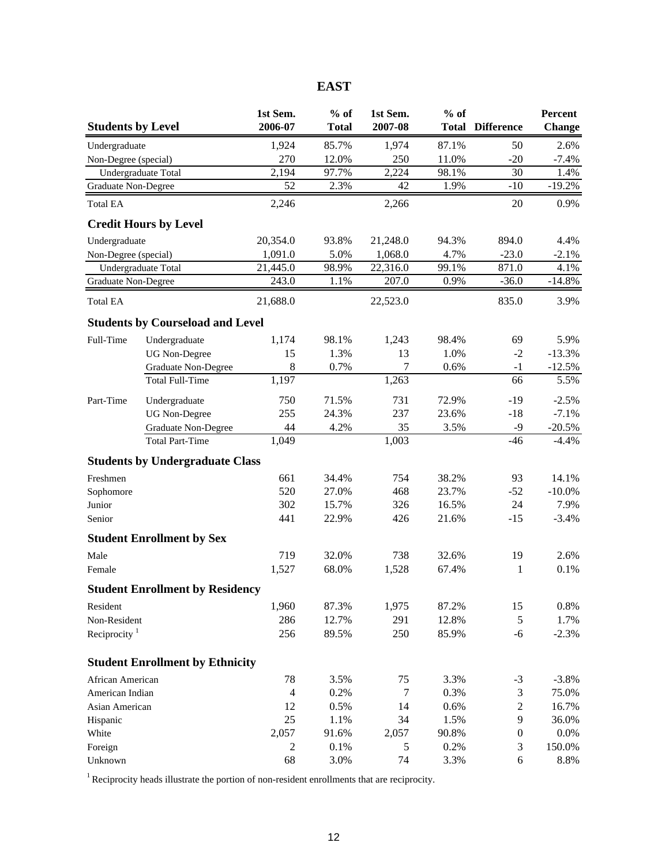|                            |                                         | 1st Sem.                | $%$ of       | 1st Sem. | $%$ of |                         | Percent       |
|----------------------------|-----------------------------------------|-------------------------|--------------|----------|--------|-------------------------|---------------|
| <b>Students by Level</b>   |                                         | 2006-07                 | <b>Total</b> | 2007-08  |        | <b>Total Difference</b> | <b>Change</b> |
| Undergraduate              |                                         | 1,924                   | 85.7%        | 1,974    | 87.1%  | 50                      | 2.6%          |
| Non-Degree (special)       |                                         | 270                     | 12.0%        | 250      | 11.0%  | $-20$                   | $-7.4%$       |
|                            | Undergraduate Total                     | 2,194                   | 97.7%        | 2,224    | 98.1%  | 30                      | 1.4%          |
| <b>Graduate Non-Degree</b> |                                         | 52                      | 2.3%         | 42       | 1.9%   | $-10$                   | $-19.2%$      |
| <b>Total EA</b>            |                                         | 2,246                   |              | 2,266    |        | 20                      | 0.9%          |
|                            | <b>Credit Hours by Level</b>            |                         |              |          |        |                         |               |
| Undergraduate              |                                         | 20,354.0                | 93.8%        | 21,248.0 | 94.3%  | 894.0                   | 4.4%          |
| Non-Degree (special)       |                                         | 1,091.0                 | 5.0%         | 1,068.0  | 4.7%   | $-23.0$                 | $-2.1%$       |
|                            | Undergraduate Total                     | 21,445.0                | 98.9%        | 22,316.0 | 99.1%  | 871.0                   | 4.1%          |
| <b>Graduate Non-Degree</b> |                                         | 243.0                   | 1.1%         | 207.0    | 0.9%   | $-36.0$                 | $-14.8%$      |
| <b>Total EA</b>            |                                         | 21,688.0                |              | 22,523.0 |        | 835.0                   | 3.9%          |
|                            | <b>Students by Courseload and Level</b> |                         |              |          |        |                         |               |
| Full-Time                  | Undergraduate                           | 1,174                   | 98.1%        | 1,243    | 98.4%  | 69                      | 5.9%          |
|                            | <b>UG</b> Non-Degree                    | 15                      | 1.3%         | 13       | 1.0%   | $-2$                    | $-13.3%$      |
|                            | <b>Graduate Non-Degree</b>              | 8                       | 0.7%         | $\tau$   | 0.6%   | $-1$                    | $-12.5%$      |
|                            | <b>Total Full-Time</b>                  | 1,197                   |              | 1,263    |        | 66                      | 5.5%          |
| Part-Time                  | Undergraduate                           | 750                     | 71.5%        | 731      | 72.9%  | $-19$                   | $-2.5%$       |
|                            | <b>UG Non-Degree</b>                    | 255                     | 24.3%        | 237      | 23.6%  | $-18$                   | $-7.1%$       |
|                            | <b>Graduate Non-Degree</b>              | 44                      | 4.2%         | 35       | 3.5%   | $-9$                    | $-20.5%$      |
|                            | <b>Total Part-Time</b>                  | 1,049                   |              | 1,003    |        | $-46$                   | $-4.4%$       |
|                            | <b>Students by Undergraduate Class</b>  |                         |              |          |        |                         |               |
| Freshmen                   |                                         | 661                     | 34.4%        | 754      | 38.2%  | 93                      | 14.1%         |
| Sophomore                  |                                         | 520                     | 27.0%        | 468      | 23.7%  | $-52$                   | $-10.0\%$     |
| Junior                     |                                         | 302                     | 15.7%        | 326      | 16.5%  | 24                      | 7.9%          |
| Senior                     |                                         | 441                     | 22.9%        | 426      | 21.6%  | $-15$                   | $-3.4%$       |
|                            | <b>Student Enrollment by Sex</b>        |                         |              |          |        |                         |               |
| Male                       |                                         | 719                     | 32.0%        | 738      | 32.6%  | 19                      | 2.6%          |
| Female                     |                                         | 1,527                   | 68.0%        | 1,528    | 67.4%  | $\mathbf{1}$            | 0.1%          |
|                            | <b>Student Enrollment by Residency</b>  |                         |              |          |        |                         |               |
| Resident                   |                                         | 1,960                   | 87.3%        | 1,975    | 87.2%  | 15                      | 0.8%          |
| Non-Resident               |                                         | 286                     | 12.7%        | 291      | 12.8%  | $\sqrt{5}$              | 1.7%          |
| Reciprocity <sup>1</sup>   |                                         | 256                     | 89.5%        | 250      | 85.9%  | $-6$                    | $-2.3%$       |
|                            |                                         |                         |              |          |        |                         |               |
|                            | <b>Student Enrollment by Ethnicity</b>  |                         |              |          |        |                         |               |
| African American           |                                         | 78                      | 3.5%         | 75       | 3.3%   | $-3$                    | $-3.8%$       |
| American Indian            |                                         | $\overline{\mathbf{4}}$ | 0.2%         | $\tau$   | 0.3%   | 3                       | 75.0%         |
| Asian American             |                                         | 12                      | 0.5%         | 14       | 0.6%   | $\mathfrak 2$           | 16.7%         |
| Hispanic                   |                                         | 25                      | 1.1%         | 34       | 1.5%   | 9                       | 36.0%         |
| White                      |                                         | 2,057                   | 91.6%        | 2,057    | 90.8%  | $\boldsymbol{0}$        | $0.0\%$       |
| Foreign                    |                                         | $\overline{c}$          | 0.1%         | 5        | 0.2%   | $\mathfrak 3$           | 150.0%        |
| Unknown                    |                                         | 68                      | 3.0%         | 74       | 3.3%   | $6\,$                   | 8.8%          |

 $1$  Reciprocity heads illustrate the portion of non-resident enrollments that are reciprocity.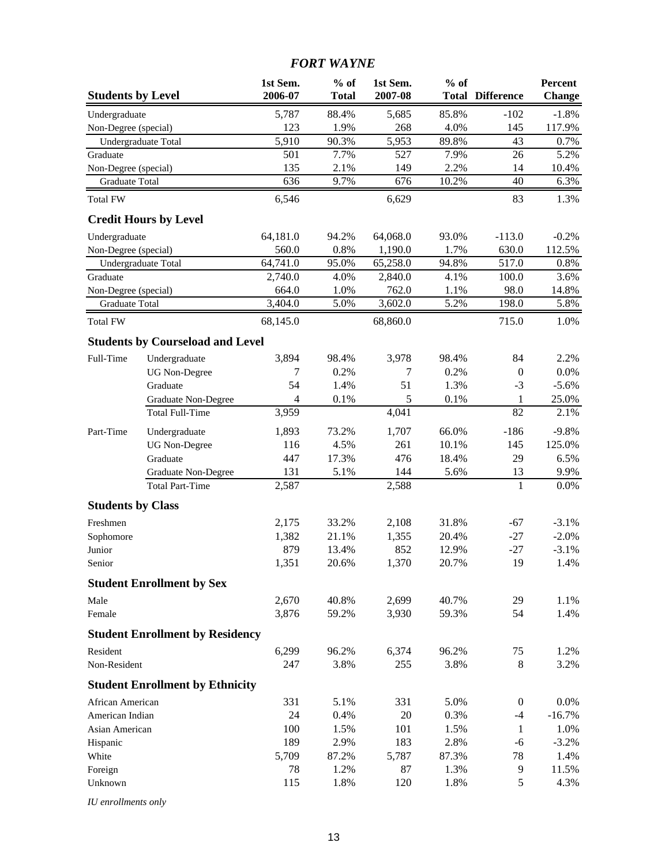## *FORT WAYNE*

| <b>Students by Level</b> |                                         | 1st Sem.<br>2006-07 | $%$ of<br><b>Total</b> | 1st Sem.<br>2007-08 | $%$ of | <b>Total Difference</b> | <b>Percent</b><br><b>Change</b> |
|--------------------------|-----------------------------------------|---------------------|------------------------|---------------------|--------|-------------------------|---------------------------------|
| Undergraduate            |                                         | 5,787               | 88.4%                  | 5,685               | 85.8%  | $-102$                  | $-1.8%$                         |
| Non-Degree (special)     |                                         | 123                 | 1.9%                   | 268                 | 4.0%   | 145                     | 117.9%                          |
| Undergraduate Total      |                                         | 5,910               | 90.3%                  | 5,953               | 89.8%  | 43                      | 0.7%                            |
| Graduate                 |                                         | 501                 | 7.7%                   | 527                 | 7.9%   | 26                      | 5.2%                            |
| Non-Degree (special)     |                                         | 135                 | 2.1%                   | 149                 | 2.2%   | 14                      | 10.4%                           |
| Graduate Total           |                                         | 636                 | 9.7%                   | 676                 | 10.2%  | 40                      | 6.3%                            |
| <b>Total FW</b>          |                                         | 6,546               |                        | 6,629               |        | 83                      | 1.3%                            |
|                          | <b>Credit Hours by Level</b>            |                     |                        |                     |        |                         |                                 |
| Undergraduate            |                                         | 64,181.0            | 94.2%                  | 64,068.0            | 93.0%  | $-113.0$                | $-0.2%$                         |
| Non-Degree (special)     |                                         | 560.0               | 0.8%                   | 1,190.0             | 1.7%   | 630.0                   | 112.5%                          |
| Undergraduate Total      |                                         | 64,741.0            | 95.0%                  | 65,258.0            | 94.8%  | 517.0                   | 0.8%                            |
| Graduate                 |                                         | 2,740.0             | 4.0%                   | 2,840.0             | 4.1%   | 100.0                   | 3.6%                            |
| Non-Degree (special)     |                                         | 664.0               | 1.0%                   | 762.0               | 1.1%   | 98.0                    | 14.8%                           |
| <b>Graduate Total</b>    |                                         | 3,404.0             | 5.0%                   | 3,602.0             | 5.2%   | 198.0                   | 5.8%                            |
| <b>Total FW</b>          |                                         | 68,145.0            |                        | 68,860.0            |        | 715.0                   | 1.0%                            |
|                          | <b>Students by Courseload and Level</b> |                     |                        |                     |        |                         |                                 |
| Full-Time                | Undergraduate                           | 3,894               | 98.4%                  | 3,978               | 98.4%  | 84                      | 2.2%                            |
|                          | <b>UG</b> Non-Degree                    | 7                   | 0.2%                   | 7                   | 0.2%   | $\boldsymbol{0}$        | 0.0%                            |
|                          | Graduate                                | 54                  | 1.4%                   | 51                  | 1.3%   | $-3$                    | $-5.6%$                         |
|                          | <b>Graduate Non-Degree</b>              | $\overline{4}$      | 0.1%                   | 5                   | 0.1%   | 1                       | 25.0%                           |
|                          | <b>Total Full-Time</b>                  | 3,959               |                        | 4,041               |        | 82                      | 2.1%                            |
| Part-Time                | Undergraduate                           | 1,893               | 73.2%                  | 1,707               | 66.0%  | $-186$                  | $-9.8%$                         |
|                          | <b>UG</b> Non-Degree                    | 116                 | 4.5%                   | 261                 | 10.1%  | 145                     | 125.0%                          |
|                          | Graduate                                | 447                 | 17.3%                  | 476                 | 18.4%  | 29                      | 6.5%                            |
|                          | <b>Graduate Non-Degree</b>              | 131                 | 5.1%                   | 144                 | 5.6%   | 13                      | 9.9%                            |
|                          | <b>Total Part-Time</b>                  | 2,587               |                        | 2,588               |        | $\mathbf{1}$            | 0.0%                            |
| <b>Students by Class</b> |                                         |                     |                        |                     |        |                         |                                 |
| Freshmen                 |                                         | 2,175               | 33.2%                  | 2,108               | 31.8%  | $-67$                   | $-3.1%$                         |
| Sophomore                |                                         | 1,382               | 21.1%                  | 1,355               | 20.4%  | $-27$                   | $-2.0%$                         |
| Junior                   |                                         | 879                 | 13.4%                  | 852                 | 12.9%  | $-27$                   | $-3.1%$                         |
| Senior                   |                                         | 1,351               | 20.6%                  | 1,370               | 20.7%  | 19                      | 1.4%                            |
|                          | <b>Student Enrollment by Sex</b>        |                     |                        |                     |        |                         |                                 |
| Male                     |                                         | 2,670               | 40.8%                  | 2,699               | 40.7%  | 29                      | 1.1%                            |
| Female                   |                                         | 3,876               | 59.2%                  | 3,930               | 59.3%  | 54                      | 1.4%                            |
|                          | <b>Student Enrollment by Residency</b>  |                     |                        |                     |        |                         |                                 |
| Resident                 |                                         | 6,299               | 96.2%                  | 6,374               | 96.2%  | 75                      | 1.2%                            |
| Non-Resident             |                                         | 247                 | 3.8%                   | 255                 | 3.8%   | 8                       | 3.2%                            |
|                          | <b>Student Enrollment by Ethnicity</b>  |                     |                        |                     |        |                         |                                 |
| African American         |                                         | 331                 | 5.1%                   | 331                 | 5.0%   | $\boldsymbol{0}$        | 0.0%                            |
| American Indian          |                                         | 24                  | 0.4%                   | 20                  | 0.3%   | $-4$                    | $-16.7%$                        |
| Asian American           |                                         | 100                 | 1.5%                   | 101                 | 1.5%   | $\mathbf{1}$            | 1.0%                            |
| Hispanic                 |                                         | 189                 | 2.9%                   | 183                 | 2.8%   | $-6$                    | $-3.2%$                         |
| White                    |                                         | 5,709               | 87.2%                  | 5,787               | 87.3%  | 78                      | 1.4%                            |
| Foreign                  |                                         | 78                  | 1.2%                   | 87                  | 1.3%   | 9                       | 11.5%                           |
| Unknown                  |                                         | 115                 | 1.8%                   | 120                 | 1.8%   | 5                       | 4.3%                            |

*IU enrollments only*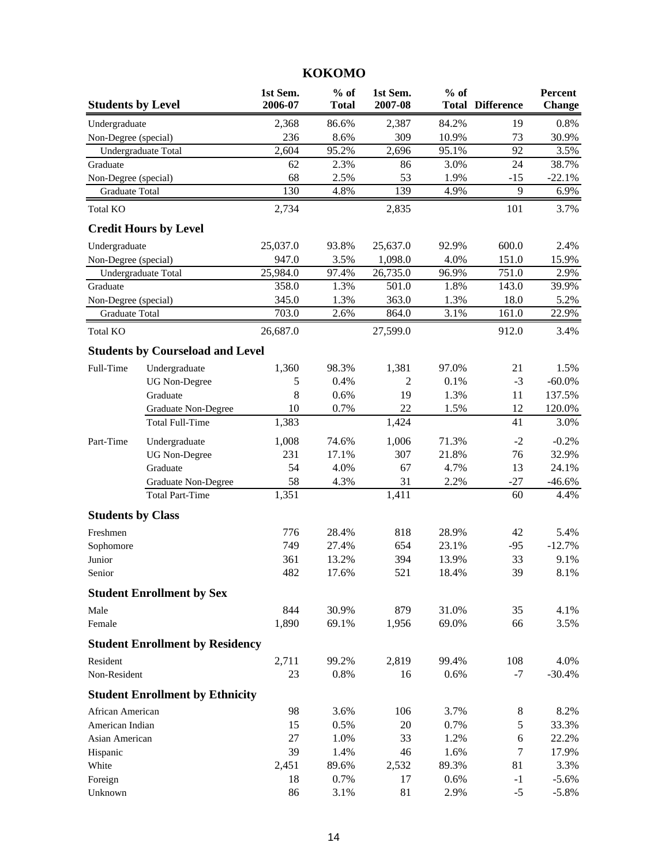### **KOKOMO 1st Sem. % of 1st Sem. % of Percent Students by Level 2006-07 Total 2007-08 Total Difference Change** Undergraduate 2,368 86.6% 2,387 84.2% 19 0.8% Non-Degree (special) 236 8.6% 309 10.9% 73 30.9% Undergraduate Total 2,604 95.2% 2,696 95.1% 92 3.5% Graduate 62 2.3% 86 3.0% 24 38.7% Non-Degree (special) 68 2.5% 53 1.9% -15 -22.1% Graduate Total **130** 4.8% 139 4.9% 9 6.9% Total KO 2,734 2,835 101 3.7% **Credit Hours by Level** Undergraduate 25,037.0 93.8% 25,637.0 92.9% 600.0 2.4% Non-Degree (special) 947.0 3.5% 1,098.0 4.0% 151.0 15.9% Undergraduate Total 25,984.0 97.4% 26,735.0 96.9% 751.0 2.9% Graduate 358.0 1.3% 501.0 1.8% 143.0 39.9% Non-Degree (special) 345.0 1.3% 363.0 1.3% 18.0 5.2% Graduate Total **703.0** 2.6% 864.0 3.1% 161.0 22.9% Total KO 26,687.0 27,599.0 912.0 3.4% **Students by Courseload and Level** Full-Time Undergraduate 1,360 98.3% 1,381 97.0% 21 1.5% UG Non-Degree  $\qquad \qquad 5 \qquad \qquad 0.4\% \qquad \qquad 2 \qquad \qquad 0.1\% \qquad \qquad -3 \qquad \qquad -60.0\%$ Graduate 19 8 0.6% 19 1.3% 11 137.5% Graduate Non-Degree 10 0.7% 22 1.5% 12 120.0% Total Full-Time 1,383 1,424 41 3.0% Part-Time Undergraduate 1,008 74.6% 1,006 71.3% -2 -0.2% UG Non-Degree 231 17.1% 307 21.8% 76 32.9% Graduate **54** 54 4.0% 67 4.7% 13 24.1% Graduate Non-Degree 58 4.3% 31 2.2% -27 -46.6% Total Part-Time 1,351 1,411 60 4.4% **Students by Class** Freshmen 776 28.4% 818 28.9% 42 5.4% Sophomore 749 27.4% 654 23.1% -95 -12.7% Junior 361 13.2% 394 13.9% 33 9.1% Senior 482 17.6% 521 18.4% 39 8.1% **Student Enrollment by Sex** Male 844 30.9% 879 31.0% 35 4.1% Female 1,890 69.1% 1,956 69.0% 66 3.5% **Student Enrollment by Residency** Resident 2,711 99.2% 2,819 99.4% 108 4.0% Non-Resident 23 0.8% 16 0.6% -7 -30.4% **Student Enrollment by Ethnicity** African American 198 3.6% 106 3.7% 8 8.2% American Indian 15 0.5% 20 0.7% 5 33.3% Asian American 27 1.0% 33 1.2% 6 22.2% Hispanic 39 1.4% 46 1.6% 7 17.9% White 2,451 89.6% 2,532 89.3% 81 3.3% Foreign 18 0.7% 17 0.6% -1 -5.6%

Unknown 86 3.1% 81 2.9% -5 -5.8%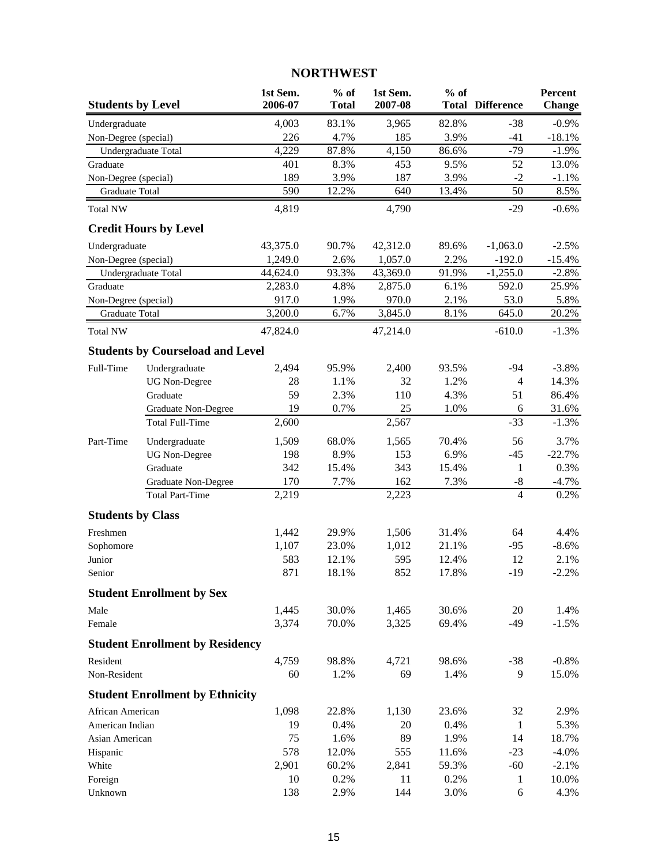### **NORTHWEST**

| <b>Students by Level</b> |                                         | 1st Sem.<br>2006-07 | $%$ of<br><b>Total</b> | 1st Sem.<br>2007-08 | $%$ of | <b>Total Difference</b> | Percent<br><b>Change</b> |
|--------------------------|-----------------------------------------|---------------------|------------------------|---------------------|--------|-------------------------|--------------------------|
| Undergraduate            |                                         | 4,003               | 83.1%                  | 3,965               | 82.8%  | $-38$                   | $-0.9%$                  |
| Non-Degree (special)     |                                         | 226                 | 4.7%                   | 185                 | 3.9%   | $-41$                   | $-18.1%$                 |
|                          | Undergraduate Total                     | 4,229               | 87.8%                  | 4,150               | 86.6%  | $-79$                   | $-1.9%$                  |
| Graduate                 |                                         | 401                 | 8.3%                   | 453                 | 9.5%   | 52                      | 13.0%                    |
| Non-Degree (special)     |                                         | 189                 | 3.9%                   | 187                 | 3.9%   | $-2$                    | $-1.1%$                  |
| Graduate Total           |                                         | 590                 | 12.2%                  | 640                 | 13.4%  | $\overline{50}$         | 8.5%                     |
| <b>Total NW</b>          |                                         | 4,819               |                        | 4,790               |        | $-29$                   | $-0.6%$                  |
|                          | <b>Credit Hours by Level</b>            |                     |                        |                     |        |                         |                          |
| Undergraduate            |                                         | 43,375.0            | 90.7%                  | 42,312.0            | 89.6%  | $-1,063.0$              | $-2.5%$                  |
| Non-Degree (special)     |                                         | 1,249.0             | 2.6%                   | 1,057.0             | 2.2%   | $-192.0$                | $-15.4%$                 |
|                          | Undergraduate Total                     | 44,624.0            | 93.3%                  | 43,369.0            | 91.9%  | $-1,255.0$              | $-2.8%$                  |
| Graduate                 |                                         | 2,283.0             | 4.8%                   | 2,875.0             | 6.1%   | 592.0                   | 25.9%                    |
| Non-Degree (special)     |                                         | 917.0               | 1.9%                   | 970.0               | 2.1%   | 53.0                    | 5.8%                     |
| Graduate Total           |                                         | 3,200.0             | 6.7%                   | 3,845.0             | 8.1%   | 645.0                   | 20.2%                    |
| <b>Total NW</b>          |                                         | 47,824.0            |                        | 47,214.0            |        | $-610.0$                | $-1.3%$                  |
|                          | <b>Students by Courseload and Level</b> |                     |                        |                     |        |                         |                          |
| Full-Time                | Undergraduate                           | 2,494               | 95.9%                  | 2,400               | 93.5%  | $-94$                   | $-3.8%$                  |
|                          | <b>UG</b> Non-Degree                    | 28                  | 1.1%                   | 32                  | 1.2%   | $\overline{4}$          | 14.3%                    |
|                          | Graduate                                | 59                  | 2.3%                   | 110                 | 4.3%   | 51                      | 86.4%                    |
|                          | Graduate Non-Degree                     | 19                  | 0.7%                   | 25                  | 1.0%   | 6                       | 31.6%                    |
|                          | <b>Total Full-Time</b>                  | 2,600               |                        | 2,567               |        | $-33$                   | $-1.3%$                  |
| Part-Time                | Undergraduate                           | 1,509               | 68.0%                  | 1,565               | 70.4%  | 56                      | 3.7%                     |
|                          | <b>UG</b> Non-Degree                    | 198                 | 8.9%                   | 153                 | 6.9%   | $-45$                   | $-22.7%$                 |
|                          | Graduate                                | 342                 | 15.4%                  | 343                 | 15.4%  | $\mathbf{1}$            | 0.3%                     |
|                          | <b>Graduate Non-Degree</b>              | 170                 | 7.7%                   | 162                 | 7.3%   | -8                      | $-4.7%$                  |
|                          | <b>Total Part-Time</b>                  | 2,219               |                        | 2,223               |        | $\overline{4}$          | 0.2%                     |
| <b>Students by Class</b> |                                         |                     |                        |                     |        |                         |                          |
| Freshmen                 |                                         | 1,442               | 29.9%                  | 1,506               | 31.4%  | 64                      | 4.4%                     |
| Sophomore                |                                         | 1,107               | 23.0%                  | 1,012               | 21.1%  | $-95$                   | $-8.6%$                  |
| Junior                   |                                         | 583                 | 12.1%                  | 595                 | 12.4%  | 12                      | 2.1%                     |
| Senior                   |                                         | 871                 | 18.1%                  | 852                 | 17.8%  | $-19$                   | $-2.2%$                  |
|                          | <b>Student Enrollment by Sex</b>        |                     |                        |                     |        |                         |                          |
| Male                     |                                         | 1,445               | 30.0%                  | 1,465               | 30.6%  | 20                      | 1.4%                     |
| Female                   |                                         | 3,374               | 70.0%                  | 3,325               | 69.4%  | $-49$                   | $-1.5%$                  |
|                          | <b>Student Enrollment by Residency</b>  |                     |                        |                     |        |                         |                          |
| Resident                 |                                         | 4,759               | 98.8%                  | 4,721               | 98.6%  | $-38$                   | $-0.8%$                  |
| Non-Resident             |                                         | 60                  | 1.2%                   | 69                  | 1.4%   | 9                       | 15.0%                    |
|                          | <b>Student Enrollment by Ethnicity</b>  |                     |                        |                     |        |                         |                          |
| African American         |                                         | 1,098               | 22.8%                  | 1,130               | 23.6%  | 32                      | 2.9%                     |
| American Indian          |                                         | 19                  | 0.4%                   | 20                  | 0.4%   | 1                       | 5.3%                     |
| Asian American           |                                         | 75                  | 1.6%                   | 89                  | 1.9%   | 14                      | 18.7%                    |
| Hispanic                 |                                         | 578                 | 12.0%                  | 555                 | 11.6%  | $-23$                   | $-4.0%$                  |
| White                    |                                         | 2,901               | 60.2%                  | 2,841               | 59.3%  | $-60$                   | $-2.1%$                  |
| Foreign                  |                                         | 10                  | 0.2%                   | 11                  | 0.2%   | 1                       | 10.0%                    |
| Unknown                  |                                         | 138                 | 2.9%                   | 144                 | 3.0%   | 6                       | 4.3%                     |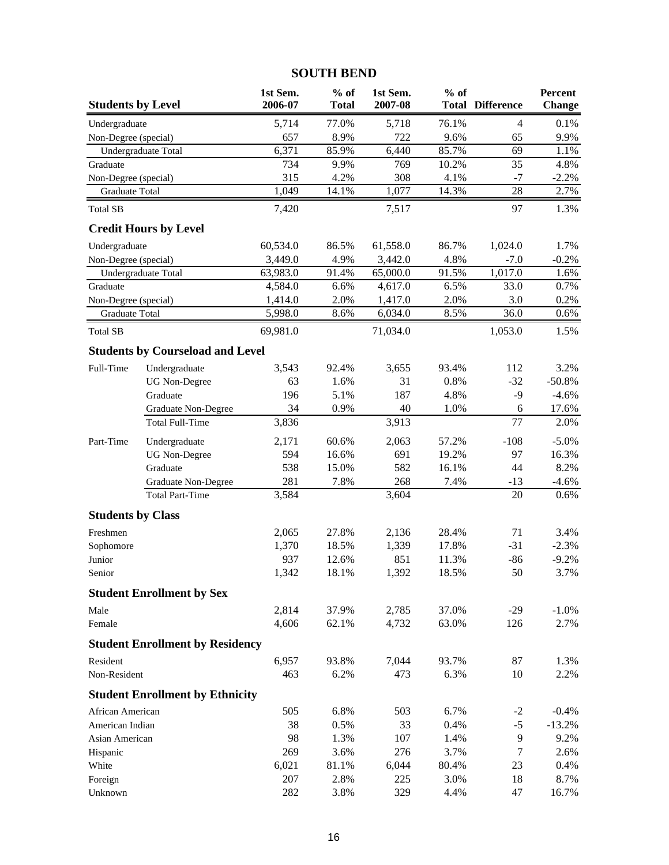### **SOUTH BEND**

| <b>Students by Level</b> |                                         | 1st Sem.<br>2006-07 | $%$ of<br><b>Total</b> | 1st Sem.<br>2007-08 | $%$ of | <b>Total Difference</b> | Percent<br><b>Change</b> |
|--------------------------|-----------------------------------------|---------------------|------------------------|---------------------|--------|-------------------------|--------------------------|
| Undergraduate            |                                         | 5,714               | 77.0%                  | 5,718               | 76.1%  | $\overline{4}$          | 0.1%                     |
| Non-Degree (special)     |                                         | 657                 | 8.9%                   | 722                 | 9.6%   | 65                      | 9.9%                     |
|                          | Undergraduate Total                     | 6,371               | 85.9%                  | 6,440               | 85.7%  | 69                      | 1.1%                     |
| Graduate                 |                                         | 734                 | 9.9%                   | 769                 | 10.2%  | 35                      | 4.8%                     |
| Non-Degree (special)     |                                         | 315                 | 4.2%                   | 308                 | 4.1%   | $-7$                    | $-2.2%$                  |
| <b>Graduate Total</b>    |                                         | 1,049               | 14.1%                  | 1,077               | 14.3%  | 28                      | 2.7%                     |
| <b>Total SB</b>          |                                         | 7,420               |                        | 7,517               |        | 97                      | 1.3%                     |
|                          | <b>Credit Hours by Level</b>            |                     |                        |                     |        |                         |                          |
| Undergraduate            |                                         | 60,534.0            | 86.5%                  | 61,558.0            | 86.7%  | 1,024.0                 | 1.7%                     |
| Non-Degree (special)     |                                         | 3,449.0             | 4.9%                   | 3,442.0             | 4.8%   | $-7.0$                  | $-0.2%$                  |
|                          | Undergraduate Total                     | 63,983.0            | 91.4%                  | 65,000.0            | 91.5%  | 1,017.0                 | 1.6%                     |
| Graduate                 |                                         | 4,584.0             | 6.6%                   | 4,617.0             | 6.5%   | 33.0                    | 0.7%                     |
| Non-Degree (special)     |                                         | 1,414.0             | 2.0%                   | 1,417.0             | 2.0%   | 3.0                     | 0.2%                     |
| Graduate Total           |                                         | 5,998.0             | 8.6%                   | 6,034.0             | 8.5%   | 36.0                    | 0.6%                     |
| <b>Total SB</b>          |                                         | 69,981.0            |                        | 71,034.0            |        | 1,053.0                 | 1.5%                     |
|                          | <b>Students by Courseload and Level</b> |                     |                        |                     |        |                         |                          |
| Full-Time                | Undergraduate                           | 3,543               | 92.4%                  | 3,655               | 93.4%  | 112                     | 3.2%                     |
|                          | <b>UG</b> Non-Degree                    | 63                  | 1.6%                   | 31                  | 0.8%   | $-32$                   | $-50.8%$                 |
|                          | Graduate                                | 196                 | 5.1%                   | 187                 | 4.8%   | -9                      | $-4.6%$                  |
|                          | Graduate Non-Degree                     | 34                  | 0.9%                   | 40                  | 1.0%   | 6                       | 17.6%                    |
|                          | <b>Total Full-Time</b>                  | 3,836               |                        | 3,913               |        | 77                      | 2.0%                     |
| Part-Time                | Undergraduate                           | 2,171               | 60.6%                  | 2,063               | 57.2%  | $-108$                  | $-5.0\%$                 |
|                          | <b>UG</b> Non-Degree                    | 594                 | 16.6%                  | 691                 | 19.2%  | 97                      | 16.3%                    |
|                          | Graduate                                | 538                 | 15.0%                  | 582                 | 16.1%  | 44                      | 8.2%                     |
|                          | <b>Graduate Non-Degree</b>              | 281                 | 7.8%                   | 268                 | 7.4%   | $-13$                   | $-4.6%$                  |
|                          | <b>Total Part-Time</b>                  | 3,584               |                        | 3,604               |        | 20                      | 0.6%                     |
| <b>Students by Class</b> |                                         |                     |                        |                     |        |                         |                          |
| Freshmen                 |                                         | 2,065               | 27.8%                  | 2,136               | 28.4%  | 71                      | 3.4%                     |
| Sophomore                |                                         | 1,370               | 18.5%                  | 1,339               | 17.8%  | $-31$                   | $-2.3%$                  |
| Junior                   |                                         | 937                 | 12.6%                  | 851                 | 11.3%  | $-86$                   | $-9.2%$                  |
| Senior                   |                                         | 1,342               | 18.1%                  | 1,392               | 18.5%  | 50                      | 3.7%                     |
|                          | <b>Student Enrollment by Sex</b>        |                     |                        |                     |        |                         |                          |
| Male                     |                                         | 2,814               | 37.9%                  | 2,785               | 37.0%  | $-29$                   | $-1.0\%$                 |
| Female                   |                                         | 4,606               | 62.1%                  | 4,732               | 63.0%  | 126                     | 2.7%                     |
|                          | <b>Student Enrollment by Residency</b>  |                     |                        |                     |        |                         |                          |
| Resident                 |                                         | 6,957               | 93.8%                  | 7,044               | 93.7%  | 87                      | 1.3%                     |
| Non-Resident             |                                         | 463                 | 6.2%                   | 473                 | 6.3%   | 10                      | 2.2%                     |
|                          | <b>Student Enrollment by Ethnicity</b>  |                     |                        |                     |        |                         |                          |
| African American         |                                         | 505                 | 6.8%                   | 503                 | 6.7%   | $-2$                    | $-0.4%$                  |
| American Indian          |                                         | 38                  | 0.5%                   | 33                  | 0.4%   | $-5$                    | $-13.2%$                 |
| Asian American           |                                         | 98                  | 1.3%                   | 107                 | 1.4%   | $\mathbf{9}$            | 9.2%                     |
| Hispanic                 |                                         | 269                 | 3.6%                   | 276                 | 3.7%   | $\tau$                  | 2.6%                     |
| White                    |                                         | 6,021               | 81.1%                  | 6,044               | 80.4%  | 23                      | 0.4%                     |
| Foreign                  |                                         | 207                 | 2.8%                   | 225                 | 3.0%   | 18                      | 8.7%                     |
| Unknown                  |                                         | 282                 | 3.8%                   | 329                 | 4.4%   | 47                      | 16.7%                    |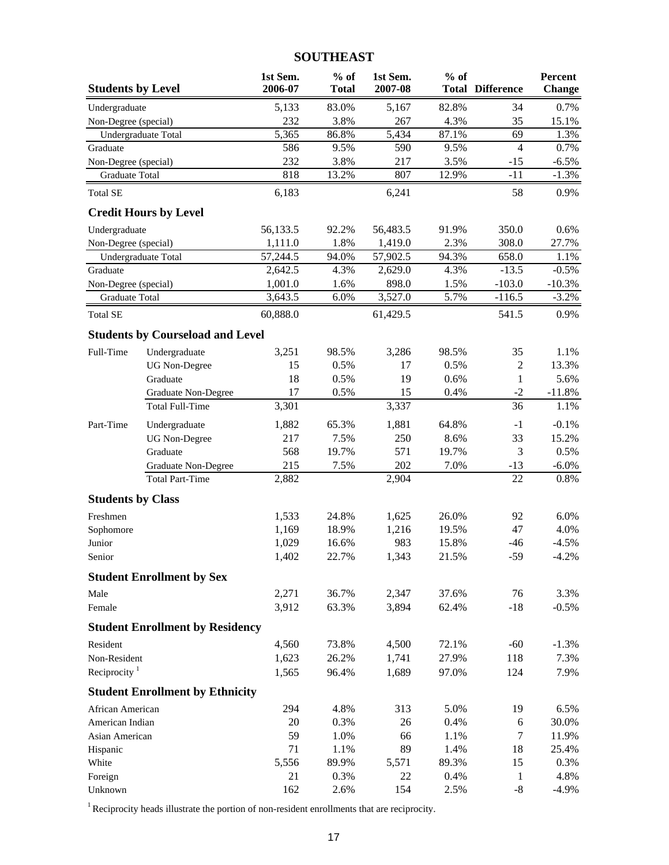### **SOUTHEAST**

| <b>Students by Level</b> |                                         | 1st Sem.<br>2006-07 | $%$ of<br><b>Total</b> | 1st Sem.<br>2007-08 | $%$ of | <b>Total Difference</b> | Percent<br><b>Change</b> |
|--------------------------|-----------------------------------------|---------------------|------------------------|---------------------|--------|-------------------------|--------------------------|
| Undergraduate            |                                         | 5,133               | 83.0%                  | 5,167               | 82.8%  | 34                      | 0.7%                     |
| Non-Degree (special)     |                                         | 232                 | 3.8%                   | 267                 | 4.3%   | 35                      | 15.1%                    |
|                          | Undergraduate Total                     | 5,365               | 86.8%                  | 5,434               | 87.1%  | 69                      | 1.3%                     |
| Graduate                 |                                         | 586                 | 9.5%                   | 590                 | 9.5%   | $\overline{4}$          | 0.7%                     |
| Non-Degree (special)     |                                         | 232                 | 3.8%                   | 217                 | 3.5%   | $-15$                   | $-6.5%$                  |
| Graduate Total           |                                         | 818                 | 13.2%                  | 807                 | 12.9%  | $-11$                   | $-1.3%$                  |
| <b>Total SE</b>          |                                         | 6,183               |                        | 6,241               |        | 58                      | 0.9%                     |
|                          | <b>Credit Hours by Level</b>            |                     |                        |                     |        |                         |                          |
| Undergraduate            |                                         | 56,133.5            | 92.2%                  | 56,483.5            | 91.9%  | 350.0                   | 0.6%                     |
| Non-Degree (special)     |                                         | 1,111.0             | 1.8%                   | 1,419.0             | 2.3%   | 308.0                   | 27.7%                    |
|                          | Undergraduate Total                     | 57,244.5            | 94.0%                  | 57,902.5            | 94.3%  | 658.0                   | 1.1%                     |
| Graduate                 |                                         | 2,642.5             | 4.3%                   | 2,629.0             | 4.3%   | $-13.5$                 | $-0.5%$                  |
| Non-Degree (special)     |                                         | 1,001.0             | 1.6%                   | 898.0               | 1.5%   | $-103.0$                | $-10.3%$                 |
| Graduate Total           |                                         | 3,643.5             | 6.0%                   | 3,527.0             | 5.7%   | $-116.5$                | $-3.2%$                  |
| <b>Total SE</b>          |                                         | 60,888.0            |                        | 61,429.5            |        | 541.5                   | 0.9%                     |
|                          | <b>Students by Courseload and Level</b> |                     |                        |                     |        |                         |                          |
| Full-Time                | Undergraduate                           | 3,251               | 98.5%                  | 3,286               | 98.5%  | 35                      | 1.1%                     |
|                          | <b>UG</b> Non-Degree                    | 15                  | 0.5%                   | 17                  | 0.5%   | $\sqrt{2}$              | 13.3%                    |
|                          | Graduate                                | 18                  | 0.5%                   | 19                  | 0.6%   | $\mathbf{1}$            | 5.6%                     |
|                          | <b>Graduate Non-Degree</b>              | 17                  | 0.5%                   | 15                  | 0.4%   | $-2$                    | $-11.8%$                 |
|                          | <b>Total Full-Time</b>                  | 3,301               |                        | 3,337               |        | 36                      | 1.1%                     |
| Part-Time                | Undergraduate                           | 1,882               | 65.3%                  | 1,881               | 64.8%  | $-1$                    | $-0.1%$                  |
|                          | <b>UG</b> Non-Degree                    | 217                 | 7.5%                   | 250                 | 8.6%   | 33                      | 15.2%                    |
|                          | Graduate                                | 568                 | 19.7%                  | 571                 | 19.7%  | 3                       | 0.5%                     |
|                          | Graduate Non-Degree                     | 215                 | 7.5%                   | 202                 | 7.0%   | $-13$                   | $-6.0\%$                 |
|                          | <b>Total Part-Time</b>                  | 2,882               |                        | 2,904               |        | 22                      | 0.8%                     |
| <b>Students by Class</b> |                                         |                     |                        |                     |        |                         |                          |
| Freshmen                 |                                         | 1,533               | 24.8%                  | 1,625               | 26.0%  | 92                      | 6.0%                     |
| Sophomore                |                                         | 1,169               | 18.9%                  | 1,216               | 19.5%  | 47                      | 4.0%                     |
| Junior                   |                                         | 1,029               | 16.6%                  | 983                 | 15.8%  | $-46$                   | $-4.5%$                  |
| Senior                   |                                         | 1,402               | 22.7%                  | 1,343               | 21.5%  | $-59$                   | $-4.2%$                  |
|                          | <b>Student Enrollment by Sex</b>        |                     |                        |                     |        |                         |                          |
| Male                     |                                         | 2,271               | 36.7%                  | 2,347               | 37.6%  | 76                      | 3.3%                     |
| Female                   |                                         | 3,912               | 63.3%                  | 3,894               | 62.4%  | $-18$                   | $-0.5%$                  |
|                          | <b>Student Enrollment by Residency</b>  |                     |                        |                     |        |                         |                          |
| Resident                 |                                         | 4,560               | 73.8%                  | 4,500               | 72.1%  | $-60$                   | $-1.3%$                  |
| Non-Resident             |                                         | 1,623               | 26.2%                  | 1,741               | 27.9%  | 118                     | 7.3%                     |
| Reciprocity $1$          |                                         | 1,565               | 96.4%                  | 1,689               | 97.0%  | 124                     | 7.9%                     |
|                          | <b>Student Enrollment by Ethnicity</b>  |                     |                        |                     |        |                         |                          |
| African American         |                                         | 294                 | 4.8%                   | 313                 | 5.0%   | 19                      | 6.5%                     |
| American Indian          |                                         | $20\,$              | 0.3%                   | 26                  | 0.4%   | 6                       | 30.0%                    |
| Asian American           |                                         | 59                  | 1.0%                   | 66                  | 1.1%   | $\overline{7}$          | 11.9%                    |
| Hispanic                 |                                         | 71                  | 1.1%                   | 89                  | 1.4%   | 18                      | 25.4%                    |
| White                    |                                         | 5,556               | 89.9%                  | 5,571               | 89.3%  | 15                      | 0.3%                     |
| Foreign                  |                                         | 21                  | 0.3%                   | 22                  | 0.4%   | $\mathbf{1}$            | 4.8%                     |
| Unknown                  |                                         | 162                 | 2.6%                   | 154                 | 2.5%   | $\mbox{-}8$             | $-4.9%$                  |

 $1$  Reciprocity heads illustrate the portion of non-resident enrollments that are reciprocity.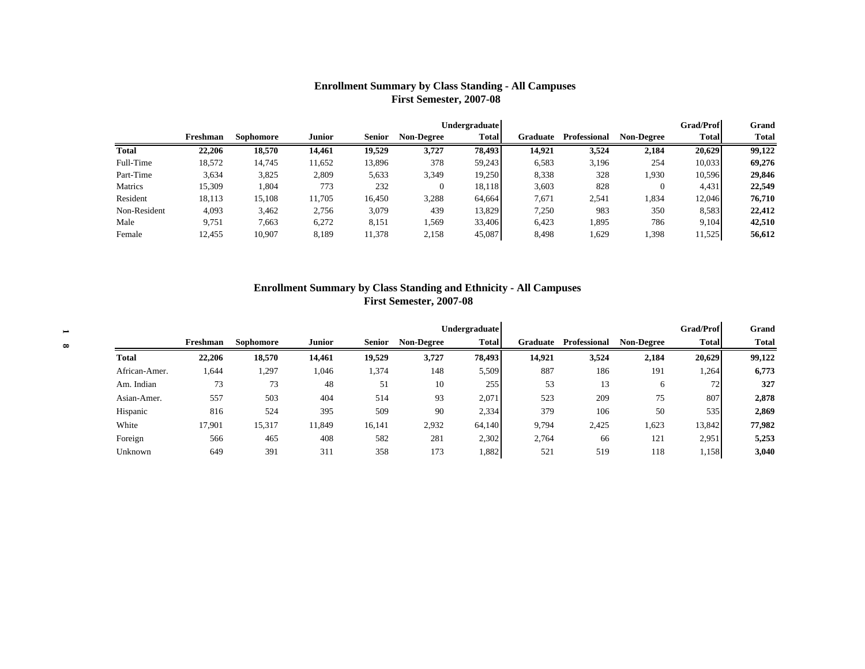### **Enrollment Summary by Class Standing - All Campuses First Semester, 2007-08**

|              |          |           |               |        |                   | <b>Undergraduate</b> |          |                     |                   | <b>Grad/Prof</b> | Grand        |
|--------------|----------|-----------|---------------|--------|-------------------|----------------------|----------|---------------------|-------------------|------------------|--------------|
|              | Freshman | Sophomore | <b>Junior</b> | Senior | <b>Non-Degree</b> | <b>Total</b>         | Graduate | <b>Professional</b> | <b>Non-Degree</b> | <b>Total</b>     | <b>Total</b> |
| Total        | 22,206   | 18,570    | 14.461        | 19.529 | 3.727             | 78.493               | 14.921   | 3,524               | 2,184             | 20,629           | 99,122       |
| Full-Time    | 18,572   | 14,745    | 11,652        | 13,896 | 378               | 59.243               | 6,583    | 3,196               | 254               | 10,033           | 69,276       |
| Part-Time    | 3,634    | 3,825     | 2,809         | 5,633  | 3.349             | 19,250               | 8,338    | 328                 | 1,930             | 10,596           | 29,846       |
| Matrics      | 15,309   | .804      | 773           | 232    |                   | 18.118               | 3,603    | 828                 |                   | 4,431            | 22,549       |
| Resident     | 18,113   | 15,108    | 11,705        | 16,450 | 3,288             | 64,664               | 7,671    | 2,541               | 1,834             | 12.046           | 76,710       |
| Non-Resident | 4,093    | 3,462     | 2,756         | 3,079  | 439               | 13,829               | 7,250    | 983                 | 350               | 8,583            | 22,412       |
| Male         | 9,751    | 7,663     | 6,272         | 8,151  | .569              | 33,406               | 6,423    | 1,895               | 786               | 9.104            | 42,510       |
| Female       | 12,455   | 10,907    | 8,189         | 11,378 | 2,158             | 45,087               | 8,498    | 1,629               | 1.398             | 11,525           | 56,612       |

#### **Enrollment Summary by Class Standing and Ethnicity - All Campuses First Semester, 2007-08**

| $\overline{\phantom{0}}$ |               |          |           | <b>Grad/Prof</b> | Grand         |                   |              |          |              |                   |              |              |
|--------------------------|---------------|----------|-----------|------------------|---------------|-------------------|--------------|----------|--------------|-------------------|--------------|--------------|
| $\infty$                 |               | Freshman | Sophomore | <b>Junior</b>    | <b>Senior</b> | <b>Non-Degree</b> | <b>Total</b> | Graduate | Professional | <b>Non-Degree</b> | <b>Total</b> | <b>Total</b> |
|                          | Total         | 22,206   | 18,570    | 14,461           | 19,529        | 3,727             | 78,493       | 14,921   | 3,524        | 2,184             | 20,629       | 99,122       |
|                          | African-Amer. | 1,644    | 1,297     | 1,046            | 1,374         | 148               | 5,509        | 887      | 186          | 191               | 1,264        | 6,773        |
|                          | Am. Indian    | 73       | 73        | 48               | 51            | 10                | 255          | 53       | 13           | O                 | 72           | 327          |
|                          | Asian-Amer.   | 557      | 503       | 404              | 514           | 93                | 2,071        | 523      | 209          | 75                | 807          | 2,878        |
|                          | Hispanic      | 816      | 524       | 395              | 509           | 90                | 2,334        | 379      | 106          | 50                | 535          | 2,869        |
|                          | White         | 17,901   | 15,317    | 11,849           | 16,141        | 2,932             | 64.140       | 9,794    | 2,425        | 1,623             | 13,842       | 77,982       |
|                          | Foreign       | 566      | 465       | 408              | 582           | 281               | 2,302        | 2,764    | 66           | 121               | 2,951        | 5,253        |
|                          | Unknown       | 649      | 391       | 311              | 358           | 173               | 1,882        | 521      | 519          | 118               | 1,158        | 3,040        |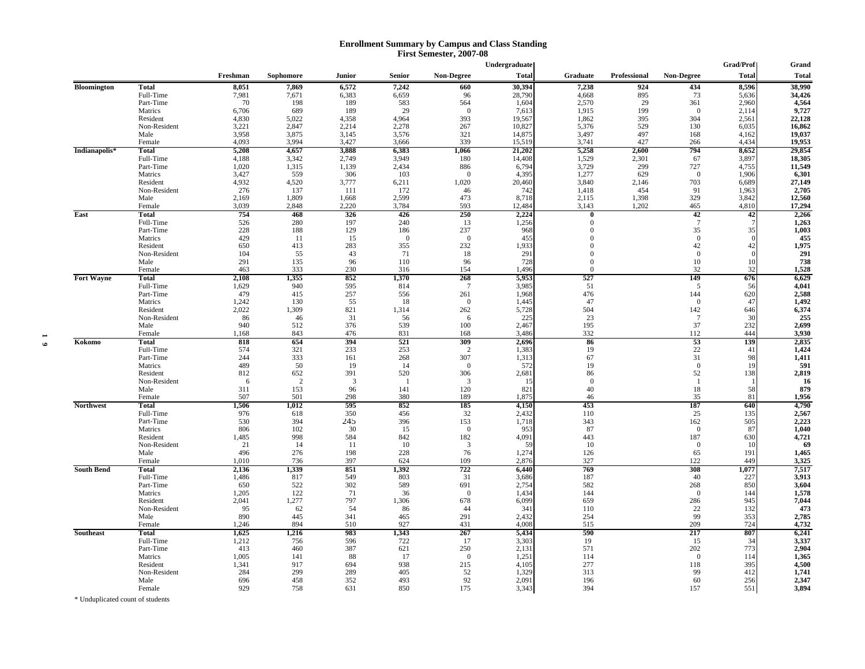#### **Enrollment Summary by Campus and Class Standing First Semester, 2007-08**

|                           |                     |                |              |                |               |                   | Undergraduate   |                |              |                       | <b>Grad/Prof</b> | Grand           |
|---------------------------|---------------------|----------------|--------------|----------------|---------------|-------------------|-----------------|----------------|--------------|-----------------------|------------------|-----------------|
|                           |                     | Freshman       | Sophomore    | Junior         | <b>Senior</b> | <b>Non-Degree</b> | <b>Total</b>    | Graduate       | Professional | <b>Non-Degree</b>     | <b>Total</b>     | <b>Total</b>    |
| Bloomington               | <b>Total</b>        | 8,051          | 7,869        | 6,572          | 7,242         | 660               | 30,394          | 7,238          | 924          | 434                   | 8,596            | 38,990          |
|                           | Full-Time           | 7,981          | 7,671        | 6,383          | 6,659         | 96                | 28,790          | 4,668          | 895          | 73                    | 5,636            | 34,426          |
|                           | Part-Time           | 70             | 198          | 189            | 583           | 564               | 1,604           | 2,570          | 29           | 361                   | 2.960            | 4,564           |
|                           | Matrics             | 6,706          | 689          | 189            | 29            | $\overline{0}$    | 7,613           | 1,915          | 199          | $\Omega$              | 2,114            | 9,727           |
|                           | Resident            | 4,830          | 5.022        | 4,358          | 4.964         | 393               | 19,567          | 1,862          | 395          | 304                   | 2,561            | 22,128          |
|                           | Non-Resident        | 3,221          | 2,847        | 2,214          | 2,278         | 267               | 10,827          | 5,376          | 529          | 130                   | 6,035            | 16,862          |
|                           | Male                | 3,958          | 3,875        | 3,145          | 3,576         | 321               | 14,875          | 3,497          | 497          | 168                   | 4,162            | 19,037          |
|                           | Female              | 4.093          | 3.994        | 3,427          | 3,666         | 339               | 15,519          | 3,741          | 427          | 266                   | 4,434            | 19,953          |
| Indianapolis <sup>*</sup> | Total               | 5,208          | 4.657        | 3.888          | 6,383         | 1,066             | 21,202          | 5,258          | 2.600        | 794                   | 8,652            | 29,854          |
|                           | Full-Time           | 4,188          | 3,342        | 2,749          | 3,949         | 180               | 14,408          | 1,529          | 2,301        | 67                    | 3,897            | 18,305          |
|                           | Part-Time           | 1,020          | 1,315        | 1.139          | 2.434         | 886<br>$\Omega$   | 6,794           | 3,729          | 299          | 727                   | 4,755            | 11,549          |
|                           | Matrics<br>Resident | 3,427<br>4,932 | 559<br>4,520 | 306<br>3,777   | 103<br>6,211  | 1,020             | 4,395<br>20,460 | 1,277<br>3,840 | 629<br>2,146 | $\overline{0}$<br>703 | 1,906<br>6,689   | 6,301<br>27,149 |
|                           | Non-Resident        | 276            | 137          | 111            | 172           | 46                | 742             | 1,418          | 454          | 91                    | 1,963            | 2,705           |
|                           | Male                | 2,169          | 1,809        | 1,668          | 2,599         | 473               | 8,718           | 2,115          | 1,398        | 329                   | 3,842            | 12,560          |
|                           | Female              | 3.039          | 2,848        | 2,220          | 3,784         | 593               | 12,484          | 3,143          | 1,202        | 465                   | 4,810            | 17,294          |
| East                      | <b>Total</b>        | 754            | 468          | 326            | 426           | 250               | 2,224           | $\theta$       |              | 42                    | 42               | 2,266           |
|                           | Full-Time           | 526            | 280          | 197            | 240           | 13                | 1,256           | $\Omega$       |              | $7\phantom{.0}$       |                  | 1,263           |
|                           | Part-Time           | 228            | 188          | 129            | 186           | 237               | 968             | 0              |              | 35                    | 35               | 1,003           |
|                           |                     | 429            | 11           | 15             | $\mathbf{0}$  | $\theta$          | 455             |                |              | $\mathbf{0}$          |                  | 455             |
|                           | Matrics<br>Resident | 650            | 413          | 283            | 355           | 232               | 1,933           | 0              |              | 42                    | 42               | 1,975           |
|                           | Non-Resident        | 104            | 55           | 43             | 71            | 18                | 291             | $\Omega$       |              | $\Omega$              |                  | 291             |
|                           | Male                | 291            | 135          | 96             | 110           | 96                | 728             | $\mathbf{0}$   |              | 10                    | 10               | 738             |
|                           | Female              | 463            | 333          | 230            | 316           | 154               | 1,496           | $\Omega$       |              | 32                    | 32               | 1,528           |
| <b>Fort Wayne</b>         | <b>Total</b>        | 2,108          | 1,355        | 852            | 1,370         | 268               | 5,953           | 527            |              | 149                   | 676              | 6,629           |
|                           | Full-Time           | 1,629          | 940          | 595            | 814           | $\overline{7}$    | 3,985           | 51             |              | 5                     | 56               | 4,041           |
|                           | Part-Time           | 479            | 415          | 257            | 556           | 261               | 1,968           | 476            |              | 144                   | 620              | 2,588           |
|                           | Matrics             | 1.242          | 130          | 55             | 18            | $\overline{0}$    | 1.445           | 47             |              | $\Omega$              | 47               | 1.492           |
|                           | Resident            | 2,022          | 1,309        | 821            | 1,314         | 262               | 5,728           | 504            |              | 142                   | 646              | 6,374           |
|                           | Non-Resident        | 86             | 46           | 31             | 56            | 6                 | 225             | 23             |              | 7                     | 30               | 255             |
|                           | Male                | 940            | 512          | 376            | 539           | 100               | 2,467           | 195            |              | 37                    | 232              | 2,699           |
|                           | Female              | 1,168          | 843          | 476            | 831           | 168               | 3,486           | 332            |              | 112                   | 444              | 3,930           |
| Kokomo                    | <b>Total</b>        | 818            | 654          | 394            | 521           | 309               | 2,696           | 86             |              | 53                    | 139              | 2,835           |
|                           | Full-Time           | 574            | 321          | 233            | 253           | $\overline{2}$    | 1,383           | 19             |              | $22\,$                | 41               | 1,424           |
|                           | Part-Time           | 244            | 333          | 161            | 268           | 307               | 1,313           | 67             |              | 31                    | 98               | 1,411           |
|                           | Matrics             | 489            | 50           | 19             | 14            | $\overline{0}$    | 572             | 19             |              | $\mathbf{0}$          | 19               | 591             |
|                           | Resident            | 812            | 652          | 391            | 520           | 306               | 2,681           | 86             |              | 52                    | 138              | 2,819           |
|                           | Non-Resident        | -6             | 2            | $\overline{3}$ |               | 3                 | 15              | $\overline{0}$ |              | -1                    |                  | <b>16</b>       |
|                           | Male                | 311            | 153          | 96             | 141           | 120               | 821             | 40             |              | 18                    | 58               | 879             |
|                           | Female              | 507            | 501          | 298            | 380           | 189               | 1,875           | 46             |              | 35                    | 81               | 1,956           |
| <b>Northwest</b>          | <b>Total</b>        | 1,506          | 1,012        | 595            | 852           | 185               | 4,150           | 453            |              | 187                   | 640              | 4,790           |
|                           | Full-Time           | 976            | 618          | 350            | 456           | 32                | 2,432           | 110            |              | 25                    | 135              | 2,567           |
|                           | Part-Time           | 530            | 394          | 245            | 396           | 153               | 1,718           | 343            |              | 162                   | 505              | 2,223           |
|                           | Matrics             | 806            | 102          | 30             | 15            | $\mathbf{0}$      | 953             | 87             |              | $\overline{0}$        | 87               | 1,040           |
|                           | Resident            | 1,485          | 998          | 584            | 842           | 182               | 4,091           | 443            |              | 187                   | 630              | 4,721           |
|                           | Non-Resident        | 21             | 14           | 11             | 10            | 3                 | 59              | 10             |              | $\overline{0}$        | 10               | -69             |
|                           | Male                | 496            | 276          | 198            | 228           | 76                | 1.274           | 126            |              | 65                    | 191              | 1,465           |
|                           | Female              | 1,010          | 736          | 397            | 624           | 109               | 2,876           | 327            |              | 122                   | 449              | 3,325           |
| <b>South Bend</b>         | Total               | 2,136          | 1,339        | 851            | 1,392         | 722               | 6,440           | 769            |              | 308                   | 1,077            | 7,517           |
|                           | Full-Time           | 1,486          | 817          | 549            | 803           | 31                | 3,686           | 187            |              | 40                    | 227              | 3,913           |
|                           | Part-Time           | 650            | 522          | 302            | 589           | 691               | 2,754           | 582            |              | 268                   | 850              | 3,604           |
|                           | Matrics             | 1,205          | 122          | 71             | 36            | $\mathbf{0}$      | 1,434           | 144            |              | $\overline{0}$        | 144              | 1,578           |
|                           | Resident            | 2,041          | 1,277        | 797            | 1.306         | 678               | 6,099           | 659            |              | 286                   | 945              | 7,044           |
|                           | Non-Resident        | 95             | 62           | 54             | 86            | 44                | 341             | 110            |              | 22                    | 132              | 473             |
|                           | Male                | 890            | 445          | 341            | 465           | 291               | 2,432           | 254            |              | 99                    | 353              | 2,785           |
|                           | Female              | 1,246          | 894          | 510            | 927           | 431               | 4,008           | 515            |              | 209                   | 724              | 4,732           |
| Southeast                 | <b>Total</b>        | 1,625          | 1,216        | 983            | 1,343         | 267               | 5,434           | 590            |              | 217                   | 807              | 6,241           |
|                           | Full-Time           | 1,212          | 756          | 596            | 722           | 17                | 3,303           | 19             |              | 15                    | 34               | 3,337           |
|                           | Part-Time           | 413            | 460          | 387            | 621           | 250               | 2,131           | 571            |              | 202                   | 773              | 2,904           |
|                           | Matrics             | 1,005          | 141          | 88             | 17            | $\overline{0}$    | 1,251           | 114            |              | $\overline{0}$        | 114              | 1,365           |
|                           | Resident            | 1,341          | 917          | 694            | 938           | 215               | 4,105           | 277            |              | 118                   | 395              | 4,500           |
|                           | Non-Resident        | 284            | 299          | 289            | 405           | 52                | 1,329           | 313            |              | 99                    | 412              | 1,741           |
|                           | Male                | 696            | 458          | 352            | 493           | 92                | 2,091           | 196            |              | 60                    | 256              | 2,347           |
|                           | Female              | 929            | 758          | 631            | 850           | 175               | 3,343           | 394            |              | 157                   | 551              | 3,894           |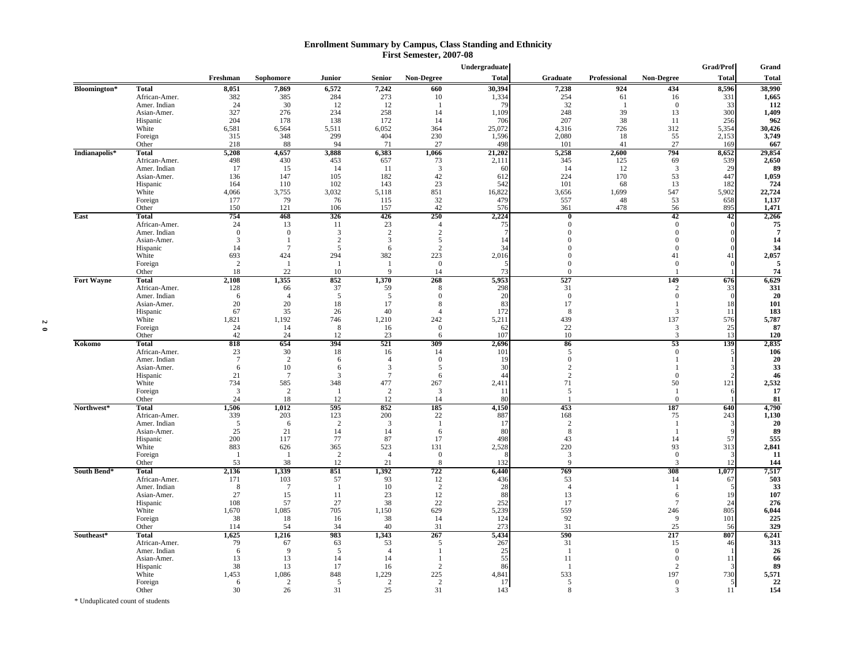#### **Enrollment Summary by Campus, Class Standing and Ethnicity First Semester, 2007-08**

|                   |               |                |                 |                |                |                   | Undergraduate |                |                |                   | Grad/Prof     | Grand        |
|-------------------|---------------|----------------|-----------------|----------------|----------------|-------------------|---------------|----------------|----------------|-------------------|---------------|--------------|
|                   |               | Freshman       | Sophomore       | Junior         | <b>Senior</b>  | <b>Non-Degree</b> | <b>Total</b>  | Graduate       | Professional   | <b>Non-Degree</b> | <b>Total</b>  | <b>Total</b> |
| Bloomington*      | <b>Total</b>  | 8,051          | 7,869           | 6,572          | 7,242          | 660               | 30,394        | 7,238          | 924            | 434               | 8,596         | 38,990       |
|                   | African-Amer. | 382            | 385             | 284            | 273            | 10                | 1,334         | 254            | 61             | 16                | 331           | 1,665        |
|                   | Amer. Indian  | 24             | 30              | 12             | 12             | $\overline{1}$    | 79            | 32             | $\overline{1}$ | $\Omega$          | 33            | 112          |
|                   | Asian-Amer.   | 327            | 276             | 234            | 258            | 14                | 1,109         | 248            | 39             | 13                | 300           | 1,409        |
|                   | Hispanic      | 204            | 178             | 138            | 172            | 14                | 706           | 207            | 38             | 11                | 256           | 962          |
|                   | White         | 6,581          | 6,564           | 5,511          | 6,052          | 364               | 25,072        | 4,316          | 726            | 312               | 5.354         | 30,426       |
|                   | Foreign       | 315            | 348             | 299            | 404            | 230               | 1,596         | 2,080          | 18             | 55                | 2,153         | 3,749        |
|                   | Other         | 218            | 88              | 94             | 71             | 27                | 498           | 101            | 41             | 27                | 169           | 667          |
| Indianapolis*     | <b>Total</b>  | 5,208          | 4,657           | 3,888          | 6,383          | 1,066             | 21,202        | 5,258          | 2,600          | 794               | 8,652         | 29,854       |
|                   | African-Amer. | 498            | 430             | 453            | 657            | 73                | 2,111         | 345            | 125            | 69                | 539           | 2,650        |
|                   | Amer. Indian  | 17             | 15              | 14             | -11            | 3                 | 60            | 14             | 12             | 3                 | 29            | 89           |
|                   | Asian-Amer.   | 136            | 147             | 105            | 182            | 42                | 612           | 224            | 170            | 53                | 447           | 1,059        |
|                   | Hispanic      | 164            | 110             | 102            | 143            | 23                | 542           | 101            | 68             | 13                | 182           | 724          |
|                   | White         | 4,066          | 3,755           | 3,032          | 5,118          | 851               | 16,822        | 3,656          | 1,699          | 547               | 5,902         | 22,724       |
|                   | Foreign       | 177            | 79              | 76             | 115            | 32                | 479           | 557            | 48             | 53                | 658           | 1,137        |
|                   | Other         | 150            | 121             | 106            | 157            | 42                | 576           | 361            | 478            | 56                | 895           | 1,471        |
| East              | <b>Total</b>  | 754            | 468             | 326            | 426            | 250               | 2,224         | $\mathbf{0}$   |                | 42                | 42            | 2,266        |
|                   | African-Amer. | 24             | 13              | 11             | 23             | $\overline{4}$    | 75            | $\mathbf{0}$   |                | $\mathbf{0}$      |               | 75           |
|                   | Amer. Indian  | $\Omega$       | $\Omega$        | 3              | 2              | $\overline{c}$    |               | $\Omega$       |                | $\Omega$          |               | -7           |
|                   | Asian-Amer.   | 3              | $\overline{1}$  | $\overline{2}$ | 3              | 5                 | 14            | $\Omega$       |                | $\Omega$          |               | 14           |
|                   | Hispanic      | 14             | 7               | $\overline{5}$ | 6              | $\overline{2}$    | 34            | $\Omega$       |                | $\Omega$          |               | 34           |
|                   | White         | 693            | 424             | 294            | 382            | 223               | 2,016         | $\Omega$       |                | 41                | 41            | 2,057        |
|                   | Foreign       | 2              | $\overline{1}$  | $\mathbf{1}$   | $\mathbf{1}$   | $\overline{0}$    |               | $\Omega$       |                | $\Omega$          |               | -5           |
|                   | Other         | 18             | 22              | 10             | $\mathbf Q$    | 14                | 73            | $\mathbf{0}$   |                |                   |               | 74           |
| <b>Fort Wayne</b> | <b>Total</b>  | 2.108          | 1,355           | 852            | 1,370          | 268               | 5,953         | 527            |                | 149               | 676           | 6,629        |
|                   | African-Amer. | 128            | 66              | 37             | 59             | 8                 | 298           | 31             |                | 2                 | 33            | 331          |
|                   | Amer. Indian  | 6              | $\overline{4}$  | 5              | 5              | $\overline{0}$    | 20            | $\overline{0}$ |                | $\mathbf{0}$      | $\sqrt{ }$    | 20           |
|                   | Asian-Amer.   | 20             | 20              | 18             | 17             | 8                 | 83            | 17             |                | -1                | 18            | 101          |
|                   | Hispanic      | 67             | 35              | 26             | 40             | $\overline{4}$    | 172           | 8              |                | 3                 | 11            | 183          |
|                   | White         | 1,821          | 1,192           | 746            | 1,210          | 242               | 5,211         | 439            |                | 137               | 576           | 5,787        |
|                   | Foreign       | 24             | 14              | 8              | 16             | $\mathbf{0}$      | 62            | 22             |                | 3                 | 25            | 87           |
|                   | Other         | 42             | 24              | 12             | 23             | 6                 | 107           | 10             |                | 3                 | 13            | 120          |
| Kokomo            | <b>Total</b>  | 818            | 654             | 394            | 521            | 309               | 2,696         | 86             |                | 53                | 139           | 2,835        |
|                   | African-Amer. | 23             | 30              | 18             | 16             | 14                | 101           | 5              |                | $\mathbf{0}$      |               | 106          |
|                   | Amer. Indian  | $\overline{7}$ | 2               | 6              | $\overline{4}$ | $\overline{0}$    | 19            | $\Omega$       |                | $\mathbf{1}$      |               | 20           |
|                   | Asian-Amer.   | 6              | 10              | 6              | 3              | 5                 | 30            | $\mathfrak{D}$ |                | $\mathbf{1}$      |               | 33           |
|                   | Hispanic      | 21             | $7\phantom{.0}$ | 3              | $\tau$         | 6                 | 44            | $\overline{2}$ |                | $\mathbf{0}$      |               | 46           |
|                   | White         | 734            | 585             | 348            | 477            | 267               | 2,411         | 71             |                | 50                | 121           | 2,532        |
|                   | Foreign       | 3              | $\overline{2}$  |                | 2              | 3                 | -11           | 5              |                | -1                |               | 17           |
|                   | Other         | 24             | 18              | 12             | 12             | 14                | 80            | $\blacksquare$ |                | $\Omega$          |               | 81           |
| Northwest*        | <b>Total</b>  | 1,506          | 1,012           | 595            | 852            | 185               | 4,150         | 453            |                | 187               | 640           | 4,790        |
|                   | African-Amer. | 339            | 203             | 123            | 200            | 22                | 887           | 168            |                | 75                | 243           | 1,130        |
|                   | Amer. Indian  | 5              | 6               | $\overline{2}$ | 3              | -1                | 17            | 2              |                | 1                 |               | 20           |
|                   | Asian-Amer.   | 25             | 21              | 14             | 14             | 6                 | 80            | 8              |                | $\mathbf{1}$      | $\mathbf{Q}$  | 89           |
|                   | Hispanic      | 200            | 117             | 77             | 87             | 17                | 498           | 43             |                | 14                | 57            | 555          |
|                   | White         | 883            | 626             | 365            | 523            | 131               | 2,528         | 220            |                | 93                | 313           | 2,841        |
|                   | Foreign       | -1             | - 1             | $\overline{2}$ | $\overline{4}$ | $\overline{0}$    |               | $\mathbf{3}$   |                | $\mathbf{0}$      |               | 11           |
|                   | Other         | 53             | 38              | 12             | 21             | 8                 | 132           | $\mathbf{Q}$   |                | 3                 | 12            | 144          |
| South Bend*       | <b>Total</b>  | 2,136          | 1,339           | 851            | 1,392          | 722               | 6,440         | 769            |                | 308               | 1,077         | 7,517        |
|                   | African-Amer. | 171            | 103             | 57             | 93             | 12                | 436           | 53             |                | 14                | 67            | 503          |
|                   | Amer. Indian  | 8              | $\overline{7}$  | $\overline{1}$ | 10             | $\overline{2}$    | 28            | $\overline{4}$ |                | $\mathbf{1}$      | $\mathcal{D}$ | 33           |
|                   | Asian-Amer.   | 27             | 15              | 11             | 23             | 12                | 88            | 13             |                | 6                 | 19            | 107          |
|                   | Hispanic      | 108            | 57              | 27             | 38             | 22                | 252           | 17             |                | $\overline{7}$    | 24            | 276          |
|                   | White         | 1,670          | 1,085           | 705            | 1,150          | 629               | 5,239         | 559            |                | 246               | 805           | 6,044        |
|                   | Foreign       | 38             | 18              | 16             | 38             | 14                | 124           | 92             |                | 9                 | 101           | 225          |
|                   | Other         | 114            | 54              | 34             | 40             | 31                | 273           | 31             |                | 25                | 56            | 329          |
| Southeast*        | <b>Total</b>  | 1.625          | 1,216           | 983            | 1,343          | 267               | 5.434         | 590            |                | 217               | 807           | 6,241        |
|                   | African-Amer. | 79             | 67              | 63             | 53             | 5                 | 267           | 31             |                | 15                | 46            | 313          |
|                   | Amer. Indian  | 6              | 9               | 5              | $\overline{4}$ | $\overline{1}$    | 25            | $\overline{1}$ |                | $\mathbf{0}$      |               | 26           |
|                   | Asian-Amer.   | 13             | 13              | 14             | 14             | $\overline{1}$    | 55            | 11             |                | $\mathbf{0}$      | 11            | 66           |
|                   | Hispanic      | 38             | 13              | 17             | 16             | $\mathcal{D}$     | 86            | -1             |                | $\overline{2}$    |               | 89           |
|                   | White         | 1,453          | 1,086           | 848            | 1.229          | 225               | 4,841         | 533            |                | 197               | 730           | 5,571        |
|                   | Foreign       | 6              | 2               | 5              | 2              | $\overline{c}$    | 17            | 5              |                | $\Omega$          | -5            | 22           |
|                   | Other         | 30             | 26              | 31             | 25             | 31                | 143           |                |                | 3                 | 11            | 154          |
|                   |               |                |                 |                |                |                   |               |                |                |                   |               |              |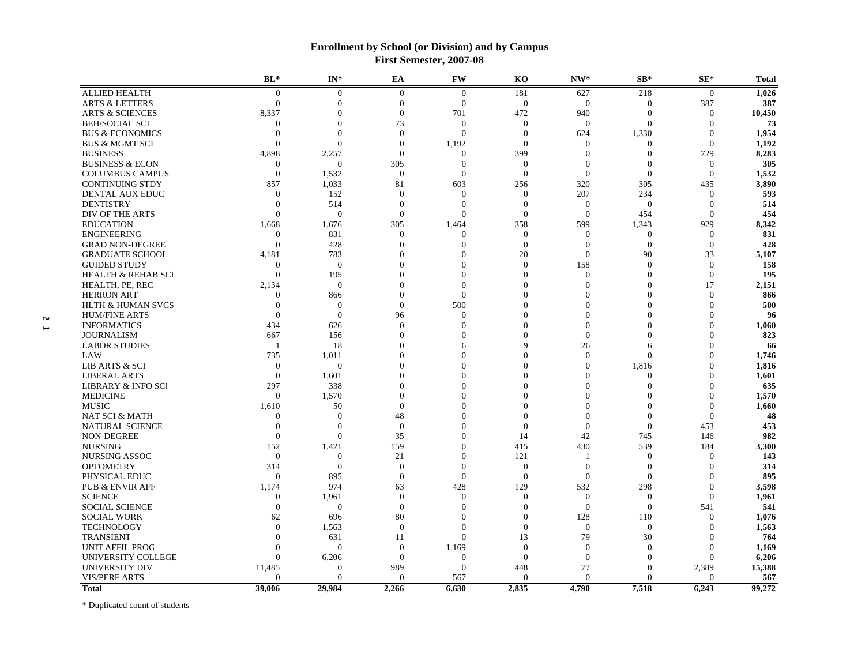### **Enrollment by School (or Division) and by Campus First Semester, 2007-08**

|                               | BL*            | $IN^*$          | EA               | <b>FW</b>      | KO               | $NW*$          | $SB*$                | $SE*$            | <b>Total</b> |
|-------------------------------|----------------|-----------------|------------------|----------------|------------------|----------------|----------------------|------------------|--------------|
| <b>ALLIED HEALTH</b>          | $\overline{0}$ | $\Omega$        | $\mathbf{0}$     | $\overline{0}$ | 181              | 627            | 218                  | $\mathbf{0}$     | 1,026        |
| <b>ARTS &amp; LETTERS</b>     | $\Omega$       | $\Omega$        | $\mathbf{0}$     | $\overline{0}$ | $\mathbf{0}$     | $\theta$       | $\Omega$             | 387              | 387          |
| <b>ARTS &amp; SCIENCES</b>    | 8,337          | $\Omega$        | $\theta$         | 701            | 472              | 940            | $\Omega$             | $\Omega$         | 10,450       |
| <b>BEH/SOCIAL SCI</b>         | $\Omega$       | $\Omega$        | 73               | $\theta$       | $\mathbf{0}$     | $\theta$       | $\Omega$             | $\theta$         | 73           |
| <b>BUS &amp; ECONOMICS</b>    | $\Omega$       | $\Omega$        | $\overline{0}$   | $\Omega$       | $\mathbf{0}$     | 624            | 1,330                | $\Omega$         | 1,954        |
| <b>BUS &amp; MGMT SCI</b>     | $\Omega$       | $\overline{0}$  | $\mathbf{0}$     | 1,192          | $\mathbf{0}$     | $\overline{0}$ | $\theta$             | $\mathbf{0}$     | 1,192        |
| <b>BUSINESS</b>               | 4,898          | 2,257           | $\Omega$         | $\Omega$       | 399              | $\Omega$       | $\Omega$             | 729              | 8,283        |
| <b>BUSINESS &amp; ECON</b>    | $\Omega$       | $\Omega$        | 305              | $\Omega$       | $\mathbf{0}$     | $\Omega$       | $\Omega$             | $\Omega$         | 305          |
| <b>COLUMBUS CAMPUS</b>        | $\Omega$       | 1,532           | $\mathbf{0}$     | $\Omega$       | $\mathbf{0}$     | $\theta$       | $\Omega$             | $\Omega$         | 1,532        |
| <b>CONTINUING STDY</b>        | 857            | 1,033           | 81               | 603            | 256              | 320            | 305                  | 435              | 3,890        |
| DENTAL AUX EDUC               | $\Omega$       | 152             | $\Omega$         | $\Omega$       | $\Omega$         | 207            | 234                  | $\Omega$         | 593          |
| <b>DENTISTRY</b>              | $\Omega$       | 514             | $\mathbf{0}$     | $\overline{0}$ | $\mathbf{0}$     | $\mathbf{0}$   | $\overline{0}$       | $\theta$         | 514          |
| DIV OF THE ARTS               | $\Omega$       | $\Omega$        | $\mathbf{0}$     | $\Omega$       | $\Omega$         | $\theta$       | 454                  | $\Omega$         | 454          |
| <b>EDUCATION</b>              | 1,668          | 1,676           | 305              | 1,464          | 358              | 599            | 1,343                | 929              | 8,342        |
| <b>ENGINEERING</b>            | $\mathbf{0}$   | 831             | $\theta$         | $\Omega$       | $\mathbf{0}$     | $\theta$       | $\overline{0}$       | $\theta$         | 831          |
| <b>GRAD NON-DEGREE</b>        | $\theta$       | 428             | $\Omega$         | $\Omega$       | $\Omega$         | $\Omega$       | $\Omega$             | $\Omega$         | 428          |
| <b>GRADUATE SCHOOL</b>        | 4,181          | 783             | $\Omega$         | $\theta$       | 20               | $\mathbf{0}$   | 90                   | 33               | 5,107        |
| <b>GUIDED STUDY</b>           | $\Omega$       | $\overline{0}$  | $\Omega$         | $\Omega$       | $\mathbf{0}$     | 158            | $\Omega$             | $\Omega$         | 158          |
| <b>HEALTH &amp; REHAB SCI</b> | $\Omega$       | 195             | $\Omega$         | $\Omega$       | $\Omega$         | $\Omega$       | $\Omega$             | $\Omega$         | 195          |
|                               |                | $\Omega$        | $\Omega$         | $\Omega$       | $\theta$         | $\Omega$       | $\Omega$             |                  |              |
| HEALTH, PE, REC               | 2,134          |                 | $\theta$         | $\theta$       | $\Omega$         | $\Omega$       | $\Omega$             | 17<br>$\theta$   | 2,151        |
| <b>HERRON ART</b>             | $\Omega$       | 866<br>$\Omega$ |                  |                |                  | $\Omega$       | $\Omega$             |                  | 866          |
| HLTH & HUMAN SVCS             | $\Omega$       |                 | $\mathbf{0}$     | 500            | $\mathbf{0}$     |                |                      | $\mathbf{0}$     | 500          |
| <b>HUM/FINE ARTS</b>          | $\Omega$       | $\overline{0}$  | 96               | $\theta$       | $\Omega$         | $\Omega$       | $\Omega$<br>$\Omega$ | $\mathbf{0}$     | 96           |
| <b>INFORMATICS</b>            | 434            | 626             | $\Omega$         | $\Omega$       | $\Omega$         | $\Omega$       |                      | $\Omega$         | 1,060        |
| <b>JOURNALISM</b>             | 667            | 156             | $\theta$         | $\Omega$       | $\mathbf{0}$     | $\theta$       | $\Omega$             | $\boldsymbol{0}$ | 823          |
| <b>LABOR STUDIES</b>          | $\overline{1}$ | 18              | $\Omega$         | 6              | 9                | 26             | 6                    | $\overline{0}$   | 66           |
| LAW                           | 735            | 1,011           | $\Omega$         | $\Omega$       | $\Omega$         | $\Omega$       | $\Omega$             | $\Omega$         | 1,746        |
| LIB ARTS & SCI                | $\overline{0}$ | $\theta$        | $\Omega$         | $\Omega$       | $\theta$         | $\Omega$       | 1,816                | $\mathbf{0}$     | 1,816        |
| <b>LIBERAL ARTS</b>           | $\Omega$       | 1.601           | $\Omega$         | $\Omega$       | $\Omega$         | $\Omega$       | $\Omega$             | $\Omega$         | 1,601        |
| <b>LIBRARY &amp; INFO SCI</b> | 297            | 338             | $\Omega$         | $\Omega$       | $\theta$         | $\Omega$       | $\Omega$             | $\mathbf{0}$     | 635          |
| <b>MEDICINE</b>               | $\Omega$       | 1,570           | $\Omega$         | $\Omega$       | $\Omega$         |                | $\Omega$             | $\mathbf{0}$     | 1,570        |
| <b>MUSIC</b>                  | 1,610          | 50              | $\Omega$         | $\Omega$       | $\Omega$         |                | $\Omega$             | $\Omega$         | 1,660        |
| NAT SCI & MATH                | $\theta$       | $\Omega$        | 48               | $\Omega$       | $\mathbf{0}$     | $\Omega$       | $\Omega$             | $\Omega$         | 48           |
| <b>NATURAL SCIENCE</b>        | $\Omega$       | $\Omega$        | $\overline{0}$   | $\Omega$       | $\mathbf{0}$     | $\theta$       | $\overline{0}$       | 453              | 453          |
| NON-DEGREE                    | $\Omega$       | $\Omega$        | 35               | $\Omega$       | 14               | 42             | 745                  | 146              | 982          |
| <b>NURSING</b>                | 152            | 1,421           | 159              | $\theta$       | 415              | 430            | 539                  | 184              | 3,300        |
| <b>NURSING ASSOC</b>          | $\Omega$       | $\overline{0}$  | 21               | $\Omega$       | 121              |                | $\overline{0}$       | $\Omega$         | 143          |
| <b>OPTOMETRY</b>              | 314            | $\overline{0}$  | $\boldsymbol{0}$ | $\Omega$       | $\boldsymbol{0}$ | $\theta$       | $\Omega$             | $\theta$         | 314          |
| PHYSICAL EDUC                 | $\theta$       | 895             | $\mathbf{0}$     | $\Omega$       | $\theta$         | $\theta$       | $\theta$             | $\theta$         | 895          |
| <b>PUB &amp; ENVIR AFF</b>    | 1.174          | 974             | 63               | 428            | 129              | 532            | 298                  | $\Omega$         | 3,598        |
| <b>SCIENCE</b>                | $\mathbf{0}$   | 1,961           | $\mathbf{0}$     | $\theta$       | $\boldsymbol{0}$ | $\mathbf{0}$   | $\mathbf{0}$         | $\theta$         | 1,961        |
| <b>SOCIAL SCIENCE</b>         | $\Omega$       | $\Omega$        | $\mathbf{0}$     | $\Omega$       | $\mathbf{0}$     | $\overline{0}$ | $\theta$             | 541              | 541          |
| <b>SOCIAL WORK</b>            | 62             | 696             | 80               | $\Omega$       | $\mathbf{0}$     | 128            | 110                  | $\Omega$         | 1,076        |
| <b>TECHNOLOGY</b>             | $\Omega$       | 1,563           | $\theta$         | $\Omega$       | $\mathbf{0}$     | $\mathbf{0}$   | $\theta$             | $\theta$         | 1,563        |
| <b>TRANSIENT</b>              | $\Omega$       | 631             | 11               | $\Omega$       | 13               | 79             | 30                   | $\Omega$         | 764          |
| <b>UNIT AFFIL PROG</b>        | $\theta$       | $\Omega$        | $\mathbf{0}$     | 1,169          | $\mathbf{0}$     | $\theta$       | $\overline{0}$       | $\theta$         | 1,169        |
| UNIVERSITY COLLEGE            | $\Omega$       | 6,206           | $\theta$         | $\theta$       | $\mathbf{0}$     | $\theta$       | $\overline{0}$       | $\Omega$         | 6,206        |
| UNIVERSITY DIV                | 11,485         | $\Omega$        | 989              | $\Omega$       | 448              | 77             | $\theta$             | 2,389            | 15,388       |
| <b>VIS/PERF ARTS</b>          | $\Omega$       | $\Omega$        | $\Omega$         | 567            | $\Omega$         | $\Omega$       | $\Omega$             | $\Omega$         | 567          |
| <b>Total</b>                  | 39,006         | 29,984          | 2.266            | 6.630          | 2.835            | 4,790          | 7.518                | 6.243            | 99,272       |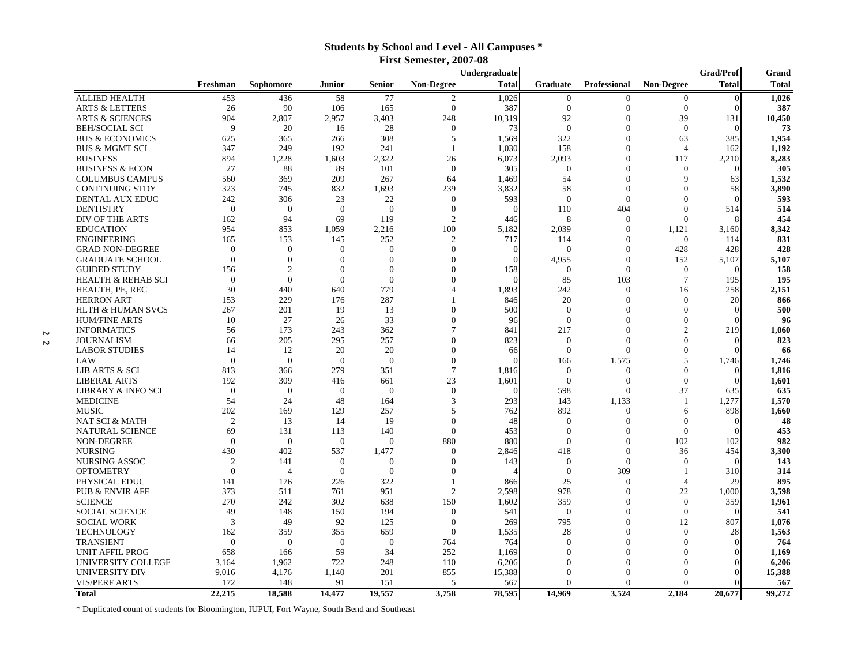### **Students by School and Level - All Campuses \***

|                               |                |                |                |                | First Semester, 2007-08 |               |                |                |                   |                  |              |
|-------------------------------|----------------|----------------|----------------|----------------|-------------------------|---------------|----------------|----------------|-------------------|------------------|--------------|
|                               |                |                |                |                |                         | Undergraduate |                |                |                   | <b>Grad/Prof</b> | Grand        |
|                               | Freshman       | Sophomore      | <b>Junior</b>  | <b>Senior</b>  | <b>Non-Degree</b>       | <b>Total</b>  | Graduate       | Professional   | <b>Non-Degree</b> | <b>Total</b>     | <b>Total</b> |
| <b>ALLIED HEALTH</b>          | 453            | 436            | 58             | 77             | 2                       | 1,026         | $\mathbf{0}$   | $\overline{0}$ | $\boldsymbol{0}$  | $\overline{0}$   | 1,026        |
| <b>ARTS &amp; LETTERS</b>     | 26             | 90             | 106            | 165            | $\theta$                | 387           | $\mathbf{0}$   | $\Omega$       | $\theta$          | $\Omega$         | 387          |
| <b>ARTS &amp; SCIENCES</b>    | 904            | 2,807          | 2,957          | 3,403          | 248                     | 10,319        | 92             | $\Omega$       | 39                | 131              | 10,450       |
| <b>BEH/SOCIAL SCI</b>         | 9              | 20             | 16             | 28             | $\Omega$                | 73            | $\overline{0}$ | $\Omega$       | $\Omega$          | $\Omega$         | 73           |
| <b>BUS &amp; ECONOMICS</b>    | 625            | 365            | 266            | 308            | 5                       | 1,569         | 322            | $\Omega$       | 63                | 385              | 1,954        |
| <b>BUS &amp; MGMT SCI</b>     | 347            | 249            | 192            | 241            | $\mathbf{1}$            | 1,030         | 158            | $\Omega$       | $\overline{4}$    | 162              | 1,192        |
| <b>BUSINESS</b>               | 894            | 1,228          | 1,603          | 2,322          | 26                      | 6,073         | 2,093          | $\Omega$       | 117               | 2,210            | 8,283        |
| <b>BUSINESS &amp; ECON</b>    | 27             | 88             | 89             | 101            | $\theta$                | 305           | $\mathbf{0}$   | $\Omega$       | $\mathbf{0}$      | $\Omega$         | 305          |
| <b>COLUMBUS CAMPUS</b>        | 560            | 369            | 209            | 267            | 64                      | 1,469         | 54             | $\Omega$       | $\mathbf Q$       | 63               | 1,532        |
| <b>CONTINUING STDY</b>        | 323            | 745            | 832            | 1,693          | 239                     | 3,832         | 58             | $\Omega$       | $\Omega$          | 58               | 3,890        |
| DENTAL AUX EDUC               | 242            | 306            | 23             | 22             | $\theta$                | 593           | $\overline{0}$ | $\Omega$       | $\Omega$          | $\Omega$         | 593          |
| <b>DENTISTRY</b>              | $\Omega$       | $\theta$       | $\Omega$       | $\Omega$       | $\Omega$                |               | 110            | 404            | $\Omega$          | 514              | 514          |
| DIV OF THE ARTS               | 162            | 94             | 69             | 119            | 2                       | 446           | 8              | $\mathbf{0}$   | $\Omega$          |                  | 454          |
| <b>EDUCATION</b>              | 954            | 853            | 1.059          | 2,216          | 100                     | 5,182         | 2,039          | $\Omega$       | 1.121             | 3,160            | 8,342        |
| <b>ENGINEERING</b>            | 165            | 153            | 145            | 252            | $\overline{c}$          | 717           | 114            | $\Omega$       | $\mathbf{0}$      | 114              | 831          |
| <b>GRAD NON-DEGREE</b>        | $\Omega$       | $\overline{0}$ | $\Omega$       | $\Omega$       | $\theta$                |               | $\Omega$       | $\Omega$       | 428               | 428              | 428          |
| <b>GRADUATE SCHOOL</b>        | $\Omega$       | $\Omega$       | $\Omega$       | $\Omega$       | $\Omega$                | $\Omega$      | 4,955          | $\Omega$       | 152               | 5,107            | 5,107        |
| <b>GUIDED STUDY</b>           | 156            | $\overline{2}$ | $\Omega$       | $\theta$       | $\Omega$                | 158           | $\mathbf{0}$   | $\Omega$       | $\mathbf{0}$      | $\Omega$         | 158          |
| <b>HEALTH &amp; REHAB SCI</b> | $\Omega$       | $\Omega$       | $\Omega$       | $\Omega$       | $\Omega$                |               | 85             | 103            | $\tau$            | 195              | 195          |
| HEALTH, PE, REC               | 30             | 440            | 640            | 779            | $\Delta$                | 1,893         | 242            | $\Omega$       | 16                | 258              | 2,151        |
| <b>HERRON ART</b>             | 153            | 229            | 176            | 287            |                         | 846           | 20             | $\Omega$       | $\Omega$          | 20               | 866          |
| HLTH & HUMAN SVCS             | 267            | 201            | 19             | 13             | $\Omega$                | 500           | $\mathbf{0}$   | $\Omega$       | $\Omega$          | $\Omega$         | 500          |
| <b>HUM/FINE ARTS</b>          | 10             | 27             | 26             | 33             | $\theta$                | 96            | $\Omega$       |                | $\overline{0}$    | $\bigcap$        | 96           |
| <b>INFORMATICS</b>            | 56             | 173            | 243            | 362            | 7                       | 841           | 217            | $\Omega$       | $\overline{2}$    | 219              | 1,060        |
| <b>JOURNALISM</b>             | 66             | 205            | 295            | 257            | $\Omega$                | 823           | $\mathbf{0}$   | $\Omega$       | $\theta$          | $\sqrt{ }$       | 823          |
| <b>LABOR STUDIES</b>          | 14             | 12             | 20             | 20             | $\Omega$                | 66            | $\mathbf{0}$   | $\Omega$       | $\mathbf{0}$      | $\Omega$         | 66           |
| LAW                           | $\Omega$       | $\mathbf{0}$   | $\Omega$       | $\theta$       | $\Omega$                |               | 166            | 1,575          | 5                 | 1,746            | 1,746        |
| LIB ARTS & SCI                | 813            | 366            | 279            | 351            | $\tau$                  | 1,816         | $\mathbf{0}$   | $\Omega$       | $\theta$          | $\Omega$         | 1,816        |
| <b>LIBERAL ARTS</b>           | 192            | 309            | 416            | 661            | 23                      | 1,601         | $\theta$       | $\Omega$       | $\Omega$          | $\Omega$         | 1,601        |
| <b>LIBRARY &amp; INFO SCI</b> | $\overline{0}$ | $\overline{0}$ | $\Omega$       | $\overline{0}$ | $\theta$                |               | 598            | $\Omega$       | 37                | 635              | 635          |
| <b>MEDICINE</b>               | 54             | 24             | 48             | 164            | 3                       | 293           | 143            | 1,133          |                   | 1,277            | 1,570        |
| <b>MUSIC</b>                  | 202            | 169            | 129            | 257            | 5                       | 762           | 892            | $\mathbf{0}$   | 6                 | 898              | 1,660        |
| <b>NAT SCI &amp; MATH</b>     | 2              | 13             | 14             | 19             | $\Omega$                | 48            | $\mathbf{0}$   | $\Omega$       | $\Omega$          | $\Omega$         | 48           |
| NATURAL SCIENCE               | 69             | 131            | 113            | 140            | $\Omega$                | 453           | $\Omega$       | $\Omega$       | $\Omega$          | $\bigcap$        | 453          |
| NON-DEGREE                    | $\Omega$       | $\overline{0}$ | $\theta$       | $\Omega$       | 880                     | 880           | $\mathbf{0}$   | $\Omega$       | 102               | 102              | 982          |
| <b>NURSING</b>                | 430            | 402            | 537            | 1,477          | $\theta$                | 2,846         | 418            | $\Omega$       | 36                | 454              | 3,300        |
| NURSING ASSOC                 | $\overline{2}$ | 141            | $\overline{0}$ | $\overline{0}$ | $\mathbf{0}$            | 143           | $\theta$       | $\Omega$       | $\overline{0}$    | $\Omega$         | 143          |
| <b>OPTOMETRY</b>              | $\theta$       | $\overline{4}$ | $\Omega$       | $\overline{0}$ | $\Omega$                |               | $\overline{0}$ | 309            |                   | 310              | 314          |
| PHYSICAL EDUC                 | 141            | 176            | 226            | 322            | 1                       | 866           | 25             | $\theta$       | $\overline{4}$    | 29               | 895          |
| <b>PUB &amp; ENVIR AFF</b>    | 373            | 511            | 761            | 951            | 2                       | 2,598         | 978            | $\Omega$       | 22                | 1,000            | 3,598        |
| <b>SCIENCE</b>                | 270            | 242            | 302            | 638            | 150                     | 1,602         | 359            | $\Omega$       | $\Omega$          | 359              | 1,961        |
| <b>SOCIAL SCIENCE</b>         | 49             | 148            | 150            | 194            | $\mathbf{0}$            | 541           | $\theta$       | $\Omega$       | $\overline{0}$    | $\Omega$         | 541          |
| <b>SOCIAL WORK</b>            | 3              | 49             | 92             | 125            | $\Omega$                | 269           | 795            | $\Omega$       | 12                | 807              | 1,076        |
| <b>TECHNOLOGY</b>             | 162            | 359            | 355            | 659            | $\mathbf{0}$            | 1,535         | 28             | $\Omega$       | $\Omega$          | 28               | 1,563        |
| <b>TRANSIENT</b>              | $\mathbf{0}$   | $\overline{0}$ | $\overline{0}$ | $\overline{0}$ | 764                     | 764           | $\mathbf{0}$   | $\Omega$       | $\theta$          | $\Omega$         | 764          |
| <b>UNIT AFFIL PROG</b>        | 658            | 166            | 59             | 34             | 252                     | 1.169         | $\Omega$       |                | $\Omega$          | $\sqrt{ }$       | 1,169        |
| UNIVERSITY COLLEGE            | 3,164          | 1,962          | 722            | 248            | 110                     | 6,206         | $\Omega$       |                | $\Omega$          | $\bigcap$        | 6,206        |
| UNIVERSITY DIV                | 9,016          | 4,176          | 1,140          | 201            | 855                     | 15,388        | $\Omega$       |                | $\Omega$          | $\sqrt{ }$       | 15,388       |
| <b>VIS/PERF ARTS</b>          | 172            | 148            | 91             | 151            | 5                       | 567           | 0              | $\Omega$       | $\Omega$          | $\Omega$         | 567          |
| <b>Total</b>                  | 22,215         | 18.588         | 14,477         | 19,557         | 3,758                   | 78.595        | 14.969         | 3.524          | 2.184             | 20,677           | 99,272       |

\* Duplicated count of students for Bloomington, IUPUI, Fort Wayne, South Bend and Southeast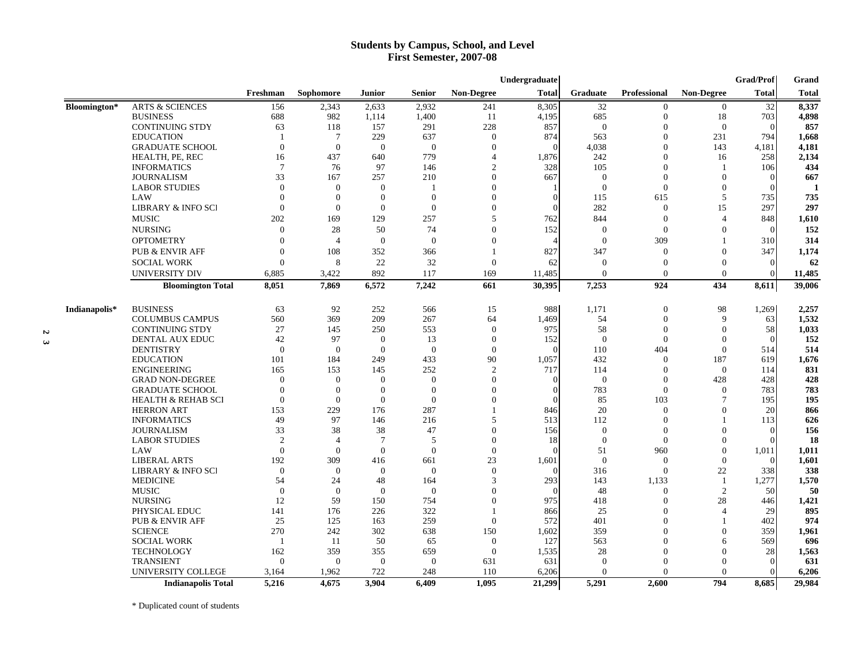#### **Students by Campus, School, and Level First Semester, 2007-08**

|                     |                                                    |                 |                 |                  |                 |                   | Undergraduate   |                                  |                      |                       | Grad/Prof         | Grand        |
|---------------------|----------------------------------------------------|-----------------|-----------------|------------------|-----------------|-------------------|-----------------|----------------------------------|----------------------|-----------------------|-------------------|--------------|
|                     |                                                    | Freshman        | Sophomore       | <b>Junior</b>    | <b>Senior</b>   | <b>Non-Degree</b> | <b>Total</b>    | Graduate                         | Professional         | <b>Non-Degree</b>     | <b>Total</b>      | <b>Total</b> |
| <b>Bloomington*</b> | <b>ARTS &amp; SCIENCES</b>                         | 156             | 2,343           | 2,633            | 2,932           | 241               | 8,305           | 32                               | $\mathbf{0}$         | $\overline{0}$        | 32                | 8,337        |
|                     | <b>BUSINESS</b>                                    | 688             | 982             | 1,114            | 1,400           | -11               | 4,195           | 685                              | $\mathbf{0}$         | 18                    | 703               | 4,898        |
|                     | <b>CONTINUING STDY</b>                             | 63              | 118             | 157              | 291             | 228               | 857             | $\mathbf{0}$                     | $\overline{0}$       | $\theta$              | $\Omega$          | 857          |
|                     | <b>EDUCATION</b>                                   |                 | 7               | 229              | 637             | $\overline{0}$    | 874             | 563                              | $\overline{0}$       | 231                   | 794               | 1,668        |
|                     | <b>GRADUATE SCHOOL</b>                             | $\Omega$        | $\Omega$        | $\Omega$         | $\Omega$        | $\Omega$          | $\Omega$        | 4,038                            | $\Omega$             | 143                   | 4,181             | 4,181        |
|                     | HEALTH, PE, REC                                    | 16              | 437             | 640              | 779             | $\overline{4}$    | 1,876           | 242                              | $\mathbf{0}$         | 16                    | 258               | 2,134        |
|                     | <b>INFORMATICS</b>                                 | 7               | 76              | 97               | 146             | $\overline{c}$    | 328             | 105                              | $\Omega$             | 1                     | 106               | 434          |
|                     | <b>JOURNALISM</b>                                  | 33              | 167             | 257              | 210             | $\theta$          | 667             | $\mathbf{0}$                     | $\mathbf{0}$         | $\mathbf{0}$          | $\overline{0}$    | 667          |
|                     | <b>LABOR STUDIES</b>                               | $\Omega$        | $\Omega$        | $\overline{0}$   | $\overline{1}$  | $\Omega$          |                 | $\mathbf{0}$                     | $\Omega$             | $\theta$              | $\sqrt{ }$        |              |
|                     | LAW                                                | $\Omega$        | $\Omega$        | $\overline{0}$   | $\Omega$        | $\Omega$          |                 | 115                              | 615                  | 5                     | 735               | 735          |
|                     | LIBRARY & INFO SCI                                 | $\Omega$        | $\Omega$        | $\Omega$         | $\Omega$        | $\Omega$          |                 | 282                              | $\Omega$             | 15                    | 297               | 297          |
|                     | <b>MUSIC</b>                                       | 202             | 169             | 129              | 257             | 5                 | 762             | 844                              | $\overline{0}$       | $\overline{4}$        | 848               | 1,610        |
|                     | <b>NURSING</b>                                     | $\Omega$        | 28              | 50               | 74              | $\Omega$          | 152             | $\mathbf{0}$                     | $\Omega$             | $\theta$              | $\Omega$          | 152          |
|                     | <b>OPTOMETRY</b>                                   | $\Omega$        | $\overline{4}$  | $\theta$         | $\overline{0}$  | $\Omega$          |                 | $\overline{0}$                   | 309                  |                       | 310               | 314          |
|                     | <b>PUB &amp; ENVIR AFF</b>                         | $\Omega$        | 108             | 352              | 366             |                   | 827             | 347                              | $\overline{0}$       | $\theta$              | 347               | 1,174        |
|                     | <b>SOCIAL WORK</b>                                 | $\Omega$        | 8               | 22               | 32              | $\mathbf{0}$      | 62              | $\mathbf{0}$                     | $\Omega$             | $\Omega$              | $\Omega$          | 62           |
|                     | <b>UNIVERSITY DIV</b>                              | 6,885           | 3,422           | 892              | 117             | 169               | 11,485          | $\theta$                         | $\theta$             | $\theta$              | $\Omega$          | 11,485       |
|                     | <b>Bloomington Total</b>                           | 8,051           | 7,869           | 6,572            | 7,242           | 661               | 30,395          | 7,253                            | 924                  | 434                   | 8,611             | 39,006       |
|                     |                                                    |                 |                 |                  |                 |                   |                 |                                  |                      |                       |                   |              |
| Indianapolis*       | <b>BUSINESS</b>                                    | 63              | 92              | 252              | 566             | 15                | 988             | 1,171                            | $\mathbf{0}$         | 98<br>$\mathbf{Q}$    | 1,269             | 2,257        |
|                     | <b>COLUMBUS CAMPUS</b>                             | 560             | 369             | 209              | 267             | 64                | 1,469           | 54                               | $\mathbf{0}$         |                       | 63                | 1,532        |
|                     | <b>CONTINUING STDY</b>                             | 27              | 145             | 250              | 553             | $\theta$          | 975             | 58                               | $\mathbf{0}$         | $\overline{0}$        | 58                | 1,033        |
|                     | DENTAL AUX EDUC                                    | 42              | 97              | $\overline{0}$   | 13              | $\theta$          | 152<br>$\Omega$ | $\mathbf{0}$                     | $\Omega$             | $\theta$              | $\Omega$          | 152          |
|                     | <b>DENTISTRY</b>                                   | $\overline{0}$  | $\overline{0}$  | $\overline{0}$   | $\mathbf{0}$    | $\theta$<br>90    |                 | 110                              | 404<br>$\Omega$      | $\overline{0}$        | 514               | 514          |
|                     | <b>EDUCATION</b>                                   | 101             | 184             | 249              | 433             |                   | 1,057           | 432                              |                      | 187                   | 619               | 1,676        |
|                     | <b>ENGINEERING</b>                                 | 165<br>$\Omega$ | 153<br>$\Omega$ | 145<br>$\Omega$  | 252<br>$\Omega$ | 2<br>$\Omega$     | 717             | 114<br>$\Omega$                  | $\Omega$<br>$\Omega$ | $\overline{0}$        | 114               | 831<br>428   |
|                     | <b>GRAD NON-DEGREE</b><br><b>GRADUATE SCHOOL</b>   | $\mathbf{0}$    | $\Omega$        | $\overline{0}$   | $\overline{0}$  | $\Omega$          |                 | 783                              | $\Omega$             | 428<br>$\overline{0}$ | 428<br>783        | 783          |
|                     |                                                    | $\Omega$        | $\overline{0}$  | $\theta$         | $\theta$        | $\Omega$          |                 | 85                               | 103                  | $\overline{7}$        | 195               |              |
|                     | <b>HEALTH &amp; REHAB SCI</b><br><b>HERRON ART</b> | 153             | 229             | 176              | 287             |                   | 846             | 20                               | $\Omega$             | $\theta$              | 20                | 195<br>866   |
|                     |                                                    | 49              | 97              | 146              | 216             | 5                 | 513             | 112                              | $\Omega$             | -1                    | 113               | 626          |
|                     | <b>INFORMATICS</b>                                 | 33              | 38              | 38               | 47              | $\Omega$          | 156             |                                  | $\Omega$             | $\Omega$              | $\Omega$          |              |
|                     | <b>JOURNALISM</b>                                  | $\overline{c}$  | $\overline{4}$  | $\overline{7}$   | 5               | $\Omega$          |                 | $\mathbf{0}$<br>$\boldsymbol{0}$ | $\overline{0}$       | $\overline{0}$        | $\Omega$          | 156<br>18    |
|                     | <b>LABOR STUDIES</b><br>LAW                        | $\mathbf{0}$    | $\overline{0}$  | $\boldsymbol{0}$ | $\overline{0}$  | $\theta$          | 18<br>$\Omega$  | 51                               | 960                  | $\overline{0}$        |                   |              |
|                     | <b>LIBERAL ARTS</b>                                | 192             | 309             | 416              | 661             | 23                | 1,601           | $\overline{0}$                   | $\Omega$             | $\overline{0}$        | 1,011<br>$\Omega$ | 1,011        |
|                     | <b>LIBRARY &amp; INFO SCI</b>                      | $\theta$        | $\overline{0}$  | $\theta$         | $\Omega$        | $\theta$          | $\Omega$        | 316                              | $\Omega$             | 22                    | 338               | 1,601<br>338 |
|                     | <b>MEDICINE</b>                                    | 54              | 24              | 48               | 164             | 3                 | 293             | 143                              | 1,133                | -1                    | 1,277             | 1,570        |
|                     | <b>MUSIC</b>                                       | $\Omega$        | $\Omega$        | $\Omega$         | $\Omega$        | $\Omega$          | $\Omega$        | 48                               | $\Omega$             | $\overline{2}$        | 50                |              |
|                     | <b>NURSING</b>                                     | 12              | 59              | 150              | 754             | $\theta$          | 975             | 418                              | $\overline{0}$       | 28                    | 446               | 50<br>1,421  |
|                     | PHYSICAL EDUC                                      | 141             | 176             | 226              | 322             |                   | 866             | 25                               | $\Omega$             | $\overline{4}$        | 29                | 895          |
|                     | <b>PUB &amp; ENVIR AFF</b>                         | 25              | 125             | 163              | 259             | $\overline{0}$    | 572             | 401                              | $\Omega$             | 1                     | 402               | 974          |
|                     | <b>SCIENCE</b>                                     | 270             | 242             | 302              | 638             | 150               | 1,602           | 359                              | $\theta$             | $\Omega$              | 359               | 1,961        |
|                     | <b>SOCIAL WORK</b>                                 |                 | 11              | 50               | 65              | $\theta$          | 127             | 563                              | $\Omega$             | 6                     | 569               | 696          |
|                     | <b>TECHNOLOGY</b>                                  | 162             | 359             | 355              | 659             | $\theta$          | 1,535           | 28                               | $\Omega$             | $\Omega$              | 28                | 1,563        |
|                     | <b>TRANSIENT</b>                                   | $\overline{0}$  | $\mathbf{0}$    | $\mathbf{0}$     | $\overline{0}$  | 631               | 631             | $\mathbf{0}$                     | $\Omega$             | $\theta$              | $\Omega$          | 631          |
|                     | UNIVERSITY COLLEGE                                 | 3,164           | 1,962           | 722              | 248             | 110               | 6,206           | $\Omega$                         | $\Omega$             | $\Omega$              | $\Omega$          | 6,206        |
|                     | <b>Indianapolis Total</b>                          | 5.216           | 4.675           | 3.904            | 6.409           | 1.095             | 21,299          | 5.291                            | 2.600                | 794                   | 8.685             | 29.984       |
|                     |                                                    |                 |                 |                  |                 |                   |                 |                                  |                      |                       |                   |              |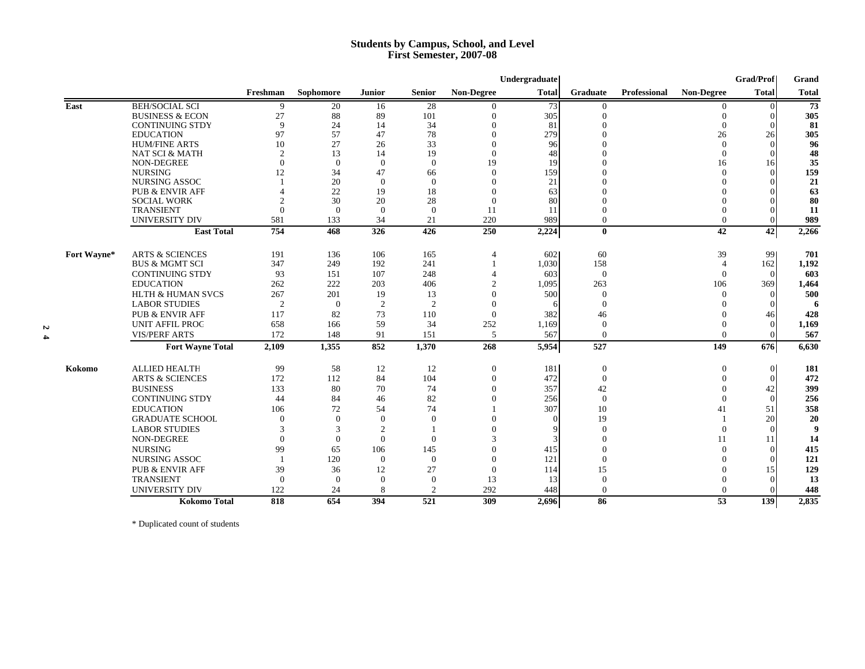#### **Students by Campus, School, and Level First Semester, 2007-08**

|             |                              |                |                |                |                |              | Undergraduate |              |              |                   | <b>Grad/Prof</b> | Grand        |
|-------------|------------------------------|----------------|----------------|----------------|----------------|--------------|---------------|--------------|--------------|-------------------|------------------|--------------|
|             |                              | Freshman       | Sophomore      | Junior         | <b>Senior</b>  | Non-Degree   | <b>Total</b>  | Graduate     | Professional | <b>Non-Degree</b> | <b>Total</b>     | <b>Total</b> |
| East        | <b>BEH/SOCIAL SCI</b>        | 9              | 20             | 16             | 28             | $\Omega$     | 73            | $\Omega$     |              |                   | $\overline{0}$   | 73           |
|             | <b>BUSINESS &amp; ECON</b>   | 27             | 88             | 89             | 101            | $\theta$     | 305           | $\mathbf{0}$ |              | $\Omega$          | $\Omega$         | 305          |
|             | <b>CONTINUING STDY</b>       | 9              | 24             | 14             | 34             | $\Omega$     | 81            | $\theta$     |              | $\theta$          | $\Omega$         | 81           |
|             | <b>EDUCATION</b>             | 97             | 57             | 47             | 78             | $\Omega$     | 279           | $\Omega$     |              | 26                | 26               | 305          |
|             | <b>HUM/FINE ARTS</b>         | 10             | 27             | 26             | 33             | $\Omega$     | 96            | $\Omega$     |              | $\Omega$          | $\theta$         | 96           |
|             | <b>NAT SCI &amp; MATH</b>    | $\overline{2}$ | 13             | 14             | 19             | $\theta$     | 48            | $\mathbf{0}$ |              | $\Omega$          | $\Omega$         | 48           |
|             | NON-DEGREE                   | $\Omega$       | $\theta$       | $\theta$       | $\theta$       | 19           | 19            | $\theta$     |              | 16                | 16               | 35           |
|             | <b>NURSING</b>               | 12             | 34             | 47             | 66             | $\Omega$     | 159           | $\Omega$     |              | $\Omega$          | $\theta$         | 159          |
|             | <b>NURSING ASSOC</b>         |                | 20             | $\overline{0}$ | $\Omega$       |              | 21            | $\Omega$     |              |                   | $\Omega$         | 21           |
|             | <b>PUB &amp; ENVIR AFF</b>   |                | 22             | 19             | 18             |              | 63            | 0            |              |                   | $\Omega$         | 63           |
|             | <b>SOCIAL WORK</b>           |                | 30             | 20             | 28             | $\Omega$     | 80            | 0            |              |                   | $\Omega$         | 80           |
|             | <b>TRANSIENT</b>             | $\Omega$       | $\Omega$       | $\Omega$       | $\Omega$       | 11           | 11            | $\Omega$     |              |                   | $\Omega$         | 11           |
|             | <b>UNIVERSITY DIV</b>        | 581            | 133            | 34             | 21             | 220          | 989           | $\Omega$     |              | $\Omega$          | $\Omega$         | 989          |
|             | <b>East Total</b>            | 754            | 468            | 326            | 426            | 250          | 2,224         | $\bf{0}$     |              | 42                | 42               | 2,266        |
| Fort Wayne* | <b>ARTS &amp; SCIENCES</b>   | 191            | 136            | 106            | 165            |              | 602           | 60           |              | 39                | 99               | 701          |
|             | <b>BUS &amp; MGMT SCI</b>    | 347            | 249            | 192            | 241            |              | 1,030         | 158          |              | $\overline{4}$    | 162              | 1,192        |
|             | <b>CONTINUING STDY</b>       | 93             | 151            | 107            | 248            |              | 603           | $\Omega$     |              | $\Omega$          | $\Omega$         | 603          |
|             | <b>EDUCATION</b>             | 262            | 222            | 203            | 406            |              | 1,095         | 263          |              | 106               | 369              | 1,464        |
|             | <b>HLTH &amp; HUMAN SVCS</b> | 267            | 201            | 19             | 13             |              | 500           | $\mathbf{0}$ |              | $\Omega$          | $\Omega$         | 500          |
|             | <b>LABOR STUDIES</b>         | $\overline{2}$ | $\theta$       | $\overline{2}$ | $\overline{2}$ |              |               | $\Omega$     |              |                   | $\Omega$         | -6           |
|             | <b>PUB &amp; ENVIR AFF</b>   | 117            | 82             | 73             | 110            | $\mathbf{0}$ | 382           | 46           |              |                   | 46               | 428          |
|             | <b>UNIT AFFIL PROG</b>       | 658            | 166            | 59             | 34             | 252          | 1,169         | $\mathbf{0}$ |              |                   | $\mathbf{0}$     | 1,169        |
|             | <b>VIS/PERF ARTS</b>         | 172            | 148            | 91             | 151            | 5            | 567           | $\theta$     |              | 0                 | $\Omega$         | 567          |
|             | <b>Fort Wayne Total</b>      | 2,109          | 1,355          | 852            | 1,370          | 268          | 5,954         | 527          |              | 149               | 676              | 6,630        |
| Kokomo      | <b>ALLIED HEALTH</b>         | 99             | 58             | 12             | 12             | $\mathbf{0}$ | 181           | $\mathbf{0}$ |              | $\overline{0}$    | $\overline{0}$   | 181          |
|             | <b>ARTS &amp; SCIENCES</b>   | 172            | 112            | 84             | 104            | $\mathbf{0}$ | 472           | $\mathbf{0}$ |              | 0                 | $\Omega$         | 472          |
|             | <b>BUSINESS</b>              | 133            | 80             | 70             | 74             | $\theta$     | 357           | 42           |              |                   | 42               | 399          |
|             | <b>CONTINUING STDY</b>       | 44             | 84             | 46             | 82             | $\Omega$     | 256           | $\Omega$     |              | $\Omega$          | $\theta$         | 256          |
|             | <b>EDUCATION</b>             | 106            | 72             | 54             | 74             |              | 307           | 10           |              | 41                | 51               | 358          |
|             | <b>GRADUATE SCHOOL</b>       | $\Omega$       | $\Omega$       | $\overline{0}$ | $\Omega$       |              |               | 19           |              |                   | 20               | 20           |
|             | <b>LABOR STUDIES</b>         | 3              | 3              | $\overline{2}$ |                |              |               | $\Omega$     |              | $\Omega$          | $\Omega$         | 9            |
|             | NON-DEGREE                   | $\Omega$       | $\theta$       | $\overline{0}$ | $\mathbf{0}$   |              |               | $\Omega$     |              | 11                | 11               | 14           |
|             | <b>NURSING</b>               | 99             | 65             | 106            | 145            |              | 415           | $\Omega$     |              | $\Omega$          | $\Omega$         | 415          |
|             | <b>NURSING ASSOC</b>         |                | 120            | $\overline{0}$ | $\Omega$       | $\Omega$     | 121           | $\mathbf{0}$ |              |                   | $\Omega$         | 121          |
|             | <b>PUB &amp; ENVIR AFF</b>   | 39             | 36             | 12             | 27             | $\Omega$     | 114           | 15           |              |                   | 15               | 129          |
|             | <b>TRANSIENT</b>             | $\Omega$       | $\overline{0}$ | $\mathbf{0}$   | $\mathbf{0}$   | 13           | 13            | $\Omega$     |              |                   | $\Omega$         | 13           |
|             | <b>UNIVERSITY DIV</b>        | 122            | 24             | 8              | $\overline{2}$ | 292          | 448           | $\Omega$     |              | $\Omega$          | $\Omega$         | 448          |
|             |                              |                |                |                |                |              |               |              |              |                   |                  |              |
|             | <b>Kokomo Total</b>          | 818            | 654            | 394            | 521            | 309          | 2,696         | 86           |              | 53                | 139              | 2,835        |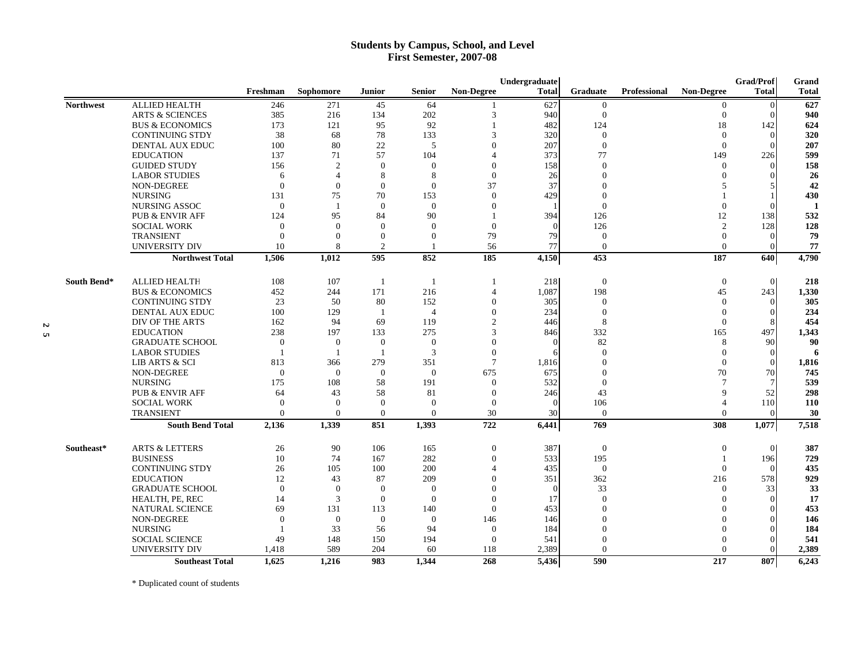#### **Students by Campus, School, and Level First Semester, 2007-08**

|                  |                            |                |                |                |                |                   | Undergraduate |                |              |                   | Grad/Prof      | Grand        |
|------------------|----------------------------|----------------|----------------|----------------|----------------|-------------------|---------------|----------------|--------------|-------------------|----------------|--------------|
|                  |                            | Freshman       | Sophomore      | <b>Junior</b>  | Senior         | <b>Non-Degree</b> | <b>Total</b>  | Graduate       | Professional | <b>Non-Degree</b> | <b>Total</b>   | <b>Total</b> |
| <b>Northwest</b> | <b>ALLIED HEALTH</b>       | 246            | 271            | 45             | 64             |                   | 627           | $\mathbf{0}$   |              | $\overline{0}$    | $\mathbf{0}$   | 627          |
|                  | <b>ARTS &amp; SCIENCES</b> | 385            | 216            | 134            | 202            | 3                 | 940           | $\overline{0}$ |              | $\overline{0}$    | $\mathbf{0}$   | 940          |
|                  | <b>BUS &amp; ECONOMICS</b> | 173            | 121            | 95             | 92             |                   | 482           | 124            |              | 18                | 142            | 624          |
|                  | <b>CONTINUING STDY</b>     | 38             | 68             | 78             | 133            | 3                 | 320           | $\mathbf{0}$   |              | $\overline{0}$    | $\Omega$       | 320          |
|                  | DENTAL AUX EDUC            | 100            | 80             | 22             | 5              |                   | 207           | $\mathbf{0}$   |              | $\mathbf{0}$      | $\Omega$       | 207          |
|                  | <b>EDUCATION</b>           | 137            | 71             | 57             | 104            |                   | 373           | 77             |              | 149               | 226            | 599          |
|                  | <b>GUIDED STUDY</b>        | 156            | 2              | $\overline{0}$ | $\theta$       |                   | 158           | $\mathbf{0}$   |              | $\overline{0}$    | $\Omega$       | 158          |
|                  | <b>LABOR STUDIES</b>       | 6              | $\overline{4}$ | 8              | 8              | $\Omega$          | 26            | $\theta$       |              | $\Omega$          | $\Omega$       | 26           |
|                  | <b>NON-DEGREE</b>          | $\Omega$       | $\mathbf{0}$   | $\overline{0}$ | $\theta$       | 37                | 37            | $\Omega$       |              |                   |                | 42           |
|                  | <b>NURSING</b>             | 131            | 75             | 70             | 153            | $\Omega$          | 429           | $\Omega$       |              |                   |                | 430          |
|                  | <b>NURSING ASSOC</b>       | $\Omega$       | $\overline{1}$ | $\theta$       | $\Omega$       | $\Omega$          |               | $\Omega$       |              | $\Omega$          | $\Omega$       | $\mathbf{1}$ |
|                  | <b>PUB &amp; ENVIR AFF</b> | 124            | 95             | 84             | 90             |                   | 394           | 126            |              | 12                | 138            | 532          |
|                  | <b>SOCIAL WORK</b>         | $\Omega$       | $\Omega$       | $\theta$       | $\Omega$       | $\Omega$          |               | 126            |              | 2                 | 128            | 128          |
|                  | <b>TRANSIENT</b>           | $\Omega$       | $\Omega$       | $\overline{0}$ | $\theta$       | 79                | 79            | $\Omega$       |              | $\overline{0}$    | $\Omega$       | 79           |
|                  | UNIVERSITY DIV             | 10             | 8              | $\overline{2}$ |                | 56                | 77            | $\Omega$       |              | $\Omega$          | $\Omega$       | 77           |
|                  | <b>Northwest Total</b>     | 1,506          | 1.012          | 595            | 852            | 185               | 4,150         | 453            |              | 187               | 640            | 4,790        |
| South Bend*      | <b>ALLIED HEALTH</b>       | 108            | 107            | -1             | 1              |                   | 218           | $\overline{0}$ |              | $\mathbf{0}$      | $\Omega$       | 218          |
|                  | <b>BUS &amp; ECONOMICS</b> | 452            | 244            | 171            | 216            |                   | 1,087         | 198            |              | 45                | 243            | 1,330        |
|                  | <b>CONTINUING STDY</b>     | 23             | 50             | 80             | 152            | $\Omega$          | 305           | $\Omega$       |              | $\Omega$          | $\Omega$       | 305          |
|                  | <b>DENTAL AUX EDUC</b>     | 100            | 129            | -1             | $\overline{4}$ | $\Omega$          | 234           | $\Omega$       |              | $\Omega$          | $\Omega$       | 234          |
|                  | DIV OF THE ARTS            | 162            | 94             | 69             | 119            | $\overline{2}$    | 446           | 8              |              | $\overline{0}$    | 8              | 454          |
|                  | <b>EDUCATION</b>           | 238            | 197            | 133            | 275            | 3                 | 846           | 332            |              | 165               | 497            | 1,343        |
|                  | <b>GRADUATE SCHOOL</b>     | $\overline{0}$ | $\mathbf{0}$   | $\mathbf{0}$   | $\mathbf{0}$   |                   |               | 82             |              | 8                 | 90             | 90           |
|                  | <b>LABOR STUDIES</b>       |                |                | $\overline{1}$ | 3              | $\Omega$          |               | $\mathbf{0}$   |              | $\overline{0}$    | $\mathbf{0}$   | 6            |
|                  | LIB ARTS & SCI             | 813            | 366            | 279            | 351            | $\tau$            | 1,816         | $\theta$       |              | $\overline{0}$    | $\mathbf{0}$   | 1,816        |
|                  | NON-DEGREE                 | $\overline{0}$ | $\theta$       | $\mathbf{0}$   | $\theta$       | 675               | 675           | $\theta$       |              | 70                | 70             | 745          |
|                  | <b>NURSING</b>             | 175            | 108            | 58             | 191            | $\theta$          | 532           | $\mathbf{0}$   |              | $\overline{7}$    | $\overline{7}$ | 539          |
|                  | <b>PUB &amp; ENVIR AFF</b> | 64             | 43             | 58             | 81             | $\Omega$          | 246           | 43             |              | 9                 | 52             | 298          |
|                  | <b>SOCIAL WORK</b>         | $\overline{0}$ | $\theta$       | $\overline{0}$ | $\theta$       | $\theta$          |               | 106            |              | 4                 | 110            | 110          |
|                  | <b>TRANSIENT</b>           | $\Omega$       | $\Omega$       | $\overline{0}$ | $\theta$       | 30                | 30            | $\overline{0}$ |              | $\Omega$          | $\Omega$       | 30           |
|                  | <b>South Bend Total</b>    | 2,136          | 1,339          | 851            | 1,393          | 722               | 6,441         | 769            |              | 308               | 1,077          | 7,518        |
| Southeast*       | <b>ARTS &amp; LETTERS</b>  | 26             | 90             | 106            | 165            | $\mathbf{0}$      | 387           | $\overline{0}$ |              | $\overline{0}$    | $\overline{0}$ | 387          |
|                  | <b>BUSINESS</b>            | 10             | 74             | 167            | 282            | $\Omega$          | 533           | 195            |              |                   | 196            | 729          |
|                  | <b>CONTINUING STDY</b>     | 26             | 105            | 100            | 200            |                   | 435           | $\overline{0}$ |              | $\Omega$          | $\Omega$       | 435          |
|                  | <b>EDUCATION</b>           | 12             | 43             | 87             | 209            | $\Omega$          | 351           | 362            |              | 216               | 578            | 929          |
|                  | <b>GRADUATE SCHOOL</b>     | $\Omega$       | $\mathbf{0}$   | $\overline{0}$ | $\theta$       |                   |               | 33             |              | $\Omega$          | 33             | 33           |
|                  | HEALTH, PE, REC            | 14             | 3              | $\overline{0}$ | $\Omega$       | $\Omega$          | 17            | $\Omega$       |              | 0                 | $\Omega$       | 17           |
|                  | <b>NATURAL SCIENCE</b>     | 69             | 131            | 113            | 140            | $\Omega$          | 453           | $\Omega$       |              |                   | $\Omega$       | 453          |
|                  | <b>NON-DEGREE</b>          | $\Omega$       | $\theta$       | $\overline{0}$ | $\Omega$       | 146               | 146           | $\Omega$       |              | 0                 | $\Omega$       | 146          |
|                  | <b>NURSING</b>             |                | 33             | 56             | 94             | $\Omega$          | 184           | $\Omega$       |              | $\Omega$          | $\Omega$       | 184          |
|                  | <b>SOCIAL SCIENCE</b>      | 49             | 148            | 150            | 194            | $\Omega$          | 541           | $\Omega$       |              | $\Omega$          | $\Omega$       | 541          |
|                  | UNIVERSITY DIV             | 1,418          | 589            | 204            | 60             | 118               | 2,389         | $\Omega$       |              | $\Omega$          | $\Omega$       | 2,389        |
|                  | <b>Southeast Total</b>     | 1.625          | 1.216          | 983            | 1,344          | 268               | 5.436         | 590            |              | 217               | 807            | 6.243        |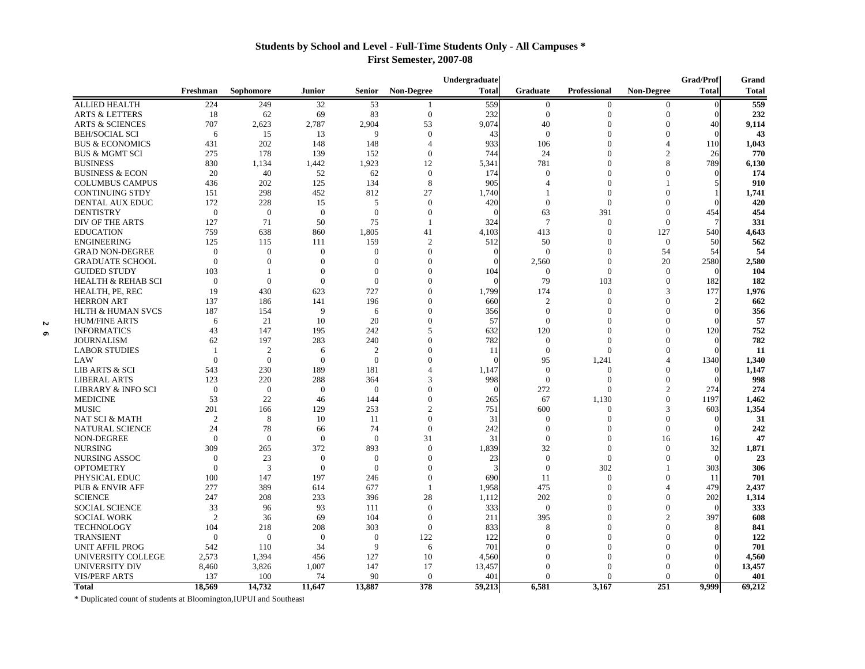#### **Students by School and Level - Full-Time Students Only - All Campuses \* First Semester, 2007-08**

|           |                                                  |                       |                       |                       |                     |                   | Undergraduate   |                 |                     |                | <b>Grad/Prof</b> | Grand        |
|-----------|--------------------------------------------------|-----------------------|-----------------------|-----------------------|---------------------|-------------------|-----------------|-----------------|---------------------|----------------|------------------|--------------|
|           |                                                  | Freshman              | Sophomore             | Junior                | <b>Senior</b>       | <b>Non-Degree</b> | <b>Total</b>    | <b>Graduate</b> | <b>Professional</b> | Non-Degree     | <b>Total</b>     | <b>Total</b> |
|           | <b>ALLIED HEALTH</b>                             | 224                   | 249                   | 32                    | 53                  | -1                | 559             | $\mathbf{0}$    | $\boldsymbol{0}$    | $\mathbf{0}$   | $\mathbf{0}$     | 559          |
|           | <b>ARTS &amp; LETTERS</b>                        | 18                    | 62                    | 69                    | 83                  | $\mathbf{0}$      | 232             | $\mathbf{0}$    | $\mathbf{0}$        | $\mathbf{0}$   | $\overline{0}$   | 232          |
|           | <b>ARTS &amp; SCIENCES</b>                       | 707                   | 2,623                 | 2,787                 | 2,904               | 53                | 9.074           | 40              | $\Omega$            | $\Omega$       | 40               | 9,114        |
|           | <b>BEH/SOCIAL SCI</b>                            | 6                     | 15                    | 13                    | 9                   | $\Omega$          | 43              | $\Omega$        | $\Omega$            | $\Omega$       | $\Omega$         | 43           |
|           | <b>BUS &amp; ECONOMICS</b>                       | 431                   | 202                   | 148                   | 148                 | $\overline{4}$    | 933             | 106             | $\Omega$            | $\overline{4}$ | 110              | 1,043        |
|           | <b>BUS &amp; MGMT SCI</b>                        | 275                   | 178                   | 139                   | 152                 | $\Omega$          | 744             | 24              | $\Omega$            | $\overline{c}$ | 26               | 770          |
|           | <b>BUSINESS</b>                                  | 830                   | 1,134                 | 1,442                 | 1,923               | 12                | 5,341           | 781             | $\Omega$            | 8              | 789              | 6,130        |
|           | <b>BUSINESS &amp; ECON</b>                       | 20                    | 40                    | 52                    | 62                  | $\Omega$          | 174             | $\Omega$        | $\Omega$            | $\Omega$       | $\Omega$         | 174          |
|           | <b>COLUMBUS CAMPUS</b>                           | 436                   | 202                   | 125                   | 134                 | 8                 | 905             | $\Delta$        | 0                   | 1              |                  | 910          |
|           | <b>CONTINUING STDY</b>                           | 151                   | 298                   | 452                   | 812                 | 27                | 1,740           |                 | $\overline{0}$      | $\Omega$       |                  | 1,741        |
|           | DENTAL AUX EDUC                                  | 172                   | 228                   | 15                    | 5                   | $\Omega$          | 420             | $\mathbf{0}$    | $\Omega$            | $\Omega$       |                  | 420          |
|           | <b>DENTISTRY</b>                                 | $\overline{0}$        | $\overline{0}$        | $\overline{0}$        | $\mathbf{0}$        | $\mathbf{0}$      | $\Omega$        | 63              | 391                 | $\mathbf{0}$   | 454              | 454          |
|           | DIV OF THE ARTS                                  | 127                   | 71                    | 50                    | 75                  | -1                | 324             | $\overline{7}$  | $\Omega$            | $\theta$       |                  | 331          |
|           | <b>EDUCATION</b>                                 | 759                   | 638                   | 860                   | 1.805               | 41                | 4,103           | 413             | $\Omega$            | 127            | 540              | 4.643        |
|           | <b>ENGINEERING</b>                               | 125                   | 115                   | 111                   | 159                 | 2                 | 512             | 50              | $\theta$            | $\mathbf{0}$   | 50               | 562          |
|           | <b>GRAD NON-DEGREE</b>                           | $\overline{0}$        | $\overline{0}$        | $\overline{0}$        | $\mathbf{0}$        | $\mathbf{0}$      | $\Omega$        | $\Omega$        | $\Omega$            | 54             | 54               | 54           |
|           | <b>GRADUATE SCHOOL</b>                           | $\Omega$              | $\Omega$              | $\mathbf{0}$          | $\theta$            | $\Omega$          | $\Omega$        | 2,560           | $\Omega$            | 20             | 2580             | 2,580        |
|           | <b>GUIDED STUDY</b>                              | 103                   |                       | $\Omega$              | $\Omega$            | $\Omega$          | 104             | $\Omega$        | $\Omega$            | $\Omega$       | $\Omega$         | 104          |
|           | <b>HEALTH &amp; REHAB SCI</b>                    | $\overline{0}$        | $\boldsymbol{0}$      | $\mathbf{0}$          | $\mathbf{0}$        | $\mathbf{0}$      | $\Omega$        | 79              | 103                 | $\Omega$       | 182              | 182          |
|           | HEALTH, PE, REC                                  | 19                    | 430                   | 623                   | 727                 | $\Omega$          | 1,799           | 174             | $\Omega$            | 3              | 177              | 1,976        |
|           | <b>HERRON ART</b>                                | 137                   | 186                   | 141                   | 196                 | $\Omega$          | 660             | $\overline{2}$  | $\Omega$            | $\Omega$       | $\mathfrak{D}$   | 662          |
|           | <b>HLTH &amp; HUMAN SVCS</b>                     | 187                   | 154                   | 9                     | 6                   | $\mathbf{0}$      | 356             | $\overline{0}$  | $\Omega$            | $\Omega$       | $\Omega$         | 356          |
|           | <b>HUM/FINE ARTS</b>                             | 6                     | 21                    | 10                    | 20                  | $\Omega$          | 57              | $\Omega$        | $\Omega$            | $\Omega$       |                  | 57           |
| Z         | <b>INFORMATICS</b>                               | 43                    | 147                   | 195                   | 242                 | 5                 | 632             | 120             | $\Omega$            | $\Omega$       | 120              | 752          |
| $\bullet$ | <b>JOURNALISM</b>                                | 62                    | 197                   | 283                   | 240                 | $\Omega$          | 782             | $\theta$        | $\Omega$            | $\Omega$       | $\Omega$         | 782          |
|           | <b>LABOR STUDIES</b>                             | $\overline{1}$        | 2                     | 6                     | $\overline{2}$      | $\Omega$          | 11              | $\Omega$        | $\Omega$            | $\Omega$       | $\Omega$         | 11           |
|           | LAW                                              | $\Omega$              | $\Omega$              | $\overline{0}$        | $\overline{0}$      | $\Omega$          |                 | 95              | 1,241               | 4              | 1340             | 1,340        |
|           | <b>LIB ARTS &amp; SCI</b>                        |                       | 230                   |                       |                     | 4                 |                 | $\Omega$        | $\Omega$            | $\Omega$       | $\Omega$         |              |
|           |                                                  | 543                   |                       | 189                   | 181                 | 3                 | 1,147           | $\mathbf{0}$    | $\mathbf{0}$        | $\theta$       | $\Omega$         | 1,147        |
|           | <b>LIBERAL ARTS</b>                              | 123<br>$\overline{0}$ | 220<br>$\overline{0}$ | 288<br>$\overline{0}$ | 364<br>$\mathbf{0}$ | $\Omega$          | 998<br>$\Omega$ | 272             | $\Omega$            | $\mathfrak{D}$ | 274              | 998<br>274   |
|           | <b>LIBRARY &amp; INFO SCI</b><br><b>MEDICINE</b> | 53                    | 22                    | 46                    | 144                 | $\Omega$          |                 | 67              |                     | $\Omega$       | 1197             |              |
|           |                                                  |                       |                       |                       |                     |                   | 265             |                 | 1,130               |                |                  | 1,462        |
|           | <b>MUSIC</b>                                     | 201                   | 166                   | 129                   | 253                 | 2<br>$\Omega$     | 751             | 600             | $\Omega$            | 3<br>$\Omega$  | 603              | 1,354        |
|           | NAT SCI & MATH                                   | $\overline{2}$        | 8                     | 10                    | 11                  |                   | 31              | $\Omega$        | $\Omega$            |                | $\Omega$         | 31           |
|           | <b>NATURAL SCIENCE</b>                           | 24                    | 78                    | 66                    | 74                  | $\Omega$          | 242             | $\Omega$        | $\Omega$            | $\theta$       | $\Omega$         | 242          |
|           | NON-DEGREE                                       | $\overline{0}$        | $\overline{0}$        | $\overline{0}$        | $\mathbf{0}$        | 31                | 31              | $\theta$        | $\Omega$            | 16             | 16               | 47           |
|           | <b>NURSING</b>                                   | 309                   | 265                   | 372                   | 893                 | $\Omega$          | 1,839           | 32              | $\Omega$            | $\Omega$       | 32               | 1,871        |
|           | NURSING ASSOC                                    | $\Omega$              | 23                    | $\Omega$              | $\Omega$            | $\Omega$          | 23              | $\Omega$        | $\Omega$            | $\Omega$       | $\Omega$         | 23           |
|           | <b>OPTOMETRY</b>                                 | $\overline{0}$        | 3                     | $\overline{0}$        | $\mathbf{0}$        | $\mathbf{0}$      | 3               | $\mathbf{0}$    | 302                 | 1              | 303              | 306          |
|           | PHYSICAL EDUC                                    | 100                   | 147                   | 197                   | 246                 | $\Omega$          | 690             | 11              | $\mathbf{0}$        | $\Omega$       | 11               | 701          |
|           | <b>PUB &amp; ENVIR AFF</b>                       | 277                   | 389                   | 614                   | 677                 | $\overline{1}$    | 1,958           | 475             | $\Omega$            | $\Delta$       | 479              | 2,437        |
|           | <b>SCIENCE</b>                                   | 247                   | 208                   | 233                   | 396                 | 28                | 1.112           | 202             | 0                   | $\Omega$       | 202              | 1,314        |
|           | <b>SOCIAL SCIENCE</b>                            | 33                    | 96                    | 93                    | 111                 | $\Omega$          | 333             | $\mathbf{0}$    | 0                   | $\theta$       | $\Omega$         | 333          |
|           | <b>SOCIAL WORK</b>                               | 2                     | 36                    | 69                    | 104                 | $\Omega$          | 211             | 395             | $\Omega$            | $\overline{2}$ | 397              | 608          |
|           | <b>TECHNOLOGY</b>                                | 104                   | 218                   | 208                   | 303                 | $\Omega$          | 833             | 8               | $\Omega$            | $\Omega$       | 8                | 841          |
|           | <b>TRANSIENT</b>                                 | $\overline{0}$        | $\overline{0}$        | $\overline{0}$        | $\mathbf{0}$        | 122               | 122             | $\Omega$        | $\Omega$            | $\Omega$       |                  | 122          |
|           | UNIT AFFIL PROG                                  | 542                   | 110                   | 34                    | 9                   | 6                 | 701             | $\Omega$        | $\Omega$            | $\Omega$       |                  | 701          |
|           | UNIVERSITY COLLEGE                               | 2,573                 | 1,394                 | 456                   | 127                 | 10                | 4,560           | $\theta$        | $\Omega$            | $\Omega$       |                  | 4,560        |
|           | UNIVERSITY DIV                                   | 8,460                 | 3,826                 | 1,007                 | 147                 | 17                | 13,457          | $\Omega$        | $\Omega$            | $\Omega$       |                  | 13,457       |
|           | <b>VIS/PERF ARTS</b>                             | 137                   | 100                   | 74                    | 90                  | $\Omega$          | 401             | $\Omega$        | $\Omega$            | $\Omega$       |                  | 401          |
|           | <b>Total</b>                                     | 18.569                | 14,732                | 11.647                | 13,887              | 378               | 59.213          | 6.581           | 3.167               | 251            | 9.999            | 69.212       |

\* Duplicated count of students at Bloomington,IUPUI and Southeast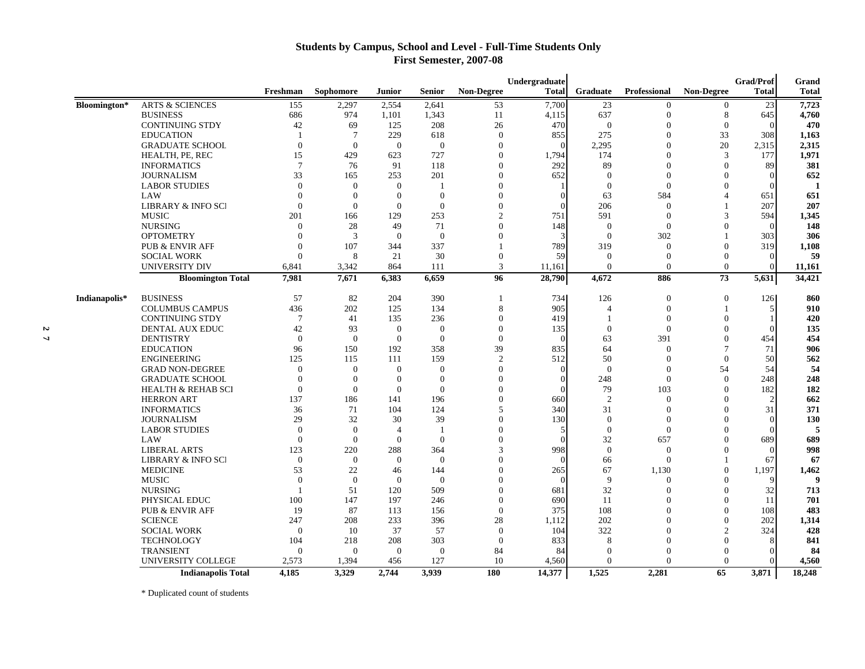#### **Students by Campus, School and Level - Full-Time Students Only First Semester, 2007-08**

|               |                               |                 |                 |                |                |                | Undergraduate |                |                |                   | <b>Grad/Prof</b> | Grand        |
|---------------|-------------------------------|-----------------|-----------------|----------------|----------------|----------------|---------------|----------------|----------------|-------------------|------------------|--------------|
|               |                               | Freshman        | Sophomore       | Junior         | <b>Senior</b>  | Non-Degree     | <b>Total</b>  | Graduate       | Professional   | <b>Non-Degree</b> | <b>Total</b>     | <b>Total</b> |
| Bloomington*  | <b>ARTS &amp; SCIENCES</b>    | 155             | 2,297           | 2,554          | 2,641          | 53             | 7,700         | 23             | $\overline{0}$ | $\overline{0}$    | 23               | 7,723        |
|               | <b>BUSINESS</b>               | 686             | 974             | 1,101          | 1,343          | 11             | 4,115         | 637            | $\Omega$       | 8                 | 645              | 4,760        |
|               | <b>CONTINUING STDY</b>        | 42              | 69              | 125            | 208            | 26             | 470           | $\overline{0}$ | $\Omega$       | $\overline{0}$    | $\Omega$         | 470          |
|               | <b>EDUCATION</b>              | $\overline{1}$  | $7\phantom{.0}$ | 229            | 618            | $\mathbf{0}$   | 855           | 275            | $\Omega$       | 33                | 308              | 1,163        |
|               | <b>GRADUATE SCHOOL</b>        | $\Omega$        | $\Omega$        | $\Omega$       | $\Omega$       | $\Omega$       | $\mathbf{r}$  | 2,295          | $\Omega$       | 20                | 2,315            | 2,315        |
|               | HEALTH, PE, REC               | 15              | 429             | 623            | 727            | $\mathbf{0}$   | 1,794         | 174            | $\Omega$       | 3                 | 177              | 1,971        |
|               | <b>INFORMATICS</b>            | $7\phantom{.0}$ | 76              | 91             | 118            | $\mathbf{0}$   | 292           | 89             | $\Omega$       | $\theta$          | 89               | 381          |
|               | <b>JOURNALISM</b>             | 33              | 165             | 253            | 201            | $\mathbf{0}$   | 652           | $\theta$       | $\Omega$       | $\Omega$          | $\Omega$         | 652          |
|               | <b>LABOR STUDIES</b>          | $\Omega$        | $\overline{0}$  | $\overline{0}$ |                | $\Omega$       |               | $\overline{0}$ | $\Omega$       | $\Omega$          | $\Omega$         |              |
|               | LAW                           | $\Omega$        | $\Omega$        | $\theta$       | $\Omega$       | $\Omega$       |               | 63             | 584            | $\Delta$          | 651              | 651          |
|               | LIBRARY & INFO SCI            | $\Omega$        | $\Omega$        | $\Omega$       | $\Omega$       | $\Omega$       |               | 206            | $\Omega$       |                   | 207              | 207          |
|               | <b>MUSIC</b>                  | 201             | 166             | 129            | 253            | $\overline{c}$ | 751           | 591            | $\overline{0}$ | 3                 | 594              | 1,345        |
|               | <b>NURSING</b>                | $\Omega$        | 28              | 49             | 71             | $\Omega$       | 148           | $\theta$       | $\Omega$       | $\Omega$          | $\Omega$         | 148          |
|               | <b>OPTOMETRY</b>              | $\Omega$        | 3               | $\Omega$       | $\overline{0}$ | $\Omega$       |               | $\overline{0}$ | 302            |                   | 303              | 306          |
|               | <b>PUB &amp; ENVIR AFF</b>    | $\overline{0}$  | 107             | 344            | 337            |                | 789           | 319            | $\overline{0}$ | $\Omega$          | 319              | 1,108        |
|               | <b>SOCIAL WORK</b>            | $\Omega$        | 8               | 21             | 30             | $\Omega$       | 59            | $\overline{0}$ | $\Omega$       | $\Omega$          | $\Omega$         | 59           |
|               | UNIVERSITY DIV                | 6,841           | 3,342           | 864            | 111            | 3              | 11,161        | $\Omega$       | $\Omega$       | $\overline{0}$    | $\Omega$         | 11,161       |
|               | <b>Bloomington Total</b>      | 7,981           | 7,671           | 6,383          | 6,659          | 96             | 28,790        | 4,672          | 886            | 73                | 5,631            | 34,421       |
|               |                               |                 |                 |                |                |                |               |                |                |                   |                  |              |
| Indianapolis* | <b>BUSINESS</b>               | 57              | 82              | 204            | 390            | 1              | 734           | 126            | $\mathbf{0}$   | $\overline{0}$    | 126              | 860          |
|               | <b>COLUMBUS CAMPUS</b>        | 436             | 202             | 125            | 134            | 8              | 905           | $\overline{4}$ | $\overline{0}$ |                   | 5                | 910          |
|               | <b>CONTINUING STDY</b>        | $7\phantom{.0}$ | 41              | 135            | 236            | $\Omega$       | 419           |                | $\Omega$       | $\Omega$          |                  | 420          |
|               | DENTAL AUX EDUC               | 42              | 93              | $\overline{0}$ | $\theta$       | $\mathbf{0}$   | 135           | $\mathbf{0}$   | $\Omega$       | $\Omega$          | $\Omega$         | 135          |
|               | <b>DENTISTRY</b>              | $\overline{0}$  | $\overline{0}$  | $\overline{0}$ | $\Omega$       | $\mathbf{0}$   |               | 63             | 391            | $\theta$          | 454              | 454          |
|               | <b>EDUCATION</b>              | 96              | 150             | 192            | 358            | 39             | 835           | 64             | $\Omega$       | $\overline{7}$    | 71               | 906          |
|               | <b>ENGINEERING</b>            | 125             | 115             | 111            | 159            | 2              | 512           | 50             | $\Omega$       | $\Omega$          | 50               | 562          |
|               | <b>GRAD NON-DEGREE</b>        | $\Omega$        | $\Omega$        | $\Omega$       | $\Omega$       | $\Omega$       | 0             | $\overline{0}$ | $\Omega$       | 54                | .54              | 54           |
|               | <b>GRADUATE SCHOOL</b>        | $\Omega$        | $\Omega$        | $\theta$       | $\Omega$       | $\Omega$       | $\Omega$      | 248            | $\Omega$       | $\Omega$          | 248              | 248          |
|               | <b>HEALTH &amp; REHAB SCI</b> | $\overline{0}$  | $\overline{0}$  | $\theta$       | $\theta$       | $\mathbf{0}$   |               | 79             | 103            | $\Omega$          | 182              | 182          |
|               | <b>HERRON ART</b>             | 137             | 186             | 141            | 196            | $\Omega$       | 660           | $\overline{2}$ | $\Omega$       | $\Omega$          |                  | 662          |
|               | <b>INFORMATICS</b>            | 36              | 71              | 104            | 124            | 5              | 340           | 31             | $\Omega$       | $\Omega$          | 31               | 371          |
|               | <b>JOURNALISM</b>             | 29              | 32              | 30             | 39             | $\mathbf{0}$   | 130           | $\overline{0}$ | $\Omega$       | $\Omega$          | $\Omega$         | 130          |
|               | <b>LABOR STUDIES</b>          | $\Omega$        | $\theta$        | $\overline{4}$ | $\overline{1}$ | $\Omega$       |               | $\Omega$       | $\Omega$       | $\Omega$          | $\Omega$         |              |
|               | LAW                           | $\Omega$        | $\Omega$        | $\overline{0}$ | $\mathbf{0}$   | $\Omega$       | $\Omega$      | 32             | 657            | $\Omega$          | 689              | 689          |
|               | <b>LIBERAL ARTS</b>           | 123             | 220             | 288            | 364            | 3              | 998           | $\mathbf{0}$   | $\Omega$       | $\Omega$          | $\Omega$         | 998          |
|               | <b>LIBRARY &amp; INFO SCI</b> | $\Omega$        | $\Omega$        | $\Omega$       | $\overline{0}$ | $\Omega$       |               | 66             | $\Omega$       |                   | 67               | 67           |
|               | <b>MEDICINE</b>               | 53              | 22              | 46             | 144            | $\mathbf{0}$   | 265           | 67             | 1,130          | $\theta$          | 1,197            | 1,462        |
|               | <b>MUSIC</b>                  | $\Omega$        | $\theta$        | $\Omega$       | $\Omega$       | $\Omega$       |               | 9              | $\Omega$       | $\Omega$          |                  |              |
|               | <b>NURSING</b>                |                 | 51              | 120            | 509            | $\Omega$       | 681           | 32             | $\Omega$       | $\Omega$          | 32               | 713          |
|               | PHYSICAL EDUC                 | 100             | 147             | 197            | 246            | $\mathbf{0}$   | 690           | 11             | $\Omega$       | $\Omega$          | 11               | 701          |
|               | <b>PUB &amp; ENVIR AFF</b>    | 19              | 87              | 113            | 156            | $\Omega$       | 375           | 108            | $\Omega$       | $\Omega$          | 108              | 483          |
|               | <b>SCIENCE</b>                | 247             | 208             | 233            | 396            | 28             | 1,112         | 202            | $\Omega$       | $\Omega$          | 202              | 1,314        |
|               | <b>SOCIAL WORK</b>            | $\overline{0}$  | 10              | 37             | 57             | $\mathbf{0}$   | 104           | 322            | $\Omega$       | $\overline{2}$    | 324              | 428          |
|               | <b>TECHNOLOGY</b>             | 104             | 218             | 208            | 303            | $\Omega$       | 833           | 8              | $\Omega$       | $\Omega$          |                  | 841          |
|               | <b>TRANSIENT</b>              | $\Omega$        | $\overline{0}$  | $\overline{0}$ | $\theta$       | 84             | 84            | $\Omega$       | $\Omega$       | $\Omega$          |                  | 84           |
|               | UNIVERSITY COLLEGE            | 2,573           | 1,394           | 456            | 127            | 10             | 4,560         | $\mathbf{0}$   | $\Omega$       | $\Omega$          |                  | 4,560        |
|               | <b>Indianapolis Total</b>     | 4.185           | 3.329           | 2.744          | 3.939          | 180            | 14,377        | 1.525          | 2.281          | 65                | 3.871            | 18,248       |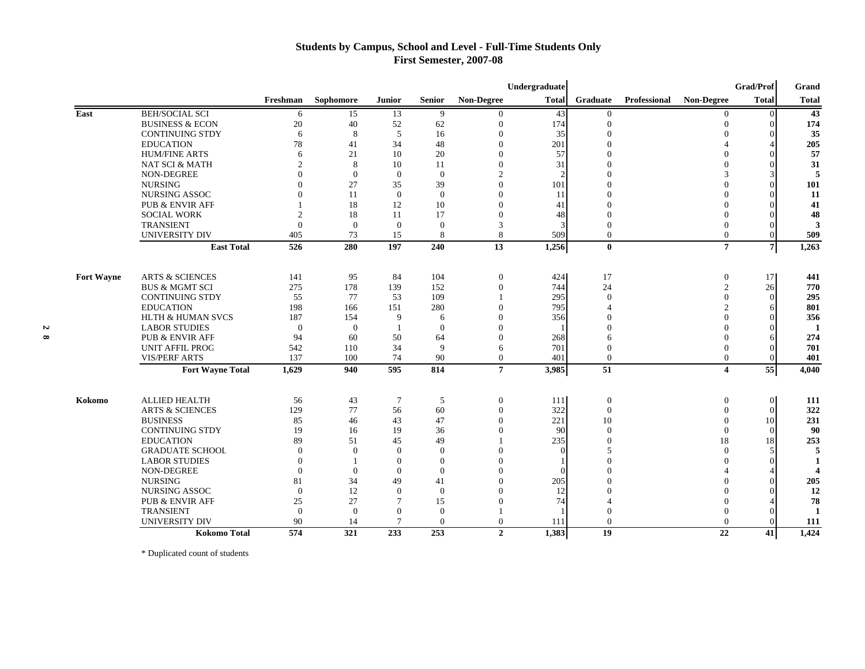### **Students by Campus, School and Level - Full-Time Students Only First Semester, 2007-08**

|            |                              |                |                |                 |                |                | Undergraduate |                  |                     |                   | <b>Grad/Prof</b> | Grand        |
|------------|------------------------------|----------------|----------------|-----------------|----------------|----------------|---------------|------------------|---------------------|-------------------|------------------|--------------|
|            |                              | Freshman       | Sophomore      | <b>Junior</b>   | <b>Senior</b>  | Non-Degree     | <b>Total</b>  | <b>Graduate</b>  | <b>Professional</b> | <b>Non-Degree</b> | <b>Total</b>     | <b>Total</b> |
| East       | <b>BEH/SOCIAL SCI</b>        | 6              | 15             | 13              | 9              | $\theta$       | 43            | $\mathbf{0}$     |                     | $\Omega$          | $\Omega$         | 43           |
|            | <b>BUSINESS &amp; ECON</b>   | 20             | 40             | 52              | 62             | $\Omega$       | 174           | $\overline{0}$   |                     | $\Omega$          | 0                | 174          |
|            | <b>CONTINUING STDY</b>       | 6              | 8              | 5               | 16             | $\theta$       | 35            |                  |                     |                   |                  | 35           |
|            | <b>EDUCATION</b>             | 78             | 41             | 34              | 48             | $\Omega$       | 201           |                  |                     |                   |                  | 205          |
|            | <b>HUM/FINE ARTS</b>         | 6              | 21             | 10              | 20             | $\Omega$       | 57            |                  |                     | $\Omega$          |                  | 57           |
|            | <b>NAT SCI &amp; MATH</b>    | $\mathcal{D}$  | 8              | 10              | 11             | $\theta$       | 31            |                  |                     | $\Omega$          | 0                | 31           |
|            | NON-DEGREE                   | $\Omega$       | $\overline{0}$ | $\theta$        | $\overline{0}$ | $\overline{c}$ |               |                  |                     |                   |                  | 5            |
|            | <b>NURSING</b>               | $\Omega$       | 27             | 35              | 39             | $\Omega$       | 101           |                  |                     | $\Omega$          | ∩                | 101          |
|            | <b>NURSING ASSOC</b>         | $\Omega$       | 11             | $\overline{0}$  | $\Omega$       | $\Omega$       | 11            |                  |                     | $\Omega$          | 0                | 11           |
|            | <b>PUB &amp; ENVIR AFF</b>   |                | 18             | 12              | 10             | $\Omega$       | 41            |                  |                     | $\Omega$          |                  | 41           |
|            | <b>SOCIAL WORK</b>           | $\overline{2}$ | 18             | 11              | 17             | $\Omega$       | 48            |                  |                     | $\Omega$          | 0                | 48           |
|            | <b>TRANSIENT</b>             | $\theta$       | $\overline{0}$ | $\overline{0}$  | $\theta$       | $\mathcal{R}$  |               |                  |                     | $\Omega$          |                  | 3            |
|            | <b>UNIVERSITY DIV</b>        | 405            | 73             | 15              | 8              | 8              | 509           | $\mathbf{0}$     |                     | $\Omega$          | 0                | 509          |
|            | <b>East Total</b>            | 526            | 280            | 197             | 240            | 13             | 1,256         | $\mathbf{0}$     |                     | $\overline{7}$    | $\overline{7}$   | 1,263        |
| Fort Wayne | <b>ARTS &amp; SCIENCES</b>   | 141            | 95             | 84              | 104            | $\mathbf{0}$   | 424           | 17               |                     | $\theta$          | 17 <sup>1</sup>  | 441          |
|            | <b>BUS &amp; MGMT SCI</b>    | 275            | 178            | 139             | 152            |                | 744           | 24               |                     | $\overline{2}$    |                  | 770          |
|            | <b>CONTINUING STDY</b>       | 55             | 77             |                 | 109            | $\mathbf{0}$   | 295           | $\Omega$         |                     | $\Omega$          | 26<br>$\Omega$   | 295          |
|            |                              | 198            |                | 53              | 280            | $\Omega$       | 795           |                  |                     | $\mathcal{D}$     |                  | 801          |
|            | <b>EDUCATION</b>             |                | 166            | 151             |                |                |               |                  |                     |                   | 6                |              |
|            | <b>HLTH &amp; HUMAN SVCS</b> | 187            | 154            | 9               | 6              | $\Omega$       | 356           |                  |                     | $\Omega$          | $\Omega$         | 356          |
|            | <b>LABOR STUDIES</b>         | $\overline{0}$ | $\overline{0}$ |                 | $\mathbf{0}$   | $\Omega$       |               |                  |                     | $\Omega$          | 0                | -1           |
|            | <b>PUB &amp; ENVIR AFF</b>   | 94             | 60             | 50              | 64             | $\Omega$       | 268           | 6                |                     | $\Omega$          | 6                | 274          |
|            | <b>UNIT AFFIL PROG</b>       | 542            | 110            | 34              | 9              | 6              | 701           | $\Omega$         |                     | $\Omega$          | 0                | 701          |
|            | <b>VIS/PERF ARTS</b>         | 137            | 100            | 74              | 90             | $\overline{0}$ | 401           | $\mathbf{0}$     |                     | $\mathbf{0}$      | $\Omega$         | 401          |
|            | <b>Fort Wayne Total</b>      | 1,629          | 940            | 595             | 814            | $\overline{7}$ | 3,985         | 51               |                     | $\overline{4}$    | 55               | 4,040        |
| Kokomo     | <b>ALLIED HEALTH</b>         | 56             | 43             | 7               | 5              | $\mathbf{0}$   | 111           | $\boldsymbol{0}$ |                     | $\overline{0}$    | $\overline{0}$   | 111          |
|            | <b>ARTS &amp; SCIENCES</b>   | 129            | 77             | 56              | 60             | $\mathbf{0}$   | 322           | $\mathbf{0}$     |                     | $\Omega$          | $\overline{0}$   | 322          |
|            | <b>BUSINESS</b>              | 85             | 46             | 43              | 47             | $\theta$       | 221           | 10               |                     | $\Omega$          | 10               | 231          |
|            | <b>CONTINUING STDY</b>       | 19             | 16             | 19              | 36             | $\Omega$       | 90            | $\Omega$         |                     | $\Omega$          |                  | 90           |
|            | <b>EDUCATION</b>             | 89             | 51             | 45              | 49             |                | 235           |                  |                     | 18                | 18               | 253          |
|            | <b>GRADUATE SCHOOL</b>       | $\Omega$       | $\Omega$       | $\theta$        | $\Omega$       | $\Omega$       |               |                  |                     | $\Omega$          | 5                | 5            |
|            | <b>LABOR STUDIES</b>         | $\Omega$       |                | $\overline{0}$  | $\mathbf{0}$   | $\Omega$       |               |                  |                     | $\Omega$          | ∩                | -1           |
|            | <b>NON-DEGREE</b>            | $\Omega$       | $\Omega$       | $\Omega$        | $\Omega$       | $\Omega$       |               |                  |                     |                   |                  |              |
|            | <b>NURSING</b>               | 81             | 34             | 49              | 41             | $\Omega$       | 205           |                  |                     | $\Omega$          | 0                | 205          |
|            | <b>NURSING ASSOC</b>         | $\overline{0}$ | 12             | $\theta$        | $\theta$       | $\Omega$       | 12            |                  |                     |                   | ∩                | 12           |
|            | <b>PUB &amp; ENVIR AFF</b>   | 25             | 27             | $\overline{7}$  | 15             | $\Omega$       | 74            |                  |                     | $\Omega$          |                  | 78           |
|            | <b>TRANSIENT</b>             | $\overline{0}$ | $\Omega$       | $\theta$        | $\theta$       |                |               |                  |                     | $\Omega$          | 0                | 1            |
|            | <b>UNIVERSITY DIV</b>        | 90             | 14             | $7\phantom{.0}$ | $\theta$       | $\Omega$       | 111           | $\mathbf{0}$     |                     | $\Omega$          | $\Omega$         | 111          |
|            | <b>Kokomo Total</b>          | 574            | 321            | 233             | 253            | $\mathbf{2}$   | 1.383         | 19               |                     | 22                | 41               | 1,424        |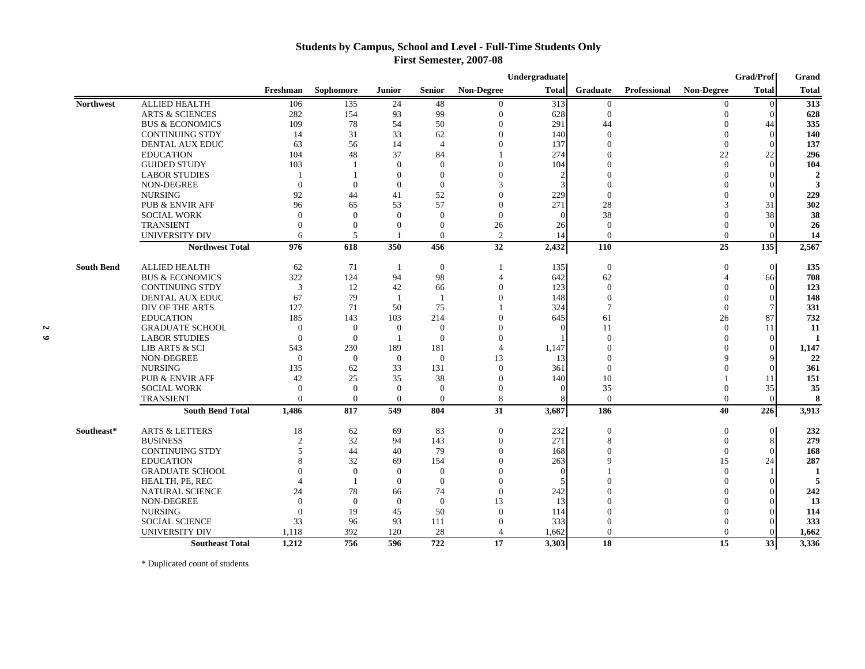### **Students by Campus, School and Level - Full-Time Students Only First Semester, 2007-08**

|           |                   |                            |                |              |                |                |                          | Undergraduate |                |              |                   | Grad/Prof        | Grand          |
|-----------|-------------------|----------------------------|----------------|--------------|----------------|----------------|--------------------------|---------------|----------------|--------------|-------------------|------------------|----------------|
|           |                   |                            | Freshman       | Sophomore    | <b>Junior</b>  | <b>Senior</b>  | <b>Non-Degree</b>        | <b>Total</b>  | Graduate       | Professional | <b>Non-Degree</b> | <b>Total</b>     | <b>Total</b>   |
|           | <b>Northwest</b>  | ALLIED HEALTH              | 106            | 135          | 24             | 48             | $\overline{0}$           | 313           | $\mathbf{0}$   |              | $\theta$          | $\boldsymbol{0}$ | 313            |
|           |                   | <b>ARTS &amp; SCIENCES</b> | 282            | 154          | 93             | 99             | $\theta$                 | 628           | $\theta$       |              | $\Omega$          | $\Omega$         | 628            |
|           |                   | <b>BUS &amp; ECONOMICS</b> | 109            | 78           | 54             | 50             | $\overline{0}$           | 291           | 44             |              | $\Omega$          | 44               | 335            |
|           |                   | <b>CONTINUING STDY</b>     | 14             | 31           | 33             | 62             | $\overline{0}$           | 140           | $\Omega$       |              | $\Omega$          | $\Omega$         | 140            |
|           |                   | DENTAL AUX EDUC            | 63             | 56           | 14             | $\overline{4}$ | $\Omega$                 | 137           | $\Omega$       |              | $\Omega$          | $\Omega$         | 137            |
|           |                   | <b>EDUCATION</b>           | 104            | 48           | 37             | 84             |                          | 274           |                |              | 22                | 22               | 296            |
|           |                   | <b>GUIDED STUDY</b>        | 103            |              | $\Omega$       | $\Omega$       | $\Omega$                 | 104           |                |              | $\Omega$          | $\Omega$         | 104            |
|           |                   | <b>LABOR STUDIES</b>       | $\overline{1}$ |              | $\Omega$       | $\theta$       | $\Omega$                 |               |                |              | $\Omega$          | $\Omega$         | $\overline{2}$ |
|           |                   | NON-DEGREE                 | $\theta$       | $\theta$     | $\overline{0}$ | $\theta$       | 3                        |               | $\Omega$       |              | $\Omega$          | $\Omega$         | 3              |
|           |                   | <b>NURSING</b>             | 92             | 44           | 41             | 52             | $\Omega$                 | 229           | $\Omega$       |              | $\Omega$          | $\Omega$         | 229            |
|           |                   | <b>PUB &amp; ENVIR AFF</b> | 96             | 65           | 53             | 57             | $\overline{0}$           | 271           | 28             |              | $\mathcal{R}$     | 31               | 302            |
|           |                   | <b>SOCIAL WORK</b>         | $\Omega$       | $\Omega$     | $\Omega$       | $\Omega$       | $\overline{0}$           |               | 38             |              | $\Omega$          | 38               | 38             |
|           |                   | <b>TRANSIENT</b>           | $\Omega$       | $\Omega$     | $\Omega$       | $\mathbf{0}$   | 26                       | 26            | $\Omega$       |              | $\Omega$          | $\Omega$         | 26             |
|           |                   | <b>UNIVERSITY DIV</b>      | 6              | 5            |                | $\theta$       | 2                        | 14            | $\overline{0}$ |              | $\Omega$          | $\Omega$         | 14             |
|           |                   | <b>Northwest Total</b>     | 976            | 618          | 350            | 456            | 32                       | 2,432         | 110            |              | 25                | 135              | 2,567          |
|           | <b>South Bend</b> | <b>ALLIED HEALTH</b>       | 62             | 71           | $\overline{1}$ | $\theta$       |                          | 135           | $\mathbf{0}$   |              | $\theta$          | $\overline{0}$   | 135            |
|           |                   | <b>BUS &amp; ECONOMICS</b> | 322            | 124          | 94             | 98             | $\Delta$                 | 642           | 62             |              |                   | 66               | 708            |
|           |                   | <b>CONTINUING STDY</b>     | 3              | 12           | 42             | 66             | $\Omega$                 | 123           | $\Omega$       |              | $\Omega$          | $\Omega$         | 123            |
|           |                   | <b>DENTAL AUX EDUC</b>     | 67             | 79           | -1             | $\overline{1}$ | $\Omega$                 | 148           | $\Omega$       |              | $\Omega$          | $\overline{0}$   | 148            |
|           |                   | DIV OF THE ARTS            | 127            | 71           | 50             | 75             |                          | 324           | 7              |              | $\Omega$          | $\overline{7}$   | 331            |
|           |                   | <b>EDUCATION</b>           | 185            | 143          | 103            | 214            | $\overline{0}$           | 645           | 61             |              | 26                | 87               | 732            |
| Z         |                   | <b>GRADUATE SCHOOL</b>     | $\theta$       | $\theta$     | $\overline{0}$ | $\theta$       | $\theta$                 | $\Omega$      | 11             |              | $\Omega$          | 11               | 11             |
| $\bullet$ |                   | <b>LABOR STUDIES</b>       | $\Omega$       | $\Omega$     | $\overline{1}$ | $\Omega$       | $\Omega$                 |               | $\Omega$       |              | $\Omega$          | $\Omega$         | 1              |
|           |                   | <b>LIB ARTS &amp; SCI</b>  | 543            | 230          | 189            | 181            | $\overline{4}$           | 1,147         | $\Omega$       |              |                   | $\Omega$         | 1,147          |
|           |                   | <b>NON-DEGREE</b>          | $\overline{0}$ | $\theta$     | $\overline{0}$ | $\theta$       | 13                       | 13            | $\Omega$       |              | $\mathbf Q$       | 9                | 22             |
|           |                   | <b>NURSING</b>             | 135            | 62           | 33             | 131            | $\Omega$                 | 361           | $\Omega$       |              | $\Omega$          | $\Omega$         | 361            |
|           |                   | <b>PUB &amp; ENVIR AFF</b> | 42             | 25           | 35             | 38             | $\Omega$                 | 140           | 10             |              |                   | 11               | 151            |
|           |                   | <b>SOCIAL WORK</b>         | $\Omega$       | $\theta$     | $\overline{0}$ | $\overline{0}$ | $\overline{0}$           |               | 35             |              | $\Omega$          | 35               | 35             |
|           |                   | <b>TRANSIENT</b>           | $\Omega$       | $\theta$     | $\overline{0}$ | $\mathbf{0}$   | 8                        |               | $\overline{0}$ |              | $\Omega$          | $\Omega$         | 8              |
|           |                   | <b>South Bend Total</b>    | 1,486          | 817          | 549            | 804            | 31                       | 3,687         | 186            |              | 40                | 226              | 3,913          |
|           | Southeast*        | <b>ARTS &amp; LETTERS</b>  | 18             | 62           | 69             | 83             | $\overline{0}$           | 232           | $\overline{0}$ |              | $\theta$          | $\overline{0}$   | 232            |
|           |                   | <b>BUSINESS</b>            | $\overline{c}$ | 32           | 94             | 143            | $\overline{0}$           | 271           | 8              |              | $\theta$          | 8                | 279            |
|           |                   | <b>CONTINUING STDY</b>     | 5              | 44           | 40             | 79             | $\overline{0}$           | 168           |                |              | $\theta$          | $\Omega$         | 168            |
|           |                   | <b>EDUCATION</b>           |                | 32           | 69             | 154            | $\Omega$                 | 263           | Q              |              | 15                | 24               | 287            |
|           |                   | <b>GRADUATE SCHOOL</b>     | $\Omega$       | $\mathbf{0}$ | $\overline{0}$ | $\overline{0}$ | $\Omega$                 | $\Omega$      |                |              | $\Omega$          |                  | 1              |
|           |                   | HEALTH, PE, REC            |                |              | $\theta$       | $\Omega$       | $\Omega$                 |               |                |              | $\Omega$          | $\Omega$         | 5              |
|           |                   | <b>NATURAL SCIENCE</b>     | 24             | 78           | 66             | 74             | $\Omega$                 | 242           |                |              | $\Omega$          | $\Omega$         | 242            |
|           |                   | NON-DEGREE                 | $\Omega$       | $\theta$     | $\overline{0}$ | $\overline{0}$ | 13                       | 13            |                |              | $\Omega$          | $\Omega$         | 13             |
|           |                   | <b>NURSING</b>             | $\Omega$       | 19           | 45             | 50             | $\overline{0}$           | 114           |                |              | $\Omega$          | $\Omega$         | 114            |
|           |                   | <b>SOCIAL SCIENCE</b>      | 33             | 96           | 93             | 111            | $\overline{0}$           | 333           | $\Omega$       |              |                   | $\Omega$         | 333            |
|           |                   | <b>UNIVERSITY DIV</b>      | 1,118          | 392          | 120            | 28             | $\boldsymbol{\varDelta}$ | 1,662         | $\Omega$       |              | $\Omega$          | $\Omega$         | 1,662          |
|           |                   | <b>Southeast Total</b>     | 1,212          | 756          | 596            | 722            | 17                       | 3,303         | 18             |              | 15                | 33               | 3,336          |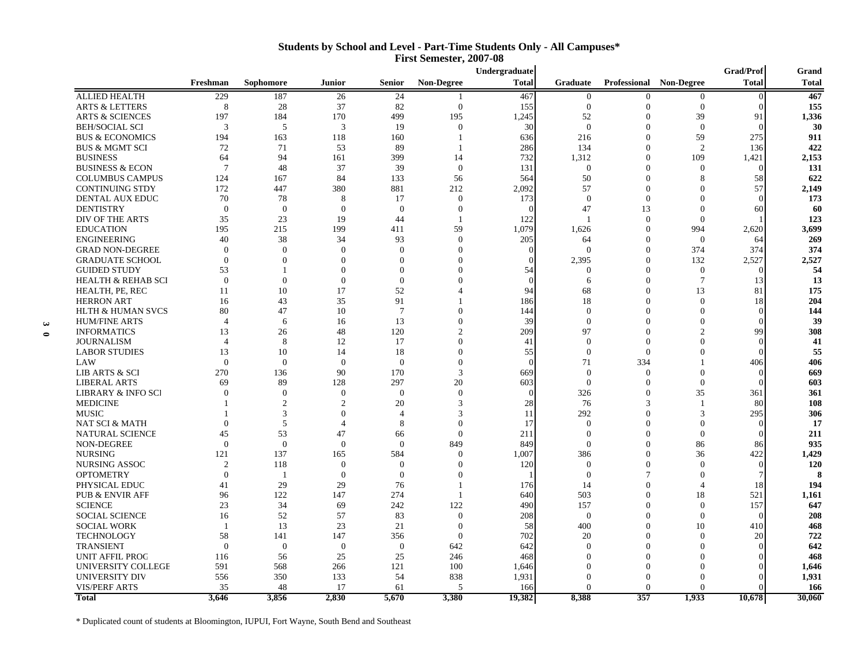#### **Students by School and Level - Part-Time Students Only - All Campuses\* First Semester, 2007-08**

|                       |                                             |                      |                  |                        |                    |                          | Undergraduate |                 |                      |                          | <b>Grad/Prof</b> | Grand        |
|-----------------------|---------------------------------------------|----------------------|------------------|------------------------|--------------------|--------------------------|---------------|-----------------|----------------------|--------------------------|------------------|--------------|
|                       |                                             | Freshman             | Sophomore        | <b>Junior</b>          | <b>Senior</b>      | <b>Non-Degree</b>        | <b>Total</b>  | <b>Graduate</b> |                      | Professional Non-Degree  | <b>Total</b>     | <b>Total</b> |
|                       | <b>ALLIED HEALTH</b>                        | 229                  | 187              | 26                     | 24                 |                          | 467           | $\mathbf{0}$    | $\Omega$             | $\mathbf{0}$             | $\Omega$         | 467          |
|                       | <b>ARTS &amp; LETTERS</b>                   | 8                    | 28               | 37                     | 82                 | $\boldsymbol{0}$         | 155           | $\mathbf{0}$    | $\Omega$             | $\boldsymbol{0}$         | $\Omega$         | 155          |
|                       | <b>ARTS &amp; SCIENCES</b>                  | 197                  | 184              | 170                    | 499                | 195                      | 1,245         | 52              | $\Omega$             | 39                       | 91               | 1,336        |
|                       | <b>BEH/SOCIAL SCI</b>                       | 3                    | 5                | 3                      | 19                 | $\theta$                 | 30            | $\overline{0}$  | $\Omega$             | $\mathbf{0}$             |                  | 30           |
|                       | <b>BUS &amp; ECONOMICS</b>                  | 194                  | 163              | 118                    | 160                | -1                       | 636           | 216             | $\Omega$             | 59                       | 275              | 911          |
|                       | <b>BUS &amp; MGMT SCI</b>                   | 72                   | 71               | 53                     | 89                 |                          | 286           | 134             | $\Omega$             | 2                        | 136              | 422          |
|                       | <b>BUSINESS</b>                             | 64                   | 94               | 161                    | 399                | 14                       | 732           | 1,312           | $\Omega$             | 109                      | 1,421            | 2,153        |
|                       | <b>BUSINESS &amp; ECON</b>                  | $\overline{7}$       | 48               | 37                     | 39                 | $\Omega$                 | 131           | $\overline{0}$  | $\Omega$             | $\mathbf{0}$             |                  | 131          |
|                       | <b>COLUMBUS CAMPUS</b>                      | 124                  | 167              | 84                     | 133                | 56                       | 564           | 50              | $\Omega$             | 8                        | 58               | 622          |
|                       | <b>CONTINUING STDY</b>                      | 172                  | 447              | 380                    | 881                | 212                      | 2.092         | 57              | $\Omega$             | $\mathbf{0}$             | 57               | 2,149        |
|                       | <b>DENTAL AUX EDUC</b>                      | 70                   | 78               | 8                      | 17                 | $\Omega$                 | 173           | $\overline{0}$  | $\Omega$             | $\Omega$                 |                  | 173          |
|                       | <b>DENTISTRY</b>                            | $\overline{0}$       | $\overline{0}$   | $\overline{0}$         | $\overline{0}$     | $\overline{0}$           |               | 47              | 13                   | $\mathbf{0}$             | 60               | 60           |
|                       | DIV OF THE ARTS                             | 35                   | 23               | 19                     | 44                 |                          | 122           |                 | $\Omega$             | $\mathbf{0}$             |                  | 123          |
|                       | <b>EDUCATION</b>                            | 195                  | 215              | 199                    | 411                | 59                       | 1,079         | 1,626           | $\Omega$             | 994                      | 2,620            | 3,699        |
|                       | <b>ENGINEERING</b>                          | 40                   | 38               | 34                     | 93                 | $\Omega$                 | 205           | 64              | $\Omega$             | $\mathbf{0}$             | 64               | 269          |
|                       | <b>GRAD NON-DEGREE</b>                      | $\mathbf{0}$         | $\boldsymbol{0}$ | $\boldsymbol{0}$       | $\mathbf{0}$       | $\Omega$                 |               | $\Omega$        | $\Omega$             | 374                      | 374              | 374          |
|                       | <b>GRADUATE SCHOOL</b>                      | $\mathbf{0}$         | $\theta$         | $\overline{0}$         | $\overline{0}$     | $\Omega$                 |               | 2,395           | $\Omega$             | 132                      | 2,527            | 2,527        |
|                       | <b>GUIDED STUDY</b>                         | 53                   |                  | $\overline{0}$         | $\Omega$           | $\Omega$                 | 54            | $\theta$        | $\Omega$             | $\overline{0}$           |                  | 54           |
|                       | <b>HEALTH &amp; REHAB SCI</b>               | $\Omega$             | $\mathbf{0}$     | $\overline{0}$         | $\mathbf{0}$       | $\Omega$                 | $\Omega$      | 6               | $\Omega$             | $\tau$                   | 13               | 13           |
|                       | HEALTH, PE, REC                             | 11                   | 10               | 17                     | 52                 | $\boldsymbol{\varDelta}$ | 94            | 68              | $\Omega$             | 13                       | 81               | 175          |
|                       | <b>HERRON ART</b>                           | 16                   | 43               | 35                     | 91                 |                          | 186           | 18              | $\Omega$             | $\overline{0}$           | 18               | 204          |
|                       | <b>HLTH &amp; HUMAN SVCS</b>                | 80                   | 47               | 10                     | $7\phantom{.0}$    | $\overline{0}$           | 144           | $\overline{0}$  | $\theta$             | $\mathbf{0}$             | $\Omega$         | 144          |
|                       | <b>HUM/FINE ARTS</b>                        | $\overline{4}$       | 6                | 16                     | 13                 | $\theta$                 | 39            | $\overline{0}$  | $\Omega$             | $\boldsymbol{0}$         | $\Omega$         | 39           |
| $\boldsymbol{\omega}$ | <b>INFORMATICS</b>                          | 13                   | 26               | 48                     | 120                | $\overline{2}$           | 209           | 97              | $\Omega$             | $\overline{c}$           | 99               | 308          |
| $\bullet$             | <b>JOURNALISM</b>                           | $\overline{4}$       | 8                | 12                     | 17                 | $\Omega$                 | 41            | $\Omega$        | $\Omega$             | $\Omega$                 |                  | 41           |
|                       | <b>LABOR STUDIES</b>                        | 13                   | 10               | 14                     | 18                 | $\Omega$                 | 55            | $\overline{0}$  | $\Omega$             | $\mathbf{0}$             |                  | 55           |
|                       | LAW                                         | $\Omega$             | $\theta$         | $\overline{0}$         | $\overline{0}$     | $\Omega$                 | $\Omega$      | 71              | 334                  |                          | 406              | 406          |
|                       | LIB ARTS & SCI                              | 270                  | 136              | 90                     | 170                | 3                        | 669           | $\overline{0}$  | $\Omega$             | $\mathbf{0}$             | $\Omega$         | 669          |
|                       | <b>LIBERAL ARTS</b>                         | 69                   | 89               | 128                    | 297                | 20                       | 603           | $\overline{0}$  | $\Omega$             | $\mathbf{0}$             | $\Omega$         | 603          |
|                       | <b>LIBRARY &amp; INFO SCI</b>               | $\mathbf{0}$         | $\boldsymbol{0}$ | $\boldsymbol{0}$       | $\overline{0}$     | $\Omega$                 | $\Omega$      | 326             | $\Omega$             | 35                       | 361              | 361          |
|                       | <b>MEDICINE</b>                             |                      | $\overline{2}$   | $\overline{2}$         | 20                 | 3                        | 28            | 76              | 3                    | -1                       | 80               | 108          |
|                       | <b>MUSIC</b>                                |                      | 3                | $\overline{0}$         | $\overline{4}$     | 3                        | 11            | 292             | $\Omega$             | 3                        | 295              | 306          |
|                       | <b>NAT SCI &amp; MATH</b>                   | $\Omega$             | 5                | $\overline{4}$         | 8                  | $\Omega$                 | 17            | $\Omega$        | $\Omega$             | $\mathbf{0}$             | $\Omega$         | 17           |
|                       | NATURAL SCIENCE                             | 45                   | 53               | 47                     | 66                 | $\Omega$                 | 211           | $\Omega$        | $\Omega$             | $\Omega$                 |                  | 211          |
|                       | NON-DEGREE                                  | $\mathbf{0}$         | $\boldsymbol{0}$ | $\boldsymbol{0}$       | $\theta$           | 849                      | 849           | $\overline{0}$  | $\theta$             | 86                       | 86               | 935          |
|                       | <b>NURSING</b>                              | 121                  | 137              | 165                    | 584                | $\Omega$                 | 1,007         | 386             | $\Omega$             | 36                       | 422              | 1,429        |
|                       | <b>NURSING ASSOC</b>                        | 2                    | 118              | $\overline{0}$         | $\mathbf{0}$       | $\Omega$                 | 120           | $\overline{0}$  | $\Omega$             | $\mathbf{0}$             | $\Omega$         | 120          |
|                       | <b>OPTOMETRY</b>                            | $\Omega$             | $\mathbf{1}$     | $\overline{0}$         | $\mathbf{0}$       | $\Omega$                 |               | $\Omega$        | $\tau$               | $\mathbf{0}$             | 7                | -9           |
|                       | PHYSICAL EDUC                               | 41                   | 29               | 29                     | 76                 |                          | 176           | 14              | $\Omega$             | $\boldsymbol{\Delta}$    | 18               | 194          |
|                       | <b>PUB &amp; ENVIR AFF</b>                  | 96                   | 122              | 147                    | 274                |                          | 640           | 503             | $\Omega$             | 18                       | 521              | 1,161        |
|                       | <b>SCIENCE</b>                              | 23                   | 34               | 69                     | 242                | 122                      | 490           | 157             | $\Omega$             | $\mathbf{0}$             | 157              | 647          |
|                       |                                             |                      | 52               | 57                     | 83                 | $\theta$                 | 208           | $\theta$        | $\Omega$             | $\mathbf{0}$             | $\Omega$         | 208          |
|                       | <b>SOCIAL SCIENCE</b><br><b>SOCIAL WORK</b> | 16<br>$\overline{1}$ | 13               | 23                     | 21                 | $\Omega$                 | 58            |                 | $\Omega$             | 10                       | 410              | 468          |
|                       | <b>TECHNOLOGY</b>                           | 58                   | 141              | 147                    | 356                | $\overline{0}$           | 702           | 400<br>20       | $\Omega$             | $\mathbf{0}$             | 20               | 722          |
|                       |                                             |                      |                  |                        |                    |                          | 642           | $\Omega$        | $\Omega$             |                          |                  | 642          |
|                       | <b>TRANSIENT</b>                            | $\overline{0}$       | $\boldsymbol{0}$ | $\boldsymbol{0}$<br>25 | $\mathbf{0}$<br>25 | 642                      | 468           | $\Omega$        | $\Omega$             | $\mathbf{0}$<br>$\Omega$ |                  |              |
|                       | <b>UNIT AFFIL PROC</b>                      | 116                  | 56               |                        |                    | 246                      |               | $\Omega$        | $\Omega$             |                          |                  | 468          |
|                       | UNIVERSITY COLLEGE                          | 591                  | 568              | 266                    | 121                | 100                      | 1.646         | $\Omega$        |                      | $\Omega$                 |                  | 1,646        |
|                       | UNIVERSITY DIV                              | 556                  | 350              | 133                    | 54                 | 838<br>$\overline{2}$    | 1,931         | $\Omega$        | $\Omega$<br>$\Omega$ | $\Omega$<br>$\Omega$     |                  | 1,931        |
|                       | VIS/PERF ARTS                               | 35                   | 48               | 17                     | 61                 |                          | 166           |                 |                      |                          |                  | 166          |
|                       | <b>Total</b>                                | 3.646                | 3,856            | 2,830                  | 5,670              | 3.380                    | 19,382        | 8.388           | 357                  | 1.933                    | 10,678           | 30.060       |

\* Duplicated count of students at Bloomington, IUPUI, Fort Wayne, South Bend and Southeast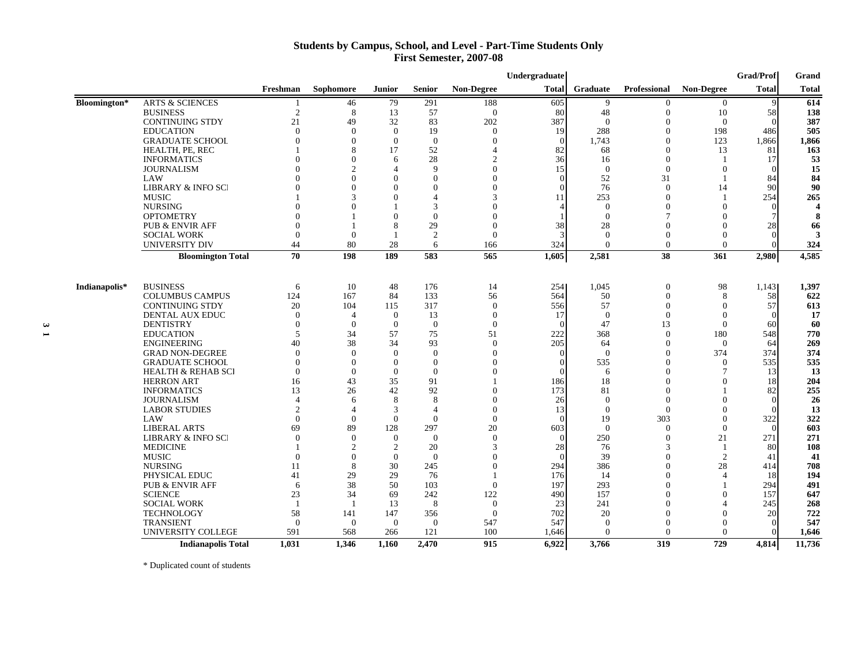#### **Students by Campus, School, and Level - Part-Time Students Only First Semester, 2007-08**

|               |                               |                |                |               |                       |                | Undergraduate |          |                |                          | <b>Grad/Prof</b> | Grand        |
|---------------|-------------------------------|----------------|----------------|---------------|-----------------------|----------------|---------------|----------|----------------|--------------------------|------------------|--------------|
|               |                               | Freshman       | Sophomore      | <b>Junior</b> | <b>Senior</b>         | Non-Degree     | <b>Total</b>  | Graduate | Professional   | Non-Degree               | <b>Total</b>     | <b>Total</b> |
| Bloomington*  | <b>ARTS &amp; SCIENCES</b>    |                | 46             | 79            | 291                   | 188            | 605           | 9        |                | $\overline{0}$           | $\mathbf Q$      | 614          |
|               | <b>BUSINESS</b>               | 2              | 8              | 13            | 57                    | $\Omega$       | 80            | 48       | $\theta$       | 10                       | 58               | 138          |
|               | <b>CONTINUING STDY</b>        | 21             | 49             | 32            | 83                    | 202            | 387           | $\Omega$ | $\Omega$       | $\overline{0}$           | $\Omega$         | 387          |
|               | <b>EDUCATION</b>              | $\Omega$       | $\Omega$       | $\Omega$      | 19                    | $\Omega$       | 19            | 288      | $\Omega$       | 198                      | 486              | 505          |
|               | <b>GRADUATE SCHOOL</b>        | $\Omega$       | $\Omega$       | $\theta$      | $\overline{0}$        | $\Omega$       | $\Omega$      | 1,743    | $\Omega$       | 123                      | 1,866            | 1,866        |
|               | HEALTH, PE, REC               |                | 8              | 17            | 52                    |                | 82            | 68       | $\Omega$       | 13                       | 81               | 163          |
|               | <b>INFORMATICS</b>            |                | $\Omega$       | 6             | 28                    | $\overline{c}$ | 36            | 16       | $\Omega$       | $\overline{1}$           | 17               | 53           |
|               | <b>JOURNALISM</b>             |                | $\overline{c}$ | $\Delta$      | 9                     | $\Omega$       | 15            | $\Omega$ | $\Omega$       | $\Omega$                 | $\Omega$         | 15           |
|               | LAW                           |                | $\Omega$       | $\Omega$      | $\Omega$              | $\Omega$       | $\Omega$      | 52       | 31             |                          | 84               | 84           |
|               | <b>LIBRARY &amp; INFO SCI</b> |                | $\Omega$       | $\Omega$      | $\Omega$              | $\Omega$       | $\Omega$      | 76       | $\Omega$       | 14                       | 90               | 90           |
|               | <b>MUSIC</b>                  |                |                | $\Omega$      | $\boldsymbol{\Delta}$ |                | 11            | 253      | $\Omega$       | $\mathbf{1}$             | 254              | 265          |
|               | <b>NURSING</b>                |                |                |               | 3                     | 0              |               | $\Omega$ | $\Omega$       | $\Omega$                 |                  |              |
|               | <b>OPTOMETRY</b>              |                |                | $\Omega$      | $\Omega$              | 0              |               | $\Omega$ | $\overline{7}$ | $\Omega$                 |                  |              |
|               | PUB & ENVIR AFF               | $\mathbf{0}$   |                | 8             | 29                    | $\theta$       | 38            | 28       | $\theta$       | $\Omega$                 | 28               | 66           |
|               | <b>SOCIAL WORK</b>            | $\Omega$       | $\Omega$       |               | $\overline{2}$        | $\theta$       |               | $\theta$ | $\theta$       | $\Omega$                 |                  |              |
|               | UNIVERSITY DIV                | 44             | 80             | 28            | 6                     | 166            | 324           | $\theta$ | $\theta$       | $\theta$                 |                  | 324          |
|               | <b>Bloomington Total</b>      | 70             | 198            | 189           | 583                   | 565            | 1,605         | 2,581    | 38             | 361                      | 2,980            | 4,585        |
| Indianapolis* | <b>BUSINESS</b>               | 6              | 10             | 48            | 176                   | 14             | 254           | 1,045    | $\overline{0}$ | 98                       | 1,143            | 1,397        |
|               | <b>COLUMBUS CAMPUS</b>        | 124            | 167            | 84            | 133                   | 56             | 564           | 50       | $\Omega$       | 8                        | 58               | 622          |
|               | <b>CONTINUING STDY</b>        | 20             | 104            | 115           | 317                   | $\theta$       | 556           | 57       | $\Omega$       | $\Omega$                 | 57               | 613          |
|               | DENTAL AUX EDUC               | $\theta$       | $\overline{4}$ | $\theta$      | 13                    | $\Omega$       | 17            | $\Omega$ | $\Omega$       | $\Omega$                 | $\Omega$         | 17           |
|               | <b>DENTISTRY</b>              | 0              | $\Omega$       | $\Omega$      | $\overline{0}$        | $\Omega$       | $\Omega$      | 47       | 13             | $\Omega$                 | 60               | 60           |
|               | <b>EDUCATION</b>              | 5              | 34             | 57            | 75                    | 51             | 222           | 368      | $\Omega$       | 180                      | 548              | 770          |
|               | <b>ENGINEERING</b>            | 40             | 38             | 34            | 93                    | $\theta$       | 205           | 64       | $\Omega$       | $\overline{0}$           | 64               | 269          |
|               | <b>GRAD NON-DEGREE</b>        | $\Omega$       | $\Omega$       | $\Omega$      | $\theta$              | $\Omega$       |               | $\Omega$ | $\Omega$       | 374                      | 374              | 374          |
|               | <b>GRADUATE SCHOOL</b>        | $\Omega$       |                | $\theta$      | $\overline{0}$        | $\Omega$       |               | 535      | $\Omega$       | $\overline{0}$           | 535              | 535          |
|               | <b>HEALTH &amp; REHAB SCI</b> | $\Omega$       | $\Omega$       | $\Omega$      | $\Omega$              | $\Omega$       | $\Omega$      | 6        | $\Omega$       | 7                        | 13               | 13           |
|               | <b>HERRON ART</b>             | 16             | 43             | 35            | 91                    |                | 186           | 18       | $\Omega$       | $\theta$                 | 18               | 204          |
|               | <b>INFORMATICS</b>            | 13             | 26             | 42            | 92                    | $\Omega$       | 173           | 81       | $\Omega$       |                          | 82               | 255          |
|               | <b>JOURNALISM</b>             |                | 6              | 8             | 8                     | $\Omega$       | 26            | $\Omega$ | $\Omega$       | $\Omega$                 | $\Omega$         | 26           |
|               | <b>LABOR STUDIES</b>          |                |                | 3             | $\overline{4}$        | $\Omega$       | 13            | $\Omega$ | $\Omega$       | $\theta$                 |                  | 13           |
|               | LAW                           | $\Omega$       | $\Omega$       | $\theta$      | $\theta$              | $\Omega$       | $\Omega$      | 19       | 303            | $\theta$                 | 322              | 322          |
|               | <b>LIBERAL ARTS</b>           | 69             | 89             | 128           | 297                   | 20             | 603           | $\theta$ | $\Omega$       | $\theta$                 | $\Omega$         | 603          |
|               | LIBRARY & INFO SCI            | $\Omega$       | $\Omega$       | $\theta$      | $\theta$              | $\theta$       | $\Omega$      | 250      | $\Omega$       | 21                       | 271              | 271          |
|               | <b>MEDICINE</b>               |                | $\overline{2}$ | 2             | 20                    | 3              | 28            | 76       | 3              | -1                       | 80               | 108          |
|               | <b>MUSIC</b>                  | $\Omega$       | $\Omega$       | $\theta$      | $\theta$              | $\theta$       | $\Omega$      | 39       | $\theta$       | $\overline{2}$           | 41               | 41           |
|               | <b>NURSING</b>                | 11             |                | 30            | 245                   | $\Omega$       | 294           | 386      | $\Omega$       | 28                       | 414              | 708          |
|               | PHYSICAL EDUC                 | 41             | 29             | 29            | 76                    |                | 176           | 14       | $\Omega$       | $\boldsymbol{\varDelta}$ | 18               | 194          |
|               | <b>PUB &amp; ENVIR AFF</b>    | 6              | 38             | 50            | 103                   | $\theta$       | 197           | 293      | $\theta$       |                          | 294              | 491          |
|               | <b>SCIENCE</b>                | 23             | 34             | 69            | 242                   | 122            | 490           | 157      | $\theta$       | $\theta$                 | 157              | 647          |
|               | <b>SOCIAL WORK</b>            | $\overline{1}$ | $\overline{1}$ | 13            | 8                     | $\theta$       | 23            | 241      | $\Omega$       | $\boldsymbol{\varDelta}$ | 245              | 268          |
|               | <b>TECHNOLOGY</b>             | 58             | 141            | 147           | 356                   | $\theta$       | 702           | 20       | $\Omega$       | $\Omega$                 | 20               | 722          |
|               | <b>TRANSIENT</b>              | $\Omega$       | $\Omega$       | $\theta$      | $\overline{0}$        | 547            | 547           | $\Omega$ | $\Omega$       | $\Omega$                 | $\Omega$         | 547          |
|               | UNIVERSITY COLLEGE            | 591            | 568            | 266           | 121                   | 100            | 1,646         | $\Omega$ | $\Omega$       | $\Omega$                 |                  | 1,646        |
|               | <b>Indianapolis Total</b>     | 1,031          | 1,346          | 1,160         | 2,470                 | 915            | 6.922         | 3,766    | 319            | 729                      | 4,814            | 11,736       |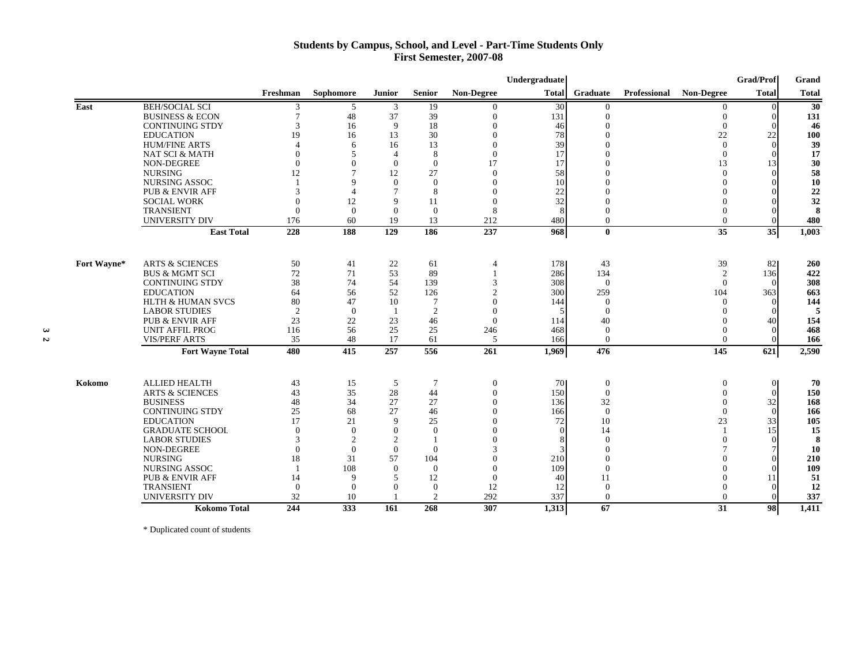#### **Students by Campus, School, and Level - Part-Time Students Only First Semester, 2007-08**

|             |                                                    |                |                |                |               |                          | Undergraduate  |                              |              |                          | Grad/Prof                  | Grand        |
|-------------|----------------------------------------------------|----------------|----------------|----------------|---------------|--------------------------|----------------|------------------------------|--------------|--------------------------|----------------------------|--------------|
|             |                                                    | Freshman       | Sophomore      | <b>Junior</b>  | <b>Senior</b> | <b>Non-Degree</b>        | <b>Total</b>   | <b>Graduate</b>              | Professional | Non-Degree               | <b>Total</b>               | <b>Total</b> |
| East        | <b>BEH/SOCIAL SCI</b>                              | 3              | 5              | 3              | 19            | $\Omega$                 | 30             | $\overline{0}$               |              | $\Omega$                 | $\Omega$                   | 30           |
|             | <b>BUSINESS &amp; ECON</b>                         | 7              | 48             | 37             | 39            |                          | 131            | $\theta$                     |              |                          | $\Omega$                   | 131          |
|             | <b>CONTINUING STDY</b>                             | 3              | 16             | 9              | 18            |                          | 46             | $\Omega$                     |              | $\Omega$                 | $\Omega$                   | 46           |
|             | <b>EDUCATION</b>                                   | 19             | 16             | 13             | 30            |                          | 78             | $\Omega$                     |              | 22                       | 22                         | 100          |
|             | <b>HUM/FINE ARTS</b>                               |                | 6              | 16             | 13            |                          | 39             | $\Omega$                     |              | $\Omega$                 | $\theta$                   | 39           |
|             | <b>NAT SCI &amp; MATH</b>                          |                | 5              | $\overline{4}$ | 8             | $\Omega$                 | 17             | $\Omega$                     |              | $\Omega$                 |                            | 17           |
|             | NON-DEGREE                                         |                | $\Omega$       | $\Omega$       | $\theta$      | 17                       | 17             | $\Omega$                     |              | 13                       | 13                         | 30           |
|             | <b>NURSING</b>                                     | 12             | 7              | 12             | 27            | $\Omega$                 | 58             |                              |              | $\Omega$                 | $\Omega$                   | 58           |
|             | <b>NURSING ASSOC</b>                               |                | $\Omega$       | $\Omega$       | $\Omega$      |                          | 10             | $\Omega$                     |              |                          |                            | 10           |
|             | <b>PUB &amp; ENVIR AFF</b>                         | 3              |                |                | 8             |                          | 22             | $\Omega$                     |              |                          |                            | 22           |
|             | <b>SOCIAL WORK</b>                                 |                | 12             | $\mathbf Q$    | 11            | $\Omega$                 | 32             | $\bigcap$                    |              |                          |                            | 32           |
|             | <b>TRANSIENT</b>                                   | $\overline{0}$ | $\Omega$       | $\Omega$       | $\theta$      | 8                        |                | $\overline{0}$               |              | $\Omega$                 |                            | 8            |
|             | UNIVERSITY DIV                                     | 176            | 60             | 19             | 13            | 212                      | 480            | $\theta$                     |              | $\Omega$                 | ∩                          | 480          |
|             | <b>East Total</b>                                  | 228            | 188            | 129            | 186           | 237                      | 968            | $\bf{0}$                     |              | 35                       | 35                         | 1,003        |
|             |                                                    |                |                |                |               |                          |                |                              |              |                          |                            |              |
| Fort Wayne* | <b>ARTS &amp; SCIENCES</b>                         | 50             | 41             | 22             | 61            |                          | 178            | 43                           |              | 39                       | 82                         | 260          |
|             | <b>BUS &amp; MGMT SCI</b>                          | 72             | 71             | 53             | 89            |                          | 286            | 134                          |              | $\overline{2}$           | 136                        | 422          |
|             | <b>CONTINUING STDY</b>                             | 38             | 74             | 54             | 139           |                          | 308            | $\Omega$                     |              | $\Omega$                 | $\Omega$                   | 308          |
|             | <b>EDUCATION</b>                                   | 64             | 56             | 52             | 126           |                          | 300            | 259                          |              | 104                      | 363                        | 663          |
|             | <b>HLTH &amp; HUMAN SVCS</b>                       | 80             | 47             | 10             | 7             |                          | 144            | $\theta$                     |              | $\Omega$                 | $\Omega$                   | 144          |
|             | <b>LABOR STUDIES</b>                               | $\overline{2}$ | $\Omega$       | $\overline{1}$ | 2             |                          |                | $\Omega$                     |              |                          | $\Omega$                   | 5            |
|             | <b>PUB &amp; ENVIR AFF</b>                         | 23             | 22             | 23             | 46            | $\theta$                 | 114            | 40                           |              |                          | 40                         | 154          |
|             | <b>UNIT AFFIL PROG</b>                             | 116            | 56             | 25             | 25            | 246                      | 468            | $\theta$                     |              | $\Omega$                 | $\Omega$                   | 468          |
|             | <b>VIS/PERF ARTS</b>                               | 35             | 48             | 17             | 61            | 5                        | 166            | $\theta$                     |              | $\Omega$                 |                            | 166          |
|             | <b>Fort Wayne Total</b>                            | 480            | 415            | 257            | 556           | 261                      | 1,969          | 476                          |              | 145                      | 621                        | 2,590        |
|             |                                                    |                |                |                |               |                          |                |                              |              |                          |                            |              |
| Kokomo      | <b>ALLIED HEALTH</b><br><b>ARTS &amp; SCIENCES</b> | 43             | 15<br>35       | 5<br>28        | 7             | $\mathbf{0}$<br>$\theta$ | 70             | $\boldsymbol{0}$<br>$\theta$ |              | $\mathbf{0}$<br>$\Omega$ | $\overline{0}$<br>$\Omega$ | 70<br>150    |
|             |                                                    | 43             | 34             |                | 44            | $\Omega$                 | 150            |                              |              | $\Omega$                 |                            |              |
|             | <b>BUSINESS</b>                                    | 48             |                | 27             | 27            |                          | 136            | 32                           |              | $\Omega$                 | 32<br>$\Omega$             | 168          |
|             | <b>CONTINUING STDY</b><br><b>EDUCATION</b>         | 25<br>17       | 68             | 27<br>9        | 46            |                          | 166            | $\theta$                     |              |                          | 33                         | 166          |
|             |                                                    | $\Omega$       | 21<br>$\theta$ | $\Omega$       | 25            |                          | 72<br>$\Omega$ | 10                           |              | 23                       | 15                         | 105          |
|             | <b>GRADUATE SCHOOL</b><br><b>LABOR STUDIES</b>     |                | $\overline{2}$ | 2              | $\theta$      |                          |                | 14<br>$\Omega$               |              | $\Omega$                 | $\Omega$                   | 15           |
|             |                                                    |                |                |                |               |                          |                |                              |              |                          |                            | 8            |
|             | NON-DEGREE<br><b>NURSING</b>                       |                | $\Omega$<br>31 | $\theta$<br>57 | $\theta$      |                          |                | $\Omega$<br>$\Omega$         |              |                          | $\Omega$                   | 10           |
|             | <b>NURSING ASSOC</b>                               | 18             | 108            | $\theta$       | 104           | $\Omega$                 | 210<br>109     | $\Omega$                     |              |                          |                            | 210<br>109   |
|             |                                                    |                |                | 5              | $\theta$      |                          |                |                              |              |                          |                            |              |
|             | <b>PUB &amp; ENVIR AFF</b><br><b>TRANSIENT</b>     | 14<br>$\theta$ | 9<br>$\theta$  | $\Omega$       | 12            | $\theta$<br>12           | 40             | 11                           |              | $\Omega$                 | 11<br>$\Omega$             | 51           |
|             | UNIVERSITY DIV                                     | 32             | 10             |                | $\theta$<br>2 | 292                      | 12<br>337      | $\boldsymbol{0}$<br>$\theta$ |              | $\Omega$                 | $\Omega$                   | 12<br>337    |
|             |                                                    |                |                |                |               |                          |                |                              |              |                          |                            |              |
|             | <b>Kokomo Total</b>                                | 244            | 333            | 161            | 268           | 307                      | 1,313          | 67                           |              | 31                       | 98                         | 1,411        |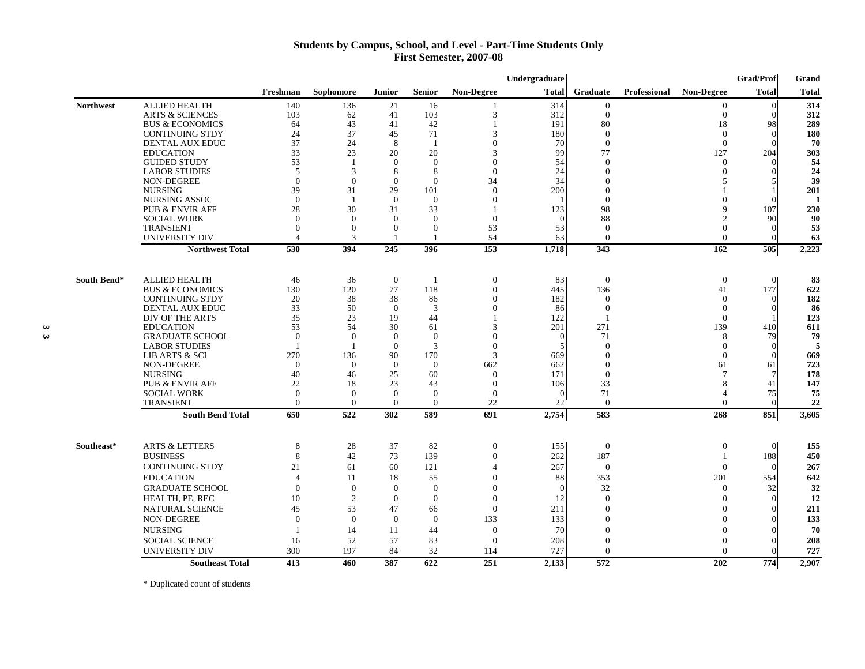#### **Students by Campus, School, and Level - Part-Time Students Only First Semester, 2007-08**

|    |                  |                            |                      |                      |                |                  |                       | Undergraduate |                       |                         | <b>Grad/Prof</b> | Grand        |
|----|------------------|----------------------------|----------------------|----------------------|----------------|------------------|-----------------------|---------------|-----------------------|-------------------------|------------------|--------------|
|    |                  |                            | Freshman             | Sophomore            | <b>Junior</b>  | <b>Senior</b>    | <b>Non-Degree</b>     | <b>Total</b>  | Graduate              | Professional Non-Degree | <b>Total</b>     | <b>Total</b> |
|    | <b>Northwest</b> | <b>ALLIED HEALTH</b>       | 140                  | 136                  | 21             | 16               |                       | 314           | $\overline{0}$        | 0                       | $\Omega$         | 314          |
|    |                  | <b>ARTS &amp; SCIENCES</b> | 103                  | 62                   | 41             | 103              | $\mathcal{R}$         | 312           | $\overline{0}$        | $\mathbf{0}$            | $\Omega$         | 312          |
|    |                  | <b>BUS &amp; ECONOMICS</b> | 64                   | 43                   | 41             | 42               |                       | 191           | 80                    | 18                      | 98               | 289          |
|    |                  | <b>CONTINUING STDY</b>     | 24                   | 37                   | 45             | 71               | 3                     | 180           | $\theta$              | $\theta$                | $\Omega$         | 180          |
|    |                  | DENTAL AUX EDUC            | 37                   | 24                   | 8              | $\overline{1}$   | $\Omega$              | 70            | $\theta$              | $\theta$                |                  | 70           |
|    |                  | <b>EDUCATION</b>           | 33                   | 23                   | 20             | 20               | 3                     | 99            | 77                    | 127                     | 204              | 303          |
|    |                  | <b>GUIDED STUDY</b>        | 53                   | $\mathbf{1}$         | $\Omega$       | $\theta$         | $\theta$              | 54            | $\theta$              | $\boldsymbol{0}$        |                  | 54           |
|    |                  | <b>LABOR STUDIES</b>       | 5                    | 3                    | 8              | 8                | $\theta$              | 24            | $\Omega$              | $\theta$                |                  | 24           |
|    |                  | NON-DEGREE                 | $\theta$             | $\theta$             | $\theta$       | $\theta$         | 34                    | 34            | $\Omega$              | 5                       |                  | 39           |
|    |                  | <b>NURSING</b>             | 39                   | 31                   | 29             | 101              | $\theta$              | 200           | $\Omega$              |                         |                  | 201          |
|    |                  | <b>NURSING ASSOC</b>       | $\theta$             | $\mathbf{1}$         | $\theta$       | $\theta$         | $\Omega$              |               | $\theta$              | $\Omega$                |                  | -1           |
|    |                  | <b>PUB &amp; ENVIR AFF</b> | 28                   | 30                   | 31             | 33               |                       | 123           | 98                    | 9                       | 107              | 230          |
|    |                  | <b>SOCIAL WORK</b>         | $\theta$<br>$\theta$ | $\Omega$<br>$\Omega$ | $\Omega$       | $\theta$         | $\theta$              |               | 88                    | 2                       | 90<br>$\Omega$   | 90           |
|    |                  | <b>TRANSIENT</b>           | $\overline{4}$       |                      | $\theta$       | $\theta$         | 53                    | 53            | $\theta$              | $\Omega$                |                  | 53           |
|    |                  | UNIVERSITY DIV             | 530                  | 3<br>394             |                | 396              | 54<br>153             | 63<br>1,718   | $\overline{0}$<br>343 | $\Omega$<br>162         |                  | 63<br>2,223  |
|    |                  | <b>Northwest Total</b>     |                      |                      | 245            |                  |                       |               |                       |                         | 505              |              |
|    | South Bend*      | <b>ALLIED HEALTH</b>       | 46                   | 36                   | $\overline{0}$ | -1               | $\boldsymbol{0}$      | 83            | $\theta$              | $\overline{0}$          | $\Omega$         | 83           |
|    |                  | <b>BUS &amp; ECONOMICS</b> | 130                  | 120                  | 77             | 118              | $\Omega$              | 445           | 136                   | 41                      | 177              | 622          |
|    |                  | <b>CONTINUING STDY</b>     | 20                   | 38                   | 38             | 86               | $\Omega$              | 182           | $\overline{0}$        | $\overline{0}$          | $\Omega$         | 182          |
|    |                  | DENTAL AUX EDUC            | 33                   | 50                   | $\Omega$       | 3                |                       | 86            | $\overline{0}$        | $\Omega$                | $\Omega$         | 86           |
|    |                  | DIV OF THE ARTS            | 35                   | 23                   | 19             | 44               |                       | 122           |                       | $\overline{0}$          |                  | 123          |
| ىن |                  | <b>EDUCATION</b>           | 53                   | 54                   | 30             | 61               | 3                     | 201           | 271                   | 139                     | 410              | 611          |
|    |                  | <b>GRADUATE SCHOOL</b>     | $\theta$             | $\theta$             | $\theta$       | $\Omega$         | $\Omega$              |               | 71                    | 8                       | 79               | 79           |
|    |                  | <b>LABOR STUDIES</b>       |                      |                      | $\theta$       | 3                | $\Omega$              |               | $\theta$              | $\theta$                | $\Omega$         |              |
|    |                  | LIB ARTS & SCI             | 270                  | 136                  | 90             | 170              | 3                     | 669           | $\theta$              | $\theta$                | $\Omega$         | 669          |
|    |                  | NON-DEGREE                 | $\mathbf{0}$         | $\theta$             | $\theta$       | $\theta$         | 662                   | 662           | $\theta$              | 61                      | 61               | 723          |
|    |                  | <b>NURSING</b>             | 40                   | 46                   | 25             | 60               | $\theta$              | 171           | $\theta$              | 7                       | $\tau$           | 178          |
|    |                  | <b>PUB &amp; ENVIR AFF</b> | 22                   | 18                   | 23             | 43               | $\theta$              | 106           | 33                    | 8                       | 41               | 147          |
|    |                  | <b>SOCIAL WORK</b>         | $\theta$             | $\Omega$             | $\Omega$       | $\boldsymbol{0}$ | $\theta$              |               | 71                    | 4                       | 75               | 75           |
|    |                  | <b>TRANSIENT</b>           | $\theta$             | $\Omega$             | $\theta$       | $\theta$         | 22                    | 22            | $\theta$              | $\Omega$                | $\theta$         | 22           |
|    |                  | <b>South Bend Total</b>    | 650                  | 522                  | 302            | 589              | 691                   | 2,754         | 583                   | 268                     | 851              | 3,605        |
|    | Southeast*       | <b>ARTS &amp; LETTERS</b>  | 8                    | 28                   | 37             | 82               | $\boldsymbol{0}$      | 155           | $\mathbf{0}$          | $\mathbf{0}$            | $\theta$         | 155          |
|    |                  | <b>BUSINESS</b>            | 8                    | 42                   | 73             | 139              | $\overline{0}$        | 262           | 187                   |                         | 188              | 450          |
|    |                  | <b>CONTINUING STDY</b>     | 21                   | 61                   | 60             | 121              | $\boldsymbol{\Delta}$ | 267           | $\Omega$              | $\Omega$                | $\Omega$         | 267          |
|    |                  |                            | $\overline{4}$       | 11                   | 18             | 55               | $\Omega$              |               | 353                   | 201                     | 554              |              |
|    |                  | <b>EDUCATION</b>           |                      |                      |                |                  |                       | 88            |                       |                         |                  | 642          |
|    |                  | <b>GRADUATE SCHOOL</b>     | $\overline{0}$       | $\overline{0}$       | $\theta$       | $\mathbf{0}$     |                       |               | 32                    | $\overline{0}$          | 32               | 32           |
|    |                  | HEALTH, PE, REC            | 10                   | $\overline{2}$       | $\Omega$       | $\theta$         | $\Omega$              | 12            | $\Omega$              | $\Omega$                | $\Omega$         | 12           |
|    |                  | <b>NATURAL SCIENCE</b>     | 45                   | 53                   | 47             | 66               | $\theta$              | 211           | $\Omega$              | 0                       |                  | 211          |
|    |                  | <b>NON-DEGREE</b>          | $\Omega$             | $\Omega$             | $\Omega$       | $\overline{0}$   | 133                   | 133           | $\Omega$              | 0                       |                  | 133          |
|    |                  | <b>NURSING</b>             | $\overline{1}$       | 14                   | 11             | 44               | $\mathbf{0}$          | 70            | $\mathbf{0}$          | 0                       |                  | 70           |
|    |                  | <b>SOCIAL SCIENCE</b>      | 16                   | 52                   | 57             | 83               | $\theta$              | 208           | $\mathbf{0}$          | 0                       |                  | 208          |
|    |                  | UNIVERSITY DIV             | 300                  | 197                  | 84             | 32               | 114                   | 727           | $\overline{0}$        | $\Omega$                |                  | 727          |
|    |                  | <b>Southeast Total</b>     | 413                  | 460                  | 387            | $\overline{622}$ | 251                   | 2.133         | $\overline{572}$      | 202                     | 774              | 2.907        |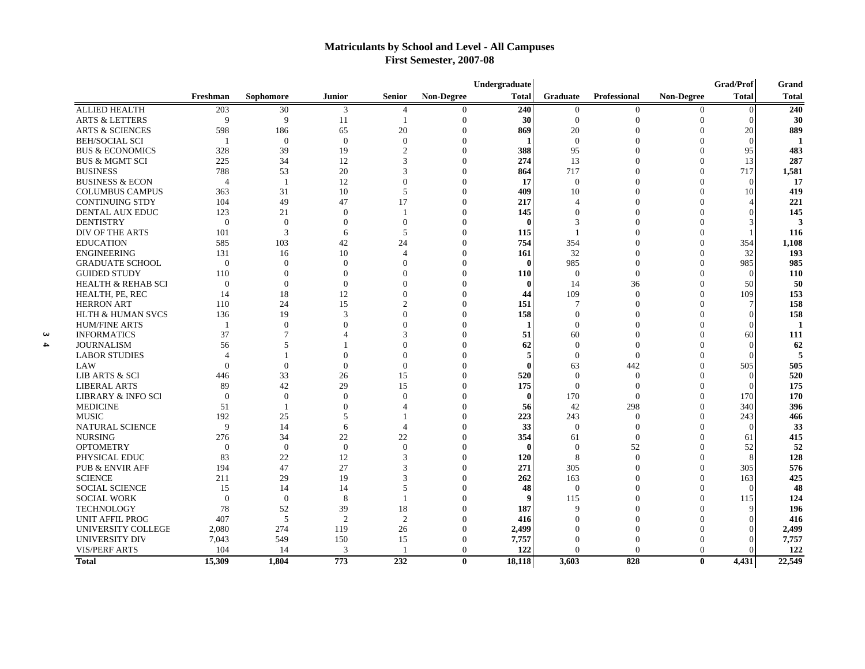# **Matriculants by School and Level - All Campuses First Semester, 2007-08**

| <b>Total</b><br><b>Total</b><br><b>Total</b><br>Freshman<br>Sophomore<br><b>Senior</b><br><b>Non-Degree</b><br>Graduate<br><b>Professional</b><br><b>Non-Degree</b><br>Junior<br><b>ALLIED HEALTH</b><br>240<br>240<br>203<br>30<br>3<br>$\Omega$<br>$\boldsymbol{0}$<br>$\theta$<br>$\theta$<br>9<br>$\mathbf{0}$<br><b>ARTS &amp; LETTERS</b><br>9<br>11<br>30<br>$\Omega$<br>30<br>$\Omega$<br>$\Omega$<br>$\Omega$<br>598<br>889<br><b>ARTS &amp; SCIENCES</b><br>186<br>65<br>20<br>869<br>20<br>20<br>$\Omega$<br>$\Omega$<br>$\Omega$<br><b>BEH/SOCIAL SCI</b><br>$\theta$<br>$\Omega$<br>$\Omega$<br>$\Omega$<br>$\Omega$<br>$\Omega$<br>$\Omega$<br>$\Omega$<br>$\mathbf{1}$<br>-1<br>328<br>39<br>19<br>388<br>95<br>483<br><b>BUS &amp; ECONOMICS</b><br>$\mathfrak{D}$<br>$\Omega$<br>$\Omega$<br>$\Omega$<br>95<br>274<br>287<br><b>BUS &amp; MGMT SCI</b><br>225<br>34<br>12<br>3<br>$\Omega$<br>13<br>$\Omega$<br>$\Omega$<br>13<br>53<br>20<br>717<br><b>BUSINESS</b><br>788<br>$\Omega$<br>864<br>717<br>$\Omega$<br>$\Omega$<br>1,581<br>3<br>17<br><b>BUSINESS &amp; ECON</b><br>$\overline{4}$<br>$\overline{1}$<br>12<br>$\Omega$<br>$\Omega$<br>17<br>$\Omega$<br>$\Omega$<br>$\Omega$<br>$\Omega$<br><b>COLUMBUS CAMPUS</b><br>31<br>10<br>409<br>10<br>10<br>419<br>363<br>$\overline{\phantom{0}}$<br>$\Omega$<br>$\Omega$<br>$\Omega$<br><b>CONTINUING STDY</b><br>104<br>49<br>47<br>17<br>217<br>221<br>$\Omega$<br>$\Omega$<br>$\Omega$<br>$\overline{4}$<br>DENTAL AUX EDUC<br>123<br>21<br>$\theta$<br>$\mathbf{0}$<br>$\Omega$<br>145<br>145<br>$\Omega$<br>$\Omega$<br>3<br><b>DENTISTRY</b><br>$\overline{0}$<br>$\theta$<br>$\theta$<br>$\Omega$<br>$\Omega$<br>3<br>$\Omega$<br>$\Omega$<br>$\mathbf 0$<br>DIV OF THE ARTS<br>101<br>3<br>5<br>$\Omega$<br>115<br>$\Omega$<br>$\Omega$<br>116<br>6<br>42<br><b>EDUCATION</b><br>585<br>103<br>24<br>$\Omega$<br>754<br>354<br>$\Omega$<br>354<br>1,108<br>$\Omega$<br>10<br>32<br>32<br>193<br><b>ENGINEERING</b><br>131<br>16<br>$\Omega$<br>161<br>$\Omega$<br>$\Omega$<br>$\overline{0}$<br>985<br>$\Omega$<br>$\Omega$<br>$\Omega$<br>985<br>$\Omega$<br>$\Omega$<br>985<br><b>GRADUATE SCHOOL</b><br>$\Omega$<br><b>GUIDED STUDY</b><br>110<br>$\Omega$<br>$\Omega$<br>$\Omega$<br>$\theta$<br>$\Omega$<br>110<br>$\Omega$<br>110<br>$\Omega$<br>$\Omega$<br>50<br><b>HEALTH &amp; REHAB SCI</b><br>$\Omega$<br>$\Omega$<br>$\Omega$<br>$\Omega$<br>14<br>36<br>$\Omega$<br>50<br>$\Omega$<br>$\mathbf 0$<br>HEALTH, PE, REC<br>18<br>12<br>109<br>$\Omega$<br>109<br>153<br>14<br>$\Omega$<br>$\Omega$<br>44<br>$\Omega$<br><b>HERRON ART</b><br>24<br>15<br>$\Omega$<br>158<br>110<br>$\overline{2}$<br>$\Omega$<br>151<br>$\Omega$<br>7<br>19<br>3<br>158<br>158<br><b>HLTH &amp; HUMAN SVCS</b><br>136<br>$\Omega$<br>$\Omega$<br>$\Omega$<br>$\Omega$<br>$\Omega$<br>$\Omega$<br>$\overline{0}$<br><b>HUM/FINE ARTS</b><br>$\Omega$<br>$\Omega$<br>$\Omega$<br>$\overline{0}$<br>$\Omega$<br>$\Omega$<br>-1<br>-1<br>$\Omega$<br>37<br>$\overline{7}$<br>51<br>60<br>60<br>111<br><b>INFORMATICS</b><br>3<br>$\Omega$<br>$\Omega$<br>$\Omega$<br><b>JOURNALISM</b><br>5<br>$\Omega$<br>62<br>$\overline{0}$<br>$\Omega$<br>$\Omega$<br>62<br>56<br>$\Omega$<br>$\Omega$<br>$\mathbf{0}$<br>$\Omega$<br>5<br><b>LABOR STUDIES</b><br>$\boldsymbol{\varDelta}$<br>$\Omega$<br>$\Omega$<br>$\Omega$<br>$\Omega$<br>$\Omega$<br>$\overline{0}$<br>$\Omega$<br>442<br>505<br>505<br>LAW<br>$\Omega$<br>$\Omega$<br>$\Omega$<br>63<br>$\Omega$<br><b>LIB ARTS &amp; SCI</b><br>33<br>26<br>15<br>$\Omega$<br>520<br>$\Omega$<br>$\Omega$<br>$\Omega$<br>520<br>446<br>$\Omega$<br>42<br>29<br>175<br>175<br><b>LIBERAL ARTS</b><br>89<br>15<br>$\Omega$<br>$\theta$<br>$\Omega$<br>$\Omega$<br>£<br>$\overline{0}$<br>170<br><b>LIBRARY &amp; INFO SCI</b><br>$\Omega$<br>$\Omega$<br>$\Omega$<br>170<br>$\Omega$<br>$\Omega$<br>170<br>$\Omega$<br>$\mathbf{0}$<br>42<br>396<br><b>MEDICINE</b><br>51<br>$\Omega$<br>$\Omega$<br>298<br>$\Omega$<br>340<br>$\overline{1}$<br>56<br><b>MUSIC</b><br>192<br>223<br>25<br>5<br>$\Omega$<br>243<br>$\Omega$<br>$\Omega$<br>243<br>466<br><b>NATURAL SCIENCE</b><br>$\mathbf Q$<br>14<br>33<br>$\Omega$<br>$\Omega$<br>33<br>6<br>$\Omega$<br>$\Omega$<br>$\Omega$<br>$\Delta$<br><b>NURSING</b><br>34<br>22<br>22<br>354<br>61<br>$\Omega$<br>$\Omega$<br>415<br>276<br>$\Omega$<br>61<br>$\theta$<br>$\theta$<br>52<br>52<br>52<br><b>OPTOMETRY</b><br>$\theta$<br>$\Omega$<br>$\Omega$<br>$\theta$<br>$\Omega$<br>22<br>$\mathbf{0}$<br>128<br>PHYSICAL EDUC<br>83<br>12<br>3<br>$\Omega$<br>120<br>8<br>$\Omega$<br>8<br>194<br>47<br>27<br>271<br>305<br>576<br><b>PUB &amp; ENVIR AFF</b><br>3<br>$\Omega$<br>305<br>$\Omega$<br>$\Omega$<br><b>SCIENCE</b><br>211<br>29<br>19<br>$\Omega$<br>262<br>163<br>$\Omega$<br>163<br>425<br>3<br>$\Omega$<br><b>SOCIAL SCIENCE</b><br>15<br>14<br>14<br>$\Omega$<br>48<br>$\overline{0}$<br>$\Omega$<br>$\Omega$<br>48<br>5<br>$\Omega$<br>$\overline{0}$<br>$\theta$<br>8<br><b>SOCIAL WORK</b><br>$\Omega$<br>115<br>124<br>$\Omega$<br>$\Omega$<br>115<br><b>TECHNOLOGY</b><br>78<br>52<br>39<br>18<br>187<br>196<br>$\Omega$<br>9<br>$\Omega$<br>$\Omega$<br>407<br>5<br>$\overline{2}$<br>$\overline{2}$<br><b>UNIT AFFIL PROG</b><br>$\Omega$<br>416<br>$\Omega$<br>$\Omega$<br>$\Omega$<br>416<br>$\Omega$<br>274<br>119<br>26<br>2,499<br>2,499<br>UNIVERSITY COLLEGE<br>2,080<br>$\Omega$<br>$\Omega$<br>$\Omega$<br>$\Omega$<br>7,757<br>$\theta$<br>7,757<br>UNIVERSITY DIV<br>7,043<br>549<br>150<br>15<br>$\Omega$<br>$\Omega$<br>$\Omega$<br>104<br><b>VIS/PERF ARTS</b><br>14<br>3<br>$\Omega$<br>122<br>$\Omega$<br>$\Omega$<br>$\Omega$<br>122<br>$\overline{1}$ |              |        |       |     |     |              | Undergraduate |       |     |          | <b>Grad/Prof</b> | Grand  |
|-----------------------------------------------------------------------------------------------------------------------------------------------------------------------------------------------------------------------------------------------------------------------------------------------------------------------------------------------------------------------------------------------------------------------------------------------------------------------------------------------------------------------------------------------------------------------------------------------------------------------------------------------------------------------------------------------------------------------------------------------------------------------------------------------------------------------------------------------------------------------------------------------------------------------------------------------------------------------------------------------------------------------------------------------------------------------------------------------------------------------------------------------------------------------------------------------------------------------------------------------------------------------------------------------------------------------------------------------------------------------------------------------------------------------------------------------------------------------------------------------------------------------------------------------------------------------------------------------------------------------------------------------------------------------------------------------------------------------------------------------------------------------------------------------------------------------------------------------------------------------------------------------------------------------------------------------------------------------------------------------------------------------------------------------------------------------------------------------------------------------------------------------------------------------------------------------------------------------------------------------------------------------------------------------------------------------------------------------------------------------------------------------------------------------------------------------------------------------------------------------------------------------------------------------------------------------------------------------------------------------------------------------------------------------------------------------------------------------------------------------------------------------------------------------------------------------------------------------------------------------------------------------------------------------------------------------------------------------------------------------------------------------------------------------------------------------------------------------------------------------------------------------------------------------------------------------------------------------------------------------------------------------------------------------------------------------------------------------------------------------------------------------------------------------------------------------------------------------------------------------------------------------------------------------------------------------------------------------------------------------------------------------------------------------------------------------------------------------------------------------------------------------------------------------------------------------------------------------------------------------------------------------------------------------------------------------------------------------------------------------------------------------------------------------------------------------------------------------------------------------------------------------------------------------------------------------------------------------------------------------------------------------------------------------------------------------------------------------------------------------------------------------------------------------------------------------------------------------------------------------------------------------------------------------------------------------------------------------------------------------------------------------------------------------------------------------------------------------------------------------------------------------------------------------------------------------------------------------------------------------------------------------------------------------------------------------------------------------------------------------------------------------------------------------------------------------------------------------------------------------------------------------------------------------------------------------------------------------------------------------------------------------------------------------------------------------------------------------------------------------------------------------------------------------------------------------------------------------------------------------------------------------------------------------------------------------------------------------------------------------------------------------------------------------------------------------------------------------------------------------------------------------|--------------|--------|-------|-----|-----|--------------|---------------|-------|-----|----------|------------------|--------|
|                                                                                                                                                                                                                                                                                                                                                                                                                                                                                                                                                                                                                                                                                                                                                                                                                                                                                                                                                                                                                                                                                                                                                                                                                                                                                                                                                                                                                                                                                                                                                                                                                                                                                                                                                                                                                                                                                                                                                                                                                                                                                                                                                                                                                                                                                                                                                                                                                                                                                                                                                                                                                                                                                                                                                                                                                                                                                                                                                                                                                                                                                                                                                                                                                                                                                                                                                                                                                                                                                                                                                                                                                                                                                                                                                                                                                                                                                                                                                                                                                                                                                                                                                                                                                                                                                                                                                                                                                                                                                                                                                                                                                                                                                                                                                                                                                                                                                                                                                                                                                                                                                                                                                                                                                                                                                                                                                                                                                                                                                                                                                                                                                                                                                                                                                                       |              |        |       |     |     |              |               |       |     |          |                  |        |
|                                                                                                                                                                                                                                                                                                                                                                                                                                                                                                                                                                                                                                                                                                                                                                                                                                                                                                                                                                                                                                                                                                                                                                                                                                                                                                                                                                                                                                                                                                                                                                                                                                                                                                                                                                                                                                                                                                                                                                                                                                                                                                                                                                                                                                                                                                                                                                                                                                                                                                                                                                                                                                                                                                                                                                                                                                                                                                                                                                                                                                                                                                                                                                                                                                                                                                                                                                                                                                                                                                                                                                                                                                                                                                                                                                                                                                                                                                                                                                                                                                                                                                                                                                                                                                                                                                                                                                                                                                                                                                                                                                                                                                                                                                                                                                                                                                                                                                                                                                                                                                                                                                                                                                                                                                                                                                                                                                                                                                                                                                                                                                                                                                                                                                                                                                       |              |        |       |     |     |              |               |       |     |          |                  |        |
|                                                                                                                                                                                                                                                                                                                                                                                                                                                                                                                                                                                                                                                                                                                                                                                                                                                                                                                                                                                                                                                                                                                                                                                                                                                                                                                                                                                                                                                                                                                                                                                                                                                                                                                                                                                                                                                                                                                                                                                                                                                                                                                                                                                                                                                                                                                                                                                                                                                                                                                                                                                                                                                                                                                                                                                                                                                                                                                                                                                                                                                                                                                                                                                                                                                                                                                                                                                                                                                                                                                                                                                                                                                                                                                                                                                                                                                                                                                                                                                                                                                                                                                                                                                                                                                                                                                                                                                                                                                                                                                                                                                                                                                                                                                                                                                                                                                                                                                                                                                                                                                                                                                                                                                                                                                                                                                                                                                                                                                                                                                                                                                                                                                                                                                                                                       |              |        |       |     |     |              |               |       |     |          |                  |        |
|                                                                                                                                                                                                                                                                                                                                                                                                                                                                                                                                                                                                                                                                                                                                                                                                                                                                                                                                                                                                                                                                                                                                                                                                                                                                                                                                                                                                                                                                                                                                                                                                                                                                                                                                                                                                                                                                                                                                                                                                                                                                                                                                                                                                                                                                                                                                                                                                                                                                                                                                                                                                                                                                                                                                                                                                                                                                                                                                                                                                                                                                                                                                                                                                                                                                                                                                                                                                                                                                                                                                                                                                                                                                                                                                                                                                                                                                                                                                                                                                                                                                                                                                                                                                                                                                                                                                                                                                                                                                                                                                                                                                                                                                                                                                                                                                                                                                                                                                                                                                                                                                                                                                                                                                                                                                                                                                                                                                                                                                                                                                                                                                                                                                                                                                                                       |              |        |       |     |     |              |               |       |     |          |                  |        |
|                                                                                                                                                                                                                                                                                                                                                                                                                                                                                                                                                                                                                                                                                                                                                                                                                                                                                                                                                                                                                                                                                                                                                                                                                                                                                                                                                                                                                                                                                                                                                                                                                                                                                                                                                                                                                                                                                                                                                                                                                                                                                                                                                                                                                                                                                                                                                                                                                                                                                                                                                                                                                                                                                                                                                                                                                                                                                                                                                                                                                                                                                                                                                                                                                                                                                                                                                                                                                                                                                                                                                                                                                                                                                                                                                                                                                                                                                                                                                                                                                                                                                                                                                                                                                                                                                                                                                                                                                                                                                                                                                                                                                                                                                                                                                                                                                                                                                                                                                                                                                                                                                                                                                                                                                                                                                                                                                                                                                                                                                                                                                                                                                                                                                                                                                                       |              |        |       |     |     |              |               |       |     |          |                  |        |
|                                                                                                                                                                                                                                                                                                                                                                                                                                                                                                                                                                                                                                                                                                                                                                                                                                                                                                                                                                                                                                                                                                                                                                                                                                                                                                                                                                                                                                                                                                                                                                                                                                                                                                                                                                                                                                                                                                                                                                                                                                                                                                                                                                                                                                                                                                                                                                                                                                                                                                                                                                                                                                                                                                                                                                                                                                                                                                                                                                                                                                                                                                                                                                                                                                                                                                                                                                                                                                                                                                                                                                                                                                                                                                                                                                                                                                                                                                                                                                                                                                                                                                                                                                                                                                                                                                                                                                                                                                                                                                                                                                                                                                                                                                                                                                                                                                                                                                                                                                                                                                                                                                                                                                                                                                                                                                                                                                                                                                                                                                                                                                                                                                                                                                                                                                       |              |        |       |     |     |              |               |       |     |          |                  |        |
|                                                                                                                                                                                                                                                                                                                                                                                                                                                                                                                                                                                                                                                                                                                                                                                                                                                                                                                                                                                                                                                                                                                                                                                                                                                                                                                                                                                                                                                                                                                                                                                                                                                                                                                                                                                                                                                                                                                                                                                                                                                                                                                                                                                                                                                                                                                                                                                                                                                                                                                                                                                                                                                                                                                                                                                                                                                                                                                                                                                                                                                                                                                                                                                                                                                                                                                                                                                                                                                                                                                                                                                                                                                                                                                                                                                                                                                                                                                                                                                                                                                                                                                                                                                                                                                                                                                                                                                                                                                                                                                                                                                                                                                                                                                                                                                                                                                                                                                                                                                                                                                                                                                                                                                                                                                                                                                                                                                                                                                                                                                                                                                                                                                                                                                                                                       |              |        |       |     |     |              |               |       |     |          |                  |        |
|                                                                                                                                                                                                                                                                                                                                                                                                                                                                                                                                                                                                                                                                                                                                                                                                                                                                                                                                                                                                                                                                                                                                                                                                                                                                                                                                                                                                                                                                                                                                                                                                                                                                                                                                                                                                                                                                                                                                                                                                                                                                                                                                                                                                                                                                                                                                                                                                                                                                                                                                                                                                                                                                                                                                                                                                                                                                                                                                                                                                                                                                                                                                                                                                                                                                                                                                                                                                                                                                                                                                                                                                                                                                                                                                                                                                                                                                                                                                                                                                                                                                                                                                                                                                                                                                                                                                                                                                                                                                                                                                                                                                                                                                                                                                                                                                                                                                                                                                                                                                                                                                                                                                                                                                                                                                                                                                                                                                                                                                                                                                                                                                                                                                                                                                                                       |              |        |       |     |     |              |               |       |     |          |                  |        |
|                                                                                                                                                                                                                                                                                                                                                                                                                                                                                                                                                                                                                                                                                                                                                                                                                                                                                                                                                                                                                                                                                                                                                                                                                                                                                                                                                                                                                                                                                                                                                                                                                                                                                                                                                                                                                                                                                                                                                                                                                                                                                                                                                                                                                                                                                                                                                                                                                                                                                                                                                                                                                                                                                                                                                                                                                                                                                                                                                                                                                                                                                                                                                                                                                                                                                                                                                                                                                                                                                                                                                                                                                                                                                                                                                                                                                                                                                                                                                                                                                                                                                                                                                                                                                                                                                                                                                                                                                                                                                                                                                                                                                                                                                                                                                                                                                                                                                                                                                                                                                                                                                                                                                                                                                                                                                                                                                                                                                                                                                                                                                                                                                                                                                                                                                                       |              |        |       |     |     |              |               |       |     |          |                  |        |
|                                                                                                                                                                                                                                                                                                                                                                                                                                                                                                                                                                                                                                                                                                                                                                                                                                                                                                                                                                                                                                                                                                                                                                                                                                                                                                                                                                                                                                                                                                                                                                                                                                                                                                                                                                                                                                                                                                                                                                                                                                                                                                                                                                                                                                                                                                                                                                                                                                                                                                                                                                                                                                                                                                                                                                                                                                                                                                                                                                                                                                                                                                                                                                                                                                                                                                                                                                                                                                                                                                                                                                                                                                                                                                                                                                                                                                                                                                                                                                                                                                                                                                                                                                                                                                                                                                                                                                                                                                                                                                                                                                                                                                                                                                                                                                                                                                                                                                                                                                                                                                                                                                                                                                                                                                                                                                                                                                                                                                                                                                                                                                                                                                                                                                                                                                       |              |        |       |     |     |              |               |       |     |          |                  |        |
|                                                                                                                                                                                                                                                                                                                                                                                                                                                                                                                                                                                                                                                                                                                                                                                                                                                                                                                                                                                                                                                                                                                                                                                                                                                                                                                                                                                                                                                                                                                                                                                                                                                                                                                                                                                                                                                                                                                                                                                                                                                                                                                                                                                                                                                                                                                                                                                                                                                                                                                                                                                                                                                                                                                                                                                                                                                                                                                                                                                                                                                                                                                                                                                                                                                                                                                                                                                                                                                                                                                                                                                                                                                                                                                                                                                                                                                                                                                                                                                                                                                                                                                                                                                                                                                                                                                                                                                                                                                                                                                                                                                                                                                                                                                                                                                                                                                                                                                                                                                                                                                                                                                                                                                                                                                                                                                                                                                                                                                                                                                                                                                                                                                                                                                                                                       |              |        |       |     |     |              |               |       |     |          |                  |        |
|                                                                                                                                                                                                                                                                                                                                                                                                                                                                                                                                                                                                                                                                                                                                                                                                                                                                                                                                                                                                                                                                                                                                                                                                                                                                                                                                                                                                                                                                                                                                                                                                                                                                                                                                                                                                                                                                                                                                                                                                                                                                                                                                                                                                                                                                                                                                                                                                                                                                                                                                                                                                                                                                                                                                                                                                                                                                                                                                                                                                                                                                                                                                                                                                                                                                                                                                                                                                                                                                                                                                                                                                                                                                                                                                                                                                                                                                                                                                                                                                                                                                                                                                                                                                                                                                                                                                                                                                                                                                                                                                                                                                                                                                                                                                                                                                                                                                                                                                                                                                                                                                                                                                                                                                                                                                                                                                                                                                                                                                                                                                                                                                                                                                                                                                                                       |              |        |       |     |     |              |               |       |     |          |                  |        |
|                                                                                                                                                                                                                                                                                                                                                                                                                                                                                                                                                                                                                                                                                                                                                                                                                                                                                                                                                                                                                                                                                                                                                                                                                                                                                                                                                                                                                                                                                                                                                                                                                                                                                                                                                                                                                                                                                                                                                                                                                                                                                                                                                                                                                                                                                                                                                                                                                                                                                                                                                                                                                                                                                                                                                                                                                                                                                                                                                                                                                                                                                                                                                                                                                                                                                                                                                                                                                                                                                                                                                                                                                                                                                                                                                                                                                                                                                                                                                                                                                                                                                                                                                                                                                                                                                                                                                                                                                                                                                                                                                                                                                                                                                                                                                                                                                                                                                                                                                                                                                                                                                                                                                                                                                                                                                                                                                                                                                                                                                                                                                                                                                                                                                                                                                                       |              |        |       |     |     |              |               |       |     |          |                  |        |
|                                                                                                                                                                                                                                                                                                                                                                                                                                                                                                                                                                                                                                                                                                                                                                                                                                                                                                                                                                                                                                                                                                                                                                                                                                                                                                                                                                                                                                                                                                                                                                                                                                                                                                                                                                                                                                                                                                                                                                                                                                                                                                                                                                                                                                                                                                                                                                                                                                                                                                                                                                                                                                                                                                                                                                                                                                                                                                                                                                                                                                                                                                                                                                                                                                                                                                                                                                                                                                                                                                                                                                                                                                                                                                                                                                                                                                                                                                                                                                                                                                                                                                                                                                                                                                                                                                                                                                                                                                                                                                                                                                                                                                                                                                                                                                                                                                                                                                                                                                                                                                                                                                                                                                                                                                                                                                                                                                                                                                                                                                                                                                                                                                                                                                                                                                       |              |        |       |     |     |              |               |       |     |          |                  |        |
|                                                                                                                                                                                                                                                                                                                                                                                                                                                                                                                                                                                                                                                                                                                                                                                                                                                                                                                                                                                                                                                                                                                                                                                                                                                                                                                                                                                                                                                                                                                                                                                                                                                                                                                                                                                                                                                                                                                                                                                                                                                                                                                                                                                                                                                                                                                                                                                                                                                                                                                                                                                                                                                                                                                                                                                                                                                                                                                                                                                                                                                                                                                                                                                                                                                                                                                                                                                                                                                                                                                                                                                                                                                                                                                                                                                                                                                                                                                                                                                                                                                                                                                                                                                                                                                                                                                                                                                                                                                                                                                                                                                                                                                                                                                                                                                                                                                                                                                                                                                                                                                                                                                                                                                                                                                                                                                                                                                                                                                                                                                                                                                                                                                                                                                                                                       |              |        |       |     |     |              |               |       |     |          |                  |        |
|                                                                                                                                                                                                                                                                                                                                                                                                                                                                                                                                                                                                                                                                                                                                                                                                                                                                                                                                                                                                                                                                                                                                                                                                                                                                                                                                                                                                                                                                                                                                                                                                                                                                                                                                                                                                                                                                                                                                                                                                                                                                                                                                                                                                                                                                                                                                                                                                                                                                                                                                                                                                                                                                                                                                                                                                                                                                                                                                                                                                                                                                                                                                                                                                                                                                                                                                                                                                                                                                                                                                                                                                                                                                                                                                                                                                                                                                                                                                                                                                                                                                                                                                                                                                                                                                                                                                                                                                                                                                                                                                                                                                                                                                                                                                                                                                                                                                                                                                                                                                                                                                                                                                                                                                                                                                                                                                                                                                                                                                                                                                                                                                                                                                                                                                                                       |              |        |       |     |     |              |               |       |     |          |                  |        |
|                                                                                                                                                                                                                                                                                                                                                                                                                                                                                                                                                                                                                                                                                                                                                                                                                                                                                                                                                                                                                                                                                                                                                                                                                                                                                                                                                                                                                                                                                                                                                                                                                                                                                                                                                                                                                                                                                                                                                                                                                                                                                                                                                                                                                                                                                                                                                                                                                                                                                                                                                                                                                                                                                                                                                                                                                                                                                                                                                                                                                                                                                                                                                                                                                                                                                                                                                                                                                                                                                                                                                                                                                                                                                                                                                                                                                                                                                                                                                                                                                                                                                                                                                                                                                                                                                                                                                                                                                                                                                                                                                                                                                                                                                                                                                                                                                                                                                                                                                                                                                                                                                                                                                                                                                                                                                                                                                                                                                                                                                                                                                                                                                                                                                                                                                                       |              |        |       |     |     |              |               |       |     |          |                  |        |
|                                                                                                                                                                                                                                                                                                                                                                                                                                                                                                                                                                                                                                                                                                                                                                                                                                                                                                                                                                                                                                                                                                                                                                                                                                                                                                                                                                                                                                                                                                                                                                                                                                                                                                                                                                                                                                                                                                                                                                                                                                                                                                                                                                                                                                                                                                                                                                                                                                                                                                                                                                                                                                                                                                                                                                                                                                                                                                                                                                                                                                                                                                                                                                                                                                                                                                                                                                                                                                                                                                                                                                                                                                                                                                                                                                                                                                                                                                                                                                                                                                                                                                                                                                                                                                                                                                                                                                                                                                                                                                                                                                                                                                                                                                                                                                                                                                                                                                                                                                                                                                                                                                                                                                                                                                                                                                                                                                                                                                                                                                                                                                                                                                                                                                                                                                       |              |        |       |     |     |              |               |       |     |          |                  |        |
|                                                                                                                                                                                                                                                                                                                                                                                                                                                                                                                                                                                                                                                                                                                                                                                                                                                                                                                                                                                                                                                                                                                                                                                                                                                                                                                                                                                                                                                                                                                                                                                                                                                                                                                                                                                                                                                                                                                                                                                                                                                                                                                                                                                                                                                                                                                                                                                                                                                                                                                                                                                                                                                                                                                                                                                                                                                                                                                                                                                                                                                                                                                                                                                                                                                                                                                                                                                                                                                                                                                                                                                                                                                                                                                                                                                                                                                                                                                                                                                                                                                                                                                                                                                                                                                                                                                                                                                                                                                                                                                                                                                                                                                                                                                                                                                                                                                                                                                                                                                                                                                                                                                                                                                                                                                                                                                                                                                                                                                                                                                                                                                                                                                                                                                                                                       |              |        |       |     |     |              |               |       |     |          |                  |        |
|                                                                                                                                                                                                                                                                                                                                                                                                                                                                                                                                                                                                                                                                                                                                                                                                                                                                                                                                                                                                                                                                                                                                                                                                                                                                                                                                                                                                                                                                                                                                                                                                                                                                                                                                                                                                                                                                                                                                                                                                                                                                                                                                                                                                                                                                                                                                                                                                                                                                                                                                                                                                                                                                                                                                                                                                                                                                                                                                                                                                                                                                                                                                                                                                                                                                                                                                                                                                                                                                                                                                                                                                                                                                                                                                                                                                                                                                                                                                                                                                                                                                                                                                                                                                                                                                                                                                                                                                                                                                                                                                                                                                                                                                                                                                                                                                                                                                                                                                                                                                                                                                                                                                                                                                                                                                                                                                                                                                                                                                                                                                                                                                                                                                                                                                                                       |              |        |       |     |     |              |               |       |     |          |                  |        |
|                                                                                                                                                                                                                                                                                                                                                                                                                                                                                                                                                                                                                                                                                                                                                                                                                                                                                                                                                                                                                                                                                                                                                                                                                                                                                                                                                                                                                                                                                                                                                                                                                                                                                                                                                                                                                                                                                                                                                                                                                                                                                                                                                                                                                                                                                                                                                                                                                                                                                                                                                                                                                                                                                                                                                                                                                                                                                                                                                                                                                                                                                                                                                                                                                                                                                                                                                                                                                                                                                                                                                                                                                                                                                                                                                                                                                                                                                                                                                                                                                                                                                                                                                                                                                                                                                                                                                                                                                                                                                                                                                                                                                                                                                                                                                                                                                                                                                                                                                                                                                                                                                                                                                                                                                                                                                                                                                                                                                                                                                                                                                                                                                                                                                                                                                                       |              |        |       |     |     |              |               |       |     |          |                  |        |
|                                                                                                                                                                                                                                                                                                                                                                                                                                                                                                                                                                                                                                                                                                                                                                                                                                                                                                                                                                                                                                                                                                                                                                                                                                                                                                                                                                                                                                                                                                                                                                                                                                                                                                                                                                                                                                                                                                                                                                                                                                                                                                                                                                                                                                                                                                                                                                                                                                                                                                                                                                                                                                                                                                                                                                                                                                                                                                                                                                                                                                                                                                                                                                                                                                                                                                                                                                                                                                                                                                                                                                                                                                                                                                                                                                                                                                                                                                                                                                                                                                                                                                                                                                                                                                                                                                                                                                                                                                                                                                                                                                                                                                                                                                                                                                                                                                                                                                                                                                                                                                                                                                                                                                                                                                                                                                                                                                                                                                                                                                                                                                                                                                                                                                                                                                       |              |        |       |     |     |              |               |       |     |          |                  |        |
|                                                                                                                                                                                                                                                                                                                                                                                                                                                                                                                                                                                                                                                                                                                                                                                                                                                                                                                                                                                                                                                                                                                                                                                                                                                                                                                                                                                                                                                                                                                                                                                                                                                                                                                                                                                                                                                                                                                                                                                                                                                                                                                                                                                                                                                                                                                                                                                                                                                                                                                                                                                                                                                                                                                                                                                                                                                                                                                                                                                                                                                                                                                                                                                                                                                                                                                                                                                                                                                                                                                                                                                                                                                                                                                                                                                                                                                                                                                                                                                                                                                                                                                                                                                                                                                                                                                                                                                                                                                                                                                                                                                                                                                                                                                                                                                                                                                                                                                                                                                                                                                                                                                                                                                                                                                                                                                                                                                                                                                                                                                                                                                                                                                                                                                                                                       |              |        |       |     |     |              |               |       |     |          |                  |        |
|                                                                                                                                                                                                                                                                                                                                                                                                                                                                                                                                                                                                                                                                                                                                                                                                                                                                                                                                                                                                                                                                                                                                                                                                                                                                                                                                                                                                                                                                                                                                                                                                                                                                                                                                                                                                                                                                                                                                                                                                                                                                                                                                                                                                                                                                                                                                                                                                                                                                                                                                                                                                                                                                                                                                                                                                                                                                                                                                                                                                                                                                                                                                                                                                                                                                                                                                                                                                                                                                                                                                                                                                                                                                                                                                                                                                                                                                                                                                                                                                                                                                                                                                                                                                                                                                                                                                                                                                                                                                                                                                                                                                                                                                                                                                                                                                                                                                                                                                                                                                                                                                                                                                                                                                                                                                                                                                                                                                                                                                                                                                                                                                                                                                                                                                                                       |              |        |       |     |     |              |               |       |     |          |                  |        |
|                                                                                                                                                                                                                                                                                                                                                                                                                                                                                                                                                                                                                                                                                                                                                                                                                                                                                                                                                                                                                                                                                                                                                                                                                                                                                                                                                                                                                                                                                                                                                                                                                                                                                                                                                                                                                                                                                                                                                                                                                                                                                                                                                                                                                                                                                                                                                                                                                                                                                                                                                                                                                                                                                                                                                                                                                                                                                                                                                                                                                                                                                                                                                                                                                                                                                                                                                                                                                                                                                                                                                                                                                                                                                                                                                                                                                                                                                                                                                                                                                                                                                                                                                                                                                                                                                                                                                                                                                                                                                                                                                                                                                                                                                                                                                                                                                                                                                                                                                                                                                                                                                                                                                                                                                                                                                                                                                                                                                                                                                                                                                                                                                                                                                                                                                                       |              |        |       |     |     |              |               |       |     |          |                  |        |
|                                                                                                                                                                                                                                                                                                                                                                                                                                                                                                                                                                                                                                                                                                                                                                                                                                                                                                                                                                                                                                                                                                                                                                                                                                                                                                                                                                                                                                                                                                                                                                                                                                                                                                                                                                                                                                                                                                                                                                                                                                                                                                                                                                                                                                                                                                                                                                                                                                                                                                                                                                                                                                                                                                                                                                                                                                                                                                                                                                                                                                                                                                                                                                                                                                                                                                                                                                                                                                                                                                                                                                                                                                                                                                                                                                                                                                                                                                                                                                                                                                                                                                                                                                                                                                                                                                                                                                                                                                                                                                                                                                                                                                                                                                                                                                                                                                                                                                                                                                                                                                                                                                                                                                                                                                                                                                                                                                                                                                                                                                                                                                                                                                                                                                                                                                       |              |        |       |     |     |              |               |       |     |          |                  |        |
|                                                                                                                                                                                                                                                                                                                                                                                                                                                                                                                                                                                                                                                                                                                                                                                                                                                                                                                                                                                                                                                                                                                                                                                                                                                                                                                                                                                                                                                                                                                                                                                                                                                                                                                                                                                                                                                                                                                                                                                                                                                                                                                                                                                                                                                                                                                                                                                                                                                                                                                                                                                                                                                                                                                                                                                                                                                                                                                                                                                                                                                                                                                                                                                                                                                                                                                                                                                                                                                                                                                                                                                                                                                                                                                                                                                                                                                                                                                                                                                                                                                                                                                                                                                                                                                                                                                                                                                                                                                                                                                                                                                                                                                                                                                                                                                                                                                                                                                                                                                                                                                                                                                                                                                                                                                                                                                                                                                                                                                                                                                                                                                                                                                                                                                                                                       |              |        |       |     |     |              |               |       |     |          |                  |        |
|                                                                                                                                                                                                                                                                                                                                                                                                                                                                                                                                                                                                                                                                                                                                                                                                                                                                                                                                                                                                                                                                                                                                                                                                                                                                                                                                                                                                                                                                                                                                                                                                                                                                                                                                                                                                                                                                                                                                                                                                                                                                                                                                                                                                                                                                                                                                                                                                                                                                                                                                                                                                                                                                                                                                                                                                                                                                                                                                                                                                                                                                                                                                                                                                                                                                                                                                                                                                                                                                                                                                                                                                                                                                                                                                                                                                                                                                                                                                                                                                                                                                                                                                                                                                                                                                                                                                                                                                                                                                                                                                                                                                                                                                                                                                                                                                                                                                                                                                                                                                                                                                                                                                                                                                                                                                                                                                                                                                                                                                                                                                                                                                                                                                                                                                                                       |              |        |       |     |     |              |               |       |     |          |                  |        |
|                                                                                                                                                                                                                                                                                                                                                                                                                                                                                                                                                                                                                                                                                                                                                                                                                                                                                                                                                                                                                                                                                                                                                                                                                                                                                                                                                                                                                                                                                                                                                                                                                                                                                                                                                                                                                                                                                                                                                                                                                                                                                                                                                                                                                                                                                                                                                                                                                                                                                                                                                                                                                                                                                                                                                                                                                                                                                                                                                                                                                                                                                                                                                                                                                                                                                                                                                                                                                                                                                                                                                                                                                                                                                                                                                                                                                                                                                                                                                                                                                                                                                                                                                                                                                                                                                                                                                                                                                                                                                                                                                                                                                                                                                                                                                                                                                                                                                                                                                                                                                                                                                                                                                                                                                                                                                                                                                                                                                                                                                                                                                                                                                                                                                                                                                                       |              |        |       |     |     |              |               |       |     |          |                  |        |
|                                                                                                                                                                                                                                                                                                                                                                                                                                                                                                                                                                                                                                                                                                                                                                                                                                                                                                                                                                                                                                                                                                                                                                                                                                                                                                                                                                                                                                                                                                                                                                                                                                                                                                                                                                                                                                                                                                                                                                                                                                                                                                                                                                                                                                                                                                                                                                                                                                                                                                                                                                                                                                                                                                                                                                                                                                                                                                                                                                                                                                                                                                                                                                                                                                                                                                                                                                                                                                                                                                                                                                                                                                                                                                                                                                                                                                                                                                                                                                                                                                                                                                                                                                                                                                                                                                                                                                                                                                                                                                                                                                                                                                                                                                                                                                                                                                                                                                                                                                                                                                                                                                                                                                                                                                                                                                                                                                                                                                                                                                                                                                                                                                                                                                                                                                       |              |        |       |     |     |              |               |       |     |          |                  |        |
|                                                                                                                                                                                                                                                                                                                                                                                                                                                                                                                                                                                                                                                                                                                                                                                                                                                                                                                                                                                                                                                                                                                                                                                                                                                                                                                                                                                                                                                                                                                                                                                                                                                                                                                                                                                                                                                                                                                                                                                                                                                                                                                                                                                                                                                                                                                                                                                                                                                                                                                                                                                                                                                                                                                                                                                                                                                                                                                                                                                                                                                                                                                                                                                                                                                                                                                                                                                                                                                                                                                                                                                                                                                                                                                                                                                                                                                                                                                                                                                                                                                                                                                                                                                                                                                                                                                                                                                                                                                                                                                                                                                                                                                                                                                                                                                                                                                                                                                                                                                                                                                                                                                                                                                                                                                                                                                                                                                                                                                                                                                                                                                                                                                                                                                                                                       |              |        |       |     |     |              |               |       |     |          |                  |        |
|                                                                                                                                                                                                                                                                                                                                                                                                                                                                                                                                                                                                                                                                                                                                                                                                                                                                                                                                                                                                                                                                                                                                                                                                                                                                                                                                                                                                                                                                                                                                                                                                                                                                                                                                                                                                                                                                                                                                                                                                                                                                                                                                                                                                                                                                                                                                                                                                                                                                                                                                                                                                                                                                                                                                                                                                                                                                                                                                                                                                                                                                                                                                                                                                                                                                                                                                                                                                                                                                                                                                                                                                                                                                                                                                                                                                                                                                                                                                                                                                                                                                                                                                                                                                                                                                                                                                                                                                                                                                                                                                                                                                                                                                                                                                                                                                                                                                                                                                                                                                                                                                                                                                                                                                                                                                                                                                                                                                                                                                                                                                                                                                                                                                                                                                                                       |              |        |       |     |     |              |               |       |     |          |                  |        |
|                                                                                                                                                                                                                                                                                                                                                                                                                                                                                                                                                                                                                                                                                                                                                                                                                                                                                                                                                                                                                                                                                                                                                                                                                                                                                                                                                                                                                                                                                                                                                                                                                                                                                                                                                                                                                                                                                                                                                                                                                                                                                                                                                                                                                                                                                                                                                                                                                                                                                                                                                                                                                                                                                                                                                                                                                                                                                                                                                                                                                                                                                                                                                                                                                                                                                                                                                                                                                                                                                                                                                                                                                                                                                                                                                                                                                                                                                                                                                                                                                                                                                                                                                                                                                                                                                                                                                                                                                                                                                                                                                                                                                                                                                                                                                                                                                                                                                                                                                                                                                                                                                                                                                                                                                                                                                                                                                                                                                                                                                                                                                                                                                                                                                                                                                                       |              |        |       |     |     |              |               |       |     |          |                  |        |
|                                                                                                                                                                                                                                                                                                                                                                                                                                                                                                                                                                                                                                                                                                                                                                                                                                                                                                                                                                                                                                                                                                                                                                                                                                                                                                                                                                                                                                                                                                                                                                                                                                                                                                                                                                                                                                                                                                                                                                                                                                                                                                                                                                                                                                                                                                                                                                                                                                                                                                                                                                                                                                                                                                                                                                                                                                                                                                                                                                                                                                                                                                                                                                                                                                                                                                                                                                                                                                                                                                                                                                                                                                                                                                                                                                                                                                                                                                                                                                                                                                                                                                                                                                                                                                                                                                                                                                                                                                                                                                                                                                                                                                                                                                                                                                                                                                                                                                                                                                                                                                                                                                                                                                                                                                                                                                                                                                                                                                                                                                                                                                                                                                                                                                                                                                       |              |        |       |     |     |              |               |       |     |          |                  |        |
|                                                                                                                                                                                                                                                                                                                                                                                                                                                                                                                                                                                                                                                                                                                                                                                                                                                                                                                                                                                                                                                                                                                                                                                                                                                                                                                                                                                                                                                                                                                                                                                                                                                                                                                                                                                                                                                                                                                                                                                                                                                                                                                                                                                                                                                                                                                                                                                                                                                                                                                                                                                                                                                                                                                                                                                                                                                                                                                                                                                                                                                                                                                                                                                                                                                                                                                                                                                                                                                                                                                                                                                                                                                                                                                                                                                                                                                                                                                                                                                                                                                                                                                                                                                                                                                                                                                                                                                                                                                                                                                                                                                                                                                                                                                                                                                                                                                                                                                                                                                                                                                                                                                                                                                                                                                                                                                                                                                                                                                                                                                                                                                                                                                                                                                                                                       |              |        |       |     |     |              |               |       |     |          |                  |        |
|                                                                                                                                                                                                                                                                                                                                                                                                                                                                                                                                                                                                                                                                                                                                                                                                                                                                                                                                                                                                                                                                                                                                                                                                                                                                                                                                                                                                                                                                                                                                                                                                                                                                                                                                                                                                                                                                                                                                                                                                                                                                                                                                                                                                                                                                                                                                                                                                                                                                                                                                                                                                                                                                                                                                                                                                                                                                                                                                                                                                                                                                                                                                                                                                                                                                                                                                                                                                                                                                                                                                                                                                                                                                                                                                                                                                                                                                                                                                                                                                                                                                                                                                                                                                                                                                                                                                                                                                                                                                                                                                                                                                                                                                                                                                                                                                                                                                                                                                                                                                                                                                                                                                                                                                                                                                                                                                                                                                                                                                                                                                                                                                                                                                                                                                                                       |              |        |       |     |     |              |               |       |     |          |                  |        |
|                                                                                                                                                                                                                                                                                                                                                                                                                                                                                                                                                                                                                                                                                                                                                                                                                                                                                                                                                                                                                                                                                                                                                                                                                                                                                                                                                                                                                                                                                                                                                                                                                                                                                                                                                                                                                                                                                                                                                                                                                                                                                                                                                                                                                                                                                                                                                                                                                                                                                                                                                                                                                                                                                                                                                                                                                                                                                                                                                                                                                                                                                                                                                                                                                                                                                                                                                                                                                                                                                                                                                                                                                                                                                                                                                                                                                                                                                                                                                                                                                                                                                                                                                                                                                                                                                                                                                                                                                                                                                                                                                                                                                                                                                                                                                                                                                                                                                                                                                                                                                                                                                                                                                                                                                                                                                                                                                                                                                                                                                                                                                                                                                                                                                                                                                                       |              |        |       |     |     |              |               |       |     |          |                  |        |
|                                                                                                                                                                                                                                                                                                                                                                                                                                                                                                                                                                                                                                                                                                                                                                                                                                                                                                                                                                                                                                                                                                                                                                                                                                                                                                                                                                                                                                                                                                                                                                                                                                                                                                                                                                                                                                                                                                                                                                                                                                                                                                                                                                                                                                                                                                                                                                                                                                                                                                                                                                                                                                                                                                                                                                                                                                                                                                                                                                                                                                                                                                                                                                                                                                                                                                                                                                                                                                                                                                                                                                                                                                                                                                                                                                                                                                                                                                                                                                                                                                                                                                                                                                                                                                                                                                                                                                                                                                                                                                                                                                                                                                                                                                                                                                                                                                                                                                                                                                                                                                                                                                                                                                                                                                                                                                                                                                                                                                                                                                                                                                                                                                                                                                                                                                       |              |        |       |     |     |              |               |       |     |          |                  |        |
|                                                                                                                                                                                                                                                                                                                                                                                                                                                                                                                                                                                                                                                                                                                                                                                                                                                                                                                                                                                                                                                                                                                                                                                                                                                                                                                                                                                                                                                                                                                                                                                                                                                                                                                                                                                                                                                                                                                                                                                                                                                                                                                                                                                                                                                                                                                                                                                                                                                                                                                                                                                                                                                                                                                                                                                                                                                                                                                                                                                                                                                                                                                                                                                                                                                                                                                                                                                                                                                                                                                                                                                                                                                                                                                                                                                                                                                                                                                                                                                                                                                                                                                                                                                                                                                                                                                                                                                                                                                                                                                                                                                                                                                                                                                                                                                                                                                                                                                                                                                                                                                                                                                                                                                                                                                                                                                                                                                                                                                                                                                                                                                                                                                                                                                                                                       |              |        |       |     |     |              |               |       |     |          |                  |        |
|                                                                                                                                                                                                                                                                                                                                                                                                                                                                                                                                                                                                                                                                                                                                                                                                                                                                                                                                                                                                                                                                                                                                                                                                                                                                                                                                                                                                                                                                                                                                                                                                                                                                                                                                                                                                                                                                                                                                                                                                                                                                                                                                                                                                                                                                                                                                                                                                                                                                                                                                                                                                                                                                                                                                                                                                                                                                                                                                                                                                                                                                                                                                                                                                                                                                                                                                                                                                                                                                                                                                                                                                                                                                                                                                                                                                                                                                                                                                                                                                                                                                                                                                                                                                                                                                                                                                                                                                                                                                                                                                                                                                                                                                                                                                                                                                                                                                                                                                                                                                                                                                                                                                                                                                                                                                                                                                                                                                                                                                                                                                                                                                                                                                                                                                                                       |              |        |       |     |     |              |               |       |     |          |                  |        |
|                                                                                                                                                                                                                                                                                                                                                                                                                                                                                                                                                                                                                                                                                                                                                                                                                                                                                                                                                                                                                                                                                                                                                                                                                                                                                                                                                                                                                                                                                                                                                                                                                                                                                                                                                                                                                                                                                                                                                                                                                                                                                                                                                                                                                                                                                                                                                                                                                                                                                                                                                                                                                                                                                                                                                                                                                                                                                                                                                                                                                                                                                                                                                                                                                                                                                                                                                                                                                                                                                                                                                                                                                                                                                                                                                                                                                                                                                                                                                                                                                                                                                                                                                                                                                                                                                                                                                                                                                                                                                                                                                                                                                                                                                                                                                                                                                                                                                                                                                                                                                                                                                                                                                                                                                                                                                                                                                                                                                                                                                                                                                                                                                                                                                                                                                                       |              |        |       |     |     |              |               |       |     |          |                  |        |
|                                                                                                                                                                                                                                                                                                                                                                                                                                                                                                                                                                                                                                                                                                                                                                                                                                                                                                                                                                                                                                                                                                                                                                                                                                                                                                                                                                                                                                                                                                                                                                                                                                                                                                                                                                                                                                                                                                                                                                                                                                                                                                                                                                                                                                                                                                                                                                                                                                                                                                                                                                                                                                                                                                                                                                                                                                                                                                                                                                                                                                                                                                                                                                                                                                                                                                                                                                                                                                                                                                                                                                                                                                                                                                                                                                                                                                                                                                                                                                                                                                                                                                                                                                                                                                                                                                                                                                                                                                                                                                                                                                                                                                                                                                                                                                                                                                                                                                                                                                                                                                                                                                                                                                                                                                                                                                                                                                                                                                                                                                                                                                                                                                                                                                                                                                       |              |        |       |     |     |              |               |       |     |          |                  |        |
|                                                                                                                                                                                                                                                                                                                                                                                                                                                                                                                                                                                                                                                                                                                                                                                                                                                                                                                                                                                                                                                                                                                                                                                                                                                                                                                                                                                                                                                                                                                                                                                                                                                                                                                                                                                                                                                                                                                                                                                                                                                                                                                                                                                                                                                                                                                                                                                                                                                                                                                                                                                                                                                                                                                                                                                                                                                                                                                                                                                                                                                                                                                                                                                                                                                                                                                                                                                                                                                                                                                                                                                                                                                                                                                                                                                                                                                                                                                                                                                                                                                                                                                                                                                                                                                                                                                                                                                                                                                                                                                                                                                                                                                                                                                                                                                                                                                                                                                                                                                                                                                                                                                                                                                                                                                                                                                                                                                                                                                                                                                                                                                                                                                                                                                                                                       |              |        |       |     |     |              |               |       |     |          |                  |        |
|                                                                                                                                                                                                                                                                                                                                                                                                                                                                                                                                                                                                                                                                                                                                                                                                                                                                                                                                                                                                                                                                                                                                                                                                                                                                                                                                                                                                                                                                                                                                                                                                                                                                                                                                                                                                                                                                                                                                                                                                                                                                                                                                                                                                                                                                                                                                                                                                                                                                                                                                                                                                                                                                                                                                                                                                                                                                                                                                                                                                                                                                                                                                                                                                                                                                                                                                                                                                                                                                                                                                                                                                                                                                                                                                                                                                                                                                                                                                                                                                                                                                                                                                                                                                                                                                                                                                                                                                                                                                                                                                                                                                                                                                                                                                                                                                                                                                                                                                                                                                                                                                                                                                                                                                                                                                                                                                                                                                                                                                                                                                                                                                                                                                                                                                                                       |              |        |       |     |     |              |               |       |     |          |                  |        |
|                                                                                                                                                                                                                                                                                                                                                                                                                                                                                                                                                                                                                                                                                                                                                                                                                                                                                                                                                                                                                                                                                                                                                                                                                                                                                                                                                                                                                                                                                                                                                                                                                                                                                                                                                                                                                                                                                                                                                                                                                                                                                                                                                                                                                                                                                                                                                                                                                                                                                                                                                                                                                                                                                                                                                                                                                                                                                                                                                                                                                                                                                                                                                                                                                                                                                                                                                                                                                                                                                                                                                                                                                                                                                                                                                                                                                                                                                                                                                                                                                                                                                                                                                                                                                                                                                                                                                                                                                                                                                                                                                                                                                                                                                                                                                                                                                                                                                                                                                                                                                                                                                                                                                                                                                                                                                                                                                                                                                                                                                                                                                                                                                                                                                                                                                                       | <b>Total</b> | 15,309 | 1,804 | 773 | 232 | $\mathbf{0}$ | 18,118        | 3,603 | 828 | $\bf{0}$ | 4,431            | 22,549 |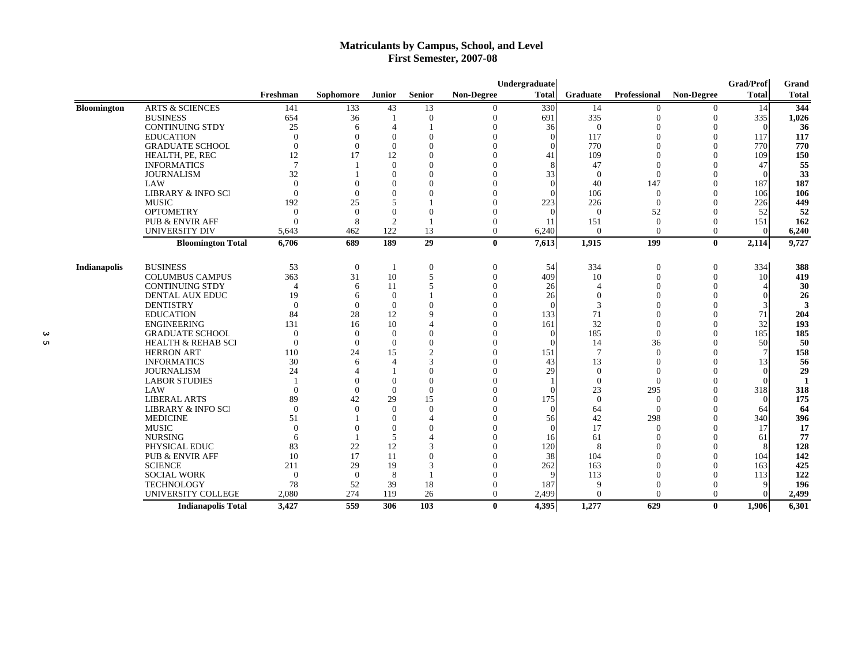### **Matriculants by Campus, School, and Level First Semester, 2007-08**

|                    |                               | Undergraduate  |                  |                          |                |              |              |                |                  | <b>Grad/Prof</b> | Grand        |              |
|--------------------|-------------------------------|----------------|------------------|--------------------------|----------------|--------------|--------------|----------------|------------------|------------------|--------------|--------------|
|                    |                               | Freshman       | <b>Sophomore</b> | <b>Junior</b>            | <b>Senior</b>  | Non-Degree   | <b>Total</b> | Graduate       | Professional     | Non-Degree       | <b>Total</b> | <b>Total</b> |
| <b>Bloomington</b> | <b>ARTS &amp; SCIENCES</b>    | 141            | 133              | 43                       | 13             | $\Omega$     | 330          | 14             | 0                | $\Omega$         | 14           | 344          |
|                    | <b>BUSINESS</b>               | 654            | 36               |                          | $\Omega$       | $\Omega$     | 691          | 335            | $\overline{0}$   | $\mathbf{0}$     | 335          | 1,026        |
|                    | <b>CONTINUING STDY</b>        | 25             | 6                | $\Delta$                 |                | $\Omega$     | 36           | $\overline{0}$ | $\Omega$         | $\Omega$         | $\Omega$     | 36           |
|                    | <b>EDUCATION</b>              | $\Omega$       | $\Omega$         | $\Omega$                 | $\Omega$       | $\Omega$     | $\Omega$     | 117            | $\Omega$         | $\Omega$         | 117          | 117          |
|                    | <b>GRADUATE SCHOOL</b>        | $\Omega$       | $\Omega$         | $\Omega$                 | $\Omega$       | $\Omega$     | $\Omega$     | 770            | $\Omega$         | $\Omega$         | 770          | 770          |
|                    | HEALTH, PE, REC               | 12             | 17               | 12                       | $\Omega$       | $\Omega$     | 41           | 109            | $\Omega$         | $\Omega$         | 109          | 150          |
|                    | <b>INFORMATICS</b>            | $\mathcal{I}$  |                  | $\theta$                 | $\Omega$       | $\Omega$     |              | 47             | $\Omega$         | $\Omega$         | 47           |              |
|                    | <b>JOURNALISM</b>             | 32             |                  | $\Omega$                 |                | $\Omega$     | 33           | $\Omega$       | $\Omega$         | $\Omega$         | $\Omega$     |              |
|                    | LAW                           | $\Omega$       | $\Omega$         | $\Omega$                 | $\Omega$       | $\Omega$     | $\Omega$     | 40             | 147              | $\Omega$         | 187          | 187          |
|                    | <b>LIBRARY &amp; INFO SCI</b> | $\Omega$       | $\theta$         | $\Omega$                 | $\Omega$       | $\Omega$     |              | 106            | $\mathbf{0}$     | $\theta$         | 106          | 106          |
|                    | <b>MUSIC</b>                  | 192            | 25               | 5                        |                | $\Omega$     | 223          | 226            | $\theta$         | $\Omega$         | 226          | 449          |
|                    | <b>OPTOMETRY</b>              | $\Omega$       | $\Omega$         | $\theta$                 | $\theta$       | $\theta$     | $\Omega$     | $\theta$       | 52               | $\Omega$         | 52           |              |
|                    | <b>PUB &amp; ENVIR AFF</b>    | $\Omega$       | 8                | 2                        |                | $\theta$     | 11           | 151            | $\theta$         | $\theta$         | 151          | 162          |
|                    | <b>UNIVERSITY DIV</b>         | 5.643          | 462              | 122                      | 13             | $\theta$     | 6,240        | $\theta$       | $\Omega$         | $\theta$         | $\theta$     | 6,240        |
|                    | <b>Bloomington Total</b>      | 6,706          | 689              | 189                      | 29             | $\bf{0}$     | 7,613        | 1,915          | 199              | $\bf{0}$         | 2,114        | 9,727        |
|                    |                               |                |                  |                          |                |              |              |                |                  |                  |              |              |
| Indianapolis       | <b>BUSINESS</b>               | 53             | $\overline{0}$   | $\mathbf{1}$             | $\theta$       | $\mathbf{0}$ | 54           | 334            | $\boldsymbol{0}$ | $\boldsymbol{0}$ | 334          | 388          |
|                    | <b>COLUMBUS CAMPUS</b>        | 363            | 31               | 10                       | 5              | $\theta$     | 409          | 10             | $\theta$         | $\theta$         | 10           | 419          |
|                    | <b>CONTINUING STDY</b>        | $\overline{4}$ | 6                | 11                       | 5              | $\theta$     | 26           | $\Delta$       | $\theta$         | $\Omega$         |              |              |
|                    | DENTAL AUX EDUC               | 19             | 6                | $\theta$                 |                | $\theta$     | 26           | $\theta$       | $\Omega$         | $\theta$         |              |              |
|                    | <b>DENTISTRY</b>              | $\theta$       | $\theta$         | $\theta$                 | $\Omega$       | $\theta$     | $\Omega$     | 3              | $\theta$         | $\Omega$         |              |              |
|                    | <b>EDUCATION</b>              | 84             | 28               | 12                       | $\mathbf Q$    | $\theta$     | 133          | 71             | $\overline{()}$  | $\theta$         | 71           | 204          |
|                    | <b>ENGINEERING</b>            | 131            | 16               | 10                       | $\overline{4}$ | $\theta$     | 161          | 32             | $\Omega$         | $\theta$         | 32           | 193          |
|                    | <b>GRADUATE SCHOOL</b>        | $\theta$       | $\theta$         | $\Omega$                 | $\Omega$       | $\theta$     | $\Omega$     | 185            | $\theta$         | $\theta$         | 185          | 185          |
|                    | <b>HEALTH &amp; REHAB SCI</b> | $\theta$       | $\theta$         | $\theta$                 | $\Omega$       | $\Omega$     | $\Omega$     | 14             | 36               | $\Omega$         | 50           |              |
|                    | <b>HERRON ART</b>             | 110            | 24               | 15                       | $\overline{2}$ | $\Omega$     | 151          | 7              | $\Omega$         | $\Omega$         |              | 158          |
|                    | <b>INFORMATICS</b>            | 30             | 6                | $\overline{\mathcal{A}}$ | 3              | $\theta$     | 43           | 13             | $\mathbf{0}$     | $\Omega$         | 13           |              |
|                    | <b>JOURNALISM</b>             | 24             |                  |                          | $\Omega$       | $\Omega$     | 29           | $\overline{0}$ | $\Omega$         | $\Omega$         | $\Omega$     |              |
|                    | <b>LABOR STUDIES</b>          |                | $\Omega$         | $\Omega$                 | $\Omega$       | $\Omega$     |              | $\overline{0}$ | $\mathbf{0}$     | $\Omega$         | $\Omega$     |              |
|                    | LAW                           | $\Omega$       | $\theta$         | $\theta$                 | $\theta$       | $\Omega$     |              | 23             | 295              | $\theta$         | 318          | 318          |
|                    | <b>LIBERAL ARTS</b>           | 89             | 42               | 29                       | 15             | $\Omega$     | 175          | $\overline{0}$ | $\mathbf{0}$     | $\Omega$         | $\theta$     | 175          |
|                    | <b>LIBRARY &amp; INFO SCI</b> | $\Omega$       | $\Omega$         | $\Omega$                 | $\Omega$       | $\Omega$     | $\Omega$     | 64             | $\Omega$         | $\Omega$         | 64           |              |
|                    | <b>MEDICINE</b>               | 51             |                  | $\theta$                 |                | $\theta$     | 56           | 42             | 298              | $\theta$         | 340          | 396          |
|                    | <b>MUSIC</b>                  | $\Omega$       | $\theta$         | $\Omega$                 | $\Omega$       | $\Omega$     | $\Omega$     | 17             | $\Omega$         | $\Omega$         | 17           |              |
|                    | <b>NURSING</b>                | -6             |                  | 5                        | $\overline{4}$ | $\theta$     | 16           | 61             | $\Omega$         | $\Omega$         | 61           |              |
|                    | PHYSICAL EDUC                 | 83             | 22               | 12                       | $\mathcal{R}$  | $\Omega$     | 120          | 8              | $\Omega$         | $\Omega$         | 8            | 128          |
|                    | <b>PUB &amp; ENVIR AFF</b>    | 10             | 17               | 11                       | $\Omega$       | $\Omega$     | 38           | 104            | $\Omega$         | $\Omega$         | 104          | 142          |
|                    | <b>SCIENCE</b>                | 211            | 29               | 19                       | 3              | $\Omega$     | 262          | 163            | $\Omega$         | $\Omega$         | 163          | 425          |
|                    | <b>SOCIAL WORK</b>            | $\overline{0}$ | $\overline{0}$   | 8                        |                | $\Omega$     | $\mathbf Q$  | 113            | $\Omega$         | $\Omega$         | 113          | 122          |
|                    | <b>TECHNOLOGY</b>             | 78             | 52               | 39                       | 18             | $\Omega$     | 187          | 9              | $\Omega$         | $\Omega$         | 9            | 196          |
|                    | UNIVERSITY COLLEGE            | 2,080          | 274              | 119                      | 26             | $\Omega$     | 2,499        | $\theta$       | $\Omega$         | $\theta$         |              | 2,499        |
|                    | <b>Indianapolis Total</b>     | 3,427          | 559              | 306                      | 103            | 0            | 4.395        | 1.277          | 629              | $\mathbf{0}$     | 1.906        | 6,301        |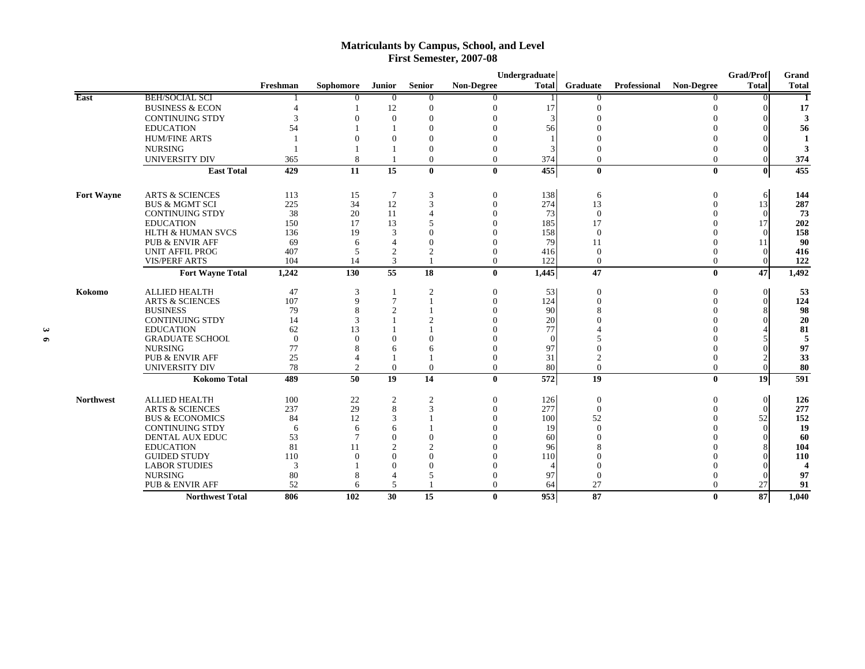# **Matriculants by Campus, School, and Level First Semester, 2007-08**

|                   |                              |                |                |                |                |                  | Undergraduate    |                  |              |                   | Grad/Prof    | Grand        |
|-------------------|------------------------------|----------------|----------------|----------------|----------------|------------------|------------------|------------------|--------------|-------------------|--------------|--------------|
|                   |                              | Freshman       | Sophomore      | <b>Junior</b>  | <b>Senior</b>  | Non-Degree       | <b>Total</b>     | Graduate         | Professional | <b>Non-Degree</b> | <b>Total</b> | <b>Total</b> |
| East              | <b>BEH/SOCIAL SCI</b>        |                |                | $\Omega$       | $\theta$       |                  |                  |                  |              |                   | $^{\circ}$   |              |
|                   | <b>BUSINESS &amp; ECON</b>   | $\overline{4}$ |                | 12             | $\Omega$       | $\Omega$         | 17               | $\Omega$         |              |                   |              | 17           |
|                   | <b>CONTINUING STDY</b>       | 3              | $\Omega$       | $\overline{0}$ | $\Omega$       |                  | 3                |                  |              |                   |              | 3            |
|                   | <b>EDUCATION</b>             | 54             |                | $\mathbf{1}$   | $\Omega$       | $\Omega$         | 56               |                  |              |                   |              | 56           |
|                   | <b>HUM/FINE ARTS</b>         |                | $\theta$       | $\Omega$       | $\Omega$       | $\Omega$         |                  |                  |              |                   |              |              |
|                   | <b>NURSING</b>               |                |                |                | $\Omega$       | 0                |                  |                  |              |                   |              | 3            |
|                   | <b>UNIVERSITY DIV</b>        | 365            | 8              |                | $\mathbf{0}$   | $\theta$         | 374              | $\mathbf{0}$     |              | $\Omega$          |              | 374          |
|                   | <b>East Total</b>            | 429            | 11             | 15             | $\mathbf{0}$   | $\mathbf{0}$     | 455              | $\bf{0}$         |              | $\bf{0}$          | $\bf{0}$     | 455          |
| <b>Fort Wayne</b> | <b>ARTS &amp; SCIENCES</b>   | 113            | 15             | $\overline{7}$ | 3              | $\mathbf{0}$     | 138              | 6                |              | $\Omega$          | 6            | 144          |
|                   | <b>BUS &amp; MGMT SCI</b>    | 225            | 34             | 12             | 3              | $\Omega$         | 274              | 13               |              |                   | 13           | 287          |
|                   | <b>CONTINUING STDY</b>       | 38             | 20             | 11             |                | $\mathbf{0}$     | 73               | $\theta$         |              |                   | $\Omega$     | 73           |
|                   | <b>EDUCATION</b>             | 150            | 17             | 13             | 5              | $\Omega$         | 185              | 17               |              |                   | 17           | 202          |
|                   | <b>HLTH &amp; HUMAN SVCS</b> | 136            | 19             | $\overline{3}$ | $\Omega$       | $\Omega$         | 158              | $\Omega$         |              |                   |              | 158          |
|                   | <b>PUB &amp; ENVIR AFF</b>   | 69             | 6              | $\overline{4}$ | $\theta$       | $\mathbf{0}$     | 79               | 11               |              |                   | 11           | 90           |
|                   | <b>UNIT AFFIL PROG</b>       | 407            | 5              | 2              | $\overline{2}$ | $\theta$         | 416              | $\theta$         |              |                   |              | 416          |
|                   | <b>VIS/PERF ARTS</b>         | 104            | 14             | 3              |                | $\theta$         | 122              | $\theta$         |              | $\Omega$          |              | 122          |
|                   | <b>Fort Wayne Total</b>      | 1,242          | 130            | 55             | 18             | $\mathbf{0}$     | 1,445            | 47               |              | $\mathbf{0}$      | 47           | 1,492        |
| Kokomo            | <b>ALLIED HEALTH</b>         | 47             | 3              | $\mathbf{1}$   | $\overline{2}$ | $\overline{0}$   | 53               | $\overline{0}$   |              | $\theta$          | $\Omega$     | 53           |
|                   | <b>ARTS &amp; SCIENCES</b>   | 107            | 9              | $\overline{7}$ |                | $\overline{0}$   | 124              | $\Omega$         |              |                   |              | 124          |
|                   | <b>BUSINESS</b>              | 79             | 8              | $\mathcal{D}$  |                | $\Omega$         | 90               |                  |              |                   |              | 98           |
|                   | <b>CONTINUING STDY</b>       | 14             | 3              |                | $\mathfrak{D}$ | $\Omega$         | 20               |                  |              |                   |              | 20           |
|                   | <b>EDUCATION</b>             | 62             | 13             |                |                | $\Omega$         | 77               |                  |              |                   |              | 81           |
|                   | <b>GRADUATE SCHOOL</b>       | $\theta$       | $\Omega$       | $\sqrt{ }$     | $\Omega$       |                  | $\Omega$         |                  |              |                   |              | 5            |
|                   | <b>NURSING</b>               | 77             | 8              | 6              |                | 0                | 97               |                  |              |                   |              | 97           |
|                   | <b>PUB &amp; ENVIR AFF</b>   | 25             | $\overline{4}$ |                |                | 0                | 31               | $\mathfrak{D}$   |              |                   |              | 33           |
|                   | <b>UNIVERSITY DIV</b>        | 78             | $\mathfrak{D}$ | $\overline{0}$ | $\Omega$       | $\overline{0}$   | 80               | $\theta$         |              | $\theta$          |              | 80           |
|                   | <b>Kokomo Total</b>          | 489            | 50             | 19             | 14             | $\bf{0}$         | $\overline{572}$ | 19               |              | $\bf{0}$          | 19           | 591          |
| <b>Northwest</b>  | <b>ALLIED HEALTH</b>         | 100            | 22             | $\overline{2}$ | $\mathfrak{2}$ | $\boldsymbol{0}$ | 126              | $\boldsymbol{0}$ |              | $\Omega$          | $\Omega$     | 126          |
|                   | <b>ARTS &amp; SCIENCES</b>   | 237            | 29             | 8              | $\mathcal{R}$  | $\Omega$         | 277              | $\theta$         |              |                   | $\Omega$     | 277          |
|                   | <b>BUS &amp; ECONOMICS</b>   | 84             | 12             | 3              |                | $\Omega$         | 100              | 52               |              |                   | 52           | 152          |
|                   | <b>CONTINUING STDY</b>       | 6              | 6              | 6              |                | $\theta$         | 19               | $\Omega$         |              |                   |              | 19           |
|                   | <b>DENTAL AUX EDUC</b>       | 53             | $\tau$         | $\bigcap$      | $\Omega$       | $\theta$         | 60               |                  |              |                   |              | 60           |
|                   | <b>EDUCATION</b>             | 81             | 11             | $\overline{2}$ | $\mathfrak{D}$ | $\Omega$         | 96               |                  |              |                   |              | 104          |
|                   | <b>GUIDED STUDY</b>          | 110            | $\Omega$       | $\Omega$       | $\Omega$       | $\mathbf{0}$     | 110              |                  |              |                   |              | 110          |
|                   | <b>LABOR STUDIES</b>         | 3              |                | $\bigcap$      | $\Omega$       | $\Omega$         |                  | $\Omega$         |              |                   |              | 4            |
|                   | <b>NURSING</b>               | 80             | 8              | $\overline{4}$ | 5              | $\Omega$         | 97               | $\Omega$         |              |                   |              | 97           |
|                   | <b>PUB &amp; ENVIR AFF</b>   | 52             | 6              | 5              |                | $\Omega$         | 64               | 27               |              | $\theta$          | 27           | 91           |
|                   | <b>Northwest Total</b>       | 806            | 102            | 30             | 15             | $\bf{0}$         | 953              | 87               |              | $\bf{0}$          | 87           | 1,040        |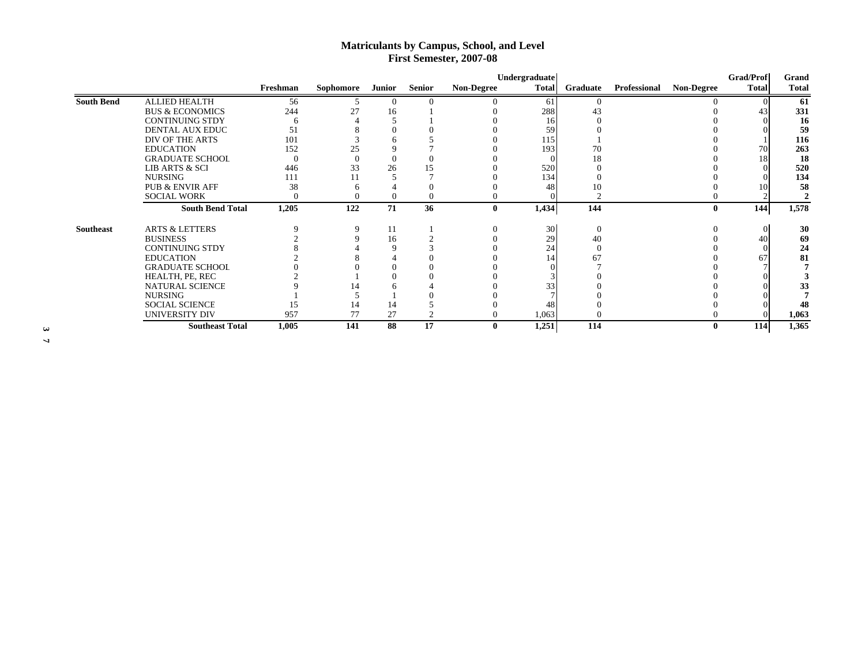# **Matriculants by Campus, School, and Level First Semester, 2007-08**

|                   |                            |          |           |          |                |                   | Undergraduate |           |              |                   | <b>Grad/Prof</b> | Grand        |
|-------------------|----------------------------|----------|-----------|----------|----------------|-------------------|---------------|-----------|--------------|-------------------|------------------|--------------|
|                   |                            | Freshman | Sophomore | Junior   | Senior         | <b>Non-Degree</b> | <b>Total</b>  | Graduate  | Professional | <b>Non-Degree</b> | <b>Total</b>     | <b>Total</b> |
| <b>South Bend</b> | <b>ALLIED HEALTH</b>       | 56       |           | $\theta$ |                |                   | 61            | $\Omega$  |              |                   |                  | 61           |
|                   | <b>BUS &amp; ECONOMICS</b> | 244      | 27        | 16       |                |                   | 288           | 43        |              |                   | 43               | 331          |
|                   | <b>CONTINUING STDY</b>     | 6        |           |          |                |                   |               |           |              |                   |                  | 16           |
|                   | DENTAL AUX EDUC            | 51       |           |          |                |                   | 59            |           |              |                   |                  | 59           |
|                   | DIV OF THE ARTS            | 101      |           |          |                |                   | 115           |           |              |                   |                  | 116          |
|                   | <b>EDUCATION</b>           | 152      | 25        |          |                |                   | 193           | 70        |              |                   | 70               | 263          |
|                   | <b>GRADUATE SCHOOL</b>     |          |           |          |                |                   |               | 18        |              |                   | 18               | 18           |
|                   | <b>LIB ARTS &amp; SCI</b>  | 446      | 33        | 26       | 15             |                   | 520           |           |              |                   |                  | 520          |
|                   | <b>NURSING</b>             | 111      |           |          |                |                   | 134           |           |              |                   |                  | 134          |
|                   | <b>PUB &amp; ENVIR AFF</b> | 38       |           |          | $\Omega$       |                   |               | 10        |              |                   |                  | 58           |
|                   | <b>SOCIAL WORK</b>         |          |           |          | $\theta$       |                   |               | $\bigcap$ |              |                   |                  |              |
|                   | <b>South Bend Total</b>    | 1,205    | 122       | 71       | 36             | $\bf{0}$          | 1,434         | 144       |              | $\bf{0}$          | 144              | 1,578        |
| <b>Southeast</b>  | <b>ARTS &amp; LETTERS</b>  |          | 9         | 11       |                |                   | 30            | $\theta$  |              |                   |                  | 30           |
|                   | <b>BUSINESS</b>            |          | 9         | 16       |                |                   | 29            | 40        |              |                   | 40               | 69           |
|                   | <b>CONTINUING STDY</b>     |          |           |          |                |                   | 24            |           |              |                   |                  | 24           |
|                   | <b>EDUCATION</b>           |          |           |          |                |                   |               | 67        |              |                   | 67               | 81           |
|                   | <b>GRADUATE SCHOOL</b>     |          |           |          |                |                   |               |           |              |                   |                  |              |
|                   | HEALTH, PE, REC            |          |           |          |                |                   |               |           |              |                   |                  |              |
|                   | NATURAL SCIENCE            |          |           |          |                |                   | 33            |           |              |                   |                  | 33           |
|                   | NURSING                    |          |           |          |                |                   |               |           |              |                   |                  |              |
|                   | <b>SOCIAL SCIENCE</b>      | 15       | 14        | 14       |                |                   |               |           |              |                   |                  | 48           |
|                   | <b>UNIVERSITY DIV</b>      | 957      | 77        | 27       | $\overline{2}$ |                   | 1,063         |           |              |                   |                  | 1,063        |
|                   | <b>Southeast Total</b>     | 1,005    | 141       | 88       | 17             | $\mathbf{0}$      | 1,251         | 114       |              | $\mathbf{0}$      | 114              | 1,365        |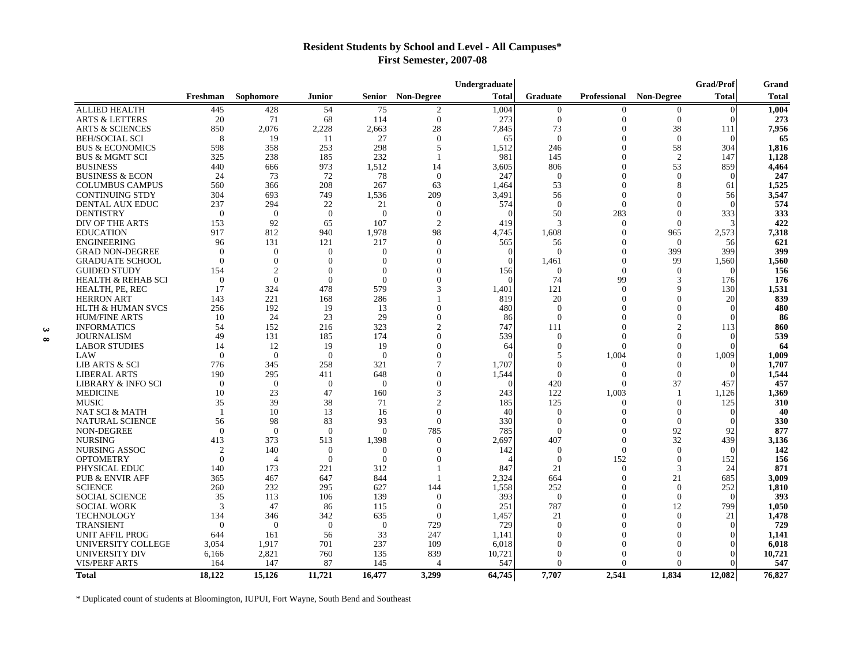# **Resident Students by School and Level - All Campuses\* First Semester, 2007-08**

|                               |                |                |                |               |                   | Undergraduate |                 |                     |                   | <b>Grad/Prof</b> | Grand        |
|-------------------------------|----------------|----------------|----------------|---------------|-------------------|---------------|-----------------|---------------------|-------------------|------------------|--------------|
|                               | Freshman       | Sophomore      | <b>Junior</b>  | <b>Senior</b> | <b>Non-Degree</b> | <b>Total</b>  | <b>Graduate</b> | <b>Professional</b> | <b>Non-Degree</b> | <b>Total</b>     | <b>Total</b> |
| <b>ALLIED HEALTH</b>          | 445            | 428            | 54             | 75            | $\boldsymbol{2}$  | 1,004         | $\mathbf{0}$    | $\Omega$            | $\theta$          | $\Omega$         | 1,004        |
| <b>ARTS &amp; LETTERS</b>     | 20             | 71             | 68             | 114           | $\theta$          | 273           | $\mathbf{0}$    | $\theta$            | $\theta$          | $\Omega$         | 273          |
| <b>ARTS &amp; SCIENCES</b>    | 850            | 2,076          | 2,228          | 2,663         | 28                | 7,845         | 73              | $\Omega$            | 38                | 111              | 7,956        |
| <b>BEH/SOCIAL SCI</b>         | 8              | 19             | -11            | 27            | $\theta$          | 65            | $\Omega$        | $\Omega$            | $\theta$          | $\Omega$         | -65          |
| <b>BUS &amp; ECONOMICS</b>    | 598            | 358            | 253            | 298           | 5                 | 1,512         | 246             | $\Omega$            | 58                | 304              | 1,816        |
| <b>BUS &amp; MGMT SCI</b>     | 325            | 238            | 185            | 232           | $\overline{1}$    | 981           | 145             | $\Omega$            | $\overline{2}$    | 147              | 1.128        |
| <b>BUSINESS</b>               | 440            | 666            | 973            | 1,512         | 14                | 3,605         | 806             | $\Omega$            | 53                | 859              | 4,464        |
| <b>BUSINESS &amp; ECON</b>    | 24             | 73             | 72             | 78            | $\theta$          | 247           | $\theta$        | $\theta$            | $\theta$          | $\Omega$         | 247          |
| <b>COLUMBUS CAMPUS</b>        | 560            | 366            | 208            | 267           | 63                | 1.464         | 53              | $\Omega$            | 8                 | 61               | 1,525        |
| <b>CONTINUING STDY</b>        | 304            | 693            | 749            | 1,536         | 209               | 3,491         | 56              | $\theta$            | $\theta$          | 56               | 3,547        |
| DENTAL AUX EDUC               | 237            | 294            | 22             | 21            | $\theta$          | 574           | $\Omega$        | $\Omega$            | $\theta$          |                  | 574          |
| <b>DENTISTRY</b>              | $\theta$       | $\theta$       | $\theta$       | $\theta$      | $\theta$          |               | 50              | 283                 | $\theta$          | 333              | 333          |
| DIV OF THE ARTS               | 153            | 92             | 65             | 107           | $\overline{2}$    | 419           | 3               | $\Omega$            | $\theta$          |                  | 422          |
| <b>EDUCATION</b>              | 917            | 812            | 940            | 1,978         | 98                | 4,745         | 1,608           | $\Omega$            | 965               | 2,573            | 7,318        |
| <b>ENGINEERING</b>            | 96             | 131            | 121            | 217           | $\Omega$          | 565           | 56              | $\Omega$            | $\Omega$          | 56               | 621          |
| <b>GRAD NON-DEGREE</b>        | $\Omega$       | $\Omega$       | $\theta$       | $\Omega$      | $\Omega$          | $\Omega$      | $\Omega$        | $\Omega$            | 399               | 399              | 399          |
| <b>GRADUATE SCHOOL</b>        | $\theta$       | $\theta$       | $\theta$       | $\Omega$      | $\theta$          | $\Omega$      | 1,461           | $\theta$            | 99                | 1,560            | 1,560        |
| <b>GUIDED STUDY</b>           | 154            | $\overline{c}$ | $\overline{0}$ | $\Omega$      | $\theta$          | 156           | $\theta$        | $\mathbf{0}$        | $\theta$          | $\Omega$         | 156          |
| <b>HEALTH &amp; REHAB SCI</b> | $\Omega$       | $\Omega$       | $\theta$       | $\Omega$      | $\mathbf{0}$      | $\Omega$      | 74              | 99                  | 3                 | 176              | 176          |
| HEALTH, PE, REC               | 17             | 324            | 478            | 579           | 3                 | 1.401         | 121             | $\Omega$            | 9                 | 130              | 1,531        |
| <b>HERRON ART</b>             | 143            | 221            | 168            | 286           |                   | 819           | 20              | $\Omega$            | $\Omega$          | 20               | 839          |
| <b>HLTH &amp; HUMAN SVCS</b>  | 256            | 192            | 19             | 13            | $\Omega$          | 480           | $\Omega$        | $\Omega$            | $\Omega$          | $\Omega$         | 480          |
| <b>HUM/FINE ARTS</b>          | 10             | 24             | 23             | 29            | $\overline{0}$    | 86            | $\Omega$        | $\Omega$            | $\theta$          |                  | 86           |
| <b>INFORMATICS</b>            | 54             | 152            | 216            | 323           | $\overline{2}$    | 747           | 111             | $\Omega$            | $\overline{2}$    | 113              | 860          |
| <b>JOURNALISM</b>             | 49             | 131            | 185            | 174           | $\Omega$          | 539           | $\Omega$        | $\Omega$            | $\Omega$          | $\Omega$         | 539          |
| <b>LABOR STUDIES</b>          | 14             | 12             | 19             | 19            | $\theta$          | 64            | $\theta$        | $\Omega$            | $\theta$          |                  | 64           |
| LAW                           | $\Omega$       | $\Omega$       | $\Omega$       | $\Omega$      | $\Omega$          |               | 5               | 1,004               | $\Omega$          | 1,009            | 1,009        |
| <b>LIB ARTS &amp; SCI</b>     | 776            | 345            | 258            | 321           | $\overline{7}$    | 1.707         | $\Omega$        | $\theta$            | $\theta$          |                  | 1,707        |
| <b>LIBERAL ARTS</b>           | 190            | 295            | 411            | 648           | $\Omega$          | 1.544         | $\Omega$        | $\Omega$            | $\Omega$          |                  | 1.544        |
| LIBRARY & INFO SCI            | $\Omega$       | $\overline{0}$ | $\theta$       | $\Omega$      | $\theta$          | $\sqrt{ }$    | 420             | $\Omega$            | 37                | 457              | 457          |
| <b>MEDICINE</b>               | 10             | 23             | 47             | 160           | 3                 | 243           | 122             | 1,003               | $\overline{1}$    | 1,126            | 1,369        |
| <b>MUSIC</b>                  | 35             | 39             | 38             | 71            | $\overline{2}$    | 185           | 125             | $\Omega$            | $\theta$          | 125              | 310          |
| <b>NAT SCI &amp; MATH</b>     | -1             | 10             | 13             | 16            | $\theta$          | 40            | $\theta$        | $\theta$            | $\theta$          | $\Omega$         | 40           |
| <b>NATURAL SCIENCE</b>        | 56             | 98             | 83             | 93            | $\theta$          | 330           | $\Omega$        | $\theta$            | $\theta$          | $\Omega$         | 330          |
| <b>NON-DEGREE</b>             | $\Omega$       | $\theta$       | $\theta$       | $\theta$      | 785               | 785           | $\theta$        | $\theta$            | 92                | 92               | 877          |
| <b>NURSING</b>                | 413            | 373            | 513            | 1,398         | $\theta$          | 2.697         | 407             | $\Omega$            | 32                | 439              | 3,136        |
| <b>NURSING ASSOC</b>          | $\overline{c}$ | 140            | $\theta$       | $\theta$      | $\theta$          | 142           | $\Omega$        | $\theta$            | $\theta$          | $\Omega$         | 142          |
| <b>OPTOMETRY</b>              | $\Omega$       | $\overline{4}$ | $\theta$       | $\theta$      | $\Omega$          |               | $\Omega$        | 152                 | $\theta$          | 152              | 156          |
| PHYSICAL EDUC                 | 140            | 173            | 221            | 312           | $\mathbf{1}$      | 847           | 21              | $\Omega$            | 3                 | 24               | 871          |
| <b>PUB &amp; ENVIR AFF</b>    | 365            | 467            | 647            | 844           | $\overline{1}$    | 2,324         | 664             | $\Omega$            | 21                | 685              | 3,009        |
| <b>SCIENCE</b>                | 260            | 232            | 295            | 627           | 144               | 1,558         | 252             | $\Omega$            | $\theta$          | 252              | 1,810        |
| <b>SOCIAL SCIENCE</b>         | 35             | 113            | 106            | 139           | $\theta$          | 393           | $\theta$        | $\theta$            | $\theta$          | $\Omega$         | 393          |
| <b>SOCIAL WORK</b>            | 3              | 47             | 86             | 115           | $\Omega$          | 251           | 787             | $\Omega$            | 12                | 799              | 1,050        |
| <b>TECHNOLOGY</b>             | 134            | 346            | 342            | 635           | $\mathbf{0}$      | 1,457         | 21              | $\Omega$            | $\theta$          | 21               | 1,478        |
| <b>TRANSIENT</b>              | $\Omega$       | $\Omega$       | $\theta$       | $\Omega$      | 729               | 729           | $\Omega$        | $\Omega$            | $\Omega$          | $\Omega$         | 729          |
| UNIT AFFIL PROG               | 644            | 161            | 56             | 33            | 247               | 1.141         | $\Omega$        | $\Omega$            | $\Omega$          |                  | 1,141        |
| UNIVERSITY COLLEGE            | 3,054          | 1,917          | 701            | 237           | 109               | 6,018         | $\Omega$        | $\Omega$            | $\Omega$          |                  | 6,018        |
| UNIVERSITY DIV                | 6,166          | 2,821          | 760            | 135           | 839               | 10,721        | $\Omega$        | $\Omega$            | $\Omega$          | $\Omega$         | 10,721       |
| <b>VIS/PERF ARTS</b>          | 164            | 147            | 87             | 145           | $\overline{4}$    | 547           | $\Omega$        | $\Omega$            | $\Omega$          |                  | 547          |
| <b>Total</b>                  | 18.122         | 15.126         | 11.721         | 16.477        | 3.299             | 64,745        | 7.707           | 2.541               | 1.834             | 12.082           | 76.827       |
|                               |                |                |                |               |                   |               |                 |                     |                   |                  |              |

\* Duplicated count of students at Bloomington, IUPUI, Fort Wayne, South Bend and Southeast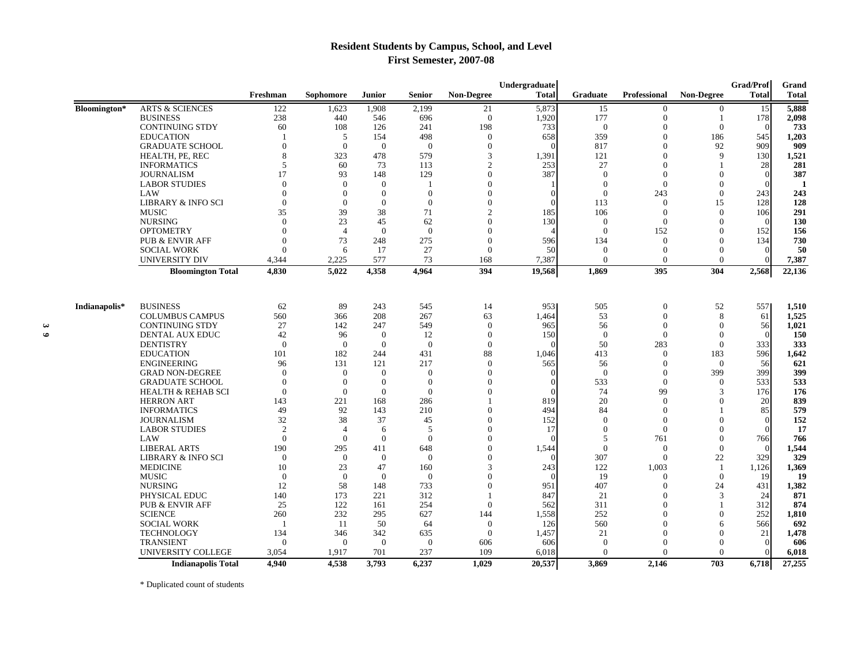# **Resident Students by Campus, School, and Level First Semester, 2007-08**

| <b>Total</b><br><b>Total</b><br>Freshman<br>Junior<br><b>Senior</b><br><b>Non-Degree</b><br><b>Professional</b><br><b>Non-Degree</b><br><b>Sophomore</b><br>Graduate<br>5,873<br>Bloomington*<br><b>ARTS &amp; SCIENCES</b><br>122<br>1,623<br>2,199<br>21<br>15<br>15<br>1,908<br>$\mathbf{0}$<br>$\overline{0}$<br>177<br><b>BUSINESS</b><br>238<br>440<br>696<br>$\overline{0}$<br>1,920<br>$\Omega$<br>178<br>546<br><b>CONTINUING STDY</b><br>60<br>108<br>241<br>198<br>733<br>$\mathbf{0}$<br>126<br>$\mathbf{0}$<br>$\Omega$<br>359<br>545<br><b>EDUCATION</b><br>5<br>154<br>498<br>$\overline{0}$<br>658<br>$\Omega$<br>186<br>$\mathbf{1}$<br>909<br><b>GRADUATE SCHOOL</b><br>$\theta$<br>$\overline{0}$<br>$\theta$<br>$\overline{0}$<br>$\overline{0}$<br>817<br>92<br>$\Omega$<br>8<br>3<br>9<br>130<br>HEALTH, PE, REC<br>323<br>478<br>579<br>1,391<br>121<br>$\Omega$<br>5<br>60<br>113<br>$\overline{c}$<br>253<br>27<br><b>INFORMATICS</b><br>73<br>28<br>$\Omega$<br>387<br><b>JOURNALISM</b><br>17<br>93<br>148<br>129<br>$\theta$<br>$\mathbf{0}$<br>$\Omega$<br>$\Omega$<br>$\Omega$<br><b>LABOR STUDIES</b><br>$\theta$<br>$\theta$<br>$\mathbf{0}$<br>$\mathbf{0}$<br>$\theta$<br>$\Omega$<br>$\Omega$<br>$\mathbf{0}$<br>243<br>$\theta$<br>243<br>LAW<br>$\Omega$<br>$\mathbf{0}$<br>$\Omega$<br>$\Omega$<br>$\Omega$<br>$\Omega$<br>128<br>LIBRARY & INFO SCI<br>$\Omega$<br>$\Omega$<br>$\Omega$<br>$\Omega$<br>113<br>15<br>$\Omega$<br>$\Omega$<br>$\Omega$<br>35<br><b>MUSIC</b><br>39<br>38<br>71<br>$\overline{c}$<br>106<br>106<br>185<br>$\Omega$<br>$\Omega$<br><b>NURSING</b><br>$\Omega$<br>23<br>45<br>62<br>$\Omega$<br>130<br>$\mathbf{0}$<br>$\Omega$<br>$\Omega$<br><b>OPTOMETRY</b><br>152<br>$\Omega$<br>$\overline{4}$<br>$\Omega$<br>$\Omega$<br>$\Omega$<br>$\Omega$<br>152<br>$\Omega$<br>73<br><b>PUB &amp; ENVIR AFF</b><br>$\theta$<br>248<br>275<br>$\overline{0}$<br>596<br>134<br>134<br>$\Omega$<br>$\Omega$<br>27<br><b>SOCIAL WORK</b><br>$\Omega$<br>$\Omega$<br>50<br>$\Omega$<br>6<br>17<br>$\Omega$<br>$\Omega$<br><b>UNIVERSITY DIV</b><br>2,225<br>577<br>73<br>7,387<br>4,344<br>168<br>$\Omega$<br>$\Omega$<br>$\Omega$<br>5,022<br>4,358<br>394<br>304<br><b>Bloomington Total</b><br>4,830<br>4,964<br>19,568<br>1,869<br>395<br>2,568<br><b>BUSINESS</b><br>Indianapolis*<br>62<br>89<br>243<br>545<br>14<br>953<br>505<br>$\boldsymbol{0}$<br>52<br>557<br><b>COLUMBUS CAMPUS</b><br>560<br>366<br>208<br>267<br>63<br>53<br>8<br>1,464<br>$\mathbf{0}$<br>61<br><b>CONTINUING STDY</b><br>27<br>142<br>247<br>549<br>56<br>$\overline{0}$<br>965<br>56<br>$\Omega$<br>$\mathbf{0}$<br>DENTAL AUX EDUC<br>42<br>12<br>150<br>96<br>$\Omega$<br>$\Omega$<br>$\overline{0}$<br>$\Omega$<br>$\theta$<br>$\Omega$<br><b>DENTISTRY</b><br>$\Omega$<br>$\mathbf{0}$<br>$\Omega$<br>50<br>283<br>$\Omega$<br>333<br>$\Omega$<br>$\Omega$<br><b>EDUCATION</b><br>101<br>182<br>244<br>431<br>88<br>413<br>183<br>596<br>1,046<br>$\Omega$<br><b>ENGINEERING</b><br>96<br>131<br>121<br>217<br>$\theta$<br>565<br>56<br>$\theta$<br>56<br>$\Omega$<br><b>GRAD NON-DEGREE</b><br>399<br>399<br>$\Omega$<br>$\mathbf{0}$<br>$\Omega$<br>$\overline{0}$<br>$\overline{0}$<br>$\Omega$<br>$\Omega$<br><b>GRADUATE SCHOOL</b><br>$\mathbf{0}$<br>533<br>533<br>$\Omega$<br>$\Omega$<br>$\Omega$<br>$\Omega$<br>$\Omega$<br>$\theta$<br>74<br>99<br><b>HEALTH &amp; REHAB SCI</b><br>$\overline{0}$<br>$\mathbf{0}$<br>$\theta$<br>$\Omega$<br>$\Omega$<br>3<br>176<br><b>HERRON ART</b><br>143<br>221<br>168<br>286<br>819<br>20<br>20<br>$\Omega$<br>$\Omega$<br>92<br><b>INFORMATICS</b><br>49<br>143<br>210<br>$\theta$<br>494<br>84<br>85<br>$\Omega$<br>32<br>38<br>37<br>45<br>$\overline{0}$<br>152<br>$\mathbf{0}$<br>JOURNALISM<br>$\Omega$<br>$\Omega$<br>$\Omega$<br><b>LABOR STUDIES</b><br>$\overline{2}$<br>5<br>$\theta$<br>$\mathbf{0}$<br>$\overline{4}$<br>17<br>$\Omega$<br>$\Omega$<br>6<br>LAW<br>$\overline{0}$<br>$\mathbf{0}$<br>$\overline{0}$<br>$\theta$<br>5<br>761<br>766<br>$\theta$<br>$\mathbf{0}$<br><b>LIBERAL ARTS</b><br>190<br>295<br>411<br>648<br>1,544<br>$\Omega$<br>$\Omega$<br>$\mathbf{0}$<br>$\Omega$<br>22<br>329<br><b>LIBRARY &amp; INFO SCI</b><br>$\mathbf{0}$<br>$\Omega$<br>$\Omega$<br>307<br>$\Omega$<br>$\Omega$<br>$\Omega$<br><b>MEDICINE</b><br>10<br>23<br>47<br>160<br>3<br>243<br>122<br>1,003<br>1,126<br>$\overline{1}$<br><b>MUSIC</b><br>$\mathbf{0}$<br>$\overline{0}$<br>$\Omega$<br>$\Omega$<br>19<br>$\Omega$<br>19<br>$\Omega$<br>$\Omega$<br><b>NURSING</b><br>12<br>58<br>733<br>951<br>407<br>24<br>431<br>148<br>$\Omega$<br>$\Omega$<br>173<br>312<br>847<br>24<br>PHYSICAL EDUC<br>140<br>221<br>21<br>3<br>$\Omega$<br>25<br>254<br>312<br><b>PUB &amp; ENVIR AFF</b><br>122<br>161<br>$\theta$<br>562<br>311<br>$\Omega$<br><b>SCIENCE</b><br>260<br>232<br>295<br>627<br>252<br>252<br>144<br>1,558<br>$\mathbf{0}$<br><b>SOCIAL WORK</b><br>11<br>50<br>64<br>$\overline{0}$<br>126<br>560<br>566<br>$\mathbf{1}$<br>$\Omega$<br>6<br><b>TECHNOLOGY</b><br>134<br>346<br>342<br>635<br>1,457<br>21<br>21<br>$\overline{0}$<br>$\Omega$<br>$\Omega$<br><b>TRANSIENT</b><br>$\overline{0}$<br>$\theta$<br>606<br>$\mathbf{0}$<br>$\overline{0}$<br>606<br>$\mathbf{0}$<br>$\Omega$<br>$\Omega$<br>UNIVERSITY COLLEGE<br>3,054<br>1,917<br>701<br>237<br>109<br>6,018<br>$\Omega$<br>$\Omega$ |                           |       |       |       |       |       | Undergraduate |       |       |     | <b>Grad/Prof</b> | Grand        |
|--------------------------------------------------------------------------------------------------------------------------------------------------------------------------------------------------------------------------------------------------------------------------------------------------------------------------------------------------------------------------------------------------------------------------------------------------------------------------------------------------------------------------------------------------------------------------------------------------------------------------------------------------------------------------------------------------------------------------------------------------------------------------------------------------------------------------------------------------------------------------------------------------------------------------------------------------------------------------------------------------------------------------------------------------------------------------------------------------------------------------------------------------------------------------------------------------------------------------------------------------------------------------------------------------------------------------------------------------------------------------------------------------------------------------------------------------------------------------------------------------------------------------------------------------------------------------------------------------------------------------------------------------------------------------------------------------------------------------------------------------------------------------------------------------------------------------------------------------------------------------------------------------------------------------------------------------------------------------------------------------------------------------------------------------------------------------------------------------------------------------------------------------------------------------------------------------------------------------------------------------------------------------------------------------------------------------------------------------------------------------------------------------------------------------------------------------------------------------------------------------------------------------------------------------------------------------------------------------------------------------------------------------------------------------------------------------------------------------------------------------------------------------------------------------------------------------------------------------------------------------------------------------------------------------------------------------------------------------------------------------------------------------------------------------------------------------------------------------------------------------------------------------------------------------------------------------------------------------------------------------------------------------------------------------------------------------------------------------------------------------------------------------------------------------------------------------------------------------------------------------------------------------------------------------------------------------------------------------------------------------------------------------------------------------------------------------------------------------------------------------------------------------------------------------------------------------------------------------------------------------------------------------------------------------------------------------------------------------------------------------------------------------------------------------------------------------------------------------------------------------------------------------------------------------------------------------------------------------------------------------------------------------------------------------------------------------------------------------------------------------------------------------------------------------------------------------------------------------------------------------------------------------------------------------------------------------------------------------------------------------------------------------------------------------------------------------------------------------------------------------------------------------------------------------------------------------------------------------------------------------------------------------------------------------------------------------------------------------------------------------------------------------------------------------------------------------------------------------------------------------------------------------------------------------------------------------------------------------------------------------------------------------------------------------------------------------------------------------------------------------------------------------------------------------------------|---------------------------|-------|-------|-------|-------|-------|---------------|-------|-------|-----|------------------|--------------|
|                                                                                                                                                                                                                                                                                                                                                                                                                                                                                                                                                                                                                                                                                                                                                                                                                                                                                                                                                                                                                                                                                                                                                                                                                                                                                                                                                                                                                                                                                                                                                                                                                                                                                                                                                                                                                                                                                                                                                                                                                                                                                                                                                                                                                                                                                                                                                                                                                                                                                                                                                                                                                                                                                                                                                                                                                                                                                                                                                                                                                                                                                                                                                                                                                                                                                                                                                                                                                                                                                                                                                                                                                                                                                                                                                                                                                                                                                                                                                                                                                                                                                                                                                                                                                                                                                                                                                                                                                                                                                                                                                                                                                                                                                                                                                                                                                                                                                                                                                                                                                                                                                                                                                                                                                                                                                                                                                                                                                                      |                           |       |       |       |       |       |               |       |       |     |                  | <b>Total</b> |
|                                                                                                                                                                                                                                                                                                                                                                                                                                                                                                                                                                                                                                                                                                                                                                                                                                                                                                                                                                                                                                                                                                                                                                                                                                                                                                                                                                                                                                                                                                                                                                                                                                                                                                                                                                                                                                                                                                                                                                                                                                                                                                                                                                                                                                                                                                                                                                                                                                                                                                                                                                                                                                                                                                                                                                                                                                                                                                                                                                                                                                                                                                                                                                                                                                                                                                                                                                                                                                                                                                                                                                                                                                                                                                                                                                                                                                                                                                                                                                                                                                                                                                                                                                                                                                                                                                                                                                                                                                                                                                                                                                                                                                                                                                                                                                                                                                                                                                                                                                                                                                                                                                                                                                                                                                                                                                                                                                                                                                      |                           |       |       |       |       |       |               |       |       |     |                  | 5,888        |
|                                                                                                                                                                                                                                                                                                                                                                                                                                                                                                                                                                                                                                                                                                                                                                                                                                                                                                                                                                                                                                                                                                                                                                                                                                                                                                                                                                                                                                                                                                                                                                                                                                                                                                                                                                                                                                                                                                                                                                                                                                                                                                                                                                                                                                                                                                                                                                                                                                                                                                                                                                                                                                                                                                                                                                                                                                                                                                                                                                                                                                                                                                                                                                                                                                                                                                                                                                                                                                                                                                                                                                                                                                                                                                                                                                                                                                                                                                                                                                                                                                                                                                                                                                                                                                                                                                                                                                                                                                                                                                                                                                                                                                                                                                                                                                                                                                                                                                                                                                                                                                                                                                                                                                                                                                                                                                                                                                                                                                      |                           |       |       |       |       |       |               |       |       |     |                  | 2,098        |
|                                                                                                                                                                                                                                                                                                                                                                                                                                                                                                                                                                                                                                                                                                                                                                                                                                                                                                                                                                                                                                                                                                                                                                                                                                                                                                                                                                                                                                                                                                                                                                                                                                                                                                                                                                                                                                                                                                                                                                                                                                                                                                                                                                                                                                                                                                                                                                                                                                                                                                                                                                                                                                                                                                                                                                                                                                                                                                                                                                                                                                                                                                                                                                                                                                                                                                                                                                                                                                                                                                                                                                                                                                                                                                                                                                                                                                                                                                                                                                                                                                                                                                                                                                                                                                                                                                                                                                                                                                                                                                                                                                                                                                                                                                                                                                                                                                                                                                                                                                                                                                                                                                                                                                                                                                                                                                                                                                                                                                      |                           |       |       |       |       |       |               |       |       |     |                  | 733          |
|                                                                                                                                                                                                                                                                                                                                                                                                                                                                                                                                                                                                                                                                                                                                                                                                                                                                                                                                                                                                                                                                                                                                                                                                                                                                                                                                                                                                                                                                                                                                                                                                                                                                                                                                                                                                                                                                                                                                                                                                                                                                                                                                                                                                                                                                                                                                                                                                                                                                                                                                                                                                                                                                                                                                                                                                                                                                                                                                                                                                                                                                                                                                                                                                                                                                                                                                                                                                                                                                                                                                                                                                                                                                                                                                                                                                                                                                                                                                                                                                                                                                                                                                                                                                                                                                                                                                                                                                                                                                                                                                                                                                                                                                                                                                                                                                                                                                                                                                                                                                                                                                                                                                                                                                                                                                                                                                                                                                                                      |                           |       |       |       |       |       |               |       |       |     |                  | 1,203        |
|                                                                                                                                                                                                                                                                                                                                                                                                                                                                                                                                                                                                                                                                                                                                                                                                                                                                                                                                                                                                                                                                                                                                                                                                                                                                                                                                                                                                                                                                                                                                                                                                                                                                                                                                                                                                                                                                                                                                                                                                                                                                                                                                                                                                                                                                                                                                                                                                                                                                                                                                                                                                                                                                                                                                                                                                                                                                                                                                                                                                                                                                                                                                                                                                                                                                                                                                                                                                                                                                                                                                                                                                                                                                                                                                                                                                                                                                                                                                                                                                                                                                                                                                                                                                                                                                                                                                                                                                                                                                                                                                                                                                                                                                                                                                                                                                                                                                                                                                                                                                                                                                                                                                                                                                                                                                                                                                                                                                                                      |                           |       |       |       |       |       |               |       |       |     |                  | 909          |
|                                                                                                                                                                                                                                                                                                                                                                                                                                                                                                                                                                                                                                                                                                                                                                                                                                                                                                                                                                                                                                                                                                                                                                                                                                                                                                                                                                                                                                                                                                                                                                                                                                                                                                                                                                                                                                                                                                                                                                                                                                                                                                                                                                                                                                                                                                                                                                                                                                                                                                                                                                                                                                                                                                                                                                                                                                                                                                                                                                                                                                                                                                                                                                                                                                                                                                                                                                                                                                                                                                                                                                                                                                                                                                                                                                                                                                                                                                                                                                                                                                                                                                                                                                                                                                                                                                                                                                                                                                                                                                                                                                                                                                                                                                                                                                                                                                                                                                                                                                                                                                                                                                                                                                                                                                                                                                                                                                                                                                      |                           |       |       |       |       |       |               |       |       |     |                  | 1,521        |
|                                                                                                                                                                                                                                                                                                                                                                                                                                                                                                                                                                                                                                                                                                                                                                                                                                                                                                                                                                                                                                                                                                                                                                                                                                                                                                                                                                                                                                                                                                                                                                                                                                                                                                                                                                                                                                                                                                                                                                                                                                                                                                                                                                                                                                                                                                                                                                                                                                                                                                                                                                                                                                                                                                                                                                                                                                                                                                                                                                                                                                                                                                                                                                                                                                                                                                                                                                                                                                                                                                                                                                                                                                                                                                                                                                                                                                                                                                                                                                                                                                                                                                                                                                                                                                                                                                                                                                                                                                                                                                                                                                                                                                                                                                                                                                                                                                                                                                                                                                                                                                                                                                                                                                                                                                                                                                                                                                                                                                      |                           |       |       |       |       |       |               |       |       |     |                  | 281          |
|                                                                                                                                                                                                                                                                                                                                                                                                                                                                                                                                                                                                                                                                                                                                                                                                                                                                                                                                                                                                                                                                                                                                                                                                                                                                                                                                                                                                                                                                                                                                                                                                                                                                                                                                                                                                                                                                                                                                                                                                                                                                                                                                                                                                                                                                                                                                                                                                                                                                                                                                                                                                                                                                                                                                                                                                                                                                                                                                                                                                                                                                                                                                                                                                                                                                                                                                                                                                                                                                                                                                                                                                                                                                                                                                                                                                                                                                                                                                                                                                                                                                                                                                                                                                                                                                                                                                                                                                                                                                                                                                                                                                                                                                                                                                                                                                                                                                                                                                                                                                                                                                                                                                                                                                                                                                                                                                                                                                                                      |                           |       |       |       |       |       |               |       |       |     |                  | 387          |
|                                                                                                                                                                                                                                                                                                                                                                                                                                                                                                                                                                                                                                                                                                                                                                                                                                                                                                                                                                                                                                                                                                                                                                                                                                                                                                                                                                                                                                                                                                                                                                                                                                                                                                                                                                                                                                                                                                                                                                                                                                                                                                                                                                                                                                                                                                                                                                                                                                                                                                                                                                                                                                                                                                                                                                                                                                                                                                                                                                                                                                                                                                                                                                                                                                                                                                                                                                                                                                                                                                                                                                                                                                                                                                                                                                                                                                                                                                                                                                                                                                                                                                                                                                                                                                                                                                                                                                                                                                                                                                                                                                                                                                                                                                                                                                                                                                                                                                                                                                                                                                                                                                                                                                                                                                                                                                                                                                                                                                      |                           |       |       |       |       |       |               |       |       |     |                  |              |
|                                                                                                                                                                                                                                                                                                                                                                                                                                                                                                                                                                                                                                                                                                                                                                                                                                                                                                                                                                                                                                                                                                                                                                                                                                                                                                                                                                                                                                                                                                                                                                                                                                                                                                                                                                                                                                                                                                                                                                                                                                                                                                                                                                                                                                                                                                                                                                                                                                                                                                                                                                                                                                                                                                                                                                                                                                                                                                                                                                                                                                                                                                                                                                                                                                                                                                                                                                                                                                                                                                                                                                                                                                                                                                                                                                                                                                                                                                                                                                                                                                                                                                                                                                                                                                                                                                                                                                                                                                                                                                                                                                                                                                                                                                                                                                                                                                                                                                                                                                                                                                                                                                                                                                                                                                                                                                                                                                                                                                      |                           |       |       |       |       |       |               |       |       |     |                  | 243          |
|                                                                                                                                                                                                                                                                                                                                                                                                                                                                                                                                                                                                                                                                                                                                                                                                                                                                                                                                                                                                                                                                                                                                                                                                                                                                                                                                                                                                                                                                                                                                                                                                                                                                                                                                                                                                                                                                                                                                                                                                                                                                                                                                                                                                                                                                                                                                                                                                                                                                                                                                                                                                                                                                                                                                                                                                                                                                                                                                                                                                                                                                                                                                                                                                                                                                                                                                                                                                                                                                                                                                                                                                                                                                                                                                                                                                                                                                                                                                                                                                                                                                                                                                                                                                                                                                                                                                                                                                                                                                                                                                                                                                                                                                                                                                                                                                                                                                                                                                                                                                                                                                                                                                                                                                                                                                                                                                                                                                                                      |                           |       |       |       |       |       |               |       |       |     |                  | 128          |
|                                                                                                                                                                                                                                                                                                                                                                                                                                                                                                                                                                                                                                                                                                                                                                                                                                                                                                                                                                                                                                                                                                                                                                                                                                                                                                                                                                                                                                                                                                                                                                                                                                                                                                                                                                                                                                                                                                                                                                                                                                                                                                                                                                                                                                                                                                                                                                                                                                                                                                                                                                                                                                                                                                                                                                                                                                                                                                                                                                                                                                                                                                                                                                                                                                                                                                                                                                                                                                                                                                                                                                                                                                                                                                                                                                                                                                                                                                                                                                                                                                                                                                                                                                                                                                                                                                                                                                                                                                                                                                                                                                                                                                                                                                                                                                                                                                                                                                                                                                                                                                                                                                                                                                                                                                                                                                                                                                                                                                      |                           |       |       |       |       |       |               |       |       |     |                  | 291          |
|                                                                                                                                                                                                                                                                                                                                                                                                                                                                                                                                                                                                                                                                                                                                                                                                                                                                                                                                                                                                                                                                                                                                                                                                                                                                                                                                                                                                                                                                                                                                                                                                                                                                                                                                                                                                                                                                                                                                                                                                                                                                                                                                                                                                                                                                                                                                                                                                                                                                                                                                                                                                                                                                                                                                                                                                                                                                                                                                                                                                                                                                                                                                                                                                                                                                                                                                                                                                                                                                                                                                                                                                                                                                                                                                                                                                                                                                                                                                                                                                                                                                                                                                                                                                                                                                                                                                                                                                                                                                                                                                                                                                                                                                                                                                                                                                                                                                                                                                                                                                                                                                                                                                                                                                                                                                                                                                                                                                                                      |                           |       |       |       |       |       |               |       |       |     |                  | 130          |
|                                                                                                                                                                                                                                                                                                                                                                                                                                                                                                                                                                                                                                                                                                                                                                                                                                                                                                                                                                                                                                                                                                                                                                                                                                                                                                                                                                                                                                                                                                                                                                                                                                                                                                                                                                                                                                                                                                                                                                                                                                                                                                                                                                                                                                                                                                                                                                                                                                                                                                                                                                                                                                                                                                                                                                                                                                                                                                                                                                                                                                                                                                                                                                                                                                                                                                                                                                                                                                                                                                                                                                                                                                                                                                                                                                                                                                                                                                                                                                                                                                                                                                                                                                                                                                                                                                                                                                                                                                                                                                                                                                                                                                                                                                                                                                                                                                                                                                                                                                                                                                                                                                                                                                                                                                                                                                                                                                                                                                      |                           |       |       |       |       |       |               |       |       |     |                  | 156          |
|                                                                                                                                                                                                                                                                                                                                                                                                                                                                                                                                                                                                                                                                                                                                                                                                                                                                                                                                                                                                                                                                                                                                                                                                                                                                                                                                                                                                                                                                                                                                                                                                                                                                                                                                                                                                                                                                                                                                                                                                                                                                                                                                                                                                                                                                                                                                                                                                                                                                                                                                                                                                                                                                                                                                                                                                                                                                                                                                                                                                                                                                                                                                                                                                                                                                                                                                                                                                                                                                                                                                                                                                                                                                                                                                                                                                                                                                                                                                                                                                                                                                                                                                                                                                                                                                                                                                                                                                                                                                                                                                                                                                                                                                                                                                                                                                                                                                                                                                                                                                                                                                                                                                                                                                                                                                                                                                                                                                                                      |                           |       |       |       |       |       |               |       |       |     |                  | 730          |
|                                                                                                                                                                                                                                                                                                                                                                                                                                                                                                                                                                                                                                                                                                                                                                                                                                                                                                                                                                                                                                                                                                                                                                                                                                                                                                                                                                                                                                                                                                                                                                                                                                                                                                                                                                                                                                                                                                                                                                                                                                                                                                                                                                                                                                                                                                                                                                                                                                                                                                                                                                                                                                                                                                                                                                                                                                                                                                                                                                                                                                                                                                                                                                                                                                                                                                                                                                                                                                                                                                                                                                                                                                                                                                                                                                                                                                                                                                                                                                                                                                                                                                                                                                                                                                                                                                                                                                                                                                                                                                                                                                                                                                                                                                                                                                                                                                                                                                                                                                                                                                                                                                                                                                                                                                                                                                                                                                                                                                      |                           |       |       |       |       |       |               |       |       |     |                  | 50           |
|                                                                                                                                                                                                                                                                                                                                                                                                                                                                                                                                                                                                                                                                                                                                                                                                                                                                                                                                                                                                                                                                                                                                                                                                                                                                                                                                                                                                                                                                                                                                                                                                                                                                                                                                                                                                                                                                                                                                                                                                                                                                                                                                                                                                                                                                                                                                                                                                                                                                                                                                                                                                                                                                                                                                                                                                                                                                                                                                                                                                                                                                                                                                                                                                                                                                                                                                                                                                                                                                                                                                                                                                                                                                                                                                                                                                                                                                                                                                                                                                                                                                                                                                                                                                                                                                                                                                                                                                                                                                                                                                                                                                                                                                                                                                                                                                                                                                                                                                                                                                                                                                                                                                                                                                                                                                                                                                                                                                                                      |                           |       |       |       |       |       |               |       |       |     |                  | 7,387        |
|                                                                                                                                                                                                                                                                                                                                                                                                                                                                                                                                                                                                                                                                                                                                                                                                                                                                                                                                                                                                                                                                                                                                                                                                                                                                                                                                                                                                                                                                                                                                                                                                                                                                                                                                                                                                                                                                                                                                                                                                                                                                                                                                                                                                                                                                                                                                                                                                                                                                                                                                                                                                                                                                                                                                                                                                                                                                                                                                                                                                                                                                                                                                                                                                                                                                                                                                                                                                                                                                                                                                                                                                                                                                                                                                                                                                                                                                                                                                                                                                                                                                                                                                                                                                                                                                                                                                                                                                                                                                                                                                                                                                                                                                                                                                                                                                                                                                                                                                                                                                                                                                                                                                                                                                                                                                                                                                                                                                                                      |                           |       |       |       |       |       |               |       |       |     |                  | 22,136       |
|                                                                                                                                                                                                                                                                                                                                                                                                                                                                                                                                                                                                                                                                                                                                                                                                                                                                                                                                                                                                                                                                                                                                                                                                                                                                                                                                                                                                                                                                                                                                                                                                                                                                                                                                                                                                                                                                                                                                                                                                                                                                                                                                                                                                                                                                                                                                                                                                                                                                                                                                                                                                                                                                                                                                                                                                                                                                                                                                                                                                                                                                                                                                                                                                                                                                                                                                                                                                                                                                                                                                                                                                                                                                                                                                                                                                                                                                                                                                                                                                                                                                                                                                                                                                                                                                                                                                                                                                                                                                                                                                                                                                                                                                                                                                                                                                                                                                                                                                                                                                                                                                                                                                                                                                                                                                                                                                                                                                                                      |                           |       |       |       |       |       |               |       |       |     |                  |              |
|                                                                                                                                                                                                                                                                                                                                                                                                                                                                                                                                                                                                                                                                                                                                                                                                                                                                                                                                                                                                                                                                                                                                                                                                                                                                                                                                                                                                                                                                                                                                                                                                                                                                                                                                                                                                                                                                                                                                                                                                                                                                                                                                                                                                                                                                                                                                                                                                                                                                                                                                                                                                                                                                                                                                                                                                                                                                                                                                                                                                                                                                                                                                                                                                                                                                                                                                                                                                                                                                                                                                                                                                                                                                                                                                                                                                                                                                                                                                                                                                                                                                                                                                                                                                                                                                                                                                                                                                                                                                                                                                                                                                                                                                                                                                                                                                                                                                                                                                                                                                                                                                                                                                                                                                                                                                                                                                                                                                                                      |                           |       |       |       |       |       |               |       |       |     |                  | 1,510        |
|                                                                                                                                                                                                                                                                                                                                                                                                                                                                                                                                                                                                                                                                                                                                                                                                                                                                                                                                                                                                                                                                                                                                                                                                                                                                                                                                                                                                                                                                                                                                                                                                                                                                                                                                                                                                                                                                                                                                                                                                                                                                                                                                                                                                                                                                                                                                                                                                                                                                                                                                                                                                                                                                                                                                                                                                                                                                                                                                                                                                                                                                                                                                                                                                                                                                                                                                                                                                                                                                                                                                                                                                                                                                                                                                                                                                                                                                                                                                                                                                                                                                                                                                                                                                                                                                                                                                                                                                                                                                                                                                                                                                                                                                                                                                                                                                                                                                                                                                                                                                                                                                                                                                                                                                                                                                                                                                                                                                                                      |                           |       |       |       |       |       |               |       |       |     |                  | 1,525        |
|                                                                                                                                                                                                                                                                                                                                                                                                                                                                                                                                                                                                                                                                                                                                                                                                                                                                                                                                                                                                                                                                                                                                                                                                                                                                                                                                                                                                                                                                                                                                                                                                                                                                                                                                                                                                                                                                                                                                                                                                                                                                                                                                                                                                                                                                                                                                                                                                                                                                                                                                                                                                                                                                                                                                                                                                                                                                                                                                                                                                                                                                                                                                                                                                                                                                                                                                                                                                                                                                                                                                                                                                                                                                                                                                                                                                                                                                                                                                                                                                                                                                                                                                                                                                                                                                                                                                                                                                                                                                                                                                                                                                                                                                                                                                                                                                                                                                                                                                                                                                                                                                                                                                                                                                                                                                                                                                                                                                                                      |                           |       |       |       |       |       |               |       |       |     |                  | 1,021        |
|                                                                                                                                                                                                                                                                                                                                                                                                                                                                                                                                                                                                                                                                                                                                                                                                                                                                                                                                                                                                                                                                                                                                                                                                                                                                                                                                                                                                                                                                                                                                                                                                                                                                                                                                                                                                                                                                                                                                                                                                                                                                                                                                                                                                                                                                                                                                                                                                                                                                                                                                                                                                                                                                                                                                                                                                                                                                                                                                                                                                                                                                                                                                                                                                                                                                                                                                                                                                                                                                                                                                                                                                                                                                                                                                                                                                                                                                                                                                                                                                                                                                                                                                                                                                                                                                                                                                                                                                                                                                                                                                                                                                                                                                                                                                                                                                                                                                                                                                                                                                                                                                                                                                                                                                                                                                                                                                                                                                                                      |                           |       |       |       |       |       |               |       |       |     |                  | 150          |
|                                                                                                                                                                                                                                                                                                                                                                                                                                                                                                                                                                                                                                                                                                                                                                                                                                                                                                                                                                                                                                                                                                                                                                                                                                                                                                                                                                                                                                                                                                                                                                                                                                                                                                                                                                                                                                                                                                                                                                                                                                                                                                                                                                                                                                                                                                                                                                                                                                                                                                                                                                                                                                                                                                                                                                                                                                                                                                                                                                                                                                                                                                                                                                                                                                                                                                                                                                                                                                                                                                                                                                                                                                                                                                                                                                                                                                                                                                                                                                                                                                                                                                                                                                                                                                                                                                                                                                                                                                                                                                                                                                                                                                                                                                                                                                                                                                                                                                                                                                                                                                                                                                                                                                                                                                                                                                                                                                                                                                      |                           |       |       |       |       |       |               |       |       |     |                  | 333          |
|                                                                                                                                                                                                                                                                                                                                                                                                                                                                                                                                                                                                                                                                                                                                                                                                                                                                                                                                                                                                                                                                                                                                                                                                                                                                                                                                                                                                                                                                                                                                                                                                                                                                                                                                                                                                                                                                                                                                                                                                                                                                                                                                                                                                                                                                                                                                                                                                                                                                                                                                                                                                                                                                                                                                                                                                                                                                                                                                                                                                                                                                                                                                                                                                                                                                                                                                                                                                                                                                                                                                                                                                                                                                                                                                                                                                                                                                                                                                                                                                                                                                                                                                                                                                                                                                                                                                                                                                                                                                                                                                                                                                                                                                                                                                                                                                                                                                                                                                                                                                                                                                                                                                                                                                                                                                                                                                                                                                                                      |                           |       |       |       |       |       |               |       |       |     |                  | 1,642        |
|                                                                                                                                                                                                                                                                                                                                                                                                                                                                                                                                                                                                                                                                                                                                                                                                                                                                                                                                                                                                                                                                                                                                                                                                                                                                                                                                                                                                                                                                                                                                                                                                                                                                                                                                                                                                                                                                                                                                                                                                                                                                                                                                                                                                                                                                                                                                                                                                                                                                                                                                                                                                                                                                                                                                                                                                                                                                                                                                                                                                                                                                                                                                                                                                                                                                                                                                                                                                                                                                                                                                                                                                                                                                                                                                                                                                                                                                                                                                                                                                                                                                                                                                                                                                                                                                                                                                                                                                                                                                                                                                                                                                                                                                                                                                                                                                                                                                                                                                                                                                                                                                                                                                                                                                                                                                                                                                                                                                                                      |                           |       |       |       |       |       |               |       |       |     |                  | 621          |
|                                                                                                                                                                                                                                                                                                                                                                                                                                                                                                                                                                                                                                                                                                                                                                                                                                                                                                                                                                                                                                                                                                                                                                                                                                                                                                                                                                                                                                                                                                                                                                                                                                                                                                                                                                                                                                                                                                                                                                                                                                                                                                                                                                                                                                                                                                                                                                                                                                                                                                                                                                                                                                                                                                                                                                                                                                                                                                                                                                                                                                                                                                                                                                                                                                                                                                                                                                                                                                                                                                                                                                                                                                                                                                                                                                                                                                                                                                                                                                                                                                                                                                                                                                                                                                                                                                                                                                                                                                                                                                                                                                                                                                                                                                                                                                                                                                                                                                                                                                                                                                                                                                                                                                                                                                                                                                                                                                                                                                      |                           |       |       |       |       |       |               |       |       |     |                  | 399          |
|                                                                                                                                                                                                                                                                                                                                                                                                                                                                                                                                                                                                                                                                                                                                                                                                                                                                                                                                                                                                                                                                                                                                                                                                                                                                                                                                                                                                                                                                                                                                                                                                                                                                                                                                                                                                                                                                                                                                                                                                                                                                                                                                                                                                                                                                                                                                                                                                                                                                                                                                                                                                                                                                                                                                                                                                                                                                                                                                                                                                                                                                                                                                                                                                                                                                                                                                                                                                                                                                                                                                                                                                                                                                                                                                                                                                                                                                                                                                                                                                                                                                                                                                                                                                                                                                                                                                                                                                                                                                                                                                                                                                                                                                                                                                                                                                                                                                                                                                                                                                                                                                                                                                                                                                                                                                                                                                                                                                                                      |                           |       |       |       |       |       |               |       |       |     |                  | 533          |
|                                                                                                                                                                                                                                                                                                                                                                                                                                                                                                                                                                                                                                                                                                                                                                                                                                                                                                                                                                                                                                                                                                                                                                                                                                                                                                                                                                                                                                                                                                                                                                                                                                                                                                                                                                                                                                                                                                                                                                                                                                                                                                                                                                                                                                                                                                                                                                                                                                                                                                                                                                                                                                                                                                                                                                                                                                                                                                                                                                                                                                                                                                                                                                                                                                                                                                                                                                                                                                                                                                                                                                                                                                                                                                                                                                                                                                                                                                                                                                                                                                                                                                                                                                                                                                                                                                                                                                                                                                                                                                                                                                                                                                                                                                                                                                                                                                                                                                                                                                                                                                                                                                                                                                                                                                                                                                                                                                                                                                      |                           |       |       |       |       |       |               |       |       |     |                  | 176          |
|                                                                                                                                                                                                                                                                                                                                                                                                                                                                                                                                                                                                                                                                                                                                                                                                                                                                                                                                                                                                                                                                                                                                                                                                                                                                                                                                                                                                                                                                                                                                                                                                                                                                                                                                                                                                                                                                                                                                                                                                                                                                                                                                                                                                                                                                                                                                                                                                                                                                                                                                                                                                                                                                                                                                                                                                                                                                                                                                                                                                                                                                                                                                                                                                                                                                                                                                                                                                                                                                                                                                                                                                                                                                                                                                                                                                                                                                                                                                                                                                                                                                                                                                                                                                                                                                                                                                                                                                                                                                                                                                                                                                                                                                                                                                                                                                                                                                                                                                                                                                                                                                                                                                                                                                                                                                                                                                                                                                                                      |                           |       |       |       |       |       |               |       |       |     |                  | 839          |
|                                                                                                                                                                                                                                                                                                                                                                                                                                                                                                                                                                                                                                                                                                                                                                                                                                                                                                                                                                                                                                                                                                                                                                                                                                                                                                                                                                                                                                                                                                                                                                                                                                                                                                                                                                                                                                                                                                                                                                                                                                                                                                                                                                                                                                                                                                                                                                                                                                                                                                                                                                                                                                                                                                                                                                                                                                                                                                                                                                                                                                                                                                                                                                                                                                                                                                                                                                                                                                                                                                                                                                                                                                                                                                                                                                                                                                                                                                                                                                                                                                                                                                                                                                                                                                                                                                                                                                                                                                                                                                                                                                                                                                                                                                                                                                                                                                                                                                                                                                                                                                                                                                                                                                                                                                                                                                                                                                                                                                      |                           |       |       |       |       |       |               |       |       |     |                  | 579          |
|                                                                                                                                                                                                                                                                                                                                                                                                                                                                                                                                                                                                                                                                                                                                                                                                                                                                                                                                                                                                                                                                                                                                                                                                                                                                                                                                                                                                                                                                                                                                                                                                                                                                                                                                                                                                                                                                                                                                                                                                                                                                                                                                                                                                                                                                                                                                                                                                                                                                                                                                                                                                                                                                                                                                                                                                                                                                                                                                                                                                                                                                                                                                                                                                                                                                                                                                                                                                                                                                                                                                                                                                                                                                                                                                                                                                                                                                                                                                                                                                                                                                                                                                                                                                                                                                                                                                                                                                                                                                                                                                                                                                                                                                                                                                                                                                                                                                                                                                                                                                                                                                                                                                                                                                                                                                                                                                                                                                                                      |                           |       |       |       |       |       |               |       |       |     |                  | 152          |
|                                                                                                                                                                                                                                                                                                                                                                                                                                                                                                                                                                                                                                                                                                                                                                                                                                                                                                                                                                                                                                                                                                                                                                                                                                                                                                                                                                                                                                                                                                                                                                                                                                                                                                                                                                                                                                                                                                                                                                                                                                                                                                                                                                                                                                                                                                                                                                                                                                                                                                                                                                                                                                                                                                                                                                                                                                                                                                                                                                                                                                                                                                                                                                                                                                                                                                                                                                                                                                                                                                                                                                                                                                                                                                                                                                                                                                                                                                                                                                                                                                                                                                                                                                                                                                                                                                                                                                                                                                                                                                                                                                                                                                                                                                                                                                                                                                                                                                                                                                                                                                                                                                                                                                                                                                                                                                                                                                                                                                      |                           |       |       |       |       |       |               |       |       |     |                  | 17           |
|                                                                                                                                                                                                                                                                                                                                                                                                                                                                                                                                                                                                                                                                                                                                                                                                                                                                                                                                                                                                                                                                                                                                                                                                                                                                                                                                                                                                                                                                                                                                                                                                                                                                                                                                                                                                                                                                                                                                                                                                                                                                                                                                                                                                                                                                                                                                                                                                                                                                                                                                                                                                                                                                                                                                                                                                                                                                                                                                                                                                                                                                                                                                                                                                                                                                                                                                                                                                                                                                                                                                                                                                                                                                                                                                                                                                                                                                                                                                                                                                                                                                                                                                                                                                                                                                                                                                                                                                                                                                                                                                                                                                                                                                                                                                                                                                                                                                                                                                                                                                                                                                                                                                                                                                                                                                                                                                                                                                                                      |                           |       |       |       |       |       |               |       |       |     |                  | 766<br>1.544 |
|                                                                                                                                                                                                                                                                                                                                                                                                                                                                                                                                                                                                                                                                                                                                                                                                                                                                                                                                                                                                                                                                                                                                                                                                                                                                                                                                                                                                                                                                                                                                                                                                                                                                                                                                                                                                                                                                                                                                                                                                                                                                                                                                                                                                                                                                                                                                                                                                                                                                                                                                                                                                                                                                                                                                                                                                                                                                                                                                                                                                                                                                                                                                                                                                                                                                                                                                                                                                                                                                                                                                                                                                                                                                                                                                                                                                                                                                                                                                                                                                                                                                                                                                                                                                                                                                                                                                                                                                                                                                                                                                                                                                                                                                                                                                                                                                                                                                                                                                                                                                                                                                                                                                                                                                                                                                                                                                                                                                                                      |                           |       |       |       |       |       |               |       |       |     |                  | 329          |
|                                                                                                                                                                                                                                                                                                                                                                                                                                                                                                                                                                                                                                                                                                                                                                                                                                                                                                                                                                                                                                                                                                                                                                                                                                                                                                                                                                                                                                                                                                                                                                                                                                                                                                                                                                                                                                                                                                                                                                                                                                                                                                                                                                                                                                                                                                                                                                                                                                                                                                                                                                                                                                                                                                                                                                                                                                                                                                                                                                                                                                                                                                                                                                                                                                                                                                                                                                                                                                                                                                                                                                                                                                                                                                                                                                                                                                                                                                                                                                                                                                                                                                                                                                                                                                                                                                                                                                                                                                                                                                                                                                                                                                                                                                                                                                                                                                                                                                                                                                                                                                                                                                                                                                                                                                                                                                                                                                                                                                      |                           |       |       |       |       |       |               |       |       |     |                  | 1,369        |
|                                                                                                                                                                                                                                                                                                                                                                                                                                                                                                                                                                                                                                                                                                                                                                                                                                                                                                                                                                                                                                                                                                                                                                                                                                                                                                                                                                                                                                                                                                                                                                                                                                                                                                                                                                                                                                                                                                                                                                                                                                                                                                                                                                                                                                                                                                                                                                                                                                                                                                                                                                                                                                                                                                                                                                                                                                                                                                                                                                                                                                                                                                                                                                                                                                                                                                                                                                                                                                                                                                                                                                                                                                                                                                                                                                                                                                                                                                                                                                                                                                                                                                                                                                                                                                                                                                                                                                                                                                                                                                                                                                                                                                                                                                                                                                                                                                                                                                                                                                                                                                                                                                                                                                                                                                                                                                                                                                                                                                      |                           |       |       |       |       |       |               |       |       |     |                  | 19           |
|                                                                                                                                                                                                                                                                                                                                                                                                                                                                                                                                                                                                                                                                                                                                                                                                                                                                                                                                                                                                                                                                                                                                                                                                                                                                                                                                                                                                                                                                                                                                                                                                                                                                                                                                                                                                                                                                                                                                                                                                                                                                                                                                                                                                                                                                                                                                                                                                                                                                                                                                                                                                                                                                                                                                                                                                                                                                                                                                                                                                                                                                                                                                                                                                                                                                                                                                                                                                                                                                                                                                                                                                                                                                                                                                                                                                                                                                                                                                                                                                                                                                                                                                                                                                                                                                                                                                                                                                                                                                                                                                                                                                                                                                                                                                                                                                                                                                                                                                                                                                                                                                                                                                                                                                                                                                                                                                                                                                                                      |                           |       |       |       |       |       |               |       |       |     |                  | 1,382        |
|                                                                                                                                                                                                                                                                                                                                                                                                                                                                                                                                                                                                                                                                                                                                                                                                                                                                                                                                                                                                                                                                                                                                                                                                                                                                                                                                                                                                                                                                                                                                                                                                                                                                                                                                                                                                                                                                                                                                                                                                                                                                                                                                                                                                                                                                                                                                                                                                                                                                                                                                                                                                                                                                                                                                                                                                                                                                                                                                                                                                                                                                                                                                                                                                                                                                                                                                                                                                                                                                                                                                                                                                                                                                                                                                                                                                                                                                                                                                                                                                                                                                                                                                                                                                                                                                                                                                                                                                                                                                                                                                                                                                                                                                                                                                                                                                                                                                                                                                                                                                                                                                                                                                                                                                                                                                                                                                                                                                                                      |                           |       |       |       |       |       |               |       |       |     |                  | 871          |
|                                                                                                                                                                                                                                                                                                                                                                                                                                                                                                                                                                                                                                                                                                                                                                                                                                                                                                                                                                                                                                                                                                                                                                                                                                                                                                                                                                                                                                                                                                                                                                                                                                                                                                                                                                                                                                                                                                                                                                                                                                                                                                                                                                                                                                                                                                                                                                                                                                                                                                                                                                                                                                                                                                                                                                                                                                                                                                                                                                                                                                                                                                                                                                                                                                                                                                                                                                                                                                                                                                                                                                                                                                                                                                                                                                                                                                                                                                                                                                                                                                                                                                                                                                                                                                                                                                                                                                                                                                                                                                                                                                                                                                                                                                                                                                                                                                                                                                                                                                                                                                                                                                                                                                                                                                                                                                                                                                                                                                      |                           |       |       |       |       |       |               |       |       |     |                  | 874          |
|                                                                                                                                                                                                                                                                                                                                                                                                                                                                                                                                                                                                                                                                                                                                                                                                                                                                                                                                                                                                                                                                                                                                                                                                                                                                                                                                                                                                                                                                                                                                                                                                                                                                                                                                                                                                                                                                                                                                                                                                                                                                                                                                                                                                                                                                                                                                                                                                                                                                                                                                                                                                                                                                                                                                                                                                                                                                                                                                                                                                                                                                                                                                                                                                                                                                                                                                                                                                                                                                                                                                                                                                                                                                                                                                                                                                                                                                                                                                                                                                                                                                                                                                                                                                                                                                                                                                                                                                                                                                                                                                                                                                                                                                                                                                                                                                                                                                                                                                                                                                                                                                                                                                                                                                                                                                                                                                                                                                                                      |                           |       |       |       |       |       |               |       |       |     |                  | 1,810        |
|                                                                                                                                                                                                                                                                                                                                                                                                                                                                                                                                                                                                                                                                                                                                                                                                                                                                                                                                                                                                                                                                                                                                                                                                                                                                                                                                                                                                                                                                                                                                                                                                                                                                                                                                                                                                                                                                                                                                                                                                                                                                                                                                                                                                                                                                                                                                                                                                                                                                                                                                                                                                                                                                                                                                                                                                                                                                                                                                                                                                                                                                                                                                                                                                                                                                                                                                                                                                                                                                                                                                                                                                                                                                                                                                                                                                                                                                                                                                                                                                                                                                                                                                                                                                                                                                                                                                                                                                                                                                                                                                                                                                                                                                                                                                                                                                                                                                                                                                                                                                                                                                                                                                                                                                                                                                                                                                                                                                                                      |                           |       |       |       |       |       |               |       |       |     |                  | 692          |
|                                                                                                                                                                                                                                                                                                                                                                                                                                                                                                                                                                                                                                                                                                                                                                                                                                                                                                                                                                                                                                                                                                                                                                                                                                                                                                                                                                                                                                                                                                                                                                                                                                                                                                                                                                                                                                                                                                                                                                                                                                                                                                                                                                                                                                                                                                                                                                                                                                                                                                                                                                                                                                                                                                                                                                                                                                                                                                                                                                                                                                                                                                                                                                                                                                                                                                                                                                                                                                                                                                                                                                                                                                                                                                                                                                                                                                                                                                                                                                                                                                                                                                                                                                                                                                                                                                                                                                                                                                                                                                                                                                                                                                                                                                                                                                                                                                                                                                                                                                                                                                                                                                                                                                                                                                                                                                                                                                                                                                      |                           |       |       |       |       |       |               |       |       |     |                  | 1,478        |
|                                                                                                                                                                                                                                                                                                                                                                                                                                                                                                                                                                                                                                                                                                                                                                                                                                                                                                                                                                                                                                                                                                                                                                                                                                                                                                                                                                                                                                                                                                                                                                                                                                                                                                                                                                                                                                                                                                                                                                                                                                                                                                                                                                                                                                                                                                                                                                                                                                                                                                                                                                                                                                                                                                                                                                                                                                                                                                                                                                                                                                                                                                                                                                                                                                                                                                                                                                                                                                                                                                                                                                                                                                                                                                                                                                                                                                                                                                                                                                                                                                                                                                                                                                                                                                                                                                                                                                                                                                                                                                                                                                                                                                                                                                                                                                                                                                                                                                                                                                                                                                                                                                                                                                                                                                                                                                                                                                                                                                      |                           |       |       |       |       |       |               |       |       |     |                  | 606          |
|                                                                                                                                                                                                                                                                                                                                                                                                                                                                                                                                                                                                                                                                                                                                                                                                                                                                                                                                                                                                                                                                                                                                                                                                                                                                                                                                                                                                                                                                                                                                                                                                                                                                                                                                                                                                                                                                                                                                                                                                                                                                                                                                                                                                                                                                                                                                                                                                                                                                                                                                                                                                                                                                                                                                                                                                                                                                                                                                                                                                                                                                                                                                                                                                                                                                                                                                                                                                                                                                                                                                                                                                                                                                                                                                                                                                                                                                                                                                                                                                                                                                                                                                                                                                                                                                                                                                                                                                                                                                                                                                                                                                                                                                                                                                                                                                                                                                                                                                                                                                                                                                                                                                                                                                                                                                                                                                                                                                                                      |                           |       |       |       |       |       |               |       |       |     |                  | 6,018        |
|                                                                                                                                                                                                                                                                                                                                                                                                                                                                                                                                                                                                                                                                                                                                                                                                                                                                                                                                                                                                                                                                                                                                                                                                                                                                                                                                                                                                                                                                                                                                                                                                                                                                                                                                                                                                                                                                                                                                                                                                                                                                                                                                                                                                                                                                                                                                                                                                                                                                                                                                                                                                                                                                                                                                                                                                                                                                                                                                                                                                                                                                                                                                                                                                                                                                                                                                                                                                                                                                                                                                                                                                                                                                                                                                                                                                                                                                                                                                                                                                                                                                                                                                                                                                                                                                                                                                                                                                                                                                                                                                                                                                                                                                                                                                                                                                                                                                                                                                                                                                                                                                                                                                                                                                                                                                                                                                                                                                                                      | <b>Indianapolis Total</b> | 4.940 | 4,538 | 3,793 | 6,237 | 1,029 | 20,537        | 3,869 | 2,146 | 703 | 6,718            | 27,255       |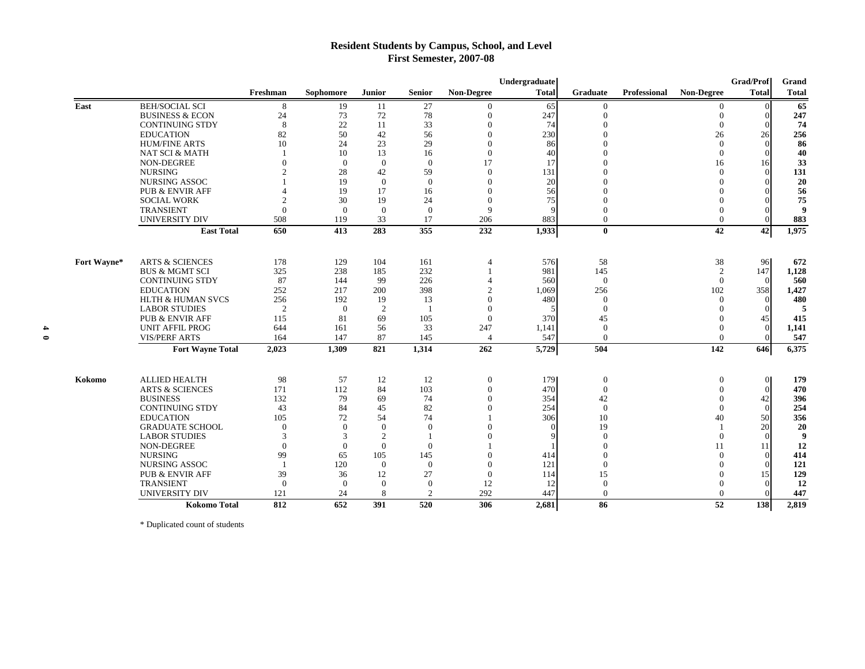### **Resident Students by Campus, School, and Level First Semester, 2007-08**

|             |                              |                |                |               |                |                   | Undergraduate |              |                     |                   | <b>Grad/Prof</b> | Grand        |
|-------------|------------------------------|----------------|----------------|---------------|----------------|-------------------|---------------|--------------|---------------------|-------------------|------------------|--------------|
|             |                              | Freshman       | Sophomore      | <b>Junior</b> | <b>Senior</b>  | <b>Non-Degree</b> | <b>Total</b>  | Graduate     | <b>Professional</b> | <b>Non-Degree</b> | <b>Total</b>     | <b>Total</b> |
| East        | <b>BEH/SOCIAL SCI</b>        | 8              | 19             | 11            | 27             | $\theta$          | 65            | $\Omega$     |                     | $\bf{0}$          | $\Omega$         | 65           |
|             | <b>BUSINESS &amp; ECON</b>   | 24             | 73             | 72            | 78             | $\overline{0}$    | 247           | $\theta$     |                     |                   |                  | 247          |
|             | <b>CONTINUING STDY</b>       | 8              | 22             | 11            | 33             | $\Omega$          | 74            | $\Omega$     |                     | $\Omega$          |                  | 74           |
|             | <b>EDUCATION</b>             | 82             | 50             | 42            | 56             | $\Omega$          | 230           | Ū            |                     | 26                | 26               | 256          |
|             | <b>HUM/FINE ARTS</b>         | 10             | 24             | 23            | 29             | $\Omega$          | 86            | $\Omega$     |                     | $\Omega$          | $\Omega$         | 86           |
|             | <b>NAT SCI &amp; MATH</b>    |                | 10             | 13            | 16             | $\Omega$          | 40            | $\Omega$     |                     | $\Omega$          | $\Omega$         | 40           |
|             | <b>NON-DEGREE</b>            | $\Omega$       | $\overline{0}$ | $\theta$      | $\theta$       | 17                | 17            | Ū            |                     | 16                | 16               | 33           |
|             | <b>NURSING</b>               |                | 28             | 42            | 59             | $\Omega$          | 131           | Ū            |                     | $\Omega$          | $\Omega$         | 131          |
|             | NURSING ASSOC                |                | 19             | $\Omega$      | $\Omega$       | $\Omega$          | 20            | 0            |                     |                   | $\Omega$         | 20           |
|             | <b>PUB &amp; ENVIR AFF</b>   |                | 19             | 17            | 16             | $\Omega$          | 56            |              |                     |                   |                  | 56           |
|             | <b>SOCIAL WORK</b>           | $\mathfrak{D}$ | 30             | 19            | 24             | $\Omega$          | 75            | $\Omega$     |                     |                   |                  | 75           |
|             | <b>TRANSIENT</b>             | $\Omega$       | $\overline{0}$ | $\Omega$      | $\Omega$       | 9                 |               | 0            |                     |                   | $\Omega$         | 9            |
|             | <b>UNIVERSITY DIV</b>        | 508            | 119            | 33            | 17             | 206               | 883           | $\Omega$     |                     | $\mathbf{0}$      | $\Omega$         | 883          |
|             | <b>East Total</b>            | 650            | 413            | 283           | 355            | 232               | 1,933         | $\mathbf{0}$ |                     | 42                | 42               | 1,975        |
| Fort Wayne* | <b>ARTS &amp; SCIENCES</b>   | 178            | 129            | 104           | 161            | $\overline{4}$    | 576           | 58           |                     | 38                | 96               | 672          |
|             | <b>BUS &amp; MGMT SCI</b>    | 325            | 238            | 185           | 232            |                   | 981           | 145          |                     | 2                 | 147              | 1,128        |
|             | <b>CONTINUING STDY</b>       | 87             | 144            | 99            | 226            |                   | 560           | $\Omega$     |                     | $\Omega$          | $\Omega$         | 560          |
|             | <b>EDUCATION</b>             | 252            | 217            | 200           | 398            | $\mathcal{D}$     | 1,069         | 256          |                     | 102               | 358              | 1,427        |
|             | <b>HLTH &amp; HUMAN SVCS</b> | 256            | 192            | 19            | 13             | $\Omega$          | 480           | $\Omega$     |                     | $\Omega$          | $\Omega$         | 480          |
|             | <b>LABOR STUDIES</b>         | 2              | $\overline{0}$ | 2             | - 1            | $\Omega$          |               | $\Omega$     |                     |                   | $\Omega$         | 5            |
|             | <b>PUB &amp; ENVIR AFF</b>   | 115            | 81             | 69            | 105            | $\Omega$          | 370           | 45           |                     |                   | 45               | 415          |
|             | <b>UNIT AFFIL PROG</b>       | 644            | 161            | 56            | 33             | 247               | 1,141         | $\theta$     |                     | $\Omega$          | $\Omega$         | 1,141        |
|             | <b>VIS/PERF ARTS</b>         | 164            | 147            | 87            | 145            | $\overline{4}$    | 547           | $\Omega$     |                     | $\Omega$          |                  | 547          |
|             | <b>Fort Wayne Total</b>      | 2,023          | 1,309          | 821           | 1,314          | 262               | 5,729         | 504          |                     | 142               | 646              | 6,375        |
| Kokomo      | ALLIED HEALTH                | 98             | 57             | 12            | 12             | $\mathbf{0}$      | 179           | $\mathbf{0}$ |                     | $\theta$          | $\overline{0}$   | 179          |
|             | <b>ARTS &amp; SCIENCES</b>   | 171            | 112            | 84            | 103            | $\overline{0}$    | 470           | $\mathbf{0}$ |                     | $\Omega$          | $\Omega$         | 470          |
|             | <b>BUSINESS</b>              | 132            | 79             | 69            | 74             | $\Omega$          | 354           | 42           |                     |                   | 42               | 396          |
|             | <b>CONTINUING STDY</b>       | 43             | 84             | 45            | 82             | $\Omega$          | 254           | $\Omega$     |                     |                   | $\Omega$         | 254          |
|             | <b>EDUCATION</b>             | 105            | 72             | 54            | 74             |                   | 306           | 10           |                     | 40                | 50               | 356          |
|             | <b>GRADUATE SCHOOL</b>       | $\mathbf{0}$   | $\Omega$       | $\Omega$      | $\Omega$       | $\Omega$          |               | 19           |                     |                   | 20               | 20           |
|             | <b>LABOR STUDIES</b>         | 3              | 3              | 2             |                |                   |               | $\Omega$     |                     | $\mathbf{0}$      | $\Omega$         | 9            |
|             | NON-DEGREE                   | $\Omega$       | $\Omega$       | $\Omega$      | $\Omega$       |                   |               | $\Omega$     |                     | 11                | 11               | 12           |
|             | <b>NURSING</b>               | 99             | 65             | 105           | 145            | $\Omega$          | 414           | $\Omega$     |                     | $\Omega$          | $\Omega$         | 414          |
|             | <b>NURSING ASSOC</b>         | - 1            | 120            | $\Omega$      | $\Omega$       | $\Omega$          | 121           | $\Omega$     |                     | $\Omega$          | $\Omega$         | 121          |
|             | <b>PUB &amp; ENVIR AFF</b>   | 39             | 36             | 12            | 27             | $\theta$          | 114           | 15           |                     | $\Omega$          | 15               | 129          |
|             | <b>TRANSIENT</b>             | $\theta$       | $\overline{0}$ | $\theta$      | $\theta$       | 12                | 12            | $\theta$     |                     |                   | $\Omega$         | <b>12</b>    |
|             | <b>UNIVERSITY DIV</b>        | 121            | 24             | 8             | $\overline{c}$ | 292               | 447           | $\Omega$     |                     | $\Omega$          |                  | 447          |
|             | Kokomo Total                 | 812            | 652            | 391           | 520            | 306               | 2,681         | 86           |                     | 52                | 138              | 2,819        |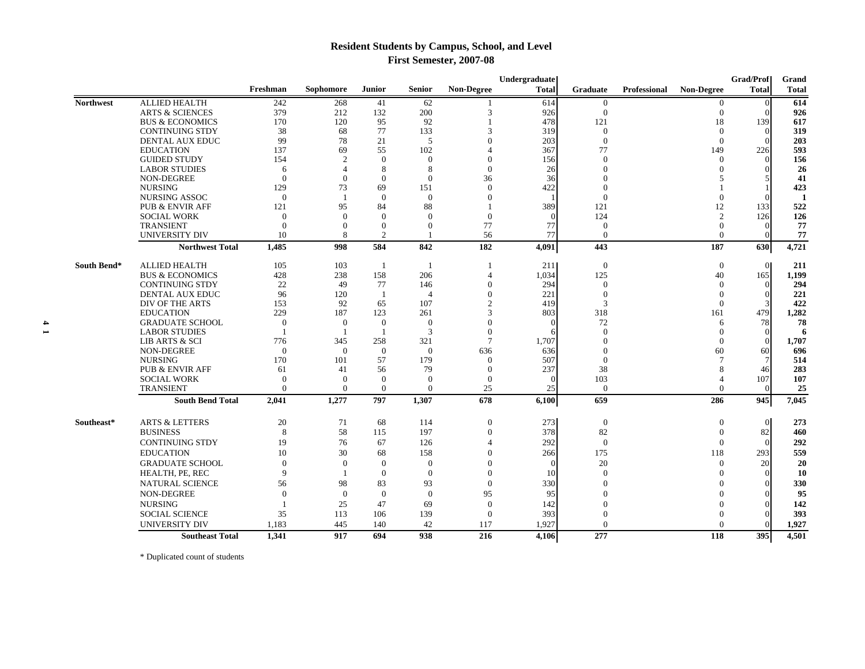# **Resident Students by Campus, School, and Level First Semester, 2007-08**

|                  |                                                |              |                  |              |                |                   | Undergraduate |                  |                     |                   | <b>Grad/Prof</b> | Grand          |
|------------------|------------------------------------------------|--------------|------------------|--------------|----------------|-------------------|---------------|------------------|---------------------|-------------------|------------------|----------------|
|                  |                                                | Freshman     | <b>Sophomore</b> | Junior       | <b>Senior</b>  | <b>Non-Degree</b> | <b>Total</b>  | Graduate         | <b>Professional</b> | <b>Non-Degree</b> | <b>Total</b>     | <b>Total</b>   |
| <b>Northwest</b> | <b>ALLIED HEALTH</b>                           | 242          | 268              | 41           | 62             |                   | 614           | $\overline{0}$   |                     | $\overline{0}$    | $\Omega$         | 614            |
|                  | <b>ARTS &amp; SCIENCES</b>                     | 379          | 212              | 132          | 200            | 3                 | 926           | $\Omega$         |                     | $\Omega$          |                  | 926            |
|                  | <b>BUS &amp; ECONOMICS</b>                     | 170          | 120              | 95           | 92             |                   | 478           | 121              |                     | 18                | 139              | 617            |
|                  | <b>CONTINUING STDY</b>                         | 38           | 68               | 77           | 133            | 3                 | 319           | $\Omega$         |                     | $\Omega$          | $\Omega$         | 319            |
|                  | DENTAL AUX EDUC                                | 99           | 78               | 21           | 5              | $\Omega$          | 203           | $\overline{0}$   |                     | $\Omega$          | $\Omega$         | 203            |
|                  | <b>EDUCATION</b>                               | 137          | 69               | 55           | 102            |                   | 367           | 77               |                     | 149               | 226              | 593            |
|                  | <b>GUIDED STUDY</b>                            | 154          | $\overline{2}$   | $\Omega$     | $\Omega$       | $\Omega$          | 156           | $\Omega$         |                     | $\Omega$          | $\Omega$         | 156            |
|                  | <b>LABOR STUDIES</b>                           | 6            | 4                | 8            | 8              | $\Omega$          | 26            | $\Omega$         |                     |                   |                  | 26             |
|                  | <b>NON-DEGREE</b>                              | $\Omega$     | $\Omega$         | $\Omega$     | $\Omega$       | 36                | 36            |                  |                     |                   |                  | 41             |
|                  | <b>NURSING</b>                                 | 129          | 73               | 69           | 151            | $\Omega$          | 422           | $\Omega$         |                     |                   |                  | 423            |
|                  | <b>NURSING ASSOC</b>                           | $\Omega$     |                  | $\Omega$     | $\Omega$       | $\Omega$          |               | $\Omega$         |                     | $\Omega$          |                  | $\mathbf{1}$   |
|                  | <b>PUB &amp; ENVIR AFF</b>                     | 121          | 95               | 84           | 88             |                   | 389           | 121              |                     | 12                | 133              | 522            |
|                  | <b>SOCIAL WORK</b>                             | $\Omega$     | $\Omega$         | $\Omega$     | $\Omega$       | $\Omega$          |               | 124              |                     | $\overline{2}$    | 126              | 126            |
|                  | <b>TRANSIENT</b>                               | $\Omega$     | $\Omega$         | $\Omega$     | $\Omega$       | 77                | 77            | $\Omega$         |                     | $\Omega$          |                  | 77             |
|                  | <b>UNIVERSITY DIV</b>                          | 10           | 8                | 2            |                | 56                | 77            | $\Omega$         |                     | $\Omega$          |                  | 77             |
|                  | <b>Northwest Total</b>                         | 1,485        | 998              | 584          | 842            | 182               | 4,091         | 443              |                     | 187               | 630              | 4,721          |
| South Bend*      | <b>ALLIED HEALTH</b>                           | 105          | 103              | -1           | $\overline{1}$ |                   | 211           | $\overline{0}$   |                     | $\mathbf{0}$      | $\Omega$         | 211            |
|                  | <b>BUS &amp; ECONOMICS</b>                     | 428          | 238              | 158          | 206            | $\overline{4}$    | 1,034         | 125              |                     | 40                | 165              | 1,199          |
|                  | <b>CONTINUING STDY</b>                         | 22           | 49               | 77           | 146            | $\Omega$          | 294           | $\Omega$         |                     | $\Omega$          | $\Omega$         | 294            |
|                  | DENTAL AUX EDUC                                | 96           | 120              | -1           | $\overline{4}$ | $\Omega$          | 221           | $\Omega$         |                     | $\Omega$          | $\Omega$         | 221            |
|                  | DIV OF THE ARTS                                | 153          | 92               | 65           | 107            | $\overline{2}$    | 419           | 3                |                     | $\Omega$          |                  | 422            |
|                  | <b>EDUCATION</b>                               | 229          | 187              | 123          | 261            | $\mathcal{R}$     | 803           | 318              |                     | 161               | 479              | 1,282          |
|                  | <b>GRADUATE SCHOOL</b>                         | $\Omega$     | $\overline{0}$   | $\Omega$     | $\Omega$       | $\Omega$          |               | 72               |                     | 6                 | 78               | 78             |
|                  | <b>LABOR STUDIES</b>                           |              |                  | $\mathbf{1}$ | 3              | $\Omega$          |               | $\Omega$         |                     | $\Omega$          | $\Omega$         | -6             |
|                  | LIB ARTS & SCI                                 | 776          | 345              | 258          | 321            | $\overline{7}$    | 1,707         | $\Omega$         |                     | $\Omega$          | $\Omega$         | 1,707          |
|                  | NON-DEGREE                                     | $\theta$     | $\overline{0}$   | $\theta$     | $\Omega$       | 636               | 636           | $\Omega$         |                     | 60                | 60               | 696            |
|                  | <b>NURSING</b>                                 | 170          | 101              | 57           | 179            | $\Omega$          | 507           | $\Omega$         |                     |                   |                  | 514            |
|                  | <b>PUB &amp; ENVIR AFF</b>                     | 61           | 41               | 56           | 79             | $\Omega$          | 237           | 38               |                     |                   | 46               | 283            |
|                  | <b>SOCIAL WORK</b>                             | $\mathbf{0}$ | $\overline{0}$   | $\theta$     | $\theta$       | $\Omega$          |               | 103              |                     |                   | 107              | 107            |
|                  | <b>TRANSIENT</b>                               | $\Omega$     | $\Omega$         | $\theta$     | $\Omega$       | 25                | 25            | $\Omega$         |                     | $\Omega$          | $\Omega$         | 25             |
|                  | <b>South Bend Total</b>                        | 2,041        | 1,277            | 797          | 1,307          | 678               | 6,100         | 659              |                     | 286               | 945              | 7,045          |
| Southeast*       | <b>ARTS &amp; LETTERS</b>                      | 20           | 71               | 68           | 114            | $\boldsymbol{0}$  | 273           | $\boldsymbol{0}$ |                     | $\theta$          | $\overline{0}$   | 273            |
|                  | <b>BUSINESS</b>                                | 8            | 58               | 115          | 197            | $\mathbf{0}$      | 378           | 82               |                     | $\Omega$          | 82               | 460            |
|                  | <b>CONTINUING STDY</b>                         | 19           | 76               | 67           | 126            | $\Delta$          | 292           | $\mathbf{0}$     |                     | $\Omega$          | $\Omega$         | 292            |
|                  | <b>EDUCATION</b>                               | 10           | 30               | 68           | 158            | $\Omega$          | 266           | 175              |                     | 118               | 293              | 559            |
|                  | <b>GRADUATE SCHOOL</b>                         | $\Omega$     | $\overline{0}$   | $\mathbf{0}$ | $\theta$       | $\Omega$          |               | 20               |                     | $\Omega$          | 20               | 20             |
|                  | HEALTH, PE, REC                                | 9            |                  | $\Omega$     | $\Omega$       | $\Omega$          | 10            | $\theta$         |                     |                   | $\Omega$         | 10             |
|                  | <b>NATURAL SCIENCE</b>                         | 56           | 98               | 83           | 93             | $\Omega$          | 330           | $\Omega$         |                     |                   |                  | 330            |
|                  | NON-DEGREE                                     | $\Omega$     | $\overline{0}$   | $\theta$     | $\Omega$       | 95                | 95            |                  |                     |                   |                  | 95             |
|                  | <b>NURSING</b>                                 |              | 25               | 47           | 69             | $\mathbf{0}$      | 142           |                  |                     |                   | $\Omega$         | 142            |
|                  |                                                |              |                  |              |                |                   | 393           | $\Omega$         |                     |                   |                  |                |
|                  | <b>SOCIAL SCIENCE</b><br><b>UNIVERSITY DIV</b> | 35<br>1,183  | 113              | 106          | 139<br>42      | $\mathbf{0}$      | 1,927         | $\Omega$         |                     |                   |                  | 393            |
|                  | <b>Southeast Total</b>                         | 1,341        | 445<br>917       | 140<br>694   | 938            | 117<br>216        | 4,106         | 277              |                     | 118               | 395              | 1,927<br>4,501 |
|                  |                                                |              |                  |              |                |                   |               |                  |                     |                   |                  |                |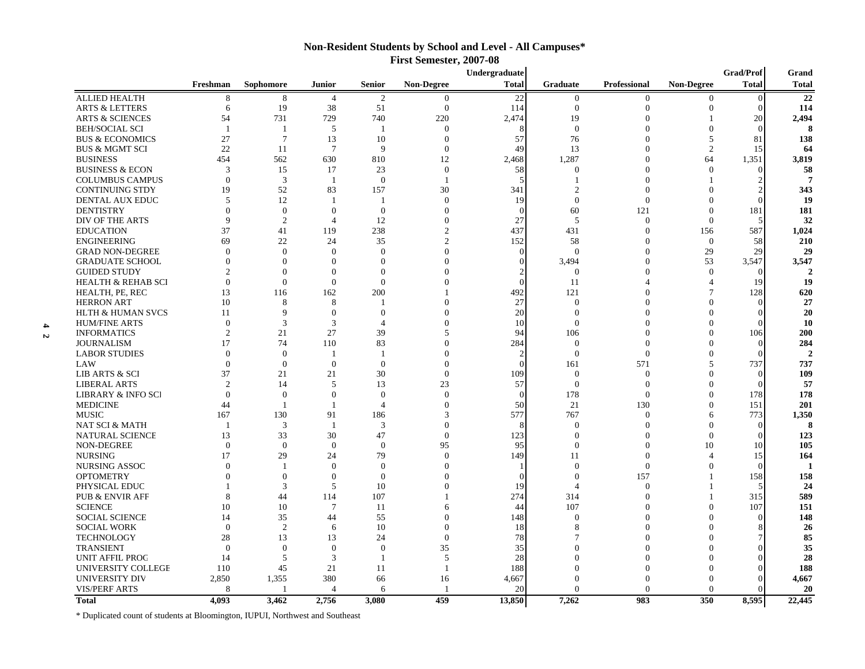### **Non-Resident Students by School and Level - All Campuses\* First Semester, 2007-08**

|   |                                 |                |                  |                 |                                |                          | Undergraduate  |                       |                      |                          | <b>Grad/Prof</b> | Grand         |
|---|---------------------------------|----------------|------------------|-----------------|--------------------------------|--------------------------|----------------|-----------------------|----------------------|--------------------------|------------------|---------------|
|   |                                 | Freshman       | Sophomore        | Junior          | <b>Senior</b>                  | <b>Non-Degree</b>        | <b>Total</b>   | <b>Graduate</b>       | Professional         | <b>Non-Degree</b>        | <b>Total</b>     | <b>Total</b>  |
|   | <b>ALLIED HEALTH</b>            | 8              | 8                | $\overline{4}$  | 2                              | $\overline{0}$           | 22             | $\theta$              | $\mathbf{0}$         | $\overline{0}$           | $\Omega$         | 22            |
|   | <b>ARTS &amp; LETTERS</b>       | 6              | 19               | 38              | 51                             | $\boldsymbol{0}$         | 114            | $\Omega$              | $\Omega$             | $\Omega$                 |                  | 114           |
|   | <b>ARTS &amp; SCIENCES</b>      | 54             | 731              | 729             | 740                            | 220                      | 2,474          | 19                    | $\Omega$             |                          | 20               | 2,494         |
|   | <b>BEH/SOCIAL SCI</b>           | $\overline{1}$ | $\overline{1}$   | 5               | - 1                            | $\mathbf{0}$             |                | $\Omega$              | $\Omega$             | $\Omega$                 | $\Omega$         | 8             |
|   | <b>BUS &amp; ECONOMICS</b>      | 27             | $\overline{7}$   | 13              | 10                             | $\mathbf{0}$             | 57             | 76                    | $\Omega$             | 5                        | 81               | 138           |
|   | <b>BUS &amp; MGMT SCI</b>       | 22             | 11               | $\overline{7}$  | 9                              | $\overline{0}$           | 49             | 13                    | $\Omega$             | $\overline{2}$           | 15               | 64            |
|   | <b>BUSINESS</b>                 | 454            | 562              | 630             | 810                            | 12                       | 2,468          | 1,287                 | $\Omega$             | 64                       | 1,351            | 3,819         |
|   | <b>BUSINESS &amp; ECON</b>      | $\mathcal{R}$  | 15               | 17              | 23                             | $\mathbf{0}$             | 58             | $\Omega$              | $\Omega$             | $\Omega$                 |                  | 58            |
|   | <b>COLUMBUS CAMPUS</b>          | $\Omega$       | 3                | $\overline{1}$  | $\overline{0}$                 |                          | 5              |                       | $\Omega$             |                          |                  |               |
|   | <b>CONTINUING STDY</b>          | 19             | 52               | 83              | 157                            | 30                       | 341            | $\mathcal{D}$         | $\Omega$             | $\Omega$                 |                  | 343           |
|   | DENTAL AUX EDUC                 | 5              | 12               | $\overline{1}$  | $\overline{1}$                 | $\mathbf{0}$             | 19             | $\mathbf{0}$          | $\theta$             | $\Omega$                 |                  | 19            |
|   | <b>DENTISTRY</b>                | $\Omega$       | $\mathbf{0}$     | $\overline{0}$  | $\mathbf{0}$                   | $\theta$                 | $\Omega$       | 60                    | 121                  | $\Omega$                 | 181              | 181           |
|   | DIV OF THE ARTS                 | $\mathbf Q$    | 2                | $\overline{4}$  | 12                             | $\Omega$                 | 27             | 5                     | $\Omega$             | $\Omega$                 | 5                | 32            |
|   | <b>EDUCATION</b>                | 37             | 41               | 119             | 238                            | $\overline{2}$           | 437            | 431                   | $\Omega$             | 156                      | 587              | 1,024         |
|   | <b>ENGINEERING</b>              | 69             | 22               | 24              | 35                             | $\overline{2}$           | 152            | 58                    | $\Omega$             | $\theta$                 | 58               | 210           |
|   | <b>GRAD NON-DEGREE</b>          | $\Omega$       | $\theta$         | $\Omega$        | $\Omega$                       | $\theta$                 | $\Omega$       | $\Omega$              | $\Omega$             | 29                       | 29               | 29            |
|   | <b>GRADUATE SCHOOL</b>          | $\theta$       | $\mathbf{0}$     | $\theta$        | $\theta$                       | $\Omega$                 | 0              | 3,494                 | $\Omega$             | 53                       | 3,547            | 3,547         |
|   | <b>GUIDED STUDY</b>             | $\mathfrak{D}$ | $\Omega$         | $\overline{0}$  | $\Omega$                       | $\Omega$                 |                | $\Omega$              | $\Omega$             | $\Omega$                 |                  |               |
|   | <b>HEALTH &amp; REHAB SCI</b>   | $\Omega$       | $\boldsymbol{0}$ | $\Omega$        | $\Omega$                       | $\Omega$                 | $\theta$       | 11                    |                      | $\boldsymbol{\varDelta}$ | 19               | 19            |
|   | HEALTH, PE, REC                 | 13             | 116              | 162             | 200                            |                          | 492            | 121                   | $\Omega$             |                          | 128              | 620           |
|   | <b>HERRON ART</b>               | 10             | 8                | 8               |                                | $\Omega$                 | 27             | $\Omega$              | $\Omega$             | $\Omega$                 |                  | 27            |
|   | <b>HLTH &amp; HUMAN SVCS</b>    | 11             | 9                | $\overline{0}$  | $\Omega$                       | $\Omega$                 | 20             | $\Omega$              | $\Omega$             | $\Omega$                 |                  | 20            |
|   | <b>HUM/FINE ARTS</b>            | $\mathbf{0}$   | 3                | 3               | 4                              | $\Omega$                 | 10             | $\theta$              | $\Omega$             | $\Omega$                 |                  | 10            |
| 4 | <b>INFORMATICS</b>              | $\overline{2}$ | 21               | 27              | 39                             | $\overline{\phantom{0}}$ | 94             | 106                   | $\Omega$             |                          | 106              | 200           |
| N | <b>JOURNALISM</b>               | 17             | 74               | 110             | 83                             | $\Omega$                 | 284            | $\Omega$              | $\Omega$             | $\Omega$                 |                  | 284           |
|   | <b>LABOR STUDIES</b>            | $\Omega$       | $\theta$         | $\mathbf{1}$    | $\overline{1}$                 | $\Omega$                 | $\overline{c}$ | $\theta$              | $\Omega$             | $\Omega$                 |                  | $\mathcal{D}$ |
|   | LAW                             | $\Omega$       | $\Omega$         | $\Omega$        | $\Omega$                       | $\Omega$                 | $\Omega$       | 161                   | 571                  | 5                        | 737              | 737           |
|   | LIB ARTS & SCI                  | 37             | 21               |                 | 30                             | $\overline{0}$           |                | $\theta$              | $\overline{0}$       | $\Omega$                 |                  |               |
|   |                                 | $\overline{2}$ |                  | 21              |                                |                          | 109            |                       | $\Omega$             | $\Omega$                 | $\Omega$         | 109           |
|   | <b>LIBERAL ARTS</b>             | $\Omega$       | 14<br>$\Omega$   | 5<br>$\Omega$   | 13                             | 23<br>$\theta$           | 57<br>$\Omega$ | $\overline{0}$<br>178 | $\Omega$             | $\Omega$                 | 178              | 57            |
|   | <b>LIBRARY &amp; INFO SCI</b>   |                |                  |                 | $\mathbf{0}$<br>$\overline{A}$ | $\theta$                 |                |                       |                      |                          |                  | 178           |
|   | <b>MEDICINE</b><br><b>MUSIC</b> | 44             | $\overline{1}$   | $\overline{1}$  |                                | $\mathcal{R}$            | 50<br>577      | 21                    | 130                  | $\Omega$                 | 151              | 201           |
|   |                                 | 167            | 130              | 91              | 186                            |                          |                | 767                   | $\Omega$             | 6                        | 773              | 1,350         |
|   | <b>NAT SCI &amp; MATH</b>       |                | 3                | $\overline{1}$  | 3                              | $\Omega$                 | 8              | $\Omega$              | $\Omega$<br>$\Omega$ | $\Omega$                 | $\Omega$         | 8             |
|   | NATURAL SCIENCE                 | 13             | 33               | 30              | 47                             | $\boldsymbol{0}$         | 123            | $\Omega$              |                      | $\Omega$                 | $\Omega$         | 123           |
|   | NON-DEGREE                      | $\Omega$       | $\theta$         | $\theta$        | $\overline{0}$                 | 95                       | 95             | $\Omega$              | $\Omega$             | 10                       | 10               | 105           |
|   | <b>NURSING</b>                  | 17             | 29               | 24              | 79                             | $\Omega$                 | 149            | 11                    | $\Omega$             | $\boldsymbol{\varDelta}$ | 15               | 164           |
|   | <b>NURSING ASSOC</b>            | $\Omega$       |                  | $\Omega$        | $\Omega$                       | $\Omega$                 |                | $\Omega$              | $\Omega$             | $\Omega$                 |                  |               |
|   | <b>OPTOMETRY</b>                | $\Omega$       | $\Omega$         | $\Omega$        | $\Omega$                       | $\Omega$                 | $\Omega$       | $\Omega$              | 157                  |                          | 158              | 158           |
|   | PHYSICAL EDUC                   |                | 3                | 5               | 10                             | $\Omega$                 | 19             | $\overline{4}$        | $\Omega$             |                          |                  | 24            |
|   | <b>PUB &amp; ENVIR AFF</b>      | 8              | 44               | 114             | 107                            |                          | 274            | 314                   | $\Omega$             | -1                       | 315              | 589           |
|   | <b>SCIENCE</b>                  | 10             | 10               | $7\phantom{.0}$ | -11                            | 6                        | 44             | 107                   | $\Omega$             | $\Omega$                 | 107              | 151           |
|   | <b>SOCIAL SCIENCE</b>           | 14             | 35               | 44              | 55                             | $\Omega$                 | 148            | $\Omega$              | $\Omega$             | $\Omega$                 |                  | 148           |
|   | <b>SOCIAL WORK</b>              | $\Omega$       | $\overline{2}$   | 6               | 10                             | $\Omega$                 | 18             | 8                     | $\Omega$             | $\Omega$                 |                  | 26            |
|   | <b>TECHNOLOGY</b>               | 28             | 13               | 13              | 24                             | $\overline{0}$           | 78             |                       | $\Omega$             | $\Omega$                 |                  | 85            |
|   | <b>TRANSIENT</b>                | $\theta$       | $\theta$         | $\theta$        | $\mathbf{0}$                   | 35                       | 35             | $\Omega$              | $\Omega$             |                          |                  | 35            |
|   | UNIT AFFIL PROG                 | 14             | 5                | 3               | $\overline{1}$                 | 5                        | 28             | $\Omega$              | $\Omega$             |                          |                  | 28            |
|   | UNIVERSITY COLLEGE              | 110            | 45               | 21              | 11                             | $\overline{1}$           | 188            | $\Omega$              | $\Omega$             |                          |                  | 188           |
|   | UNIVERSITY DIV                  | 2,850          | 1,355            | 380             | 66                             | 16                       | 4,667          | $\Omega$              | $\Omega$             | $\Omega$                 |                  | 4,667         |
|   | <b>VIS/PERF ARTS</b>            | 8              |                  | $\overline{A}$  | 6                              | -1                       | 20             | $\Omega$              | $\Omega$             | $\Omega$                 |                  | 20            |
|   | <b>Total</b>                    | 4.093          | 3,462            | 2.756           | 3,080                          | 459                      | 13,850         | 7.262                 | 983                  | 350                      | 8.595            | 22,445        |

\* Duplicated count of students at Bloomington, IUPUI, Northwest and Southeast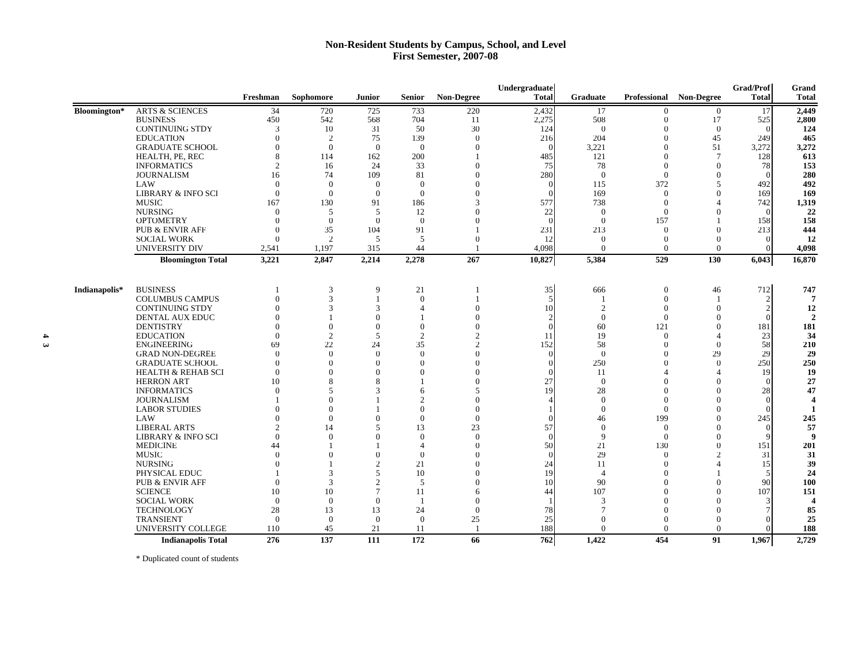### **Non-Resident Students by Campus, School, and Level First Semester, 2007-08**

|               |                                              |                      |                             |                             |                |                      | Undergraduate  |                |                  |                         | Grad/Prof    | Grand        |
|---------------|----------------------------------------------|----------------------|-----------------------------|-----------------------------|----------------|----------------------|----------------|----------------|------------------|-------------------------|--------------|--------------|
|               |                                              | Freshman             | Sophomore                   | Junior                      | <b>Senior</b>  | <b>Non-Degree</b>    | <b>Total</b>   | Graduate       |                  | Professional Non-Degree | <b>Total</b> | <b>Total</b> |
| Bloomington*  | <b>ARTS &amp; SCIENCES</b>                   | 34                   | 720                         | 725                         | 733            | 220                  | 2,432          | 17             | $\overline{0}$   | $\overline{0}$          | 17           | 2,449        |
|               | <b>BUSINESS</b>                              | 450                  | 542                         | 568                         | 704            | 11                   | 2,275          | 508            | $\theta$         | 17                      | 525          | 2,800        |
|               | <b>CONTINUING STDY</b>                       | 3                    | 10                          | 31                          | 50             | 30                   | 124            | $\Omega$       | $\Omega$         | $\theta$                |              | 124          |
|               | <b>EDUCATION</b>                             | $\Omega$             | $\overline{2}$              | 75                          | 139            | $\Omega$             | 216            | 204            | $\Omega$         | 45                      | 249          | 465          |
|               | <b>GRADUATE SCHOOL</b>                       | $\Omega$             | $\theta$                    | $\Omega$                    | $\Omega$       | $\Omega$             | $\Omega$       | 3,221          | $\Omega$         | 51                      | 3,272        | 3,272        |
|               | HEALTH, PE, REC                              | 8                    | 114                         | 162                         | 200            |                      | 485            | 121            | $\Omega$         | $\overline{7}$          | 128          | 613          |
|               | <b>INFORMATICS</b>                           | $\mathcal{D}$        | 16                          | 24                          | 33             | $\Omega$             | 75             | 78             | $\Omega$         | $\Omega$                | 78           | 153          |
|               | <b>JOURNALISM</b>                            | 16                   | 74                          | 109                         | 81             | $\Omega$             | 280            | $\overline{0}$ | $\overline{0}$   | $\Omega$                |              | 280          |
|               | LAW                                          |                      | $\Omega$                    | $\Omega$                    | $\Omega$       | $\Omega$             | $\Omega$       | 115            | 372              | 5                       | 492          | 492          |
|               | <b>LIBRARY &amp; INFO SCI</b>                | $\Omega$             | $\Omega$                    | $\Omega$                    | $\overline{0}$ | $\Omega$             | $\Omega$       | 169            | $\Omega$         | $\Omega$                | 169          | 169          |
|               | <b>MUSIC</b>                                 | 167                  | 130                         | 91                          | 186            | 3                    | 577            | 738            | $\Omega$         |                         | 742          | 1,319        |
|               | <b>NURSING</b>                               | $\Omega$             | 5                           | 5                           | 12             | $\Omega$             | 22             | $\theta$       | $\overline{0}$   |                         | $\Omega$     | 22           |
|               | <b>OPTOMETRY</b>                             | $\Omega$             | $\theta$                    | $\mathbf{0}$                | $\mathbf{0}$   | $\Omega$             | $\Omega$       | $\overline{0}$ | 157              |                         | 158          | 158          |
|               | <b>PUB &amp; ENVIR AFF</b>                   | $\theta$             | 35                          | 104                         | 91             |                      | 231            | 213            | $\overline{0}$   | $\Omega$                | 213          | 444          |
|               | <b>SOCIAL WORK</b>                           | $\theta$             | $\mathcal{D}_{\mathcal{A}}$ | 5                           | 5              | $\theta$             | 12             | $\theta$       | $\theta$         | $\Omega$                |              | 12           |
|               | UNIVERSITY DIV                               | 2,541                | 1,197                       | 315                         | 44             |                      | 4,098          | $\overline{0}$ | $\overline{0}$   | $\Omega$                |              | 4,098        |
|               | <b>Bloomington Total</b>                     | 3,221                | 2,847                       | 2,214                       | 2,278          | 267                  | 10,827         | 5,384          | 529              | 130                     | 6,043        | 16,870       |
|               |                                              |                      |                             |                             |                |                      |                |                |                  |                         |              |              |
| Indianapolis* | <b>BUSINESS</b>                              |                      | 3                           | 9                           | 21             |                      | 35             | 666            | $\boldsymbol{0}$ | 46                      | 712          | 747          |
|               | <b>COLUMBUS CAMPUS</b>                       | $\theta$             | 3                           | $\mathbf{1}$                | $\mathbf{0}$   |                      | 5              |                | $\theta$         | $\mathbf{1}$            |              |              |
|               | <b>CONTINUING STDY</b>                       | $\Omega$             | 3                           | 3                           | $\overline{4}$ | $\theta$             | 10             | $\overline{2}$ | $\theta$         | $\mathbf{0}$            |              | 12           |
|               | <b>DENTAL AUX EDUC</b>                       | $\Omega$             |                             | $\Omega$                    |                | $\Omega$             |                | $\Omega$       | $\Omega$         | $\Omega$                |              |              |
|               | <b>DENTISTRY</b>                             |                      | $\Omega$                    | $\Omega$                    | $\mathbf{0}$   | $\theta$             | $\Omega$       | 60             | 121              | $\Omega$                | 181          | 181          |
|               | <b>EDUCATION</b>                             | $\Omega$             | 2                           | 5                           | $\overline{2}$ | $\mathfrak{D}$       | 11             | 19             | $\theta$         |                         | 23           | 34           |
|               | <b>ENGINEERING</b>                           | 69                   | 22                          | 24                          | 35             | $\overline{c}$       | 152            | 58             | $\Omega$         | $\Omega$                | 58           | 210          |
|               | <b>GRAD NON-DEGREE</b>                       | $\Omega$             | $\Omega$                    | $\Omega$                    | $\Omega$       | $\Omega$             | $\Omega$       | $\Omega$       | $\Omega$         | 29                      | 29           | 29           |
|               | <b>GRADUATE SCHOOL</b>                       | $\Omega$             | $\Omega$                    | $\Omega$                    | $\Omega$       | $\Omega$             | $\Omega$       | 250            | $\Omega$         | $\Omega$                | 250          | 250          |
|               | <b>HEALTH &amp; REHAB SCI</b>                | $\Omega$             | $\Omega$                    | $\Omega$                    | $\Omega$       | $\Omega$             |                | 11             | Δ                |                         | 19           | 19           |
|               | <b>HERRON ART</b>                            | 10                   | 8                           | 8                           |                | $\Omega$             | 27             | $\mathbf{0}$   | $\Omega$         | $\Omega$                |              | 27           |
|               | <b>INFORMATICS</b>                           | $\Omega$             | 5                           | 3                           | 6              | 5                    | 19             | 28             | $\Omega$         | $\Omega$                | 28           | 47           |
|               | <b>JOURNALISM</b>                            |                      | $\Omega$                    |                             | $\overline{2}$ | $\Omega$             |                | $\overline{0}$ | $\overline{0}$   | $\Omega$                | $\Omega$     |              |
|               | <b>LABOR STUDIES</b>                         | $\Omega$<br>$\Omega$ | $\Omega$<br>$\Omega$        |                             | $\Omega$       | $\Omega$<br>$\Omega$ |                | $\overline{0}$ | $\overline{0}$   | $\Omega$                |              |              |
|               | LAW                                          |                      |                             | $\Omega$                    | $\theta$       |                      |                | 46             | 199              | $\Omega$<br>$\Omega$    | 245          | 245          |
|               | <b>LIBERAL ARTS</b>                          | $\Omega$             | 14<br>$\Omega$              | 5                           | 13<br>$\Omega$ | 23                   | 57             | $\Omega$<br>9  | $\Omega$         | $\Omega$                |              | 57           |
|               | <b>LIBRARY &amp; INFO SCI</b>                | 44                   |                             | $\Omega$                    | $\overline{4}$ | $\Omega$<br>$\Omega$ | $\Omega$<br>50 | 21             | $\Omega$<br>130  | $\Omega$                |              | 201          |
|               | <b>MEDICINE</b><br><b>MUSIC</b>              | $\Omega$             | $\Omega$                    | $\Omega$                    | $\Omega$       | $\Omega$             | $\Omega$       | 29             | $\Omega$         |                         | 151<br>31    |              |
|               | <b>NURSING</b>                               |                      |                             | $\mathcal{D}_{\mathcal{A}}$ | 21             | $\theta$             | 24             | 11             | $\Omega$         |                         |              | 31<br>39     |
|               |                                              |                      | 3                           | 5                           |                | $\theta$             |                | $\overline{4}$ | $\Omega$         |                         | 15           |              |
|               | PHYSICAL EDUC                                | $\Omega$             | 3                           | 2                           | 10<br>5        | $\theta$             | 19             | 90             | $\Omega$         | $\Omega$                | 90           | 24<br>100    |
|               | <b>PUB &amp; ENVIR AFF</b><br><b>SCIENCE</b> | 10                   | 10                          |                             | 11             | 6                    | 10<br>44       | 107            | $\Omega$         | $\Omega$                | 107          | 151          |
|               | <b>SOCIAL WORK</b>                           | $\Omega$             | $\theta$                    | $\Omega$                    | $\mathbf{1}$   | $\Omega$             |                | 3              | $\Omega$         | $\Omega$                |              |              |
|               | <b>TECHNOLOGY</b>                            | 28                   | 13                          | 13                          | 24             | $\Omega$             | 78             |                | $\Omega$         | $\Omega$                |              |              |
|               | <b>TRANSIENT</b>                             | $\mathbf{0}$         | $\overline{0}$              | $\mathbf{0}$                | $\mathbf{0}$   | 25                   | 25             | $\Omega$       | $\Omega$         | $\Omega$                |              | 85<br>25     |
|               | UNIVERSITY COLLEGE                           | 110                  | 45                          | 21                          | 11             |                      | 188            | $\Omega$       | $\Omega$         | $\Omega$                |              | 188          |
|               |                                              |                      | 137                         |                             | 172            |                      | 762            | 1,422          | 454              | 91                      | 1,967        | 2,729        |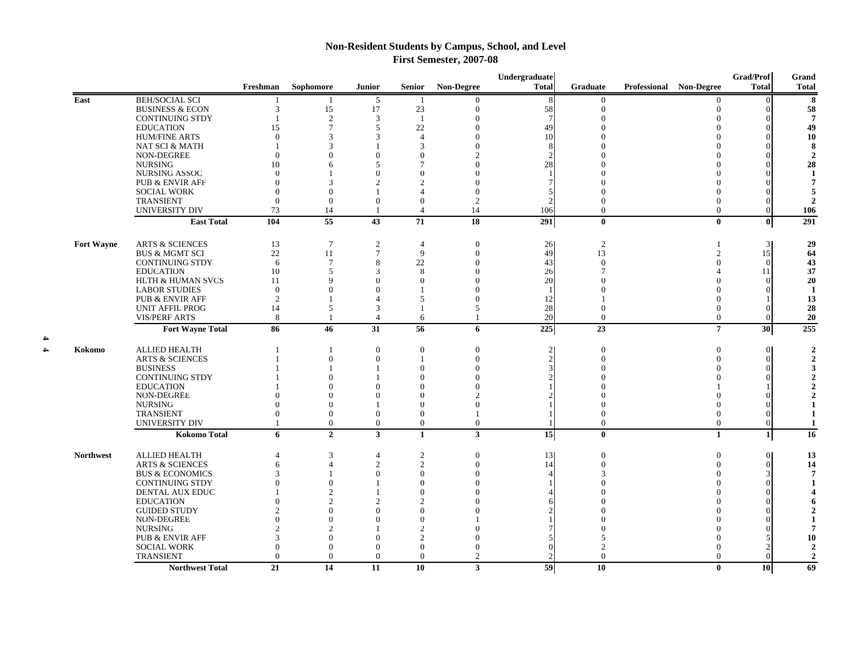# **Non-Resident Students by Campus, School, and Level First Semester, 2007-08**

|                   |                                        |                      |                             |                      |                            |                            | Undergraduate  |                 |                         | <b>Grad/Prof</b> | Grand                        |
|-------------------|----------------------------------------|----------------------|-----------------------------|----------------------|----------------------------|----------------------------|----------------|-----------------|-------------------------|------------------|------------------------------|
|                   |                                        | Freshman             | Sophomore                   | <b>Junior</b>        | <b>Senior</b>              | Non-Degree                 | <b>Total</b>   | Graduate        | Professional Non-Degree | <b>Total</b>     | <b>Total</b>                 |
| East              | <b>BEH/SOCIAL SCI</b>                  |                      | $\mathbf{1}$                | 5                    | -1                         | $\Omega$                   |                | $\mathbf{0}$    | $\Omega$                |                  | 8                            |
|                   | <b>BUSINESS &amp; ECON</b>             | 3                    | 15                          | 17                   | 23                         | $\mathbf{0}$               | 58             | $\Omega$        | $\Omega$                |                  | 58                           |
|                   | <b>CONTINUING STDY</b>                 |                      | $\overline{2}$              | 3                    | -1                         | $\Omega$                   | $\overline{7}$ |                 |                         |                  | 7                            |
|                   | <b>EDUCATION</b>                       | 15                   | $7\phantom{.0}$             | 5                    | 22                         | $\Omega$                   | 49             |                 |                         |                  | 49                           |
|                   | <b>HUM/FINE ARTS</b>                   | $\Omega$             | 3                           | 3                    | $\Delta$                   |                            | 10             |                 |                         |                  | 10                           |
|                   | <b>NAT SCI &amp; MATH</b>              |                      | 3                           |                      | 3                          | $\Omega$                   | 8              |                 |                         |                  | 8                            |
|                   | NON-DEGREE                             | $\Omega$             | $\mathbf{0}$                | $\Omega$             | $\Omega$                   |                            |                |                 |                         |                  | $\mathbf{2}$                 |
|                   | <b>NURSING</b>                         | 10                   | 6                           | 5                    | 7                          |                            | 28             |                 |                         |                  | 28                           |
|                   | NURSING ASSOC                          | $\Omega$             |                             | $\Omega$             |                            | $\Omega$                   |                |                 |                         |                  | 1                            |
|                   | <b>PUB &amp; ENVIR AFF</b>             | $\Omega$             | 3                           | $\mathcal{D}$        |                            |                            |                |                 |                         |                  | 7                            |
|                   | <b>SOCIAL WORK</b><br><b>TRANSIENT</b> | $\Omega$<br>$\Omega$ | $\mathbf{0}$<br>$\Omega$    | $\Omega$             | $\Omega$                   | $\Omega$<br>2              |                |                 | $\Omega$                |                  | 5<br>$\mathbf{2}$            |
|                   | <b>UNIVERSITY DIV</b>                  | 73                   | 14                          | $\overline{1}$       | $\overline{4}$             | 14                         | 106            | $\mathbf{0}$    | $\overline{0}$          |                  | 106                          |
|                   | <b>East Total</b>                      | 104                  | $\overline{55}$             | 43                   | $\overline{71}$            | $\overline{18}$            | 291            | $\mathbf{0}$    | $\mathbf{0}$            | $\mathbf{0}$     | 291                          |
|                   |                                        |                      |                             |                      |                            |                            |                |                 |                         |                  |                              |
| <b>Fort Wayne</b> | <b>ARTS &amp; SCIENCES</b>             | 13                   | $\overline{7}$              | $\sqrt{2}$           | $\overline{4}$             | $\boldsymbol{0}$           | 26             | $\overline{2}$  |                         | 3                | 29                           |
|                   | <b>BUS &amp; MGMT SCI</b>              | 22                   | 11                          | $\overline{7}$       | 9                          | $\Omega$                   | 49             | 13              | 2                       | 15               | 64                           |
|                   | <b>CONTINUING STDY</b>                 | 6                    | $7\phantom{.0}$             | 8                    | 22                         | $\Omega$                   | 43             | $\Omega$        |                         | $\Omega$         | 43                           |
|                   | <b>EDUCATION</b>                       | 10                   | 5                           | 3                    | 8                          | $\Omega$                   | 26             |                 |                         | 11               | 37                           |
|                   | HLTH & HUMAN SVCS                      | 11                   | 9                           | $\Omega$             | $\Omega$                   | $\Omega$                   | 20             |                 |                         |                  | 20                           |
|                   | <b>LABOR STUDIES</b>                   | $\Omega$             | $\Omega$                    |                      |                            |                            |                |                 |                         |                  | 1                            |
|                   | <b>PUB &amp; ENVIR AFF</b>             | 2                    |                             | $\Delta$             | 5                          | $\Omega$                   | 12             |                 |                         |                  | 13                           |
|                   | <b>UNIT AFFIL PROG</b>                 | 14                   | .5                          | 3                    |                            | 5                          | 28             |                 | $\Omega$                |                  | 28                           |
|                   | <b>VIS/PERF ARTS</b>                   | 8                    | $\mathbf{1}$                | $\overline{4}$       | 6                          | $\mathbf{1}$               | 20             | $\mathbf{0}$    | $\overline{0}$          |                  | 20                           |
|                   | <b>Fort Wayne Total</b>                | 86                   | 46                          | $\overline{31}$      | 56                         | 6                          | 225            | $\overline{23}$ | $\overline{7}$          | 30               | 255                          |
| Kokomo            | <b>ALLIED HEALTH</b>                   |                      |                             | $\mathbf{0}$         | $\boldsymbol{0}$           | $\mathbf{0}$               | $\overline{c}$ | $\overline{0}$  | $\mathbf{0}$            | $\Omega$         | $\overline{2}$               |
|                   | <b>ARTS &amp; SCIENCES</b>             |                      | $\Omega$                    | $\Omega$             | $\mathbf{1}$               | $\Omega$                   | $\mathfrak{D}$ | $\Omega$        | $\Omega$                | $\Omega$         | $\mathcal{P}$                |
|                   | <b>BUSINESS</b>                        |                      |                             |                      | $\Omega$                   | $\Omega$                   |                |                 |                         |                  |                              |
|                   | <b>CONTINUING STDY</b>                 |                      | $\Omega$                    |                      | $\Omega$                   |                            |                |                 |                         |                  |                              |
|                   | <b>EDUCATION</b>                       |                      | $\Omega$                    | $\Omega$             | $\Omega$                   |                            |                |                 |                         |                  |                              |
|                   | <b>NON-DEGREE</b>                      | $\Omega$             | $\Omega$                    | $\Omega$             | $\Omega$                   | $\mathcal{D}$              |                |                 |                         |                  |                              |
|                   | <b>NURSING</b>                         | $\Omega$             | $\overline{0}$              |                      | $\Omega$                   | $\Omega$                   |                |                 |                         |                  |                              |
|                   | <b>TRANSIENT</b>                       | $\Omega$             | $\boldsymbol{0}$            | $\Omega$             | $\Omega$                   |                            |                |                 | $\Omega$                |                  | 1                            |
|                   | UNIVERSITY DIV                         |                      | $\mathbf{0}$                | $\mathbf{0}$         | $\overline{0}$             | $\mathbf{0}$               |                | $\Omega$        | $\Omega$                |                  | 1                            |
|                   | <b>Kokomo Total</b>                    | 6                    | $\overline{2}$              | $\mathbf{3}$         | $\mathbf{1}$               | $\mathbf{3}$               | 15             | $\bf{0}$        | $\mathbf{1}$            | 1                | 16                           |
| <b>Northwest</b>  | ALLIED HEALTH                          | 4                    | 3                           | $\overline{4}$       | 2                          | $\mathbf{0}$               | 13             | $\Omega$        | $\mathbf{0}$            | $\Omega$         | 13                           |
|                   | <b>ARTS &amp; SCIENCES</b>             | 6                    | $\overline{4}$              | 2                    | $\overline{2}$             | $\Omega$                   | 14             | $\Omega$        | $\Omega$                | $\Omega$         | 14                           |
|                   | <b>BUS &amp; ECONOMICS</b>             | 3                    |                             | $\Omega$             | $\Omega$                   | $\Omega$                   |                |                 |                         |                  | 7                            |
|                   | <b>CONTINUING STDY</b>                 |                      | $\Omega$                    |                      | $\Omega$                   | $\Omega$                   |                |                 |                         |                  |                              |
|                   | DENTAL AUX EDUC                        |                      | $\mathcal{D}$               |                      | $\Omega$                   |                            |                |                 |                         |                  |                              |
|                   | <b>EDUCATION</b>                       |                      | $\mathfrak{D}$              |                      | $\mathcal{D}$              |                            |                |                 |                         |                  |                              |
|                   | <b>GUIDED STUDY</b>                    |                      | $\Omega$                    |                      |                            |                            |                |                 |                         |                  |                              |
|                   | NON-DEGREE                             | $\Omega$             | $\Omega$                    |                      | $\Omega$                   |                            |                |                 |                         |                  |                              |
|                   | <b>NURSING</b>                         | っ                    | $\mathcal{D}_{\mathcal{A}}$ |                      | $\mathcal{D}$              |                            |                |                 |                         |                  | 7                            |
|                   | <b>PUB &amp; ENVIR AFF</b>             | 3                    | $\Omega$                    | $\Omega$<br>$\Omega$ | $\mathfrak{D}$             |                            |                |                 |                         |                  | 10                           |
|                   | <b>SOCIAL WORK</b><br><b>TRANSIENT</b> | $\Omega$<br>$\Omega$ | $\Omega$<br>$\mathbf{0}$    | $\Omega$             | $\Omega$<br>$\overline{0}$ | $\Omega$<br>$\overline{2}$ | 0              | $\overline{0}$  | $\Omega$                |                  | $\mathbf{2}$<br>$\mathbf{2}$ |
|                   | <b>Northwest Total</b>                 | 21                   | 14                          | 11                   | 10                         | 3                          | 59             | 10              | $\mathbf{0}$            | <b>10</b>        | 69                           |

**4 4Kokomo**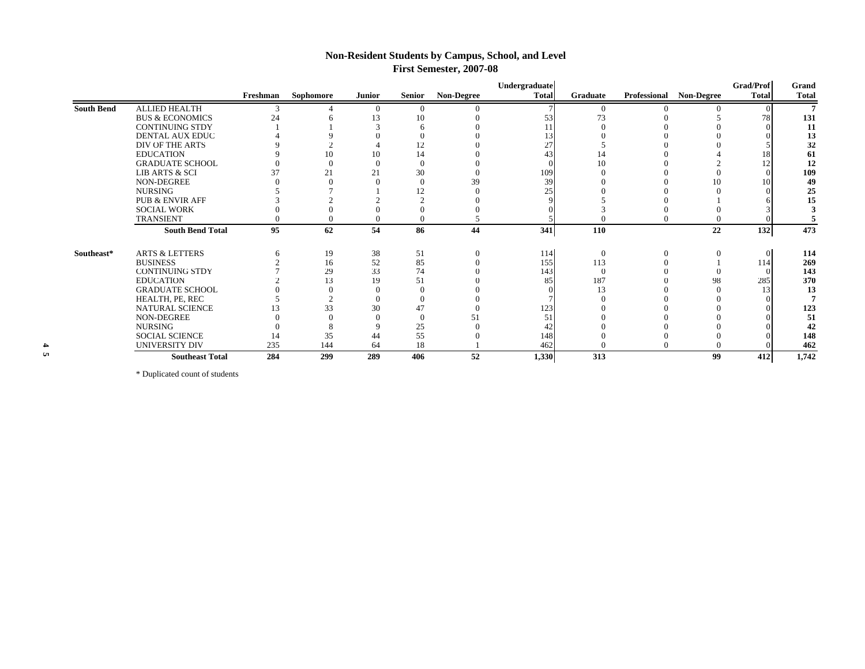# **Non-Resident Students by Campus, School, and Level First Semester, 2007-08**

|                   |                            |          |           |               |                |                   | Undergraduate |                 |                         | <b>Grad/Prof</b> | Grand        |
|-------------------|----------------------------|----------|-----------|---------------|----------------|-------------------|---------------|-----------------|-------------------------|------------------|--------------|
|                   |                            | Freshman | Sophomore | <b>Junior</b> | Senior         | <b>Non-Degree</b> | <b>Total</b>  | <b>Graduate</b> | Professional Non-Degree | <b>Total</b>     | <b>Total</b> |
| <b>South Bend</b> | ALLIED HEALTH              |          |           | $\mathbf{0}$  | $\mathbf{0}$   |                   |               |                 |                         |                  |              |
|                   | <b>BUS &amp; ECONOMICS</b> | 24       |           | 13            | 10             |                   | 53            | 73              |                         |                  | 131          |
|                   | <b>CONTINUING STDY</b>     |          |           |               |                |                   |               |                 |                         |                  | 11           |
|                   | DENTAL AUX EDUC            |          |           |               |                |                   |               |                 |                         |                  | 13           |
|                   | DIV OF THE ARTS            |          |           |               | 12             |                   | 27            |                 |                         |                  | 32           |
|                   | <b>EDUCATION</b>           |          |           | 10            | 14             |                   |               |                 |                         |                  | 61           |
|                   | <b>GRADUATE SCHOOL</b>     |          |           | $\Omega$      | $\overline{0}$ |                   |               | 10              |                         |                  | 12           |
|                   | <b>LIB ARTS &amp; SCI</b>  | 37       | 21        | 21            | 30             |                   | 109           |                 |                         |                  | 109          |
|                   | NON-DEGREE                 |          |           |               | $\Omega$       | 39                | 39            |                 | 10                      | 10               | 49           |
|                   | <b>NURSING</b>             |          |           |               | 12             |                   | 25            |                 |                         |                  | 25           |
|                   | <b>PUB &amp; ENVIR AFF</b> |          |           |               | $\bigcap$      |                   |               |                 |                         |                  | 15           |
|                   | <b>SOCIAL WORK</b>         |          |           |               | $\Omega$       |                   |               |                 |                         |                  |              |
|                   | <b>TRANSIENT</b>           | $\Omega$ |           | $\theta$      | $\theta$       |                   |               |                 |                         |                  |              |
|                   | <b>South Bend Total</b>    | 95       | 62        | 54            | 86             | 44                | 341           | 110             | 22                      | 132              | 473          |
| Southeast*        | <b>ARTS &amp; LETTERS</b>  | 6        | 19        | 38            | 51             |                   | 114           | $\Omega$        | $\Omega$                |                  | 114          |
|                   | <b>BUSINESS</b>            |          | 16        | 52            | 85             |                   | 155           | 113             |                         | 114              | 269          |
|                   | <b>CONTINUING STDY</b>     |          | 29        | 33            | 74             |                   | 143           | $\Omega$        |                         |                  | 143          |
|                   | <b>EDUCATION</b>           |          | 13        | 19            | 51             |                   | 85            | 187             | 98                      | 285              | 370          |
|                   | <b>GRADUATE SCHOOL</b>     |          |           |               | $\Omega$       |                   |               | 13              |                         |                  | 13           |
|                   | HEALTH, PE, REC            |          |           |               | $\Omega$       |                   |               |                 |                         |                  |              |
|                   | <b>NATURAL SCIENCE</b>     | 13       | 33        | 30            | 47             |                   | 123           |                 |                         |                  | 123          |
|                   | NON-DEGREE                 |          |           |               | $\overline{0}$ | 51                | 51            |                 |                         |                  | 51           |
|                   | <b>NURSING</b>             |          |           |               | 25             |                   |               |                 |                         |                  | 42           |
|                   | <b>SOCIAL SCIENCE</b>      | 14       | 35        | 44            | 55             |                   | 148           |                 |                         |                  | 148          |
|                   | <b>UNIVERSITY DIV</b>      | 235      | 144       | 64            | 18             |                   | 462           |                 |                         |                  | 462          |
|                   | <b>Southeast Total</b>     | 284      | 299       | 289           | 406            | 52                | 1,330         | 313             | 99                      | 412              | 1,742        |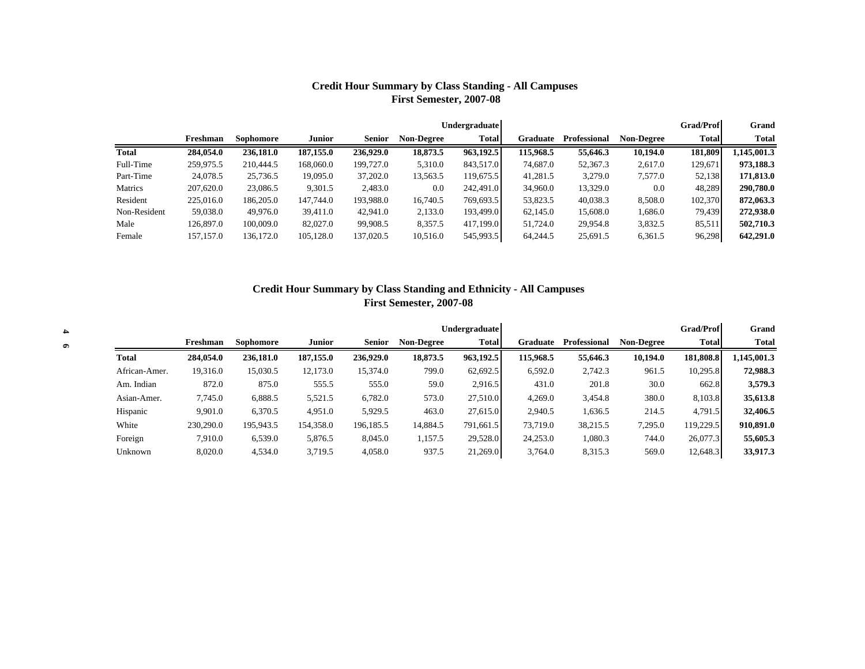# **Credit Hour Summary by Class Standing - All Campuses First Semester, 2007-08**

|              |           |           |               |           |                   | <b>Undergraduate</b> |           |                     |                   | <b>Grad/Prof</b> | Grand        |
|--------------|-----------|-----------|---------------|-----------|-------------------|----------------------|-----------|---------------------|-------------------|------------------|--------------|
|              | Freshman  | Sophomore | <b>Junior</b> | Senior    | <b>Non-Degree</b> | <b>Total</b>         | Graduate  | <b>Professional</b> | <b>Non-Degree</b> | <b>Total</b>     | <b>Total</b> |
| Total        | 284,054.0 | 236,181.0 | 187,155.0     | 236,929.0 | 18,873.5          | 963,192.5            | 115,968.5 | 55,646.3            | 10,194.0          | 181,809          | 1,145,001.3  |
| Full-Time    | 259,975.5 | 210,444.5 | 168,060.0     | 199,727.0 | 5,310.0           | 843,517.0            | 74,687.0  | 52,367.3            | 2,617.0           | 129,671          | 973,188.3    |
| Part-Time    | 24,078.5  | 25,736.5  | 19,095.0      | 37,202.0  | 13,563.5          | 119,675.5            | 41,281.5  | 3,279.0             | 7,577.0           | 52,138           | 171,813.0    |
| Matrics      | 207,620.0 | 23,086.5  | 9,301.5       | 2,483.0   | 0.0               | 242,491.0            | 34,960.0  | 13,329.0            | 0.0               | 48.289           | 290,780.0    |
| Resident     | 225,016.0 | 186,205.0 | 147,744.0     | 193,988.0 | 16,740.5          | 769,693.5            | 53,823.5  | 40,038.3            | 8,508.0           | 102,370          | 872,063.3    |
| Non-Resident | 59,038.0  | 49,976.0  | 39,411.0      | 42,941.0  | 2,133.0           | 193,499.0            | 62,145.0  | 15,608.0            | 1,686.0           | 79,439           | 272,938.0    |
| Male         | 126.897.0 | 100,009.0 | 82,027.0      | 99,908.5  | 8,357.5           | 417.199.0            | 51,724.0  | 29,954.8            | 3,832.5           | 85,511           | 502,710.3    |
| Female       | 157,157.0 | 136,172.0 | 105,128.0     | 137,020.5 | 10,516.0          | 545,993.5            | 64,244.5  | 25,691.5            | 6,361.5           | 96,298           | 642,291.0    |

# **Credit Hour Summary by Class Standing and Ethnicity - All Campuses First Semester, 2007-08**

| 4         |               |           |           |               |               |                   | <b>Undergraduate</b> |           |              |                   | <b>Grad/Prof</b> | Grand       |
|-----------|---------------|-----------|-----------|---------------|---------------|-------------------|----------------------|-----------|--------------|-------------------|------------------|-------------|
| $\bullet$ |               | Freshman  | Sophomore | <b>Junior</b> | <b>Senior</b> | <b>Non-Degree</b> | Total                | Graduate  | Professional | <b>Non-Degree</b> | Total            | Total       |
|           | Total         | 284,054.0 | 236,181.0 | 187,155.0     | 236,929.0     | 18,873.5          | 963,192.5            | 115,968.5 | 55,646.3     | 10,194.0          | 181,808.8        | 1,145,001.3 |
|           | African-Amer. | 19,316.0  | 15,030.5  | 12,173.0      | 15,374.0      | 799.0             | 62,692.5             | 6.592.0   | 2,742.3      | 961.5             | 10,295.8         | 72,988.3    |
|           | Am. Indian    | 872.0     | 875.0     | 555.5         | 555.0         | 59.0              | 2,916.5              | 431.0     | 201.8        | 30.0              | 662.8            | 3,579.3     |
|           | Asian-Amer.   | 7,745.0   | 6,888.5   | 5,521.5       | 6.782.0       | 573.0             | 27.510.0             | 4.269.0   | 3,454.8      | 380.0             | 8,103.8          | 35,613.8    |
|           | Hispanic      | 9,901.0   | 6,370.5   | 4,951.0       | 5,929.5       | 463.0             | 27,615.0             | 2,940.5   | 1,636.5      | 214.5             | 4,791.5          | 32,406.5    |
|           | White         | 230,290.0 | 195,943.5 | 154,358.0     | 196,185.5     | 14.884.5          | 791,661.5            | 73,719.0  | 38,215.5     | 7,295.0           | 119,229.5        | 910,891.0   |
|           | Foreign       | 7,910.0   | 6,539.0   | 5,876.5       | 8,045.0       | 1,157.5           | 29,528.0             | 24,253.0  | 1,080.3      | 744.0             | 26,077.3         | 55,605.3    |
|           | Unknown       | 8,020.0   | 4,534.0   | 3,719.5       | 4,058.0       | 937.5             | 21,269.0             | 3,764.0   | 8,315.3      | 569.0             | 12,648.3         | 33,917.3    |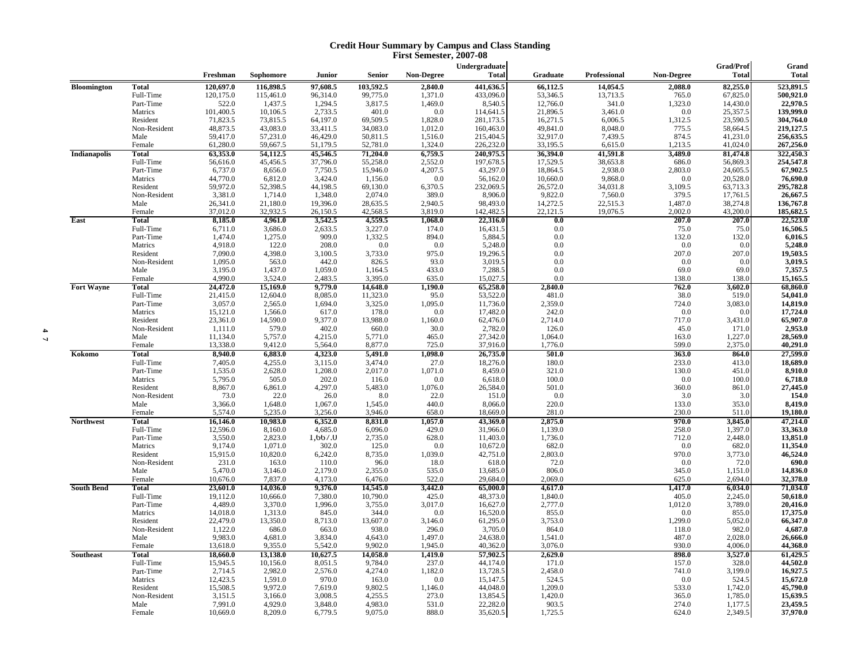#### **Credit Hour Summary by Campus and Class Standing First Semester, 2007-08**

|                     |              |           |           |          |           |                   | Undergraduate |          |              |            | Grad/Prof    | Grand        |
|---------------------|--------------|-----------|-----------|----------|-----------|-------------------|---------------|----------|--------------|------------|--------------|--------------|
|                     |              | Freshman  | Sophomore | Junior   | Senior    | <b>Non-Degree</b> | <b>Total</b>  | Graduate | Professional | Non-Degree | <b>Total</b> | <b>Total</b> |
| <b>Bloomington</b>  | <b>Total</b> | 120,697.0 | 116,898.5 | 97,608.5 | 103,592.5 | 2,840.0           | 441,636.5     | 66,112.5 | 14,054.5     | 2,088.0    | 82,255.0     | 523,891.5    |
|                     | Full-Time    | 120,175.0 | 115,461.0 | 96,314.0 | 99,775.0  | 1,371.0           | 433,096.0     | 53,346.5 | 13,713.5     | 765.0      | 67,825.0     | 500,921.0    |
|                     | Part-Time    | 522.0     | 1,437.5   | 1,294.5  | 3,817.5   | 1,469.0           | 8,540.5       | 12,766.0 | 341.0        | 1,323.0    | 14,430.0     | 22,970.5     |
|                     | Matrics      | 101,400.5 | 10,106.5  | 2,733.5  | 401.0     | 0.0               | 114,641.5     | 21,896.5 | 3,461.0      | 0.0        | 25,357.5     | 139,999.0    |
|                     | Resident     | 71,823.5  | 73,815.5  | 64,197.0 | 69,509.5  | 1,828.0           | 281,173.5     | 16,271.5 | 6,006.5      | 1,312.5    | 23,590.5     | 304,764.0    |
|                     | Non-Resident | 48,873.5  | 43,083.0  | 33,411.5 | 34,083.0  | 1,012.0           | 160,463.0     | 49,841.0 | 8,048.0      | 775.5      | 58,664.5     | 219,127.5    |
|                     | Male         | 59,417.0  | 57,231.0  | 46,429.0 | 50,811.5  | 1,516.0           | 215,404.5     | 32,917.0 | 7,439.5      | 874.5      | 41,231.0     | 256,635.5    |
|                     | Female       | 61,280.0  | 59,667.5  | 51,179.5 | 52,781.0  | 1,324.0           | 226,232.0     | 33,195.5 | 6,615.0      | 1,213.5    | 41,024.0     | 267,256.0    |
| <b>Indianapolis</b> | Total        | 63,353.0  | 54,112.5  | 45,546.5 | 71,204.0  | 6,759.5           | 240,975.5     | 36,394.0 | 41,591.8     | 3,489.0    | 81,474.8     | 322,450.3    |
|                     | Full-Time    | 56,616.0  | 45,456.5  | 37,796.0 | 55,258.0  | 2,552.0           | 197,678.5     | 17,529.5 | 38,653.8     | 686.0      | 56,869.3     | 254,547.8    |
|                     | Part-Time    | 6,737.0   | 8,656.0   | 7,750.5  | 15,946.0  | 4,207.5           | 43,297.0      | 18,864.5 | 2,938.0      | 2,803.0    | 24,605.5     | 67,902.5     |
|                     | Matrics      | 44,770.0  | 6,812.0   | 3,424.0  | 1,156.0   | 0.0               | 56,162.0      | 10,660.0 | 9,868.0      | 0.0        | 20,528.0     | 76,690.0     |
|                     | Resident     | 59,972.0  | 52,398.5  | 44,198.5 | 69,130.0  | 6,370.5           | 232,069.5     | 26,572.0 | 34,031.8     | 3,109.5    | 63,713.3     | 295,782.8    |
|                     | Non-Resident | 3,381.0   | 1,714.0   | 1,348.0  | 2,074.0   | 389.0             | 8,906.0       | 9,822.0  | 7,560.0      | 379.5      | 17,761.5     | 26,667.5     |
|                     | Male         | 26,341.0  | 21,180.0  | 19,396.0 | 28,635.5  | 2,940.5           | 98,493.0      | 14,272.5 | 22,515.3     | 1,487.0    | 38,274.8     | 136,767.8    |
|                     | Female       | 37,012.0  | 32,932.5  | 26,150.5 | 42,568.5  | 3,819.0           | 142,482.5     | 22,121.5 | 19,076.5     | 2,002.0    | 43,200.0     | 185,682.5    |
| East                | <b>Total</b> | 8,185.0   | 4,961.0   | 3,542.5  | 4,559.5   | 1,068.0           | 22,316.0      | 0.0      |              | 207.0      | 207.0        | 22,523.0     |
|                     | Full-Time    | 6,711.0   | 3,686.0   | 2,633.5  | 3,227.0   | 174.0             | 16,431.5      | 0.0      |              | 75.0       | 75.0         | 16,506.5     |
|                     | Part-Time    | 1,474.0   | 1,275.0   | 909.0    | 1,332.5   | 894.0             | 5,884.5       | 0.0      |              | 132.0      | 132.0        | 6,016.5      |
|                     | Matrics      | 4,918.0   | 122.0     | 208.0    | 0.0       | 0.0               | 5,248.0       | $0.0\,$  |              | 0.0        | 0.0          | 5,248.0      |
|                     | Resident     | 7,090.0   | 4,398.0   | 3,100.5  | 3,733.0   | 975.0             | 19,296.5      | 0.0      |              | 207.0      | 207.0        | 19,503.5     |
|                     | Non-Resident | 1,095.0   | 563.0     | 442.0    | 826.5     | 93.0              | 3,019.5       | 0.0      |              | 0.0        | 0.0          | 3,019.5      |
|                     | Male         | 3,195.0   | 1,437.0   | 1,059.0  | 1,164.5   | 433.0             | 7,288.5       | 0.0      |              | 69.0       | 69.0         | 7,357.5      |
|                     | Female       | 4,990.0   | 3,524.0   | 2,483.5  | 3,395.0   | 635.0             | 15,027.5      | 0.0      |              | 138.0      | 138.0        | 15,165.5     |
| <b>Fort Wayne</b>   | Total        | 24,472.0  | 15,169.0  | 9,779.0  | 14,648.0  | 1,190.0           | 65,258.0      | 2,840.0  |              | 762.0      | 3,602.0      | 68,860.0     |
|                     | Full-Time    | 21,415.0  | 12,604.0  | 8,085.0  | 11,323.0  | 95.0              | 53,522.0      | 481.0    |              | 38.0       | 519.0        | 54,041.0     |
|                     | Part-Time    | 3,057.0   | 2,565.0   | 1,694.0  | 3,325.0   | 1,095.0           | 11,736.0      | 2,359.0  |              | 724.0      | 3,083.0      | 14,819.0     |
|                     | Matrics      | 15,121.0  | 1,566.0   | 617.0    | 178.0     | 0.0               | 17,482.0      | 242.0    |              | 0.0        | 0.0          | 17,724.0     |
|                     | Resident     | 23,361.0  | 14,590.0  | 9,377.0  | 13,988.0  | 1,160.0           | 62,476.0      | 2,714.0  |              | 717.0      | 3,431.0      | 65,907.0     |
|                     | Non-Resident | 1,111.0   | 579.0     | 402.0    | 660.0     | 30.0              | 2,782.0       | 126.0    |              | 45.0       | 171.0        | 2,953.0      |
|                     | Male         | 11,134.0  | 5,757.0   | 4,215.0  | 5,771.0   | 465.0             | 27,342.0      | 1,064.0  |              | 163.0      | 1,227.0      | 28,569.0     |
|                     | Female       | 13,338.0  | 9,412.0   | 5,564.0  | 8,877.0   | 725.0             | 37,916.0      | 1,776.0  |              | 599.0      | 2,375.0      | 40,291.0     |
| Kokomo              | Total        | 8,940.0   | 6,883.0   | 4,323.0  | 5,491.0   | 1,098.0           | 26,735.0      | 501.0    |              | 363.0      | 864.0        | 27,599.0     |
|                     | Full-Time    | 7,405.0   | 4,255.0   | 3,115.0  | 3,474.0   | 27.0              | 18,276.0      | 180.0    |              | 233.0      | 413.0        | 18,689.0     |
|                     | Part-Time    | 1,535.0   | 2,628.0   | 1,208.0  | 2,017.0   | 1,071.0           | 8,459.0       | 321.0    |              | 130.0      | 451.0        | 8,910.0      |
|                     | Matrics      | 5,795.0   | 505.0     | 202.0    | 116.0     | 0.0               | 6,618.0       | 100.0    |              | 0.0        | 100.0        | 6,718.0      |
|                     | Resident     | 8,867.0   | 6,861.0   | 4,297.0  | 5,483.0   | 1,076.0           | 26,584.0      | 501.0    |              | 360.0      | 861.0        | 27,445.0     |
|                     | Non-Resident | 73.0      | 22.0      | 26.0     | 8.0       | 22.0              | 151.0         | 0.0      |              | 3.0        | 3.0          | 154.0        |
|                     | Male         | 3,366.0   | 1,648.0   | 1,067.0  | 1,545.0   | 440.0             | 8,066.0       | 220.0    |              | 133.0      | 353.0        | 8,419.0      |
|                     | Female       | 5,574.0   | 5,235.0   | 3,256.0  | 3,946.0   | 658.0             | 18,669.0      | 281.0    |              | 230.0      | 511.0        | 19,180.0     |
| <b>Northwest</b>    | <b>Total</b> | 16,146.0  | 10,983.0  | 6,352.0  | 8,831.0   | 1,057.0           | 43,369.0      | 2,875.0  |              | 970.0      | 3,845.0      | 47,214.0     |
|                     | Full-Time    | 12,596.0  | 8,160.0   | 4,685.0  | 6,096.0   | 429.0             | 31,966.0      | 1,139.0  |              | 258.0      | 1,397.0      | 33,363.0     |
|                     | Part-Time    | 3,550.0   | 2,823.0   | 1,66/0   | 2,735.0   | 628.0             | 11,403.0      | 1,736.0  |              | 712.0      | 2,448.0      | 13,851.0     |
|                     | Matrics      | 9,174.0   | 1,071.0   | 302.0    | 125.0     | 0.0               | 10,672.0      | 682.0    |              | 0.0        | 682.0        | 11,354.0     |
|                     | Resident     | 15,915.0  | 10,820.0  | 6,242.0  | 8,735.0   | 1,039.0           | 42,751.0      | 2,803.0  |              | 970.0      | 3,773.0      | 46,524.0     |
|                     | Non-Resident | 231.0     | 163.0     | 110.0    | 96.0      | 18.0              | 618.0         | 72.0     |              | 0.0        | 72.0         | 690.0        |
|                     | Male         | 5,470.0   | 3,146.0   | 2,179.0  | 2,355.0   | 535.0             | 13,685.0      | 806.0    |              | 345.0      | 1,151.0      | 14,836.0     |
|                     | Female       | 10,676.0  | 7,837.0   | 4,173.0  | 6,476.0   | 522.0             | 29,684.0      | 2,069.0  |              | 625.0      | 2,694.0      | 32,378.0     |
| <b>South Bend</b>   | <b>Total</b> | 23,601.0  | 14,036.0  | 9,376.0  | 14,545.0  | 3,442.0           | 65,000.0      | 4,617.0  |              | 1,417.0    | 6,034.0      | 71,034.0     |
|                     | Full-Time    | 19,112.0  | 10,666.0  | 7,380.0  | 10,790.0  | 425.0             | 48,373.0      | 1,840.0  |              | 405.0      | 2,245.0      | 50,618.0     |
|                     | Part-Time    | 4,489.0   | 3,370.0   | 1,996.0  | 3,755.0   | 3,017.0           | 16,627.0      | 2,777.0  |              | 1,012.0    | 3,789.0      | 20,416.0     |
|                     | Matrics      | 14,018.0  | 1,313.0   | 845.0    | 344.0     | 0.0               | 16,520.0      | 855.0    |              | 0.0        | 855.0        | 17,375.0     |
|                     | Resident     | 22,479.0  | 13,350.0  | 8,713.0  | 13,607.0  | 3,146.0           | 61,295.0      | 3,753.0  |              | 1,299.0    | 5,052.0      | 66,347.0     |
|                     | Non-Resident | 1,122.0   | 686.0     | 663.0    | 938.0     | 296.0             | 3,705.0       | 864.0    |              | 118.0      | 982.0        | 4,687.0      |
|                     | Male         | 9,983.0   | 4,681.0   | 3,834.0  | 4,643.0   | 1,497.0           | 24,638.0      | 1,541.0  |              | 487.0      | 2,028.0      | 26,666.0     |
|                     | Female       | 13,618.0  | 9,355.0   | 5,542.0  | 9,902.0   | 1,945.0           | 40,362.0      | 3,076.0  |              | 930.0      | 4,006.0      | 44,368.0     |
| <b>Southeast</b>    | <b>Total</b> | 18,660.0  | 13,138.0  | 10,627.5 | 14,058.0  | 1,419.0           | 57,902.5      | 2,629.0  |              | 898.0      | 3,527.0      | 61,429.5     |
|                     | Full-Time    | 15,945.5  | 10,156.0  | 8,051.5  | 9,784.0   | 237.0             | 44,174.0      | 171.0    |              | 157.0      | 328.0        | 44,502.0     |
|                     | Part-Time    | 2,714.5   | 2,982.0   | 2,576.0  | 4,274.0   | 1,182.0           | 13,728.5      | 2,458.0  |              | 741.0      | 3,199.0      | 16,927.5     |
|                     | Matrics      | 12,423.5  | 1,591.0   | 970.0    | 163.0     | 0.0               | 15,147.5      | 524.5    |              | 0.0        | 524.5        | 15,672.0     |
|                     | Resident     | 15,508.5  | 9,972.0   | 7,619.0  | 9,802.5   | 1,146.0           | 44,048.0      | 1,209.0  |              | 533.0      | 1,742.0      | 45,790.0     |
|                     | Non-Resident | 3,151.5   | 3,166.0   | 3,008.5  | 4,255.5   | 273.0             | 13,854.5      | 1,420.0  |              | 365.0      | 1,785.0      | 15,639.5     |
|                     | Male         | 7,991.0   | 4,929.0   | 3,848.0  | 4,983.0   | 531.0             | 22,282.0      | 903.5    |              | 274.0      | 1,177.5      | 23,459.5     |
|                     | Female       | 10,669.0  | 8,209.0   | 6,779.5  | 9,075.0   | 888.0             | 35,620.5      | 1,725.5  |              | 624.0      | 2,349.5      | 37,970.0     |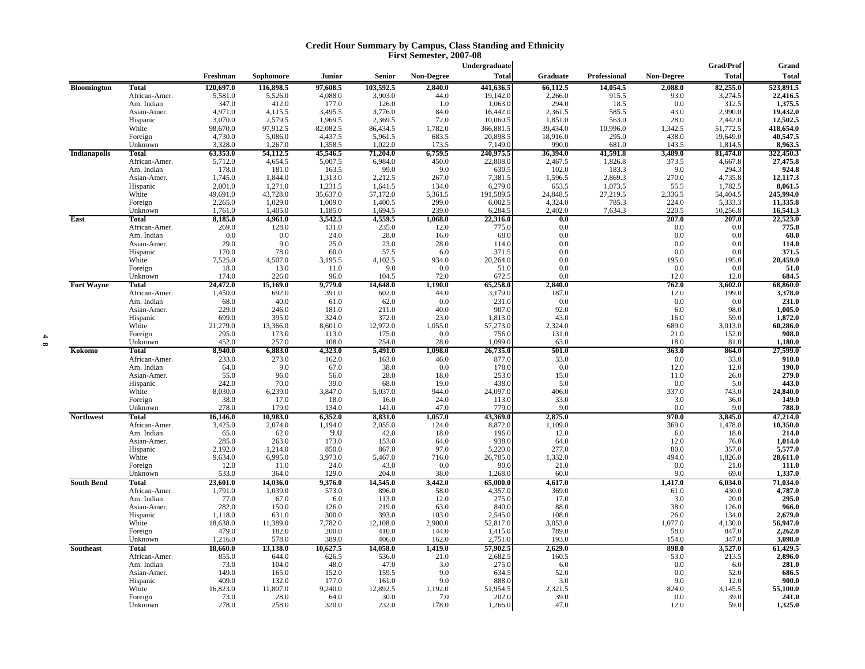#### **Credit Hour Summary by Campus, Class Standing and Ethnicity First Semester, 2007-08**

|                    |                             |                  |                  |                  |                 |                   | Undergraduate      |                  |                     |               | Grad/Prof        | Grand              |
|--------------------|-----------------------------|------------------|------------------|------------------|-----------------|-------------------|--------------------|------------------|---------------------|---------------|------------------|--------------------|
|                    |                             | Freshman         | <b>Sophomore</b> | <b>Junior</b>    | Senior          | <b>Non-Degree</b> | <b>Total</b>       | Graduate         | <b>Professional</b> | Non-Degree    | <b>Total</b>     | <b>Total</b>       |
| <b>Bloomington</b> | <b>Total</b>                | 120,697.0        | 116,898.5        | 97,608.5         | 103,592.5       | 2,840.0           | 441,636.5          | 66,112.5         | 14,054.5            | 2,088.0       | 82,255.0         | 523,891.5          |
|                    | African-Amer.               | 5,581.0          | 5,526.0          | 4,088.0          | 3,903.0         | 44.0              | 19,142.0           | 2,266.0          | 915.5               | 93.0          | 3,274.5          | 22,416.5           |
|                    | Am. Indian                  | 347.0            | 412.0            | 177.0            | 126.0           | 1.0               | 1,063.0            | 294.0            | 18.5                | 0.0           | 312.5            | 1,375.5            |
|                    | Asian-Amer.                 | 4.971.0          | 4,115.5          | 3.495.5          | 3,776.0         | 84.0              | 16,442.0           | 2,361.5          | 585.5               | 43.0          | 2,990.0          | 19,432.0           |
|                    | Hispanic                    | 3,070.0          | 2,579.5          | 1,969.5          | 2,369.5         | 72.0              | 10,060.5           | 1,851.0          | 563.0               | 28.0          | 2,442.0          | 12,502.5           |
|                    | White                       | 98,670.0         | 97,912.5         | 82,082.5         | 86,434.5        | 1,782.0           | 366,881.5          | 39,434.0         | 10,996.0            | 1,342.5       | 51,772.5         | 418,654.0          |
|                    | Foreign                     | 4,730.0          | 5,086.0          | 4,437.5          | 5,961.5         | 683.5             | 20,898.5           | 18,916.0         | 295.0               | 438.0         | 19,649.0         | 40,547.5           |
|                    | Unknown                     | 3,328.0          | 1,267.0          | 1,358.5          | 1,022.0         | 173.5             | 7,149.0            | 990.0            | 681.0               | 143.5         | 1,814.5          | 8,963.5            |
| Indianapolis       | <b>Total</b>                | 63,353.0         | 54,112.5         | 45,546.5         | 71,204.0        | 6,759.5           | 240,975.5          | 36,394.0         | 41,591.8            | 3,489.0       | 81,474.8         | 322,450.3          |
|                    | African-Amer.<br>Am. Indian | 5,712.0<br>178.0 | 4,654.5<br>181.0 | 5,007.5<br>163.5 | 6,984.0<br>99.0 | 450.0<br>9.0      | 22,808.0<br>630.5  | 2,467.5<br>102.0 | 1,826.8<br>183.3    | 373.5<br>9.0  | 4,667.8<br>294.3 | 27,475.8<br>924.8  |
|                    | Asian-Amer.                 | 1,745.0          | 1,844.0          | 1,313.0          | 2,212.5         | 267.0             | 7,381.5            | 1,596.5          | 2,869.3             | 270.0         | 4,735.8          | 12,117.3           |
|                    | Hispanic                    | 2,001.0          | 1,271.0          | 1,231.5          | 1,641.5         | 134.0             | 6,279.0            | 653.5            | 1,073.5             | 55.5          | 1,782.5          | 8,061.5            |
|                    | White                       | 49,691.0         | 43,728.0         | 35,637.0         | 57,172.0        | 5,361.5           | 191,589.5          | 24,848.5         | 27,219.5            | 2,336.5       | 54,404.5         | 245,994.0          |
|                    | Foreign                     | 2,265.0          | 1,029.0          | 1,009.0          | 1,400.5         | 299.0             | 6,002.5            | 4,324.0          | 785.3               | 224.0         | 5,333.3          | 11,335.8           |
|                    | Unknown                     | 1,761.0          | 1,405.0          | 1,185.0          | 1,694.5         | 239.0             | 6,284.             | 2,402.0          | 7,634.3             | 220.5         | 10,256.8         | 16,541.3           |
| <b>East</b>        | <b>Total</b>                | 8,185.0          | 4,961.0          | 3,542.5          | 4,559.5         | 1,068.0           | 22,316.0           | 0.0              |                     | 207.0         | 207.0            | 22,523.0           |
|                    | African-Amer.               | 269.0            | 128.0            | 131.0            | 235.0           | 12.0              | 775.0              | 0.0              |                     | 0.0           | 0.0              | 775.0              |
|                    | Am. Indian                  | 0.0              | 0.0              | 24.0             | 28.0            | 16.0              | 68.0               | 0.0              |                     | 0.0           | 0.0              | 68.0               |
|                    | Asian-Amer.                 | 29.0             | 9.0              | 25.0             | 23.0            | 28.0              | 114.0              | 0.0              |                     | 0.0           | 0.0              | 114.0              |
|                    | Hispanic                    | 170.0            | 78.0<br>4.507.0  | 60.0             | 57.5            | 6.0<br>934.0      | 371.5              | 0.0              |                     | 0.0           | 0.0              | 371.5              |
|                    | White                       | 7,525.0          |                  | 3,195.5          | 4,102.5         |                   | 20,264.0           | 0.0              |                     | 195.0         | 195.0            | 20,459.0           |
|                    | Foreign<br>Unknown          | 18.0<br>174.0    | 13.0<br>226.0    | 11.0<br>96.0     | 9.0<br>104.5    | 0.0<br>72.0       | 51.0<br>672.       | 0.0<br>0.0       |                     | 0.0<br>12.0   | 0.0<br>12.0      | 51.0<br>684.5      |
| <b>Fort Wayne</b>  | <b>Total</b>                | 24,472.0         | 15,169.0         | 9,779.0          | 14,648.0        | 1,190.0           | 65,258.0           | 2,840.0          |                     | 762.0         | 3,602.0          | 68,860.0           |
|                    | African-Amer.               | 1,450.0          | 692.0            | 391.0            | 602.0           | 44.0              | 3,179.0            | 187.0            |                     | 12.0          | 199.0            | 3,378.0            |
|                    | Am. Indian                  | 68.0             | 40.0             | 61.0             | 62.0            | 0.0               | 231.0              | 0.0              |                     | 0.0           | 0.0              | 231.0              |
|                    | Asian-Amer.                 | 229.0            | 246.0            | 181.0            | 211.0           | 40.0              | 907.0              | 92.0             |                     | 6.0           | 98.0             | 1,005.0            |
|                    | Hispanic                    | 699.0            | 395.0            | 324.0            | 372.0           | 23.0              | 1,813.0            | 43.0             |                     | 16.0          | 59.0             | 1,872.0            |
|                    | White                       | 21,279.0         | 13,366.0         | 8.601.0          | 12,972.0        | 1,055.0           | 57,273.0           | 2.324.0          |                     | 689.0         | 3.013.0          | 60,286.0           |
|                    | Foreign                     | 295.0            | 173.0            | 113.0            | 175.0           | 0.0               | 756.0              | 131.0            |                     | 21.0          | 152.0            | 908.0              |
|                    | Unknown                     | 452.0            | 257.0            | 108.0            | 254.0           | 28.0              | 1.099.0            | 63.0             |                     | 18.0          | 81.0             | 1,180.0            |
| Kokomo             | <b>Total</b>                | 8,940.0          | 6,883.0          | 4,323.0          | 5,491.0         | 1,098.0           | 26,735.0           | 501.0            |                     | 363.0         | 864.0            | 27,599.0           |
|                    | African-Amer.               | 233.0<br>64.0    | 273.0<br>9.0     | 162.0            | 163.0<br>38.0   | 46.0<br>0.0       | 877.0<br>178.0     | 33.0<br>0.0      |                     | 0.0<br>12.0   | 33.0<br>12.0     | 910.0<br>190.0     |
|                    | Am. Indian<br>Asian-Amer.   | 55.0             | 96.0             | 67.0<br>56.0     | 28.0            | 18.0              | 253.0              | 15.0             |                     | 11.0          | 26.0             | 279.0              |
|                    | Hispanic                    | 242.0            | 70.0             | 39.0             | 68.0            | 19.0              | 438.0              | 5.0              |                     | 0.0           | 5.0              | 443.0              |
|                    | White                       | 8,030.0          | 6,239.0          | 3,847.0          | 5,037.0         | 944.0             | 24,097.0           | 406.0            |                     | 337.0         | 743.0            | 24,840.0           |
|                    | Foreign                     | 38.0             | 17.0             | 18.0             | 16.0            | 24.0              | 113.0              | 33.0             |                     | 3.0           | 36.0             | 149.0              |
|                    | Unknown                     | 278.0            | 179.0            | 134.0            | 141.0           | 47.0              | 779.0              | 9.0              |                     | 0.0           | 9.0              | 788.0              |
| <b>Northwest</b>   | <b>Total</b>                | 16,146.0         | 10,983.0         | 6,352.0          | 8,831.0         | 1,057.0           | 43,369.0           | 2,875.0          |                     | 970.0         | 3,845.0          | 47,214.0           |
|                    | African-Amer.               | 3,425.0          | 2,074.0          | 1,194.0          | 2,055.0         | 124.0             | 8,872.0            | 1,109.0          |                     | 369.0         | 1,478.0          | 10,350.0           |
|                    | Am. Indian                  | 65.0             | 62.0             | 9.0              | 42.0            | 18.0              | 196.0              | 12.0             |                     | 6.0           | 18.0             | 214.0              |
|                    | Asian-Amer.                 | 285.0<br>2,192.0 | 263.0<br>1,214.0 | 173.0<br>850.0   | 153.0<br>867.0  | 64.0<br>97.0      | 938.0<br>5,220.0   | 64.0<br>277.0    |                     | 12.0<br>80.0  | 76.0<br>357.0    | 1,014.0<br>5,577.0 |
|                    | Hispanic<br>White           | 9,634.0          | 6,995.0          | 3,973.0          | 5,467.0         | 716.0             | 26,785.0           | 1,332.0          |                     | 494.0         | 1,826.0          | 28,611.0           |
|                    | Foreign                     | 12.0             | 11.0             | 24.0             | 43.0            | 0.0               | 90.0               | 21.0             |                     | 0.0           | 21.0             | 111.0              |
|                    | Unknown                     | 533.0            | 364.0            | 129.0            | 204.0           | 38.0              | 1,268.0            | 60.0             |                     | 9.0           | 69.0             | 1,337.0            |
| <b>South Bend</b>  | Total                       | 23,601.0         | 14,036.0         | 9,376.0          | 14,545.0        | 3,442.0           | 65,000.0           | 4,617.0          |                     | 1,417.0       | 6,034.0          | 71,034.0           |
|                    | African-Amer.               | 1,791.0          | 1,039.0          | 573.0            | 896.0           | 58.0              | 4,357.0            | 369.0            |                     | 61.0          | 430.0            | 4,787.0            |
|                    | Am. Indian                  | 77.0             | 67.0             | 6.0              | 113.0           | 12.0              | 275.0              | 17.0             |                     | 3.0           | 20.0             | 295.0              |
|                    | Asian-Amer.                 | 282.0            | 150.0            | 126.0            | 219.0           | 63.0              | 840.0              | 88.0             |                     | 38.0          | 126.0            | 966.0              |
|                    | Hispanic                    | 1,118.0          | 631.0            | 300.0            | 393.0           | 103.0             | 2,545.0            | 108.0            |                     | 26.0          | 134.0            | 2,679.0            |
|                    | White                       | 18,638.0         | 11,389.0         | 7,782.0          | 12,108.0        | 2,900.0           | 52,817.0           | 3,053.0          |                     | 1,077.0       | 4,130.0          | 56,947.0           |
|                    | Foreign<br>Unknown          | 479.0<br>1,216.0 | 182.0<br>578.0   | 200.0<br>389.0   | 410.0<br>406.0  | 144.0<br>162.0    | 1,415.0<br>2,751.0 | 789.0<br>193.0   |                     | 58.0<br>154.0 | 847.0<br>347.0   | 2,262.0<br>3,098.0 |
|                    | <b>Total</b>                | 18,660.0         | 13,138.0         | 10,627.5         | 14,058.0        | 1,419.0           | 57,902.5           | 2,629.0          |                     | 898.0         | 3,527.0          | 61,429.5           |
| <b>Southeast</b>   | African-Amer.               | 855.0            | 644.0            | 626.5            | 536.0           | 21.0              | 2,682.5            | 160.5            |                     | 53.0          | 213.5            | 2,896.0            |
|                    | Am. Indian                  | 73.0             | 104.0            | 48.0             | 47.0            | 3.0               | 275.0              | 6.0              |                     | 0.0           | 6.0              | 281.0              |
|                    | Asian-Amer.                 | 149.0            | 165.0            | 152.0            | 159.5           | 9.0               | 634.               | 52.0             |                     | 0.0           | 52.0             | 686.5              |
|                    | Hispanic                    | 409.0            | 132.0            | 177.0            | 161.0           | 9.0               | 888.0              | 3.0              |                     | 9.0           | 12.0             | 900.0              |
|                    | White                       | 16,823.0         | 11,807.0         | 9,240.0          | 12,892.5        | 1,192.0           | 51,954.5           | 2,321.5          |                     | 824.0         | 3,145.5          | 55,100.0           |
|                    | Foreign                     | 73.0             | 28.0             | 64.0             | 30.0            | 7.0               | 202.0              | 39.0             |                     | 0.0           | 39.0             | 241.0              |
|                    | Unknown                     | 278.0            | 258.0            | 320.0            | 232.0           | 178.0             | 1,266.0            | 47.0             |                     | 12.0          | 59.0             | 1,325.0            |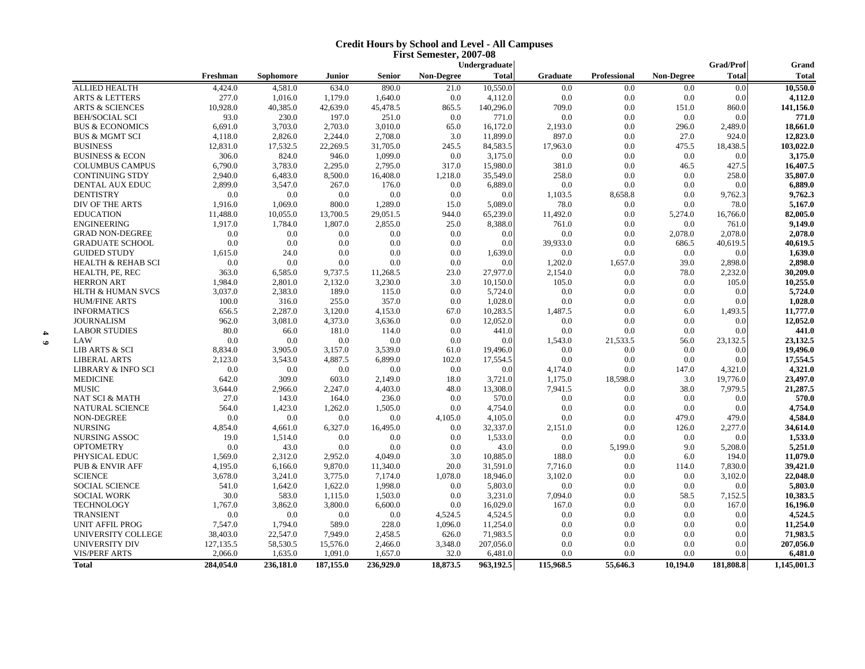#### **Credit Hours by School and Level - All Campuses First Semester, 2007-08**

|                               |                               |            |           |           |               |                   | Undergraduate |           |              |            | <b>Grad/Prof</b> | Grand        |
|-------------------------------|-------------------------------|------------|-----------|-----------|---------------|-------------------|---------------|-----------|--------------|------------|------------------|--------------|
|                               |                               | Freshman   | Sophomore | Junior    | <b>Senior</b> | <b>Non-Degree</b> | <b>Total</b>  | Graduate  | Professional | Non-Degree | <b>Total</b>     | <b>Total</b> |
|                               | <b>ALLIED HEALTH</b>          | 4,424.0    | 4,581.0   | 634.0     | 890.0         | 21.0              | 10,550.0      | 0.0       | 0.0          | 0.0        | 0.0              | 10,550.0     |
|                               | <b>ARTS &amp; LETTERS</b>     | 277.0      | 1,016.0   | 1,179.0   | 1,640.0       | 0.0               | 4,112.0       | 0.0       | 0.0          | 0.0        | 0.0              | 4,112.0      |
|                               | <b>ARTS &amp; SCIENCES</b>    | 10,928.0   | 40,385.0  | 42,639.0  | 45,478.5      | 865.5             | 140,296.0     | 709.0     | 0.0          | 151.0      | 860.0            | 141,156.0    |
|                               | <b>BEH/SOCIAL SCI</b>         | 93.0       | 230.0     | 197.0     | 251.0         | 0.0               | 771.0         | 0.0       | 0.0          | 0.0        | 0.0              | 771.0        |
|                               | <b>BUS &amp; ECONOMICS</b>    | 6,691.0    | 3,703.0   | 2,703.0   | 3,010.0       | 65.0              | 16,172.0      | 2,193.0   | 0.0          | 296.0      | 2,489.0          | 18,661.0     |
|                               | <b>BUS &amp; MGMT SCI</b>     | 4,118.0    | 2,826.0   | 2,244.0   | 2,708.0       | 3.0               | 11,899.0      | 897.0     | 0.0          | 27.0       | 924.0            | 12,823.0     |
|                               | <b>BUSINESS</b>               | 12,831.0   | 17,532.5  | 22,269.5  | 31,705.0      | 245.5             | 84,583.5      | 17,963.0  | 0.0          | 475.5      | 18,438.5         | 103,022.0    |
|                               | <b>BUSINESS &amp; ECON</b>    | 306.0      | 824.0     | 946.0     | 1,099.0       | 0.0               | 3,175.0       | 0.0       | 0.0          | 0.0        | 0.0              | 3,175.0      |
|                               | <b>COLUMBUS CAMPUS</b>        | 6.790.0    | 3,783.0   | 2,295.0   | 2,795.0       | 317.0             | 15,980.0      | 381.0     | 0.0          | 46.5       | 427.5            | 16,407.5     |
|                               | <b>CONTINUING STDY</b>        | 2,940.0    | 6,483.0   | 8,500.0   | 16,408.0      | 1,218.0           | 35,549.0      | 258.0     | 0.0          | 0.0        | 258.0            | 35,807.0     |
|                               | DENTAL AUX EDUC               | 2,899.0    | 3,547.0   | 267.0     | 176.0         | 0.0               | 6,889.0       | 0.0       | 0.0          | 0.0        | 0.0              | 6,889.0      |
|                               | <b>DENTISTRY</b>              | 0.0        | 0.0       | 0.0       | 0.0           | 0.0               | 0.0           | 1,103.5   | 8,658.8      | 0.0        | 9.762.3          | 9,762.3      |
|                               | DIV OF THE ARTS               | 1,916.0    | 1,069.0   | 800.0     | 1,289.0       | 15.0              | 5,089.0       | 78.0      | 0.0          | 0.0        | 78.0             | 5,167.0      |
|                               | <b>EDUCATION</b>              | 11,488.0   | 10,055.0  | 13,700.5  | 29,051.5      | 944.0             | 65,239.0      | 11,492.0  | 0.0          | 5,274.0    | 16,766.0         | 82,005.0     |
|                               | <b>ENGINEERING</b>            | 1.917.0    | 1.784.0   | 1.807.0   | 2,855.0       | 25.0              | 8,388.0       | 761.0     | 0.0          | 0.0        | 761.0            | 9,149.0      |
|                               | <b>GRAD NON-DEGREE</b>        | 0.0        | 0.0       | 0.0       | $0.0\,$       | 0.0               | 0.0           | 0.0       | 0.0          | 2,078.0    | 2.078.0          | 2,078.0      |
|                               | <b>GRADUATE SCHOOL</b>        | 0.0        | 0.0       | 0.0       | 0.0           | 0.0               | 0.0           | 39,933.0  | 0.0          | 686.5      | 40.619.5         | 40,619.5     |
|                               | <b>GUIDED STUDY</b>           | 1,615.0    | 24.0      | 0.0       | 0.0           | 0.0               | 1,639.0       | 0.0       | 0.0          | 0.0        | 0.0              | 1.639.0      |
|                               | <b>HEALTH &amp; REHAB SCI</b> | 0.0        | 0.0       | 0.0       | 0.0           | 0.0               | 0.0           | 1,202.0   | 1,657.0      | 39.0       | 2,898.0          | 2,898.0      |
|                               | HEALTH, PE, REC               | 363.0      | 6,585.0   | 9,737.5   | 11,268.5      | 23.0              | 27,977.0      | 2,154.0   | 0.0          | 78.0       | 2,232.0          | 30,209.0     |
|                               | <b>HERRON ART</b>             | 1,984.0    | 2,801.0   | 2,132.0   | 3,230.0       | 3.0               | 10,150.0      | 105.0     | 0.0          | 0.0        | 105.0            | 10,255.0     |
|                               | HLTH & HUMAN SVCS             | 3,037.0    | 2,383.0   | 189.0     | 115.0         | 0.0               | 5,724.0       | 0.0       | 0.0          | 0.0        | 0.0              | 5,724.0      |
|                               | <b>HUM/FINE ARTS</b>          | 100.0      | 316.0     | 255.0     | 357.0         | 0.0               | 1,028.0       | 0.0       | 0.0          | 0.0        | 0.0              | 1,028.0      |
|                               | <b>INFORMATICS</b>            | 656.5      | 2,287.0   | 3,120.0   | 4,153.0       | 67.0              | 10,283.5      | 1,487.5   | 0.0          | 6.0        | 1,493.5          | 11,777.0     |
|                               | <b>JOURNALISM</b>             | 962.0      | 3,081.0   | 4,373.0   | 3,636.0       | 0.0               | 12,052.0      | 0.0       | 0.0          | 0.0        | 0.0              | 12,052.0     |
|                               | <b>LABOR STUDIES</b>          | 80.0       | 66.0      | 181.0     | 114.0         | 0.0               | 441.0         | 0.0       | 0.0          | 0.0        | 0.0              | 441.0        |
| $\blacktriangle$<br>$\bullet$ | <b>LAW</b>                    | 0.0        | 0.0       | 0.0       | 0.0           | 0.0               | 0.0           | 1,543.0   | 21,533.5     | 56.0       | 23,132.5         | 23,132.5     |
|                               | <b>LIB ARTS &amp; SCI</b>     | 8,834.0    | 3,905.0   | 3,157.0   | 3,539.0       | 61.0              | 19,496.0      | 0.0       | 0.0          | 0.0        | 0.0              | 19,496.0     |
|                               | <b>LIBERAL ARTS</b>           | 2,123.0    | 3,543.0   | 4,887.5   | 6,899.0       | 102.0             | 17,554.5      | 0.0       | 0.0          | 0.0        | 0.0              | 17,554.5     |
|                               | <b>LIBRARY &amp; INFO SCI</b> | 0.0        | 0.0       | 0.0       | 0.0           | 0.0               | 0.0           | 4,174.0   | 0.0          | 147.0      | 4,321.0          | 4,321.0      |
|                               | <b>MEDICINE</b>               | 642.0      | 309.0     | 603.0     | 2,149.0       | 18.0              | 3,721.0       | 1,175.0   | 18,598.0     | 3.0        | 19,776.0         | 23,497.0     |
|                               | <b>MUSIC</b>                  | 3,644.0    | 2,966.0   | 2,247.0   | 4,403.0       | 48.0              | 13,308.0      | 7,941.5   | 0.0          | 38.0       | 7,979.5          | 21,287.5     |
|                               | NAT SCI & MATH                | 27.0       | 143.0     | 164.0     | 236.0         | 0.0               | 570.0         | 0.0       | 0.0          | 0.0        | 0.0              | 570.0        |
|                               | <b>NATURAL SCIENCE</b>        | 564.0      | 1,423.0   | 1,262.0   | 1,505.0       | 0.0               | 4,754.0       | 0.0       | 0.0          | 0.0        | 0.0              | 4,754.0      |
|                               | NON-DEGREE                    | 0.0        | 0.0       | 0.0       | 0.0           | 4,105.0           | 4,105.0       | 0.0       | 0.0          | 479.0      | 479.0            | 4,584.0      |
|                               | <b>NURSING</b>                | 4,854.0    | 4,661.0   | 6,327.0   | 16,495.0      | 0.0               | 32,337.0      | 2,151.0   | 0.0          | 126.0      | 2,277.0          | 34,614.0     |
|                               | <b>NURSING ASSOC</b>          | 19.0       | 1,514.0   | 0.0       | 0.0           | 0.0               | 1,533.0       | 0.0       | 0.0          | 0.0        | 0.0              | 1,533.0      |
|                               | <b>OPTOMETRY</b>              | 0.0        | 43.0      | 0.0       | 0.0           | 0.0               | 43.0          | 0.0       | 5,199.0      | 9.0        | 5,208.0          | 5,251.0      |
|                               | PHYSICAL EDUC                 | 1,569.0    | 2,312.0   | 2,952.0   | 4,049.0       | 3.0               | 10,885.0      | 188.0     | 0.0          | 6.0        | 194.0            | 11,079.0     |
|                               | <b>PUB &amp; ENVIR AFF</b>    | 4,195.0    | 6,166.0   | 9,870.0   | 11,340.0      | 20.0              | 31,591.0      | 7,716.0   | 0.0          | 114.0      | 7,830.0          | 39,421.0     |
|                               | <b>SCIENCE</b>                | 3,678.0    | 3,241.0   | 3.775.0   | 7,174.0       | 1,078.0           | 18,946.0      | 3,102.0   | 0.0          | 0.0        | 3.102.0          | 22,048.0     |
|                               | <b>SOCIAL SCIENCE</b>         | 541.0      | 1,642.0   | 1,622.0   | 1,998.0       | 0.0               | 5,803.0       | 0.0       | 0.0          | 0.0        | 0.0              | 5,803.0      |
|                               | <b>SOCIAL WORK</b>            | 30.0       | 583.0     | 1,115.0   | 1,503.0       | 0.0               | 3,231.0       | 7,094.0   | 0.0          | 58.5       | 7,152.5          | 10,383.5     |
|                               | <b>TECHNOLOGY</b>             | 1.767.0    | 3,862.0   | 3,800.0   | 6,600.0       | 0.0               | 16,029.0      | 167.0     | 0.0          | 0.0        | 167.0            | 16,196.0     |
|                               | <b>TRANSIENT</b>              | 0.0        | 0.0       | 0.0       | 0.0           | 4,524.5           | 4,524.5       | 0.0       | 0.0          | $0.0\,$    | 0.0              | 4,524.5      |
|                               | <b>UNIT AFFIL PROG</b>        | 7,547.0    | 1,794.0   | 589.0     | 228.0         | 1,096.0           | 11,254.0      | 0.0       | 0.0          | 0.0        | 0.0              | 11,254.0     |
|                               | UNIVERSITY COLLEGE            | 38,403.0   | 22,547.0  | 7,949.0   | 2,458.5       | 626.0             | 71,983.5      | 0.0       | 0.0          | 0.0        | 0.0              | 71,983.5     |
|                               | UNIVERSITY DIV                | 127, 135.5 | 58,530.5  | 15,576.0  | 2,466.0       | 3,348.0           | 207,056.0     | 0.0       | 0.0          | 0.0        | 0.0              | 207,056.0    |
|                               | <b>VIS/PERF ARTS</b>          | 2,066.0    | 1,635.0   | 1,091.0   | 1,657.0       | 32.0              | 6,481.0       | 0.0       | 0.0          | 0.0        | 0.0              | 6,481.0      |
|                               | <b>Total</b>                  | 284,054.0  | 236,181.0 | 187,155.0 | 236,929.0     | 18,873.5          | 963,192.5     | 115,968.5 | 55,646.3     | 10,194.0   | 181,808.8        | 1,145,001.3  |
|                               |                               |            |           |           |               |                   |               |           |              |            |                  |              |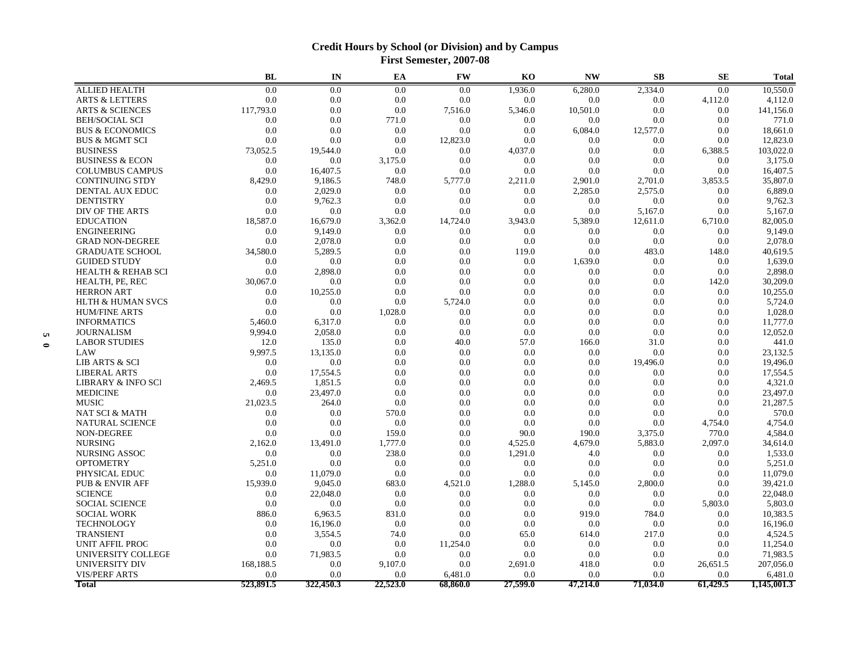# **Credit Hours by School (or Division) and by Campus First Semester, 2007-08**

|           |                               | <b>BL</b>      | IN         | EA               | <b>FW</b>  | KO          | <b>NW</b>        | SB                 | <b>SE</b>        | <b>Total</b>       |
|-----------|-------------------------------|----------------|------------|------------------|------------|-------------|------------------|--------------------|------------------|--------------------|
|           | <b>ALLIED HEALTH</b>          | 0.0            | 0.0        | $\overline{0.0}$ | 0.0        | 1,936.0     | 6,280.0          | 2,334.0            | $\overline{0.0}$ | 10,550.0           |
|           | <b>ARTS &amp; LETTERS</b>     | 0.0            | 0.0        | 0.0              | 0.0        | 0.0         | 0.0              | 0.0                | 4,112.0          | 4,112.0            |
|           | <b>ARTS &amp; SCIENCES</b>    | 117,793.0      | 0.0        | 0.0              | 7,516.0    | 5,346.0     | 10,501.0         | 0.0                | 0.0              | 141,156.0          |
|           | <b>BEH/SOCIAL SCI</b>         | 0.0            | 0.0        | 771.0            | 0.0        | 0.0         | 0.0              | 0.0                | 0.0              | 771.0              |
|           | <b>BUS &amp; ECONOMICS</b>    | 0.0            | 0.0        | 0.0              | 0.0        | 0.0         | 6,084.0          | 12,577.0           | 0.0              | 18,661.0           |
|           | <b>BUS &amp; MGMT SCI</b>     | 0.0            | 0.0        | 0.0              | 12,823.0   | 0.0         | 0.0              | 0.0                | 0.0              | 12,823.0           |
|           | <b>BUSINESS</b>               | 73,052.5       | 19.544.0   | 0.0              | 0.0        | 4,037.0     | 0.0              | 0.0                | 6,388.5          | 103,022.0          |
|           | <b>BUSINESS &amp; ECON</b>    | 0.0            | 0.0        | 3,175.0          | 0.0        | 0.0         | 0.0              | 0.0                | 0.0              | 3,175.0            |
|           | <b>COLUMBUS CAMPUS</b>        | 0.0            | 16,407.5   | 0.0              | 0.0        | 0.0         | 0.0              | 0.0                | 0.0              | 16,407.5           |
|           | <b>CONTINUING STDY</b>        | 8,429.0        | 9,186.5    | 748.0            | 5,777.0    | 2,211.0     | 2,901.0          | 2,701.0            | 3,853.5          | 35,807.0           |
|           | DENTAL AUX EDUC               | 0.0            | 2,029.0    | 0.0              | 0.0        | 0.0         | 2,285.0          | 2,575.0            | 0.0              | 6,889.0            |
|           | <b>DENTISTRY</b>              | 0.0            | 9.762.3    | 0.0              | 0.0        | 0.0         | 0.0              | 0.0                | 0.0              | 9,762.3            |
|           | DIV OF THE ARTS               | 0.0            | 0.0        | 0.0              | 0.0        | 0.0         | 0.0              | 5,167.0            | 0.0              | 5,167.0            |
|           | <b>EDUCATION</b>              | 18,587.0       | 16,679.0   | 3,362.0          | 14,724.0   | 3,943.0     | 5,389.0          | 12,611.0           | 6,710.0          | 82,005.0           |
|           | <b>ENGINEERING</b>            | 0.0            | 9,149.0    | 0.0              | 0.0        | 0.0         | 0.0              | 0.0                | 0.0              | 9,149.0            |
|           | <b>GRAD NON-DEGREE</b>        | 0.0            | 2,078.0    | 0.0              | 0.0        | 0.0         | 0.0              | 0.0                | 0.0              | 2,078.0            |
|           | <b>GRADUATE SCHOOL</b>        | 34,580.0       | 5,289.5    | 0.0              | 0.0        | 119.0       | 0.0              | 483.0              | 148.0            | 40,619.5           |
|           | <b>GUIDED STUDY</b>           | 0.0            | 0.0        | 0.0              | 0.0        | 0.0         | 1,639.0          | 0.0                | 0.0              | 1,639.0            |
|           | <b>HEALTH &amp; REHAB SCI</b> | 0.0            | 2,898.0    | 0.0              | 0.0        | 0.0         | 0.0              | 0.0                | 0.0              | 2,898.0            |
|           | HEALTH, PE, REC               | 30,067.0       | 0.0        | 0.0              | 0.0        | 0.0         | 0.0              | 0.0                | 142.0            | 30,209.0           |
|           | <b>HERRON ART</b>             | 0.0            | 10,255.0   | 0.0              | 0.0        | 0.0         | 0.0              | 0.0                | 0.0              | 10,255.0           |
|           | <b>HLTH &amp; HUMAN SVCS</b>  | 0.0            | 0.0        | 0.0              | 5,724.0    | 0.0         | 0.0              | 0.0                | 0.0              | 5,724.0            |
|           | <b>HUM/FINE ARTS</b>          | 0.0            | 0.0        | 1,028.0          | 0.0        | 0.0         | 0.0              | 0.0                | 0.0              | 1,028.0            |
|           | <b>INFORMATICS</b>            | 5,460.0        | 6,317.0    | 0.0              | 0.0        | 0.0         | 0.0              | 0.0                | 0.0              | 11,777.0           |
| <b>u</b>  | <b>JOURNALISM</b>             | 9,994.0        | 2,058.0    | 0.0              | 0.0        | 0.0         | 0.0              | 0.0                | 0.0              | 12,052.0           |
| $\bullet$ | <b>LABOR STUDIES</b>          | 12.0           | 135.0      | 0.0              | 40.0       | 57.0        | 166.0            | 31.0               | 0.0              | 441.0              |
|           | LAW                           | 9,997.5        | 13,135.0   | 0.0              | 0.0        | 0.0         | 0.0              | 0.0                | 0.0              | 23,132.5           |
|           | LIB ARTS & SCI                | 0.0            | 0.0        | 0.0              | 0.0        | 0.0         | 0.0              | 19,496.0           | 0.0              | 19,496.0           |
|           | <b>LIBERAL ARTS</b>           | 0.0            | 17,554.5   | 0.0              | 0.0        | 0.0         | 0.0              | 0.0                | 0.0              | 17.554.5           |
|           | <b>LIBRARY &amp; INFO SCI</b> | 2,469.5        | 1,851.5    | 0.0              | 0.0        | 0.0         | 0.0              | 0.0                | 0.0              | 4,321.0            |
|           | <b>MEDICINE</b>               | 0.0            | 23,497.0   | 0.0              | 0.0        | 0.0         | 0.0              | 0.0                | 0.0              | 23,497.0           |
|           | <b>MUSIC</b>                  | 21,023.5       | 264.0      | 0.0              | 0.0        | 0.0         | 0.0              | 0.0                | 0.0              | 21,287.5           |
|           | <b>NAT SCI &amp; MATH</b>     | 0.0            | 0.0        | 570.0            | 0.0        | 0.0         | 0.0              | 0.0                | 0.0              | 570.0              |
|           | <b>NATURAL SCIENCE</b>        | 0.0            | 0.0<br>0.0 | 0.0              | 0.0<br>0.0 | 0.0<br>90.0 | 0.0              | 0.0                | 4,754.0<br>770.0 | 4,754.0<br>4,584.0 |
|           | NON-DEGREE<br><b>NURSING</b>  | 0.0<br>2,162.0 | 13,491.0   | 159.0<br>1,777.0 | 0.0        | 4,525.0     | 190.0<br>4,679.0 | 3,375.0<br>5,883.0 | 2,097.0          | 34,614.0           |
|           | <b>NURSING ASSOC</b>          | 0.0            | 0.0        | 238.0            | 0.0        | 1,291.0     | 4.0              | 0.0                | 0.0              | 1,533.0            |
|           | <b>OPTOMETRY</b>              | 5,251.0        | 0.0        | 0.0              | 0.0        | 0.0         | 0.0              | 0.0                | 0.0              | 5,251.0            |
|           | PHYSICAL EDUC                 | 0.0            | 11,079.0   | 0.0              | 0.0        | 0.0         | 0.0              | 0.0                | 0.0              | 11,079.0           |
|           | <b>PUB &amp; ENVIR AFF</b>    | 15,939.0       | 9,045.0    | 683.0            | 4,521.0    | 1,288.0     | 5,145.0          | 2,800.0            | 0.0              | 39,421.0           |
|           | <b>SCIENCE</b>                | 0.0            | 22,048.0   | 0.0              | 0.0        | 0.0         | 0.0              | 0.0                | 0.0              | 22,048.0           |
|           | <b>SOCIAL SCIENCE</b>         | 0.0            | 0.0        | 0.0              | 0.0        | 0.0         | 0.0              | 0.0                | 5,803.0          | 5,803.0            |
|           | <b>SOCIAL WORK</b>            | 886.0          | 6,963.5    | 831.0            | 0.0        | 0.0         | 919.0            | 784.0              | 0.0              | 10,383.5           |
|           | <b>TECHNOLOGY</b>             | 0.0            | 16,196.0   | 0.0              | 0.0        | 0.0         | 0.0              | 0.0                | 0.0              | 16,196.0           |
|           | <b>TRANSIENT</b>              | 0.0            | 3,554.5    | 74.0             | 0.0        | 65.0        | 614.0            | 217.0              | 0.0              | 4,524.5            |
|           | <b>UNIT AFFIL PROC</b>        | 0.0            | 0.0        | 0.0              | 11,254.0   | 0.0         | 0.0              | 0.0                | 0.0              | 11,254.0           |
|           | UNIVERSITY COLLEGE            | 0.0            | 71,983.5   | 0.0              | 0.0        | 0.0         | 0.0              | 0.0                | 0.0              | 71,983.5           |
|           | <b>UNIVERSITY DIV</b>         | 168,188.5      | 0.0        | 9,107.0          | 0.0        | 2,691.0     | 418.0            | 0.0                | 26,651.5         | 207,056.0          |
|           | <b>VIS/PERF ARTS</b>          | 0.0            | 0.0        | 0.0              | 6.481.0    | 0.0         | 0.0              | 0.0                | 0.0              | 6.481.0            |
|           | <b>Total</b>                  | 523,891.5      | 322,450.3  | 22,523.0         | 68,860.0   | 27,599.0    | 47,214.0         | 71,034.0           | 61,429.5         | 1,145,001.3        |
|           |                               |                |            |                  |            |             |                  |                    |                  |                    |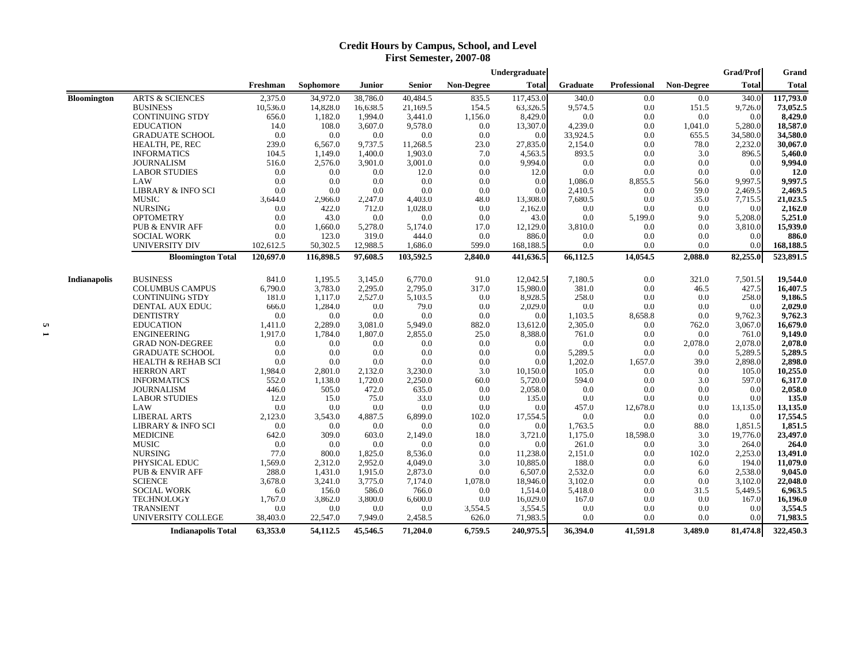### **Credit Hours by Campus, School, and Level First Semester, 2007-08**

|                    |                                              |                 |                 |                |                |                   | Undergraduate       |                  |                     |            | <b>Grad/Prof</b> | Grand               |
|--------------------|----------------------------------------------|-----------------|-----------------|----------------|----------------|-------------------|---------------------|------------------|---------------------|------------|------------------|---------------------|
|                    |                                              | Freshman        | Sophomore       | Junior         | <b>Senior</b>  | <b>Non-Degree</b> | <b>Total</b>        | <b>Graduate</b>  | <b>Professional</b> | Non-Degree | <b>Total</b>     | <b>Total</b>        |
| <b>Bloomington</b> | <b>ARTS &amp; SCIENCES</b>                   | 2,375.0         | 34,972.0        | 38,786.0       | 40,484.5       | 835.5             | 117,453.0           | 340.0            | 0.0                 | 0.0        | 340.0            | 117,793.0           |
|                    | <b>BUSINESS</b>                              | 10,536.0        | 14,828.0        | 16,638.5       | 21,169.5       | 154.5             | 63,326.5            | 9,574.5          | 0.0                 | 151.5      | 9,726.0          | 73,052.5            |
|                    | <b>CONTINUING STDY</b>                       | 656.0           | 1,182.0         | 1,994.0        | 3,441.0        | 1,156.0           | 8,429.0             | 0.0              | 0.0                 | 0.0        | 0.0              | 8,429.0             |
|                    | <b>EDUCATION</b>                             | 14.0            | 108.0           | 3,607.0        | 9,578.0        | 0.0               | 13,307.0            | 4,239.0          | 0.0                 | 1,041.0    | 5,280.0          | 18,587.0            |
|                    | <b>GRADUATE SCHOOL</b>                       | 0.0             | 0.0             | 0.0            | 0.0            | 0.0               | 0.0                 | 33,924.5         | 0.0                 | 655.5      | 34,580.0         | 34,580.0            |
|                    | HEALTH, PE, REC                              | 239.0           | 6,567.0         | 9,737.5        | 11,268.5       | 23.0              | 27,835.0            | 2,154.0          | 0.0                 | 78.0       | 2,232.0          | 30,067.0            |
|                    | <b>INFORMATICS</b>                           | 104.5           | 1,149.0         | 1,400.0        | 1,903.0        | 7.0               | 4,563.5             | 893.5            | 0.0                 | 3.0        | 896.5            | 5,460.0             |
|                    | <b>JOURNALISM</b>                            | 516.0           | 2,576.0         | 3,901.0        | 3,001.0        | $0.0\,$           | 9,994.0             | 0.0              | 0.0                 | 0.0        | 0.0              | 9,994.0             |
|                    | <b>LABOR STUDIES</b>                         | 0.0             | 0.0             | 0.0            | 12.0           | 0.0               | 12.0                | 0.0              | 0.0                 | 0.0        | 0.0              | 12.0                |
|                    | LAW                                          | 0.0             | 0.0             | 0.0            | 0.0            | 0.0               | 0.0                 | 1,086.0          | 8,855.5             | 56.0       | 9,997.5          | 9,997.5             |
|                    | <b>LIBRARY &amp; INFO SCI</b>                | 0.0             | 0.0             | 0.0            | 0.0            | 0.0               | 0.0                 | 2,410.5          | 0.0                 | 59.0       | 2,469.5          | 2,469.5             |
|                    | <b>MUSIC</b>                                 | 3,644.0         | 2,966.0         | 2,247.0        | 4,403.0        | 48.0              | 13,308.0            | 7,680.5          | 0.0                 | 35.0       | 7,715.5          | 21,023.5            |
|                    | <b>NURSING</b>                               | 0.0             | 422.0           | 712.0          | 1,028.0        | 0.0               | 2,162.0             | 0.0              | 0.0                 | 0.0        | 0.0              | 2,162.0             |
|                    | <b>OPTOMETRY</b>                             | 0.0             | 43.0            | 0.0            | 0.0            | 0.0               | 43.0                | 0.0              | 5,199.0             | 9.0        | 5,208.0          | 5,251.0             |
|                    | <b>PUB &amp; ENVIR AFF</b>                   | 0.0             | 1,660.0         | 5,278.0        | 5,174.0        | 17.0              | 12,129.0            | 3,810.0          | 0.0                 | 0.0        | 3,810.0          | 15,939.0            |
|                    | <b>SOCIAL WORK</b>                           | 0.0             | 123.0           | 319.0          | 444.0          | 0.0               | 886.0               | 0.0              | 0.0                 | 0.0        | 0.0              | 886.0               |
|                    | UNIVERSITY DIV                               | 102,612.5       | 50,302.5        | 12,988.5       | 1,686.0        | 599.0             | 168,188.5           | 0.0              | 0.0                 | 0.0        | 0.0              | 168,188.5           |
|                    | <b>Bloomington Total</b>                     | 120,697.0       | 116,898.5       | 97,608.5       | 103,592.5      | 2,840.0           | 441,636.5           | 66,112.5         | 14,054.5            | 2,088.0    | 82,255.0         | 523,891.5           |
| Indianapolis       | <b>BUSINESS</b>                              | 841.0           | 1,195.5         | 3,145.0        | 6,770.0        | 91.0              | 12,042.5            | 7,180.5          | 0.0                 | 321.0      | 7,501.5          | 19,544.0            |
|                    | <b>COLUMBUS CAMPUS</b>                       | 6,790.0         | 3,783.0         | 2,295.0        | 2,795.0        | 317.0             | 15,980.0            | 381.0            | 0.0                 | 46.5       | 427.5            | 16,407.5            |
|                    | <b>CONTINUING STDY</b>                       | 181.0           | 1,117.0         | 2,527.0        | 5,103.5        | 0.0               | 8,928.5             | 258.0            | 0.0                 | 0.0        | 258.0            | 9,186.5             |
|                    | DENTAL AUX EDUC                              | 666.0           | 1,284.0         | 0.0            | 79.0           | 0.0               | 2,029.0             | 0.0              | 0.0                 | 0.0        | 0.0              | 2,029.0             |
|                    | <b>DENTISTRY</b>                             | 0.0             | 0.0             | 0.0            | 0.0            | 0.0               | 0.0                 | 1,103.5          | 8,658.8             | 0.0        | 9,762.3          | 9,762.3             |
|                    | <b>EDUCATION</b>                             | 1,411.0         | 2,289.0         | 3,081.0        | 5,949.0        | 882.0             | 13,612.0            | 2,305.0          | 0.0                 | 762.0      | 3,067.0          | 16,679.0            |
|                    | <b>ENGINEERING</b>                           | 1,917.0         | 1,784.0         | 1,807.0        | 2,855.0        | 25.0              | 8,388.0             | 761.0            | 0.0                 | 0.0        | 761.0            | 9,149.0             |
|                    | <b>GRAD NON-DEGREE</b>                       | 0.0             | 0.0             | 0.0            | 0.0            | 0.0               | 0.0                 | 0.0              | 0.0                 | 2,078.0    | 2,078.0          | 2,078.0             |
|                    | <b>GRADUATE SCHOOL</b>                       | 0.0             | 0.0             | 0.0            | 0.0            | 0.0               | 0.0                 | 5,289.5          | 0.0                 | 0.0        | 5,289.5          | 5,289.5             |
|                    | <b>HEALTH &amp; REHAB SCI</b>                | 0.0             | 0.0             | 0.0            | 0.0            | 0.0               | 0.0                 | 1,202.0          | 1,657.0             | 39.0       | 2,898.0          | 2,898.0             |
|                    | <b>HERRON ART</b>                            | 1,984.0         | 2.801.0         | 2,132.0        | 3,230.0        | 3.0               | 10.150.0            | 105.0            | 0.0                 | 0.0        | 105.0            | 10,255.0            |
|                    | <b>INFORMATICS</b>                           | 552.0           | 1,138.0         | 1,720.0        | 2,250.0        | 60.0              | 5.720.0             | 594.0            | 0.0                 | 3.0        | 597.0            | 6.317.0             |
|                    | <b>JOURNALISM</b>                            | 446.0           | 505.0           | 472.0          | 635.0          | 0.0               | 2,058.0             | 0.0              | 0.0                 | 0.0        | 0.0              | 2,058.0             |
|                    | <b>LABOR STUDIES</b>                         | 12.0            | 15.0            | 75.0           | 33.0           | 0.0               | 135.0               | 0.0              | 0.0                 | 0.0        | 0.0              | 135.0               |
|                    | LAW                                          | 0.0             | 0.0             | 0.0            | 0.0            | 0.0               | 0.0                 | 457.0            | 12,678.0            | 0.0        | 13,135.0         | 13,135.0            |
|                    | <b>LIBERAL ARTS</b>                          | 2,123.0         | 3,543.0         | 4,887.5        | 6,899.0        | 102.0             | 17,554.5            | 0.0              | 0.0                 | 0.0        | 0.0              | 17,554.5            |
|                    | <b>LIBRARY &amp; INFO SCI</b>                | 0.0             | 0.0             | 0.0            | 0.0            | 0.0               | 0.0                 | 1,763.5          | 0.0                 | 88.0       | 1,851.5          | 1,851.5             |
|                    | <b>MEDICINE</b>                              | 642.0           | 309.0           | 603.0          | 2,149.0        | 18.0              | 3,721.0             | 1,175.0          | 18,598.0            | 3.0        | 19,776.0         | 23,497.0            |
|                    | <b>MUSIC</b>                                 | 0.0             | 0.0             | 0.0            | 0.0            | 0.0               | 0.0                 | 261.0            | 0.0                 | 3.0        | 264.0            | 264.0               |
|                    | <b>NURSING</b>                               | 77.0            | 800.0           | 1,825.0        | 8,536.0        | 0.0               | 11,238.0            | 2,151.0          | 0.0                 | 102.0      | 2,253.0          | 13,491.0            |
|                    |                                              |                 |                 |                |                |                   |                     |                  |                     |            |                  |                     |
|                    | PHYSICAL EDUC                                | 1,569.0         | 2,312.0         | 2,952.0        | 4,049.0        | 3.0<br>0.0        | 10,885.0            | 188.0<br>2,532.0 | 0.0<br>0.0          | 6.0        | 194.0<br>2,538.0 | 11,079.0            |
|                    | <b>PUB &amp; ENVIR AFF</b><br><b>SCIENCE</b> | 288.0           | 1,431.0         | 1,915.0        | 2,873.0        | 1,078.0           | 6,507.0             | 3,102.0          | 0.0                 | 6.0        | 3,102.0          | 9,045.0<br>22,048.0 |
|                    |                                              | 3,678.0         | 3,241.0         | 3,775.0        | 7,174.0        |                   | 18,946.0            |                  |                     | 0.0        |                  |                     |
|                    | <b>SOCIAL WORK</b>                           | 6.0             | 156.0           | 586.0          | 766.0          | 0.0               | 1,514.0             | 5,418.0          | 0.0                 | 31.5       | 5,449.5          | 6,963.5             |
|                    | <b>TECHNOLOGY</b>                            | 1,767.0         | 3,862.0         | 3,800.0        | 6,600.0        | 0.0               | 16,029.0            | 167.0            | 0.0                 | 0.0        | 167.0            | 16,196.0            |
|                    | <b>TRANSIENT</b><br>UNIVERSITY COLLEGE       | 0.0<br>38,403.0 | 0.0<br>22,547.0 | 0.0<br>7,949.0 | 0.0<br>2,458.5 | 3,554.5<br>626.0  | 3,554.5<br>71,983.5 | 0.0<br>0.0       | 0.0<br>0.0          | 0.0<br>0.0 | 0.0<br>0.0       | 3,554.5<br>71,983.5 |
|                    | <b>Indianapolis Total</b>                    | 63,353.0        | 54,112.5        | 45,546.5       | 71,204.0       | 6,759.5           | 240,975.5           | 36,394.0         | 41,591.8            | 3,489.0    | 81,474.8         | 322,450.3           |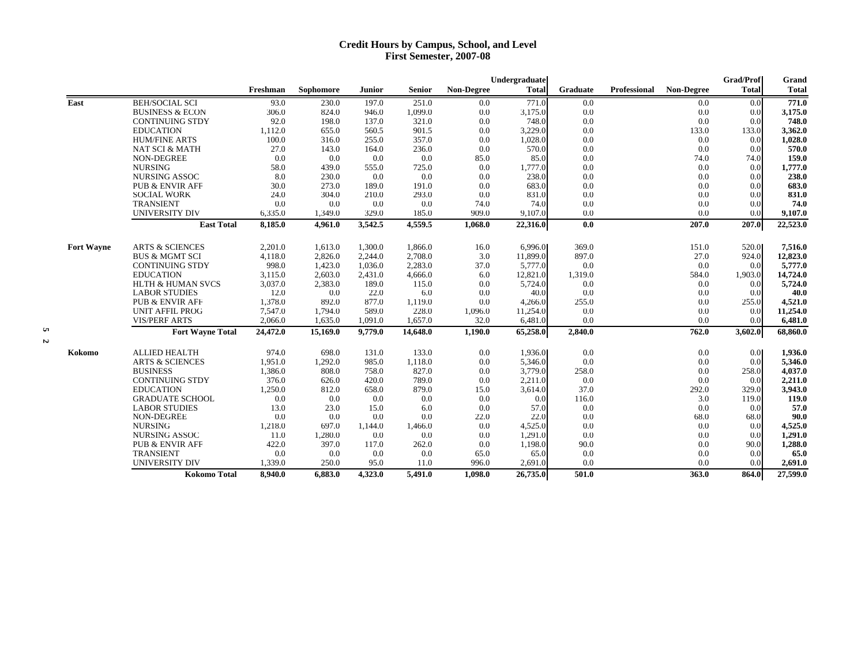### **Credit Hours by Campus, School, and Level First Semester, 2007-08**

|                   |                              | Undergraduate |           |         |               |                   |              |          |                     |                   | <b>Grad/Prof</b> | Grand        |
|-------------------|------------------------------|---------------|-----------|---------|---------------|-------------------|--------------|----------|---------------------|-------------------|------------------|--------------|
|                   |                              | Freshman      | Sophomore | Junior  | <b>Senior</b> | <b>Non-Degree</b> | <b>Total</b> | Graduate | <b>Professional</b> | <b>Non-Degree</b> | <b>Total</b>     | <b>Total</b> |
| East              | <b>BEH/SOCIAL SCI</b>        | 93.0          | 230.0     | 197.0   | 251.0         | 0.0               | 771.0        | 0.0      |                     | 0.0               | 0.0              | 771.0        |
|                   | <b>BUSINESS &amp; ECON</b>   | 306.0         | 824.0     | 946.0   | 1,099.0       | 0.0               | 3,175.0      | 0.0      |                     | 0.0               | 0.0              | 3,175.0      |
|                   | <b>CONTINUING STDY</b>       | 92.0          | 198.0     | 137.0   | 321.0         | 0.0               | 748.0        | 0.0      |                     | 0.0               | 0.0              | 748.0        |
|                   | <b>EDUCATION</b>             | 1,112.0       | 655.0     | 560.5   | 901.5         | 0.0               | 3,229.0      | 0.0      |                     | 133.0             | 133.0            | 3,362.0      |
|                   | <b>HUM/FINE ARTS</b>         | 100.0         | 316.0     | 255.0   | 357.0         | 0.0               | 1,028.0      | 0.0      |                     | 0.0               | 0.0              | 1,028.0      |
|                   | <b>NAT SCI &amp; MATH</b>    | 27.0          | 143.0     | 164.0   | 236.0         | 0.0               | 570.0        | 0.0      |                     | 0.0               | 0.0              | 570.0        |
|                   | <b>NON-DEGREE</b>            | 0.0           | 0.0       | 0.0     | 0.0           | 85.0              | 85.0         | 0.0      |                     | 74.0              | 74.0             | 159.0        |
|                   | <b>NURSING</b>               | 58.0          | 439.0     | 555.0   | 725.0         | 0.0               | 1,777.0      | 0.0      |                     | 0.0               | 0.0              | 1,777.0      |
|                   | <b>NURSING ASSOC</b>         | 8.0           | 230.0     | 0.0     | 0.0           | 0.0               | 238.0        | 0.0      |                     | 0.0               | 0.0              | 238.0        |
|                   | <b>PUB &amp; ENVIR AFF</b>   | 30.0          | 273.0     | 189.0   | 191.0         | 0.0               | 683.0        | 0.0      |                     | 0.0               | 0.0              | 683.0        |
|                   | <b>SOCIAL WORK</b>           | 24.0          | 304.0     | 210.0   | 293.0         | 0.0               | 831.0        | 0.0      |                     | 0.0               | 0.0              | 831.0        |
|                   | <b>TRANSIENT</b>             | 0.0           | 0.0       | 0.0     | 0.0           | 74.0              | 74.0         | 0.0      |                     | 0.0               | 0.0              | 74.0         |
|                   | <b>UNIVERSITY DIV</b>        | 6,335.0       | 1,349.0   | 329.0   | 185.0         | 909.0             | 9,107.0      | 0.0      |                     | 0.0               | 0.0              | 9,107.0      |
|                   | <b>East Total</b>            | 8,185.0       | 4,961.0   | 3,542.5 | 4,559.5       | 1,068.0           | 22,316.0     | 0.0      |                     | 207.0             | 207.0            | 22,523.0     |
| <b>Fort Wayne</b> | <b>ARTS &amp; SCIENCES</b>   | 2,201.0       | 1,613.0   | 1,300.0 | 1,866.0       | 16.0              | 6,996.0      | 369.0    |                     | 151.0             | 520.0            | 7,516.0      |
|                   | <b>BUS &amp; MGMT SCI</b>    | 4,118.0       | 2,826.0   | 2,244.0 | 2,708.0       | 3.0               | 11,899.0     | 897.0    |                     | 27.0              | 924.0            | 12,823.0     |
|                   | <b>CONTINUING STDY</b>       | 998.0         | 1,423.0   | 1.036.0 | 2,283.0       | 37.0              | 5,777.0      | 0.0      |                     | 0.0               | 0.0              | 5,777.0      |
|                   | <b>EDUCATION</b>             | 3,115.0       | 2,603.0   | 2,431.0 | 4,666.0       | 6.0               | 12,821.0     | 1,319.0  |                     | 584.0             | 1,903.0          | 14,724.0     |
|                   | <b>HLTH &amp; HUMAN SVCS</b> | 3,037.0       | 2,383.0   | 189.0   | 115.0         | 0.0               | 5,724.0      | 0.0      |                     | 0.0               | 0.0              | 5,724.0      |
|                   | <b>LABOR STUDIES</b>         | 12.0          | 0.0       | 22.0    | 6.0           | 0.0               | 40.0         | 0.0      |                     | 0.0               | 0.0              | 40.0         |
|                   | <b>PUB &amp; ENVIR AFF</b>   | 1.378.0       | 892.0     | 877.0   | 1,119.0       | 0.0               | 4,266.0      | 255.0    |                     | 0.0               | 255.0            | 4,521.0      |
|                   | <b>UNIT AFFIL PROG</b>       | 7,547.0       | 1,794.0   | 589.0   | 228.0         | 1,096.0           | 11,254.0     | 0.0      |                     | 0.0               | 0.0              | 11,254.0     |
|                   | <b>VIS/PERF ARTS</b>         | 2,066.0       | 1,635.0   | 1,091.0 | 1,657.0       | 32.0              | 6,481.0      | 0.0      |                     | 0.0               | 0.0              | 6,481.0      |
|                   | <b>Fort Wayne Total</b>      | 24,472.0      | 15,169.0  | 9,779.0 | 14,648.0      | 1,190.0           | 65,258.0     | 2,840.0  |                     | 762.0             | 3,602.0          | 68,860.0     |
| Kokomo            | <b>ALLIED HEALTH</b>         | 974.0         | 698.0     | 131.0   | 133.0         | 0.0               | 1,936.0      | 0.0      |                     | 0.0               | 0.0              | 1,936.0      |
|                   | <b>ARTS &amp; SCIENCES</b>   | 1,951.0       | 1,292.0   | 985.0   | 1,118.0       | 0.0               | 5,346.0      | 0.0      |                     | 0.0               | 0.0              | 5,346.0      |
|                   | <b>BUSINESS</b>              | 1,386.0       | 808.0     | 758.0   | 827.0         | 0.0               | 3,779.0      | 258.0    |                     | 0.0               | 258.0            | 4,037.0      |
|                   | <b>CONTINUING STDY</b>       | 376.0         | 626.0     | 420.0   | 789.0         | 0.0               | 2,211.0      | 0.0      |                     | 0.0               | 0.0              | 2,211.0      |
|                   | <b>EDUCATION</b>             | 1,250.0       | 812.0     | 658.0   | 879.0         | 15.0              | 3,614.0      | 37.0     |                     | 292.0             | 329.0            | 3,943.0      |
|                   | <b>GRADUATE SCHOOL</b>       | 0.0           | 0.0       | 0.0     | 0.0           | 0.0               | 0.0          | 116.0    |                     | 3.0               | 119.0            | 119.0        |
|                   | <b>LABOR STUDIES</b>         | 13.0          | 23.0      | 15.0    | 6.0           | 0.0               | 57.0         | 0.0      |                     | 0.0               | 0.0              | 57.0         |
|                   | <b>NON-DEGREE</b>            | 0.0           | 0.0       | 0.0     | 0.0           | 22.0              | 22.0         | 0.0      |                     | 68.0              | 68.0             | 90.0         |
|                   | <b>NURSING</b>               | 1,218.0       | 697.0     | 1,144.0 | 1,466.0       | 0.0               | 4,525.0      | 0.0      |                     | 0.0               | 0.0              | 4,525.0      |
|                   | <b>NURSING ASSOC</b>         | 11.0          | 1,280.0   | 0.0     | 0.0           | 0.0               | 1,291.0      | 0.0      |                     | 0.0               | 0.0              | 1,291.0      |
|                   | <b>PUB &amp; ENVIR AFF</b>   | 422.0         | 397.0     | 117.0   | 262.0         | 0.0               | 1,198.0      | 90.0     |                     | 0.0               | 90.0             | 1,288.0      |
|                   | <b>TRANSIENT</b>             | 0.0           | 0.0       | 0.0     | 0.0           | 65.0              | 65.0         | 0.0      |                     | 0.0               | 0.0              | 65.0         |
|                   | <b>UNIVERSITY DIV</b>        | 1,339.0       | 250.0     | 95.0    | 11.0          | 996.0             | 2,691.0      | 0.0      |                     | 0.0               | 0.0              | 2,691.0      |
|                   |                              |               |           |         |               |                   |              |          |                     |                   |                  |              |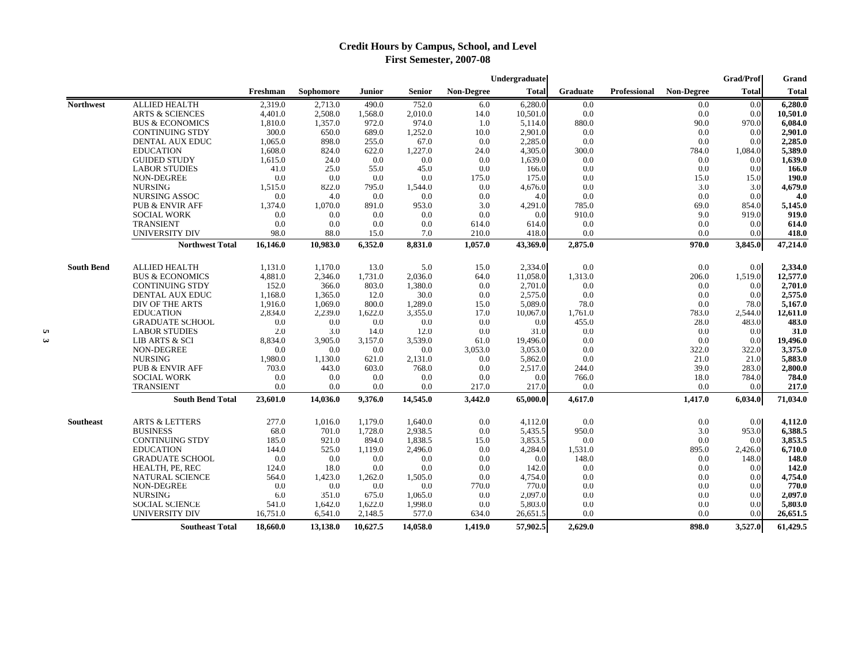# **Credit Hours by Campus, School, and Level First Semester, 2007-08**

|                            |                                                                                                                                                                                                                                                                                                                                                                                                                                                                                                                                                                                    |                                                                                                                                                                                                                                          |                                                                                                                                                                                                                                         |                                                                                                                                                                                                                                                 |                                                                                                                                                                                                                                              |                                                                                                                                                                                                     |                                                                                                                                                                                                                                                                                        |                                                                                                                                                                                                            |                   | Grad/Prof                                                                                                                                                                                             | Grand                                                                                                                                                                                                         |
|----------------------------|------------------------------------------------------------------------------------------------------------------------------------------------------------------------------------------------------------------------------------------------------------------------------------------------------------------------------------------------------------------------------------------------------------------------------------------------------------------------------------------------------------------------------------------------------------------------------------|------------------------------------------------------------------------------------------------------------------------------------------------------------------------------------------------------------------------------------------|-----------------------------------------------------------------------------------------------------------------------------------------------------------------------------------------------------------------------------------------|-------------------------------------------------------------------------------------------------------------------------------------------------------------------------------------------------------------------------------------------------|----------------------------------------------------------------------------------------------------------------------------------------------------------------------------------------------------------------------------------------------|-----------------------------------------------------------------------------------------------------------------------------------------------------------------------------------------------------|----------------------------------------------------------------------------------------------------------------------------------------------------------------------------------------------------------------------------------------------------------------------------------------|------------------------------------------------------------------------------------------------------------------------------------------------------------------------------------------------------------|-------------------|-------------------------------------------------------------------------------------------------------------------------------------------------------------------------------------------------------|---------------------------------------------------------------------------------------------------------------------------------------------------------------------------------------------------------------|
|                            | Freshman                                                                                                                                                                                                                                                                                                                                                                                                                                                                                                                                                                           | Sophomore                                                                                                                                                                                                                                | Junior                                                                                                                                                                                                                                  | <b>Senior</b>                                                                                                                                                                                                                                   | <b>Non-Degree</b>                                                                                                                                                                                                                            | <b>Total</b>                                                                                                                                                                                        | Graduate                                                                                                                                                                                                                                                                               | <b>Professional</b>                                                                                                                                                                                        | <b>Non-Degree</b> | <b>Total</b>                                                                                                                                                                                          | <b>Total</b>                                                                                                                                                                                                  |
| <b>ALLIED HEALTH</b>       | 2,319.0                                                                                                                                                                                                                                                                                                                                                                                                                                                                                                                                                                            | 2,713.0                                                                                                                                                                                                                                  | 490.0                                                                                                                                                                                                                                   | 752.0                                                                                                                                                                                                                                           | 6.0                                                                                                                                                                                                                                          | 6,280.0                                                                                                                                                                                             | 0.0                                                                                                                                                                                                                                                                                    |                                                                                                                                                                                                            | 0.0               | 0.0                                                                                                                                                                                                   | 6,280.0                                                                                                                                                                                                       |
|                            |                                                                                                                                                                                                                                                                                                                                                                                                                                                                                                                                                                                    |                                                                                                                                                                                                                                          |                                                                                                                                                                                                                                         |                                                                                                                                                                                                                                                 |                                                                                                                                                                                                                                              |                                                                                                                                                                                                     |                                                                                                                                                                                                                                                                                        |                                                                                                                                                                                                            |                   |                                                                                                                                                                                                       | 10,501.0                                                                                                                                                                                                      |
|                            |                                                                                                                                                                                                                                                                                                                                                                                                                                                                                                                                                                                    |                                                                                                                                                                                                                                          |                                                                                                                                                                                                                                         |                                                                                                                                                                                                                                                 |                                                                                                                                                                                                                                              |                                                                                                                                                                                                     |                                                                                                                                                                                                                                                                                        |                                                                                                                                                                                                            |                   |                                                                                                                                                                                                       | 6,084.0                                                                                                                                                                                                       |
|                            |                                                                                                                                                                                                                                                                                                                                                                                                                                                                                                                                                                                    |                                                                                                                                                                                                                                          |                                                                                                                                                                                                                                         |                                                                                                                                                                                                                                                 |                                                                                                                                                                                                                                              |                                                                                                                                                                                                     |                                                                                                                                                                                                                                                                                        |                                                                                                                                                                                                            |                   |                                                                                                                                                                                                       | 2,901.0                                                                                                                                                                                                       |
|                            |                                                                                                                                                                                                                                                                                                                                                                                                                                                                                                                                                                                    |                                                                                                                                                                                                                                          |                                                                                                                                                                                                                                         |                                                                                                                                                                                                                                                 |                                                                                                                                                                                                                                              |                                                                                                                                                                                                     |                                                                                                                                                                                                                                                                                        |                                                                                                                                                                                                            |                   |                                                                                                                                                                                                       | 2,285.0                                                                                                                                                                                                       |
|                            |                                                                                                                                                                                                                                                                                                                                                                                                                                                                                                                                                                                    |                                                                                                                                                                                                                                          |                                                                                                                                                                                                                                         |                                                                                                                                                                                                                                                 |                                                                                                                                                                                                                                              |                                                                                                                                                                                                     |                                                                                                                                                                                                                                                                                        |                                                                                                                                                                                                            |                   |                                                                                                                                                                                                       | 5,389.0                                                                                                                                                                                                       |
|                            |                                                                                                                                                                                                                                                                                                                                                                                                                                                                                                                                                                                    |                                                                                                                                                                                                                                          |                                                                                                                                                                                                                                         |                                                                                                                                                                                                                                                 |                                                                                                                                                                                                                                              |                                                                                                                                                                                                     |                                                                                                                                                                                                                                                                                        |                                                                                                                                                                                                            |                   |                                                                                                                                                                                                       | 1,639.0                                                                                                                                                                                                       |
|                            |                                                                                                                                                                                                                                                                                                                                                                                                                                                                                                                                                                                    |                                                                                                                                                                                                                                          |                                                                                                                                                                                                                                         |                                                                                                                                                                                                                                                 |                                                                                                                                                                                                                                              |                                                                                                                                                                                                     |                                                                                                                                                                                                                                                                                        |                                                                                                                                                                                                            |                   |                                                                                                                                                                                                       | 166.0                                                                                                                                                                                                         |
|                            |                                                                                                                                                                                                                                                                                                                                                                                                                                                                                                                                                                                    |                                                                                                                                                                                                                                          |                                                                                                                                                                                                                                         |                                                                                                                                                                                                                                                 |                                                                                                                                                                                                                                              |                                                                                                                                                                                                     |                                                                                                                                                                                                                                                                                        |                                                                                                                                                                                                            |                   |                                                                                                                                                                                                       | 190.0                                                                                                                                                                                                         |
|                            |                                                                                                                                                                                                                                                                                                                                                                                                                                                                                                                                                                                    |                                                                                                                                                                                                                                          |                                                                                                                                                                                                                                         |                                                                                                                                                                                                                                                 |                                                                                                                                                                                                                                              |                                                                                                                                                                                                     |                                                                                                                                                                                                                                                                                        |                                                                                                                                                                                                            |                   |                                                                                                                                                                                                       | 4,679.0                                                                                                                                                                                                       |
|                            |                                                                                                                                                                                                                                                                                                                                                                                                                                                                                                                                                                                    |                                                                                                                                                                                                                                          |                                                                                                                                                                                                                                         |                                                                                                                                                                                                                                                 |                                                                                                                                                                                                                                              |                                                                                                                                                                                                     |                                                                                                                                                                                                                                                                                        |                                                                                                                                                                                                            |                   |                                                                                                                                                                                                       | 4.0                                                                                                                                                                                                           |
|                            |                                                                                                                                                                                                                                                                                                                                                                                                                                                                                                                                                                                    |                                                                                                                                                                                                                                          |                                                                                                                                                                                                                                         |                                                                                                                                                                                                                                                 |                                                                                                                                                                                                                                              |                                                                                                                                                                                                     |                                                                                                                                                                                                                                                                                        |                                                                                                                                                                                                            |                   |                                                                                                                                                                                                       | 5,145.0                                                                                                                                                                                                       |
|                            |                                                                                                                                                                                                                                                                                                                                                                                                                                                                                                                                                                                    |                                                                                                                                                                                                                                          |                                                                                                                                                                                                                                         |                                                                                                                                                                                                                                                 |                                                                                                                                                                                                                                              |                                                                                                                                                                                                     |                                                                                                                                                                                                                                                                                        |                                                                                                                                                                                                            |                   |                                                                                                                                                                                                       | 919.0                                                                                                                                                                                                         |
|                            |                                                                                                                                                                                                                                                                                                                                                                                                                                                                                                                                                                                    |                                                                                                                                                                                                                                          |                                                                                                                                                                                                                                         |                                                                                                                                                                                                                                                 |                                                                                                                                                                                                                                              |                                                                                                                                                                                                     |                                                                                                                                                                                                                                                                                        |                                                                                                                                                                                                            |                   |                                                                                                                                                                                                       | 614.0                                                                                                                                                                                                         |
|                            |                                                                                                                                                                                                                                                                                                                                                                                                                                                                                                                                                                                    |                                                                                                                                                                                                                                          |                                                                                                                                                                                                                                         |                                                                                                                                                                                                                                                 |                                                                                                                                                                                                                                              |                                                                                                                                                                                                     |                                                                                                                                                                                                                                                                                        |                                                                                                                                                                                                            |                   |                                                                                                                                                                                                       | 418.0                                                                                                                                                                                                         |
|                            |                                                                                                                                                                                                                                                                                                                                                                                                                                                                                                                                                                                    |                                                                                                                                                                                                                                          |                                                                                                                                                                                                                                         |                                                                                                                                                                                                                                                 |                                                                                                                                                                                                                                              |                                                                                                                                                                                                     |                                                                                                                                                                                                                                                                                        |                                                                                                                                                                                                            |                   |                                                                                                                                                                                                       | 47,214.0                                                                                                                                                                                                      |
| <b>ALLIED HEALTH</b>       | 1,131.0                                                                                                                                                                                                                                                                                                                                                                                                                                                                                                                                                                            | 1,170.0                                                                                                                                                                                                                                  | 13.0                                                                                                                                                                                                                                    | 5.0                                                                                                                                                                                                                                             | 15.0                                                                                                                                                                                                                                         | 2,334.0                                                                                                                                                                                             | 0.0                                                                                                                                                                                                                                                                                    |                                                                                                                                                                                                            | 0.0               | 0.0                                                                                                                                                                                                   | 2,334.0                                                                                                                                                                                                       |
| <b>BUS &amp; ECONOMICS</b> |                                                                                                                                                                                                                                                                                                                                                                                                                                                                                                                                                                                    |                                                                                                                                                                                                                                          |                                                                                                                                                                                                                                         |                                                                                                                                                                                                                                                 |                                                                                                                                                                                                                                              |                                                                                                                                                                                                     |                                                                                                                                                                                                                                                                                        |                                                                                                                                                                                                            |                   |                                                                                                                                                                                                       | 12,577.0                                                                                                                                                                                                      |
| <b>CONTINUING STDY</b>     | 152.0                                                                                                                                                                                                                                                                                                                                                                                                                                                                                                                                                                              | 366.0                                                                                                                                                                                                                                    | 803.0                                                                                                                                                                                                                                   | 1,380.0                                                                                                                                                                                                                                         | 0.0                                                                                                                                                                                                                                          | 2,701.0                                                                                                                                                                                             | 0.0                                                                                                                                                                                                                                                                                    |                                                                                                                                                                                                            | 0.0               | 0.0                                                                                                                                                                                                   | 2,701.0                                                                                                                                                                                                       |
| DENTAL AUX EDUC            | 1,168.0                                                                                                                                                                                                                                                                                                                                                                                                                                                                                                                                                                            | 1,365.0                                                                                                                                                                                                                                  | 12.0                                                                                                                                                                                                                                    | 30.0                                                                                                                                                                                                                                            | 0.0                                                                                                                                                                                                                                          | 2,575.0                                                                                                                                                                                             | 0.0                                                                                                                                                                                                                                                                                    |                                                                                                                                                                                                            | 0.0               | 0.0                                                                                                                                                                                                   | 2,575.0                                                                                                                                                                                                       |
| DIV OF THE ARTS            | 1,916.0                                                                                                                                                                                                                                                                                                                                                                                                                                                                                                                                                                            | 1,069.0                                                                                                                                                                                                                                  | 800.0                                                                                                                                                                                                                                   | 1,289.0                                                                                                                                                                                                                                         | 15.0                                                                                                                                                                                                                                         | 5,089.0                                                                                                                                                                                             | 78.0                                                                                                                                                                                                                                                                                   |                                                                                                                                                                                                            | 0.0               | 78.0                                                                                                                                                                                                  | 5,167.0                                                                                                                                                                                                       |
| <b>EDUCATION</b>           | 2,834.0                                                                                                                                                                                                                                                                                                                                                                                                                                                                                                                                                                            | 2,239.0                                                                                                                                                                                                                                  | 1,622.0                                                                                                                                                                                                                                 | 3,355.0                                                                                                                                                                                                                                         | 17.0                                                                                                                                                                                                                                         | 10,067.0                                                                                                                                                                                            | 1,761.0                                                                                                                                                                                                                                                                                |                                                                                                                                                                                                            | 783.0             | 2,544.0                                                                                                                                                                                               | 12,611.0                                                                                                                                                                                                      |
| <b>GRADUATE SCHOOL</b>     | 0.0                                                                                                                                                                                                                                                                                                                                                                                                                                                                                                                                                                                | 0.0                                                                                                                                                                                                                                      | 0.0                                                                                                                                                                                                                                     | 0.0                                                                                                                                                                                                                                             | 0.0                                                                                                                                                                                                                                          | 0.0                                                                                                                                                                                                 | 455.0                                                                                                                                                                                                                                                                                  |                                                                                                                                                                                                            |                   | 483.0                                                                                                                                                                                                 | 483.0                                                                                                                                                                                                         |
| <b>LABOR STUDIES</b>       | 2.0                                                                                                                                                                                                                                                                                                                                                                                                                                                                                                                                                                                | 3.0                                                                                                                                                                                                                                      | 14.0                                                                                                                                                                                                                                    | 12.0                                                                                                                                                                                                                                            | 0.0                                                                                                                                                                                                                                          | 31.0                                                                                                                                                                                                | 0.0                                                                                                                                                                                                                                                                                    |                                                                                                                                                                                                            | 0.0               | 0.0                                                                                                                                                                                                   | 31.0                                                                                                                                                                                                          |
| LIB ARTS & SCI             | 8,834.0                                                                                                                                                                                                                                                                                                                                                                                                                                                                                                                                                                            | 3,905.0                                                                                                                                                                                                                                  |                                                                                                                                                                                                                                         | 3,539.0                                                                                                                                                                                                                                         | 61.0                                                                                                                                                                                                                                         | 19,496.0                                                                                                                                                                                            | 0.0                                                                                                                                                                                                                                                                                    |                                                                                                                                                                                                            | 0.0               | 0.0                                                                                                                                                                                                   | 19,496.0                                                                                                                                                                                                      |
| NON-DEGREE                 | 0.0                                                                                                                                                                                                                                                                                                                                                                                                                                                                                                                                                                                | 0.0                                                                                                                                                                                                                                      | 0.0                                                                                                                                                                                                                                     | 0.0                                                                                                                                                                                                                                             | 3,053.0                                                                                                                                                                                                                                      | 3,053.0                                                                                                                                                                                             | 0.0                                                                                                                                                                                                                                                                                    |                                                                                                                                                                                                            | 322.0             | 322.0                                                                                                                                                                                                 | 3,375.0                                                                                                                                                                                                       |
| <b>NURSING</b>             | 1,980.0                                                                                                                                                                                                                                                                                                                                                                                                                                                                                                                                                                            | 1,130.0                                                                                                                                                                                                                                  | 621.0                                                                                                                                                                                                                                   | 2,131.0                                                                                                                                                                                                                                         | 0.0                                                                                                                                                                                                                                          | 5,862.0                                                                                                                                                                                             | 0.0                                                                                                                                                                                                                                                                                    |                                                                                                                                                                                                            | 21.0              | 21.0                                                                                                                                                                                                  | 5,883.0                                                                                                                                                                                                       |
| <b>PUB &amp; ENVIR AFF</b> | 703.0                                                                                                                                                                                                                                                                                                                                                                                                                                                                                                                                                                              | 443.0                                                                                                                                                                                                                                    | 603.0                                                                                                                                                                                                                                   | 768.0                                                                                                                                                                                                                                           | 0.0                                                                                                                                                                                                                                          | 2,517.0                                                                                                                                                                                             | 244.0                                                                                                                                                                                                                                                                                  |                                                                                                                                                                                                            | 39.0              | 283.0                                                                                                                                                                                                 | 2,800.0                                                                                                                                                                                                       |
| <b>SOCIAL WORK</b>         | 0.0                                                                                                                                                                                                                                                                                                                                                                                                                                                                                                                                                                                | 0.0                                                                                                                                                                                                                                      | 0.0                                                                                                                                                                                                                                     | $0.0\,$                                                                                                                                                                                                                                         | 0.0                                                                                                                                                                                                                                          | 0.0                                                                                                                                                                                                 | 766.0                                                                                                                                                                                                                                                                                  |                                                                                                                                                                                                            | 18.0              | 784.0                                                                                                                                                                                                 | 784.0                                                                                                                                                                                                         |
| <b>TRANSIENT</b>           | 0.0                                                                                                                                                                                                                                                                                                                                                                                                                                                                                                                                                                                | 0.0                                                                                                                                                                                                                                      | 0.0                                                                                                                                                                                                                                     | 0.0                                                                                                                                                                                                                                             | 217.0                                                                                                                                                                                                                                        | 217.0                                                                                                                                                                                               | 0.0                                                                                                                                                                                                                                                                                    |                                                                                                                                                                                                            | 0.0               | 0.0                                                                                                                                                                                                   | 217.0                                                                                                                                                                                                         |
| <b>South Bend Total</b>    | 23,601.0                                                                                                                                                                                                                                                                                                                                                                                                                                                                                                                                                                           | 14,036.0                                                                                                                                                                                                                                 | 9,376.0                                                                                                                                                                                                                                 | 14,545.0                                                                                                                                                                                                                                        | 3,442.0                                                                                                                                                                                                                                      | 65,000.0                                                                                                                                                                                            | 4,617.0                                                                                                                                                                                                                                                                                |                                                                                                                                                                                                            | 1,417.0           | 6,034.0                                                                                                                                                                                               | 71,034.0                                                                                                                                                                                                      |
|                            |                                                                                                                                                                                                                                                                                                                                                                                                                                                                                                                                                                                    |                                                                                                                                                                                                                                          |                                                                                                                                                                                                                                         |                                                                                                                                                                                                                                                 |                                                                                                                                                                                                                                              |                                                                                                                                                                                                     |                                                                                                                                                                                                                                                                                        |                                                                                                                                                                                                            |                   |                                                                                                                                                                                                       | 4,112.0                                                                                                                                                                                                       |
|                            |                                                                                                                                                                                                                                                                                                                                                                                                                                                                                                                                                                                    |                                                                                                                                                                                                                                          |                                                                                                                                                                                                                                         |                                                                                                                                                                                                                                                 |                                                                                                                                                                                                                                              |                                                                                                                                                                                                     |                                                                                                                                                                                                                                                                                        |                                                                                                                                                                                                            |                   |                                                                                                                                                                                                       | 6,388.5                                                                                                                                                                                                       |
|                            |                                                                                                                                                                                                                                                                                                                                                                                                                                                                                                                                                                                    |                                                                                                                                                                                                                                          |                                                                                                                                                                                                                                         |                                                                                                                                                                                                                                                 |                                                                                                                                                                                                                                              |                                                                                                                                                                                                     |                                                                                                                                                                                                                                                                                        |                                                                                                                                                                                                            |                   |                                                                                                                                                                                                       | 3,853.5                                                                                                                                                                                                       |
|                            |                                                                                                                                                                                                                                                                                                                                                                                                                                                                                                                                                                                    |                                                                                                                                                                                                                                          |                                                                                                                                                                                                                                         |                                                                                                                                                                                                                                                 |                                                                                                                                                                                                                                              |                                                                                                                                                                                                     |                                                                                                                                                                                                                                                                                        |                                                                                                                                                                                                            |                   |                                                                                                                                                                                                       | 6,710.0                                                                                                                                                                                                       |
|                            |                                                                                                                                                                                                                                                                                                                                                                                                                                                                                                                                                                                    |                                                                                                                                                                                                                                          |                                                                                                                                                                                                                                         |                                                                                                                                                                                                                                                 |                                                                                                                                                                                                                                              |                                                                                                                                                                                                     |                                                                                                                                                                                                                                                                                        |                                                                                                                                                                                                            |                   |                                                                                                                                                                                                       | 148.0                                                                                                                                                                                                         |
|                            |                                                                                                                                                                                                                                                                                                                                                                                                                                                                                                                                                                                    |                                                                                                                                                                                                                                          |                                                                                                                                                                                                                                         |                                                                                                                                                                                                                                                 |                                                                                                                                                                                                                                              |                                                                                                                                                                                                     |                                                                                                                                                                                                                                                                                        |                                                                                                                                                                                                            |                   |                                                                                                                                                                                                       | 142.0                                                                                                                                                                                                         |
|                            |                                                                                                                                                                                                                                                                                                                                                                                                                                                                                                                                                                                    |                                                                                                                                                                                                                                          |                                                                                                                                                                                                                                         |                                                                                                                                                                                                                                                 |                                                                                                                                                                                                                                              |                                                                                                                                                                                                     |                                                                                                                                                                                                                                                                                        |                                                                                                                                                                                                            |                   |                                                                                                                                                                                                       | 4,754.0                                                                                                                                                                                                       |
|                            |                                                                                                                                                                                                                                                                                                                                                                                                                                                                                                                                                                                    |                                                                                                                                                                                                                                          |                                                                                                                                                                                                                                         |                                                                                                                                                                                                                                                 |                                                                                                                                                                                                                                              |                                                                                                                                                                                                     |                                                                                                                                                                                                                                                                                        |                                                                                                                                                                                                            |                   |                                                                                                                                                                                                       | 770.0                                                                                                                                                                                                         |
|                            |                                                                                                                                                                                                                                                                                                                                                                                                                                                                                                                                                                                    |                                                                                                                                                                                                                                          |                                                                                                                                                                                                                                         |                                                                                                                                                                                                                                                 |                                                                                                                                                                                                                                              |                                                                                                                                                                                                     |                                                                                                                                                                                                                                                                                        |                                                                                                                                                                                                            |                   |                                                                                                                                                                                                       | 2,097.0                                                                                                                                                                                                       |
|                            |                                                                                                                                                                                                                                                                                                                                                                                                                                                                                                                                                                                    |                                                                                                                                                                                                                                          |                                                                                                                                                                                                                                         |                                                                                                                                                                                                                                                 |                                                                                                                                                                                                                                              |                                                                                                                                                                                                     |                                                                                                                                                                                                                                                                                        |                                                                                                                                                                                                            |                   |                                                                                                                                                                                                       | 5,803.0                                                                                                                                                                                                       |
| <b>UNIVERSITY DIV</b>      | 16,751.0                                                                                                                                                                                                                                                                                                                                                                                                                                                                                                                                                                           | 6,541.0                                                                                                                                                                                                                                  | 2,148.5                                                                                                                                                                                                                                 | 577.0                                                                                                                                                                                                                                           | 634.0                                                                                                                                                                                                                                        | 26,651.5                                                                                                                                                                                            | 0.0                                                                                                                                                                                                                                                                                    |                                                                                                                                                                                                            | 0.0               | 0.0                                                                                                                                                                                                   | 26,651.5                                                                                                                                                                                                      |
|                            |                                                                                                                                                                                                                                                                                                                                                                                                                                                                                                                                                                                    |                                                                                                                                                                                                                                          |                                                                                                                                                                                                                                         |                                                                                                                                                                                                                                                 |                                                                                                                                                                                                                                              | 57,902.5                                                                                                                                                                                            |                                                                                                                                                                                                                                                                                        |                                                                                                                                                                                                            |                   | 3,527.0                                                                                                                                                                                               | 61,429.5                                                                                                                                                                                                      |
|                            | <b>ARTS &amp; SCIENCES</b><br><b>BUS &amp; ECONOMICS</b><br><b>CONTINUING STDY</b><br>DENTAL AUX EDUC<br><b>EDUCATION</b><br><b>GUIDED STUDY</b><br><b>LABOR STUDIES</b><br>NON-DEGREE<br><b>NURSING</b><br><b>NURSING ASSOC</b><br><b>PUB &amp; ENVIR AFF</b><br><b>SOCIAL WORK</b><br><b>TRANSIENT</b><br>UNIVERSITY DIV<br><b>Northwest Total</b><br><b>ARTS &amp; LETTERS</b><br><b>BUSINESS</b><br><b>CONTINUING STDY</b><br><b>EDUCATION</b><br><b>GRADUATE SCHOOL</b><br>HEALTH, PE, REC<br><b>NATURAL SCIENCE</b><br>NON-DEGREE<br><b>NURSING</b><br><b>SOCIAL SCIENCE</b> | 4,401.0<br>1,810.0<br>300.0<br>1,065.0<br>1.608.0<br>1,615.0<br>41.0<br>0.0<br>1,515.0<br>0.0<br>1,374.0<br>0.0<br>0.0<br>98.0<br>16,146.0<br>4,881.0<br>277.0<br>68.0<br>185.0<br>144.0<br>0.0<br>124.0<br>564.0<br>0.0<br>6.0<br>541.0 | 2,508.0<br>1,357.0<br>650.0<br>898.0<br>824.0<br>24.0<br>25.0<br>0.0<br>822.0<br>4.0<br>1,070.0<br>0.0<br>0.0<br>88.0<br>10.983.0<br>2,346.0<br>1,016.0<br>701.0<br>921.0<br>525.0<br>0.0<br>18.0<br>1,423.0<br>0.0<br>351.0<br>1,642.0 | 1,568.0<br>972.0<br>689.0<br>255.0<br>622.0<br>0.0<br>55.0<br>0.0<br>795.0<br>0.0<br>891.0<br>0.0<br>0.0<br>15.0<br>6.352.0<br>1,731.0<br>3,157.0<br>1,179.0<br>1,728.0<br>894.0<br>1,119.0<br>0.0<br>0.0<br>1,262.0<br>0.0<br>675.0<br>1,622.0 | 2,010.0<br>974.0<br>1,252.0<br>67.0<br>1,227.0<br>0.0<br>45.0<br>0.0<br>1,544.0<br>0.0<br>953.0<br>0.0<br>0.0<br>7.0<br>8,831.0<br>2,036.0<br>1,640.0<br>2,938.5<br>1,838.5<br>2,496.0<br>0.0<br>0.0<br>1,505.0<br>0.0<br>1,065.0<br>1,998.0 | 14.0<br>1.0<br>10.0<br>0.0<br>24.0<br>0.0<br>0.0<br>175.0<br>0.0<br>0.0<br>3.0<br>0.0<br>614.0<br>210.0<br>1.057.0<br>64.0<br>0.0<br>0.0<br>15.0<br>0.0<br>0.0<br>0.0<br>0.0<br>770.0<br>0.0<br>0.0 | Undergraduate<br>10,501.0<br>5,114.0<br>2.901.0<br>2,285.0<br>4.305.0<br>1,639.0<br>166.0<br>175.0<br>4,676.0<br>4.0<br>4,291.0<br>0.0<br>614.0<br>418.0<br>43,369.0<br>11,058.0<br>4,112.0<br>5,435.5<br>3,853.5<br>4,284.0<br>0.0<br>142.0<br>4,754.0<br>770.0<br>2,097.0<br>5,803.0 | 0.0<br>880.0<br>0.0<br>0.0<br>300.0<br>0.0<br>0.0<br>0.0<br>0.0<br>0.0<br>785.0<br>910.0<br>0.0<br>0.0<br>2,875.0<br>1,313.0<br>0.0<br>950.0<br>0.0<br>1,531.0<br>148.0<br>0.0<br>0.0<br>0.0<br>0.0<br>0.0 |                   | 0.0<br>90.0<br>0.0<br>0.0<br>784.0<br>0.0<br>0.0<br>15.0<br>3.0<br>0.0<br>69.0<br>9.0<br>0.0<br>0.0<br>970.0<br>206.0<br>28.0<br>0.0<br>3.0<br>0.0<br>895.0<br>0.0<br>0.0<br>0.0<br>0.0<br>0.0<br>0.0 | 0.0<br>970.0<br>0.0<br>0.0<br>1,084.0<br>0.0<br>0.0<br>15.0<br>3.0<br>0.0<br>854.0<br>919.0<br>0.0<br>0.0<br>3,845.0<br>1,519.0<br>0.0<br>953.0<br>0.0<br>2,426.0<br>148.0<br>0.0<br>0.0<br>0.0<br>0.0<br>0.0 |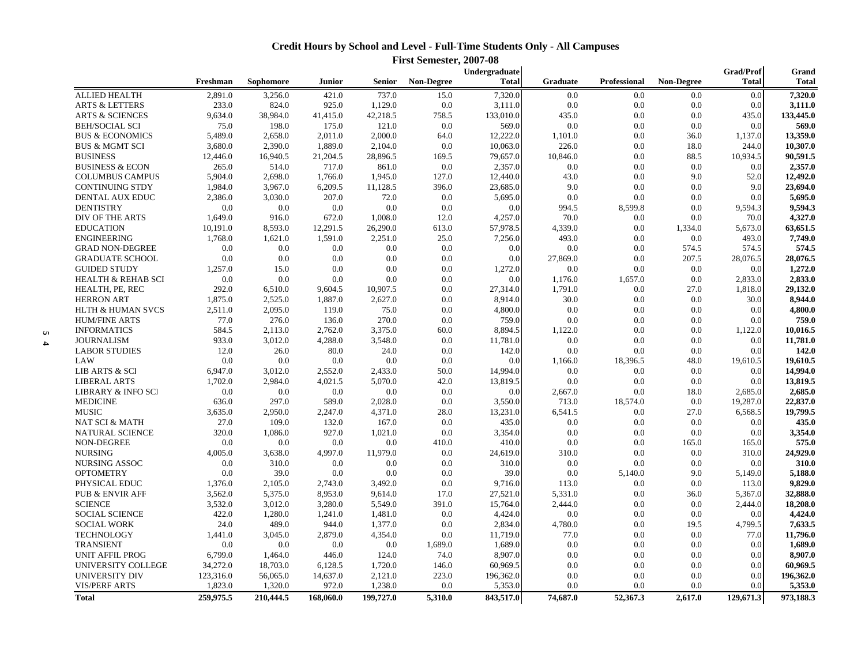# **Credit Hours by School and Level - Full-Time Students Only - All Campuses First Semester, 2007-08**

|                               |           |           |           |               |                   | Undergraduate |          |              |                   | <b>Grad/Prof</b> | Grand            |
|-------------------------------|-----------|-----------|-----------|---------------|-------------------|---------------|----------|--------------|-------------------|------------------|------------------|
|                               | Freshman  | Sophomore | Junior    | <b>Senior</b> | <b>Non-Degree</b> | <b>Total</b>  | Graduate | Professional | <b>Non-Degree</b> | <b>Total</b>     | <b>Total</b>     |
| <b>ALLIED HEALTH</b>          | 2,891.0   | 3.256.0   | 421.0     | 737.0         | 15.0              | 7,320.0       | 0.0      | 0.0          | 0.0               | 0.0              | 7.320.0          |
| <b>ARTS &amp; LETTERS</b>     | 233.0     | 824.0     | 925.0     | 1,129.0       | 0.0               | 3,111.0       | 0.0      | 0.0          | 0.0               | 0.0              | 3,111.0          |
| <b>ARTS &amp; SCIENCES</b>    | 9,634.0   | 38,984.0  | 41,415.0  | 42,218.5      | 758.5             | 133,010.0     | 435.0    | 0.0          | 0.0               | 435.0            | 133,445.0        |
| <b>BEH/SOCIAL SCI</b>         | 75.0      | 198.0     | 175.0     | 121.0         | 0.0               | 569.0         | 0.0      | 0.0          | 0.0               | 0.0              | 569.0            |
| <b>BUS &amp; ECONOMICS</b>    | 5,489.0   | 2,658.0   | 2,011.0   | 2,000.0       | 64.0              | 12,222.0      | 1,101.0  | 0.0          | 36.0              | 1,137.0          | 13,359.0         |
| <b>BUS &amp; MGMT SCI</b>     | 3,680.0   | 2,390.0   | 1,889.0   | 2,104.0       | 0.0               | 10,063.0      | 226.0    | 0.0          | 18.0              | 244.0            | 10,307.0         |
| <b>BUSINESS</b>               | 12,446.0  | 16.940.5  | 21,204.5  | 28.896.5      | 169.5             | 79,657.0      | 10.846.0 | 0.0          | 88.5              | 10.934.5         | 90,591.5         |
| <b>BUSINESS &amp; ECON</b>    | 265.0     | 514.0     | 717.0     | 861.0         | 0.0               | 2,357.0       | 0.0      | 0.0          | 0.0               | 0.0              | 2,357.0          |
| <b>COLUMBUS CAMPUS</b>        | 5,904.0   | 2,698.0   | 1,766.0   | 1,945.0       | 127.0             | 12,440.0      | 43.0     | 0.0          | 9.0               | 52.0             | 12,492.0         |
| <b>CONTINUING STDY</b>        | 1,984.0   | 3,967.0   | 6,209.5   | 11,128.5      | 396.0             | 23,685.0      | 9.0      | 0.0          | 0.0               | 9.0              | 23,694.0         |
| DENTAL AUX EDUC               | 2,386.0   | 3,030.0   | 207.0     | 72.0          | 0.0               | 5,695.0       | 0.0      | 0.0          | 0.0               | 0.0              | 5,695.0          |
| <b>DENTISTRY</b>              | 0.0       | 0.0       | 0.0       | 0.0           | 0.0               | 0.0           | 994.5    | 8,599.8      | 0.0               | 9,594.3          | 9,594.3          |
| DIV OF THE ARTS               | 1,649.0   | 916.0     | 672.0     | 1,008.0       | 12.0              | 4,257.0       | 70.0     | 0.0          | 0.0               | 70.0             | 4,327.0          |
| <b>EDUCATION</b>              | 10,191.0  | 8.593.0   | 12,291.5  | 26,290.0      | 613.0             | 57,978.5      | 4.339.0  | 0.0          | 1,334.0           | 5,673.0          | 63,651.5         |
| <b>ENGINEERING</b>            | 1,768.0   | 1,621.0   | 1,591.0   | 2,251.0       | 25.0              | 7,256.0       | 493.0    | 0.0          | 0.0               | 493.0            | 7,749.0          |
| <b>GRAD NON-DEGREE</b>        | 0.0       | 0.0       | 0.0       | 0.0           | 0.0               | 0.0           | 0.0      | 0.0          | 574.5             | 574.5            | 574.5            |
| <b>GRADUATE SCHOOL</b>        | 0.0       | 0.0       | 0.0       | 0.0           | 0.0               | 0.0           | 27,869.0 | 0.0          | 207.5             | 28,076.5         | 28,076.5         |
| <b>GUIDED STUDY</b>           | 1,257.0   | 15.0      | 0.0       | 0.0           | 0.0               | 1,272.0       | 0.0      | 0.0          | 0.0               | 0.0              | 1,272.0          |
| <b>HEALTH &amp; REHAB SCI</b> | 0.0       | 0.0       | 0.0       | 0.0           | 0.0               | 0.0           | 1,176.0  | 1,657.0      | 0.0               | 2,833.0          | 2,833.0          |
|                               | 292.0     |           |           | 10,907.5      |                   |               | 1,791.0  | 0.0          |                   |                  | 29,132.0         |
| HEALTH, PE, REC               |           | 6,510.0   | 9,604.5   |               | 0.0               | 27,314.0      |          |              | 27.0              | 1,818.0          | 8,944.0          |
| <b>HERRON ART</b>             | 1,875.0   | 2,525.0   | 1,887.0   | 2,627.0       | 0.0               | 8,914.0       | 30.0     | 0.0          | 0.0               | 30.0             |                  |
| <b>HLTH &amp; HUMAN SVCS</b>  | 2,511.0   | 2,095.0   | 119.0     | 75.0<br>270.0 | 0.0               | 4,800.0       | 0.0      | 0.0          | 0.0               | 0.0              | 4,800.0<br>759.0 |
| <b>HUM/FINE ARTS</b>          | 77.0      | 276.0     | 136.0     |               | 0.0               | 759.0         | 0.0      | 0.0          | 0.0<br>0.0        | 0.0              |                  |
| <b>INFORMATICS</b>            | 584.5     | 2,113.0   | 2,762.0   | 3,375.0       | 60.0              | 8,894.5       | 1,122.0  | 0.0          |                   | 1,122.0          | 10,016.5         |
| <b>JOURNALISM</b>             | 933.0     | 3,012.0   | 4,288.0   | 3,548.0       | 0.0               | 11,781.0      | 0.0      | 0.0          | 0.0               | 0.0              | 11,781.0         |
| <b>LABOR STUDIES</b>          | 12.0      | 26.0      | 80.0      | 24.0          | 0.0               | 142.0         | 0.0      | 0.0          | 0.0               | 0.0              | 142.0            |
| LAW                           | 0.0       | 0.0       | 0.0       | 0.0           | 0.0               | 0.0           | 1,166.0  | 18,396.5     | 48.0              | 19,610.5         | 19,610.5         |
| LIB ARTS & SCI                | 6.947.0   | 3.012.0   | 2.552.0   | 2.433.0       | 50.0              | 14,994.0      | 0.0      | 0.0          | 0.0               | 0.0              | 14,994.0         |
| <b>LIBERAL ARTS</b>           | 1,702.0   | 2,984.0   | 4,021.5   | 5,070.0       | 42.0              | 13,819.5      | 0.0      | 0.0          | 0.0               | 0.0              | 13,819.5         |
| <b>LIBRARY &amp; INFO SCI</b> | 0.0       | 0.0       | 0.0       | 0.0           | 0.0               | 0.0           | 2,667.0  | 0.0          | 18.0              | 2,685.0          | 2,685.0          |
| <b>MEDICINE</b>               | 636.0     | 297.0     | 589.0     | 2,028.0       | 0.0               | 3,550.0       | 713.0    | 18,574.0     | 0.0               | 19,287.0         | 22,837.0         |
| <b>MUSIC</b>                  | 3,635.0   | 2,950.0   | 2,247.0   | 4,371.0       | 28.0              | 13,231.0      | 6,541.5  | 0.0          | 27.0              | 6,568.5          | 19,799.5         |
| NAT SCI & MATH                | 27.0      | 109.0     | 132.0     | 167.0         | 0.0               | 435.0         | 0.0      | 0.0          | 0.0               | 0.0              | 435.0            |
| <b>NATURAL SCIENCE</b>        | 320.0     | 1,086.0   | 927.0     | 1,021.0       | 0.0               | 3,354.0       | 0.0      | 0.0          | 0.0               | 0.0              | 3,354.0          |
| <b>NON-DEGREE</b>             | 0.0       | 0.0       | 0.0       | 0.0           | 410.0             | 410.0         | 0.0      | 0.0          | 165.0             | 165.0            | 575.0            |
| <b>NURSING</b>                | 4,005.0   | 3,638.0   | 4,997.0   | 11,979.0      | 0.0               | 24,619.0      | 310.0    | 0.0          | 0.0               | 310.0            | 24,929.0         |
| <b>NURSING ASSOC</b>          | 0.0       | 310.0     | 0.0       | 0.0           | 0.0               | 310.0         | 0.0      | 0.0          | 0.0               | 0.0              | 310.0            |
| <b>OPTOMETRY</b>              | 0.0       | 39.0      | 0.0       | 0.0           | 0.0               | 39.0          | 0.0      | 5,140.0      | 9.0               | 5,149.0          | 5,188.0          |
| PHYSICAL EDUC                 | 1,376.0   | 2,105.0   | 2,743.0   | 3,492.0       | 0.0               | 9,716.0       | 113.0    | 0.0          | 0.0               | 113.0            | 9,829.0          |
| <b>PUB &amp; ENVIR AFF</b>    | 3,562.0   | 5,375.0   | 8,953.0   | 9,614.0       | 17.0              | 27,521.0      | 5,331.0  | 0.0          | 36.0              | 5,367.0          | 32,888.0         |
| <b>SCIENCE</b>                | 3,532.0   | 3,012.0   | 3.280.0   | 5,549.0       | 391.0             | 15,764.0      | 2,444.0  | 0.0          | 0.0               | 2,444.0          | 18,208.0         |
| <b>SOCIAL SCIENCE</b>         | 422.0     | 1,280.0   | 1,241.0   | 1,481.0       | 0.0               | 4,424.0       | 0.0      | 0.0          | 0.0               | 0.0              | 4,424.0          |
| <b>SOCIAL WORK</b>            | 24.0      | 489.0     | 944.0     | 1,377.0       | 0.0               | 2,834.0       | 4,780.0  | 0.0          | 19.5              | 4,799.5          | 7,633.5          |
| <b>TECHNOLOGY</b>             | 1,441.0   | 3,045.0   | 2,879.0   | 4,354.0       | 0.0               | 11,719.0      | 77.0     | 0.0          | 0.0               | 77.0             | 11,796.0         |
| <b>TRANSIENT</b>              | 0.0       | 0.0       | 0.0       | 0.0           | 1,689.0           | 1,689.0       | 0.0      | 0.0          | 0.0               | 0.0              | 1,689.0          |
| <b>UNIT AFFIL PROG</b>        | 6,799.0   | 1,464.0   | 446.0     | 124.0         | 74.0              | 8,907.0       | 0.0      | 0.0          | 0.0               | 0.0              | 8,907.0          |
| UNIVERSITY COLLEGE            | 34,272.0  | 18,703.0  | 6,128.5   | 1,720.0       | 146.0             | 60,969.5      | 0.0      | 0.0          | 0.0               | 0.0              | 60,969.5         |
| UNIVERSITY DIV                | 123,316.0 | 56,065.0  | 14,637.0  | 2,121.0       | 223.0             | 196,362.0     | 0.0      | 0.0          | 0.0               | 0.0              | 196,362.0        |
| <b>VIS/PERF ARTS</b>          | 1,823.0   | 1,320.0   | 972.0     | 1,238.0       | 0.0               | 5,353.0       | 0.0      | 0.0          | 0.0               | 0.0              | 5,353.0          |
| <b>Total</b>                  | 259,975.5 | 210,444.5 | 168,060.0 | 199,727.0     | 5.310.0           | 843,517.0     | 74,687.0 | 52,367.3     | 2.617.0           | 129,671.3        | 973.188.3        |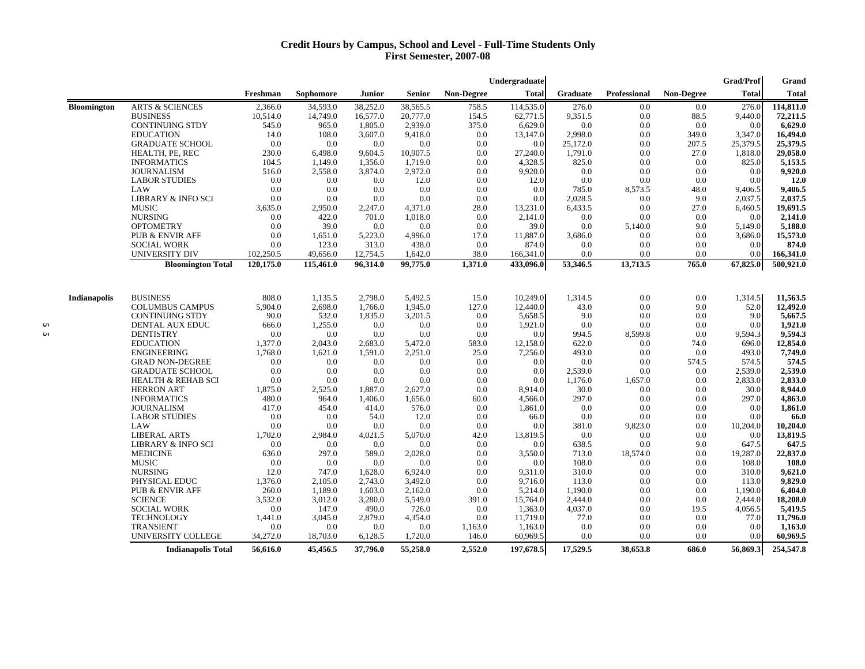#### **Credit Hours by Campus, School and Level - Full-Time Students Only First Semester, 2007-08**

|                     |                               |           |           |               |          |                   | Undergraduate |          |              |                   | <b>Grad/Prof</b> | Grand        |
|---------------------|-------------------------------|-----------|-----------|---------------|----------|-------------------|---------------|----------|--------------|-------------------|------------------|--------------|
|                     |                               | Freshman  | Sophomore | <b>Junior</b> | Senior   | <b>Non-Degree</b> | <b>Total</b>  | Graduate | Professional | <b>Non-Degree</b> | <b>Total</b>     | <b>Total</b> |
| <b>Bloomington</b>  | <b>ARTS &amp; SCIENCES</b>    | 2,366.0   | 34,593.0  | 38,252.0      | 38,565.5 | 758.5             | 114,535.0     | 276.0    | 0.0          | 0.0               | 276.0            | 114,811.0    |
|                     | <b>BUSINESS</b>               | 10,514.0  | 14,749.0  | 16,577.0      | 20,777.0 | 154.5             | 62,771.5      | 9,351.5  | 0.0          | 88.5              | 9,440.0          | 72,211.5     |
|                     | <b>CONTINUING STDY</b>        | 545.0     | 965.0     | 1,805.0       | 2,939.0  | 375.0             | 6,629.0       | 0.0      | 0.0          | 0.0               | 0.0              | 6,629.0      |
|                     | <b>EDUCATION</b>              | 14.0      | 108.0     | 3,607.0       | 9,418.0  | 0.0               | 13,147.0      | 2,998.0  | 0.0          | 349.0             | 3,347.0          | 16,494.0     |
|                     | <b>GRADUATE SCHOOL</b>        | 0.0       | 0.0       | 0.0           | 0.0      | 0.0               | 0.0           | 25,172.0 | 0.0          | 207.5             | 25,379.5         | 25,379.5     |
|                     | HEALTH, PE, REC               | 230.0     | 6,498.0   | 9,604.5       | 10,907.5 | 0.0               | 27,240.0      | 1,791.0  | 0.0          | 27.0              | 1,818.0          | 29,058.0     |
|                     | <b>INFORMATICS</b>            | 104.5     | 1,149.0   | 1,356.0       | 1,719.0  | 0.0               | 4,328.5       | 825.0    | 0.0          | 0.0               | 825.0            | 5,153.5      |
|                     | <b>JOURNALISM</b>             | 516.0     | 2,558.0   | 3,874.0       | 2,972.0  | 0.0               | 9,920.0       | 0.0      | 0.0          | 0.0               | 0.0              | 9,920.0      |
|                     | <b>LABOR STUDIES</b>          | 0.0       | 0.0       | 0.0           | 12.0     | 0.0               | 12.0          | 0.0      | 0.0          | 0.0               | 0.0              | 12.0         |
|                     | LAW                           | 0.0       | 0.0       | 0.0           | 0.0      | 0.0               | 0.0           | 785.0    | 8,573.5      | 48.0              | 9,406.5          | 9,406.5      |
|                     | <b>LIBRARY &amp; INFO SCI</b> | 0.0       | 0.0       | 0.0           | 0.0      | 0.0               | 0.0           | 2,028.5  | 0.0          | 9.0               | 2,037.5          | 2,037.5      |
|                     | <b>MUSIC</b>                  | 3,635.0   | 2,950.0   | 2,247.0       | 4,371.0  | 28.0              | 13,231.0      | 6,433.5  | 0.0          | 27.0              | 6,460.5          | 19,691.5     |
|                     | <b>NURSING</b>                | 0.0       | 422.0     | 701.0         | 1,018.0  | 0.0               | 2,141.0       | 0.0      | 0.0          | 0.0               | 0.0              | 2,141.0      |
|                     | <b>OPTOMETRY</b>              | 0.0       | 39.0      | 0.0           | 0.0      | 0.0               | 39.0          | 0.0      | 5,140.0      | 9.0               | 5,149.0          | 5,188.0      |
|                     | <b>PUB &amp; ENVIR AFF</b>    | 0.0       | 1,651.0   | 5,223.0       | 4,996.0  | 17.0              | 11,887.0      | 3,686.0  | 0.0          | 0.0               | 3,686.0          | 15,573.0     |
|                     | <b>SOCIAL WORK</b>            | 0.0       | 123.0     | 313.0         | 438.0    | 0.0               | 874.0         | 0.0      | 0.0          | 0.0               | 0.0              | 874.0        |
|                     | UNIVERSITY DIV                | 102,250.5 | 49,656.0  | 12,754.5      | 1,642.0  | 38.0              | 166,341.0     | 0.0      | 0.0          | 0.0               | 0.0              | 166,341.0    |
|                     | <b>Bloomington Total</b>      | 120,175.0 | 115,461.0 | 96,314.0      | 99,775.0 | 1,371.0           | 433,096.0     | 53,346.5 | 13,713.5     | 765.0             | 67,825.0         | 500,921.0    |
|                     |                               |           |           |               |          |                   |               |          |              |                   |                  |              |
| <b>Indianapolis</b> | <b>BUSINESS</b>               | 808.0     | 1,135.5   | 2,798.0       | 5,492.5  | 15.0              | 10,249.0      | 1,314.5  | 0.0          | 0.0               | 1,314.5          | 11,563.5     |
|                     | <b>COLUMBUS CAMPUS</b>        | 5,904.0   | 2,698.0   | 1,766.0       | 1,945.0  | 127.0             | 12,440.0      | 43.0     | 0.0          | 9.0               | 52.0             | 12,492.0     |
|                     | <b>CONTINUING STDY</b>        | 90.0      | 532.0     | 1,835.0       | 3,201.5  | 0.0               | 5,658.5       | 9.0      | 0.0          | 0.0               | 9.0              | 5,667.5      |
|                     | DENTAL AUX EDUC               | 666.0     | 1,255.0   | 0.0           | 0.0      | 0.0               | 1,921.0       | 0.0      | 0.0          | 0.0               | 0.0              | 1,921.0      |
|                     | <b>DENTISTRY</b>              | 0.0       | 0.0       | 0.0           | 0.0      | 0.0               | 0.0           | 994.5    | 8,599.8      | 0.0               | 9,594.3          | 9,594.3      |
|                     | <b>EDUCATION</b>              | 1,377.0   | 2,043.0   | 2,683.0       | 5,472.0  | 583.0             | 12,158.0      | 622.0    | 0.0          | 74.0              | 696.0            | 12,854.0     |
|                     | <b>ENGINEERING</b>            | 1,768.0   | 1,621.0   | 1,591.0       | 2,251.0  | 25.0              | 7,256.0       | 493.0    | 0.0          | 0.0               | 493.0            | 7,749.0      |
|                     | <b>GRAD NON-DEGREE</b>        | 0.0       | 0.0       | 0.0           | 0.0      | 0.0               | 0.0           | 0.0      | 0.0          | 574.5             | 574.5            | 574.5        |
|                     | <b>GRADUATE SCHOOL</b>        | 0.0       | 0.0       | 0.0           | 0.0      | 0.0               | 0.0           | 2,539.0  | 0.0          | 0.0               | 2,539.0          | 2,539.0      |
|                     | <b>HEALTH &amp; REHAB SCI</b> | 0.0       | 0.0       | 0.0           | 0.0      | 0.0               | 0.0           | 1,176.0  | 1,657.0      | 0.0               | 2,833.0          | 2,833.0      |
|                     | <b>HERRON ART</b>             | 1,875.0   | 2,525.0   | 1,887.0       | 2,627.0  | 0.0               | 8,914.0       | 30.0     | 0.0          | 0.0               | 30.0             | 8,944.0      |
|                     | <b>INFORMATICS</b>            | 480.0     | 964.0     | 1,406.0       | 1,656.0  | 60.0              | 4,566.0       | 297.0    | 0.0          | 0.0               | 297.0            | 4,863.0      |
|                     | <b>JOURNALISM</b>             | 417.0     | 454.0     | 414.0         | 576.0    | 0.0               | 1,861.0       | 0.0      | 0.0          | 0.0               | 0.0              | 1,861.0      |
|                     | <b>LABOR STUDIES</b>          | 0.0       | 0.0       | 54.0          | 12.0     | 0.0               | 66.0          | 0.0      | 0.0          | 0.0               | 0.0              | 66.0         |
|                     | LAW                           | 0.0       | 0.0       | 0.0           | 0.0      | 0.0               | 0.0           | 381.0    | 9,823.0      | 0.0               | 10,204.0         | 10,204.0     |
|                     | <b>LIBERAL ARTS</b>           | 1,702.0   | 2,984.0   | 4,021.5       | 5,070.0  | 42.0              | 13,819.5      | 0.0      | 0.0          | 0.0               | 0.0              | 13,819.5     |
|                     | <b>LIBRARY &amp; INFO SCI</b> | 0.0       | 0.0       | 0.0           | 0.0      | 0.0               | 0.0           | 638.5    | 0.0          | 9.0               | 647.5            | 647.5        |
|                     | <b>MEDICINE</b>               | 636.0     | 297.0     | 589.0         | 2,028.0  | 0.0               | 3,550.0       | 713.0    | 18,574.0     | 0.0               | 19,287.0         | 22,837.0     |
|                     | <b>MUSIC</b>                  | 0.0       | 0.0       | 0.0           | 0.0      | 0.0               | 0.0           | 108.0    | 0.0          | 0.0               | 108.0            | 108.0        |
|                     | <b>NURSING</b>                | 12.0      | 747.0     | 1,628.0       | 6,924.0  | 0.0               | 9,311.0       | 310.0    | 0.0          | 0.0               | 310.0            | 9,621.0      |
|                     | PHYSICAL EDUC                 | 1,376.0   | 2,105.0   | 2,743.0       | 3,492.0  | 0.0               | 9,716.0       | 113.0    | 0.0          | 0.0               | 113.0            | 9,829.0      |
|                     | <b>PUB &amp; ENVIR AFF</b>    | 260.0     | 1,189.0   | 1,603.0       | 2,162.0  | 0.0               | 5,214.0       | 1,190.0  | 0.0          | 0.0               | 1,190.0          | 6,404.0      |
|                     | <b>SCIENCE</b>                | 3,532.0   | 3,012.0   | 3,280.0       | 5,549.0  | 391.0             | 15,764.0      | 2,444.0  | 0.0          | 0.0               | 2,444.0          | 18,208.0     |
|                     | <b>SOCIAL WORK</b>            | 0.0       | 147.0     | 490.0         | 726.0    | 0.0               | 1,363.0       | 4,037.0  | 0.0          | 19.5              | 4,056.5          | 5,419.5      |
|                     | <b>TECHNOLOGY</b>             | 1,441.0   | 3,045.0   | 2,879.0       | 4,354.0  | 0.0               | 11,719.0      | 77.0     | 0.0          | 0.0               | 77.0             | 11,796.0     |
|                     | <b>TRANSIENT</b>              | 0.0       | 0.0       | 0.0           | 0.0      | 1,163.0           | 1,163.0       | 0.0      | 0.0          | 0.0               | 0.0              | 1,163.0      |
|                     | UNIVERSITY COLLEGE            | 34,272.0  | 18,703.0  | 6,128.5       | 1,720.0  | 146.0             | 60,969.5      | 0.0      | 0.0          | 0.0               | 0.0              | 60,969.5     |
|                     | <b>Indianapolis Total</b>     | 56,616.0  | 45,456.5  | 37,796.0      | 55,258.0 | 2,552.0           | 197,678.5     | 17,529.5 | 38,653.8     | 686.0             | 56,869.3         | 254,547.8    |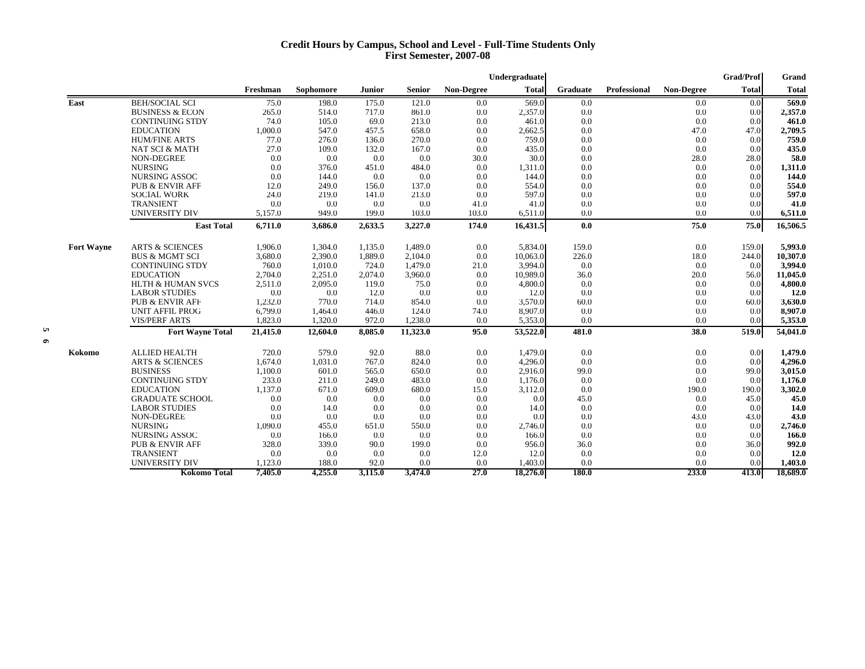#### **Credit Hours by Campus, School and Level - Full-Time Students Only First Semester, 2007-08**

|                   |                              |          |           |         |               |            | Undergraduate |          |                     |                   | <b>Grad/Prof</b> | Grand        |
|-------------------|------------------------------|----------|-----------|---------|---------------|------------|---------------|----------|---------------------|-------------------|------------------|--------------|
|                   |                              | Freshman | Sophomore | Junior  | <b>Senior</b> | Non-Degree | <b>Total</b>  | Graduate | <b>Professional</b> | <b>Non-Degree</b> | <b>Total</b>     | <b>Total</b> |
| East              | <b>BEH/SOCIAL SCI</b>        | 75.0     | 198.0     | 175.0   | 121.0         | 0.0        | 569.0         | 0.0      |                     | 0.0               | 0.0              | 569.0        |
|                   | <b>BUSINESS &amp; ECON</b>   | 265.0    | 514.0     | 717.0   | 861.0         | 0.0        | 2,357.0       | 0.0      |                     | 0.0               | 0.0              | 2,357.0      |
|                   | <b>CONTINUING STDY</b>       | 74.0     | 105.0     | 69.0    | 213.0         | 0.0        | 461.0         | 0.0      |                     | 0.0               | 0.0              | 461.0        |
|                   | <b>EDUCATION</b>             | 1,000.0  | 547.0     | 457.5   | 658.0         | 0.0        | 2,662.5       | 0.0      |                     | 47.0              | 47.0             | 2,709.5      |
|                   | <b>HUM/FINE ARTS</b>         | 77.0     | 276.0     | 136.0   | 270.0         | 0.0        | 759.0         | 0.0      |                     | 0.0               | 0.0              | 759.0        |
|                   | NAT SCI & MATH               | 27.0     | 109.0     | 132.0   | 167.0         | 0.0        | 435.0         | 0.0      |                     | 0.0               | 0.0              | 435.0        |
|                   | <b>NON-DEGREE</b>            | 0.0      | 0.0       | 0.0     | 0.0           | 30.0       | 30.0          | 0.0      |                     | 28.0              | 28.0             | 58.0         |
|                   | <b>NURSING</b>               | 0.0      | 376.0     | 451.0   | 484.0         | 0.0        | 1,311.0       | 0.0      |                     | 0.0               | 0.0              | 1,311.0      |
|                   | <b>NURSING ASSOC</b>         | 0.0      | 144.0     | 0.0     | 0.0           | 0.0        | 144.0         | 0.0      |                     | 0.0               | 0.0              | 144.0        |
|                   | <b>PUB &amp; ENVIR AFF</b>   | 12.0     | 249.0     | 156.0   | 137.0         | 0.0        | 554.0         | 0.0      |                     | 0.0               | 0.0              | 554.0        |
|                   | <b>SOCIAL WORK</b>           | 24.0     | 219.0     | 141.0   | 213.0         | 0.0        | 597.0         | 0.0      |                     | 0.0               | 0.0              | 597.0        |
|                   | <b>TRANSIENT</b>             | 0.0      | 0.0       | 0.0     | 0.0           | 41.0       | 41.0          | 0.0      |                     | 0.0               | 0.0              | 41.0         |
|                   | <b>UNIVERSITY DIV</b>        | 5,157.0  | 949.0     | 199.0   | 103.0         | 103.0      | 6,511.0       | 0.0      |                     | 0.0               | 0.0              | 6,511.0      |
|                   | <b>East Total</b>            | 6,711.0  | 3,686.0   | 2,633.5 | 3,227.0       | 174.0      | 16,431.5      | 0.0      |                     | 75.0              | 75.0             | 16,506.5     |
| <b>Fort Wayne</b> | <b>ARTS &amp; SCIENCES</b>   | 1,906.0  | 1,304.0   | 1,135.0 | 1,489.0       | 0.0        | 5,834.0       | 159.0    |                     | 0.0               | 159.0            | 5,993.0      |
|                   | <b>BUS &amp; MGMT SCI</b>    | 3,680.0  | 2,390.0   | 1,889.0 | 2,104.0       | 0.0        | 10,063.0      | 226.0    |                     | 18.0              | 244.0            | 10,307.0     |
|                   | <b>CONTINUING STDY</b>       | 760.0    | 1.010.0   | 724.0   | 1.479.0       | 21.0       | 3.994.0       | 0.0      |                     | 0.0               | 0.0              | 3,994.0      |
|                   | <b>EDUCATION</b>             | 2,704.0  | 2,251.0   | 2,074.0 | 3,960.0       | $0.0\,$    | 10,989.0      | 36.0     |                     | 20.0              | 56.0             | 11,045.0     |
|                   | <b>HLTH &amp; HUMAN SVCS</b> | 2,511.0  | 2,095.0   | 119.0   | 75.0          | 0.0        | 4,800.0       | 0.0      |                     | 0.0               | 0.0              | 4,800.0      |
|                   | <b>LABOR STUDIES</b>         | 0.0      | 0.0       | 12.0    | 0.0           | 0.0        | 12.0          | 0.0      |                     | 0.0               | 0.0              | 12.0         |
|                   | <b>PUB &amp; ENVIR AFF</b>   | 1,232.0  | 770.0     | 714.0   | 854.0         | 0.0        | 3,570.0       | 60.0     |                     | 0.0               | 60.0             | 3,630.0      |
|                   | <b>UNIT AFFIL PROG</b>       | 6,799.0  | 1.464.0   | 446.0   | 124.0         | 74.0       | 8,907.0       | 0.0      |                     | 0.0               | 0.0              | 8.907.0      |
|                   | <b>VIS/PERF ARTS</b>         | 1,823.0  | 1,320.0   | 972.0   | 1,238.0       | 0.0        | 5,353.0       | 0.0      |                     | 0.0               | 0.0              | 5,353.0      |
|                   | <b>Fort Wayne Total</b>      | 21,415.0 | 12,604.0  | 8.085.0 | 11,323.0      | 95.0       | 53,522.0      | 481.0    |                     | 38.0              | 519.0            | 54,041.0     |
|                   |                              |          |           |         |               |            |               |          |                     |                   |                  |              |
| Kokomo            | <b>ALLIED HEALTH</b>         | 720.0    | 579.0     | 92.0    | 88.0          | 0.0        | 1,479.0       | 0.0      |                     | 0.0               | 0.0              | 1,479.0      |
|                   | <b>ARTS &amp; SCIENCES</b>   | 1,674.0  | 1,031.0   | 767.0   | 824.0         | 0.0        | 4.296.0       | 0.0      |                     | 0.0               | 0.0              | 4,296.0      |
|                   | <b>BUSINESS</b>              | 1,100.0  | 601.0     | 565.0   | 650.0         | 0.0        | 2,916.0       | 99.0     |                     | 0.0               | 99.0             | 3,015.0      |
|                   | <b>CONTINUING STDY</b>       | 233.0    | 211.0     | 249.0   | 483.0         | 0.0        | 1.176.0       | 0.0      |                     | 0.0               | 0.0              | 1,176.0      |
|                   | <b>EDUCATION</b>             | 1,137.0  | 671.0     | 609.0   | 680.0         | 15.0       | 3,112.0       | 0.0      |                     | 190.0             | 190.0            | 3,302.0      |
|                   | <b>GRADUATE SCHOOL</b>       | 0.0      | 0.0       | 0.0     | 0.0           | 0.0        | 0.0           | 45.0     |                     | 0.0               | 45.0             | 45.0         |
|                   | <b>LABOR STUDIES</b>         | 0.0      | 14.0      | 0.0     | 0.0           | 0.0        | 14.0          | 0.0      |                     | 0.0               | 0.0              | 14.0         |
|                   | <b>NON-DEGREE</b>            | 0.0      | 0.0       | 0.0     | 0.0           | 0.0        | 0.0           | 0.0      |                     | 43.0              | 43.0             | 43.0         |
|                   | <b>NURSING</b>               | 1,090.0  | 455.0     | 651.0   | 550.0         | 0.0        | 2,746.0       | 0.0      |                     | 0.0               | 0.0              | 2,746.0      |
|                   | NURSING ASSOC                | 0.0      | 166.0     | 0.0     | 0.0           | 0.0        | 166.0         | 0.0      |                     | 0.0               | 0.0              | 166.0        |
|                   | <b>PUB &amp; ENVIR AFF</b>   | 328.0    | 339.0     | 90.0    | 199.0         | 0.0        | 956.0         | 36.0     |                     | 0.0               | 36.0             | 992.0        |
|                   | <b>TRANSIENT</b>             | 0.0      | 0.0       | 0.0     | 0.0           | 12.0       | 12.0          | 0.0      |                     | 0.0               | 0.0              | 12.0         |
|                   | <b>UNIVERSITY DIV</b>        | 1,123.0  | 188.0     | 92.0    | 0.0           | 0.0        | 1,403.0       | 0.0      |                     | 0.0               | 0.0              | 1,403.0      |
|                   | <b>Kokomo Total</b>          | 7,405.0  | 4,255.0   | 3,115.0 | 3,474.0       | 27.0       | 18,276.0      | 180.0    |                     | 233.0             | 413.0            | 18,689.0     |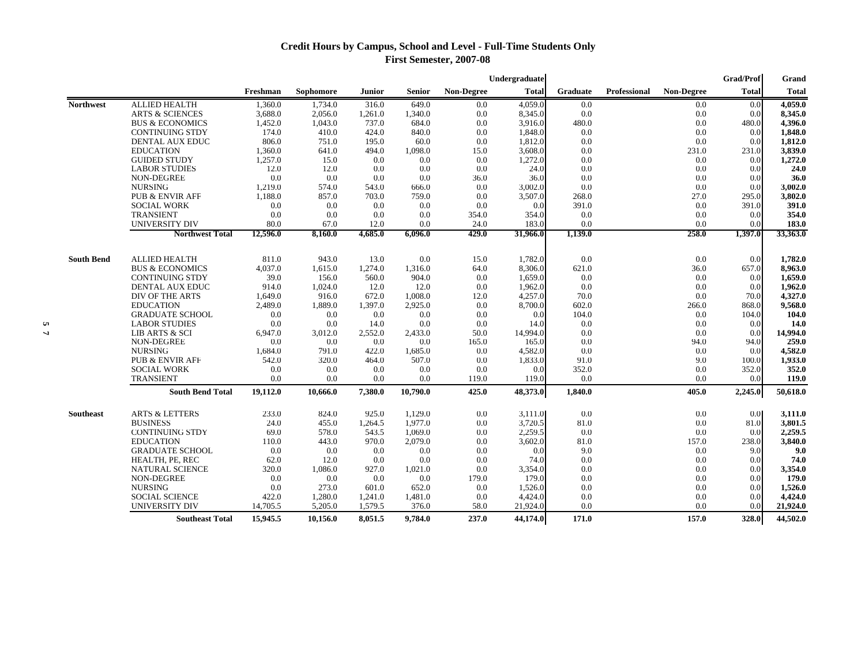# **Credit Hours by Campus, School and Level - Full-Time Students Only First Semester, 2007-08**

|                   |                            |          |           |         |          |                   | Undergraduate |          |                     |                   | Grad/Prof    | Grand        |
|-------------------|----------------------------|----------|-----------|---------|----------|-------------------|---------------|----------|---------------------|-------------------|--------------|--------------|
|                   |                            | Freshman | Sophomore | Junior  | Senior   | <b>Non-Degree</b> | <b>Total</b>  | Graduate | <b>Professional</b> | <b>Non-Degree</b> | <b>Total</b> | <b>Total</b> |
| <b>Northwest</b>  | <b>ALLIED HEALTH</b>       | 1,360.0  | 1,734.0   | 316.0   | 649.0    | $0.0\,$           | 4,059.0       | 0.0      |                     | 0.0               | 0.0          | 4,059.0      |
|                   | <b>ARTS &amp; SCIENCES</b> | 3,688.0  | 2,056.0   | 1,261.0 | 1,340.0  | 0.0               | 8,345.0       | 0.0      |                     | 0.0               | 0.0          | 8,345.0      |
|                   | <b>BUS &amp; ECONOMICS</b> | 1,452.0  | 1,043.0   | 737.0   | 684.0    | 0.0               | 3,916.0       | 480.0    |                     | 0.0               | 480.0        | 4,396.0      |
|                   | <b>CONTINUING STDY</b>     | 174.0    | 410.0     | 424.0   | 840.0    | 0.0               | 1.848.0       | 0.0      |                     | 0.0               | 0.0          | 1,848.0      |
|                   | DENTAL AUX EDUC            | 806.0    | 751.0     | 195.0   | 60.0     | 0.0               | 1,812.0       | 0.0      |                     | 0.0               | 0.0          | 1,812.0      |
|                   | <b>EDUCATION</b>           | 1,360.0  | 641.0     | 494.0   | 1,098.0  | 15.0              | 3,608.0       | 0.0      |                     | 231.0             | 231.0        | 3,839.0      |
|                   | <b>GUIDED STUDY</b>        | 1,257.0  | 15.0      | 0.0     | 0.0      | 0.0               | 1,272.0       | 0.0      |                     | 0.0               | 0.0          | 1,272.0      |
|                   | <b>LABOR STUDIES</b>       | 12.0     | 12.0      | 0.0     | 0.0      | 0.0               | 24.0          | 0.0      |                     | 0.0               | 0.0          | 24.0         |
|                   | NON-DEGREE                 | 0.0      | 0.0       | 0.0     | 0.0      | 36.0              | 36.0          | 0.0      |                     | 0.0               | 0.0          | 36.0         |
|                   | <b>NURSING</b>             | 1,219.0  | 574.0     | 543.0   | 666.0    | 0.0               | 3,002.0       | 0.0      |                     | 0.0               | 0.0          | 3.002.0      |
|                   | <b>PUB &amp; ENVIR AFF</b> | 1,188.0  | 857.0     | 703.0   | 759.0    | 0.0               | 3,507.0       | 268.0    |                     | 27.0              | 295.0        | 3,802.0      |
|                   | <b>SOCIAL WORK</b>         | 0.0      | 0.0       | 0.0     | 0.0      | 0.0               | 0.0           | 391.0    |                     | 0.0               | 391.0        | 391.0        |
|                   | <b>TRANSIENT</b>           | 0.0      | 0.0       | 0.0     | 0.0      | 354.0             | 354.0         | 0.0      |                     | 0.0               | 0.0          | 354.0        |
|                   | <b>UNIVERSITY DIV</b>      | 80.0     | 67.0      | 12.0    | 0.0      | 24.0              | 183.0         | 0.0      |                     | 0.0               | 0.0          | 183.0        |
|                   | <b>Northwest Total</b>     | 12,596.0 | 8,160.0   | 4,685.0 | 6,096.0  | 429.0             | 31,966.0      | 1,139.0  |                     | 258.0             | 1,397.0      | 33,363.0     |
| <b>South Bend</b> | <b>ALLIED HEALTH</b>       | 811.0    | 943.0     | 13.0    | 0.0      | 15.0              | 1,782.0       | 0.0      |                     | 0.0               | 0.0          | 1,782.0      |
|                   | <b>BUS &amp; ECONOMICS</b> | 4,037.0  | 1.615.0   | 1,274.0 | 1,316.0  | 64.0              | 8.306.0       | 621.0    |                     | 36.0              | 657.0        | 8.963.0      |
|                   | <b>CONTINUING STDY</b>     | 39.0     | 156.0     | 560.0   | 904.0    | 0.0               | 1,659.0       | 0.0      |                     | 0.0               | 0.0          | 1,659.0      |
|                   | DENTAL AUX EDUC            | 914.0    | 1,024.0   | 12.0    | 12.0     | 0.0               | 1,962.0       | 0.0      |                     | 0.0               | 0.0          | 1,962.0      |
|                   | DIV OF THE ARTS            | 1,649.0  | 916.0     | 672.0   | 1,008.0  | 12.0              | 4,257.0       | 70.0     |                     | 0.0               | 70.0         | 4,327.0      |
|                   | <b>EDUCATION</b>           | 2,489.0  | 1,889.0   | 1,397.0 | 2,925.0  | 0.0               | 8,700.0       | 602.0    |                     | 266.0             | 868.0        | 9,568.0      |
|                   | <b>GRADUATE SCHOOL</b>     | 0.0      | 0.0       | 0.0     | 0.0      | 0.0               | 0.0           | 104.0    |                     | 0.0               | 104.0        | 104.0        |
|                   | <b>LABOR STUDIES</b>       | 0.0      | 0.0       | 14.0    | 0.0      | 0.0               | 14.0          | 0.0      |                     | 0.0               | 0.0          | 14.0         |
|                   | LIB ARTS & SCI             | 6,947.0  | 3,012.0   | 2,552.0 | 2,433.0  | 50.0              | 14,994.0      | 0.0      |                     | 0.0               | 0.0          | 14,994.0     |
|                   | NON-DEGREE                 | 0.0      | 0.0       | 0.0     | 0.0      | 165.0             | 165.0         | 0.0      |                     | 94.0              | 94.0         | 259.0        |
|                   | <b>NURSING</b>             | 1,684.0  | 791.0     | 422.0   | 1,685.0  | 0.0               | 4,582.0       | 0.0      |                     | 0.0               | 0.0          | 4,582.0      |
|                   | <b>PUB &amp; ENVIR AFF</b> | 542.0    | 320.0     | 464.0   | 507.0    | 0.0               | 1,833.0       | 91.0     |                     | 9.0               | 100.0        | 1,933.0      |
|                   | <b>SOCIAL WORK</b>         | 0.0      | 0.0       | 0.0     | 0.0      | 0.0               | 0.0           | 352.0    |                     | 0.0               | 352.0        | 352.0        |
|                   | <b>TRANSIENT</b>           | 0.0      | 0.0       | 0.0     | 0.0      | 119.0             | 119.0         | 0.0      |                     | 0.0               | 0.0          | 119.0        |
|                   | <b>South Bend Total</b>    | 19,112.0 | 10.666.0  | 7,380.0 | 10,790.0 | 425.0             | 48,373.0      | 1,840.0  |                     | 405.0             | 2,245.0      | 50,618.0     |
| <b>Southeast</b>  | <b>ARTS &amp; LETTERS</b>  | 233.0    | 824.0     | 925.0   | 1,129.0  | 0.0               | 3,111.0       | 0.0      |                     | 0.0               | 0.0          | 3,111.0      |
|                   | <b>BUSINESS</b>            | 24.0     | 455.0     | 1,264.5 | 1,977.0  | 0.0               | 3,720.5       | 81.0     |                     | 0.0               | 81.0         | 3,801.5      |
|                   | <b>CONTINUING STDY</b>     | 69.0     | 578.0     | 543.5   | 1.069.0  | 0.0               | 2,259.5       | 0.0      |                     | 0.0               | 0.0          | 2,259.5      |
|                   | <b>EDUCATION</b>           | 110.0    | 443.0     | 970.0   | 2,079.0  | 0.0               | 3,602.0       | 81.0     |                     | 157.0             | 238.0        | 3,840.0      |
|                   | <b>GRADUATE SCHOOL</b>     | 0.0      | 0.0       | 0.0     | 0.0      | 0.0               | 0.0           | 9.0      |                     | 0.0               | 9.0          | 9.0          |
|                   | HEALTH, PE, REC            | 62.0     | 12.0      | 0.0     | 0.0      | 0.0               | 74.0          | 0.0      |                     | 0.0               | 0.0          | 74.0         |
|                   | <b>NATURAL SCIENCE</b>     | 320.0    | 1,086.0   | 927.0   | 1,021.0  | 0.0               | 3,354.0       | 0.0      |                     | 0.0               | 0.0          | 3,354.0      |
|                   | <b>NON-DEGREE</b>          | 0.0      | 0.0       | 0.0     | 0.0      | 179.0             | 179.0         | 0.0      |                     | 0.0               | 0.0          | 179.0        |
|                   | <b>NURSING</b>             | 0.0      | 273.0     | 601.0   | 652.0    | $0.0\,$           | 1,526.0       | 0.0      |                     | 0.0               | 0.0          | 1,526.0      |
|                   | <b>SOCIAL SCIENCE</b>      | 422.0    | 1,280.0   | 1,241.0 | 1,481.0  | 0.0               | 4,424.0       | 0.0      |                     | 0.0               | 0.0          | 4,424.0      |
|                   | <b>UNIVERSITY DIV</b>      | 14,705.5 | 5,205.0   | 1,579.5 | 376.0    | 58.0              | 21,924.0      | 0.0      |                     | 0.0               | 0.0          | 21,924.0     |
|                   | <b>Southeast Total</b>     | 15,945.5 | 10,156.0  | 8,051.5 | 9,784.0  | 237.0             | 44,174.0      | 171.0    |                     | 157.0             | 328.0        | 44,502.0     |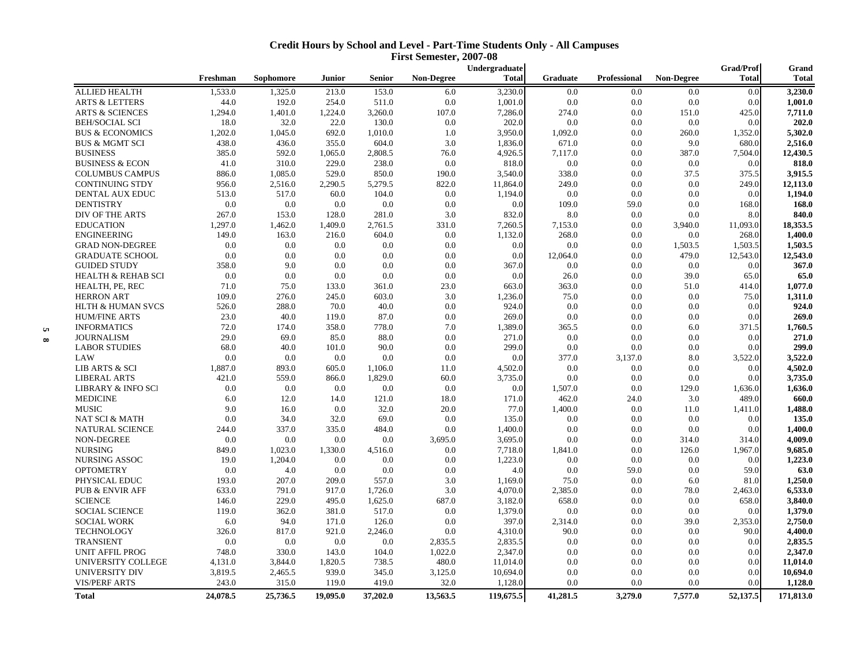| <b>Credit Hours by School and Level - Part-Time Students Only - All Campuses</b> |
|----------------------------------------------------------------------------------|
| <b>First Semester, 2007-08</b>                                                   |

|                               |          |           |          |          |            | Undergraduate |          |                     |                   | Grad/Prof    | Grand        |
|-------------------------------|----------|-----------|----------|----------|------------|---------------|----------|---------------------|-------------------|--------------|--------------|
|                               | Freshman | Sophomore | Junior   | Senior   | Non-Degree | <b>Total</b>  | Graduate | <b>Professional</b> | <b>Non-Degree</b> | <b>Total</b> | <b>Total</b> |
| <b>ALLIED HEALTH</b>          | 1,533.0  | 1,325.0   | 213.0    | 153.0    | 6.0        | 3,230.0       | 0.0      | 0.0                 | 0.0               | 0.0          | 3,230.0      |
| <b>ARTS &amp; LETTERS</b>     | 44.0     | 192.0     | 254.0    | 511.0    | 0.0        | 1,001.0       | 0.0      | 0.0                 | 0.0               | 0.0          | 1,001.0      |
| <b>ARTS &amp; SCIENCES</b>    | 1,294.0  | 1,401.0   | 1,224.0  | 3,260.0  | 107.0      | 7,286.0       | 274.0    | 0.0                 | 151.0             | 425.0        | 7,711.0      |
| <b>BEH/SOCIAL SCI</b>         | 18.0     | 32.0      | 22.0     | 130.0    | 0.0        | 202.0         | 0.0      | 0.0                 | 0.0               | 0.0          | 202.0        |
| <b>BUS &amp; ECONOMICS</b>    | 1,202.0  | 1,045.0   | 692.0    | 1,010.0  | 1.0        | 3,950.0       | 1,092.0  | 0.0                 | 260.0             | 1,352.0      | 5,302.0      |
| <b>BUS &amp; MGMT SCI</b>     | 438.0    | 436.0     | 355.0    | 604.0    | 3.0        | 1,836.0       | 671.0    | 0.0                 | 9.0               | 680.0        | 2,516.0      |
| <b>BUSINESS</b>               | 385.0    | 592.0     | 1,065.0  | 2,808.5  | 76.0       | 4,926.5       | 7,117.0  | 0.0                 | 387.0             | 7,504.0      | 12,430.5     |
| <b>BUSINESS &amp; ECON</b>    | 41.0     | 310.0     | 229.0    | 238.0    | 0.0        | 818.0         | 0.0      | 0.0                 | 0.0               | 0.0          | 818.0        |
| <b>COLUMBUS CAMPUS</b>        | 886.0    | 1,085.0   | 529.0    | 850.0    | 190.0      | 3,540.0       | 338.0    | 0.0                 | 37.5              | 375.5        | 3,915.5      |
| <b>CONTINUING STDY</b>        | 956.0    | 2,516.0   | 2,290.5  | 5,279.5  | 822.0      | 11,864.0      | 249.0    | 0.0                 | 0.0               | 249.0        | 12,113.0     |
| DENTAL AUX EDUC               | 513.0    | 517.0     | 60.0     | 104.0    | 0.0        | 1,194.0       | 0.0      | 0.0                 | 0.0               | 0.0          | 1,194.0      |
| <b>DENTISTRY</b>              | 0.0      | 0.0       | 0.0      | 0.0      | 0.0        | 0.0           | 109.0    | 59.0                | 0.0               | 168.0        | 168.0        |
| DIV OF THE ARTS               | 267.0    | 153.0     | 128.0    | 281.0    | 3.0        | 832.0         | 8.0      | 0.0                 | 0.0               | 8.0          | 840.0        |
| <b>EDUCATION</b>              | 1,297.0  | 1,462.0   | 1,409.0  | 2,761.5  | 331.0      | 7,260.5       | 7,153.0  | 0.0                 | 3,940.0           | 11,093.0     | 18,353.5     |
| <b>ENGINEERING</b>            | 149.0    | 163.0     | 216.0    | 604.0    | 0.0        | 1,132.0       | 268.0    | 0.0                 | 0.0               | 268.0        | 1,400.0      |
| <b>GRAD NON-DEGREE</b>        | 0.0      | 0.0       | 0.0      | 0.0      | 0.0        | 0.0           | 0.0      | 0.0                 | 1,503.5           | 1,503.5      | 1,503.5      |
| <b>GRADUATE SCHOOL</b>        | 0.0      | 0.0       | 0.0      | 0.0      | 0.0        | 0.0           | 12,064.0 | 0.0                 | 479.0             | 12,543.0     | 12,543.0     |
| <b>GUIDED STUDY</b>           | 358.0    | 9.0       | 0.0      | 0.0      | 0.0        | 367.0         | 0.0      | 0.0                 | 0.0               | 0.0          | 367.0        |
|                               | 0.0      | 0.0       | 0.0      | 0.0      | 0.0        | 0.0           | 26.0     | 0.0                 | 39.0              | 65.0         | 65.0         |
| <b>HEALTH &amp; REHAB SCI</b> |          |           |          |          |            |               |          |                     |                   |              |              |
| HEALTH, PE, REC               | 71.0     | 75.0      | 133.0    | 361.0    | 23.0       | 663.0         | 363.0    | 0.0                 | 51.0              | 414.0        | 1,077.0      |
| <b>HERRON ART</b>             | 109.0    | 276.0     | 245.0    | 603.0    | 3.0        | 1,236.0       | 75.0     | 0.0                 | 0.0               | 75.0         | 1,311.0      |
| <b>HLTH &amp; HUMAN SVCS</b>  | 526.0    | 288.0     | 70.0     | 40.0     | 0.0        | 924.0         | 0.0      | 0.0                 | 0.0               | 0.0          | 924.0        |
| <b>HUM/FINE ARTS</b>          | 23.0     | 40.0      | 119.0    | 87.0     | 0.0        | 269.0         | 0.0      | 0.0                 | 0.0               | 0.0          | 269.0        |
| <b>INFORMATICS</b>            | 72.0     | 174.0     | 358.0    | 778.0    | 7.0        | 1,389.0       | 365.5    | 0.0                 | 6.0               | 371.5        | 1,760.5      |
| <b>JOURNALISM</b>             | 29.0     | 69.0      | 85.0     | 88.0     | 0.0        | 271.0         | 0.0      | 0.0                 | 0.0               | 0.0          | 271.0        |
| <b>LABOR STUDIES</b>          | 68.0     | 40.0      | 101.0    | 90.0     | 0.0        | 299.0         | 0.0      | 0.0                 | 0.0               | 0.0          | 299.0        |
| LAW                           | 0.0      | 0.0       | 0.0      | 0.0      | 0.0        | 0.0           | 377.0    | 3,137.0             | 8.0               | 3,522.0      | 3,522.0      |
| LIB ARTS & SCI                | 1,887.0  | 893.0     | 605.0    | 1,106.0  | 11.0       | 4,502.0       | 0.0      | 0.0                 | 0.0               | 0.0          | 4,502.0      |
| <b>LIBERAL ARTS</b>           | 421.0    | 559.0     | 866.0    | 1,829.0  | 60.0       | 3,735.0       | 0.0      | 0.0                 | 0.0               | 0.0          | 3,735.0      |
| <b>LIBRARY &amp; INFO SCI</b> | 0.0      | 0.0       | 0.0      | 0.0      | $0.0\,$    | 0.0           | 1,507.0  | 0.0                 | 129.0             | 1,636.0      | 1,636.0      |
| <b>MEDICINE</b>               | 6.0      | 12.0      | 14.0     | 121.0    | 18.0       | 171.0         | 462.0    | 24.0                | 3.0               | 489.0        | 660.0        |
| <b>MUSIC</b>                  | 9.0      | 16.0      | 0.0      | 32.0     | 20.0       | 77.0          | 1,400.0  | 0.0                 | 11.0              | 1,411.0      | 1,488.0      |
| <b>NAT SCI &amp; MATH</b>     | 0.0      | 34.0      | 32.0     | 69.0     | 0.0        | 135.0         | 0.0      | 0.0                 | 0.0               | 0.0          | 135.0        |
| <b>NATURAL SCIENCE</b>        | 244.0    | 337.0     | 335.0    | 484.0    | 0.0        | 1,400.0       | 0.0      | 0.0                 | 0.0               | 0.0          | 1,400.0      |
| NON-DEGREE                    | 0.0      | 0.0       | 0.0      | 0.0      | 3,695.0    | 3,695.0       | 0.0      | 0.0                 | 314.0             | 314.0        | 4,009.0      |
| <b>NURSING</b>                | 849.0    | 1,023.0   | 1,330.0  | 4,516.0  | 0.0        | 7,718.0       | 1,841.0  | 0.0                 | 126.0             | 1,967.0      | 9,685.0      |
| NURSING ASSOC                 | 19.0     | 1,204.0   | 0.0      | 0.0      | 0.0        | 1,223.0       | 0.0      | 0.0                 | 0.0               | 0.0          | 1,223.0      |
| <b>OPTOMETRY</b>              | 0.0      | 4.0       | 0.0      | 0.0      | 0.0        | 4.0           | 0.0      | 59.0                | 0.0               | 59.0         | 63.0         |
| PHYSICAL EDUC                 | 193.0    | 207.0     | 209.0    | 557.0    | 3.0        | 1,169.0       | 75.0     | 0.0                 | 6.0               | 81.0         | 1,250.0      |
| <b>PUB &amp; ENVIR AFF</b>    | 633.0    | 791.0     | 917.0    | 1,726.0  | 3.0        | 4,070.0       | 2,385.0  | 0.0                 | 78.0              | 2,463.0      | 6,533.0      |
| <b>SCIENCE</b>                | 146.0    | 229.0     | 495.0    | 1,625.0  | 687.0      | 3,182.0       | 658.0    | 0.0                 | 0.0               | 658.0        | 3,840.0      |
| <b>SOCIAL SCIENCE</b>         | 119.0    | 362.0     | 381.0    | 517.0    | 0.0        | 1,379.0       | 0.0      | 0.0                 | 0.0               | 0.0          | 1,379.0      |
| <b>SOCIAL WORK</b>            | 6.0      | 94.0      | 171.0    | 126.0    | 0.0        | 397.0         | 2,314.0  | 0.0                 | 39.0              | 2,353.0      | 2,750.0      |
| <b>TECHNOLOGY</b>             | 326.0    | 817.0     | 921.0    | 2,246.0  | 0.0        | 4,310.0       | 90.0     | 0.0                 | 0.0               | 90.0         | 4,400.0      |
| <b>TRANSIENT</b>              | 0.0      | 0.0       | 0.0      | 0.0      | 2,835.5    | 2,835.5       | 0.0      | 0.0                 | 0.0               | 0.0          | 2,835.5      |
| <b>UNIT AFFIL PROG</b>        | 748.0    | 330.0     | 143.0    | 104.0    | 1,022.0    | 2,347.0       | 0.0      | 0.0                 | 0.0               | 0.0          | 2,347.0      |
| UNIVERSITY COLLEGE            | 4,131.0  | 3,844.0   | 1,820.5  | 738.5    | 480.0      | 11,014.0      | 0.0      | 0.0                 | 0.0               | 0.0          | 11,014.0     |
| <b>UNIVERSITY DIV</b>         | 3,819.5  | 2,465.5   | 939.0    | 345.0    | 3,125.0    | 10,694.0      | 0.0      | 0.0                 | 0.0               | 0.0          | 10,694.0     |
| <b>VIS/PERF ARTS</b>          | 243.0    | 315.0     | 119.0    | 419.0    | 32.0       | 1,128.0       | 0.0      | 0.0                 | 0.0               | 0.0          | 1.128.0      |
| <b>Total</b>                  | 24,078.5 | 25,736.5  | 19,095.0 | 37,202.0 | 13,563.5   | 119,675.5     | 41,281.5 | 3,279.0             | 7,577.0           | 52,137.5     | 171,813.0    |
|                               |          |           |          |          |            |               |          |                     |                   |              |              |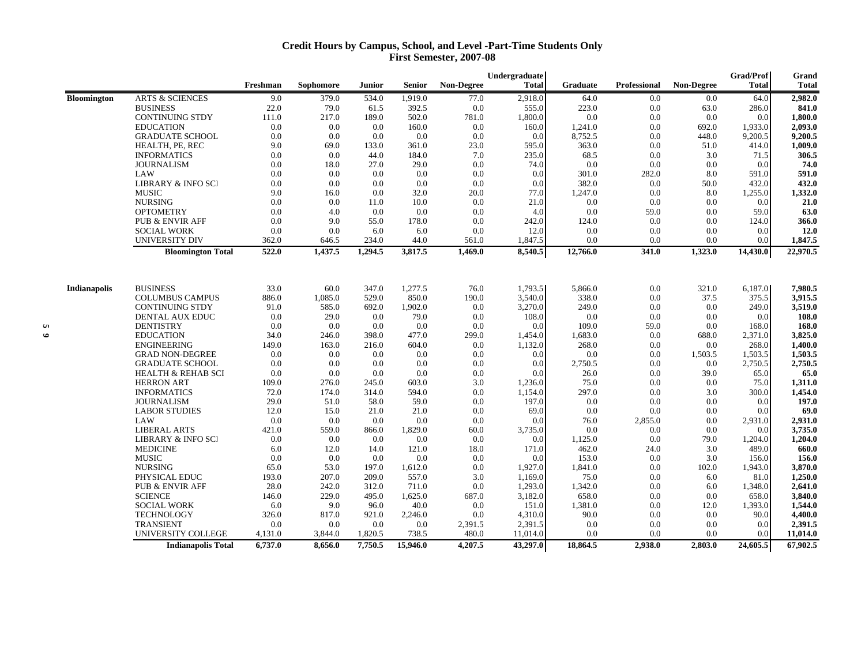### **Credit Hours by Campus, School, and Level -Part-Time Students Only First Semester, 2007-08**

| Freshman<br>Sophomore<br>Junior<br>Senior<br><b>Non-Degree</b><br>Total<br><b>Graduate</b><br><b>Professional</b><br><b>Non-Degree</b><br>Total<br><b>ARTS &amp; SCIENCES</b><br>2,918.0<br>9.0<br>379.0<br>534.0<br>1,919.0<br>77.0<br>64.0<br>0.0<br>0.0<br>64.0<br>22.0<br>79.0<br>392.5<br>555.0<br>223.0<br><b>BUSINESS</b><br>61.5<br>0.0<br>0.0<br>63.0<br>286.0<br><b>CONTINUING STDY</b><br>217.0<br>189.0<br>502.0<br>781.0<br>1,800.0<br>0.0<br>0.0<br>0.0<br>0.0<br>111.0<br>0.0<br>0.0<br><b>EDUCATION</b><br>0.0<br>160.0<br>0.0<br>160.0<br>1,241.0<br>0.0<br>692.0<br>1,933.0<br><b>GRADUATE SCHOOL</b><br>0.0<br>0.0<br>0.0<br>8,752.5<br>0.0<br>0.0<br>0.0<br>0.0<br>448.0<br>9,200.5<br>23.0<br>363.0<br>0.0<br>HEALTH, PE, REC<br>9.0<br>69.0<br>133.0<br>361.0<br>595.0<br>51.0<br>414.0<br><b>INFORMATICS</b><br>0.0<br>0.0<br>184.0<br>7.0<br>235.0<br>0.0<br>44.0<br>68.5<br>3.0<br>71.5<br><b>JOURNALISM</b><br>0.0<br>27.0<br>29.0<br>0.0<br>18.0<br>0.0<br>74.0<br>0.0<br>0.0<br>0.0<br>LAW<br>0.0<br>0.0<br>0.0<br>0.0<br>0.0<br>0.0<br>301.0<br>282.0<br>8.0<br>591.0<br>0.0<br>382.0<br>432.0<br><b>LIBRARY &amp; INFO SCI</b><br>0.0<br>0.0<br>0.0<br>0.0<br>0.0<br>0.0<br>50.0<br><b>MUSIC</b><br>9.0<br>0.0<br>32.0<br>20.0<br>77.0<br>8.0<br>1,255.0<br>16.0<br>1,247.0<br>0.0<br><b>NURSING</b><br>0.0<br>0.0<br>11.0<br>10.0<br>0.0<br>21.0<br>0.0<br>0.0<br>0.0<br>0.0<br><b>OPTOMETRY</b><br>0.0<br>0.0<br>0.0<br>0.0<br>59.0<br>4.0<br>0.0<br>4.0<br>0.0<br>59.0<br><b>PUB &amp; ENVIR AFF</b><br>0.0<br>9.0<br>55.0<br>178.0<br>0.0<br>242.0<br>124.0<br>0.0<br>0.0<br>124.0<br>0.0<br>0.0<br>6.0<br>0.0<br>12.0<br>0.0<br>0.0<br><b>SOCIAL WORK</b><br>6.0<br>0.0<br>0.0<br>UNIVERSITY DIV<br>362.0<br>234.0<br>44.0<br>1,847.5<br>0.0<br>0.0<br>646.5<br>561.0<br>0.0<br>0.0<br>522.0<br>1,437.5<br>1,294.5<br>1,469.0<br>8,540.5<br>341.0<br>1,323.0<br>14,430.0<br>3,817.5<br>12,766.0<br><b>Bloomington Total</b><br><b>BUSINESS</b><br>1,277.5<br>Indianapolis<br>33.0<br>60.0<br>347.0<br>76.0<br>1,793.5<br>5,866.0<br>0.0<br>321.0<br>6,187.0<br><b>COLUMBUS CAMPUS</b><br>1,085.0<br>529.0<br>850.0<br>190.0<br>3,540.0<br>338.0<br>0.0<br>37.5<br>375.5<br>886.0<br>585.0<br><b>CONTINUING STDY</b><br>91.0<br>692.0<br>1,902.0<br>0.0<br>3,270.0<br>249.0<br>0.0<br>0.0<br>249.0<br>DENTAL AUX EDUC<br>0.0<br>29.0<br>0.0<br>79.0<br>108.0<br>0.0<br>0.0<br>0.0<br>0.0<br>0.0<br><b>DENTISTRY</b><br>0.0<br>0.0<br>0.0<br>0.0<br>0.0<br>0.0<br>109.0<br>59.0<br>0.0<br>168.0<br><b>EDUCATION</b><br>477.0<br>2,371.0<br>34.0<br>246.0<br>398.0<br>299.0<br>1,454.0<br>1,683.0<br>0.0<br>688.0<br>0.0<br>268.0<br><b>ENGINEERING</b><br>149.0<br>163.0<br>216.0<br>604.0<br>0.0<br>1,132.0<br>268.0<br>0.0<br><b>GRAD NON-DEGREE</b><br>0.0<br>0.0<br>0.0<br>0.0<br>0.0<br>0.0<br>1,503.5<br>0.0<br>0.0<br>1,503.5<br><b>GRADUATE SCHOOL</b><br>0.0<br>0.0<br>0.0<br>0.0<br>0.0<br>0.0<br>0.0<br>0.0<br>2,750.5<br>2,750.5<br><b>HEALTH &amp; REHAB SCI</b><br>0.0<br>0.0<br>0.0<br>0.0<br>0.0<br>0.0<br>0.0<br>39.0<br>26.0<br>65.0<br><b>HERRON ART</b><br>75.0<br>109.0<br>276.0<br>245.0<br>603.0<br>3.0<br>1,236.0<br>0.0<br>0.0<br>75.0<br><b>INFORMATICS</b><br>72.0<br>174.0<br>314.0<br>594.0<br>0.0<br>1,154.0<br>297.0<br>0.0<br>3.0<br>300.0<br>29.0<br>59.0<br>197.0<br><b>JOURNALISM</b><br>51.0<br>58.0<br>0.0<br>0.0<br>0.0<br>0.0<br>0.0<br><b>LABOR STUDIES</b><br>12.0<br>21.0<br>21.0<br>0.0<br>69.0<br>0.0<br>0.0<br>0.0<br>15.0<br>0.0<br>LAW<br>0.0<br>0.0<br>0.0<br>0.0<br>0.0<br>0.0<br>76.0<br>2,855.0<br>0.0<br>2,931.0<br>2,931.0<br><b>LIBERAL ARTS</b><br>421.0<br>559.0<br>1,829.0<br>60.0<br>0.0<br>866.0<br>3,735.0<br>0.0<br>$0.0\,$<br>0.0<br>3,735.0<br>0.0<br>0.0<br>0.0<br><b>LIBRARY &amp; INFO SCI</b><br>0.0<br>0.0<br>0.0<br>1,125.0<br>0.0<br>79.0<br>1,204.0<br>1,204.0<br>121.0<br>489.0<br><b>MEDICINE</b><br>6.0<br>12.0<br>14.0<br>18.0<br>171.0<br>462.0<br>24.0<br>3.0<br><b>MUSIC</b><br>0.0<br>0.0<br>0.0<br>0.0<br>0.0<br>153.0<br>0.0<br>3.0<br>0.0<br>156.0<br><b>NURSING</b><br>53.0<br>1,927.0<br>65.0<br>197.0<br>1,612.0<br>0.0<br>1,841.0<br>0.0<br>102.0<br>1,943.0<br>PHYSICAL EDUC<br>193.0<br>207.0<br>557.0<br>1,169.0<br>0.0<br>81.0<br>209.0<br>3.0<br>75.0<br>6.0<br>28.0<br>1,293.0<br><b>PUB &amp; ENVIR AFF</b><br>242.0<br>312.0<br>711.0<br>0.0<br>1,342.0<br>0.0<br>6.0<br>1,348.0<br><b>SCIENCE</b><br>229.0<br>3,182.0<br>658.0<br>0.0<br>146.0<br>495.0<br>1,625.0<br>687.0<br>0.0<br>658.0<br><b>SOCIAL WORK</b><br>9.0<br>40.0<br>151.0<br>0.0<br>6.0<br>96.0<br>0.0<br>1,381.0<br>12.0<br>1,393.0<br>1,544.0<br><b>TECHNOLOGY</b><br>817.0<br>921.0<br>4,310.0<br>0.0<br>0.0<br>90.0<br>326.0<br>2,246.0<br>0.0<br>90.0<br>TRANSIENT<br>0.0<br>0.0<br>0.0<br>0.0<br>2,391.5<br>2,391.5<br>0.0<br>0.0<br>0.0<br>0.0<br>UNIVERSITY COLLEGE<br>4,131.0<br>3,844.0<br>1,820.5<br>738.5<br>480.0<br>11,014.0<br>0.0<br>0.0<br>0.0<br>0.0<br>43,297.0<br>24,605.5<br>6,737.0<br>8,656.0<br>7,750.5<br>4,207.5<br>18,864.5<br>2,938.0<br>2,803.0<br>15,946.0<br><b>Indianapolis Total</b> |                    |  |  |  | Undergraduate |  | Grad/Prof | Grand    |
|-----------------------------------------------------------------------------------------------------------------------------------------------------------------------------------------------------------------------------------------------------------------------------------------------------------------------------------------------------------------------------------------------------------------------------------------------------------------------------------------------------------------------------------------------------------------------------------------------------------------------------------------------------------------------------------------------------------------------------------------------------------------------------------------------------------------------------------------------------------------------------------------------------------------------------------------------------------------------------------------------------------------------------------------------------------------------------------------------------------------------------------------------------------------------------------------------------------------------------------------------------------------------------------------------------------------------------------------------------------------------------------------------------------------------------------------------------------------------------------------------------------------------------------------------------------------------------------------------------------------------------------------------------------------------------------------------------------------------------------------------------------------------------------------------------------------------------------------------------------------------------------------------------------------------------------------------------------------------------------------------------------------------------------------------------------------------------------------------------------------------------------------------------------------------------------------------------------------------------------------------------------------------------------------------------------------------------------------------------------------------------------------------------------------------------------------------------------------------------------------------------------------------------------------------------------------------------------------------------------------------------------------------------------------------------------------------------------------------------------------------------------------------------------------------------------------------------------------------------------------------------------------------------------------------------------------------------------------------------------------------------------------------------------------------------------------------------------------------------------------------------------------------------------------------------------------------------------------------------------------------------------------------------------------------------------------------------------------------------------------------------------------------------------------------------------------------------------------------------------------------------------------------------------------------------------------------------------------------------------------------------------------------------------------------------------------------------------------------------------------------------------------------------------------------------------------------------------------------------------------------------------------------------------------------------------------------------------------------------------------------------------------------------------------------------------------------------------------------------------------------------------------------------------------------------------------------------------------------------------------------------------------------------------------------------------------------------------------------------------------------------------------------------------------------------------------------------------------------------------------------------------------------------------------------------------------------------------------------------------------------------------------------------------------------------------------------------------------------------------------------------------------------------------------------------------------------------------------------------------------------------------------------------------------------------------------------------------------------------------------------------------------------------------------------------------------------------------------------------------------------|--------------------|--|--|--|---------------|--|-----------|----------|
|                                                                                                                                                                                                                                                                                                                                                                                                                                                                                                                                                                                                                                                                                                                                                                                                                                                                                                                                                                                                                                                                                                                                                                                                                                                                                                                                                                                                                                                                                                                                                                                                                                                                                                                                                                                                                                                                                                                                                                                                                                                                                                                                                                                                                                                                                                                                                                                                                                                                                                                                                                                                                                                                                                                                                                                                                                                                                                                                                                                                                                                                                                                                                                                                                                                                                                                                                                                                                                                                                                                                                                                                                                                                                                                                                                                                                                                                                                                                                                                                                                                                                                                                                                                                                                                                                                                                                                                                                                                                                                                                                                                                                                                                                                                                                                                                                                                                                                                                                                                                                                                                                                                       |                    |  |  |  |               |  |           | Total    |
|                                                                                                                                                                                                                                                                                                                                                                                                                                                                                                                                                                                                                                                                                                                                                                                                                                                                                                                                                                                                                                                                                                                                                                                                                                                                                                                                                                                                                                                                                                                                                                                                                                                                                                                                                                                                                                                                                                                                                                                                                                                                                                                                                                                                                                                                                                                                                                                                                                                                                                                                                                                                                                                                                                                                                                                                                                                                                                                                                                                                                                                                                                                                                                                                                                                                                                                                                                                                                                                                                                                                                                                                                                                                                                                                                                                                                                                                                                                                                                                                                                                                                                                                                                                                                                                                                                                                                                                                                                                                                                                                                                                                                                                                                                                                                                                                                                                                                                                                                                                                                                                                                                                       | <b>Bloomington</b> |  |  |  |               |  |           | 2,982.0  |
|                                                                                                                                                                                                                                                                                                                                                                                                                                                                                                                                                                                                                                                                                                                                                                                                                                                                                                                                                                                                                                                                                                                                                                                                                                                                                                                                                                                                                                                                                                                                                                                                                                                                                                                                                                                                                                                                                                                                                                                                                                                                                                                                                                                                                                                                                                                                                                                                                                                                                                                                                                                                                                                                                                                                                                                                                                                                                                                                                                                                                                                                                                                                                                                                                                                                                                                                                                                                                                                                                                                                                                                                                                                                                                                                                                                                                                                                                                                                                                                                                                                                                                                                                                                                                                                                                                                                                                                                                                                                                                                                                                                                                                                                                                                                                                                                                                                                                                                                                                                                                                                                                                                       |                    |  |  |  |               |  |           | 841.0    |
|                                                                                                                                                                                                                                                                                                                                                                                                                                                                                                                                                                                                                                                                                                                                                                                                                                                                                                                                                                                                                                                                                                                                                                                                                                                                                                                                                                                                                                                                                                                                                                                                                                                                                                                                                                                                                                                                                                                                                                                                                                                                                                                                                                                                                                                                                                                                                                                                                                                                                                                                                                                                                                                                                                                                                                                                                                                                                                                                                                                                                                                                                                                                                                                                                                                                                                                                                                                                                                                                                                                                                                                                                                                                                                                                                                                                                                                                                                                                                                                                                                                                                                                                                                                                                                                                                                                                                                                                                                                                                                                                                                                                                                                                                                                                                                                                                                                                                                                                                                                                                                                                                                                       |                    |  |  |  |               |  |           | 1,800.0  |
|                                                                                                                                                                                                                                                                                                                                                                                                                                                                                                                                                                                                                                                                                                                                                                                                                                                                                                                                                                                                                                                                                                                                                                                                                                                                                                                                                                                                                                                                                                                                                                                                                                                                                                                                                                                                                                                                                                                                                                                                                                                                                                                                                                                                                                                                                                                                                                                                                                                                                                                                                                                                                                                                                                                                                                                                                                                                                                                                                                                                                                                                                                                                                                                                                                                                                                                                                                                                                                                                                                                                                                                                                                                                                                                                                                                                                                                                                                                                                                                                                                                                                                                                                                                                                                                                                                                                                                                                                                                                                                                                                                                                                                                                                                                                                                                                                                                                                                                                                                                                                                                                                                                       |                    |  |  |  |               |  |           | 2.093.0  |
|                                                                                                                                                                                                                                                                                                                                                                                                                                                                                                                                                                                                                                                                                                                                                                                                                                                                                                                                                                                                                                                                                                                                                                                                                                                                                                                                                                                                                                                                                                                                                                                                                                                                                                                                                                                                                                                                                                                                                                                                                                                                                                                                                                                                                                                                                                                                                                                                                                                                                                                                                                                                                                                                                                                                                                                                                                                                                                                                                                                                                                                                                                                                                                                                                                                                                                                                                                                                                                                                                                                                                                                                                                                                                                                                                                                                                                                                                                                                                                                                                                                                                                                                                                                                                                                                                                                                                                                                                                                                                                                                                                                                                                                                                                                                                                                                                                                                                                                                                                                                                                                                                                                       |                    |  |  |  |               |  |           | 9,200.5  |
|                                                                                                                                                                                                                                                                                                                                                                                                                                                                                                                                                                                                                                                                                                                                                                                                                                                                                                                                                                                                                                                                                                                                                                                                                                                                                                                                                                                                                                                                                                                                                                                                                                                                                                                                                                                                                                                                                                                                                                                                                                                                                                                                                                                                                                                                                                                                                                                                                                                                                                                                                                                                                                                                                                                                                                                                                                                                                                                                                                                                                                                                                                                                                                                                                                                                                                                                                                                                                                                                                                                                                                                                                                                                                                                                                                                                                                                                                                                                                                                                                                                                                                                                                                                                                                                                                                                                                                                                                                                                                                                                                                                                                                                                                                                                                                                                                                                                                                                                                                                                                                                                                                                       |                    |  |  |  |               |  |           | 1.009.0  |
|                                                                                                                                                                                                                                                                                                                                                                                                                                                                                                                                                                                                                                                                                                                                                                                                                                                                                                                                                                                                                                                                                                                                                                                                                                                                                                                                                                                                                                                                                                                                                                                                                                                                                                                                                                                                                                                                                                                                                                                                                                                                                                                                                                                                                                                                                                                                                                                                                                                                                                                                                                                                                                                                                                                                                                                                                                                                                                                                                                                                                                                                                                                                                                                                                                                                                                                                                                                                                                                                                                                                                                                                                                                                                                                                                                                                                                                                                                                                                                                                                                                                                                                                                                                                                                                                                                                                                                                                                                                                                                                                                                                                                                                                                                                                                                                                                                                                                                                                                                                                                                                                                                                       |                    |  |  |  |               |  |           | 306.5    |
|                                                                                                                                                                                                                                                                                                                                                                                                                                                                                                                                                                                                                                                                                                                                                                                                                                                                                                                                                                                                                                                                                                                                                                                                                                                                                                                                                                                                                                                                                                                                                                                                                                                                                                                                                                                                                                                                                                                                                                                                                                                                                                                                                                                                                                                                                                                                                                                                                                                                                                                                                                                                                                                                                                                                                                                                                                                                                                                                                                                                                                                                                                                                                                                                                                                                                                                                                                                                                                                                                                                                                                                                                                                                                                                                                                                                                                                                                                                                                                                                                                                                                                                                                                                                                                                                                                                                                                                                                                                                                                                                                                                                                                                                                                                                                                                                                                                                                                                                                                                                                                                                                                                       |                    |  |  |  |               |  |           | 74.0     |
|                                                                                                                                                                                                                                                                                                                                                                                                                                                                                                                                                                                                                                                                                                                                                                                                                                                                                                                                                                                                                                                                                                                                                                                                                                                                                                                                                                                                                                                                                                                                                                                                                                                                                                                                                                                                                                                                                                                                                                                                                                                                                                                                                                                                                                                                                                                                                                                                                                                                                                                                                                                                                                                                                                                                                                                                                                                                                                                                                                                                                                                                                                                                                                                                                                                                                                                                                                                                                                                                                                                                                                                                                                                                                                                                                                                                                                                                                                                                                                                                                                                                                                                                                                                                                                                                                                                                                                                                                                                                                                                                                                                                                                                                                                                                                                                                                                                                                                                                                                                                                                                                                                                       |                    |  |  |  |               |  |           | 591.0    |
|                                                                                                                                                                                                                                                                                                                                                                                                                                                                                                                                                                                                                                                                                                                                                                                                                                                                                                                                                                                                                                                                                                                                                                                                                                                                                                                                                                                                                                                                                                                                                                                                                                                                                                                                                                                                                                                                                                                                                                                                                                                                                                                                                                                                                                                                                                                                                                                                                                                                                                                                                                                                                                                                                                                                                                                                                                                                                                                                                                                                                                                                                                                                                                                                                                                                                                                                                                                                                                                                                                                                                                                                                                                                                                                                                                                                                                                                                                                                                                                                                                                                                                                                                                                                                                                                                                                                                                                                                                                                                                                                                                                                                                                                                                                                                                                                                                                                                                                                                                                                                                                                                                                       |                    |  |  |  |               |  |           | 432.0    |
|                                                                                                                                                                                                                                                                                                                                                                                                                                                                                                                                                                                                                                                                                                                                                                                                                                                                                                                                                                                                                                                                                                                                                                                                                                                                                                                                                                                                                                                                                                                                                                                                                                                                                                                                                                                                                                                                                                                                                                                                                                                                                                                                                                                                                                                                                                                                                                                                                                                                                                                                                                                                                                                                                                                                                                                                                                                                                                                                                                                                                                                                                                                                                                                                                                                                                                                                                                                                                                                                                                                                                                                                                                                                                                                                                                                                                                                                                                                                                                                                                                                                                                                                                                                                                                                                                                                                                                                                                                                                                                                                                                                                                                                                                                                                                                                                                                                                                                                                                                                                                                                                                                                       |                    |  |  |  |               |  |           | 1,332.0  |
|                                                                                                                                                                                                                                                                                                                                                                                                                                                                                                                                                                                                                                                                                                                                                                                                                                                                                                                                                                                                                                                                                                                                                                                                                                                                                                                                                                                                                                                                                                                                                                                                                                                                                                                                                                                                                                                                                                                                                                                                                                                                                                                                                                                                                                                                                                                                                                                                                                                                                                                                                                                                                                                                                                                                                                                                                                                                                                                                                                                                                                                                                                                                                                                                                                                                                                                                                                                                                                                                                                                                                                                                                                                                                                                                                                                                                                                                                                                                                                                                                                                                                                                                                                                                                                                                                                                                                                                                                                                                                                                                                                                                                                                                                                                                                                                                                                                                                                                                                                                                                                                                                                                       |                    |  |  |  |               |  |           | 21.0     |
|                                                                                                                                                                                                                                                                                                                                                                                                                                                                                                                                                                                                                                                                                                                                                                                                                                                                                                                                                                                                                                                                                                                                                                                                                                                                                                                                                                                                                                                                                                                                                                                                                                                                                                                                                                                                                                                                                                                                                                                                                                                                                                                                                                                                                                                                                                                                                                                                                                                                                                                                                                                                                                                                                                                                                                                                                                                                                                                                                                                                                                                                                                                                                                                                                                                                                                                                                                                                                                                                                                                                                                                                                                                                                                                                                                                                                                                                                                                                                                                                                                                                                                                                                                                                                                                                                                                                                                                                                                                                                                                                                                                                                                                                                                                                                                                                                                                                                                                                                                                                                                                                                                                       |                    |  |  |  |               |  |           | 63.0     |
|                                                                                                                                                                                                                                                                                                                                                                                                                                                                                                                                                                                                                                                                                                                                                                                                                                                                                                                                                                                                                                                                                                                                                                                                                                                                                                                                                                                                                                                                                                                                                                                                                                                                                                                                                                                                                                                                                                                                                                                                                                                                                                                                                                                                                                                                                                                                                                                                                                                                                                                                                                                                                                                                                                                                                                                                                                                                                                                                                                                                                                                                                                                                                                                                                                                                                                                                                                                                                                                                                                                                                                                                                                                                                                                                                                                                                                                                                                                                                                                                                                                                                                                                                                                                                                                                                                                                                                                                                                                                                                                                                                                                                                                                                                                                                                                                                                                                                                                                                                                                                                                                                                                       |                    |  |  |  |               |  |           | 366.0    |
|                                                                                                                                                                                                                                                                                                                                                                                                                                                                                                                                                                                                                                                                                                                                                                                                                                                                                                                                                                                                                                                                                                                                                                                                                                                                                                                                                                                                                                                                                                                                                                                                                                                                                                                                                                                                                                                                                                                                                                                                                                                                                                                                                                                                                                                                                                                                                                                                                                                                                                                                                                                                                                                                                                                                                                                                                                                                                                                                                                                                                                                                                                                                                                                                                                                                                                                                                                                                                                                                                                                                                                                                                                                                                                                                                                                                                                                                                                                                                                                                                                                                                                                                                                                                                                                                                                                                                                                                                                                                                                                                                                                                                                                                                                                                                                                                                                                                                                                                                                                                                                                                                                                       |                    |  |  |  |               |  |           | 12.0     |
|                                                                                                                                                                                                                                                                                                                                                                                                                                                                                                                                                                                                                                                                                                                                                                                                                                                                                                                                                                                                                                                                                                                                                                                                                                                                                                                                                                                                                                                                                                                                                                                                                                                                                                                                                                                                                                                                                                                                                                                                                                                                                                                                                                                                                                                                                                                                                                                                                                                                                                                                                                                                                                                                                                                                                                                                                                                                                                                                                                                                                                                                                                                                                                                                                                                                                                                                                                                                                                                                                                                                                                                                                                                                                                                                                                                                                                                                                                                                                                                                                                                                                                                                                                                                                                                                                                                                                                                                                                                                                                                                                                                                                                                                                                                                                                                                                                                                                                                                                                                                                                                                                                                       |                    |  |  |  |               |  |           | 1,847.5  |
|                                                                                                                                                                                                                                                                                                                                                                                                                                                                                                                                                                                                                                                                                                                                                                                                                                                                                                                                                                                                                                                                                                                                                                                                                                                                                                                                                                                                                                                                                                                                                                                                                                                                                                                                                                                                                                                                                                                                                                                                                                                                                                                                                                                                                                                                                                                                                                                                                                                                                                                                                                                                                                                                                                                                                                                                                                                                                                                                                                                                                                                                                                                                                                                                                                                                                                                                                                                                                                                                                                                                                                                                                                                                                                                                                                                                                                                                                                                                                                                                                                                                                                                                                                                                                                                                                                                                                                                                                                                                                                                                                                                                                                                                                                                                                                                                                                                                                                                                                                                                                                                                                                                       |                    |  |  |  |               |  |           | 22,970.5 |
|                                                                                                                                                                                                                                                                                                                                                                                                                                                                                                                                                                                                                                                                                                                                                                                                                                                                                                                                                                                                                                                                                                                                                                                                                                                                                                                                                                                                                                                                                                                                                                                                                                                                                                                                                                                                                                                                                                                                                                                                                                                                                                                                                                                                                                                                                                                                                                                                                                                                                                                                                                                                                                                                                                                                                                                                                                                                                                                                                                                                                                                                                                                                                                                                                                                                                                                                                                                                                                                                                                                                                                                                                                                                                                                                                                                                                                                                                                                                                                                                                                                                                                                                                                                                                                                                                                                                                                                                                                                                                                                                                                                                                                                                                                                                                                                                                                                                                                                                                                                                                                                                                                                       |                    |  |  |  |               |  |           |          |
|                                                                                                                                                                                                                                                                                                                                                                                                                                                                                                                                                                                                                                                                                                                                                                                                                                                                                                                                                                                                                                                                                                                                                                                                                                                                                                                                                                                                                                                                                                                                                                                                                                                                                                                                                                                                                                                                                                                                                                                                                                                                                                                                                                                                                                                                                                                                                                                                                                                                                                                                                                                                                                                                                                                                                                                                                                                                                                                                                                                                                                                                                                                                                                                                                                                                                                                                                                                                                                                                                                                                                                                                                                                                                                                                                                                                                                                                                                                                                                                                                                                                                                                                                                                                                                                                                                                                                                                                                                                                                                                                                                                                                                                                                                                                                                                                                                                                                                                                                                                                                                                                                                                       |                    |  |  |  |               |  |           | 7,980.5  |
|                                                                                                                                                                                                                                                                                                                                                                                                                                                                                                                                                                                                                                                                                                                                                                                                                                                                                                                                                                                                                                                                                                                                                                                                                                                                                                                                                                                                                                                                                                                                                                                                                                                                                                                                                                                                                                                                                                                                                                                                                                                                                                                                                                                                                                                                                                                                                                                                                                                                                                                                                                                                                                                                                                                                                                                                                                                                                                                                                                                                                                                                                                                                                                                                                                                                                                                                                                                                                                                                                                                                                                                                                                                                                                                                                                                                                                                                                                                                                                                                                                                                                                                                                                                                                                                                                                                                                                                                                                                                                                                                                                                                                                                                                                                                                                                                                                                                                                                                                                                                                                                                                                                       |                    |  |  |  |               |  |           | 3,915.5  |
|                                                                                                                                                                                                                                                                                                                                                                                                                                                                                                                                                                                                                                                                                                                                                                                                                                                                                                                                                                                                                                                                                                                                                                                                                                                                                                                                                                                                                                                                                                                                                                                                                                                                                                                                                                                                                                                                                                                                                                                                                                                                                                                                                                                                                                                                                                                                                                                                                                                                                                                                                                                                                                                                                                                                                                                                                                                                                                                                                                                                                                                                                                                                                                                                                                                                                                                                                                                                                                                                                                                                                                                                                                                                                                                                                                                                                                                                                                                                                                                                                                                                                                                                                                                                                                                                                                                                                                                                                                                                                                                                                                                                                                                                                                                                                                                                                                                                                                                                                                                                                                                                                                                       |                    |  |  |  |               |  |           | 3,519.0  |
|                                                                                                                                                                                                                                                                                                                                                                                                                                                                                                                                                                                                                                                                                                                                                                                                                                                                                                                                                                                                                                                                                                                                                                                                                                                                                                                                                                                                                                                                                                                                                                                                                                                                                                                                                                                                                                                                                                                                                                                                                                                                                                                                                                                                                                                                                                                                                                                                                                                                                                                                                                                                                                                                                                                                                                                                                                                                                                                                                                                                                                                                                                                                                                                                                                                                                                                                                                                                                                                                                                                                                                                                                                                                                                                                                                                                                                                                                                                                                                                                                                                                                                                                                                                                                                                                                                                                                                                                                                                                                                                                                                                                                                                                                                                                                                                                                                                                                                                                                                                                                                                                                                                       |                    |  |  |  |               |  |           | 108.0    |
|                                                                                                                                                                                                                                                                                                                                                                                                                                                                                                                                                                                                                                                                                                                                                                                                                                                                                                                                                                                                                                                                                                                                                                                                                                                                                                                                                                                                                                                                                                                                                                                                                                                                                                                                                                                                                                                                                                                                                                                                                                                                                                                                                                                                                                                                                                                                                                                                                                                                                                                                                                                                                                                                                                                                                                                                                                                                                                                                                                                                                                                                                                                                                                                                                                                                                                                                                                                                                                                                                                                                                                                                                                                                                                                                                                                                                                                                                                                                                                                                                                                                                                                                                                                                                                                                                                                                                                                                                                                                                                                                                                                                                                                                                                                                                                                                                                                                                                                                                                                                                                                                                                                       |                    |  |  |  |               |  |           | 168.0    |
|                                                                                                                                                                                                                                                                                                                                                                                                                                                                                                                                                                                                                                                                                                                                                                                                                                                                                                                                                                                                                                                                                                                                                                                                                                                                                                                                                                                                                                                                                                                                                                                                                                                                                                                                                                                                                                                                                                                                                                                                                                                                                                                                                                                                                                                                                                                                                                                                                                                                                                                                                                                                                                                                                                                                                                                                                                                                                                                                                                                                                                                                                                                                                                                                                                                                                                                                                                                                                                                                                                                                                                                                                                                                                                                                                                                                                                                                                                                                                                                                                                                                                                                                                                                                                                                                                                                                                                                                                                                                                                                                                                                                                                                                                                                                                                                                                                                                                                                                                                                                                                                                                                                       |                    |  |  |  |               |  |           | 3,825.0  |
|                                                                                                                                                                                                                                                                                                                                                                                                                                                                                                                                                                                                                                                                                                                                                                                                                                                                                                                                                                                                                                                                                                                                                                                                                                                                                                                                                                                                                                                                                                                                                                                                                                                                                                                                                                                                                                                                                                                                                                                                                                                                                                                                                                                                                                                                                                                                                                                                                                                                                                                                                                                                                                                                                                                                                                                                                                                                                                                                                                                                                                                                                                                                                                                                                                                                                                                                                                                                                                                                                                                                                                                                                                                                                                                                                                                                                                                                                                                                                                                                                                                                                                                                                                                                                                                                                                                                                                                                                                                                                                                                                                                                                                                                                                                                                                                                                                                                                                                                                                                                                                                                                                                       |                    |  |  |  |               |  |           | 1,400.0  |
|                                                                                                                                                                                                                                                                                                                                                                                                                                                                                                                                                                                                                                                                                                                                                                                                                                                                                                                                                                                                                                                                                                                                                                                                                                                                                                                                                                                                                                                                                                                                                                                                                                                                                                                                                                                                                                                                                                                                                                                                                                                                                                                                                                                                                                                                                                                                                                                                                                                                                                                                                                                                                                                                                                                                                                                                                                                                                                                                                                                                                                                                                                                                                                                                                                                                                                                                                                                                                                                                                                                                                                                                                                                                                                                                                                                                                                                                                                                                                                                                                                                                                                                                                                                                                                                                                                                                                                                                                                                                                                                                                                                                                                                                                                                                                                                                                                                                                                                                                                                                                                                                                                                       |                    |  |  |  |               |  |           | 1,503.5  |
|                                                                                                                                                                                                                                                                                                                                                                                                                                                                                                                                                                                                                                                                                                                                                                                                                                                                                                                                                                                                                                                                                                                                                                                                                                                                                                                                                                                                                                                                                                                                                                                                                                                                                                                                                                                                                                                                                                                                                                                                                                                                                                                                                                                                                                                                                                                                                                                                                                                                                                                                                                                                                                                                                                                                                                                                                                                                                                                                                                                                                                                                                                                                                                                                                                                                                                                                                                                                                                                                                                                                                                                                                                                                                                                                                                                                                                                                                                                                                                                                                                                                                                                                                                                                                                                                                                                                                                                                                                                                                                                                                                                                                                                                                                                                                                                                                                                                                                                                                                                                                                                                                                                       |                    |  |  |  |               |  |           | 2,750.5  |
|                                                                                                                                                                                                                                                                                                                                                                                                                                                                                                                                                                                                                                                                                                                                                                                                                                                                                                                                                                                                                                                                                                                                                                                                                                                                                                                                                                                                                                                                                                                                                                                                                                                                                                                                                                                                                                                                                                                                                                                                                                                                                                                                                                                                                                                                                                                                                                                                                                                                                                                                                                                                                                                                                                                                                                                                                                                                                                                                                                                                                                                                                                                                                                                                                                                                                                                                                                                                                                                                                                                                                                                                                                                                                                                                                                                                                                                                                                                                                                                                                                                                                                                                                                                                                                                                                                                                                                                                                                                                                                                                                                                                                                                                                                                                                                                                                                                                                                                                                                                                                                                                                                                       |                    |  |  |  |               |  |           | 65.0     |
|                                                                                                                                                                                                                                                                                                                                                                                                                                                                                                                                                                                                                                                                                                                                                                                                                                                                                                                                                                                                                                                                                                                                                                                                                                                                                                                                                                                                                                                                                                                                                                                                                                                                                                                                                                                                                                                                                                                                                                                                                                                                                                                                                                                                                                                                                                                                                                                                                                                                                                                                                                                                                                                                                                                                                                                                                                                                                                                                                                                                                                                                                                                                                                                                                                                                                                                                                                                                                                                                                                                                                                                                                                                                                                                                                                                                                                                                                                                                                                                                                                                                                                                                                                                                                                                                                                                                                                                                                                                                                                                                                                                                                                                                                                                                                                                                                                                                                                                                                                                                                                                                                                                       |                    |  |  |  |               |  |           | 1,311.0  |
|                                                                                                                                                                                                                                                                                                                                                                                                                                                                                                                                                                                                                                                                                                                                                                                                                                                                                                                                                                                                                                                                                                                                                                                                                                                                                                                                                                                                                                                                                                                                                                                                                                                                                                                                                                                                                                                                                                                                                                                                                                                                                                                                                                                                                                                                                                                                                                                                                                                                                                                                                                                                                                                                                                                                                                                                                                                                                                                                                                                                                                                                                                                                                                                                                                                                                                                                                                                                                                                                                                                                                                                                                                                                                                                                                                                                                                                                                                                                                                                                                                                                                                                                                                                                                                                                                                                                                                                                                                                                                                                                                                                                                                                                                                                                                                                                                                                                                                                                                                                                                                                                                                                       |                    |  |  |  |               |  |           | 1,454.0  |
|                                                                                                                                                                                                                                                                                                                                                                                                                                                                                                                                                                                                                                                                                                                                                                                                                                                                                                                                                                                                                                                                                                                                                                                                                                                                                                                                                                                                                                                                                                                                                                                                                                                                                                                                                                                                                                                                                                                                                                                                                                                                                                                                                                                                                                                                                                                                                                                                                                                                                                                                                                                                                                                                                                                                                                                                                                                                                                                                                                                                                                                                                                                                                                                                                                                                                                                                                                                                                                                                                                                                                                                                                                                                                                                                                                                                                                                                                                                                                                                                                                                                                                                                                                                                                                                                                                                                                                                                                                                                                                                                                                                                                                                                                                                                                                                                                                                                                                                                                                                                                                                                                                                       |                    |  |  |  |               |  |           | 197.0    |
|                                                                                                                                                                                                                                                                                                                                                                                                                                                                                                                                                                                                                                                                                                                                                                                                                                                                                                                                                                                                                                                                                                                                                                                                                                                                                                                                                                                                                                                                                                                                                                                                                                                                                                                                                                                                                                                                                                                                                                                                                                                                                                                                                                                                                                                                                                                                                                                                                                                                                                                                                                                                                                                                                                                                                                                                                                                                                                                                                                                                                                                                                                                                                                                                                                                                                                                                                                                                                                                                                                                                                                                                                                                                                                                                                                                                                                                                                                                                                                                                                                                                                                                                                                                                                                                                                                                                                                                                                                                                                                                                                                                                                                                                                                                                                                                                                                                                                                                                                                                                                                                                                                                       |                    |  |  |  |               |  |           |          |
|                                                                                                                                                                                                                                                                                                                                                                                                                                                                                                                                                                                                                                                                                                                                                                                                                                                                                                                                                                                                                                                                                                                                                                                                                                                                                                                                                                                                                                                                                                                                                                                                                                                                                                                                                                                                                                                                                                                                                                                                                                                                                                                                                                                                                                                                                                                                                                                                                                                                                                                                                                                                                                                                                                                                                                                                                                                                                                                                                                                                                                                                                                                                                                                                                                                                                                                                                                                                                                                                                                                                                                                                                                                                                                                                                                                                                                                                                                                                                                                                                                                                                                                                                                                                                                                                                                                                                                                                                                                                                                                                                                                                                                                                                                                                                                                                                                                                                                                                                                                                                                                                                                                       |                    |  |  |  |               |  |           |          |
|                                                                                                                                                                                                                                                                                                                                                                                                                                                                                                                                                                                                                                                                                                                                                                                                                                                                                                                                                                                                                                                                                                                                                                                                                                                                                                                                                                                                                                                                                                                                                                                                                                                                                                                                                                                                                                                                                                                                                                                                                                                                                                                                                                                                                                                                                                                                                                                                                                                                                                                                                                                                                                                                                                                                                                                                                                                                                                                                                                                                                                                                                                                                                                                                                                                                                                                                                                                                                                                                                                                                                                                                                                                                                                                                                                                                                                                                                                                                                                                                                                                                                                                                                                                                                                                                                                                                                                                                                                                                                                                                                                                                                                                                                                                                                                                                                                                                                                                                                                                                                                                                                                                       |                    |  |  |  |               |  |           |          |
|                                                                                                                                                                                                                                                                                                                                                                                                                                                                                                                                                                                                                                                                                                                                                                                                                                                                                                                                                                                                                                                                                                                                                                                                                                                                                                                                                                                                                                                                                                                                                                                                                                                                                                                                                                                                                                                                                                                                                                                                                                                                                                                                                                                                                                                                                                                                                                                                                                                                                                                                                                                                                                                                                                                                                                                                                                                                                                                                                                                                                                                                                                                                                                                                                                                                                                                                                                                                                                                                                                                                                                                                                                                                                                                                                                                                                                                                                                                                                                                                                                                                                                                                                                                                                                                                                                                                                                                                                                                                                                                                                                                                                                                                                                                                                                                                                                                                                                                                                                                                                                                                                                                       |                    |  |  |  |               |  |           |          |
|                                                                                                                                                                                                                                                                                                                                                                                                                                                                                                                                                                                                                                                                                                                                                                                                                                                                                                                                                                                                                                                                                                                                                                                                                                                                                                                                                                                                                                                                                                                                                                                                                                                                                                                                                                                                                                                                                                                                                                                                                                                                                                                                                                                                                                                                                                                                                                                                                                                                                                                                                                                                                                                                                                                                                                                                                                                                                                                                                                                                                                                                                                                                                                                                                                                                                                                                                                                                                                                                                                                                                                                                                                                                                                                                                                                                                                                                                                                                                                                                                                                                                                                                                                                                                                                                                                                                                                                                                                                                                                                                                                                                                                                                                                                                                                                                                                                                                                                                                                                                                                                                                                                       |                    |  |  |  |               |  |           | 660.0    |
|                                                                                                                                                                                                                                                                                                                                                                                                                                                                                                                                                                                                                                                                                                                                                                                                                                                                                                                                                                                                                                                                                                                                                                                                                                                                                                                                                                                                                                                                                                                                                                                                                                                                                                                                                                                                                                                                                                                                                                                                                                                                                                                                                                                                                                                                                                                                                                                                                                                                                                                                                                                                                                                                                                                                                                                                                                                                                                                                                                                                                                                                                                                                                                                                                                                                                                                                                                                                                                                                                                                                                                                                                                                                                                                                                                                                                                                                                                                                                                                                                                                                                                                                                                                                                                                                                                                                                                                                                                                                                                                                                                                                                                                                                                                                                                                                                                                                                                                                                                                                                                                                                                                       |                    |  |  |  |               |  |           | 156.0    |
|                                                                                                                                                                                                                                                                                                                                                                                                                                                                                                                                                                                                                                                                                                                                                                                                                                                                                                                                                                                                                                                                                                                                                                                                                                                                                                                                                                                                                                                                                                                                                                                                                                                                                                                                                                                                                                                                                                                                                                                                                                                                                                                                                                                                                                                                                                                                                                                                                                                                                                                                                                                                                                                                                                                                                                                                                                                                                                                                                                                                                                                                                                                                                                                                                                                                                                                                                                                                                                                                                                                                                                                                                                                                                                                                                                                                                                                                                                                                                                                                                                                                                                                                                                                                                                                                                                                                                                                                                                                                                                                                                                                                                                                                                                                                                                                                                                                                                                                                                                                                                                                                                                                       |                    |  |  |  |               |  |           | 3.870.0  |
|                                                                                                                                                                                                                                                                                                                                                                                                                                                                                                                                                                                                                                                                                                                                                                                                                                                                                                                                                                                                                                                                                                                                                                                                                                                                                                                                                                                                                                                                                                                                                                                                                                                                                                                                                                                                                                                                                                                                                                                                                                                                                                                                                                                                                                                                                                                                                                                                                                                                                                                                                                                                                                                                                                                                                                                                                                                                                                                                                                                                                                                                                                                                                                                                                                                                                                                                                                                                                                                                                                                                                                                                                                                                                                                                                                                                                                                                                                                                                                                                                                                                                                                                                                                                                                                                                                                                                                                                                                                                                                                                                                                                                                                                                                                                                                                                                                                                                                                                                                                                                                                                                                                       |                    |  |  |  |               |  |           | 1,250.0  |
|                                                                                                                                                                                                                                                                                                                                                                                                                                                                                                                                                                                                                                                                                                                                                                                                                                                                                                                                                                                                                                                                                                                                                                                                                                                                                                                                                                                                                                                                                                                                                                                                                                                                                                                                                                                                                                                                                                                                                                                                                                                                                                                                                                                                                                                                                                                                                                                                                                                                                                                                                                                                                                                                                                                                                                                                                                                                                                                                                                                                                                                                                                                                                                                                                                                                                                                                                                                                                                                                                                                                                                                                                                                                                                                                                                                                                                                                                                                                                                                                                                                                                                                                                                                                                                                                                                                                                                                                                                                                                                                                                                                                                                                                                                                                                                                                                                                                                                                                                                                                                                                                                                                       |                    |  |  |  |               |  |           | 2,641.0  |
|                                                                                                                                                                                                                                                                                                                                                                                                                                                                                                                                                                                                                                                                                                                                                                                                                                                                                                                                                                                                                                                                                                                                                                                                                                                                                                                                                                                                                                                                                                                                                                                                                                                                                                                                                                                                                                                                                                                                                                                                                                                                                                                                                                                                                                                                                                                                                                                                                                                                                                                                                                                                                                                                                                                                                                                                                                                                                                                                                                                                                                                                                                                                                                                                                                                                                                                                                                                                                                                                                                                                                                                                                                                                                                                                                                                                                                                                                                                                                                                                                                                                                                                                                                                                                                                                                                                                                                                                                                                                                                                                                                                                                                                                                                                                                                                                                                                                                                                                                                                                                                                                                                                       |                    |  |  |  |               |  |           | 3,840.0  |
|                                                                                                                                                                                                                                                                                                                                                                                                                                                                                                                                                                                                                                                                                                                                                                                                                                                                                                                                                                                                                                                                                                                                                                                                                                                                                                                                                                                                                                                                                                                                                                                                                                                                                                                                                                                                                                                                                                                                                                                                                                                                                                                                                                                                                                                                                                                                                                                                                                                                                                                                                                                                                                                                                                                                                                                                                                                                                                                                                                                                                                                                                                                                                                                                                                                                                                                                                                                                                                                                                                                                                                                                                                                                                                                                                                                                                                                                                                                                                                                                                                                                                                                                                                                                                                                                                                                                                                                                                                                                                                                                                                                                                                                                                                                                                                                                                                                                                                                                                                                                                                                                                                                       |                    |  |  |  |               |  |           |          |
|                                                                                                                                                                                                                                                                                                                                                                                                                                                                                                                                                                                                                                                                                                                                                                                                                                                                                                                                                                                                                                                                                                                                                                                                                                                                                                                                                                                                                                                                                                                                                                                                                                                                                                                                                                                                                                                                                                                                                                                                                                                                                                                                                                                                                                                                                                                                                                                                                                                                                                                                                                                                                                                                                                                                                                                                                                                                                                                                                                                                                                                                                                                                                                                                                                                                                                                                                                                                                                                                                                                                                                                                                                                                                                                                                                                                                                                                                                                                                                                                                                                                                                                                                                                                                                                                                                                                                                                                                                                                                                                                                                                                                                                                                                                                                                                                                                                                                                                                                                                                                                                                                                                       |                    |  |  |  |               |  |           | 4,400.0  |
|                                                                                                                                                                                                                                                                                                                                                                                                                                                                                                                                                                                                                                                                                                                                                                                                                                                                                                                                                                                                                                                                                                                                                                                                                                                                                                                                                                                                                                                                                                                                                                                                                                                                                                                                                                                                                                                                                                                                                                                                                                                                                                                                                                                                                                                                                                                                                                                                                                                                                                                                                                                                                                                                                                                                                                                                                                                                                                                                                                                                                                                                                                                                                                                                                                                                                                                                                                                                                                                                                                                                                                                                                                                                                                                                                                                                                                                                                                                                                                                                                                                                                                                                                                                                                                                                                                                                                                                                                                                                                                                                                                                                                                                                                                                                                                                                                                                                                                                                                                                                                                                                                                                       |                    |  |  |  |               |  |           | 2,391.5  |
|                                                                                                                                                                                                                                                                                                                                                                                                                                                                                                                                                                                                                                                                                                                                                                                                                                                                                                                                                                                                                                                                                                                                                                                                                                                                                                                                                                                                                                                                                                                                                                                                                                                                                                                                                                                                                                                                                                                                                                                                                                                                                                                                                                                                                                                                                                                                                                                                                                                                                                                                                                                                                                                                                                                                                                                                                                                                                                                                                                                                                                                                                                                                                                                                                                                                                                                                                                                                                                                                                                                                                                                                                                                                                                                                                                                                                                                                                                                                                                                                                                                                                                                                                                                                                                                                                                                                                                                                                                                                                                                                                                                                                                                                                                                                                                                                                                                                                                                                                                                                                                                                                                                       |                    |  |  |  |               |  |           | 11,014.0 |
|                                                                                                                                                                                                                                                                                                                                                                                                                                                                                                                                                                                                                                                                                                                                                                                                                                                                                                                                                                                                                                                                                                                                                                                                                                                                                                                                                                                                                                                                                                                                                                                                                                                                                                                                                                                                                                                                                                                                                                                                                                                                                                                                                                                                                                                                                                                                                                                                                                                                                                                                                                                                                                                                                                                                                                                                                                                                                                                                                                                                                                                                                                                                                                                                                                                                                                                                                                                                                                                                                                                                                                                                                                                                                                                                                                                                                                                                                                                                                                                                                                                                                                                                                                                                                                                                                                                                                                                                                                                                                                                                                                                                                                                                                                                                                                                                                                                                                                                                                                                                                                                                                                                       |                    |  |  |  |               |  |           | 67,902.5 |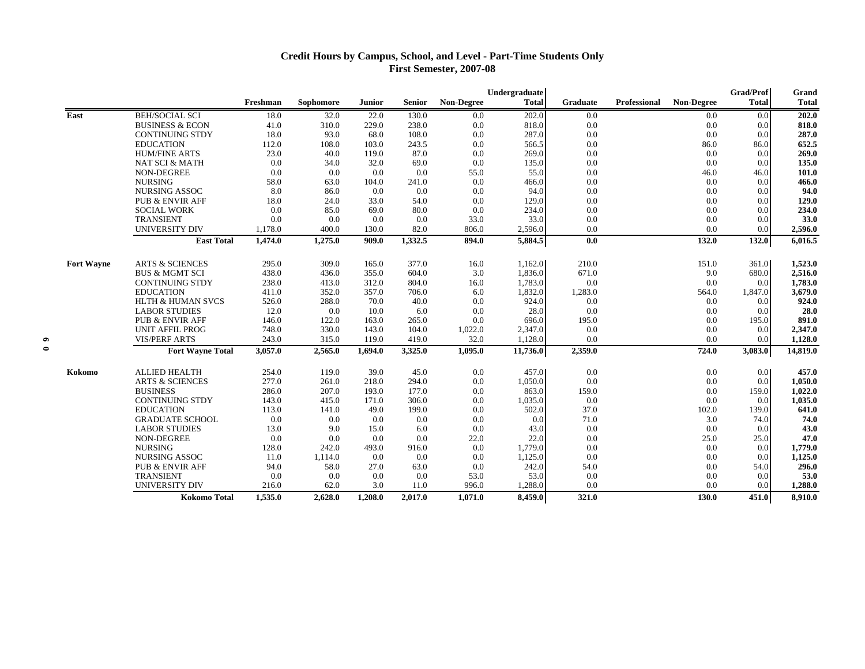### **Credit Hours by Campus, School, and Level - Part-Time Students Only First Semester, 2007-08**

|                   |                              |          |           |         |         |            | Undergraduate |          |              |            | <b>Grad/Prof</b> | Grand        |
|-------------------|------------------------------|----------|-----------|---------|---------|------------|---------------|----------|--------------|------------|------------------|--------------|
|                   |                              | Freshman | Sophomore | Junior  | Senior  | Non-Degree | <b>Total</b>  | Graduate | Professional | Non-Degree | <b>Total</b>     | <b>Total</b> |
| East              | <b>BEH/SOCIAL SCI</b>        | 18.0     | 32.0      | 22.0    | 130.0   | 0.0        | 202.0         | 0.0      |              | 0.0        | 0.0              | 202.0        |
|                   | <b>BUSINESS &amp; ECON</b>   | 41.0     | 310.0     | 229.0   | 238.0   | 0.0        | 818.0         | 0.0      |              | 0.0        | 0.0              | 818.0        |
|                   | <b>CONTINUING STDY</b>       | 18.0     | 93.0      | 68.0    | 108.0   | 0.0        | 287.0         | 0.0      |              | 0.0        | 0.0              | 287.0        |
|                   | <b>EDUCATION</b>             | 112.0    | 108.0     | 103.0   | 243.5   | 0.0        | 566.5         | 0.0      |              | 86.0       | 86.0             | 652.5        |
|                   | <b>HUM/FINE ARTS</b>         | 23.0     | 40.0      | 119.0   | 87.0    | 0.0        | 269.0         | 0.0      |              | 0.0        | 0.0              | 269.0        |
|                   | NAT SCI & MATH               | 0.0      | 34.0      | 32.0    | 69.0    | 0.0        | 135.0         | 0.0      |              | 0.0        | 0.0              | 135.0        |
|                   | NON-DEGREE                   | 0.0      | 0.0       | 0.0     | 0.0     | 55.0       | 55.0          | 0.0      |              | 46.0       | 46.0             | 101.0        |
|                   | <b>NURSING</b>               | 58.0     | 63.0      | 104.0   | 241.0   | 0.0        | 466.0         | 0.0      |              | 0.0        | 0.0              | 466.0        |
|                   | NURSING ASSOC                | 8.0      | 86.0      | 0.0     | 0.0     | 0.0        | 94.0          | 0.0      |              | 0.0        | 0.0              | 94.0         |
|                   | <b>PUB &amp; ENVIR AFF</b>   | 18.0     | 24.0      | 33.0    | 54.0    | 0.0        | 129.0         | 0.0      |              | 0.0        | 0.0              | 129.0        |
|                   | <b>SOCIAL WORK</b>           | 0.0      | 85.0      | 69.0    | 80.0    | 0.0        | 234.0         | 0.0      |              | 0.0        | 0.0              | 234.0        |
|                   | <b>TRANSIENT</b>             | 0.0      | 0.0       | 0.0     | 0.0     | 33.0       | 33.0          | 0.0      |              | 0.0        | 0.0              | 33.0         |
|                   | <b>UNIVERSITY DIV</b>        | 1,178.0  | 400.0     | 130.0   | 82.0    | 806.0      | 2,596.0       | 0.0      |              | 0.0        | 0.0              | 2,596.0      |
|                   | <b>East Total</b>            | 1,474.0  | 1,275.0   | 909.0   | 1,332.5 | 894.0      | 5,884.5       | 0.0      |              | 132.0      | 132.0            | 6,016.5      |
| <b>Fort Wayne</b> | <b>ARTS &amp; SCIENCES</b>   | 295.0    | 309.0     | 165.0   | 377.0   | 16.0       | 1,162.0       | 210.0    |              | 151.0      | 361.0            | 1,523.0      |
|                   | <b>BUS &amp; MGMT SCI</b>    | 438.0    | 436.0     | 355.0   | 604.0   | 3.0        | 1,836.0       | 671.0    |              | 9.0        | 680.0            | 2,516.0      |
|                   | <b>CONTINUING STDY</b>       | 238.0    | 413.0     | 312.0   | 804.0   | 16.0       | 1,783.0       | 0.0      |              | 0.0        | 0.0              | 1,783.0      |
|                   | <b>EDUCATION</b>             | 411.0    | 352.0     | 357.0   | 706.0   | 6.0        | 1,832.0       | 1,283.0  |              | 564.0      | 1,847.0          | 3,679.0      |
|                   | <b>HLTH &amp; HUMAN SVCS</b> | 526.0    | 288.0     | 70.0    | 40.0    | 0.0        | 924.0         | 0.0      |              | 0.0        | 0.0              | 924.0        |
|                   | <b>LABOR STUDIES</b>         | 12.0     | 0.0       | 10.0    | 6.0     | 0.0        | 28.0          | 0.0      |              | 0.0        | 0.0              | 28.0         |
|                   | <b>PUB &amp; ENVIR AFF</b>   | 146.0    | 122.0     | 163.0   | 265.0   | 0.0        | 696.0         | 195.0    |              | 0.0        | 195.0            | 891.0        |
|                   | <b>UNIT AFFIL PROG</b>       | 748.0    | 330.0     | 143.0   | 104.0   | 1,022.0    | 2,347.0       | 0.0      |              | 0.0        | 0.0              | 2,347.0      |
|                   | <b>VIS/PERF ARTS</b>         | 243.0    | 315.0     | 119.0   | 419.0   | 32.0       | 1,128.0       | 0.0      |              | 0.0        | 0.0              | 1,128.0      |
|                   | <b>Fort Wayne Total</b>      | 3,057.0  | 2,565.0   | 1.694.0 | 3,325.0 | 1,095.0    | 11,736.0      | 2,359.0  |              | 724.0      | 3,083.0          | 14,819.0     |
| Kokomo            | ALLIED HEALTH                | 254.0    | 119.0     | 39.0    | 45.0    | 0.0        | 457.0         | 0.0      |              | 0.0        | 0.0              | 457.0        |
|                   | <b>ARTS &amp; SCIENCES</b>   | 277.0    | 261.0     | 218.0   | 294.0   | 0.0        | 1,050.0       | 0.0      |              | 0.0        | 0.0              | 1,050.0      |
|                   | <b>BUSINESS</b>              | 286.0    | 207.0     | 193.0   | 177.0   | 0.0        | 863.0         | 159.0    |              | 0.0        | 159.0            | 1,022.0      |
|                   | <b>CONTINUING STDY</b>       | 143.0    | 415.0     | 171.0   | 306.0   | 0.0        | 1,035.0       | 0.0      |              | 0.0        | 0.0              | 1,035.0      |
|                   | <b>EDUCATION</b>             | 113.0    | 141.0     | 49.0    | 199.0   | 0.0        | 502.0         | 37.0     |              | 102.0      | 139.0            | 641.0        |
|                   | <b>GRADUATE SCHOOL</b>       | 0.0      | 0.0       | 0.0     | 0.0     | 0.0        | 0.0           | 71.0     |              | 3.0        | 74.0             | 74.0         |
|                   | <b>LABOR STUDIES</b>         | 13.0     | 9.0       | 15.0    | 6.0     | 0.0        | 43.0          | 0.0      |              | 0.0        | 0.0              | 43.0         |
|                   | NON-DEGREE                   | 0.0      | 0.0       | 0.0     | 0.0     | 22.0       | 22.0          | 0.0      |              | 25.0       | 25.0             | 47.0         |
|                   | <b>NURSING</b>               | 128.0    | 242.0     | 493.0   | 916.0   | 0.0        | 1,779.0       | 0.0      |              | 0.0        | 0.0              | 1,779.0      |
|                   | <b>NURSING ASSOC</b>         | 11.0     | 1,114.0   | 0.0     | 0.0     | 0.0        | 1,125.0       | 0.0      |              | 0.0        | 0.0              | 1,125.0      |
|                   | <b>PUB &amp; ENVIR AFF</b>   | 94.0     | 58.0      | 27.0    | 63.0    | 0.0        | 242.0         | 54.0     |              | 0.0        | 54.0             | 296.0        |
|                   | <b>TRANSIENT</b>             | 0.0      | 0.0       | 0.0     | 0.0     | 53.0       | 53.0          | 0.0      |              | 0.0        | 0.0              | 53.0         |
|                   | UNIVERSITY DIV               | 216.0    | 62.0      | 3.0     | 11.0    | 996.0      | 1,288.0       | 0.0      |              | 0.0        | 0.0              | 1,288.0      |
|                   | <b>Kokomo Total</b>          | 1,535.0  | 2,628.0   | 1,208.0 | 2,017.0 | 1,071.0    | 8,459.0       | 321.0    |              | 130.0      | 451.0            | 8,910.0      |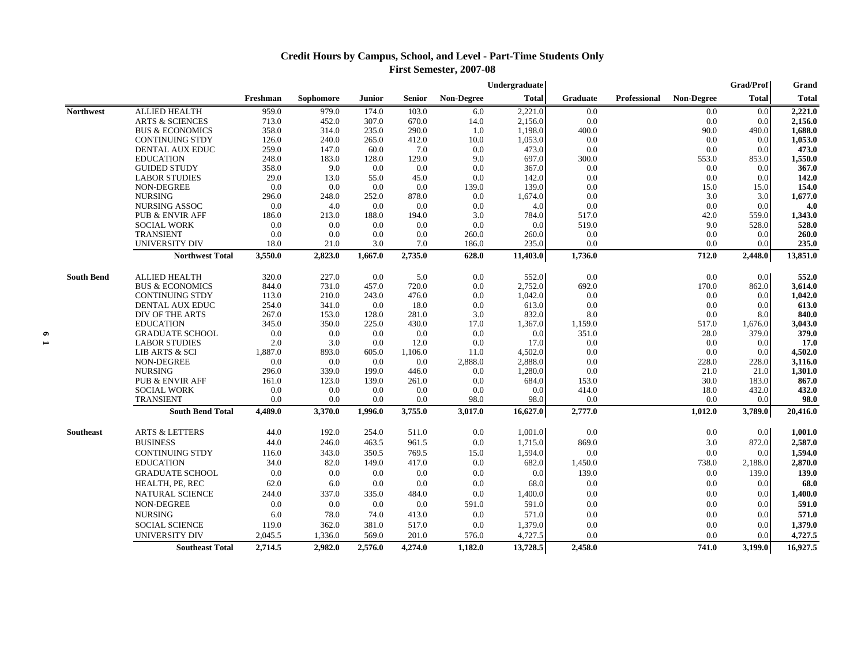### **Credit Hours by Campus, School, and Level - Part-Time Students Only First Semester, 2007-08**

|                   |                            | Undergraduate |                  |         |               |                   |              | <b>Grad/Prof</b> | Grand               |                   |              |              |
|-------------------|----------------------------|---------------|------------------|---------|---------------|-------------------|--------------|------------------|---------------------|-------------------|--------------|--------------|
|                   |                            | Freshman      | <b>Sophomore</b> | Junior  | <b>Senior</b> | <b>Non-Degree</b> | <b>Total</b> | <b>Graduate</b>  | <b>Professional</b> | <b>Non-Degree</b> | <b>Total</b> | <b>Total</b> |
| <b>Northwest</b>  | <b>ALLIED HEALTH</b>       | 959.0         | 979.0            | 174.0   | 103.0         | 6.0               | 2,221.0      | 0.0              |                     | 0.0               | 0.0          | 2,221.0      |
|                   | <b>ARTS &amp; SCIENCES</b> | 713.0         | 452.0            | 307.0   | 670.0         | 14.0              | 2,156.0      | 0.0              |                     | 0.0               | 0.0          | 2,156.0      |
|                   | <b>BUS &amp; ECONOMICS</b> | 358.0         | 314.0            | 235.0   | 290.0         | 1.0               | 1,198.0      | 400.0            |                     | 90.0              | 490.0        | 1,688.0      |
|                   | <b>CONTINUING STDY</b>     | 126.0         | 240.0            | 265.0   | 412.0         | 10.0              | 1,053.0      | 0.0              |                     | 0.0               | 0.0          | 1,053.0      |
|                   | DENTAL AUX EDUC            | 259.0         | 147.0            | 60.0    | 7.0           | 0.0               | 473.0        | 0.0              |                     | 0.0               | 0.0          | 473.0        |
|                   | <b>EDUCATION</b>           | 248.0         | 183.0            | 128.0   | 129.0         | 9.0               | 697.0        | 300.0            |                     | 553.0             | 853.0        | 1,550.0      |
|                   | <b>GUIDED STUDY</b>        | 358.0         | 9.0              | 0.0     | 0.0           | 0.0               | 367.0        | 0.0              |                     | 0.0               | 0.0          | 367.0        |
|                   | <b>LABOR STUDIES</b>       | 29.0          | 13.0             | 55.0    | 45.0          | 0.0               | 142.0        | 0.0              |                     | 0.0               | 0.0          | 142.0        |
|                   | NON-DEGREE                 | 0.0           | 0.0              | 0.0     | 0.0           | 139.0             | 139.0        | 0.0              |                     | 15.0              | 15.0         | 154.0        |
|                   | <b>NURSING</b>             | 296.0         | 248.0            | 252.0   | 878.0         | 0.0               | 1,674.0      | 0.0              |                     | 3.0               | 3.0          | 1,677.0      |
|                   | NURSING ASSOC              | 0.0           | 4.0              | 0.0     | 0.0           | 0.0               | 4.0          | 0.0              |                     | 0.0               | 0.0          | 4.0          |
|                   | <b>PUB &amp; ENVIR AFF</b> | 186.0         | 213.0            | 188.0   | 194.0         | 3.0               | 784.0        | 517.0            |                     | 42.0              | 559.0        | 1,343.0      |
|                   | <b>SOCIAL WORK</b>         | 0.0           | 0.0              | 0.0     | 0.0           | 0.0               | 0.0          | 519.0            |                     | 9.0               | 528.0        | 528.0        |
|                   | <b>TRANSIENT</b>           | 0.0           | 0.0              | 0.0     | 0.0           | 260.0             | 260.0        | 0.0              |                     | 0.0               | 0.0          | 260.0        |
|                   | <b>UNIVERSITY DIV</b>      | 18.0          | 21.0             | 3.0     | 7.0           | 186.0             | 235.0        | 0.0              |                     | 0.0               | 0.0          | 235.0        |
|                   | <b>Northwest Total</b>     | 3,550.0       | 2,823.0          | 1,667.0 | 2,735.0       | 628.0             | 11,403.0     | 1,736.0          |                     | 712.0             | 2,448.0      | 13,851.0     |
| <b>South Bend</b> | <b>ALLIED HEALTH</b>       | 320.0         | 227.0            | 0.0     | 5.0           | 0.0               | 552.0        | 0.0              |                     | 0.0               | 0.0          | 552.0        |
|                   | <b>BUS &amp; ECONOMICS</b> | 844.0         | 731.0            | 457.0   | 720.0         | 0.0               | 2,752.0      | 692.0            |                     | 170.0             | 862.0        | 3,614.0      |
|                   | <b>CONTINUING STDY</b>     | 113.0         | 210.0            | 243.0   | 476.0         | 0.0               | 1.042.0      | 0.0              |                     | 0.0               | 0.0          | 1,042.0      |
|                   | DENTAL AUX EDUC            | 254.0         | 341.0            | 0.0     | 18.0          | 0.0               | 613.0        | 0.0              |                     | 0.0               | 0.0          | 613.0        |
|                   | DIV OF THE ARTS            | 267.0         | 153.0            | 128.0   | 281.0         | 3.0               | 832.0        | 8.0              |                     | 0.0               | 8.0          | 840.0        |
|                   | <b>EDUCATION</b>           | 345.0         | 350.0            | 225.0   | 430.0         | 17.0              | 1,367.0      | 1,159.0          |                     | 517.0             | 1,676.0      | 3,043.0      |
|                   | <b>GRADUATE SCHOOL</b>     | 0.0           | 0.0              | 0.0     | 0.0           | 0.0               | 0.0          | 351.0            |                     | 28.0              | 379.0        | 379.0        |
|                   | <b>LABOR STUDIES</b>       | 2.0           | 3.0              | 0.0     | 12.0          | 0.0               | 17.0         | 0.0              |                     | 0.0               | 0.0          | 17.0         |
|                   | <b>LIB ARTS &amp; SCI</b>  | 1,887.0       | 893.0            | 605.0   | 1,106.0       | 11.0              | 4,502.0      | 0.0              |                     | 0.0               | 0.0          | 4,502.0      |
|                   | NON-DEGREE                 | 0.0           | 0.0              | 0.0     | 0.0           | 2,888.0           | 2,888.0      | 0.0              |                     | 228.0             | 228.0        | 3,116.0      |
|                   | <b>NURSING</b>             | 296.0         | 339.0            | 199.0   | 446.0         | 0.0               | 1,280.0      | 0.0              |                     | 21.0              | 21.0         | 1,301.0      |
|                   | <b>PUB &amp; ENVIR AFF</b> | 161.0         | 123.0            | 139.0   | 261.0         | 0.0               | 684.0        | 153.0            |                     | 30.0              | 183.0        | 867.0        |
|                   | <b>SOCIAL WORK</b>         | 0.0           | 0.0              | 0.0     | 0.0           | 0.0               | 0.0          | 414.0            |                     | 18.0              | 432.0        | 432.0        |
|                   | <b>TRANSIENT</b>           | 0.0           | 0.0              | 0.0     | 0.0           | 98.0              | 98.0         | 0.0              |                     | 0.0               | 0.0          | 98.0         |
|                   | <b>South Bend Total</b>    | 4,489.0       | 3.370.0          | 1.996.0 | 3,755.0       | 3,017.0           | 16,627.0     | 2,777.0          |                     | 1,012.0           | 3,789.0      | 20,416.0     |
| <b>Southeast</b>  | <b>ARTS &amp; LETTERS</b>  | 44.0          | 192.0            | 254.0   | 511.0         | 0.0               | 1,001.0      | 0.0              |                     | 0.0               | 0.0          | 1,001.0      |
|                   | <b>BUSINESS</b>            | 44.0          | 246.0            | 463.5   | 961.5         | 0.0               | 1,715.0      | 869.0            |                     | 3.0               | 872.0        | 2,587.0      |
|                   | <b>CONTINUING STDY</b>     | 116.0         | 343.0            | 350.5   | 769.5         | 15.0              | 1,594.0      | 0.0              |                     | 0.0               | 0.0          | 1,594.0      |
|                   | <b>EDUCATION</b>           | 34.0          | 82.0             | 149.0   | 417.0         | 0.0               | 682.0        | 1,450.0          |                     | 738.0             | 2,188.0      | 2,870.0      |
|                   | <b>GRADUATE SCHOOL</b>     | 0.0           | 0.0              | 0.0     | 0.0           | 0.0               | 0.0          | 139.0            |                     | 0.0               | 139.0        | 139.0        |
|                   | HEALTH, PE, REC            | 62.0          | 6.0              | 0.0     | 0.0           | 0.0               | 68.0         | 0.0              |                     | 0.0               |              | 68.0         |
|                   |                            |               |                  |         |               |                   |              |                  |                     |                   | 0.0          |              |
|                   | <b>NATURAL SCIENCE</b>     | 244.0         | 337.0            | 335.0   | 484.0         | 0.0               | 1,400.0      | 0.0              |                     | 0.0               | 0.0          | 1,400.0      |
|                   | NON-DEGREE                 | 0.0           | 0.0              | 0.0     | 0.0           | 591.0             | 591.0        | 0.0              |                     | 0.0               | 0.0          | 591.0        |
|                   | <b>NURSING</b>             | 6.0           | 78.0             | 74.0    | 413.0         | 0.0               | 571.0        | 0.0              |                     | 0.0               | 0.0          | 571.0        |
|                   | <b>SOCIAL SCIENCE</b>      | 119.0         | 362.0            | 381.0   | 517.0         | 0.0               | 1,379.0      | 0.0              |                     | 0.0               | 0.0          | 1,379.0      |
|                   | UNIVERSITY DIV             | 2,045.5       | 1,336.0          | 569.0   | 201.0         | 576.0             | 4,727.5      | 0.0              |                     | 0.0               | 0.0          | 4,727.5      |
|                   | <b>Southeast Total</b>     | 2,714.5       | 2,982.0          | 2,576.0 | 4,274.0       | 1,182.0           | 13,728.5     | 2,458.0          |                     | 741.0             | 3,199.0      | 16,927.5     |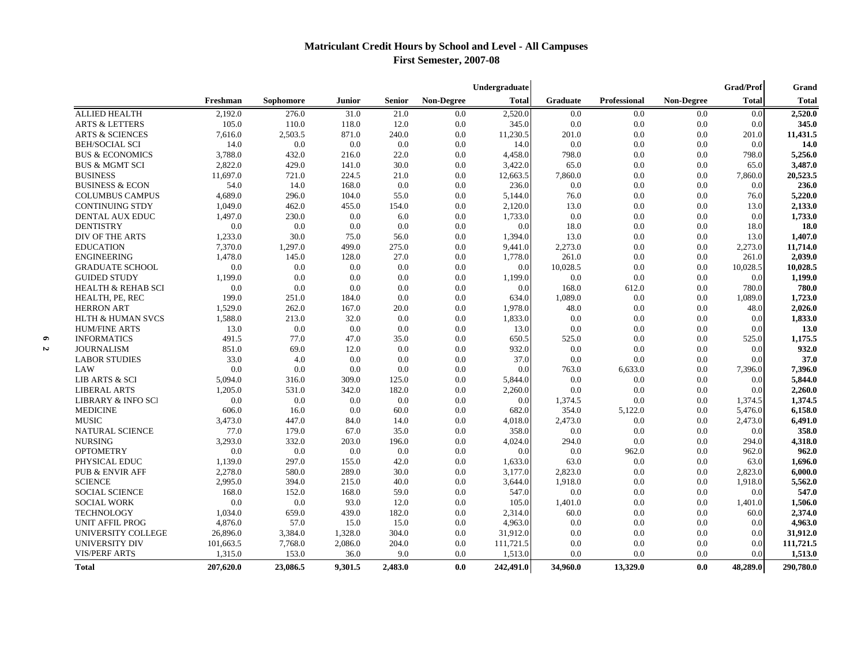# **Matriculant Credit Hours by School and Level - All Campuses First Semester, 2007-08**

|                              | Undergraduate |           |         |               |            |           |          | <b>Grad/Prof</b>    | Grand      |              |              |
|------------------------------|---------------|-----------|---------|---------------|------------|-----------|----------|---------------------|------------|--------------|--------------|
|                              | Freshman      | Sophomore | Junior  | <b>Senior</b> | Non-Degree | Total     | Graduate | <b>Professional</b> | Non-Degree | <b>Total</b> | <b>Total</b> |
| <b>ALLIED HEALTH</b>         | 2,192.0       | 276.0     | 31.0    | 21.0          | 0.0        | 2,520.0   | 0.0      | 0.0                 | 0.0        | 0.0          | 2,520.0      |
| <b>ARTS &amp; LETTERS</b>    | 105.0         | 110.0     | 118.0   | 12.0          | 0.0        | 345.0     | 0.0      | 0.0                 | 0.0        | 0.0          | 345.0        |
| <b>ARTS &amp; SCIENCES</b>   | 7,616.0       | 2,503.5   | 871.0   | 240.0         | 0.0        | 11,230.5  | 201.0    | 0.0                 | 0.0        | 201.0        | 11,431.5     |
| <b>BEH/SOCIAL SCI</b>        | 14.0          | 0.0       | 0.0     | 0.0           | 0.0        | 14.0      | 0.0      | 0.0                 | 0.0        | 0.0          | 14.0         |
| <b>BUS &amp; ECONOMICS</b>   | 3,788.0       | 432.0     | 216.0   | 22.0          | 0.0        | 4,458.0   | 798.0    | 0.0                 | 0.0        | 798.0        | 5,256.0      |
| <b>BUS &amp; MGMT SCI</b>    | 2,822.0       | 429.0     | 141.0   | 30.0          | 0.0        | 3,422.0   | 65.0     | 0.0                 | 0.0        | 65.0         | 3,487.0      |
| <b>BUSINESS</b>              | 11,697.0      | 721.0     | 224.5   | 21.0          | 0.0        | 12,663.5  | 7,860.0  | 0.0                 | 0.0        | 7,860.0      | 20,523.5     |
| <b>BUSINESS &amp; ECON</b>   | 54.0          | 14.0      | 168.0   | 0.0           | 0.0        | 236.0     | 0.0      | 0.0                 | 0.0        | 0.0          | 236.0        |
| <b>COLUMBUS CAMPUS</b>       | 4,689.0       | 296.0     | 104.0   | 55.0          | 0.0        | 5,144.0   | 76.0     | 0.0                 | 0.0        | 76.0         | 5,220.0      |
| <b>CONTINUING STDY</b>       | 1,049.0       | 462.0     | 455.0   | 154.0         | 0.0        | 2,120.0   | 13.0     | 0.0                 | 0.0        | 13.0         | 2,133.0      |
| DENTAL AUX EDUC              | 1,497.0       | 230.0     | 0.0     | 6.0           | 0.0        | 1,733.0   | 0.0      | 0.0                 | 0.0        | 0.0          | 1,733.0      |
| <b>DENTISTRY</b>             | 0.0           | 0.0       | 0.0     | 0.0           | 0.0        | 0.0       | 18.0     | 0.0                 | 0.0        | 18.0         | 18.0         |
| <b>DIV OF THE ARTS</b>       | 1,233.0       | 30.0      | 75.0    | 56.0          | 0.0        | 1,394.0   | 13.0     | 0.0                 | 0.0        | 13.0         | 1,407.0      |
| <b>EDUCATION</b>             | 7,370.0       | 1,297.0   | 499.0   | 275.0         | 0.0        | 9,441.0   | 2,273.0  | 0.0                 | 0.0        | 2,273.0      | 11,714.0     |
| <b>ENGINEERING</b>           | 1,478.0       | 145.0     | 128.0   | 27.0          | 0.0        | 1,778.0   | 261.0    | 0.0                 | 0.0        | 261.0        | 2,039.0      |
| <b>GRADUATE SCHOOL</b>       | 0.0           | 0.0       | 0.0     | 0.0           | 0.0        | 0.0       | 10,028.5 | 0.0                 | 0.0        | 10,028.5     | 10,028.5     |
| <b>GUIDED STUDY</b>          | 1,199.0       | 0.0       | 0.0     | 0.0           | 0.0        | 1,199.0   | 0.0      | 0.0                 | 0.0        | 0.0          | 1,199.0      |
| HEALTH & REHAB SCI           | 0.0           | 0.0       | 0.0     | 0.0           | 0.0        | 0.0       | 168.0    | 612.0               | 0.0        | 780.0        | 780.0        |
| HEALTH, PE, REC              | 199.0         | 251.0     | 184.0   | 0.0           | 0.0        | 634.0     | 1,089.0  | 0.0                 | 0.0        | 1,089.0      | 1,723.0      |
| <b>HERRON ART</b>            | 1,529.0       | 262.0     | 167.0   | 20.0          | 0.0        | 1,978.0   | 48.0     | 0.0                 | 0.0        | 48.0         | 2,026.0      |
| <b>HLTH &amp; HUMAN SVCS</b> | 1,588.0       | 213.0     | 32.0    | 0.0           | 0.0        | 1,833.0   | 0.0      | 0.0                 | 0.0        | 0.0          | 1,833.0      |
| <b>HUM/FINE ARTS</b>         | 13.0          | 0.0       | 0.0     | 0.0           | 0.0        | 13.0      | 0.0      | 0.0                 | 0.0        | 0.0          | 13.0         |
| <b>INFORMATICS</b>           | 491.5         | 77.0      | 47.0    | 35.0          | 0.0        | 650.5     | 525.0    | 0.0                 | 0.0        | 525.0        | 1,175.5      |
| JOURNALISM                   | 851.0         | 69.0      | 12.0    | 0.0           | 0.0        | 932.0     | 0.0      | 0.0                 | 0.0        | 0.0          | 932.0        |
| LABOR STUDIES                | 33.0          | 4.0       | 0.0     | 0.0           | 0.0        | 37.0      | 0.0      | 0.0                 | 0.0        | 0.0          | 37.0         |
| LAW                          | 0.0           | 0.0       | 0.0     | 0.0           | 0.0        | 0.0       | 763.0    | 6,633.0             | 0.0        | 7,396.0      | 7,396.0      |
| LIB ARTS & SCI               | 5,094.0       | 316.0     | 309.0   | 125.0         | 0.0        | 5,844.0   | 0.0      | 0.0                 | 0.0        | 0.0          | 5,844.0      |
| LIBERAL ARTS                 | 1,205.0       | 531.0     | 342.0   | 182.0         | 0.0        | 2,260.0   | 0.0      | 0.0                 | 0.0        | 0.0          | 2,260.0      |
| LIBRARY & INFO SCI           | 0.0           | 0.0       | 0.0     | 0.0           | 0.0        | 0.0       | 1,374.5  | 0.0                 | 0.0        | 1,374.5      | 1,374.5      |
| <b>MEDICINE</b>              | 606.0         | 16.0      | 0.0     | 60.0          | 0.0        | 682.0     | 354.0    | 5,122.0             | 0.0        | 5,476.0      | 6,158.0      |
| <b>MUSIC</b>                 | 3,473.0       | 447.0     | 84.0    | 14.0          | 0.0        | 4,018.0   | 2,473.0  | 0.0                 | 0.0        | 2,473.0      | 6,491.0      |
| <b>NATURAL SCIENCE</b>       | 77.0          | 179.0     | 67.0    | 35.0          | 0.0        | 358.0     | 0.0      | 0.0                 | 0.0        | 0.0          | 358.0        |
| <b>NURSING</b>               | 3,293.0       | 332.0     | 203.0   | 196.0         | 0.0        | 4,024.0   | 294.0    | 0.0                 | 0.0        | 294.0        | 4,318.0      |
| <b>OPTOMETRY</b>             | 0.0           | 0.0       | 0.0     | 0.0           | 0.0        | 0.0       | 0.0      | 962.0               | 0.0        | 962.0        | 962.0        |
| PHYSICAL EDUC                | 1,139.0       | 297.0     | 155.0   | 42.0          | 0.0        | 1,633.0   | 63.0     | 0.0                 | 0.0        | 63.0         | 1,696.0      |
| PUB & ENVIR AFF              | 2,278.0       | 580.0     | 289.0   | 30.0          | 0.0        | 3,177.0   | 2,823.0  | 0.0                 | 0.0        | 2,823.0      | 6,000.0      |
| <b>SCIENCE</b>               | 2,995.0       | 394.0     | 215.0   | 40.0          | 0.0        | 3,644.0   | 1,918.0  | 0.0                 | 0.0        | 1,918.0      | 5,562.0      |
| <b>SOCIAL SCIENCE</b>        | 168.0         | 152.0     | 168.0   | 59.0          | 0.0        | 547.0     | 0.0      | 0.0                 | 0.0        | 0.0          | 547.0        |
| <b>SOCIAL WORK</b>           | 0.0           | 0.0       | 93.0    | 12.0          | 0.0        | 105.0     | 1,401.0  | 0.0                 | 0.0        | 1,401.0      | 1,506.0      |
| <b>TECHNOLOGY</b>            | 1,034.0       | 659.0     | 439.0   | 182.0         | 0.0        | 2,314.0   | 60.0     | 0.0                 | 0.0        | 60.0         | 2,374.0      |
| <b>UNIT AFFIL PROG</b>       | 4,876.0       | 57.0      | 15.0    | 15.0          | 0.0        | 4,963.0   | 0.0      | 0.0                 | 0.0        | 0.0          | 4,963.0      |
| UNIVERSITY COLLEGE           | 26,896.0      | 3,384.0   | 1,328.0 | 304.0         | 0.0        | 31,912.0  | 0.0      | 0.0                 | 0.0        | 0.0          | 31,912.0     |
| <b>UNIVERSITY DIV</b>        | 101,663.5     | 7,768.0   | 2,086.0 | 204.0         | 0.0        | 111,721.5 | 0.0      | 0.0                 | 0.0        | 0.0          | 111,721.5    |
| <b>VIS/PERF ARTS</b>         | 1,315.0       | 153.0     | 36.0    | 9.0           | 0.0        | 1,513.0   | 0.0      | 0.0                 | 0.0        | 0.0          | 1,513.0      |
| <b>Total</b>                 | 207,620.0     | 23,086.5  | 9.301.5 | 2.483.0       | 0.0        | 242,491.0 | 34.960.0 | 13,329.0            | 0.0        | 48.289.0     | 290,780.0    |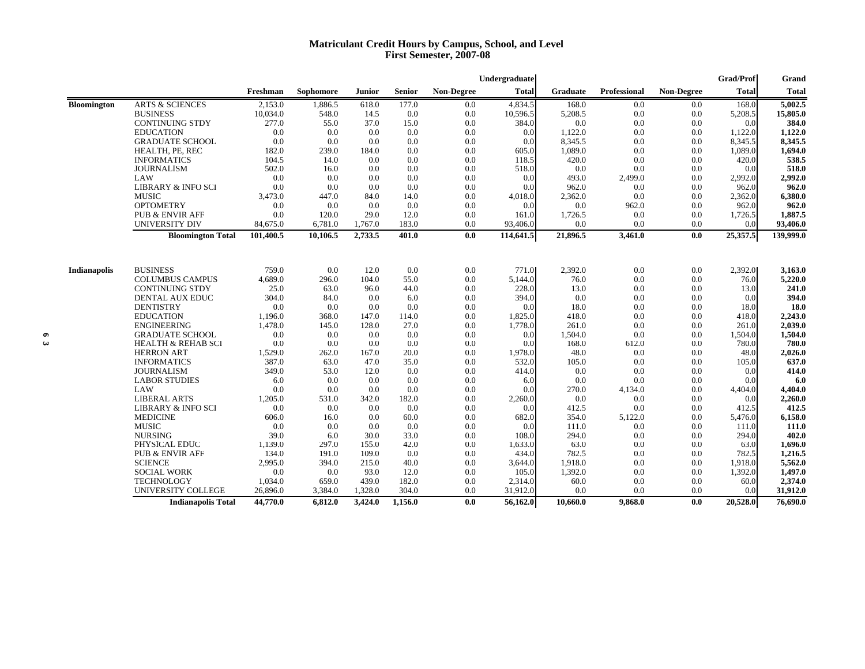#### **Matriculant Credit Hours by Campus, School, and Level First Semester, 2007-08**

|                    |                               |           |           |         |               |            | Undergraduate |                 |                     |            | <b>Grad/Prof</b> | Grand     |
|--------------------|-------------------------------|-----------|-----------|---------|---------------|------------|---------------|-----------------|---------------------|------------|------------------|-----------|
|                    |                               | Freshman  | Sophomore | Junior  | <b>Senior</b> | Non-Degree | <b>Total</b>  | <b>Graduate</b> | <b>Professional</b> | Non-Degree | <b>Total</b>     | Total     |
| <b>Bloomington</b> | <b>ARTS &amp; SCIENCES</b>    | 2,153.0   | 1,886.5   | 618.0   | 177.0         | 0.0        | 4,834.5       | 168.0           | 0.0                 | 0.0        | 168.0            | 5,002.5   |
|                    | <b>BUSINESS</b>               | 10,034.0  | 548.0     | 14.5    | 0.0           | 0.0        | 10,596.5      | 5,208.5         | 0.0                 | 0.0        | 5,208.5          | 15,805.0  |
|                    | <b>CONTINUING STDY</b>        | 277.0     | 55.0      | 37.0    | 15.0          | 0.0        | 384.0         | 0.0             | 0.0                 | 0.0        | 0.0              | 384.0     |
|                    | <b>EDUCATION</b>              | 0.0       | 0.0       | 0.0     | 0.0           | 0.0        | 0.0           | 1,122.0         | 0.0                 | 0.0        | 1,122.0          | 1,122.0   |
|                    | <b>GRADUATE SCHOOL</b>        | 0.0       | 0.0       | 0.0     | 0.0           | 0.0        | 0.0           | 8,345.5         | 0.0                 | 0.0        | 8,345.5          | 8,345.5   |
|                    | HEALTH, PE, REC               | 182.0     | 239.0     | 184.0   | 0.0           | 0.0        | 605.0         | 1,089.0         | 0.0                 | 0.0        | 1,089.0          | 1,694.0   |
|                    | <b>INFORMATICS</b>            | 104.5     | 14.0      | 0.0     | 0.0           | 0.0        | 118.5         | 420.0           | 0.0                 | 0.0        | 420.0            | 538.5     |
|                    | <b>JOURNALISM</b>             | 502.0     | 16.0      | 0.0     | 0.0           | 0.0        | 518.0         | 0.0             | 0.0                 | 0.0        | 0.0              | 518.0     |
|                    | <b>LAW</b>                    | 0.0       | 0.0       | 0.0     | 0.0           | 0.0        | 0.0           | 493.0           | 2,499.0             | 0.0        | 2,992.0          | 2,992.0   |
|                    | <b>LIBRARY &amp; INFO SCI</b> | 0.0       | 0.0       | 0.0     | 0.0           | 0.0        | 0.0           | 962.0           | 0.0                 | 0.0        | 962.0            | 962.0     |
|                    | <b>MUSIC</b>                  | 3,473.0   | 447.0     | 84.0    | 14.0          | 0.0        | 4,018.0       | 2,362.0         | 0.0                 | 0.0        | 2,362.0          | 6,380.0   |
|                    | <b>OPTOMETRY</b>              | 0.0       | 0.0       | 0.0     | 0.0           | 0.0        | 0.0           | 0.0             | 962.0               | 0.0        | 962.0            | 962.0     |
|                    | <b>PUB &amp; ENVIR AFF</b>    | 0.0       | 120.0     | 29.0    | 12.0          | 0.0        | 161.0         | 1,726.5         | 0.0                 | 0.0        | 1,726.5          | 1,887.5   |
|                    | <b>UNIVERSITY DIV</b>         | 84,675.0  | 6,781.0   | 1,767.0 | 183.0         | 0.0        | 93,406.0      | 0.0             | 0.0                 | 0.0        | 0.0              | 93,406.0  |
|                    | <b>Bloomington Total</b>      | 101,400.5 | 10.106.5  | 2,733.5 | 401.0         | 0.0        | 114,641.5     | 21,896.5        | 3,461.0             | 0.0        | 25,357.5         | 139,999.0 |
| Indianapolis       | <b>BUSINESS</b>               | 759.0     | 0.0       | 12.0    | 0.0           | 0.0        | 771.0         | 2,392.0         | 0.0                 | 0.0        | 2,392.0          | 3,163.0   |
|                    | <b>COLUMBUS CAMPUS</b>        | 4,689.0   | 296.0     | 104.0   | 55.0          | 0.0        | 5,144.0       | 76.0            | 0.0                 | 0.0        | 76.0             | 5,220.0   |
|                    | <b>CONTINUING STDY</b>        | 25.0      | 63.0      | 96.0    | 44.0          | 0.0        | 228.0         | 13.0            | 0.0                 | 0.0        | 13.0             | 241.0     |
|                    | <b>DENTAL AUX EDUC</b>        | 304.0     | 84.0      | 0.0     | 6.0           | 0.0        | 394.0         | 0.0             | 0.0                 | 0.0        | 0.0              | 394.0     |
|                    | <b>DENTISTRY</b>              | 0.0       | 0.0       | 0.0     | 0.0           | 0.0        | 0.0           | 18.0            | 0.0                 | 0.0        | 18.0             | 18.0      |
|                    | <b>EDUCATION</b>              | 1,196.0   | 368.0     | 147.0   | 114.0         | 0.0        | 1,825.0       | 418.0           | 0.0                 | 0.0        | 418.0            | 2,243.0   |
|                    | <b>ENGINEERING</b>            | 1,478.0   | 145.0     | 128.0   | 27.0          | 0.0        | 1,778.0       | 261.0           | 0.0                 | 0.0        | 261.0            | 2,039.0   |
|                    | <b>GRADUATE SCHOOL</b>        | 0.0       | 0.0       | 0.0     | 0.0           | 0.0        | 0.0           | 1,504.0         | 0.0                 | 0.0        | 1,504.0          | 1,504.0   |
|                    | <b>HEALTH &amp; REHAB SCI</b> | 0.0       | 0.0       | 0.0     | 0.0           | 0.0        | 0.0           | 168.0           | 612.0               | 0.0        | 780.0            | 780.0     |
|                    | <b>HERRON ART</b>             | 1,529.0   | 262.0     | 167.0   | 20.0          | 0.0        | 1,978.0       | 48.0            | 0.0                 | 0.0        | 48.0             | 2,026.0   |
|                    | <b>INFORMATICS</b>            | 387.0     | 63.0      | 47.0    | 35.0          | 0.0        | 532.0         | 105.0           | 0.0                 | 0.0        | 105.0            | 637.0     |
|                    | <b>JOURNALISM</b>             | 349.0     | 53.0      | 12.0    | 0.0           | 0.0        | 414.0         | 0.0             | 0.0                 | 0.0        | 0.0              | 414.0     |
|                    | <b>LABOR STUDIES</b>          | 6.0       | 0.0       | 0.0     | 0.0           | 0.0        | 6.0           | 0.0             | 0.0                 | 0.0        | 0.0              | 6.0       |
|                    | <b>LAW</b>                    | 0.0       | 0.0       | 0.0     | 0.0           | 0.0        | 0.0           | 270.0           | 4,134.0             | 0.0        | 4,404.0          | 4,404.0   |
|                    | <b>LIBERAL ARTS</b>           | 1,205.0   | 531.0     | 342.0   | 182.0         | 0.0        | 2,260.0       | 0.0             | 0.0                 | 0.0        | 0.0              | 2,260.0   |
|                    | <b>LIBRARY &amp; INFO SCI</b> | 0.0       | 0.0       | 0.0     | 0.0           | 0.0        | 0.0           | 412.5           | 0.0                 | 0.0        | 412.5            | 412.5     |
|                    | <b>MEDICINE</b>               | 606.0     | 16.0      | 0.0     | 60.0          | 0.0        | 682.0         | 354.0           | 5,122.0             | 0.0        | 5,476.0          | 6,158.0   |
|                    | <b>MUSIC</b>                  | 0.0       | 0.0       | 0.0     | 0.0           | 0.0        | 0.0           | 111.0           | 0.0                 | 0.0        | 111.0            | 111.0     |
|                    | <b>NURSING</b>                | 39.0      | 6.0       | 30.0    | 33.0          | 0.0        | 108.0         | 294.0           | 0.0                 | 0.0        | 294.0            | 402.0     |
|                    | PHYSICAL EDUC                 | 1,139.0   | 297.0     | 155.0   | 42.0          | 0.0        | 1,633.0       | 63.0            | 0.0                 | 0.0        | 63.0             | 1,696.0   |
|                    | <b>PUB &amp; ENVIR AFF</b>    | 134.0     | 191.0     | 109.0   | 0.0           | 0.0        | 434.0         | 782.5           | 0.0                 | 0.0        | 782.5            | 1,216.5   |
|                    | <b>SCIENCE</b>                | 2,995.0   | 394.0     | 215.0   | 40.0          | 0.0        | 3,644.0       | 1,918.0         | 0.0                 | 0.0        | 1,918.0          | 5,562.0   |
|                    | <b>SOCIAL WORK</b>            | 0.0       | 0.0       | 93.0    | 12.0          | 0.0        | 105.0         | 1,392.0         | 0.0                 | 0.0        | 1,392.0          | 1,497.0   |
|                    | <b>TECHNOLOGY</b>             | 1,034.0   | 659.0     | 439.0   | 182.0         | 0.0        | 2,314.0       | 60.0            | 0.0                 | 0.0        | 60.0             | 2,374.0   |
|                    | UNIVERSITY COLLEGE            | 26,896.0  | 3,384.0   | 1,328.0 | 304.0         | 0.0        | 31,912.0      | 0.0             | 0.0                 | 0.0        | 0.0              | 31,912.0  |
|                    | <b>Indianapolis Total</b>     | 44,770.0  | 6,812.0   | 3,424.0 | 1,156.0       | 0.0        | 56,162.0      | 10,660.0        | 9,868.0             | 0.0        | 20,528.0         | 76,690.0  |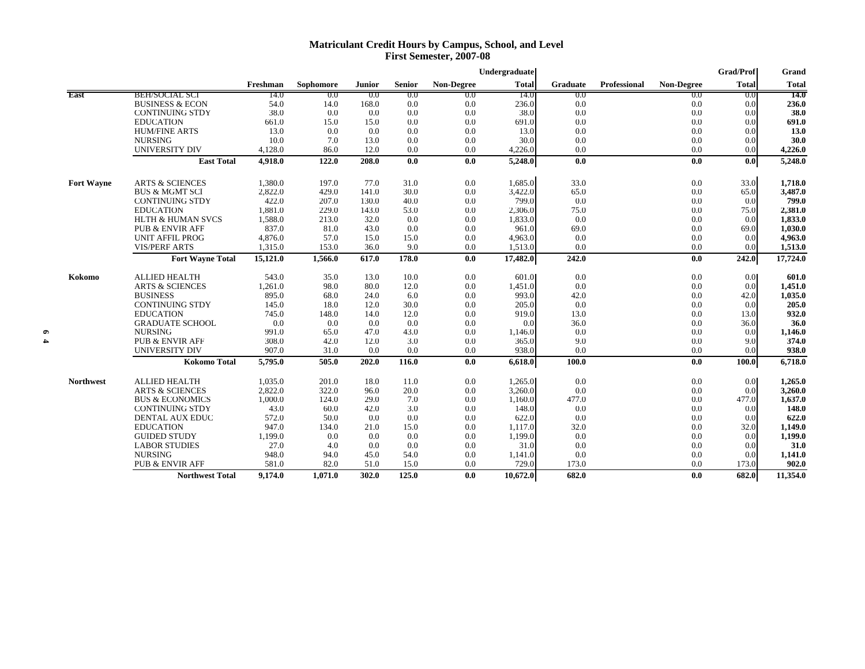### **Matriculant Credit Hours by Campus, School, and Level First Semester, 2007-08**

|                   |                              |          |           |               |               |            | Undergraduate |          |              |                   | <b>Grad/Prof</b> | Grand             |
|-------------------|------------------------------|----------|-----------|---------------|---------------|------------|---------------|----------|--------------|-------------------|------------------|-------------------|
|                   |                              | Freshman | Sophomore | <b>Junior</b> | <b>Senior</b> | Non-Degree | <b>Total</b>  | Graduate | Professional | <b>Non-Degree</b> | <b>Total</b>     | <b>Total</b>      |
| <b>East</b>       | <b>BEH/SOCIAL SCI</b>        | 14.0     | 0.0       | 0.0           | 0.0           | 0.0        | -14.0         | 0.0      |              | 0.0               | 0.0              | $\overline{14.0}$ |
|                   | <b>BUSINESS &amp; ECON</b>   | 54.0     | 14.0      | 168.0         | 0.0           | 0.0        | 236.0         | 0.0      |              | 0.0               | 0.0              | 236.0             |
|                   | <b>CONTINUING STDY</b>       | 38.0     | 0.0       | 0.0           | 0.0           | 0.0        | 38.0          | 0.0      |              | 0.0               | 0.0              | 38.0              |
|                   | <b>EDUCATION</b>             | 661.0    | 15.0      | 15.0          | 0.0           | 0.0        | 691.0         | 0.0      |              | 0.0               | 0.0              | 691.0             |
|                   | <b>HUM/FINE ARTS</b>         | 13.0     | 0.0       | 0.0           | 0.0           | 0.0        | 13.0          | 0.0      |              | 0.0               | 0.0              | 13.0              |
|                   | <b>NURSING</b>               | 10.0     | 7.0       | 13.0          | 0.0           | 0.0        | 30.0          | 0.0      |              | 0.0               | 0.0              | 30.0              |
|                   | <b>UNIVERSITY DIV</b>        | 4,128.0  | 86.0      | 12.0          | 0.0           | 0.0        | 4,226.0       | 0.0      |              | 0.0               | 0.0              | 4,226.0           |
|                   | <b>East Total</b>            | 4,918.0  | 122.0     | 208.0         | 0.0           | 0.0        | 5,248.0       | 0.0      |              | 0.0               | 0.0              | 5,248.0           |
| <b>Fort Wayne</b> | <b>ARTS &amp; SCIENCES</b>   | 1,380.0  | 197.0     | 77.0          | 31.0          | 0.0        | 1,685.0       | 33.0     |              | 0.0               | 33.0             | 1,718.0           |
|                   | <b>BUS &amp; MGMT SCI</b>    | 2,822.0  | 429.0     | 141.0         | 30.0          | 0.0        | 3,422.0       | 65.0     |              | 0.0               | 65.0             | 3,487.0           |
|                   | <b>CONTINUING STDY</b>       | 422.0    | 207.0     | 130.0         | 40.0          | 0.0        | 799.0         | 0.0      |              | 0.0               | 0.0              | 799.0             |
|                   | <b>EDUCATION</b>             | 1,881.0  | 229.0     | 143.0         | 53.0          | 0.0        | 2,306.0       | 75.0     |              | 0.0               | 75.0             | 2,381.0           |
|                   | <b>HLTH &amp; HUMAN SVCS</b> | 1,588.0  | 213.0     | 32.0          | 0.0           | 0.0        | 1,833.0       | 0.0      |              | 0.0               | 0.0              | 1,833.0           |
|                   | <b>PUB &amp; ENVIR AFF</b>   | 837.0    | 81.0      | 43.0          | 0.0           | 0.0        | 961.0         | 69.0     |              | 0.0               | 69.0             | 1,030.0           |
|                   | <b>UNIT AFFIL PROG</b>       | 4,876.0  | 57.0      | 15.0          | 15.0          | 0.0        | 4,963.0       | 0.0      |              | 0.0               | 0.0              | 4,963.0           |
|                   | <b>VIS/PERF ARTS</b>         | 1,315.0  | 153.0     | 36.0          | 9.0           | 0.0        | 1,513.0       | 0.0      |              | 0.0               | 0.0              | 1,513.0           |
|                   | <b>Fort Wayne Total</b>      | 15,121.0 | 1.566.0   | 617.0         | 178.0         | 0.0        | 17,482.0      | 242.0    |              | 0.0               | 242.0            | 17,724.0          |
| Kokomo            | <b>ALLIED HEALTH</b>         | 543.0    | 35.0      | 13.0          | 10.0          | 0.0        | 601.0         | 0.0      |              | 0.0               | 0.0              | 601.0             |
|                   | <b>ARTS &amp; SCIENCES</b>   | 1,261.0  | 98.0      | 80.0          | 12.0          | 0.0        | 1.451.0       | 0.0      |              | 0.0               | 0.0              | 1,451.0           |
|                   | <b>BUSINESS</b>              | 895.0    | 68.0      | 24.0          | 6.0           | 0.0        | 993.0         | 42.0     |              | 0.0               | 42.0             | 1,035.0           |
|                   | <b>CONTINUING STDY</b>       | 145.0    | 18.0      | 12.0          | 30.0          | 0.0        | 205.0         | 0.0      |              | 0.0               | 0.0              | 205.0             |
|                   | <b>EDUCATION</b>             | 745.0    | 148.0     | 14.0          | 12.0          | 0.0        | 919.0         | 13.0     |              | 0.0               | 13.0             | 932.0             |
|                   | <b>GRADUATE SCHOOL</b>       | 0.0      | 0.0       | 0.0           | 0.0           | 0.0        | 0.0           | 36.0     |              | 0.0               | 36.0             | 36.0              |
|                   | <b>NURSING</b>               | 991.0    | 65.0      | 47.0          | 43.0          | 0.0        | 1,146.0       | 0.0      |              | 0.0               | 0.0              | 1,146.0           |
|                   | <b>PUB &amp; ENVIR AFF</b>   | 308.0    | 42.0      | 12.0          | 3.0           | 0.0        | 365.0         | 9.0      |              | 0.0               | 9.0              | 374.0             |
|                   | <b>UNIVERSITY DIV</b>        | 907.0    | 31.0      | 0.0           | 0.0           | 0.0        | 938.0         | 0.0      |              | 0.0               | 0.0              | 938.0             |
|                   | <b>Kokomo Total</b>          | 5,795.0  | 505.0     | 202.0         | 116.0         | 0.0        | 6,618.0       | 100.0    |              | 0.0               | 100.0            | 6,718.0           |
| <b>Northwest</b>  | <b>ALLIED HEALTH</b>         | 1,035.0  | 201.0     | 18.0          | 11.0          | 0.0        | 1,265.0       | 0.0      |              | 0.0               | 0.0              | 1,265.0           |
|                   | <b>ARTS &amp; SCIENCES</b>   | 2,822.0  | 322.0     | 96.0          | 20.0          | 0.0        | 3,260.0       | 0.0      |              | 0.0               | 0.0              | 3,260.0           |
|                   | <b>BUS &amp; ECONOMICS</b>   | 1,000.0  | 124.0     | 29.0          | 7.0           | 0.0        | 1,160.0       | 477.0    |              | 0.0               | 477.0            | 1,637.0           |
|                   | <b>CONTINUING STDY</b>       | 43.0     | 60.0      | 42.0          | 3.0           | 0.0        | 148.0         | 0.0      |              | 0.0               | 0.0              | 148.0             |
|                   | <b>DENTAL AUX EDUC</b>       | 572.0    | 50.0      | 0.0           | 0.0           | 0.0        | 622.0         | 0.0      |              | 0.0               | 0.0              | 622.0             |
|                   | <b>EDUCATION</b>             | 947.0    | 134.0     | 21.0          | 15.0          | 0.0        | 1,117.0       | 32.0     |              | 0.0               | 32.0             | 1,149.0           |
|                   | <b>GUIDED STUDY</b>          | 1,199.0  | 0.0       | 0.0           | 0.0           | 0.0        | 1,199.0       | 0.0      |              | 0.0               | 0.0              | 1,199.0           |
|                   | <b>LABOR STUDIES</b>         | 27.0     | 4.0       | 0.0           | 0.0           | 0.0        | 31.0          | 0.0      |              | 0.0               | 0.0              | 31.0              |
|                   | <b>NURSING</b>               | 948.0    | 94.0      | 45.0          | 54.0          | 0.0        | 1,141.0       | 0.0      |              | 0.0               | 0.0              | 1,141.0           |
|                   | <b>PUB &amp; ENVIR AFF</b>   | 581.0    | 82.0      | 51.0          | 15.0          | 0.0        | 729.0         | 173.0    |              | 0.0               | 173.0            | 902.0             |
|                   | <b>Northwest Total</b>       | 9,174.0  | 1.071.0   | 302.0         | 125.0         | 0.0        | 10,672.0      | 682.0    |              | 0.0               | 682.0            | 11,354.0          |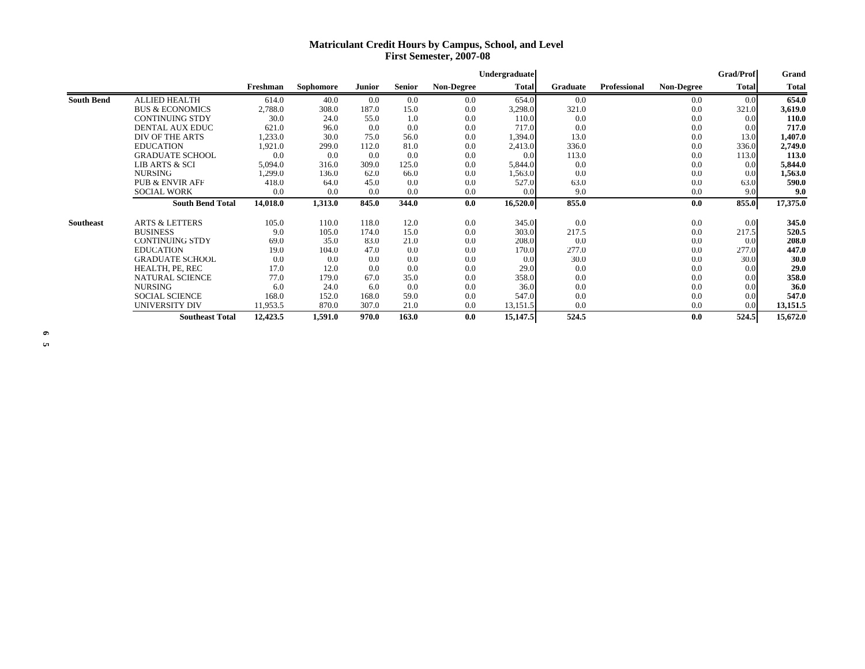### **Matriculant Credit Hours by Campus, School, and Level First Semester, 2007-08**

|                   |                            | Undergraduate |           |               |               |                   |              |          |              |                   | <b>Grad/Prof</b> | Grand        |
|-------------------|----------------------------|---------------|-----------|---------------|---------------|-------------------|--------------|----------|--------------|-------------------|------------------|--------------|
|                   |                            | Freshman      | Sophomore | <b>Junior</b> | <b>Senior</b> | <b>Non-Degree</b> | <b>Total</b> | Graduate | Professional | <b>Non-Degree</b> | <b>Total</b>     | <b>Total</b> |
| <b>South Bend</b> | <b>ALLIED HEALTH</b>       | 614.0         | 40.0      | 0.0           | 0.0           | 0.0               | 654.0        | 0.0      |              | 0.0               | 0.0              | 654.0        |
|                   | <b>BUS &amp; ECONOMICS</b> | 2,788.0       | 308.0     | 187.0         | 15.0          | 0.0               | 3,298.0      | 321.0    |              | 0.0               | 321.0            | 3,619.0      |
|                   | <b>CONTINUING STDY</b>     | 30.0          | 24.0      | 55.0          | 1.0           | 0.0               | 110.0        | 0.0      |              | 0.0               | 0.0              | 110.0        |
|                   | <b>DENTAL AUX EDUC</b>     | 621.0         | 96.0      | 0.0           | 0.0           | 0.0               | 717.0        | 0.0      |              | 0.0               | 0.0              | 717.0        |
|                   | DIV OF THE ARTS            | 1,233.0       | 30.0      | 75.0          | 56.0          | 0.0               | 1,394.0      | 13.0     |              | 0.0               | 13.0             | 1,407.0      |
|                   | <b>EDUCATION</b>           | 1,921.0       | 299.0     | 112.0         | 81.0          | 0.0               | 2,413.0      | 336.0    |              | 0.0               | 336.0            | 2,749.0      |
|                   | <b>GRADUATE SCHOOL</b>     | 0.0           | 0.0       | 0.0           | 0.0           | 0.0               | 0.0          | 113.0    |              | 0.0               | 113.0            | 113.0        |
|                   | <b>LIB ARTS &amp; SCI</b>  | 5,094.0       | 316.0     | 309.0         | 125.0         | 0.0               | 5,844.0      | 0.0      |              | 0.0               | 0.0              | 5,844.0      |
|                   | <b>NURSING</b>             | 1,299.0       | 136.0     | 62.0          | 66.0          | 0.0               | 1,563.0      | 0.0      |              | 0.0               | 0.0              | 1,563.0      |
|                   | <b>PUB &amp; ENVIR AFF</b> | 418.0         | 64.0      | 45.0          | 0.0           | 0.0               | 527.0        | 63.0     |              | 0.0               | 63.0             | 590.0        |
|                   | <b>SOCIAL WORK</b>         | 0.0           | 0.0       | 0.0           | 0.0           | 0.0               | 0.0          | 9.0      |              | 0.0               | 9.0              | 9.0          |
|                   | <b>South Bend Total</b>    | 14,018.0      | 1,313.0   | 845.0         | 344.0         | 0.0               | 16,520.0     | 855.0    |              | 0.0               | 855.0            | 17,375.0     |
| Southeast         | <b>ARTS &amp; LETTERS</b>  | 105.0         | 110.0     | 118.0         | 12.0          | 0.0               | 345.0        | 0.0      |              | 0.0               | 0.0              | 345.0        |
|                   | <b>BUSINESS</b>            | 9.0           | 105.0     | 174.0         | 15.0          | 0.0               | 303.0        | 217.5    |              | 0.0               | 217.5            | 520.5        |
|                   | <b>CONTINUING STDY</b>     | 69.0          | 35.0      | 83.0          | 21.0          | 0.0               | 208.0        | 0.0      |              | 0.0               | 0.0              | 208.0        |
|                   | <b>EDUCATION</b>           | 19.0          | 104.0     | 47.0          | 0.0           | 0.0               | 170.0        | 277.0    |              | 0.0               | 277.0            | 447.0        |
|                   | <b>GRADUATE SCHOOL</b>     | 0.0           | 0.0       | 0.0           | 0.0           | 0.0               | 0.0          | 30.0     |              | 0.0               | 30.0             | 30.0         |
|                   | HEALTH, PE, REC            | 17.0          | 12.0      | 0.0           | 0.0           | 0.0               | 29.0         | 0.0      |              | 0.0               | 0.0              | 29.0         |
|                   | <b>NATURAL SCIENCE</b>     | 77.0          | 179.0     | 67.0          | 35.0          | 0.0               | 358.0        | 0.0      |              | 0.0               | 0.0              | 358.0        |
|                   | <b>NURSING</b>             | 6.0           | 24.0      | 6.0           | 0.0           | 0.0               | 36.0         | 0.0      |              | 0.0               | 0.0              | 36.0         |
|                   | <b>SOCIAL SCIENCE</b>      | 168.0         | 152.0     | 168.0         | 59.0          | 0.0               | 547.0        | 0.0      |              | 0.0               | 0.0              | 547.0        |
|                   | UNIVERSITY DIV             | 11,953.5      | 870.0     | 307.0         | 21.0          | 0.0               | 13,151.5     | 0.0      |              | 0.0               | 0.0              | 13,151.5     |
|                   | <b>Southeast Total</b>     | 12,423.5      | 1,591.0   | 970.0         | 163.0         | 0.0               | 15,147.5     | 524.5    |              | 0.0               | 524.5            | 15,672.0     |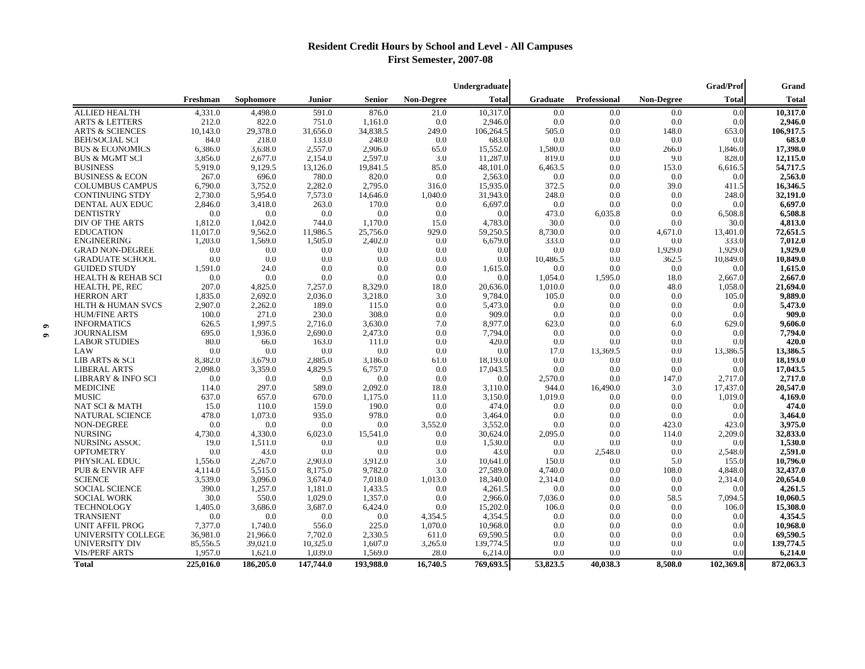# **Resident Credit Hours by School and Level - All Campuses First Semester, 2007-08**

|                               |           |           |           |               |                   | Undergraduate |                 |              | <b>Grad/Prof</b><br><b>Total</b><br><b>Non-Degree</b> |           |              |  |
|-------------------------------|-----------|-----------|-----------|---------------|-------------------|---------------|-----------------|--------------|-------------------------------------------------------|-----------|--------------|--|
|                               | Freshman  | Sophomore | Junior    | <b>Senior</b> | <b>Non-Degree</b> | <b>Total</b>  | <b>Graduate</b> | Professional |                                                       |           | <b>Total</b> |  |
| <b>ALLIED HEALTH</b>          | 4,331.0   | 4.498.0   | 591.0     | 876.0         | 21.0              | 10,317.0      | 0.0             | 0.0          | 0.0                                                   | 0.0       | 10,317.0     |  |
| <b>ARTS &amp; LETTERS</b>     | 212.0     | 822.0     | 751.0     | 1,161.0       | 0.0               | 2,946.0       | 0.0             | 0.0          | 0.0                                                   | 0.0       | 2,946.0      |  |
| <b>ARTS &amp; SCIENCES</b>    | 10,143.0  | 29,378.0  | 31,656.0  | 34,838.5      | 249.0             | 106,264.5     | 505.0           | 0.0          | 148.0                                                 | 653.0     | 106,917.5    |  |
| <b>BEH/SOCIAL SCI</b>         | 84.0      | 218.0     | 133.0     | 248.0         | 0.0               | 683.0         | 0.0             | 0.0          | 0.0                                                   | 0.0       | 683.0        |  |
| <b>BUS &amp; ECONOMICS</b>    | 6,386.0   | 3,638.0   | 2,557.0   | 2,906.0       | 65.0              | 15,552.0      | 1,580.0         | 0.0          | 266.0                                                 | 1,846.0   | 17,398.0     |  |
| <b>BUS &amp; MGMT SCI</b>     | 3,856.0   | 2,677.0   | 2,154.0   | 2,597.0       | 3.0               | 11,287.0      | 819.0           | 0.0          | 9.0                                                   | 828.0     | 12,115.0     |  |
| <b>BUSINESS</b>               | 5,919.0   | 9,129.5   | 13,126.0  | 19,841.5      | 85.0              | 48,101.0      | 6,463.5         | 0.0          | 153.0                                                 | 6,616.5   | 54,717.5     |  |
| <b>BUSINESS &amp; ECON</b>    | 267.0     | 696.0     | 780.0     | 820.0         | 0.0               | 2,563.0       | 0.0             | 0.0          | 0.0                                                   | 0.0       | 2,563.0      |  |
| <b>COLUMBUS CAMPUS</b>        | 6,790.0   | 3,752.0   | 2,282.0   | 2,795.0       | 316.0             | 15,935.0      | 372.5           | 0.0          | 39.0                                                  | 411.5     | 16,346.5     |  |
| <b>CONTINUING STDY</b>        | 2,730.0   | 5,954.0   | 7,573.0   | 14,646.0      | 1,040.0           | 31,943.0      | 248.0           | 0.0          | 0.0                                                   | 248.0     | 32,191.0     |  |
| DENTAL AUX EDUC               | 2,846.0   | 3,418.0   | 263.0     | 170.0         | 0.0               | 6,697.0       | 0.0             | 0.0          | 0.0                                                   | 0.0       | 6,697.0      |  |
| <b>DENTISTRY</b>              | 0.0       | 0.0       | 0.0       | 0.0           | 0.0               | 0.0           | 473.0           | 6,035.8      | 0.0                                                   | 6,508.8   | 6,508.8      |  |
| DIV OF THE ARTS               | 1,812.0   | 1,042.0   | 744.0     | 1,170.0       | 15.0              | 4,783.0       | 30.0            | 0.0          | 0.0                                                   | 30.0      | 4,813.0      |  |
| <b>EDUCATION</b>              | 11,017.0  | 9,562.0   | 11,986.5  | 25,756.0      | 929.0             | 59,250.5      | 8,730.0         | 0.0          | 4,671.0                                               | 13,401.0  | 72,651.5     |  |
| <b>ENGINEERING</b>            | 1.203.0   | 1.569.0   | 1,505.0   | 2.402.0       | 0.0               | 6.679.0       | 333.0           | 0.0          | 0.0                                                   | 333.0     | 7.012.0      |  |
| <b>GRAD NON-DEGREE</b>        | 0.0       | 0.0       | 0.0       | 0.0           | 0.0               | 0.0           | 0.0             | 0.0          | 1,929.0                                               | 1,929.0   | 1,929.0      |  |
| <b>GRADUATE SCHOOL</b>        | 0.0       | 0.0       | 0.0       | 0.0           | 0.0               | 0.0           | 10,486.5        | 0.0          | 362.5                                                 | 10.849.0  | 10,849.0     |  |
| <b>GUIDED STUDY</b>           | 1,591.0   | 24.0      | 0.0       | 0.0           | 0.0               | 1,615.0       | 0.0             | 0.0          | 0.0                                                   | 0.0       | 1,615.0      |  |
| <b>HEALTH &amp; REHAB SCI</b> | 0.0       | 0.0       | 0.0       | 0.0           | 0.0               | 0.0           | 1.054.0         | 1,595.0      | 18.0                                                  | 2,667.0   | 2,667.0      |  |
| HEALTH, PE, REC               | 207.0     | 4,825.0   | 7,257.0   | 8,329.0       | 18.0              | 20,636.0      | 1.010.0         | 0.0          | 48.0                                                  | 1,058.0   | 21,694.0     |  |
| <b>HERRON ART</b>             | 1,835.0   | 2,692.0   | 2,036.0   | 3,218.0       | 3.0               | 9,784.0       | 105.0           | 0.0          | 0.0                                                   | 105.0     | 9,889.0      |  |
| <b>HLTH &amp; HUMAN SVCS</b>  | 2,907.0   | 2,262.0   | 189.0     | 115.0         | 0.0               | 5,473.0       | 0.0             | 0.0          | 0.0                                                   | 0.0       | 5,473.0      |  |
| <b>HUM/FINE ARTS</b>          | 100.0     | 271.0     | 230.0     | 308.0         | 0.0               | 909.0         | 0.0             | 0.0          | 0.0                                                   | 0.0       | 909.0        |  |
| <b>INFORMATICS</b>            | 626.5     | 1,997.5   | 2,716.0   | 3,630.0       | 7.0               | 8,977.0       | 623.0           | 0.0          | 6.0                                                   | 629.0     | 9,606.0      |  |
| <b>JOURNALISM</b>             | 695.0     | 1,936.0   | 2,690.0   | 2,473.0       | 0.0               | 7,794.0       | 0.0             | 0.0          | 0.0                                                   | 0.0       | 7,794.0      |  |
| <b>LABOR STUDIES</b>          | 80.0      | 66.0      | 163.0     | 111.0         | 0.0               | 420.0         | 0.0             | 0.0          | 0.0                                                   | 0.0       | 420.0        |  |
| LAW                           | 0.0       | 0.0       | 0.0       | 0.0           | 0.0               | 0.0           | 17.0            | 13,369.5     | 0.0                                                   | 13,386.5  | 13,386.5     |  |
| LIB ARTS & SCI                | 8,382.0   | 3,679.0   | 2,885.0   | 3,186.0       | 61.0              | 18,193.0      | 0.0             | 0.0          | 0.0                                                   | 0.0       | 18,193.0     |  |
| <b>LIBERAL ARTS</b>           | 2,098.0   | 3,359.0   | 4,829.5   | 6,757.0       | 0.0               | 17,043.5      | 0.0             | 0.0          | 0.0                                                   | 0.0       | 17,043.5     |  |
| LIBRARY & INFO SCI            | 0.0       | 0.0       | 0.0       | 0.0           | 0.0               | 0.0           | 2,570.0         | 0.0          | 147.0                                                 | 2,717.0   | 2,717.0      |  |
| <b>MEDICINE</b>               | 114.0     | 297.0     | 589.0     | 2,092.0       | 18.0              | 3,110.0       | 944.0           | 16,490.0     | 3.0                                                   | 17,437.0  | 20,547.0     |  |
| <b>MUSIC</b>                  | 637.0     | 657.0     | 670.0     | 1,175.0       | 11.0              | 3,150.0       | 1,019.0         | 0.0          | 0.0                                                   | 1,019.0   | 4,169.0      |  |
| <b>NAT SCI &amp; MATH</b>     | 15.0      | 110.0     | 159.0     | 190.0         | 0.0               | 474.0         | 0.0             | 0.0          | 0.0                                                   | 0.0       | 474.0        |  |
| <b>NATURAL SCIENCE</b>        | 478.0     | 1,073.0   | 935.0     | 978.0         | 0.0               | 3,464.0       | 0.0             | 0.0          | 0.0                                                   | 0.0       | 3,464.0      |  |
| <b>NON-DEGREE</b>             | 0.0       | 0.0       | 0.0       | 0.0           | 3,552.0           | 3,552.0       | 0.0             | 0.0          | 423.0                                                 | 423.0     | 3,975.0      |  |
| <b>NURSING</b>                | 4,730.0   | 4,330.0   | 6,023.0   | 15,541.0      | 0.0               | 30,624.0      | 2,095.0         | 0.0          | 114.0                                                 | 2,209.0   | 32,833.0     |  |
| NURSING ASSOC                 | 19.0      | 1.511.0   | 0.0       | 0.0           | 0.0               | 1,530.0       | 0.0             | 0.0          | 0.0                                                   | 0.0       | 1,530.0      |  |
| <b>OPTOMETRY</b>              | 0.0       | 43.0      | 0.0       | 0.0           | 0.0               | 43.0          | 0.0             | 2,548.0      | 0.0                                                   | 2,548.0   | 2,591.0      |  |
| PHYSICAL EDUC                 | 1,556.0   | 2,267.0   | 2,903.0   | 3,912.0       | 3.0               | 10,641.0      | 150.0           | 0.0          | 5.0                                                   | 155.0     | 10,796.0     |  |
| <b>PUB &amp; ENVIR AFF</b>    | 4,114.0   | 5,515.0   | 8,175.0   | 9,782.0       | 3.0               | 27,589.0      | 4,740.0         | 0.0          | 108.0                                                 | 4,848.0   | 32,437.0     |  |
| <b>SCIENCE</b>                | 3,539.0   | 3,096.0   | 3,674.0   | 7,018.0       | 1,013.0           | 18,340.0      | 2,314.0         | 0.0          | 0.0                                                   | 2,314.0   | 20,654.0     |  |
| <b>SOCIAL SCIENCE</b>         | 390.0     | 1,257.0   | 1,181.0   | 1,433.5       | 0.0               | 4,261.5       | 0.0             | 0.0          | 0.0                                                   | 0.0       | 4,261.5      |  |
| <b>SOCIAL WORK</b>            | 30.0      | 550.0     | 1,029.0   | 1,357.0       | 0.0               | 2,966.0       | 7,036.0         | 0.0          | 58.5                                                  | 7,094.5   | 10.060.5     |  |
| <b>TECHNOLOGY</b>             | 1,405.0   | 3,686.0   | 3,687.0   | 6,424.0       | 0.0               | 15,202.0      | 106.0           | 0.0          | 0.0                                                   | 106.0     | 15,308.0     |  |
| <b>TRANSIENT</b>              | 0.0       | 0.0       | 0.0       | 0.0           | 4,354.5           | 4,354.5       | 0.0             | 0.0          | 0.0                                                   | 0.0       | 4,354.5      |  |
| <b>UNIT AFFIL PROG</b>        | 7,377.0   | 1,740.0   | 556.0     | 225.0         | 1,070.0           | 10,968.0      | 0.0             | 0.0          | 0.0                                                   | 0.0       | 10,968.0     |  |
| UNIVERSITY COLLEGE            | 36,981.0  | 21,966.0  | 7,702.0   | 2,330.5       | 611.0             | 69,590.5      | 0.0             | 0.0          | 0.0                                                   | 0.0       | 69,590.5     |  |
| UNIVERSITY DIV                | 85,556.5  | 39,021.0  | 10,325.0  | 1,607.0       | 3,265.0           | 139,774.5     | 0.0             | 0.0          | 0.0                                                   | 0.0       | 139,774.5    |  |
| <b>VIS/PERF ARTS</b>          | 1,957.0   | 1,621.0   | 1,039.0   | 1,569.0       | 28.0              | 6,214.0       | 0.0             | 0.0          | 0.0                                                   | 0.0       | 6,214.0      |  |
| <b>Total</b>                  | 225,016.0 | 186,205.0 | 147,744.0 | 193,988.0     | 16,740.5          | 769,693.5     | 53,823.5        | 40,038.3     | 8,508.0                                               | 102,369.8 | 872,063.3    |  |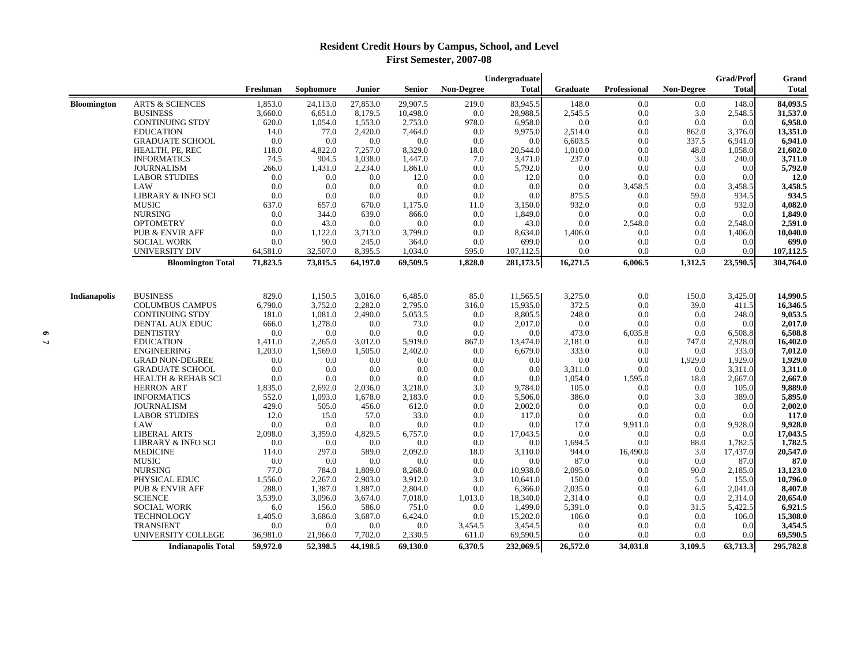# **Resident Credit Hours by Campus, School, and Level First Semester, 2007-08**

|                     |                               |          |           |          |               |                   | Undergraduate |          |                     |                   | <b>Grad/Prof</b> | Grand        |
|---------------------|-------------------------------|----------|-----------|----------|---------------|-------------------|---------------|----------|---------------------|-------------------|------------------|--------------|
|                     |                               | Freshman | Sophomore | Junior   | <b>Senior</b> | <b>Non-Degree</b> | <b>Total</b>  | Graduate | <b>Professional</b> | <b>Non-Degree</b> | <b>Total</b>     | <b>Total</b> |
| <b>Bloomington</b>  | <b>ARTS &amp; SCIENCES</b>    | 1,853.0  | 24,113.0  | 27,853.0 | 29,907.5      | 219.0             | 83,945.5      | 148.0    | 0.0                 | 0.0               | 148.0            | 84,093.5     |
|                     | <b>BUSINESS</b>               | 3,660.0  | 6,651.0   | 8,179.5  | 10,498.0      | 0.0               | 28,988.5      | 2,545.5  | 0.0                 | 3.0               | 2,548.5          | 31,537.0     |
|                     | <b>CONTINUING STDY</b>        | 620.0    | 1,054.0   | 1,553.0  | 2,753.0       | 978.0             | 6,958.0       | 0.0      | 0.0                 | 0.0               | 0.0              | 6,958.0      |
|                     | <b>EDUCATION</b>              | 14.0     | 77.0      | 2,420.0  | 7,464.0       | 0.0               | 9,975.0       | 2,514.0  | 0.0                 | 862.0             | 3,376.0          | 13,351.0     |
|                     | <b>GRADUATE SCHOOL</b>        | 0.0      | 0.0       | 0.0      | 0.0           | 0.0               | 0.0           | 6,603.5  | 0.0                 | 337.5             | 6,941.0          | 6,941.0      |
|                     | HEALTH, PE, REC               | 118.0    | 4,822.0   | 7,257.0  | 8,329.0       | 18.0              | 20,544.0      | 1,010.0  | 0.0                 | 48.0              | 1,058.0          | 21,602.0     |
|                     | <b>INFORMATICS</b>            | 74.5     | 904.5     | 1,038.0  | 1,447.0       | 7.0               | 3,471.0       | 237.0    | 0.0                 | 3.0               | 240.0            | 3,711.0      |
|                     | <b>JOURNALISM</b>             | 266.0    | 1,431.0   | 2,234.0  | 1,861.0       | 0.0               | 5,792.0       | 0.0      | 0.0                 | 0.0               | 0.0              | 5,792.0      |
|                     | <b>LABOR STUDIES</b>          | 0.0      | 0.0       | 0.0      | 12.0          | 0.0               | 12.0          | 0.0      | 0.0                 | 0.0               | 0.0              | 12.0         |
|                     | LAW                           | 0.0      | 0.0       | 0.0      | 0.0           | 0.0               | 0.0           | 0.0      | 3,458.5             | 0.0               | 3,458.5          | 3,458.5      |
|                     | <b>LIBRARY &amp; INFO SCI</b> | 0.0      | 0.0       | 0.0      | 0.0           | 0.0               | 0.0           | 875.5    | 0.0                 | 59.0              | 934.5            | 934.5        |
|                     | <b>MUSIC</b>                  | 637.0    | 657.0     | 670.0    | 1,175.0       | 11.0              | 3,150.0       | 932.0    | 0.0                 | 0.0               | 932.0            | 4,082.0      |
|                     | <b>NURSING</b>                | 0.0      | 344.0     | 639.0    | 866.0         | 0.0               | 1,849.0       | 0.0      | 0.0                 | 0.0               | 0.0              | 1,849.0      |
|                     | <b>OPTOMETRY</b>              | 0.0      | 43.0      | 0.0      | 0.0           | 0.0               | 43.0          | 0.0      | 2,548.0             | 0.0               | 2,548.0          | 2,591.0      |
|                     | <b>PUB &amp; ENVIR AFF</b>    | 0.0      | 1,122.0   | 3,713.0  | 3,799.0       | 0.0               | 8,634.0       | 1,406.0  | 0.0                 | 0.0               | 1,406.0          | 10,040.0     |
|                     | <b>SOCIAL WORK</b>            | 0.0      | 90.0      | 245.0    | 364.0         | 0.0               | 699.0         | 0.0      | 0.0                 | 0.0               | 0.0              | 699.0        |
|                     | UNIVERSITY DIV                | 64,581.0 | 32,507.0  | 8,395.5  | 1,034.0       | 595.0             | 107,112.5     | 0.0      | 0.0                 | 0.0               | 0.0              | 107,112.5    |
|                     | <b>Bloomington Total</b>      | 71,823.5 | 73,815.5  | 64,197.0 | 69,509.5      | 1,828.0           | 281,173.5     | 16,271.5 | 6,006.5             | 1,312.5           | 23,590.5         | 304,764.0    |
|                     |                               |          |           |          |               |                   |               |          |                     |                   |                  |              |
| <b>Indianapolis</b> | <b>BUSINESS</b>               | 829.0    | 1,150.5   | 3,016.0  | 6,485.0       | 85.0              | 11,565.5      | 3,275.0  | 0.0                 | 150.0             | 3,425.0          | 14,990.5     |
|                     | <b>COLUMBUS CAMPUS</b>        | 6,790.0  | 3,752.0   | 2,282.0  | 2,795.0       | 316.0             | 15,935.0      | 372.5    | 0.0                 | 39.0              | 411.5            | 16,346.5     |
|                     | <b>CONTINUING STDY</b>        | 181.0    | 1,081.0   | 2,490.0  | 5,053.5       | 0.0               | 8,805.5       | 248.0    | 0.0                 | 0.0               | 248.0            | 9,053.5      |
|                     | DENTAL AUX EDUC               | 666.0    | 1,278.0   | 0.0      | 73.0          | 0.0               | 2,017.0       | 0.0      | 0.0                 | 0.0               | 0.0              | 2,017.0      |
|                     | <b>DENTISTRY</b>              | 0.0      | 0.0       | 0.0      | 0.0           | 0.0               | 0.0           | 473.0    | 6,035.8             | 0.0               | 6,508.8          | 6,508.8      |
|                     | <b>EDUCATION</b>              | 1,411.0  | 2,265.0   | 3,012.0  | 5,919.0       | 867.0             | 13,474.0      | 2,181.0  | 0.0                 | 747.0             | 2,928.0          | 16,402.0     |
|                     | <b>ENGINEERING</b>            | 1,203.0  | 1,569.0   | 1,505.0  | 2,402.0       | 0.0               | 6,679.0       | 333.0    | 0.0                 | 0.0               | 333.0            | 7,012.0      |
|                     | <b>GRAD NON-DEGREE</b>        | 0.0      | 0.0       | 0.0      | 0.0           | 0.0               | 0.0           | 0.0      | 0.0                 | 1,929.0           | 1,929.0          | 1,929.0      |
|                     | <b>GRADUATE SCHOOL</b>        | 0.0      | 0.0       | 0.0      | 0.0           | 0.0               | 0.0           | 3,311.0  | 0.0                 | 0.0               | 3,311.0          | 3,311.0      |
|                     | <b>HEALTH &amp; REHAB SCI</b> | 0.0      | 0.0       | 0.0      | 0.0           | 0.0               | 0.0           | 1,054.0  | 1,595.0             | 18.0              | 2,667.0          | 2,667.0      |
|                     | <b>HERRON ART</b>             | 1,835.0  | 2,692.0   | 2,036.0  | 3,218.0       | 3.0               | 9,784.0       | 105.0    | 0.0                 | 0.0               | 105.0            | 9,889.0      |
|                     | <b>INFORMATICS</b>            | 552.0    | 1,093.0   | 1,678.0  | 2,183.0       | 0.0               | 5,506.0       | 386.0    | 0.0                 | 3.0               | 389.0            | 5,895.0      |
|                     | <b>JOURNALISM</b>             | 429.0    | 505.0     | 456.0    | 612.0         | 0.0               | 2,002.0       | 0.0      | 0.0                 | 0.0               | 0.0              | 2.002.0      |
|                     | <b>LABOR STUDIES</b>          | 12.0     | 15.0      | 57.0     | 33.0          | 0.0               | 117.0         | 0.0      | 0.0                 | 0.0               | 0.0              | 117.0        |
|                     | LAW                           | 0.0      | 0.0       | 0.0      | 0.0           | 0.0               | 0.0           | 17.0     | 9,911.0             | 0.0               | 9,928.0          | 9,928.0      |
|                     | <b>LIBERAL ARTS</b>           | 2,098.0  | 3,359.0   | 4,829.5  | 6,757.0       | 0.0               | 17,043.5      | 0.0      | 0.0                 | 0.0               | 0.0              | 17,043.5     |
|                     | <b>LIBRARY &amp; INFO SCI</b> | 0.0      | 0.0       | 0.0      | 0.0           | 0.0               | 0.0           | 1,694.5  | 0.0                 | 88.0              | 1,782.5          | 1,782.5      |
|                     | <b>MEDICINE</b>               | 114.0    | 297.0     | 589.0    | 2,092.0       | 18.0              | 3,110.0       | 944.0    | 16,490.0            | 3.0               | 17,437.0         | 20,547.0     |
|                     | <b>MUSIC</b>                  | 0.0      | 0.0       | 0.0      | 0.0           | 0.0               | 0.0           | 87.0     | 0.0                 | 0.0               | 87.0             | 87.0         |
|                     | <b>NURSING</b>                | 77.0     | 784.0     | 1.809.0  | 8,268.0       | 0.0               | 10,938.0      | 2,095.0  | 0.0                 | 90.0              | 2,185.0          | 13,123.0     |
|                     | PHYSICAL EDUC                 | 1,556.0  | 2,267.0   | 2,903.0  | 3,912.0       | 3.0               | 10,641.0      | 150.0    | 0.0                 | 5.0               | 155.0            | 10,796.0     |
|                     | <b>PUB &amp; ENVIR AFF</b>    | 288.0    | 1,387.0   | 1,887.0  | 2,804.0       | 0.0               | 6,366.0       | 2,035.0  | 0.0                 | 6.0               | 2,041.0          | 8,407.0      |
|                     | <b>SCIENCE</b>                | 3,539.0  | 3,096.0   | 3,674.0  | 7,018.0       | 1,013.0           | 18,340.0      | 2,314.0  | 0.0                 | 0.0               | 2,314.0          | 20,654.0     |
|                     | <b>SOCIAL WORK</b>            | 6.0      | 156.0     | 586.0    | 751.0         | 0.0               | 1,499.0       | 5,391.0  | 0.0                 | 31.5              | 5,422.5          | 6,921.5      |
|                     | <b>TECHNOLOGY</b>             | 1,405.0  | 3,686.0   | 3,687.0  | 6,424.0       | 0.0               | 15,202.0      | 106.0    | 0.0                 | 0.0               | 106.0            | 15,308.0     |
|                     | <b>TRANSIENT</b>              | 0.0      | 0.0       | 0.0      | 0.0           | 3,454.5           | 3,454.5       | 0.0      | 0.0                 | 0.0               | 0.0              | 3,454.5      |
|                     | UNIVERSITY COLLEGE            | 36,981.0 | 21,966.0  | 7,702.0  | 2,330.5       | 611.0             | 69,590.5      | 0.0      | 0.0                 | 0.0               | 0.0              | 69,590.5     |
|                     | <b>Indianapolis Total</b>     | 59,972.0 | 52,398.5  | 44,198.5 | 69,130.0      | 6,370.5           | 232,069.5     | 26,572.0 | 34,031.8            | 3,109.5           | 63,713.3         | 295,782.8    |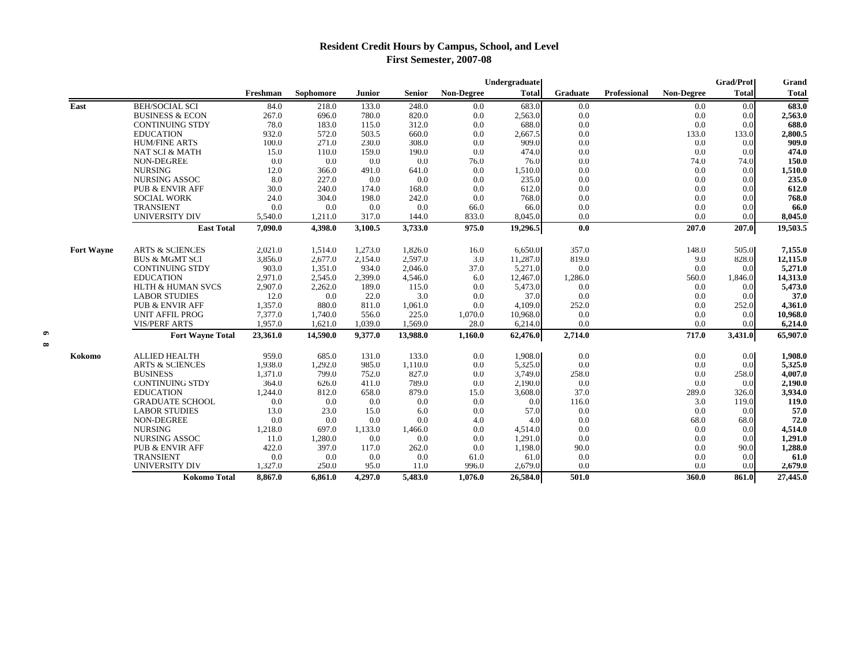# **Resident Credit Hours by Campus, School, and Level First Semester, 2007-08**

|                   |                              | <b>Grad/Prof</b><br>Undergraduate |           |         |          |                   |              |          |              |                   |              | Grand        |
|-------------------|------------------------------|-----------------------------------|-----------|---------|----------|-------------------|--------------|----------|--------------|-------------------|--------------|--------------|
|                   |                              | Freshman                          | Sophomore | Junior  | Senior   | <b>Non-Degree</b> | <b>Total</b> | Graduate | Professional | <b>Non-Degree</b> | <b>Total</b> | <b>Total</b> |
| East              | <b>BEH/SOCIAL SCI</b>        | 84.0                              | 218.0     | 133.0   | 248.0    | 0.0               | 683.0        | 0.0      |              | 0.0               | 0.0          | 683.0        |
|                   | <b>BUSINESS &amp; ECON</b>   | 267.0                             | 696.0     | 780.0   | 820.0    | 0.0               | 2,563.0      | 0.0      |              | 0.0               | 0.0          | 2,563.0      |
|                   | <b>CONTINUING STDY</b>       | 78.0                              | 183.0     | 115.0   | 312.0    | 0.0               | 688.0        | 0.0      |              | 0.0               | 0.0          | 688.0        |
|                   | <b>EDUCATION</b>             | 932.0                             | 572.0     | 503.5   | 660.0    | 0.0               | 2,667.5      | 0.0      |              | 133.0             | 133.0        | 2,800.5      |
|                   | <b>HUM/FINE ARTS</b>         | 100.0                             | 271.0     | 230.0   | 308.0    | 0.0               | 909.0        | 0.0      |              | 0.0               | 0.0          | 909.0        |
|                   | <b>NAT SCI &amp; MATH</b>    | 15.0                              | 110.0     | 159.0   | 190.0    | 0.0               | 474.0        | 0.0      |              | 0.0               | 0.0          | 474.0        |
|                   | <b>NON-DEGREE</b>            | 0.0                               | 0.0       | 0.0     | 0.0      | 76.0              | 76.0         | 0.0      |              | 74.0              | 74.0         | 150.0        |
|                   | <b>NURSING</b>               | 12.0                              | 366.0     | 491.0   | 641.0    | 0.0               | 1,510.0      | 0.0      |              | 0.0               | 0.0          | 1,510.0      |
|                   | <b>NURSING ASSOC</b>         | 8.0                               | 227.0     | 0.0     | 0.0      | 0.0               | 235.0        | 0.0      |              | 0.0               | 0.0          | 235.0        |
|                   | <b>PUB &amp; ENVIR AFF</b>   | 30.0                              | 240.0     | 174.0   | 168.0    | 0.0               | 612.0        | 0.0      |              | 0.0               | 0.0          | 612.0        |
|                   | <b>SOCIAL WORK</b>           | 24.0                              | 304.0     | 198.0   | 242.0    | 0.0               | 768.0        | 0.0      |              | 0.0               | 0.0          | 768.0        |
|                   | <b>TRANSIENT</b>             | 0.0                               | 0.0       | 0.0     | 0.0      | 66.0              | 66.0         | 0.0      |              | 0.0               | 0.0          | 66.0         |
|                   | <b>UNIVERSITY DIV</b>        | 5,540.0                           | 1,211.0   | 317.0   | 144.0    | 833.0             | 8,045.0      | 0.0      |              | 0.0               | 0.0          | 8,045.0      |
|                   | <b>East Total</b>            | 7,090.0                           | 4,398.0   | 3,100.5 | 3,733.0  | 975.0             | 19,296.5     | 0.0      |              | 207.0             | 207.0        | 19,503.5     |
| <b>Fort Wayne</b> | <b>ARTS &amp; SCIENCES</b>   | 2,021.0                           | 1,514.0   | 1,273.0 | 1,826.0  | 16.0              | 6,650.0      | 357.0    |              | 148.0             | 505.0        | 7,155.0      |
|                   | <b>BUS &amp; MGMT SCI</b>    | 3,856.0                           | 2,677.0   | 2,154.0 | 2,597.0  | 3.0               | 11,287.0     | 819.0    |              | 9.0               | 828.0        | 12,115.0     |
|                   | <b>CONTINUING STDY</b>       | 903.0                             | 1,351.0   | 934.0   | 2.046.0  | 37.0              | 5,271.0      | 0.0      |              | 0.0               | 0.0          | 5,271.0      |
|                   | <b>EDUCATION</b>             | 2,971.0                           | 2,545.0   | 2,399.0 | 4,546.0  | 6.0               | 12,467.0     | 1,286.0  |              | 560.0             | 1,846.0      | 14,313.0     |
|                   | <b>HLTH &amp; HUMAN SVCS</b> | 2,907.0                           | 2,262.0   | 189.0   | 115.0    | 0.0               | 5,473.0      | 0.0      |              | 0.0               | 0.0          | 5,473.0      |
|                   | <b>LABOR STUDIES</b>         | 12.0                              | 0.0       | 22.0    | 3.0      | 0.0               | 37.0         | 0.0      |              | 0.0               | 0.0          | 37.0         |
|                   | <b>PUB &amp; ENVIR AFF</b>   | 1,357.0                           | 880.0     | 811.0   | 1,061.0  | 0.0               | 4,109.0      | 252.0    |              | 0.0               | 252.0        | 4,361.0      |
|                   | <b>UNIT AFFIL PROG</b>       | 7,377.0                           | 1,740.0   | 556.0   | 225.0    | 1,070.0           | 10,968.0     | 0.0      |              | 0.0               | 0.0          | 10,968.0     |
|                   | <b>VIS/PERF ARTS</b>         | 1,957.0                           | 1,621.0   | 1,039.0 | 1,569.0  | 28.0              | 6,214.0      | 0.0      |              | 0.0               | 0.0          | 6,214.0      |
|                   | <b>Fort Wayne Total</b>      | 23,361.0                          | 14,590.0  | 9,377.0 | 13,988.0 | 1,160.0           | 62,476.0     | 2,714.0  |              | 717.0             | 3,431.0      | 65,907.0     |
| Kokomo            | <b>ALLIED HEALTH</b>         | 959.0                             | 685.0     | 131.0   | 133.0    | 0.0               | 1,908.0      | 0.0      |              | 0.0               | 0.0          | 1,908.0      |
|                   | <b>ARTS &amp; SCIENCES</b>   | 1,938.0                           | 1,292.0   | 985.0   | 1,110.0  | 0.0               | 5,325.0      | 0.0      |              | 0.0               | 0.0          | 5,325.0      |
|                   | <b>BUSINESS</b>              | 1,371.0                           | 799.0     | 752.0   | 827.0    | 0.0               | 3,749.0      | 258.0    |              | 0.0               | 258.0        | 4,007.0      |
|                   | <b>CONTINUING STDY</b>       | 364.0                             | 626.0     | 411.0   | 789.0    | 0.0               | 2,190.0      | 0.0      |              | 0.0               | 0.0          | 2,190.0      |
|                   | <b>EDUCATION</b>             | 1,244.0                           | 812.0     | 658.0   | 879.0    | 15.0              | 3,608.0      | 37.0     |              | 289.0             | 326.0        | 3,934.0      |
|                   | <b>GRADUATE SCHOOL</b>       | 0.0                               | 0.0       | 0.0     | 0.0      | 0.0               | 0.0          | 116.0    |              | 3.0               | 119.0        | 119.0        |
|                   | <b>LABOR STUDIES</b>         | 13.0                              | 23.0      | 15.0    | 6.0      | 0.0               | 57.0         | 0.0      |              | 0.0               | 0.0          | 57.0         |
|                   | NON-DEGREE                   | 0.0                               | 0.0       | 0.0     | 0.0      | 4.0               | 4.0          | 0.0      |              | 68.0              | 68.0         | 72.0         |
|                   | <b>NURSING</b>               | 1,218.0                           | 697.0     | 1,133.0 | 1,466.0  | 0.0               | 4,514.0      | 0.0      |              | 0.0               | 0.0          | 4,514.0      |
|                   | NURSING ASSOC                | 11.0                              | 1,280.0   | 0.0     | 0.0      | 0.0               | 1,291.0      | 0.0      |              | 0.0               | 0.0          | 1,291.0      |
|                   | <b>PUB &amp; ENVIR AFF</b>   | 422.0                             | 397.0     | 117.0   | 262.0    | 0.0               | 1,198.0      | 90.0     |              | 0.0               | 90.0         | 1,288.0      |
|                   | <b>TRANSIENT</b>             | 0.0                               | 0.0       | 0.0     | 0.0      | 61.0              | 61.0         | 0.0      |              | 0.0               | 0.0          | 61.0         |
|                   | <b>UNIVERSITY DIV</b>        | 1,327.0                           | 250.0     | 95.0    | 11.0     | 996.0             | 2,679.0      | 0.0      |              | $0.0^{\circ}$     | 0.0          | 2,679.0      |
|                   | <b>Kokomo Total</b>          | 8,867.0                           | 6,861.0   | 4.297.0 | 5,483.0  | 1,076.0           | 26,584.0     | 501.0    |              | 360.0             | 861.0        | 27,445.0     |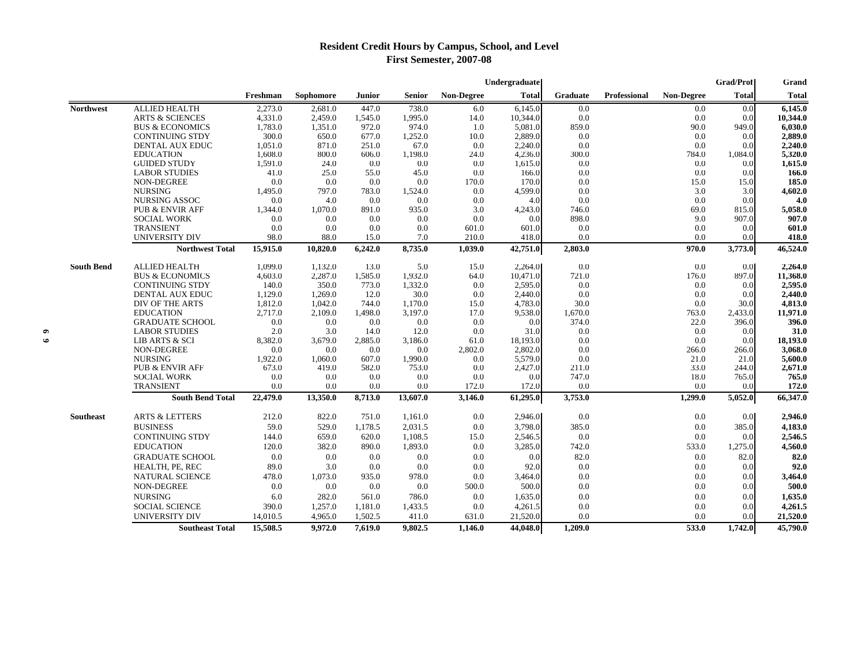# **Resident Credit Hours by Campus, School, and Level First Semester, 2007-08**

|                   |                                        | <b>Grad/Prof</b><br>Undergraduate |            |                 |                 |                |                  |                 |                     |                   |              | Grand             |
|-------------------|----------------------------------------|-----------------------------------|------------|-----------------|-----------------|----------------|------------------|-----------------|---------------------|-------------------|--------------|-------------------|
|                   |                                        | Freshman                          | Sophomore  | Junior          | <b>Senior</b>   | Non-Degree     | <b>Total</b>     | <b>Graduate</b> | <b>Professional</b> | <b>Non-Degree</b> | <b>Total</b> | Total             |
| <b>Northwest</b>  | <b>ALLIED HEALTH</b>                   | 2,273.0                           | 2,681.0    | 447.0           | 738.0           | 6.0            | 6,145.0          | 0.0             |                     | 0.0               | 0.0          | 6,145.0           |
|                   | <b>ARTS &amp; SCIENCES</b>             | 4,331.0                           | 2,459.0    | 1,545.0         | 1,995.0         | 14.0           | 10,344.0         | 0.0             |                     | $0.0\,$           | 0.0          | 10,344.0          |
|                   | <b>BUS &amp; ECONOMICS</b>             | 1,783.0                           | 1,351.0    | 972.0           | 974.0           | 1.0            | 5,081.0          | 859.0           |                     | 90.0              | 949.0        | 6,030.0           |
|                   | <b>CONTINUING STDY</b>                 | 300.0                             | 650.0      | 677.0           | 1,252.0         | 10.0           | 2,889.0          | 0.0             |                     | 0.0               | 0.0          | 2,889.0           |
|                   | DENTAL AUX EDUC                        | 1,051.0                           | 871.0      | 251.0           | 67.0            | 0.0            | 2,240.0          | 0.0             |                     | 0.0               | 0.0          | 2,240.0           |
|                   | <b>EDUCATION</b>                       | 1,608.0                           | 800.0      | 606.0           | 1,198.0         | 24.0           | 4,236.0          | 300.0           |                     | 784.0             | 1,084.0      | 5,320.0           |
|                   | <b>GUIDED STUDY</b>                    | 1,591.0                           | 24.0       | 0.0             | 0.0             | 0.0            | 1,615.0          | 0.0             |                     | 0.0               | 0.0          | 1,615.0           |
|                   | <b>LABOR STUDIES</b>                   | 41.0                              | 25.0       | 55.0            | 45.0            | 0.0            | 166.0            | 0.0             |                     | 0.0               | 0.0          | 166.0             |
|                   | NON-DEGREE                             | 0.0                               | 0.0        | 0.0             | 0.0             | 170.0          | 170.0            | 0.0             |                     | 15.0              | 15.0         | 185.0             |
|                   | <b>NURSING</b>                         | 1,495.0                           | 797.0      | 783.0           | 1,524.0         | 0.0            | 4,599.0          | 0.0             |                     | 3.0               | 3.0          | 4,602.0           |
|                   | NURSING ASSOC                          | 0.0                               | 4.0        | 0.0             | 0.0             | 0.0            | 4.0              | 0.0             |                     | 0.0               | 0.0          | 4.0               |
|                   | <b>PUB &amp; ENVIR AFF</b>             | 1,344.0                           | 1.070.0    | 891.0           | 935.0           | 3.0            | 4,243.0          | 746.0           |                     | 69.0              | 815.0        | 5,058.0           |
|                   | <b>SOCIAL WORK</b><br><b>TRANSIENT</b> | 0.0<br>0.0                        | 0.0<br>0.0 | 0.0<br>0.0      | 0.0<br>0.0      | 0.0            | 0.0<br>601.0     | 898.0           |                     | 9.0<br>0.0        | 907.0        | 907.0             |
|                   | <b>UNIVERSITY DIV</b>                  | 98.0                              | 88.0       | 15.0            | 7.0             | 601.0<br>210.0 | 418.0            | 0.0<br>0.0      |                     | 0.0               | 0.0<br>0.0   | 601.0<br>418.0    |
|                   | <b>Northwest Total</b>                 | 15,915.0                          | 10,820.0   | 6,242.0         | 8,735.0         | 1,039.0        | 42,751.0         | 2,803.0         |                     | 970.0             | 3,773.0      | 46,524.0          |
|                   |                                        |                                   |            |                 |                 |                |                  |                 |                     |                   |              |                   |
| <b>South Bend</b> | <b>ALLIED HEALTH</b>                   | 1,099.0                           | 1,132.0    | 13.0            | 5.0             | 15.0           | 2,264.0          | 0.0             |                     | 0.0               | 0.0          | 2,264.0           |
|                   | <b>BUS &amp; ECONOMICS</b>             | 4,603.0                           | 2,287.0    | 1,585.0         | 1,932.0         | 64.0           | 10,471.0         | 721.0           |                     | 176.0             | 897.0        | 11,368.0          |
|                   | <b>CONTINUING STDY</b>                 | 140.0                             | 350.0      | 773.0           | 1,332.0         | 0.0            | 2,595.0          | 0.0             |                     | 0.0               | 0.0          | 2,595.0           |
|                   | DENTAL AUX EDUC                        | 1,129.0                           | 1,269.0    | 12.0            | 30.0            | 0.0            | 2,440.0          | 0.0             |                     | 0.0               | 0.0          | 2,440.0           |
|                   | DIV OF THE ARTS                        | 1,812.0                           | 1,042.0    | 744.0           | 1,170.0         | 15.0           | 4,783.0          | 30.0            |                     | 0.0               | 30.0         | 4,813.0           |
|                   | <b>EDUCATION</b>                       | 2,717.0                           | 2,109.0    | 1,498.0<br>0.0  | 3,197.0<br>0.0  | 17.0           | 9,538.0<br>0.0   | 1,670.0         |                     | 763.0             | 2,433.0      | 11,971.0<br>396.0 |
|                   | <b>GRADUATE SCHOOL</b>                 | 0.0<br>2.0                        | 0.0<br>3.0 |                 |                 | 0.0<br>0.0     |                  | 374.0           |                     | 22.0<br>0.0       | 396.0        |                   |
|                   | <b>LABOR STUDIES</b><br>LIB ARTS & SCI | 8,382.0                           | 3,679.0    | 14.0<br>2,885.0 | 12.0<br>3,186.0 | 61.0           | 31.0<br>18,193.0 | 0.0<br>0.0      |                     | 0.0               | 0.0<br>0.0   | 31.0<br>18,193.0  |
|                   | NON-DEGREE                             | 0.0                               | 0.0        | 0.0             | 0.0             | 2,802.0        | 2,802.0          | 0.0             |                     | 266.0             | 266.0        | 3,068.0           |
|                   | <b>NURSING</b>                         | 1,922.0                           | 1.060.0    | 607.0           | 1,990.0         | 0.0            | 5,579.0          | 0.0             |                     | 21.0              | 21.0         | 5,600.0           |
|                   | <b>PUB &amp; ENVIR AFF</b>             | 673.0                             | 419.0      | 582.0           | 753.0           | 0.0            | 2,427.0          | 211.0           |                     | 33.0              | 244.0        | 2,671.0           |
|                   | <b>SOCIAL WORK</b>                     | 0.0                               | 0.0        | 0.0             | 0.0             | 0.0            | 0.0              | 747.0           |                     | 18.0              | 765.0        | 765.0             |
|                   | <b>TRANSIENT</b>                       | 0.0                               | 0.0        | 0.0             | 0.0             | 172.0          | 172.0            | 0.0             |                     | 0.0               | 0.0          | 172.0             |
|                   | <b>South Bend Total</b>                | 22,479.0                          | 13,350.0   | 8,713.0         | 13,607.0        | 3,146.0        | 61,295.0         | 3,753.0         |                     | 1,299.0           | 5,052.0      | 66,347.0          |
| <b>Southeast</b>  | <b>ARTS &amp; LETTERS</b>              | 212.0                             | 822.0      | 751.0           | 1,161.0         | 0.0            | 2,946.0          | 0.0             |                     | 0.0               | 0.0          | 2,946.0           |
|                   | <b>BUSINESS</b>                        | 59.0                              | 529.0      | 1,178.5         | 2,031.5         | 0.0            | 3,798.0          | 385.0           |                     | 0.0               | 385.0        | 4,183.0           |
|                   | <b>CONTINUING STDY</b>                 | 144.0                             | 659.0      | 620.0           | 1,108.5         | 15.0           | 2,546.5          | 0.0             |                     | 0.0               | 0.0          | 2,546.5           |
|                   | <b>EDUCATION</b>                       | 120.0                             | 382.0      | 890.0           | 1,893.0         | 0.0            | 3,285.0          | 742.0           |                     | 533.0             | 1,275.0      | 4,560.0           |
|                   |                                        |                                   |            |                 | 0.0             |                |                  |                 |                     |                   |              | 82.0              |
|                   | <b>GRADUATE SCHOOL</b>                 | 0.0                               | 0.0        | 0.0             |                 | 0.0            | 0.0              | 82.0            |                     | 0.0               | 82.0         |                   |
|                   | HEALTH, PE, REC                        | 89.0                              | 3.0        | 0.0             | 0.0             | 0.0            | 92.0             | 0.0             |                     | 0.0               | 0.0          | 92.0              |
|                   | <b>NATURAL SCIENCE</b>                 | 478.0                             | 1,073.0    | 935.0           | 978.0           | 0.0            | 3,464.0          | 0.0             |                     | 0.0               | 0.0          | 3,464.0           |
|                   | NON-DEGREE                             | 0.0                               | 0.0        | 0.0             | 0.0             | 500.0          | 500.0            | 0.0             |                     | 0.0               | 0.0          | 500.0             |
|                   | <b>NURSING</b>                         | 6.0                               | 282.0      | 561.0           | 786.0           | 0.0            | 1,635.0          | 0.0             |                     | 0.0               | 0.0          | 1,635.0           |
|                   | <b>SOCIAL SCIENCE</b>                  | 390.0                             | 1,257.0    | 1,181.0         | 1,433.5         | 0.0            | 4,261.5          | 0.0             |                     | 0.0               | 0.0          | 4,261.5           |
|                   | UNIVERSITY DIV                         | 14,010.5                          | 4,965.0    | 1,502.5         | 411.0           | 631.0          | 21,520.0         | 0.0             |                     | 0.0               | 0.0          | 21,520.0          |
|                   | <b>Southeast Total</b>                 | 15,508.5                          | 9.972.0    | 7.619.0         | 9.802.5         | 1,146.0        | 44,048.0         | 1,209.0         |                     | 533.0             | 1,742.0      | 45,790.0          |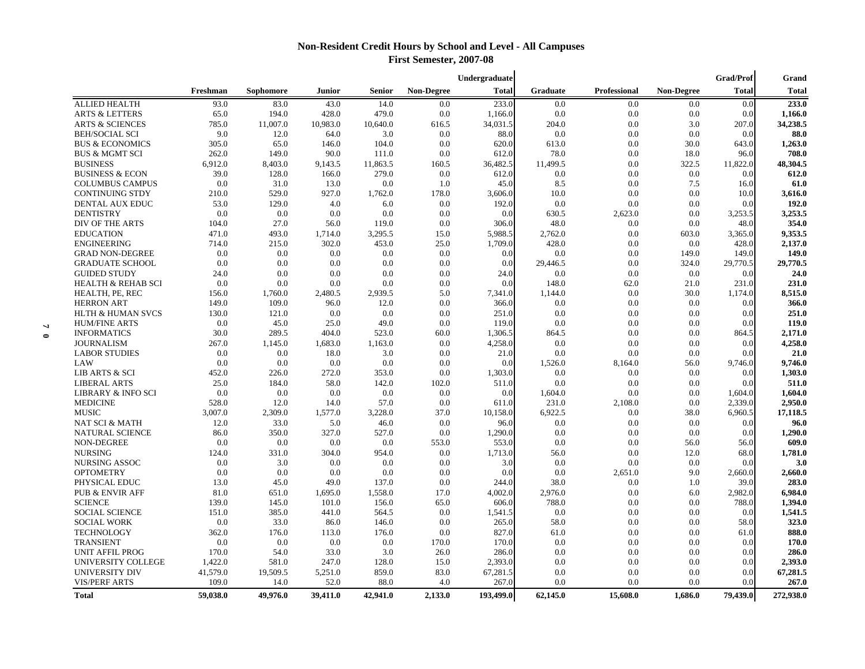## **Non-Resident Credit Hours by School and Level - All Campuses First Semester, 2007-08**

|                               |          |           |               |               |            | Undergraduate |          |              |            | <b>Grad/Prof</b> | Grand        |
|-------------------------------|----------|-----------|---------------|---------------|------------|---------------|----------|--------------|------------|------------------|--------------|
|                               | Freshman | Sophomore | <b>Junior</b> | <b>Senior</b> | Non-Degree | <b>Total</b>  | Graduate | Professional | Non-Degree | <b>Total</b>     | <b>Total</b> |
| <b>ALLIED HEALTH</b>          | 93.0     | 83.0      | 43.0          | 14.0          | 0.0        | 233.0         | 0.0      | 0.0          | 0.0        | 0.0              | 233.0        |
| <b>ARTS &amp; LETTERS</b>     | 65.0     | 194.0     | 428.0         | 479.0         | 0.0        | 1,166.0       | 0.0      | 0.0          | 0.0        | 0.0              | 1,166.0      |
| <b>ARTS &amp; SCIENCES</b>    | 785.0    | 11,007.0  | 10,983.0      | 10,640.0      | 616.5      | 34,031.5      | 204.0    | 0.0          | 3.0        | 207.0            | 34,238.5     |
| <b>BEH/SOCIAL SCI</b>         | 9.0      | 12.0      | 64.0          | 3.0           | 0.0        | 88.0          | 0.0      | 0.0          | 0.0        | 0.0              | 88.0         |
| <b>BUS &amp; ECONOMICS</b>    | 305.0    | 65.0      | 146.0         | 104.0         | 0.0        | 620.0         | 613.0    | 0.0          | 30.0       | 643.0            | 1,263.0      |
| <b>BUS &amp; MGMT SCI</b>     | 262.0    | 149.0     | 90.0          | 111.0         | 0.0        | 612.0         | 78.0     | 0.0          | 18.0       | 96.0             | 708.0        |
| <b>BUSINESS</b>               | 6,912.0  | 8,403.0   | 9,143.5       | 11,863.5      | 160.5      | 36,482.5      | 11,499.5 | 0.0          | 322.5      | 11,822.0         | 48,304.5     |
| <b>BUSINESS &amp; ECON</b>    | 39.0     | 128.0     | 166.0         | 279.0         | 0.0        | 612.0         | 0.0      | 0.0          | 0.0        | 0.0              | 612.0        |
| <b>COLUMBUS CAMPUS</b>        | 0.0      | 31.0      | 13.0          | 0.0           | 1.0        | 45.0          | 8.5      | 0.0          | 7.5        | 16.0             | 61.0         |
| <b>CONTINUING STDY</b>        | 210.0    | 529.0     | 927.0         | 1,762.0       | 178.0      | 3,606.0       | 10.0     | 0.0          | 0.0        | 10.0             | 3,616.0      |
| DENTAL AUX EDUC               | 53.0     | 129.0     | 4.0           | 6.0           | 0.0        | 192.0         | 0.0      | 0.0          | 0.0        | 0.0              | 192.0        |
| <b>DENTISTRY</b>              | 0.0      | 0.0       | 0.0           | 0.0           | 0.0        | 0.0           | 630.5    | 2,623.0      | 0.0        | 3,253.5          | 3,253.5      |
| DIV OF THE ARTS               | 104.0    | 27.0      | 56.0          | 119.0         | 0.0        | 306.0         | 48.0     | 0.0          | 0.0        | 48.0             | 354.0        |
| <b>EDUCATION</b>              | 471.0    | 493.0     | 1,714.0       | 3,295.5       | 15.0       | 5.988.5       | 2,762.0  | 0.0          | 603.0      | 3,365.0          | 9,353.5      |
| <b>ENGINEERING</b>            | 714.0    | 215.0     | 302.0         | 453.0         | 25.0       | 1.709.0       | 428.0    | 0.0          | 0.0        | 428.0            | 2,137.0      |
| <b>GRAD NON-DEGREE</b>        | 0.0      | 0.0       | 0.0           | 0.0           | 0.0        | 0.0           | 0.0      | 0.0          | 149.0      | 149.0            | 149.0        |
| <b>GRADUATE SCHOOL</b>        | 0.0      | 0.0       | 0.0           | 0.0           | 0.0        | 0.0           | 29,446.5 | 0.0          | 324.0      | 29,770.5         | 29,770.5     |
| <b>GUIDED STUDY</b>           | 24.0     | 0.0       | 0.0           | 0.0           | 0.0        | 24.0          | 0.0      | 0.0          | 0.0        | 0.0              | 24.0         |
| <b>HEALTH &amp; REHAB SCI</b> | 0.0      | 0.0       | 0.0           | 0.0           | 0.0        | 0.0           | 148.0    | 62.0         | 21.0       | 231.0            | 231.0        |
| HEALTH, PE, REC               | 156.0    | 1,760.0   | 2,480.5       | 2,939.5       | 5.0        | 7,341.0       | 1,144.0  | 0.0          | 30.0       | 1,174.0          | 8,515.0      |
| <b>HERRON ART</b>             | 149.0    | 109.0     | 96.0          | 12.0          | 0.0        | 366.0         | 0.0      | 0.0          | 0.0        | 0.0              | 366.0        |
| <b>HLTH &amp; HUMAN SVCS</b>  | 130.0    | 121.0     | 0.0           | 0.0           | 0.0        | 251.0         | 0.0      | 0.0          | 0.0        | 0.0              | 251.0        |
| <b>HUM/FINE ARTS</b>          | 0.0      | 45.0      | 25.0          | 49.0          | 0.0        | 119.0         | 0.0      | 0.0          | 0.0        | 0.0              | 119.0        |
| <b>INFORMATICS</b>            | 30.0     | 289.5     | 404.0         | 523.0         | 60.0       | 1.306.5       | 864.5    | 0.0          | 0.0        | 864.5            | 2,171.0      |
| <b>JOURNALISM</b>             | 267.0    | 1,145.0   | 1,683.0       | 1,163.0       | 0.0        | 4,258.0       | 0.0      | 0.0          | 0.0        | 0.0              | 4,258.0      |
| <b>LABOR STUDIES</b>          | 0.0      | 0.0       | 18.0          | 3.0           | 0.0        | 21.0          | 0.0      | 0.0          | 0.0        | 0.0              | 21.0         |
| LAW                           | 0.0      | 0.0       | 0.0           | 0.0           | 0.0        | 0.0           | 1,526.0  | 8,164.0      | 56.0       | 9,746.0          | 9,746.0      |
| LIB ARTS & SCI                | 452.0    | 226.0     | 272.0         | 353.0         | 0.0        | 1,303.0       | 0.0      | 0.0          | 0.0        | 0.0              | 1,303.0      |
| <b>LIBERAL ARTS</b>           | 25.0     | 184.0     | 58.0          | 142.0         | 102.0      | 511.0         | 0.0      | 0.0          | 0.0        | 0.0              | 511.0        |
| LIBRARY & INFO SCI            | 0.0      | 0.0       | 0.0           | 0.0           | 0.0        | 0.0           | 1,604.0  | 0.0          | 0.0        | 1,604.0          | 1,604.0      |
| <b>MEDICINE</b>               | 528.0    | 12.0      | 14.0          | 57.0          | 0.0        | 611.0         | 231.0    | 2,108.0      | 0.0        | 2,339.0          | 2,950.0      |
| <b>MUSIC</b>                  | 3,007.0  | 2,309.0   | 1,577.0       | 3,228.0       | 37.0       | 10,158.0      | 6,922.5  | 0.0          | 38.0       | 6,960.5          | 17,118.5     |
| <b>NAT SCI &amp; MATH</b>     | 12.0     | 33.0      | 5.0           | 46.0          | 0.0        | 96.0          | 0.0      | 0.0          | 0.0        | 0.0              | 96.0         |
| <b>NATURAL SCIENCE</b>        | 86.0     | 350.0     | 327.0         | 527.0         | 0.0        | 1,290.0       | 0.0      | 0.0          | 0.0        | 0.0              | 1,290.0      |
| NON-DEGREE                    | 0.0      | 0.0       | 0.0           | 0.0           | 553.0      | 553.0         | 0.0      | 0.0          | 56.0       | 56.0             | 609.0        |
| <b>NURSING</b>                | 124.0    | 331.0     | 304.0         | 954.0         | 0.0        | 1,713.0       | 56.0     | 0.0          | 12.0       | 68.0             | 1,781.0      |
| NURSING ASSOC                 | 0.0      | 3.0       | 0.0           | 0.0           | 0.0        | 3.0           | 0.0      | 0.0          | 0.0        | 0.0              | 3.0          |
| <b>OPTOMETRY</b>              | 0.0      | 0.0       | 0.0           | 0.0           | 0.0        | 0.0           | 0.0      | 2,651.0      | 9.0        | 2,660.0          | 2,660.0      |
| PHYSICAL EDUC                 | 13.0     | 45.0      | 49.0          | 137.0         | 0.0        | 244.0         | 38.0     | 0.0          | 1.0        | 39.0             | 283.0        |
| PUB & ENVIR AFF               | 81.0     | 651.0     | 1,695.0       | 1,558.0       | 17.0       | 4,002.0       | 2,976.0  | 0.0          | 6.0        | 2,982.0          | 6,984.0      |
| <b>SCIENCE</b>                | 139.0    | 145.0     | 101.0         | 156.0         | 65.0       | 606.0         | 788.0    | 0.0          | 0.0        | 788.0            | 1,394.0      |
| <b>SOCIAL SCIENCE</b>         | 151.0    | 385.0     | 441.0         | 564.5         | 0.0        | 1,541.5       | 0.0      | 0.0          | 0.0        | 0.0              | 1,541.5      |
| <b>SOCIAL WORK</b>            | 0.0      | 33.0      | 86.0          | 146.0         | 0.0        | 265.0         | 58.0     | 0.0          | 0.0        | 58.0             | 323.0        |
| <b>TECHNOLOGY</b>             | 362.0    | 176.0     | 113.0         | 176.0         | 0.0        | 827.0         | 61.0     | 0.0          | 0.0        | 61.0             | 888.0        |
| <b>TRANSIENT</b>              | 0.0      | 0.0       | 0.0           | 0.0           | 170.0      | 170.0         | 0.0      | 0.0          | 0.0        | 0.0              | 170.0        |
| <b>UNIT AFFIL PROG</b>        | 170.0    | 54.0      | 33.0          | 3.0           | 26.0       | 286.0         | 0.0      | 0.0          | 0.0        | 0.0              | 286.0        |
| UNIVERSITY COLLEGE            | 1,422.0  | 581.0     | 247.0         | 128.0         | 15.0       | 2,393.0       | 0.0      | 0.0          | 0.0        | 0.0              | 2,393.0      |
| UNIVERSITY DIV                | 41,579.0 | 19,509.5  | 5,251.0       | 859.0         | 83.0       | 67,281.5      | 0.0      | 0.0          | 0.0        | 0.0              | 67,281.5     |
| <b>VIS/PERF ARTS</b>          | 109.0    | 14.0      | 52.0          | 88.0          | 4.0        | 267.0         | 0.0      | 0.0          | 0.0        | 0.0              | 267.0        |
| <b>Total</b>                  | 59,038.0 | 49.976.0  | 39.411.0      | 42.941.0      | 2.133.0    | 193.499.0     | 62,145.0 | 15,608.0     | 1.686.0    | 79,439.0         | 272.938.0    |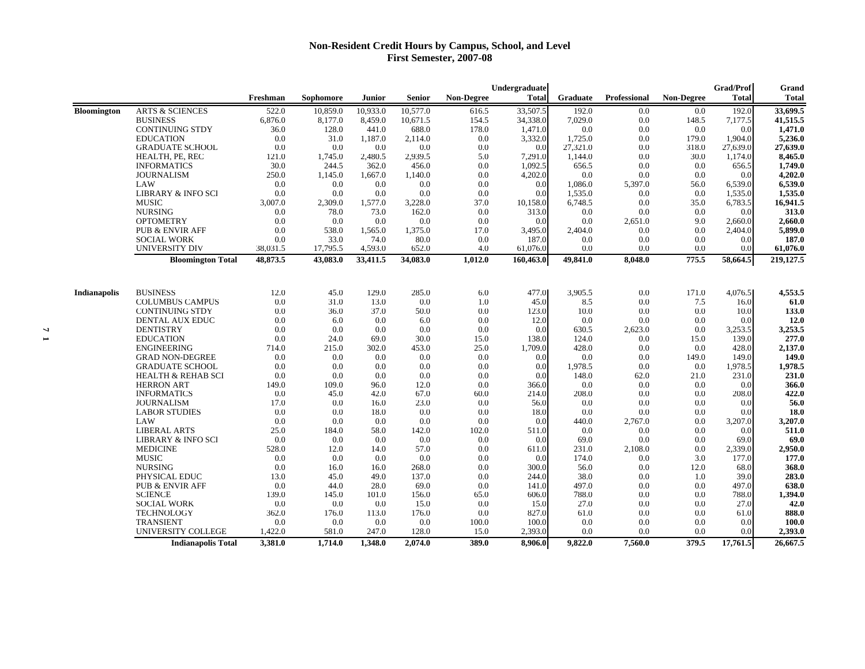## **Non-Resident Credit Hours by Campus, School, and Level First Semester, 2007-08**

|                     |                               |          |           |          |               |                   | Undergraduate |                 |              |                   | <b>Grad/Prof</b> | Grand     |
|---------------------|-------------------------------|----------|-----------|----------|---------------|-------------------|---------------|-----------------|--------------|-------------------|------------------|-----------|
|                     |                               | Freshman | Sophomore | Junior   | <b>Senior</b> | <b>Non-Degree</b> | <b>Total</b>  | <b>Graduate</b> | Professional | <b>Non-Degree</b> | Total            | Total     |
| <b>Bloomington</b>  | <b>ARTS &amp; SCIENCES</b>    | 522.0    | 10,859.0  | 10,933.0 | 10,577.0      | 616.5             | 33,507.5      | 192.0           | 0.0          | 0.0               | 192.0            | 33,699.5  |
|                     | <b>BUSINESS</b>               | 6,876.0  | 8,177.0   | 8,459.0  | 10,671.5      | 154.5             | 34,338.0      | 7,029.0         | 0.0          | 148.5             | 7,177.5          | 41,515.5  |
|                     | <b>CONTINUING STDY</b>        | 36.0     | 128.0     | 441.0    | 688.0         | 178.0             | 1,471.0       | 0.0             | 0.0          | 0.0               | 0.0              | 1,471.0   |
|                     | <b>EDUCATION</b>              | 0.0      | 31.0      | 1,187.0  | 2,114.0       | 0.0               | 3,332.0       | 1,725.0         | 0.0          | 179.0             | 1,904.0          | 5,236.0   |
|                     | <b>GRADUATE SCHOOL</b>        | 0.0      | 0.0       | 0.0      | 0.0           | 0.0               | 0.0           | 27,321.0        | 0.0          | 318.0             | 27,639.0         | 27,639.0  |
|                     | HEALTH, PE, REC               | 121.0    | 1,745.0   | 2,480.5  | 2,939.5       | 5.0               | 7,291.0       | 1,144.0         | 0.0          | 30.0              | 1,174.0          | 8,465.0   |
|                     | <b>INFORMATICS</b>            | 30.0     | 244.5     | 362.0    | 456.0         | 0.0               | 1,092.5       | 656.5           | 0.0          | 0.0               | 656.5            | 1,749.0   |
|                     | <b>JOURNALISM</b>             | 250.0    | 1,145.0   | 1,667.0  | 1,140.0       | $0.0\,$           | 4,202.0       | 0.0             | 0.0          | 0.0               | 0.0              | 4,202.0   |
|                     | LAW                           | 0.0      | 0.0       | 0.0      | 0.0           | 0.0               | 0.0           | 1,086.0         | 5,397.0      | 56.0              | 6,539.0          | 6,539.0   |
|                     | <b>LIBRARY &amp; INFO SCI</b> | 0.0      | 0.0       | 0.0      | 0.0           | 0.0               | 0.0           | 1,535.0         | 0.0          | 0.0               | 1,535.0          | 1,535.0   |
|                     | <b>MUSIC</b>                  | 3,007.0  | 2,309.0   | 1,577.0  | 3,228.0       | 37.0              | 10,158.0      | 6,748.5         | 0.0          | 35.0              | 6,783.5          | 16,941.5  |
|                     | <b>NURSING</b>                | 0.0      | 78.0      | 73.0     | 162.0         | 0.0               | 313.0         | 0.0             | 0.0          | 0.0               | 0.0              | 313.0     |
|                     | <b>OPTOMETRY</b>              | 0.0      | 0.0       | 0.0      | 0.0           | 0.0               | 0.0           | 0.0             | 2,651.0      | 9.0               | 2,660.0          | 2,660.0   |
|                     | <b>PUB &amp; ENVIR AFF</b>    | 0.0      | 538.0     | 1,565.0  | 1,375.0       | 17.0              | 3,495.0       | 2,404.0         | 0.0          | 0.0               | 2,404.0          | 5,899.0   |
|                     | <b>SOCIAL WORK</b>            | 0.0      | 33.0      | 74.0     | 80.0          | 0.0               | 187.0         | 0.0             | 0.0          | 0.0               | 0.0              | 187.0     |
|                     | <b>UNIVERSITY DIV</b>         | 38,031.5 | 17,795.5  | 4,593.0  | 652.0         | 4.0               | 61,076.0      | 0.0             | 0.0          | 0.0               | 0.0              | 61,076.0  |
|                     | <b>Bloomington Total</b>      | 48,873.5 | 43,083.0  | 33,411.5 | 34,083.0      | 1,012.0           | 160,463.0     | 49,841.0        | 8,048.0      | 775.5             | 58,664.5         | 219,127.5 |
|                     |                               |          |           |          |               |                   |               |                 |              |                   |                  |           |
| <b>Indianapolis</b> | <b>BUSINESS</b>               | 12.0     | 45.0      | 129.0    | 285.0         | 6.0               | 477.0         | 3,905.5         | 0.0          | 171.0             | 4,076.5          | 4,553.5   |
|                     | <b>COLUMBUS CAMPUS</b>        | 0.0      | 31.0      | 13.0     | 0.0           | 1.0               | 45.0          | 8.5             | 0.0          | 7.5               | 16.0             | 61.0      |
|                     | <b>CONTINUING STDY</b>        | 0.0      | 36.0      | 37.0     | 50.0          | $0.0\,$           | 123.0         | 10.0            | 0.0          | 0.0               | 10.0             | 133.0     |
|                     | DENTAL AUX EDUC               | 0.0      | 6.0       | 0.0      | 6.0           | 0.0               | 12.0          | 0.0             | 0.0          | 0.0               | 0.0              | 12.0      |
|                     | <b>DENTISTRY</b>              | 0.0      | 0.0       | 0.0      | 0.0           | 0.0               | 0.0           | 630.5           | 2,623.0      | 0.0               | 3,253.5          | 3,253.5   |
|                     | <b>EDUCATION</b>              | 0.0      | 24.0      | 69.0     | 30.0          | 15.0              | 138.0         | 124.0           | 0.0          | 15.0              | 139.0            | 277.0     |
|                     | <b>ENGINEERING</b>            | 714.0    | 215.0     | 302.0    | 453.0         | 25.0              | 1,709.0       | 428.0           | 0.0          | 0.0               | 428.0            | 2,137.0   |
|                     | <b>GRAD NON-DEGREE</b>        | 0.0      | 0.0       | 0.0      | 0.0           | 0.0               | 0.0           | 0.0             | 0.0          | 149.0             | 149.0            | 149.0     |
|                     | <b>GRADUATE SCHOOL</b>        | 0.0      | 0.0       | 0.0      | 0.0           | $0.0\,$           | 0.0           | 1,978.5         | 0.0          | 0.0               | 1,978.5          | 1,978.5   |
|                     | <b>HEALTH &amp; REHAB SCI</b> | 0.0      | 0.0       | 0.0      | 0.0           | 0.0               | 0.0           | 148.0           | 62.0         | 21.0              | 231.0            | 231.0     |
|                     | <b>HERRON ART</b>             | 149.0    | 109.0     | 96.0     | 12.0          | 0.0               | 366.0         | 0.0             | 0.0          | 0.0               | 0.0              | 366.0     |
|                     | <b>INFORMATICS</b>            | 0.0      | 45.0      | 42.0     | 67.0          | 60.0              | 214.0         | 208.0           | 0.0          | 0.0               | 208.0            | 422.0     |
|                     | <b>JOURNALISM</b>             | 17.0     | 0.0       | 16.0     | 23.0          | 0.0               | 56.0          | 0.0             | 0.0          | 0.0               | 0.0              | 56.0      |
|                     | <b>LABOR STUDIES</b>          | 0.0      | 0.0       | 18.0     | 0.0           | 0.0               | 18.0          | 0.0             | 0.0          | 0.0               | 0.0              | 18.0      |
|                     | LAW                           | 0.0      | 0.0       | 0.0      | 0.0           | 0.0               | 0.0           | 440.0           | 2,767.0      | 0.0               | 3,207.0          | 3,207.0   |
|                     | <b>LIBERAL ARTS</b>           | 25.0     | 184.0     | 58.0     | 142.0         | 102.0             | 511.0         | 0.0             | 0.0          | 0.0               | 0.0              | 511.0     |
|                     | <b>LIBRARY &amp; INFO SCI</b> | 0.0      | 0.0       | 0.0      | 0.0           | 0.0               | 0.0           | 69.0            | 0.0          | 0.0               | 69.0             | 69.0      |
|                     | <b>MEDICINE</b>               | 528.0    | 12.0      | 14.0     | 57.0          | 0.0               | 611.0         | 231.0           | 2,108.0      | 0.0               | 2,339.0          | 2,950.0   |
|                     | <b>MUSIC</b>                  | 0.0      | 0.0       | 0.0      | 0.0           | 0.0               | 0.0           | 174.0           | $0.0\,$      | 3.0               | 177.0            | 177.0     |
|                     | <b>NURSING</b>                | 0.0      | 16.0      | 16.0     | 268.0         | 0.0               | 300.0         | 56.0            | 0.0          | 12.0              | 68.0             | 368.0     |
|                     | PHYSICAL EDUC                 | 13.0     | 45.0      | 49.0     | 137.0         | 0.0               | 244.0         | 38.0            | 0.0          | 1.0               | 39.0             | 283.0     |
|                     | <b>PUB &amp; ENVIR AFF</b>    | 0.0      | 44.0      | 28.0     | 69.0          | 0.0               | 141.0         | 497.0           | 0.0          | 0.0               | 497.0            | 638.0     |
|                     | <b>SCIENCE</b>                | 139.0    | 145.0     | 101.0    | 156.0         | 65.0              | 606.0         | 788.0           | 0.0          | 0.0               | 788.0            | 1,394.0   |
|                     | <b>SOCIAL WORK</b>            | 0.0      | 0.0       | 0.0      | 15.0          | 0.0               | 15.0          | 27.0            | 0.0          | 0.0               | 27.0             | 42.0      |
|                     | <b>TECHNOLOGY</b>             | 362.0    | 176.0     | 113.0    | 176.0         | 0.0               | 827.0         | 61.0            | 0.0          | 0.0               | 61.0             | 888.0     |
|                     | <b>TRANSIENT</b>              | 0.0      | 0.0       | 0.0      | 0.0           | 100.0             | 100.0         | 0.0             | 0.0          | 0.0               | 0.0              | 100.0     |
|                     | UNIVERSITY COLLEGE            | 1,422.0  | 581.0     | 247.0    | 128.0         | 15.0              | 2,393.0       | 0.0             | 0.0          | 0.0               | 0.0              | 2,393.0   |
|                     | <b>Indianapolis Total</b>     | 3,381.0  | 1,714.0   | 1,348.0  | 2,074.0       | 389.0             | 8.906.0       | 9,822.0         | 7,560.0      | 379.5             | 17,761.5         | 26,667.5  |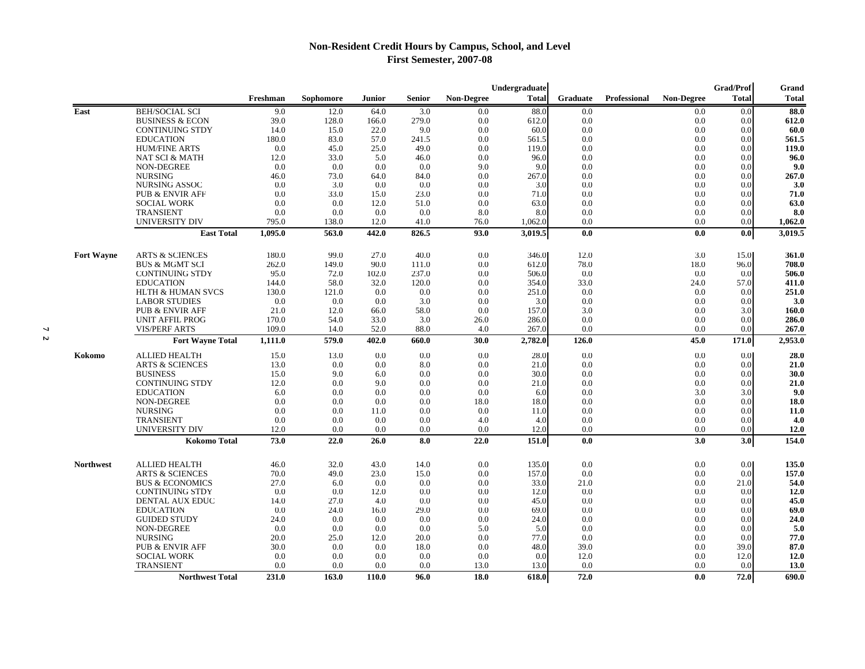## **Non-Resident Credit Hours by Campus, School, and Level First Semester, 2007-08**

|                   |                              |          |           |        |               |                   | Undergraduate |          |                     |                   | <b>Grad/Prof</b> | Grand        |
|-------------------|------------------------------|----------|-----------|--------|---------------|-------------------|---------------|----------|---------------------|-------------------|------------------|--------------|
|                   |                              | Freshman | Sophomore | Junior | <b>Senior</b> | <b>Non-Degree</b> | <b>Total</b>  | Graduate | <b>Professional</b> | <b>Non-Degree</b> | <b>Total</b>     | <b>Total</b> |
| East              | <b>BEH/SOCIAL SCI</b>        | 9.0      | 12.0      | 64.0   | 3.0           | 0.0               | 88.0          | 0.0      |                     | 0.0               | 0.0              | 88.0         |
|                   | <b>BUSINESS &amp; ECON</b>   | 39.0     | 128.0     | 166.0  | 279.0         | 0.0               | 612.0         | 0.0      |                     | 0.0               | 0.0              | 612.0        |
|                   | <b>CONTINUING STDY</b>       | 14.0     | 15.0      | 22.0   | 9.0           | 0.0               | 60.0          | 0.0      |                     | 0.0               | 0.0              | 60.0         |
|                   | <b>EDUCATION</b>             | 180.0    | 83.0      | 57.0   | 241.5         | 0.0               | 561.5         | 0.0      |                     | 0.0               | 0.0              | 561.5        |
|                   | <b>HUM/FINE ARTS</b>         | 0.0      | 45.0      | 25.0   | 49.0          | 0.0               | 119.0         | 0.0      |                     | 0.0               | 0.0              | 119.0        |
|                   | <b>NAT SCI &amp; MATH</b>    | 12.0     | 33.0      | 5.0    | 46.0          | 0.0               | 96.0          | 0.0      |                     | 0.0               | 0.0              | 96.0         |
|                   | NON-DEGREE                   | 0.0      | 0.0       | 0.0    | 0.0           | 9.0               | 9.0           | 0.0      |                     | 0.0               | 0.0              | 9.0          |
|                   | <b>NURSING</b>               | 46.0     | 73.0      | 64.0   | 84.0          | 0.0               | 267.0         | 0.0      |                     | 0.0               | 0.0              | 267.0        |
|                   | <b>NURSING ASSOC</b>         | 0.0      | 3.0       | 0.0    | 0.0           | 0.0               | 3.0           | 0.0      |                     | 0.0               | 0.0              | 3.0          |
|                   | <b>PUB &amp; ENVIR AFF</b>   | 0.0      | 33.0      | 15.0   | 23.0          | 0.0               | 71.0          | 0.0      |                     | 0.0               | 0.0              | 71.0         |
|                   | <b>SOCIAL WORK</b>           | 0.0      | 0.0       | 12.0   | 51.0          | 0.0               | 63.0          | 0.0      |                     | 0.0               | 0.0              | 63.0         |
|                   | <b>TRANSIENT</b>             | 0.0      | 0.0       | 0.0    | 0.0           | 8.0               | 8.0           | 0.0      |                     | 0.0               | 0.0              | 8.0          |
|                   | <b>UNIVERSITY DIV</b>        | 795.0    | 138.0     | 12.0   | 41.0          | 76.0              | 1,062.0       | 0.0      |                     | 0.0               | 0.0              | 1,062.0      |
|                   | <b>East Total</b>            | 1,095.0  | 563.0     | 442.0  | 826.5         | 93.0              | 3,019.5       | 0.0      |                     | 0.0               | $0.0\,$          | 3,019.5      |
| <b>Fort Wayne</b> | <b>ARTS &amp; SCIENCES</b>   | 180.0    | 99.0      | 27.0   | 40.0          | 0.0               | 346.0         | 12.0     |                     | 3.0               | 15.0             | 361.0        |
|                   | <b>BUS &amp; MGMT SCI</b>    | 262.0    | 149.0     | 90.0   | 111.0         | 0.0               | 612.0         | 78.0     |                     | 18.0              | 96.0             | 708.0        |
|                   | <b>CONTINUING STDY</b>       | 95.0     | 72.0      | 102.0  | 237.0         | 0.0               | 506.0         | 0.0      |                     | 0.0               | 0.0              | 506.0        |
|                   | <b>EDUCATION</b>             | 144.0    | 58.0      | 32.0   | 120.0         | 0.0               | 354.0         | 33.0     |                     | 24.0              | 57.0             | 411.0        |
|                   | <b>HLTH &amp; HUMAN SVCS</b> | 130.0    | 121.0     | 0.0    | 0.0           | 0.0               | 251.0         | 0.0      |                     | 0.0               | 0.0              | 251.0        |
|                   | <b>LABOR STUDIES</b>         | 0.0      | 0.0       | 0.0    | 3.0           | 0.0               | 3.0           | 0.0      |                     | 0.0               | 0.0              | 3.0          |
|                   | <b>PUB &amp; ENVIR AFF</b>   | 21.0     | 12.0      | 66.0   | 58.0          | 0.0               | 157.0         | 3.0      |                     | 0.0               | 3.0              | 160.0        |
|                   | <b>UNIT AFFIL PROG</b>       | 170.0    | 54.0      | 33.0   | 3.0           | 26.0              | 286.0         | 0.0      |                     | 0.0               | 0.0              | 286.0        |
|                   | <b>VIS/PERF ARTS</b>         | 109.0    | 14.0      | 52.0   | 88.0          | 4.0               | 267.0         | 0.0      |                     | 0.0               | 0.0              | 267.0        |
|                   | <b>Fort Wayne Total</b>      | 1,111.0  | 579.0     | 402.0  | 660.0         | 30.0              | 2,782.0       | 126.0    |                     | 45.0              | 171.0            | 2,953.0      |
| Kokomo            | <b>ALLIED HEALTH</b>         | 15.0     | 13.0      | 0.0    | 0.0           | 0.0               | 28.0          | 0.0      |                     | 0.0               | 0.0              | 28.0         |
|                   | <b>ARTS &amp; SCIENCES</b>   | 13.0     | 0.0       | 0.0    | 8.0           | 0.0               | 21.0          | 0.0      |                     | 0.0               | 0.0              | 21.0         |
|                   | <b>BUSINESS</b>              | 15.0     | 9.0       | 6.0    | 0.0           | 0.0               | 30.0          | 0.0      |                     | 0.0               | 0.0              | 30.0         |
|                   | <b>CONTINUING STDY</b>       | 12.0     | 0.0       | 9.0    | 0.0           | 0.0               | 21.0          | 0.0      |                     | 0.0               | 0.0              | 21.0         |
|                   | <b>EDUCATION</b>             | 6.0      | 0.0       | 0.0    | 0.0           | 0.0               | 6.0           | 0.0      |                     | 3.0               | 3.0              | 9.0          |
|                   | <b>NON-DEGREE</b>            | 0.0      | 0.0       | 0.0    | 0.0           | 18.0              | 18.0          | 0.0      |                     | 0.0               | 0.0              | 18.0         |
|                   | <b>NURSING</b>               | 0.0      | 0.0       | 11.0   | 0.0           | 0.0               | 11.0          | 0.0      |                     | 0.0               | 0.0              | 11.0         |
|                   | <b>TRANSIENT</b>             | 0.0      | 0.0       | 0.0    | 0.0           | 4.0               | 4.0           | 0.0      |                     | 0.0               | 0.0              | 4.0          |
|                   | <b>UNIVERSITY DIV</b>        | 12.0     | 0.0       | 0.0    | 0.0           | 0.0               | 12.0          | 0.0      |                     | 0.0               | 0.0              | 12.0         |
|                   | <b>Kokomo Total</b>          | 73.0     | 22.0      | 26.0   | 8.0           | 22.0              | 151.0         | 0.0      |                     | 3.0               | 3.0              | 154.0        |
| <b>Northwest</b>  | <b>ALLIED HEALTH</b>         | 46.0     | 32.0      | 43.0   | 14.0          | 0.0               | 135.0         | 0.0      |                     | 0.0               | 0.0              | 135.0        |
|                   | <b>ARTS &amp; SCIENCES</b>   | 70.0     | 49.0      | 23.0   | 15.0          | 0.0               | 157.0         | 0.0      |                     | 0.0               | 0.0              | 157.0        |
|                   | <b>BUS &amp; ECONOMICS</b>   | 27.0     | 6.0       | 0.0    | 0.0           | 0.0               | 33.0          | 21.0     |                     | 0.0               | 21.0             | 54.0         |
|                   | <b>CONTINUING STDY</b>       | 0.0      | 0.0       | 12.0   | 0.0           | 0.0               | 12.0          | 0.0      |                     | 0.0               | 0.0              | 12.0         |
|                   | DENTAL AUX EDUC              | 14.0     | 27.0      | 4.0    | 0.0           | 0.0               | 45.0          | 0.0      |                     | 0.0               | 0.0              | 45.0         |
|                   | <b>EDUCATION</b>             | 0.0      | 24.0      | 16.0   | 29.0          | 0.0               | 69.0          | 0.0      |                     | 0.0               | 0.0              | 69.0         |
|                   | <b>GUIDED STUDY</b>          | 24.0     | 0.0       | 0.0    | 0.0           | 0.0               | 24.0          | 0.0      |                     | 0.0               | 0.0              | 24.0         |
|                   | NON-DEGREE                   | 0.0      | 0.0       | 0.0    | 0.0           | 5.0               | 5.0           | 0.0      |                     | 0.0               | 0.0              | 5.0          |
|                   | <b>NURSING</b>               | 20.0     | 25.0      | 12.0   | 20.0          | 0.0               | 77.0          | 0.0      |                     | 0.0               | 0.0              | 77.0         |
|                   | <b>PUB &amp; ENVIR AFF</b>   | 30.0     | 0.0       | 0.0    | 18.0          | 0.0               | 48.0          | 39.0     |                     | 0.0               | 39.0             | 87.0         |
|                   | <b>SOCIAL WORK</b>           | 0.0      | 0.0       | 0.0    | 0.0           | 0.0               | 0.0           | 12.0     |                     | 0.0               | 12.0             | 12.0         |
|                   | <b>TRANSIENT</b>             | 0.0      | 0.0       | 0.0    | 0.0           | 13.0              | 13.0          | 0.0      |                     | 0.0               | 0.0              | 13.0         |
|                   | <b>Northwest Total</b>       | 231.0    | 163.0     | 110.0  | 96.0          | 18.0              | 618.0         | 72.0     |                     | 0.0               | 72.0             | 690.0        |